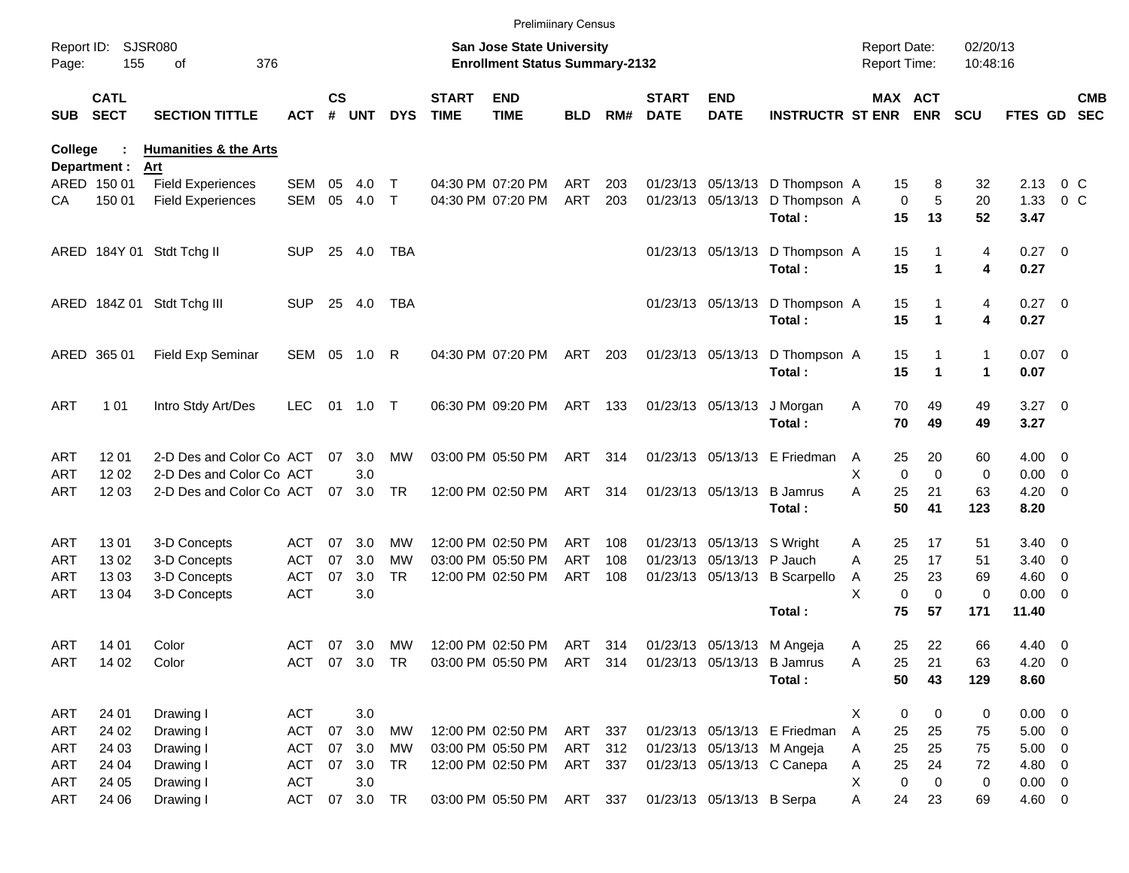|                     |                            |                                         |               |                    |            |              |                             | <b>Prelimiinary Census</b>                                                |            |     |                             |                            |                                |                                     |             |                           |                      |                          |
|---------------------|----------------------------|-----------------------------------------|---------------|--------------------|------------|--------------|-----------------------------|---------------------------------------------------------------------------|------------|-----|-----------------------------|----------------------------|--------------------------------|-------------------------------------|-------------|---------------------------|----------------------|--------------------------|
| Report ID:<br>Page: | 155                        | <b>SJSR080</b><br>376<br>οf             |               |                    |            |              |                             | <b>San Jose State University</b><br><b>Enrollment Status Summary-2132</b> |            |     |                             |                            |                                | <b>Report Date:</b><br>Report Time: |             |                           | 02/20/13<br>10:48:16 |                          |
| <b>SUB</b>          | <b>CATL</b><br><b>SECT</b> | <b>SECTION TITTLE</b>                   | ACT           | $\mathsf{cs}$<br># | <b>UNT</b> | <b>DYS</b>   | <b>START</b><br><b>TIME</b> | <b>END</b><br><b>TIME</b>                                                 | <b>BLD</b> | RM# | <b>START</b><br><b>DATE</b> | <b>END</b><br><b>DATE</b>  | <b>INSTRUCTR ST ENR ENR</b>    |                                     | MAX ACT     | <b>SCU</b>                | FTES GD              | <b>CMB</b><br><b>SEC</b> |
| College             | Department :               | <b>Humanities &amp; the Arts</b><br>Art |               |                    |            |              |                             |                                                                           |            |     |                             |                            |                                |                                     |             |                           |                      |                          |
|                     | ARED 150 01                | <b>Field Experiences</b>                | <b>SEM</b>    | 05                 | 4.0        | Т            |                             | 04:30 PM 07:20 PM                                                         | ART        | 203 |                             |                            | 01/23/13 05/13/13 D Thompson A |                                     | 15          | 8<br>32                   | 2.13                 | 0 <sup>o</sup>           |
| CА                  | 150 01                     | <b>Field Experiences</b>                | <b>SEM</b>    | 05                 | 4.0        | $\mathsf{T}$ |                             | 04:30 PM 07:20 PM                                                         | ART        | 203 |                             | 01/23/13 05/13/13          | D Thompson A                   |                                     | $\mathbf 0$ | 5<br>20                   | 1.33                 | 0 <sup>o</sup>           |
|                     |                            |                                         |               |                    |            |              |                             |                                                                           |            |     |                             |                            | Total:                         |                                     | 15<br>13    | 52                        | 3.47                 |                          |
|                     |                            | ARED 184Y 01 Stdt Tchg II               | <b>SUP</b>    | 25                 | 4.0        | <b>TBA</b>   |                             |                                                                           |            |     |                             | 01/23/13 05/13/13          | D Thompson A                   |                                     | 15          | 4                         | $0.27 \ 0$           |                          |
|                     |                            |                                         |               |                    |            |              |                             |                                                                           |            |     |                             |                            | Total:                         |                                     | 15          | 4<br>1                    | 0.27                 |                          |
|                     |                            | ARED 184Z 01 Stdt Tchg III              | <b>SUP</b>    | 25                 | 4.0        | <b>TBA</b>   |                             |                                                                           |            |     |                             |                            | 01/23/13 05/13/13 D Thompson A |                                     | 15          | 4                         | $0.27 \ 0$           |                          |
|                     |                            |                                         |               |                    |            |              |                             |                                                                           |            |     |                             |                            | Total:                         |                                     | 15          | 4<br>1                    | 0.27                 |                          |
|                     | ARED 365 01                | Field Exp Seminar                       | SEM 05        |                    | 1.0        | R            |                             | 04:30 PM 07:20 PM                                                         | ART        | 203 |                             | 01/23/13 05/13/13          | D Thompson A                   |                                     | 15          | 1                         | $0.07$ 0             |                          |
|                     |                            |                                         |               |                    |            |              |                             |                                                                           |            |     |                             |                            | Total:                         |                                     | 15          | $\blacktriangleleft$<br>1 | 0.07                 |                          |
| ART                 | 1 0 1                      | Intro Stdy Art/Des                      | <b>LEC</b>    | 01                 | 1.0        | $\top$       |                             | 06:30 PM 09:20 PM                                                         | ART 133    |     |                             | 01/23/13 05/13/13          | J Morgan                       | A                                   | 70<br>49    | 49                        | $3.27$ 0             |                          |
|                     |                            |                                         |               |                    |            |              |                             |                                                                           |            |     |                             |                            | Total:                         |                                     | 70<br>49    | 49                        | 3.27                 |                          |
| ART                 | 12 01                      | 2-D Des and Color Co ACT                |               | 07                 | 3.0        | MW           |                             | 03:00 PM 05:50 PM                                                         | ART        | 314 |                             |                            | 01/23/13 05/13/13 E Friedman   | A                                   | 25<br>20    | 60                        | $4.00 \ 0$           |                          |
| ART                 | 12 02                      | 2-D Des and Color Co ACT                |               |                    | 3.0        |              |                             |                                                                           |            |     |                             |                            |                                | X                                   | $\Omega$    | $\Omega$<br>0             | $0.00 \t 0$          |                          |
| ART                 | 12 03                      | 2-D Des and Color Co ACT                |               | 07                 | 3.0        | <b>TR</b>    |                             | 12:00 PM 02:50 PM                                                         | ART        | 314 |                             | 01/23/13 05/13/13          | <b>B</b> Jamrus                | А                                   | 25<br>21    | 63                        | $4.20 \ 0$           |                          |
|                     |                            |                                         |               |                    |            |              |                             |                                                                           |            |     |                             |                            | Total:                         |                                     | 50<br>41    | 123                       | 8.20                 |                          |
| ART                 | 1301                       | 3-D Concepts                            | ACT           | 07                 | 3.0        | <b>MW</b>    |                             | 12:00 PM 02:50 PM                                                         | ART        | 108 |                             | 01/23/13 05/13/13 S Wright |                                | A                                   | 25<br>17    | 51                        | $3.40 \quad 0$       |                          |
| ART                 | 1302                       | 3-D Concepts                            | ACT           | 07                 | 3.0        | <b>MW</b>    |                             | 03:00 PM 05:50 PM                                                         | <b>ART</b> | 108 |                             | 01/23/13 05/13/13 P Jauch  |                                | A                                   | 25<br>17    | 51                        | $3.40 \quad 0$       |                          |
| ART                 | 1303                       | 3-D Concepts                            | <b>ACT</b>    | 07                 | 3.0        | <b>TR</b>    |                             | 12:00 PM 02:50 PM                                                         | ART        | 108 |                             |                            | 01/23/13 05/13/13 B Scarpello  | A                                   | 25<br>23    | 69                        | $4.60$ 0             |                          |
| ART                 | 13 04                      | 3-D Concepts                            | <b>ACT</b>    |                    | 3.0        |              |                             |                                                                           |            |     |                             |                            |                                | X                                   | $\mathbf 0$ | $\mathbf 0$<br>0          | $0.00 \t 0$          |                          |
|                     |                            |                                         |               |                    |            |              |                             |                                                                           |            |     |                             |                            | Total:                         |                                     | 75<br>57    | 171                       | 11.40                |                          |
| ART                 | 14 01                      | Color                                   | ACT           | 07                 | 3.0        | <b>MW</b>    |                             | 12:00 PM 02:50 PM                                                         | ART 314    |     |                             | 01/23/13 05/13/13 M Angeja |                                | A                                   | 22<br>25    | 66                        | $4.40 \ 0$           |                          |
| ART                 | 14 02                      | Color                                   | ACT 07 3.0 TR |                    |            |              |                             | 03:00 PM 05:50 PM ART 314 01/23/13 05/13/13 B Jamrus                      |            |     |                             |                            |                                | Α                                   | 25<br>21    | 63                        | $4.20 \ 0$           |                          |
|                     |                            |                                         |               |                    |            |              |                             |                                                                           |            |     |                             |                            | Total:                         |                                     | 50<br>43    | 129                       | 8.60                 |                          |
| ART                 | 24 01                      | Drawing I                               | <b>ACT</b>    |                    | 3.0        |              |                             |                                                                           |            |     |                             |                            |                                | X                                   | 0           | $\mathbf 0$<br>0          | $0.00 \t 0$          |                          |
| ART                 | 24 02                      | Drawing I                               | <b>ACT</b>    | 07                 | 3.0        | MW           |                             | 12:00 PM 02:50 PM                                                         | ART 337    |     |                             |                            | 01/23/13 05/13/13 E Friedman   | Α                                   | 25<br>25    | 75                        | $5.00 \t 0$          |                          |
| ART                 | 24 03                      | Drawing I                               | <b>ACT</b>    | 07                 | 3.0        | МW           |                             | 03:00 PM 05:50 PM                                                         | ART 312    |     |                             | 01/23/13 05/13/13 M Angeja |                                | A                                   | 25<br>25    | 75                        | $5.00 \t 0$          |                          |
| ART                 | 24 04                      | Drawing I                               | <b>ACT</b>    | 07                 | 3.0        | TR           |                             | 12:00 PM 02:50 PM                                                         | ART 337    |     |                             |                            | 01/23/13 05/13/13 C Canepa     | Α                                   | 25<br>24    | 72                        | 4.80 0               |                          |
| ART                 | 24 05                      | Drawing I                               | <b>ACT</b>    |                    | 3.0        |              |                             |                                                                           |            |     |                             |                            |                                | Χ                                   | 0           | 0<br>0                    | $0.00 \t 0$          |                          |
| ART                 | 24 06                      | Drawing I                               | ACT           | 07                 | 3.0 TR     |              |                             | 03:00 PM 05:50 PM ART 337                                                 |            |     |                             | 01/23/13 05/13/13 B Serpa  |                                | Α                                   | 24<br>23    | 69                        | 4.60 0               |                          |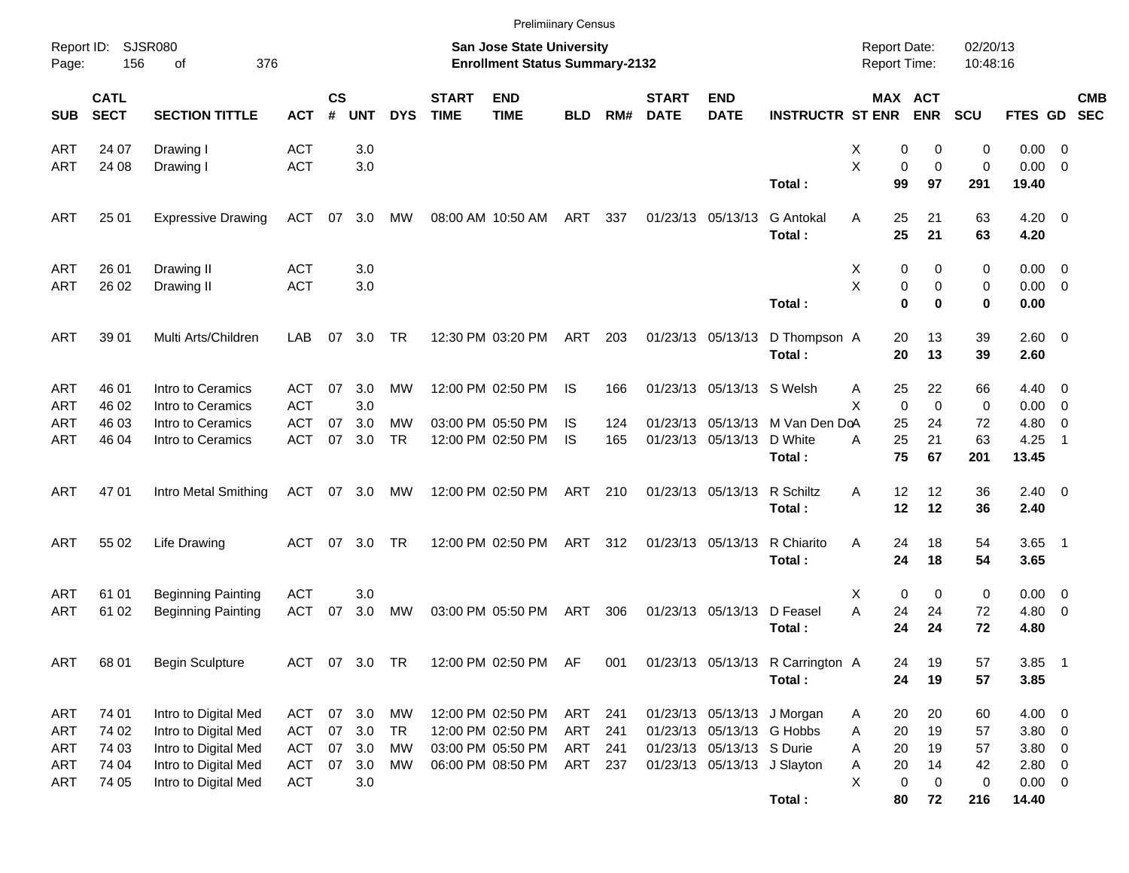|                     |                            |                           |            |                    |               |            |                             |                                                                           | <b>Prelimiinary Census</b> |     |                             |                             |                                  |                                            |                         |                      |                    |                |            |
|---------------------|----------------------------|---------------------------|------------|--------------------|---------------|------------|-----------------------------|---------------------------------------------------------------------------|----------------------------|-----|-----------------------------|-----------------------------|----------------------------------|--------------------------------------------|-------------------------|----------------------|--------------------|----------------|------------|
| Report ID:<br>Page: | 156                        | SJSR080<br>376<br>οf      |            |                    |               |            |                             | <b>San Jose State University</b><br><b>Enrollment Status Summary-2132</b> |                            |     |                             |                             |                                  | <b>Report Date:</b><br><b>Report Time:</b> |                         | 02/20/13<br>10:48:16 |                    |                |            |
| <b>SUB</b>          | <b>CATL</b><br><b>SECT</b> | <b>SECTION TITTLE</b>     | <b>ACT</b> | $\mathsf{cs}$<br># | <b>UNT</b>    | <b>DYS</b> | <b>START</b><br><b>TIME</b> | <b>END</b><br><b>TIME</b>                                                 | <b>BLD</b>                 | RM# | <b>START</b><br><b>DATE</b> | <b>END</b><br><b>DATE</b>   | <b>INSTRUCTR ST ENR</b>          |                                            | MAX ACT<br><b>ENR</b>   | <b>SCU</b>           | FTES GD SEC        |                | <b>CMB</b> |
| ART                 | 24 07                      | Drawing I                 | <b>ACT</b> |                    | 3.0           |            |                             |                                                                           |                            |     |                             |                             |                                  | х                                          | 0<br>0                  | $\mathbf 0$          | $0.00 \t 0$        |                |            |
| ART                 | 24 08                      | Drawing I                 | <b>ACT</b> |                    | 3.0           |            |                             |                                                                           |                            |     |                             |                             |                                  | X                                          | 0<br>$\mathbf 0$        | $\mathbf 0$          | $0.00 \t 0$        |                |            |
|                     |                            |                           |            |                    |               |            |                             |                                                                           |                            |     |                             |                             | Total:                           | 99                                         | 97                      | 291                  | 19.40              |                |            |
| ART                 | 25 01                      | <b>Expressive Drawing</b> | ACT        |                    | 07 3.0        | MW         |                             | 08:00 AM 10:50 AM                                                         | ART                        | 337 |                             | 01/23/13 05/13/13           | <b>G</b> Antokal<br>Total:       | 25<br>A<br>25                              | 21<br>21                | 63<br>63             | $4.20 \ 0$<br>4.20 |                |            |
| ART                 | 26 01                      | Drawing II                | <b>ACT</b> |                    | 3.0           |            |                             |                                                                           |                            |     |                             |                             |                                  | Х                                          | 0<br>0                  | 0                    | $0.00 \t 0$        |                |            |
| ART                 | 26 02                      | Drawing II                | <b>ACT</b> |                    | 3.0           |            |                             |                                                                           |                            |     |                             |                             |                                  | X                                          | 0<br>0                  | 0                    | $0.00 \t 0$        |                |            |
|                     |                            |                           |            |                    |               |            |                             |                                                                           |                            |     |                             |                             | Total:                           |                                            | $\bf{0}$<br>$\bf{0}$    | 0                    | 0.00               |                |            |
| ART                 | 39 01                      | Multi Arts/Children       | LAB        | 07                 | 3.0           | <b>TR</b>  |                             | 12:30 PM 03:20 PM                                                         | ART                        | 203 |                             | 01/23/13 05/13/13           | D Thompson A<br>Total:           | 20<br>20                                   | 13<br>13                | 39<br>39             | 2.60 0<br>2.60     |                |            |
| ART                 | 46 01                      | Intro to Ceramics         | ACT        | 07                 | 3.0           | МW         |                             | 12:00 PM 02:50 PM                                                         | IS.                        | 166 |                             | 01/23/13 05/13/13 S Welsh   |                                  | 25<br>Α                                    | 22                      | 66                   | $4.40 \quad 0$     |                |            |
| ART                 | 46 02                      | Intro to Ceramics         | <b>ACT</b> |                    | 3.0           |            |                             |                                                                           |                            |     |                             |                             |                                  | X                                          | $\mathbf 0$<br>$\Omega$ | 0                    | $0.00 \t 0$        |                |            |
| ART                 | 46 03                      | Intro to Ceramics         | <b>ACT</b> | 07                 | 3.0           | MW         |                             | 03:00 PM 05:50 PM                                                         | IS                         | 124 |                             |                             | 01/23/13 05/13/13 M Van Den DoA  | 25                                         | 24                      | 72                   | 4.80               | - 0            |            |
| ART                 | 46 04                      | Intro to Ceramics         | <b>ACT</b> | 07                 | 3.0           | <b>TR</b>  |                             | 12:00 PM 02:50 PM                                                         | IS                         | 165 |                             | 01/23/13 05/13/13 D White   |                                  | 25<br>Α                                    | 21                      | 63                   | 4.25               | $\overline{1}$ |            |
|                     |                            |                           |            |                    |               |            |                             |                                                                           |                            |     |                             |                             | Total:                           | 75                                         | 67                      | 201                  | 13.45              |                |            |
| ART                 | 47 01                      | Intro Metal Smithing      | ACT        |                    | 07 3.0        | MW         |                             | 12:00 PM 02:50 PM                                                         | ART                        | 210 |                             | 01/23/13 05/13/13 R Schiltz |                                  | 12<br>A                                    | 12                      | 36                   | $2.40 \ 0$         |                |            |
|                     |                            |                           |            |                    |               |            |                             |                                                                           |                            |     |                             |                             | Total:                           | 12                                         | 12                      | 36                   | 2.40               |                |            |
| ART                 | 55 02                      | <b>Life Drawing</b>       | ACT        |                    | 07 3.0        | TR         |                             | 12:00 PM 02:50 PM                                                         | ART                        | 312 |                             | 01/23/13 05/13/13           | R Chiarito<br>Total:             | A<br>24<br>24                              | 18<br>18                | 54<br>54             | $3.65$ 1<br>3.65   |                |            |
|                     |                            |                           |            |                    |               |            |                             |                                                                           |                            |     |                             |                             |                                  |                                            |                         |                      |                    |                |            |
| ART                 | 61 01                      | <b>Beginning Painting</b> | <b>ACT</b> |                    | 3.0           |            |                             |                                                                           |                            |     |                             |                             |                                  | Х                                          | 0<br>0                  | 0                    | $0.00 \t 0$        |                |            |
| ART                 | 61 02                      | <b>Beginning Painting</b> | <b>ACT</b> | 07                 | 3.0           | MW         |                             | 03:00 PM 05:50 PM                                                         | ART                        | 306 |                             | 01/23/13 05/13/13 D Feasel  |                                  | A<br>24                                    | 24                      | 72                   | $4.80\ 0$          |                |            |
|                     |                            |                           |            |                    |               |            |                             |                                                                           |                            |     |                             |                             | Total:                           | 24                                         | 24                      | 72                   | 4.80               |                |            |
| <b>ART</b>          | 68 01                      | <b>Begin Sculpture</b>    |            |                    | ACT 07 3.0 TR |            |                             | 12:00 PM 02:50 PM AF                                                      |                            | 001 |                             |                             | 01/23/13 05/13/13 R Carrington A | 24                                         | 19                      | 57                   | $3.85$ 1           |                |            |
|                     |                            |                           |            |                    |               |            |                             |                                                                           |                            |     |                             |                             | Total:                           | 24                                         | 19                      | 57                   | 3.85               |                |            |
| ART                 | 74 01                      | Intro to Digital Med      | ACT        |                    | 07 3.0        | <b>MW</b>  |                             | 12:00 PM 02:50 PM                                                         | ART 241                    |     |                             |                             | 01/23/13 05/13/13 J Morgan       | 20<br>A                                    | 20                      | 60                   | $4.00 \ 0$         |                |            |
| ART                 | 74 02                      | Intro to Digital Med      | <b>ACT</b> |                    | 07 3.0        | TR         |                             | 12:00 PM 02:50 PM                                                         | ART                        | 241 |                             | 01/23/13 05/13/13 G Hobbs   |                                  | 20<br>Α                                    | 19                      | 57                   | $3.80\ 0$          |                |            |
| ART                 | 74 03                      | Intro to Digital Med      | <b>ACT</b> |                    | 07 3.0        | МW         |                             | 03:00 PM 05:50 PM                                                         | ART 241                    |     |                             | 01/23/13 05/13/13 S Durie   |                                  | 20<br>Α                                    | 19                      | 57                   | $3.80\ 0$          |                |            |
| ART                 | 74 04                      | Intro to Digital Med      | <b>ACT</b> | 07                 | 3.0           | МW         |                             | 06:00 PM 08:50 PM                                                         | ART 237                    |     |                             | 01/23/13 05/13/13 J Slayton |                                  | 20<br>Α                                    | 14                      | 42                   | $2.80 \t 0$        |                |            |
| ART                 | 74 05                      | Intro to Digital Med      | <b>ACT</b> |                    | 3.0           |            |                             |                                                                           |                            |     |                             |                             |                                  | X                                          | $\pmb{0}$<br>0          | 0                    | $0.00 \t 0$        |                |            |
|                     |                            |                           |            |                    |               |            |                             |                                                                           |                            |     |                             |                             | Total:                           | 80                                         | 72                      | 216                  | 14.40              |                |            |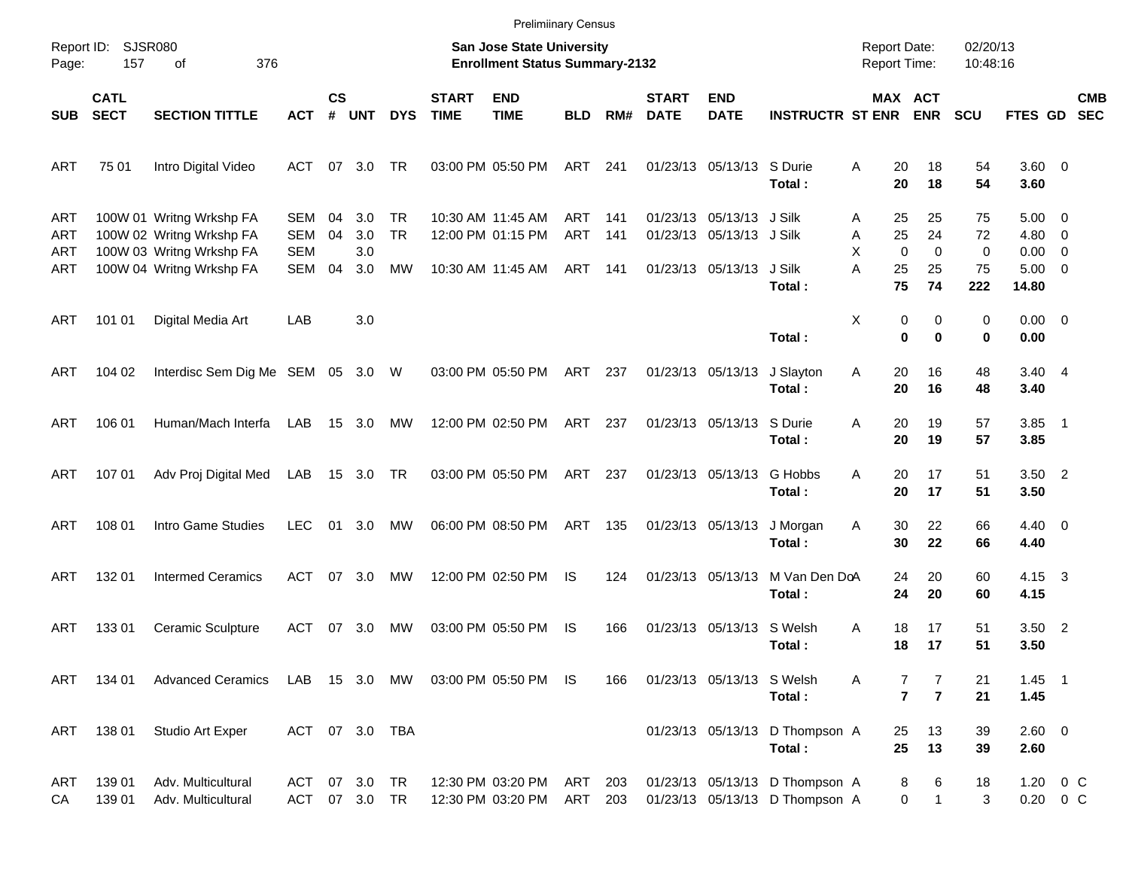|                                 |                            |                                                                                                              |                                 |                |                          |                              |                             | <b>Prelimiinary Census</b>                                         |                          |                   |                             |                                                                                  |                                                                  |                                                   |                     |                      |                                                        |            |
|---------------------------------|----------------------------|--------------------------------------------------------------------------------------------------------------|---------------------------------|----------------|--------------------------|------------------------------|-----------------------------|--------------------------------------------------------------------|--------------------------|-------------------|-----------------------------|----------------------------------------------------------------------------------|------------------------------------------------------------------|---------------------------------------------------|---------------------|----------------------|--------------------------------------------------------|------------|
| Report ID:<br>Page:             | SJSR080<br>157             | 376<br>οf                                                                                                    |                                 |                |                          |                              |                             | San Jose State University<br><b>Enrollment Status Summary-2132</b> |                          |                   |                             |                                                                                  |                                                                  | <b>Report Date:</b><br><b>Report Time:</b>        |                     | 02/20/13<br>10:48:16 |                                                        |            |
| <b>SUB</b>                      | <b>CATL</b><br><b>SECT</b> | <b>SECTION TITTLE</b>                                                                                        | <b>ACT</b>                      | <b>CS</b><br># | <b>UNT</b>               | <b>DYS</b>                   | <b>START</b><br><b>TIME</b> | <b>END</b><br><b>TIME</b>                                          | <b>BLD</b>               | RM#               | <b>START</b><br><b>DATE</b> | <b>END</b><br><b>DATE</b>                                                        | <b>INSTRUCTR ST ENR</b>                                          | <b>MAX ACT</b>                                    | <b>ENR</b>          | <b>SCU</b>           | FTES GD SEC                                            | <b>CMB</b> |
| ART                             | 75 01                      | Intro Digital Video                                                                                          | ACT                             |                | 07 3.0                   | TR                           |                             | 03:00 PM 05:50 PM                                                  | ART                      | 241               |                             | 01/23/13 05/13/13 S Durie                                                        | Total:                                                           | 20<br>Α<br>20                                     | 18<br>18            | 54<br>54             | 3.60 0<br>3.60                                         |            |
| <b>ART</b><br>ART<br>ART<br>ART |                            | 100W 01 Writng Wrkshp FA<br>100W 02 Writng Wrkshp FA<br>100W 03 Writng Wrkshp FA<br>100W 04 Writng Wrkshp FA | SEM<br>SEM<br><b>SEM</b><br>SEM | 04<br>04<br>04 | 3.0<br>3.0<br>3.0<br>3.0 | <b>TR</b><br><b>TR</b><br>МW |                             | 10:30 AM 11:45 AM<br>12:00 PM 01:15 PM<br>10:30 AM 11:45 AM        | ART<br><b>ART</b><br>ART | 141<br>141<br>141 |                             | 01/23/13 05/13/13 J Silk<br>01/23/13 05/13/13 J Silk<br>01/23/13 05/13/13 J Silk |                                                                  | 25<br>A<br>25<br>Α<br>X<br>$\mathbf 0$<br>A<br>25 | 25<br>24<br>0<br>25 | 75<br>72<br>0<br>75  | $5.00 \t 0$<br>$4.80\ 0$<br>$0.00 \t 0$<br>$5.00 \t 0$ |            |
| ART                             | 101 01                     | Digital Media Art                                                                                            | LAB                             |                | 3.0                      |                              |                             |                                                                    |                          |                   |                             |                                                                                  | Total:                                                           | 75<br>X<br>0                                      | 74<br>0             | 222<br>0             | 14.80<br>$0.00 \t 0$                                   |            |
|                                 |                            |                                                                                                              |                                 |                |                          |                              |                             |                                                                    |                          |                   |                             |                                                                                  | Total:                                                           | $\bf{0}$                                          | 0                   | 0                    | 0.00                                                   |            |
| ART                             | 104 02                     | Interdisc Sem Dig Me SEM 05 3.0 W                                                                            |                                 |                |                          |                              |                             | 03:00 PM 05:50 PM                                                  | ART                      | 237               |                             | 01/23/13 05/13/13                                                                | J Slayton<br>Total:                                              | Α<br>20<br>20                                     | 16<br>16            | 48<br>48             | $3.40 \quad 4$<br>3.40                                 |            |
| ART                             | 106 01                     | Human/Mach Interfa                                                                                           | LAB                             |                | 15 3.0                   | MW                           |                             | 12:00 PM 02:50 PM                                                  | ART                      | 237               |                             | 01/23/13 05/13/13                                                                | S Durie<br>Total:                                                | 20<br>Α<br>20                                     | 19<br>19            | 57<br>57             | $3.85$ 1<br>3.85                                       |            |
| ART                             | 107 01                     | Adv Proj Digital Med                                                                                         | LAB                             |                | 15 3.0 TR                |                              |                             | 03:00 PM 05:50 PM                                                  | ART                      | 237               |                             | 01/23/13 05/13/13                                                                | G Hobbs<br>Total:                                                | 20<br>A<br>20                                     | 17<br>17            | 51<br>51             | $3.50$ 2<br>3.50                                       |            |
| ART                             | 108 01                     | Intro Game Studies                                                                                           | LEC                             |                | 01 3.0                   | MW                           |                             | 06:00 PM 08:50 PM                                                  | ART                      | 135               |                             | 01/23/13 05/13/13                                                                | J Morgan<br>Total:                                               | 30<br>A<br>30                                     | 22<br>22            | 66<br>66             | $4.40 \quad 0$<br>4.40                                 |            |
| <b>ART</b>                      | 132 01                     | <b>Intermed Ceramics</b>                                                                                     | ACT                             |                | 07 3.0                   | MW                           |                             | 12:00 PM 02:50 PM                                                  | IS                       | 124               |                             | 01/23/13 05/13/13                                                                | M Van Den DoA<br>Total:                                          | 24<br>24                                          | 20<br>20            | 60<br>60             | $4.15 \quad 3$<br>4.15                                 |            |
| ART                             | 13301                      | Ceramic Sculpture                                                                                            | ACT                             | 07             | 3.0                      | МW                           |                             | 03:00 PM 05:50 PM                                                  | IS                       | 166               |                             | 01/23/13 05/13/13                                                                | S Welsh<br>Total:                                                | Α<br>18<br>18                                     | 17<br>17            | 51<br>51             | $3.50$ 2<br>3.50                                       |            |
| ART                             | 134 01                     | Advanced Ceramics LAB 15 3.0 MW 03:00 PM 05:50 PM IS                                                         |                                 |                |                          |                              |                             |                                                                    |                          | 166               |                             | 01/23/13 05/13/13 S Welsh                                                        | Total:                                                           | A<br>7<br>$\overline{7}$                          | 7<br>$\overline{7}$ | 21<br>21             | $1.45$ 1<br>1.45                                       |            |
| ART                             | 138 01                     | Studio Art Exper                                                                                             | ACT 07 3.0 TBA                  |                |                          |                              |                             |                                                                    |                          |                   |                             |                                                                                  | 01/23/13 05/13/13 D Thompson A<br>Total:                         | 25<br>25                                          | 13<br>13            | 39<br>39             | 2.60 0<br>2.60                                         |            |
| ART<br>CA                       | 139 01<br>139 01           | Adv. Multicultural<br>Adv. Multicultural                                                                     | ACT 07 3.0 TR<br>ACT 07 3.0 TR  |                |                          |                              |                             | 12:30 PM 03:20 PM<br>12:30 PM 03:20 PM                             | ART<br>ART               | 203<br>203        |                             |                                                                                  | 01/23/13 05/13/13 D Thompson A<br>01/23/13 05/13/13 D Thompson A | 8<br>0                                            | 6<br>$\mathbf{1}$   | 18<br>3              | $1.20 \t 0 C$<br>$0.20 \t 0 C$                         |            |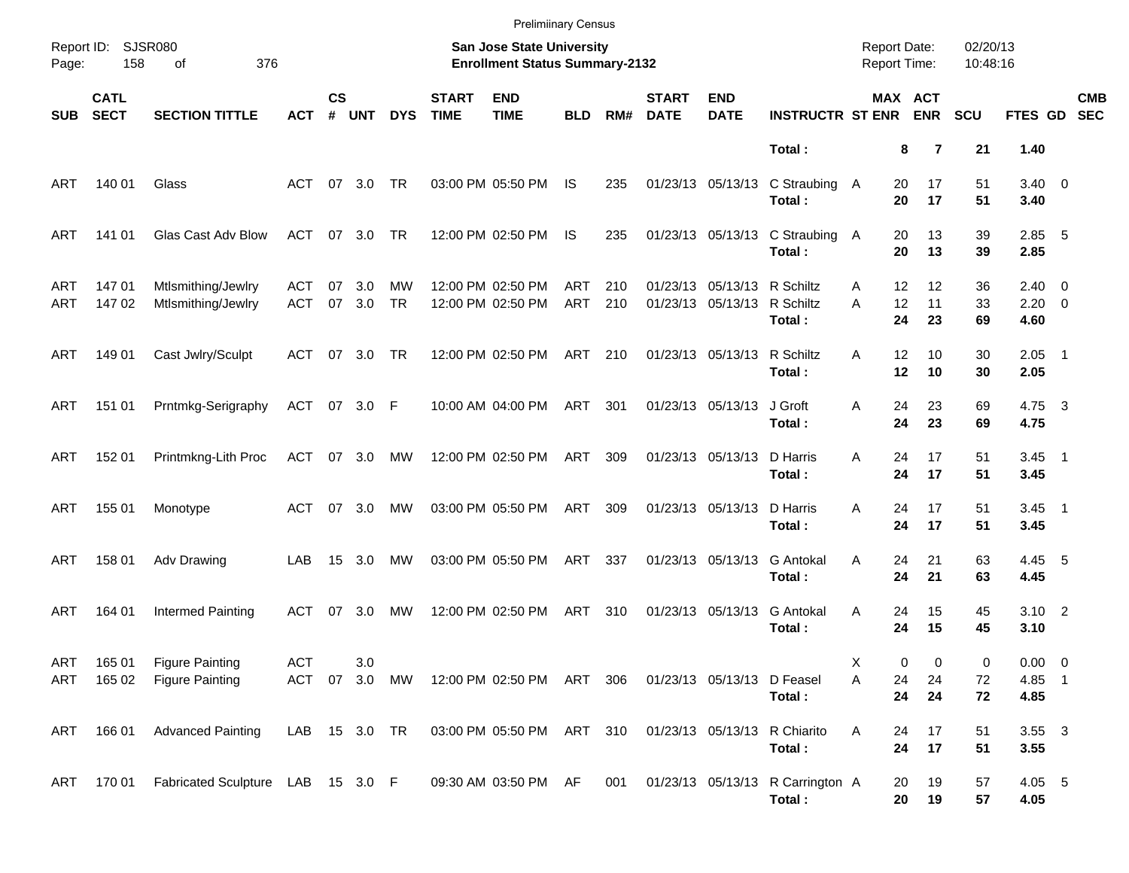|                   |                            |                                                  |                   |                    |               |                 |                             | <b>Prelimiinary Census</b>                                         |            |            |                             |                                        |                                            |                                            |                       |                      |                                   |                          |
|-------------------|----------------------------|--------------------------------------------------|-------------------|--------------------|---------------|-----------------|-----------------------------|--------------------------------------------------------------------|------------|------------|-----------------------------|----------------------------------------|--------------------------------------------|--------------------------------------------|-----------------------|----------------------|-----------------------------------|--------------------------|
| Page:             | Report ID: SJSR080<br>158  | 376<br>of                                        |                   |                    |               |                 |                             | San Jose State University<br><b>Enrollment Status Summary-2132</b> |            |            |                             |                                        |                                            | <b>Report Date:</b><br><b>Report Time:</b> |                       | 02/20/13<br>10:48:16 |                                   |                          |
| <b>SUB</b>        | <b>CATL</b><br><b>SECT</b> | <b>SECTION TITTLE</b>                            | <b>ACT</b>        | $\mathsf{cs}$<br># | <b>UNT</b>    | <b>DYS</b>      | <b>START</b><br><b>TIME</b> | <b>END</b><br><b>TIME</b>                                          | <b>BLD</b> | RM#        | <b>START</b><br><b>DATE</b> | <b>END</b><br><b>DATE</b>              | <b>INSTRUCTR ST ENR</b>                    |                                            | MAX ACT<br><b>ENR</b> | <b>SCU</b>           | <b>FTES GD</b>                    | <b>CMB</b><br><b>SEC</b> |
|                   |                            |                                                  |                   |                    |               |                 |                             |                                                                    |            |            |                             |                                        | Total:                                     |                                            | 8<br>7                | 21                   | 1.40                              |                          |
| ART               | 140 01                     | Glass                                            | ACT               |                    | 07 3.0        | TR              |                             | 03:00 PM 05:50 PM                                                  | IS.        | 235        |                             | 01/23/13 05/13/13                      | C Straubing A<br>Total:                    | 20<br>20                                   | 17<br>17              | 51<br>51             | $3.40 \ 0$<br>3.40                |                          |
| ART               | 141 01                     | Glas Cast Adv Blow                               | ACT               |                    | 07 3.0        | <b>TR</b>       |                             | 12:00 PM 02:50 PM                                                  | IS.        | 235        |                             | 01/23/13 05/13/13                      | C Straubing A<br>Total:                    | 20<br>20                                   | 13<br>13              | 39<br>39             | $2.85$ 5<br>2.85                  |                          |
| ART<br>ART        | 14701<br>147 02            | Mtlsmithing/Jewlry<br>Mtlsmithing/Jewlry         | ACT<br><b>ACT</b> | 07                 | 3.0<br>07 3.0 | MW<br><b>TR</b> |                             | 12:00 PM 02:50 PM<br>12:00 PM 02:50 PM                             | ART<br>ART | 210<br>210 |                             | 01/23/13 05/13/13<br>01/23/13 05/13/13 | R Schiltz<br>R Schiltz<br>Total:           | 12<br>A<br>12<br>A<br>24                   | 12<br>11<br>23        | 36<br>33<br>69       | $2.40 \ 0$<br>$2.20 \t 0$<br>4.60 |                          |
| ART               | 149 01                     | Cast Jwlry/Sculpt                                | ACT               |                    | 07 3.0        | TR              |                             | 12:00 PM 02:50 PM                                                  | ART 210    |            |                             | 01/23/13 05/13/13                      | R Schiltz<br>Total:                        | 12<br>A<br>12                              | 10<br>10              | 30<br>30             | $2.05$ 1<br>2.05                  |                          |
| ART               | 151 01                     | Prntmkg-Serigraphy                               | ACT 07 3.0 F      |                    |               |                 |                             | 10:00 AM 04:00 PM                                                  | ART        | 301        |                             | 01/23/13 05/13/13                      | J Groft<br>Total:                          | 24<br>A<br>24                              | 23<br>23              | 69<br>69             | 4.75 3<br>4.75                    |                          |
| ART               | 152 01                     | Printmkng-Lith Proc                              | ACT 07 3.0        |                    |               | МW              |                             | 12:00 PM 02:50 PM                                                  | ART        | 309        |                             | 01/23/13 05/13/13                      | D Harris<br>Total:                         | 24<br>A<br>24                              | 17<br>17              | 51<br>51             | $3.45$ 1<br>3.45                  |                          |
| ART               | 155 01                     | Monotype                                         | ACT               |                    | 07 3.0        | МW              |                             | 03:00 PM 05:50 PM                                                  | ART        | 309        |                             | 01/23/13 05/13/13                      | D Harris<br>Total:                         | A<br>24<br>24                              | 17<br>17              | 51<br>51             | $3.45$ 1<br>3.45                  |                          |
| ART               | 158 01                     | Adv Drawing                                      | LAB               |                    | 15 3.0        | МW              |                             | 03:00 PM 05:50 PM                                                  | ART        | 337        |                             | 01/23/13 05/13/13                      | G Antokal<br>Total:                        | 24<br>A<br>24                              | 21<br>21              | 63<br>63             | 4.45 5<br>4.45                    |                          |
| ART               | 164 01                     | Intermed Painting                                | ACT               |                    | 07 3.0        | МW              |                             | 12:00 PM 02:50 PM                                                  | ART        | 310        |                             | 01/23/13 05/13/13                      | G Antokal<br>Total:                        | A<br>24<br>24                              | 15<br>15              | 45<br>45             | $3.10$ 2<br>3.10                  |                          |
| <b>ART</b><br>ART | 165 01<br>165 02           | <b>Figure Painting</b><br><b>Figure Painting</b> | <b>ACT</b>        |                    | 3.0           | ACT 07 3.0 MW   |                             | 12:00 PM_02:50 PM  ART  306                                        |            |            |                             | 01/23/13 05/13/13 D Feasel             | Total:                                     | Х<br>Α<br>24<br>24                         | 0<br>0<br>24<br>24    | 0<br>72<br>72        | $0.00 \t 0$<br>4.85 1<br>4.85     |                          |
| ART               | 166 01                     | <b>Advanced Painting</b>                         | LAB 15 3.0 TR     |                    |               |                 |                             | 03:00 PM 05:50 PM ART 310 01/23/13 05/13/13 R Chiarito             |            |            |                             |                                        | Total:                                     | Α<br>24<br>24                              | 17<br>17              | 51<br>51             | $3.55 \quad 3$<br>3.55            |                          |
|                   |                            | ART 170 01 Fabricated Sculpture LAB 15 3.0 F     |                   |                    |               |                 |                             | 09:30 AM 03:50 PM AF                                               |            | 001        |                             |                                        | 01/23/13 05/13/13 R Carrington A<br>Total: | 20                                         | 19<br>20<br>19        | 57<br>57             | 4.05 5<br>4.05                    |                          |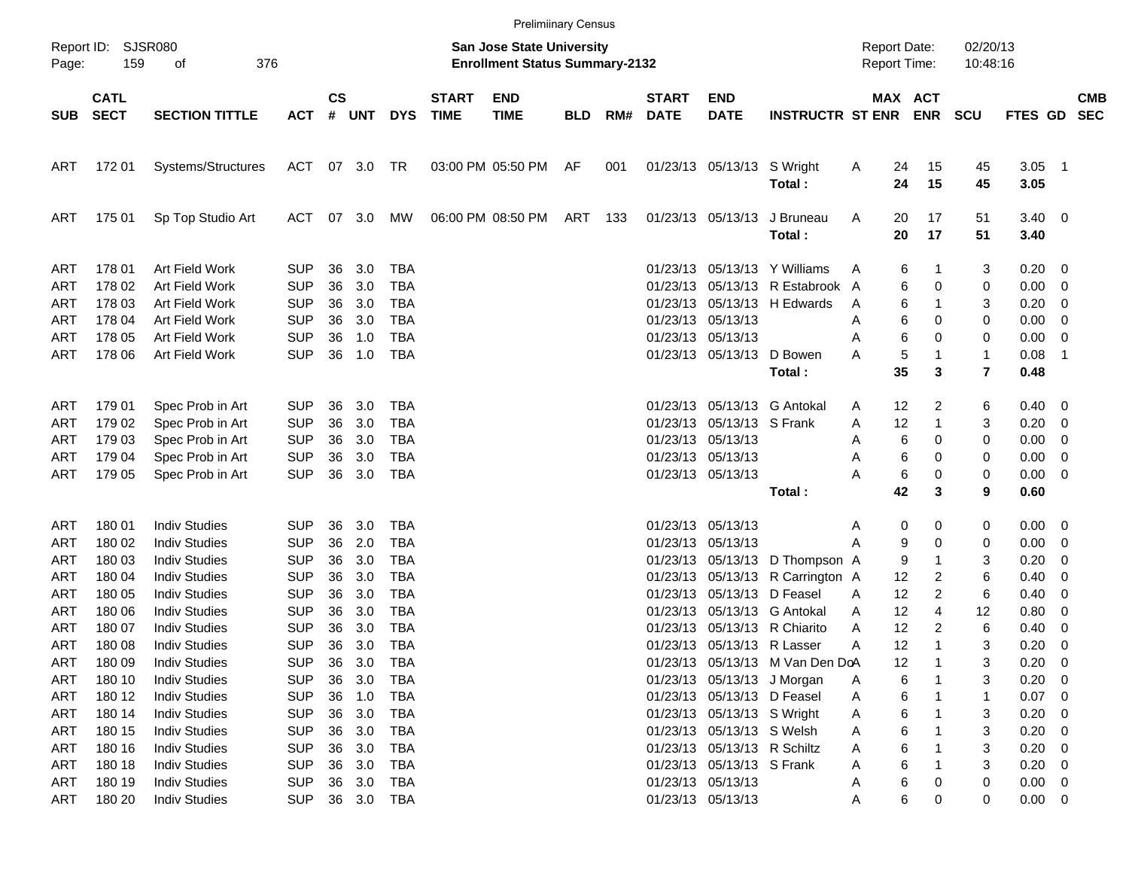|                                                      |                                      |                                                                                              |                                                      |                      |                          |                                               |                             | <b>Prelimiinary Census</b>                                                |            |     |                                              |                                                                                                                      |                                                                      |                                            |                      |                            |                             |                                    |                                    |                          |
|------------------------------------------------------|--------------------------------------|----------------------------------------------------------------------------------------------|------------------------------------------------------|----------------------|--------------------------|-----------------------------------------------|-----------------------------|---------------------------------------------------------------------------|------------|-----|----------------------------------------------|----------------------------------------------------------------------------------------------------------------------|----------------------------------------------------------------------|--------------------------------------------|----------------------|----------------------------|-----------------------------|------------------------------------|------------------------------------|--------------------------|
| Report ID:<br>Page:                                  | 159                                  | SJSR080<br>376<br>οf                                                                         |                                                      |                      |                          |                                               |                             | <b>San Jose State University</b><br><b>Enrollment Status Summary-2132</b> |            |     |                                              |                                                                                                                      |                                                                      | <b>Report Date:</b><br><b>Report Time:</b> |                      |                            | 02/20/13<br>10:48:16        |                                    |                                    |                          |
| <b>SUB</b>                                           | <b>CATL</b><br><b>SECT</b>           | <b>SECTION TITTLE</b>                                                                        | <b>ACT</b>                                           | $\mathsf{cs}$<br>#   | <b>UNT</b>               | <b>DYS</b>                                    | <b>START</b><br><b>TIME</b> | <b>END</b><br><b>TIME</b>                                                 | <b>BLD</b> | RM# | <b>START</b><br><b>DATE</b>                  | <b>END</b><br><b>DATE</b>                                                                                            | <b>INSTRUCTR ST ENR</b>                                              |                                            |                      | MAX ACT<br><b>ENR</b>      | <b>SCU</b>                  | <b>FTES GD</b>                     |                                    | <b>CMB</b><br><b>SEC</b> |
| ART                                                  | 172 01                               | Systems/Structures                                                                           | ACT 07 3.0 TR                                        |                      |                          |                                               |                             | 03:00 PM 05:50 PM                                                         | AF         | 001 |                                              | 01/23/13 05/13/13 S Wright                                                                                           | Total:                                                               | A                                          | 24<br>24             | 15<br>15                   | 45<br>45                    | 3.05<br>3.05                       | $\overline{\phantom{1}}$           |                          |
| ART                                                  | 175 01                               | Sp Top Studio Art                                                                            | ACT                                                  |                      | 07 3.0                   | МW                                            |                             | 06:00 PM 08:50 PM                                                         | ART 133    |     |                                              | 01/23/13 05/13/13                                                                                                    | J Bruneau<br>Total:                                                  | A                                          | 20<br>20             | 17<br>17                   | 51<br>51                    | $3.40 \quad 0$<br>3.40             |                                    |                          |
| <b>ART</b><br><b>ART</b><br><b>ART</b>               | 178 01<br>178 02<br>178 03           | Art Field Work<br>Art Field Work<br>Art Field Work                                           | <b>SUP</b><br><b>SUP</b><br><b>SUP</b>               | 36<br>36<br>36       | 3.0<br>3.0<br>3.0        | <b>TBA</b><br><b>TBA</b><br>TBA               |                             |                                                                           |            |     | 01/23/13<br>01/23/13<br>01/23/13             |                                                                                                                      | 05/13/13 Y Williams<br>05/13/13 R Estabrook A<br>05/13/13 H Edwards  | A<br>A                                     | 6<br>6<br>6          | -1<br>0<br>-1              | 3<br>0<br>3                 | 0.20<br>0.00<br>0.20               | - 0<br>0<br>0                      |                          |
| <b>ART</b><br><b>ART</b><br><b>ART</b>               | 178 04<br>178 05<br>178 06           | Art Field Work<br>Art Field Work<br><b>Art Field Work</b>                                    | <b>SUP</b><br><b>SUP</b><br><b>SUP</b>               | 36<br>36<br>36       | 3.0<br>1.0<br>1.0        | TBA<br><b>TBA</b><br><b>TBA</b>               |                             |                                                                           |            |     |                                              | 01/23/13 05/13/13<br>01/23/13 05/13/13<br>01/23/13 05/13/13 D Bowen                                                  | Total:                                                               | Α<br>A<br>A                                | 6<br>6<br>5<br>35    | 0<br>0<br>$\mathbf 1$<br>3 | 0<br>0<br>$\mathbf{1}$<br>7 | 0.00<br>0.00<br>0.08<br>0.48       | 0<br>0<br>- 1                      |                          |
| <b>ART</b><br><b>ART</b><br><b>ART</b>               | 179 01<br>179 02<br>179 03           | Spec Prob in Art<br>Spec Prob in Art<br>Spec Prob in Art                                     | <b>SUP</b><br><b>SUP</b><br><b>SUP</b>               | 36<br>36<br>36       | 3.0<br>3.0<br>3.0        | TBA<br><b>TBA</b><br>TBA                      |                             |                                                                           |            |     | 01/23/13<br>01/23/13                         | 05/13/13 S Frank<br>01/23/13 05/13/13                                                                                | 05/13/13 G Antokal                                                   | A<br>A<br>A                                | 12<br>12<br>6        | 2<br>-1<br>0               | 6<br>3<br>0                 | 0.40<br>0.20<br>0.00               | - 0<br>0<br>0                      |                          |
| <b>ART</b><br>ART                                    | 179 04<br>179 05                     | Spec Prob in Art<br>Spec Prob in Art                                                         | <b>SUP</b><br><b>SUP</b>                             | 36<br>36             | 3.0<br>3.0               | TBA<br>TBA                                    |                             |                                                                           |            |     |                                              | 01/23/13 05/13/13<br>01/23/13 05/13/13                                                                               | Total:                                                               | A<br>Α                                     | 6<br>6<br>42         | 0<br>0<br>3                | 0<br>0<br>9                 | 0.00<br>0.00<br>0.60               | 0<br>- 0                           |                          |
| <b>ART</b><br><b>ART</b><br><b>ART</b>               | 180 01<br>180 02<br>180 03           | <b>Indiv Studies</b><br><b>Indiv Studies</b><br><b>Indiv Studies</b>                         | <b>SUP</b><br><b>SUP</b><br><b>SUP</b>               | 36<br>36<br>36       | 3.0<br>2.0<br>3.0        | TBA<br><b>TBA</b><br><b>TBA</b>               |                             |                                                                           |            |     | 01/23/13                                     | 01/23/13 05/13/13<br>05/13/13                                                                                        | 01/23/13 05/13/13 D Thompson A                                       | A<br>A                                     | 0<br>9<br>9          | 0<br>0<br>-1               | 0<br>0<br>3                 | 0.00<br>0.00<br>0.20               | $\overline{\phantom{0}}$<br>0<br>0 |                          |
| <b>ART</b><br><b>ART</b><br><b>ART</b><br><b>ART</b> | 180 04<br>180 05<br>180 06<br>180 07 | <b>Indiv Studies</b><br><b>Indiv Studies</b><br><b>Indiv Studies</b><br><b>Indiv Studies</b> | <b>SUP</b><br><b>SUP</b><br><b>SUP</b><br><b>SUP</b> | 36<br>36<br>36<br>36 | 3.0<br>3.0<br>3.0<br>3.0 | <b>TBA</b><br>TBA<br><b>TBA</b><br><b>TBA</b> |                             |                                                                           |            |     | 01/23/13<br>01/23/13<br>01/23/13<br>01/23/13 | 05/13/13 D Feasel                                                                                                    | 05/13/13 R Carrington A<br>05/13/13 G Antokal<br>05/13/13 R Chiarito | A<br>A<br>A                                | 12<br>12<br>12<br>12 | 2<br>2<br>4<br>2           | 6<br>6<br>12<br>6           | 0.40<br>0.40<br>0.80<br>0.40       | 0<br>0<br>0<br>0                   |                          |
| <b>ART</b><br><b>ART</b><br>ART                      | 180 08<br>180 09<br>180 10           | <b>Indiv Studies</b><br><b>Indiv Studies</b><br><b>Indiv Studies</b>                         | <b>SUP</b><br><b>SUP</b><br><b>SUP</b>               | 36<br>36<br>36       | 3.0<br>3.0<br>3.0        | TBA<br>TBA<br>TBA                             |                             |                                                                           |            |     |                                              | 01/23/13 05/13/13 R Lasser<br>01/23/13 05/13/13 J Morgan                                                             | 01/23/13 05/13/13 M Van Den DoA                                      | A<br>A                                     | 12<br>12<br>6        | $\overline{1}$             | 3<br>3<br>3                 | 0.20<br>0.20<br>0.20               | 0<br>- 0<br>- 0                    |                          |
| ART<br>ART<br>ART<br>ART                             | 180 12<br>180 14<br>180 15<br>180 16 | <b>Indiv Studies</b><br><b>Indiv Studies</b><br><b>Indiv Studies</b><br><b>Indiv Studies</b> | <b>SUP</b><br><b>SUP</b><br><b>SUP</b><br><b>SUP</b> | 36<br>36<br>36<br>36 | 1.0<br>3.0<br>3.0<br>3.0 | TBA<br>TBA<br>TBA<br>TBA                      |                             |                                                                           |            |     |                                              | 01/23/13 05/13/13 D Feasel<br>01/23/13 05/13/13 S Wright<br>01/23/13 05/13/13 S Welsh<br>01/23/13 05/13/13 R Schiltz |                                                                      | A<br>A<br>A<br>A                           | 6<br>6<br>6<br>6     |                            | 1<br>3<br>3<br>3            | $0.07$ 0<br>0.20<br>0.20<br>0.20   | - 0<br>- 0<br>- 0                  |                          |
| ART<br>ART<br>ART                                    | 180 18<br>180 19<br>180 20           | <b>Indiv Studies</b><br><b>Indiv Studies</b><br><b>Indiv Studies</b>                         | <b>SUP</b><br><b>SUP</b><br><b>SUP</b>               | 36<br>36             | 3.0<br>3.0               | TBA<br>TBA<br>36 3.0 TBA                      |                             |                                                                           |            |     |                                              | 01/23/13 05/13/13 S Frank<br>01/23/13 05/13/13<br>01/23/13 05/13/13                                                  |                                                                      | Α<br>Α<br>A                                | 6<br>6<br>6          | 0<br>0                     | 3<br>0<br>0                 | 0.20<br>$0.00 \t 0$<br>$0.00 \t 0$ | - 0                                |                          |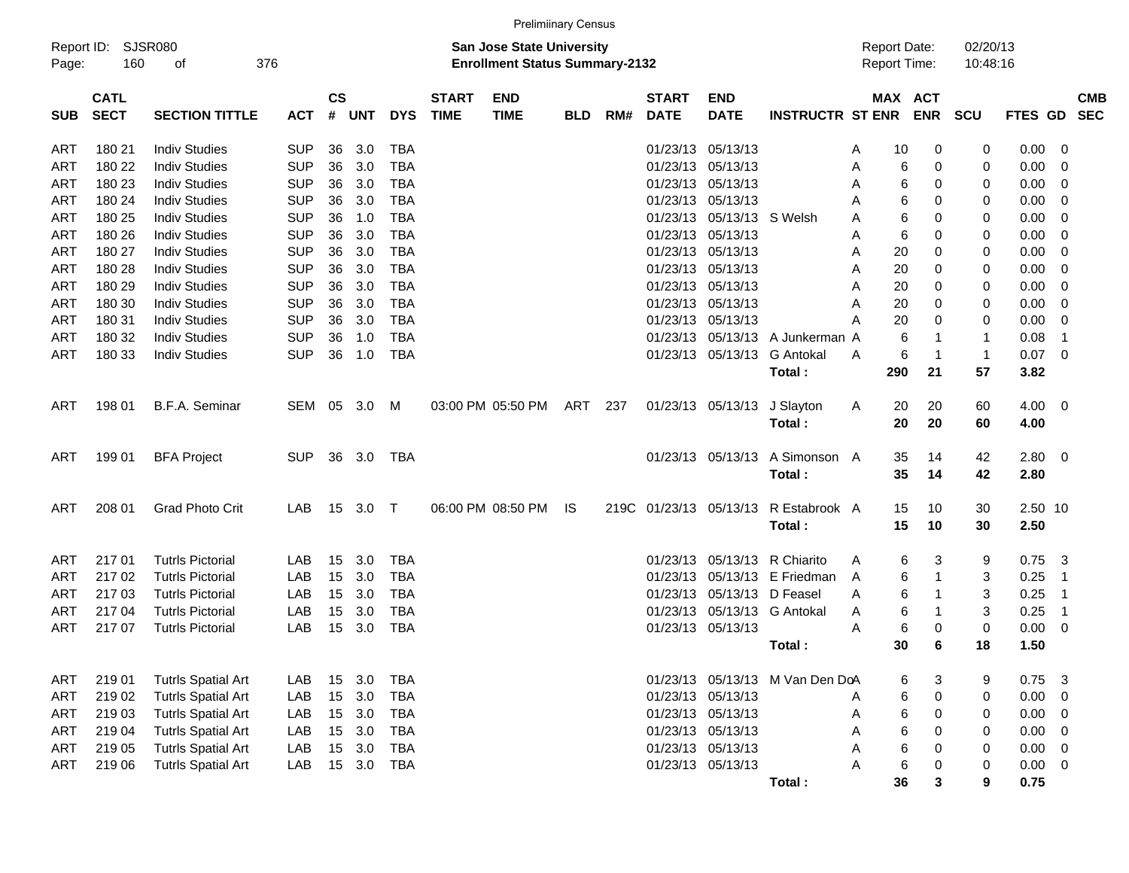|            |                            |                           |            |                    |            |            |                             | <b>Prelimiinary Census</b>                                                |            |     |                             |                           |                                 |   |                                            |              |                      |                |                          |                          |
|------------|----------------------------|---------------------------|------------|--------------------|------------|------------|-----------------------------|---------------------------------------------------------------------------|------------|-----|-----------------------------|---------------------------|---------------------------------|---|--------------------------------------------|--------------|----------------------|----------------|--------------------------|--------------------------|
| Page:      | Report ID: SJSR080<br>160  | οf                        | 376        |                    |            |            |                             | <b>San Jose State University</b><br><b>Enrollment Status Summary-2132</b> |            |     |                             |                           |                                 |   | <b>Report Date:</b><br><b>Report Time:</b> |              | 02/20/13<br>10:48:16 |                |                          |                          |
| <b>SUB</b> | <b>CATL</b><br><b>SECT</b> | <b>SECTION TITTLE</b>     | <b>ACT</b> | $\mathsf{cs}$<br># | <b>UNT</b> | <b>DYS</b> | <b>START</b><br><b>TIME</b> | <b>END</b><br><b>TIME</b>                                                 | <b>BLD</b> | RM# | <b>START</b><br><b>DATE</b> | <b>END</b><br><b>DATE</b> | <b>INSTRUCTR ST ENR</b>         |   | MAX ACT                                    | <b>ENR</b>   | <b>SCU</b>           | <b>FTES GD</b> |                          | <b>CMB</b><br><b>SEC</b> |
| ART        | 180 21                     | <b>Indiv Studies</b>      | <b>SUP</b> | 36                 | 3.0        | <b>TBA</b> |                             |                                                                           |            |     | 01/23/13                    | 05/13/13                  |                                 | A | 10                                         | 0            | 0                    | 0.00           | - 0                      |                          |
| ART        | 180 22                     | <b>Indiv Studies</b>      | <b>SUP</b> | 36                 | 3.0        | <b>TBA</b> |                             |                                                                           |            |     | 01/23/13                    | 05/13/13                  |                                 | A | 6                                          | 0            | 0                    | 0.00           | 0                        |                          |
| <b>ART</b> | 180 23                     | <b>Indiv Studies</b>      | <b>SUP</b> | 36                 | 3.0        | <b>TBA</b> |                             |                                                                           |            |     | 01/23/13                    | 05/13/13                  |                                 | A | 6                                          | 0            | 0                    | 0.00           | 0                        |                          |
| ART        | 180 24                     | <b>Indiv Studies</b>      | <b>SUP</b> | 36                 | 3.0        | <b>TBA</b> |                             |                                                                           |            |     | 01/23/13                    | 05/13/13                  |                                 | A | 6                                          | 0            | 0                    | 0.00           | 0                        |                          |
| <b>ART</b> | 180 25                     | <b>Indiv Studies</b>      | <b>SUP</b> | 36                 | 1.0        | <b>TBA</b> |                             |                                                                           |            |     | 01/23/13                    | 05/13/13                  | S Welsh                         | A | 6                                          | 0            | 0                    | 0.00           | 0                        |                          |
| <b>ART</b> | 180 26                     | <b>Indiv Studies</b>      | <b>SUP</b> | 36                 | 3.0        | <b>TBA</b> |                             |                                                                           |            |     | 01/23/13                    | 05/13/13                  |                                 | A | 6                                          | 0            | 0                    | 0.00           | 0                        |                          |
| <b>ART</b> | 180 27                     | <b>Indiv Studies</b>      | <b>SUP</b> | 36                 | 3.0        | <b>TBA</b> |                             |                                                                           |            |     | 01/23/13                    | 05/13/13                  |                                 | A | 20                                         | 0            | 0                    | 0.00           | 0                        |                          |
| <b>ART</b> | 180 28                     | <b>Indiv Studies</b>      | <b>SUP</b> | 36                 | 3.0        | <b>TBA</b> |                             |                                                                           |            |     | 01/23/13                    | 05/13/13                  |                                 | A | 20                                         | 0            | 0                    | 0.00           | 0                        |                          |
| <b>ART</b> | 180 29                     | <b>Indiv Studies</b>      | <b>SUP</b> | 36                 | 3.0        | <b>TBA</b> |                             |                                                                           |            |     | 01/23/13                    | 05/13/13                  |                                 | A | 20                                         | 0            | 0                    | 0.00           | 0                        |                          |
| <b>ART</b> | 180 30                     | <b>Indiv Studies</b>      | <b>SUP</b> | 36                 | 3.0        | TBA        |                             |                                                                           |            |     | 01/23/13                    | 05/13/13                  |                                 | A | 20                                         | 0            | 0                    | 0.00           | 0                        |                          |
| ART        | 180 31                     | <b>Indiv Studies</b>      | <b>SUP</b> | 36                 | 3.0        | <b>TBA</b> |                             |                                                                           |            |     | 01/23/13                    | 05/13/13                  |                                 | A | 20                                         | 0            | 0                    | 0.00           | 0                        |                          |
| ART        | 180 32                     | <b>Indiv Studies</b>      | <b>SUP</b> | 36                 | 1.0        | <b>TBA</b> |                             |                                                                           |            |     | 01/23/13                    | 05/13/13                  | A Junkerman A                   |   | 6                                          | -1           | $\mathbf{1}$         | 0.08           | $\overline{1}$           |                          |
| <b>ART</b> | 180 33                     | <b>Indiv Studies</b>      | <b>SUP</b> | 36                 | 1.0        | <b>TBA</b> |                             |                                                                           |            |     | 01/23/13                    | 05/13/13                  | <b>G</b> Antokal                | A | 6                                          | $\mathbf 1$  | $\mathbf{1}$         | 0.07           | - 0                      |                          |
|            |                            |                           |            |                    |            |            |                             |                                                                           |            |     |                             |                           | Total:                          |   | 290                                        | 21           | 57                   | 3.82           |                          |                          |
| ART        | 198 01                     | <b>B.F.A. Seminar</b>     | SEM 05     |                    | 3.0        | M          |                             | 03:00 PM 05:50 PM                                                         | ART        | 237 |                             | 01/23/13 05/13/13         | J Slayton                       | A | 20                                         | 20           | 60                   | 4.00           | $\overline{\phantom{0}}$ |                          |
|            |                            |                           |            |                    |            |            |                             |                                                                           |            |     |                             |                           | Total:                          |   | 20                                         | 20           | 60                   | 4.00           |                          |                          |
|            |                            |                           | <b>SUP</b> | 36                 | 3.0        | TBA        |                             |                                                                           |            |     |                             | 01/23/13 05/13/13         | A Simonson A                    |   | 35                                         | 14           |                      | 2.80           | $\overline{\phantom{0}}$ |                          |
| ART        | 199 01                     | <b>BFA Project</b>        |            |                    |            |            |                             |                                                                           |            |     |                             |                           | Total:                          |   | 35                                         | 14           | 42<br>42             | 2.80           |                          |                          |
|            |                            |                           |            |                    |            |            |                             |                                                                           |            |     |                             |                           |                                 |   |                                            |              |                      |                |                          |                          |
| ART        | 208 01                     | <b>Grad Photo Crit</b>    | LAB        | 15                 | 3.0        | $\top$     |                             | 06:00 PM 08:50 PM                                                         | IS.        |     | 219C 01/23/13 05/13/13      |                           | R Estabrook A                   |   | 15                                         | 10           | 30                   | 2.50 10        |                          |                          |
|            |                            |                           |            |                    |            |            |                             |                                                                           |            |     |                             |                           | Total:                          |   | 15                                         | 10           | 30                   | 2.50           |                          |                          |
| ART        | 217 01                     | <b>Tutrls Pictorial</b>   | LAB        | 15                 | 3.0        | <b>TBA</b> |                             |                                                                           |            |     | 01/23/13                    | 05/13/13                  | R Chiarito                      | A | 6                                          | 3            | 9                    | 0.75           | -3                       |                          |
| ART        | 21702                      | <b>Tutrls Pictorial</b>   | LAB        | 15                 | 3.0        | <b>TBA</b> |                             |                                                                           |            |     | 01/23/13                    | 05/13/13                  | E Friedman                      | A | 6                                          | $\mathbf{1}$ | 3                    | 0.25           | $\overline{1}$           |                          |
| ART        | 21703                      | <b>Tutrls Pictorial</b>   | LAB        | 15                 | 3.0        | <b>TBA</b> |                             |                                                                           |            |     | 01/23/13                    | 05/13/13                  | D Feasel                        | A | 6                                          | 1            | 3                    | 0.25           | $\overline{1}$           |                          |
| ART        | 217 04                     | <b>Tutrls Pictorial</b>   | LAB        | 15                 | 3.0        | <b>TBA</b> |                             |                                                                           |            |     | 01/23/13                    | 05/13/13                  | G Antokal                       | A | 6                                          | 1            | 3                    | 0.25           | $\overline{1}$           |                          |
| ART        | 217 07                     | <b>Tutrls Pictorial</b>   | LAB        | 15                 | 3.0        | <b>TBA</b> |                             |                                                                           |            |     | 01/23/13 05/13/13           |                           |                                 | A | 6                                          | 0            | 0                    | 0.00           | - 0                      |                          |
|            |                            |                           |            |                    |            |            |                             |                                                                           |            |     |                             |                           | Total :                         |   | 30                                         | 6            | 18                   | 1.50           |                          |                          |
| ART        | 219 01                     | <b>Tutrls Spatial Art</b> | LAB        | 15                 | 3.0        | <b>TBA</b> |                             |                                                                           |            |     |                             |                           | 01/23/13 05/13/13 M Van Den DoA |   | 6                                          | 3            | 9                    | 0.75           | -3                       |                          |
| <b>ART</b> | 219 02                     | <b>Tutrls Spatial Art</b> | LAB        | 15                 | 3.0        | <b>TBA</b> |                             |                                                                           |            |     | 01/23/13                    | 05/13/13                  |                                 | A | 6                                          | $\pmb{0}$    | $\mathbf 0$          | 0.00           | 0                        |                          |
| ART        | 219 03                     | <b>Tutrls Spatial Art</b> | LAB        | 15                 | 3.0        | <b>TBA</b> |                             |                                                                           |            |     | 01/23/13                    | 05/13/13                  |                                 | A | 6                                          | 0            | 0                    | 0.00           | 0                        |                          |
| ART        | 219 04                     | <b>Tutrls Spatial Art</b> | LAB        | 15                 | 3.0        | <b>TBA</b> |                             |                                                                           |            |     |                             | 01/23/13 05/13/13         |                                 | A | 6                                          | $\mathbf 0$  | 0                    | 0.00           | 0                        |                          |
| <b>ART</b> | 219 05                     | <b>Tutrls Spatial Art</b> | LAB        | 15                 | 3.0        | <b>TBA</b> |                             |                                                                           |            |     |                             | 01/23/13 05/13/13         |                                 | A | 6                                          | $\mathbf 0$  | 0                    | 0.00           | 0                        |                          |
| ART        | 219 06                     | <b>Tutrls Spatial Art</b> | LAB        |                    | 15 3.0     | TBA        |                             |                                                                           |            |     |                             | 01/23/13 05/13/13         |                                 | A | 6                                          | 0            | 0                    | 0.00           | - 0                      |                          |
|            |                            |                           |            |                    |            |            |                             |                                                                           |            |     |                             |                           | Total:                          |   | 36                                         | 3            | 9                    | 0.75           |                          |                          |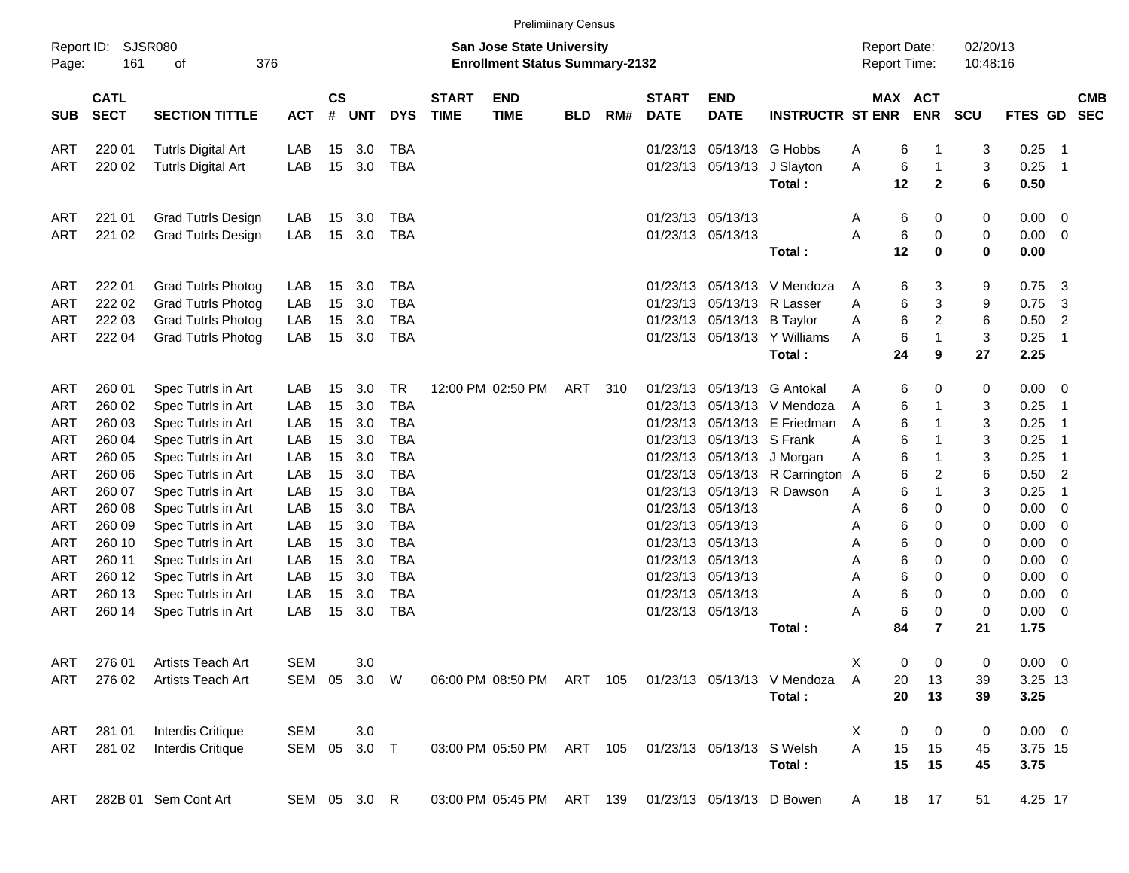|            |                                           |                                          |            |                |              |                          |                             | <b>Prelimiinary Census</b>                                                |            |      |                             |                                        |                              |        |                                     |                             |                      |                |                          |                          |
|------------|-------------------------------------------|------------------------------------------|------------|----------------|--------------|--------------------------|-----------------------------|---------------------------------------------------------------------------|------------|------|-----------------------------|----------------------------------------|------------------------------|--------|-------------------------------------|-----------------------------|----------------------|----------------|--------------------------|--------------------------|
| Page:      | Report ID:<br>SJSR080<br>161<br>376<br>οf |                                          |            |                |              |                          |                             | <b>San Jose State University</b><br><b>Enrollment Status Summary-2132</b> |            |      |                             |                                        |                              |        | <b>Report Date:</b><br>Report Time: |                             | 02/20/13<br>10:48:16 |                |                          |                          |
| <b>SUB</b> | <b>CATL</b><br><b>SECT</b>                | <b>SECTION TITTLE</b>                    | <b>ACT</b> | <b>CS</b><br># | <b>UNT</b>   | <b>DYS</b>               | <b>START</b><br><b>TIME</b> | <b>END</b><br><b>TIME</b>                                                 | <b>BLD</b> | RM#  | <b>START</b><br><b>DATE</b> | <b>END</b><br><b>DATE</b>              | <b>INSTRUCTR ST ENR</b>      |        | MAX ACT                             | <b>ENR</b>                  | SCU                  | <b>FTES GD</b> |                          | <b>CMB</b><br><b>SEC</b> |
| ART        | 220 01                                    | <b>Tutrls Digital Art</b>                | LAB        | 15             | 3.0          | <b>TBA</b>               |                             |                                                                           |            |      | 01/23/13                    |                                        | 05/13/13 G Hobbs             | A      | 6                                   | 1                           | 3                    | 0.25           | - 1                      |                          |
| ART        | 220 02                                    | <b>Tutrls Digital Art</b>                | LAB        | 15             | 3.0          | <b>TBA</b>               |                             |                                                                           |            |      | 01/23/13                    | 05/13/13                               | J Slayton<br>Total:          | A      | 6<br>12                             | $\mathbf 1$<br>$\mathbf{2}$ | 3<br>6               | 0.25<br>0.50   | $\overline{\phantom{0}}$ |                          |
|            |                                           |                                          |            |                |              |                          |                             |                                                                           |            |      |                             |                                        |                              |        |                                     |                             |                      |                |                          |                          |
| ART        | 221 01                                    | <b>Grad Tutrls Design</b>                | LAB<br>LAB | 15             | 3.0<br>3.0   | TBA                      |                             |                                                                           |            |      |                             | 01/23/13 05/13/13<br>01/23/13 05/13/13 |                              | Α<br>A | 6                                   | 0                           | 0                    | 0.00<br>0.00   | $\overline{\mathbf{0}}$  |                          |
| ART        | 221 02                                    | <b>Grad Tutrls Design</b>                |            | 15             |              | <b>TBA</b>               |                             |                                                                           |            |      |                             |                                        | Total:                       |        | 6<br>12                             | 0<br>0                      | 0<br>$\mathbf 0$     | 0.00           | $\overline{0}$           |                          |
| ART        | 222 01                                    | <b>Grad Tutrls Photog</b>                | LAB        | 15             | 3.0          | <b>TBA</b>               |                             |                                                                           |            |      | 01/23/13                    | 05/13/13                               | V Mendoza                    | A      | 6                                   | 3                           | 9                    | 0.75           | 3                        |                          |
| ART        | 222 02                                    | <b>Grad Tutrls Photog</b>                | LAB        | 15             | 3.0          | <b>TBA</b>               |                             |                                                                           |            |      | 01/23/13                    | 05/13/13                               | R Lasser                     | A      | 6                                   | 3                           | 9                    | 0.75           | 3                        |                          |
| ART        | 222 03                                    | <b>Grad Tutrls Photog</b>                | LAB        | 15             | 3.0          | <b>TBA</b>               |                             |                                                                           |            |      | 01/23/13                    | 05/13/13                               | <b>B</b> Taylor              | A      | 6                                   | $\overline{c}$              | 6                    | 0.50           | 2                        |                          |
| ART        | 222 04                                    | <b>Grad Tutrls Photog</b>                | LAB        | 15             | 3.0          | <b>TBA</b>               |                             |                                                                           |            |      |                             |                                        | 01/23/13 05/13/13 Y Williams | A      | 6                                   | 1                           | 3                    | 0.25           | $\overline{1}$           |                          |
|            |                                           |                                          |            |                |              |                          |                             |                                                                           |            |      |                             |                                        | Total:                       |        | 24                                  | 9                           | 27                   | 2.25           |                          |                          |
| ART        | 260 01                                    | Spec Tutrls in Art                       | LAB        | 15             | 3.0          | <b>TR</b>                |                             | 12:00 PM 02:50 PM                                                         | ART        | -310 | 01/23/13                    | 05/13/13                               | <b>G</b> Antokal             | A      | 6                                   | 0                           | 0                    | 0.00           | - 0                      |                          |
| ART        | 260 02                                    | Spec Tutrls in Art                       | LAB        | 15             | 3.0          | <b>TBA</b>               |                             |                                                                           |            |      | 01/23/13                    | 05/13/13                               | V Mendoza                    | A      | 6                                   | 1                           | 3                    | 0.25           | $\overline{\mathbf{1}}$  |                          |
| ART        | 260 03                                    | Spec Tutrls in Art                       | LAB        | 15             | 3.0          | <b>TBA</b>               |                             |                                                                           |            |      | 01/23/13                    | 05/13/13                               | E Friedman                   | A      | 6                                   | 1                           | 3                    | 0.25           | $\overline{\phantom{0}}$ |                          |
| ART        | 260 04                                    | Spec Tutrls in Art                       | LAB        | 15             | 3.0          | <b>TBA</b>               |                             |                                                                           |            |      | 01/23/13                    | 05/13/13                               | S Frank                      | A      | 6                                   | 1                           | 3                    | 0.25           | $\overline{\phantom{0}}$ |                          |
| ART        | 260 05                                    | Spec Tutrls in Art                       | LAB        | 15             | 3.0          | <b>TBA</b>               |                             |                                                                           |            |      | 01/23/13                    | 05/13/13                               | J Morgan                     | Α      | 6                                   | 1                           | 3                    | 0.25           | $\overline{\phantom{1}}$ |                          |
| ART        | 260 06                                    | Spec Tutrls in Art                       | LAB        | 15             | 3.0          | <b>TBA</b>               |                             |                                                                           |            |      | 01/23/13                    |                                        | 05/13/13 R Carrington A      |        | 6                                   | $\overline{c}$              | 6                    | 0.50           | $\overline{2}$           |                          |
| ART        | 260 07                                    | Spec Tutrls in Art                       | LAB        | 15             | 3.0          | <b>TBA</b>               |                             |                                                                           |            |      | 01/23/13                    | 05/13/13                               | R Dawson                     | A      | 6                                   | 1                           | 3                    | 0.25           | $\overline{1}$           |                          |
| ART        | 260 08                                    | Spec Tutrls in Art                       | LAB        | 15             | 3.0          | <b>TBA</b>               |                             |                                                                           |            |      | 01/23/13                    | 05/13/13                               |                              | Α      | 6                                   | 0                           | 0                    | 0.00           | $\overline{0}$           |                          |
| ART        | 260 09                                    | Spec Tutrls in Art                       | LAB        | 15             | 3.0          | <b>TBA</b>               |                             |                                                                           |            |      | 01/23/13                    | 05/13/13                               |                              | Α      | 6                                   | 0                           | 0                    | 0.00           | 0                        |                          |
| ART        | 260 10                                    | Spec Tutrls in Art                       | LAB        | 15             | 3.0          | <b>TBA</b>               |                             |                                                                           |            |      | 01/23/13                    | 05/13/13                               |                              | Α      | 6                                   | 0                           | 0                    | 0.00           | 0                        |                          |
| ART        | 260 11                                    | Spec Tutrls in Art                       | LAB        | 15             | 3.0          | <b>TBA</b>               |                             |                                                                           |            |      | 01/23/13                    | 05/13/13                               |                              | Α      | 6                                   | 0                           | 0                    | 0.00           | 0                        |                          |
| ART        | 260 12<br>260 13                          | Spec Tutrls in Art<br>Spec Tutrls in Art | LAB<br>LAB | 15<br>15       | 3.0<br>3.0   | <b>TBA</b><br><b>TBA</b> |                             |                                                                           |            |      | 01/23/13<br>01/23/13        | 05/13/13<br>05/13/13                   |                              | Α<br>A | 6<br>6                              | 0<br>0                      | 0                    | 0.00<br>0.00   | 0<br>$\overline{0}$      |                          |
| ART<br>ART | 260 14                                    | Spec Tutrls in Art                       | LAB        | 15             | 3.0          | <b>TBA</b>               |                             |                                                                           |            |      |                             | 01/23/13 05/13/13                      |                              | A      | 6                                   | 0                           | 0<br>0               | 0.00           | $\overline{0}$           |                          |
|            |                                           |                                          |            |                |              |                          |                             |                                                                           |            |      |                             |                                        | Total:                       |        | 84                                  | 7                           | 21                   | 1.75           |                          |                          |
| ART        | 276 01                                    | Artists Teach Art                        | <b>SEM</b> |                | 3.0          |                          |                             |                                                                           |            |      |                             |                                        |                              | X      | 0                                   | 0                           | $\pmb{0}$            | $0.00 \t 0$    |                          |                          |
| ART        | 276 02                                    | Artists Teach Art                        | SEM 05     |                | 3.0 W        |                          |                             | 06:00 PM 08:50 PM ART 105                                                 |            |      |                             |                                        | 01/23/13 05/13/13 V Mendoza  | Α      | 20                                  | 13                          | 39                   | 3.25 13        |                          |                          |
|            |                                           |                                          |            |                |              |                          |                             |                                                                           |            |      |                             |                                        | Total:                       |        | 20                                  | 13                          | 39                   | 3.25           |                          |                          |
| ART        | 281 01                                    | <b>Interdis Critique</b>                 | <b>SEM</b> |                | 3.0          |                          |                             |                                                                           |            |      |                             |                                        |                              | X      | 0                                   | 0                           | 0                    | $0.00 \t 0$    |                          |                          |
| ART        | 281 02                                    | Interdis Critique                        |            |                | SEM 05 3.0 T |                          |                             | 03:00 PM 05:50 PM ART 105                                                 |            |      |                             | 01/23/13 05/13/13 S Welsh              |                              | A      | 15                                  | 15                          | 45                   | 3.75 15        |                          |                          |
|            |                                           |                                          |            |                |              |                          |                             |                                                                           |            |      |                             |                                        | Total:                       |        | 15                                  | 15                          | 45                   | 3.75           |                          |                          |
| ART        |                                           | 282B 01 Sem Cont Art                     |            |                | SEM 05 3.0 R |                          |                             | 03:00 PM 05:45 PM ART 139 01/23/13 05/13/13 D Bowen                       |            |      |                             |                                        |                              | A      | 18                                  | 17                          | 51                   | 4.25 17        |                          |                          |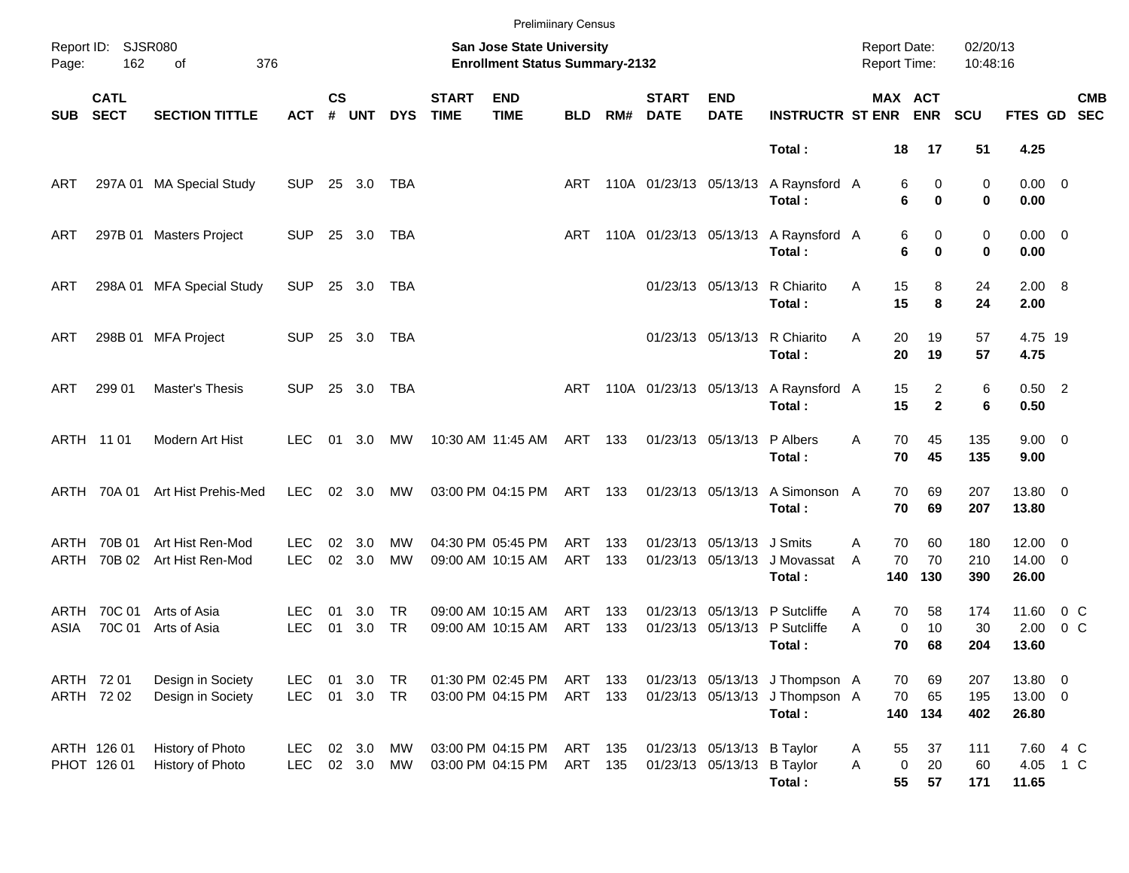|              |                            |                                        |                          |                    |                  |                 |                             | <b>Prelimiinary Census</b>                                         |                    |            |                             |                                                          |                                                                            |                                            |                                         |                      |                                       |                           |
|--------------|----------------------------|----------------------------------------|--------------------------|--------------------|------------------|-----------------|-----------------------------|--------------------------------------------------------------------|--------------------|------------|-----------------------------|----------------------------------------------------------|----------------------------------------------------------------------------|--------------------------------------------|-----------------------------------------|----------------------|---------------------------------------|---------------------------|
| Page:        | Report ID: SJSR080<br>162  | 376<br>of                              |                          |                    |                  |                 |                             | San Jose State University<br><b>Enrollment Status Summary-2132</b> |                    |            |                             |                                                          |                                                                            | <b>Report Date:</b><br><b>Report Time:</b> |                                         | 02/20/13<br>10:48:16 |                                       |                           |
| <b>SUB</b>   | <b>CATL</b><br><b>SECT</b> | <b>SECTION TITTLE</b>                  | <b>ACT</b>               | $\mathsf{cs}$<br># | <b>UNT</b>       | <b>DYS</b>      | <b>START</b><br><b>TIME</b> | <b>END</b><br><b>TIME</b>                                          | <b>BLD</b>         | RM#        | <b>START</b><br><b>DATE</b> | <b>END</b><br><b>DATE</b>                                | <b>INSTRUCTR ST ENR</b>                                                    |                                            | MAX ACT<br><b>ENR</b>                   | <b>SCU</b>           |                                       | <b>CMB</b><br>FTES GD SEC |
|              |                            |                                        |                          |                    |                  |                 |                             |                                                                    |                    |            |                             |                                                          | Total:                                                                     |                                            | 18<br>17                                | 51                   | 4.25                                  |                           |
| ART          |                            | 297A 01 MA Special Study               | <b>SUP</b>               |                    | 25 3.0           | TBA             |                             |                                                                    | ART                |            | 110A 01/23/13 05/13/13      |                                                          | A Raynsford A<br>Total:                                                    |                                            | 0<br>6<br>6<br>0                        | 0<br>0               | $0.00 \t 0$<br>0.00                   |                           |
| ART          |                            | 297B 01 Masters Project                | <b>SUP</b>               |                    | 25 3.0           | TBA             |                             |                                                                    | ART                |            | 110A 01/23/13 05/13/13      |                                                          | A Raynsford A<br>Total:                                                    |                                            | 6<br>0<br>6<br>0                        | 0<br>0               | $0.00 \t 0$<br>0.00                   |                           |
| ART          | 298A 01                    | <b>MFA Special Study</b>               | <b>SUP</b>               |                    | 25 3.0           | TBA             |                             |                                                                    |                    |            |                             | 01/23/13 05/13/13                                        | R Chiarito<br>Total:                                                       | A                                          | 15<br>8<br>15<br>8                      | 24<br>24             | 2.00 8<br>2.00                        |                           |
| ART          |                            | 298B 01 MFA Project                    | <b>SUP</b>               |                    | 25 3.0           | TBA             |                             |                                                                    |                    |            |                             | 01/23/13 05/13/13                                        | R Chiarito<br>Total:                                                       | A                                          | 20<br>19<br>20<br>19                    | 57<br>57             | 4.75 19<br>4.75                       |                           |
| ART          | 299 01                     | Master's Thesis                        | SUP.                     |                    | 25 3.0           | TBA             |                             |                                                                    | ART                |            |                             |                                                          | 110A 01/23/13 05/13/13 A Raynsford A<br>Total:                             |                                            | 2<br>15<br>$\mathbf{2}$<br>15           | 6<br>6               | $0.50$ 2<br>0.50                      |                           |
|              | ARTH 11 01                 | Modern Art Hist                        | LEC.                     | 01                 | 3.0              | МW              |                             | 10:30 AM 11:45 AM                                                  | ART 133            |            |                             | 01/23/13 05/13/13                                        | P Albers<br>Total:                                                         | A                                          | 70<br>45<br>70<br>45                    | 135<br>135           | $9.00 \t 0$<br>9.00                   |                           |
|              | ARTH 70A 01                | Art Hist Prehis-Med                    | <b>LEC</b>               |                    | $02 \quad 3.0$   | MW              |                             | 03:00 PM 04:15 PM                                                  | ART 133            |            |                             | 01/23/13 05/13/13                                        | A Simonson A<br>Total:                                                     |                                            | 69<br>70<br>70<br>69                    | 207<br>207           | 13.80 0<br>13.80                      |                           |
| ARTH<br>ARTH | 70B 01<br>70B 02           | Art Hist Ren-Mod<br>Art Hist Ren-Mod   | LEC.<br><b>LEC</b>       | 02<br>02           | 3.0<br>3.0       | MW<br><b>MW</b> |                             | 04:30 PM 05:45 PM<br>09:00 AM 10:15 AM                             | ART<br>ART         | 133<br>133 |                             | 01/23/13 05/13/13 J Smits<br>01/23/13 05/13/13           | J Movassat<br>Total:                                                       | A<br>A<br>140                              | 60<br>70<br>70<br>70<br>130             | 180<br>210<br>390    | $12.00 \t 0$<br>$14.00 \t 0$<br>26.00 |                           |
| ARTH<br>ASIA | 70C 01<br>70C 01           | Arts of Asia<br>Arts of Asia           | LEC.<br><b>LEC</b>       | 01<br>01           | 3.0<br>3.0       | TR<br><b>TR</b> |                             | 09:00 AM 10:15 AM<br>09:00 AM 10:15 AM                             | ART<br>ART         | 133<br>133 |                             |                                                          | 01/23/13 05/13/13 P Sutcliffe<br>01/23/13 05/13/13 P Sutcliffe<br>Total :  | A<br>A                                     | 58<br>70<br>0<br>10<br>68<br>70         | 174<br>30<br>204     | 11.60<br>2.00<br>13.60                | 0 C<br>0 C                |
|              | ARTH 72 01<br>ARTH 72 02   | Design in Society<br>Design in Society | <b>LEC</b><br><b>LEC</b> | 01<br>01           | 3.0<br>3.0 TR    | TR              |                             | 01:30 PM 02:45 PM<br>03:00 PM 04:15 PM                             | ART<br>ART 133     | 133        |                             |                                                          | 01/23/13 05/13/13 J Thompson A<br>01/23/13 05/13/13 J Thompson A<br>Total: |                                            | 70<br>69<br>70<br>65<br>140 134         | 207<br>195<br>402    | 13.80 0<br>13.00 0<br>26.80           |                           |
|              | ARTH 126 01<br>PHOT 126 01 | History of Photo<br>History of Photo   | <b>LEC</b><br><b>LEC</b> |                    | 02 3.0<br>02 3.0 | МW<br>МW        |                             | 03:00 PM 04:15 PM<br>03:00 PM 04:15 PM                             | ART 135<br>ART 135 |            |                             | 01/23/13 05/13/13 B Taylor<br>01/23/13 05/13/13 B Taylor | Total:                                                                     | A<br>Α                                     | 55<br>37<br>$\pmb{0}$<br>20<br>55<br>57 | 111<br>60<br>171     | 7.60 4 C<br>4.05 1 C<br>11.65         |                           |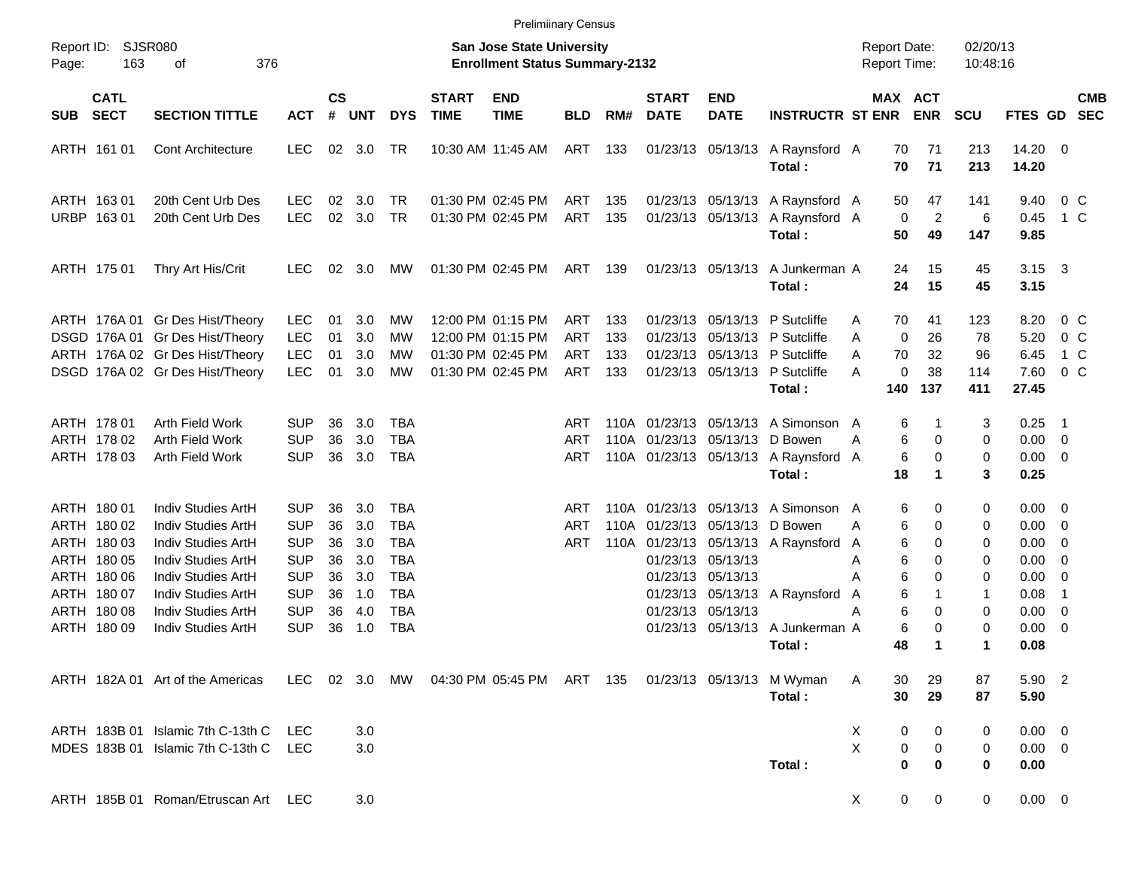|                                                                                                                      |                                                                                                                                                                              |                                                                                                       |                                              |                                                      |                                                                                                              |                             |                                                                                  | <b>Prelimiinary Census</b>      |                          |                             |                                                                                          |                                                                                                                                             |                                            |                                                                                            |                                      |                                                                                      |                                                                                             |  |
|----------------------------------------------------------------------------------------------------------------------|------------------------------------------------------------------------------------------------------------------------------------------------------------------------------|-------------------------------------------------------------------------------------------------------|----------------------------------------------|------------------------------------------------------|--------------------------------------------------------------------------------------------------------------|-----------------------------|----------------------------------------------------------------------------------|---------------------------------|--------------------------|-----------------------------|------------------------------------------------------------------------------------------|---------------------------------------------------------------------------------------------------------------------------------------------|--------------------------------------------|--------------------------------------------------------------------------------------------|--------------------------------------|--------------------------------------------------------------------------------------|---------------------------------------------------------------------------------------------|--|
| Report ID:<br>163<br>Page:                                                                                           | <b>SJSR080</b><br>376<br>οf                                                                                                                                                  |                                                                                                       |                                              |                                                      |                                                                                                              |                             | <b>San Jose State University</b><br><b>Enrollment Status Summary-2132</b>        |                                 |                          |                             |                                                                                          |                                                                                                                                             | <b>Report Date:</b><br><b>Report Time:</b> |                                                                                            | 02/20/13<br>10:48:16                 |                                                                                      |                                                                                             |  |
| <b>CATL</b><br><b>SECT</b><br><b>SUB</b>                                                                             | <b>SECTION TITTLE</b>                                                                                                                                                        | <b>ACT</b>                                                                                            | <b>CS</b><br>#                               | <b>UNT</b>                                           | <b>DYS</b>                                                                                                   | <b>START</b><br><b>TIME</b> | <b>END</b><br><b>TIME</b>                                                        | <b>BLD</b>                      | RM#                      | <b>START</b><br><b>DATE</b> | <b>END</b><br><b>DATE</b>                                                                | <b>INSTRUCTR ST ENR</b>                                                                                                                     |                                            | MAX ACT<br><b>ENR</b>                                                                      | <b>SCU</b>                           | FTES GD SEC                                                                          | <b>CMB</b>                                                                                  |  |
| ARTH 161 01                                                                                                          | <b>Cont Architecture</b>                                                                                                                                                     | <b>LEC</b>                                                                                            |                                              | 02 3.0                                               | TR                                                                                                           |                             | 10:30 AM 11:45 AM                                                                | ART                             | 133                      |                             |                                                                                          | 01/23/13 05/13/13 A Raynsford A<br>Total:                                                                                                   | 70<br>70                                   | 71<br>71                                                                                   | 213<br>213                           | $14.20 \t 0$<br>14.20                                                                |                                                                                             |  |
| ARTH 163 01<br>URBP 163 01                                                                                           | 20th Cent Urb Des<br>20th Cent Urb Des                                                                                                                                       | <b>LEC</b><br><b>LEC</b>                                                                              | 02<br>02                                     | 3.0<br>3.0                                           | TR<br>TR                                                                                                     |                             | 01:30 PM 02:45 PM<br>01:30 PM 02:45 PM                                           | ART<br>ART                      | 135<br>135               |                             | 01/23/13 05/13/13                                                                        | 01/23/13 05/13/13 A Raynsford A<br>A Raynsford A<br>Total:                                                                                  | 50<br>50                                   | 47<br>$\overline{c}$<br>0<br>49                                                            | 141<br>6<br>147                      | 9.40<br>0.45<br>9.85                                                                 | $0\,$ C<br>$1\,C$                                                                           |  |
| ARTH 175 01                                                                                                          | Thry Art His/Crit                                                                                                                                                            | <b>LEC</b>                                                                                            | 02                                           | 3.0                                                  | <b>MW</b>                                                                                                    |                             | 01:30 PM 02:45 PM                                                                | ART 139                         |                          |                             | 01/23/13 05/13/13                                                                        | A Junkerman A<br>Total:                                                                                                                     | 24<br>24                                   | 15<br>15                                                                                   | 45<br>45                             | $3.15 \quad 3$<br>3.15                                                               |                                                                                             |  |
|                                                                                                                      | ARTH 176A 01 Gr Des Hist/Theory<br>DSGD 176A 01 Gr Des Hist/Theory<br>ARTH 176A 02 Gr Des Hist/Theory<br>DSGD 176A 02 Gr Des Hist/Theory                                     | <b>LEC</b><br><b>LEC</b><br><b>LEC</b><br><b>LEC</b>                                                  | 01<br>01<br>01<br>01                         | 3.0<br>3.0<br>3.0<br>3.0                             | MW<br>MW<br>MW<br><b>MW</b>                                                                                  |                             | 12:00 PM 01:15 PM<br>12:00 PM 01:15 PM<br>01:30 PM 02:45 PM<br>01:30 PM 02:45 PM | ART<br><b>ART</b><br>ART<br>ART | 133<br>133<br>133<br>133 |                             |                                                                                          | 01/23/13 05/13/13 P Sutcliffe<br>01/23/13 05/13/13 P Sutcliffe<br>01/23/13 05/13/13 P Sutcliffe<br>01/23/13 05/13/13 P Sutcliffe<br>Total:  | 70<br>A<br>A<br>A<br>70<br>A<br>140        | 41<br>$\mathbf 0$<br>26<br>32<br>38<br>0<br>137                                            | 123<br>78<br>96<br>114<br>411        | 8.20<br>5.20<br>6.45<br>7.60<br>27.45                                                | $0\,$ C<br>0 <sup>o</sup><br>1 C<br>0 <sup>o</sup>                                          |  |
| ARTH 178 01<br>ARTH 178 02<br>ARTH 178 03                                                                            | Arth Field Work<br>Arth Field Work<br>Arth Field Work                                                                                                                        | <b>SUP</b><br><b>SUP</b><br><b>SUP</b>                                                                | 36<br>36<br>36                               | 3.0<br>3.0<br>3.0                                    | <b>TBA</b><br><b>TBA</b><br><b>TBA</b>                                                                       |                             |                                                                                  | ART<br>ART<br><b>ART</b>        |                          |                             | 110A 01/23/13 05/13/13 D Bowen                                                           | 110A 01/23/13 05/13/13 A Simonson<br>110A 01/23/13 05/13/13 A Raynsford<br>Total:                                                           | A<br>Α<br>A<br>18                          | 6<br>1<br>6<br>0<br>6<br>0<br>1                                                            | 3<br>0<br>0<br>3                     | 0.25<br>$0.00 \t 0$<br>$0.00 \t 0$<br>0.25                                           | $\overline{\phantom{1}}$                                                                    |  |
| ARTH 180 01<br>ARTH 180 02<br>ARTH 180 03<br>ARTH 180 05<br>ARTH 180 06<br>ARTH 180 07<br>ARTH 180 08<br>ARTH 180 09 | Indiv Studies ArtH<br>Indiv Studies ArtH<br>Indiv Studies ArtH<br>Indiv Studies ArtH<br>Indiv Studies ArtH<br>Indiv Studies ArtH<br>Indiv Studies ArtH<br>Indiv Studies ArtH | SUP<br><b>SUP</b><br><b>SUP</b><br><b>SUP</b><br><b>SUP</b><br><b>SUP</b><br><b>SUP</b><br><b>SUP</b> | 36<br>36<br>36<br>36<br>36<br>36<br>36<br>36 | 3.0<br>3.0<br>3.0<br>3.0<br>3.0<br>1.0<br>4.0<br>1.0 | <b>TBA</b><br><b>TBA</b><br><b>TBA</b><br><b>TBA</b><br><b>TBA</b><br><b>TBA</b><br><b>TBA</b><br><b>TBA</b> |                             |                                                                                  | ART<br>ART<br>ART               | 110A                     |                             | 01/23/13 05/13/13 D Bowen<br>01/23/13 05/13/13<br>01/23/13 05/13/13<br>01/23/13 05/13/13 | 110A 01/23/13 05/13/13 A Simonson<br>110A 01/23/13 05/13/13 A Raynsford<br>01/23/13 05/13/13 A Raynsford<br>01/23/13 05/13/13 A Junkerman A | A<br>Α<br>A<br>A<br>А<br>A<br>А            | 6<br>0<br>6<br>0<br>6<br>0<br>6<br>0<br>6<br>$\Omega$<br>6<br>1<br>6<br>0<br>6<br>$\Omega$ | 0<br>0<br>0<br>0<br>0<br>1<br>0<br>0 | $0.00 \quad 0$<br>$0.00 \t 0$<br>$0.00 \t 0$<br>0.00<br>0.00<br>0.08<br>0.00<br>0.00 | - 0<br>$\overline{\phantom{0}}$<br>-1<br>$\overline{\mathbf{0}}$<br>$\overline{\mathbf{0}}$ |  |
|                                                                                                                      | ARTH 182A 01 Art of the Americas LEC 02 3.0 MW 04:30 PM 05:45 PM ART 135 01/23/13 05/13/13 M Wyman                                                                           |                                                                                                       |                                              |                                                      |                                                                                                              |                             |                                                                                  |                                 |                          |                             |                                                                                          | Total :<br>Total:                                                                                                                           | 48<br>A<br>30<br>30                        | 1<br>29<br>29                                                                              | $\mathbf 1$<br>87<br>87              | 0.08<br>5.90 2<br>5.90                                                               |                                                                                             |  |
|                                                                                                                      | ARTH 183B 01 Islamic 7th C-13th C<br>MDES 183B 01 Islamic 7th C-13th C LEC                                                                                                   | <b>LEC</b>                                                                                            |                                              | 3.0<br>3.0                                           |                                                                                                              |                             |                                                                                  |                                 |                          |                             |                                                                                          | Total:                                                                                                                                      | X<br>X                                     | 0<br>0<br>0<br>0<br>$\bf{0}$<br>0                                                          | 0<br>0<br>0                          | $0.00 \t 0$<br>$0.00 \t 0$<br>0.00                                                   |                                                                                             |  |
|                                                                                                                      | ARTH 185B 01 Roman/Etruscan Art LEC                                                                                                                                          |                                                                                                       |                                              | 3.0                                                  |                                                                                                              |                             |                                                                                  |                                 |                          |                             |                                                                                          |                                                                                                                                             | X                                          | $\mathbf{0}$<br>0                                                                          | 0                                    | $0.00 \t 0$                                                                          |                                                                                             |  |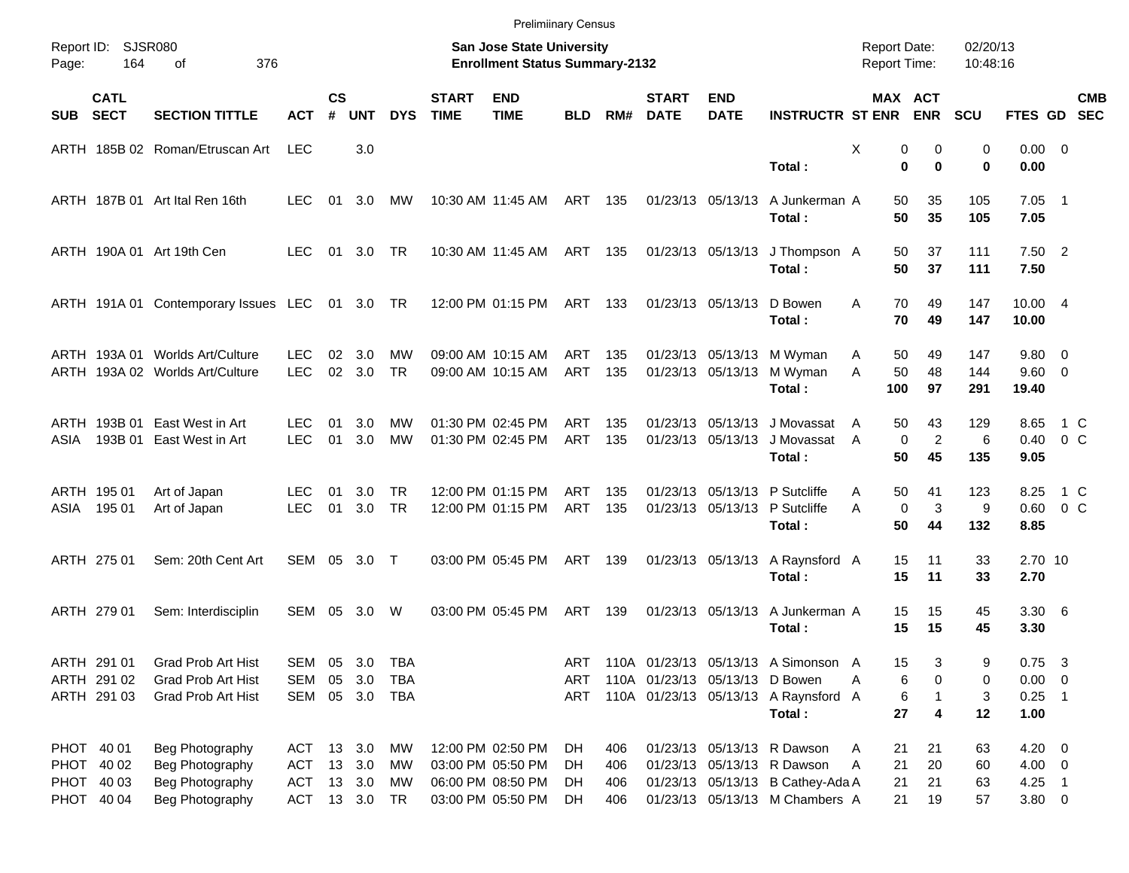|       |                                           |                                                                       |                                           |                    |                          |                   |                                                                    | <b>Prelimiinary Census</b>                                  |                          |                   |                             |                                        |                                                                                                  |                                   |                              |                   |                                  |                                                     |  |
|-------|-------------------------------------------|-----------------------------------------------------------------------|-------------------------------------------|--------------------|--------------------------|-------------------|--------------------------------------------------------------------|-------------------------------------------------------------|--------------------------|-------------------|-----------------------------|----------------------------------------|--------------------------------------------------------------------------------------------------|-----------------------------------|------------------------------|-------------------|----------------------------------|-----------------------------------------------------|--|
| Page: | Report ID: SJSR080<br>164                 | 376                                                                   |                                           |                    |                          |                   | San Jose State University<br><b>Enrollment Status Summary-2132</b> |                                                             |                          |                   |                             |                                        | <b>Report Date:</b><br><b>Report Time:</b>                                                       |                                   | 02/20/13<br>10:48:16         |                   |                                  |                                                     |  |
| SUB   | <b>CATL</b><br><b>SECT</b>                | <b>SECTION TITTLE</b>                                                 | <b>ACT</b>                                | $\mathsf{cs}$<br># | <b>UNT</b>               | <b>DYS</b>        | <b>START</b><br><b>TIME</b>                                        | <b>END</b><br><b>TIME</b>                                   | <b>BLD</b>               | RM#               | <b>START</b><br><b>DATE</b> | <b>END</b><br><b>DATE</b>              | <b>INSTRUCTR ST ENR</b>                                                                          |                                   | <b>MAX ACT</b><br><b>ENR</b> | <b>SCU</b>        | FTES GD SEC                      | <b>CMB</b>                                          |  |
|       |                                           | ARTH 185B 02 Roman/Etruscan Art                                       | <b>LEC</b>                                |                    | 3.0                      |                   |                                                                    |                                                             |                          |                   |                             |                                        | Total:                                                                                           | X<br>$\bf{0}$                     | 0<br>0<br>$\bf{0}$           | 0<br>0            | $0.00 \t 0$<br>0.00              |                                                     |  |
|       |                                           | ARTH 187B 01 Art Ital Ren 16th                                        | LEC.                                      | 01                 | 3.0                      | МW                |                                                                    | 10:30 AM 11:45 AM                                           | ART 135                  |                   |                             | 01/23/13 05/13/13                      | A Junkerman A<br>Total:                                                                          | 50<br>50                          | 35<br>35                     | 105<br>105        | $7.05$ 1<br>7.05                 |                                                     |  |
|       |                                           | ARTH 190A 01 Art 19th Cen                                             | <b>LEC</b>                                | 01                 | 3.0 TR                   |                   |                                                                    | 10:30 AM 11:45 AM                                           | ART 135                  |                   |                             | 01/23/13 05/13/13                      | J Thompson A<br>Total:                                                                           | 50<br>50                          | 37<br>37                     | 111<br>111        | $7.50$ 2<br>7.50                 |                                                     |  |
|       |                                           | ARTH 191A 01 Contemporary Issues LEC 01 3.0 TR                        |                                           |                    |                          |                   |                                                                    | 12:00 PM 01:15 PM                                           | ART 133                  |                   |                             | 01/23/13 05/13/13                      | D Bowen<br>Total:                                                                                | 70<br>A<br>70                     | 49<br>49                     | 147<br>147        | 10.00 4<br>10.00                 |                                                     |  |
|       |                                           | ARTH 193A 01 Worlds Art/Culture<br>ARTH 193A 02 Worlds Art/Culture    | LEC.<br><b>LEC</b>                        | 02<br>02           | 3.0<br>3.0               | MW<br><b>TR</b>   |                                                                    | 09:00 AM 10:15 AM<br>09:00 AM 10:15 AM                      | ART<br>ART               | 135<br>135        |                             | 01/23/13 05/13/13<br>01/23/13 05/13/13 | M Wyman<br>M Wyman<br>Total:                                                                     | 50<br>A<br>A<br>50<br>100         | 49<br>48<br>97               | 147<br>144<br>291 | 9.80 0<br>9.60 0<br>19.40        |                                                     |  |
| ASIA  | ARTH 193B 01<br>193B 01                   | East West in Art<br>East West in Art                                  | LEC.<br><b>LEC</b>                        | 01<br>01           | 3.0<br>3.0               | MW<br><b>MW</b>   |                                                                    | 01:30 PM 02:45 PM<br>01:30 PM 02:45 PM                      | ART<br>ART               | 135<br>135        |                             | 01/23/13 05/13/13<br>01/23/13 05/13/13 | J Movassat<br>J Movassat<br>Total:                                                               | 50<br>A<br>$\mathbf 0$<br>A<br>50 | 43<br>$\overline{c}$<br>45   | 129<br>6<br>135   | 8.65<br>0.40<br>9.05             | 1 C<br>0 <sup>o</sup>                               |  |
| ASIA  | ARTH 195 01<br>195 01                     | Art of Japan<br>Art of Japan                                          | LEC.<br><b>LEC</b>                        | 01<br>01           | 3.0<br>3.0               | <b>TR</b><br>TR   |                                                                    | 12:00 PM 01:15 PM<br>12:00 PM 01:15 PM                      | ART<br>ART               | 135<br>135        |                             |                                        | 01/23/13 05/13/13 P Sutcliffe<br>01/23/13 05/13/13 P Sutcliffe<br>Total:                         | 50<br>A<br>$\mathbf 0$<br>A<br>50 | 41<br>3<br>44                | 123<br>9<br>132   | 8.25<br>0.60<br>8.85             | 1 C<br>$0\,$ C                                      |  |
|       | ARTH 275 01                               | Sem: 20th Cent Art                                                    | SEM 05 3.0 T                              |                    |                          |                   |                                                                    | 03:00 PM 05:45 PM                                           | ART 139                  |                   |                             | 01/23/13 05/13/13                      | A Raynsford A<br>Total:                                                                          | 15<br>15                          | 11<br>11                     | 33<br>33          | 2.70 10<br>2.70                  |                                                     |  |
|       | ARTH 279 01                               | Sem: Interdisciplin                                                   | SEM 05                                    |                    | 3.0                      | W                 |                                                                    | 03:00 PM 05:45 PM                                           | ART                      | 139               |                             | 01/23/13 05/13/13                      | A Junkerman A<br>Total:                                                                          | 15<br>15                          | 15<br>15                     | 45<br>45          | $3.30\ 6$<br>3.30                |                                                     |  |
|       | ARTH 291 01<br>ARTH 291 02<br>ARTH 291 03 | Grad Prob Art Hist<br><b>Grad Prob Art Hist</b><br>Grad Prob Art Hist | SEM<br>SEM<br>SEM                         | 05<br>05           | 3.0<br>3.0<br>05 3.0 TBA | <b>TBA</b><br>TBA |                                                                    |                                                             | <b>ART</b><br>ART<br>ART |                   |                             | 110A 01/23/13 05/13/13 D Bowen         | 110A 01/23/13 05/13/13 A Simonson A<br>110A 01/23/13 05/13/13 A Raynsford A                      | 15<br>6<br>Α<br>6                 | 3<br>0                       | 9<br>0<br>3       | 0.75<br>$0.00 \t 0$<br>0.25      | $\overline{\mathbf{3}}$<br>$\overline{\phantom{0}}$ |  |
|       | PHOT 40 01                                | Beg Photography                                                       | ACT 13 3.0                                |                    |                          | МW                |                                                                    | 12:00 PM 02:50 PM                                           | DH                       | 406               |                             |                                        | Total:<br>01/23/13 05/13/13 R Dawson                                                             | 27<br>21<br>Α                     | 4<br>21                      | 12<br>63          | 1.00<br>$4.20 \ 0$               |                                                     |  |
|       | PHOT 40 02<br>PHOT 40 03<br>PHOT 40 04    | Beg Photography<br>Beg Photography<br>Beg Photography                 | ACT 13 3.0<br>ACT 13 3.0<br>ACT 13 3.0 TR |                    |                          | МW<br>МW          |                                                                    | 03:00 PM 05:50 PM<br>06:00 PM 08:50 PM<br>03:00 PM 05:50 PM | DH.<br>DH.<br>DH         | 406<br>406<br>406 |                             |                                        | 01/23/13 05/13/13 R Dawson<br>01/23/13 05/13/13 B Cathey-Ada A<br>01/23/13 05/13/13 M Chambers A | 21<br>A<br>21<br>21               | 20<br>21<br>19               | 60<br>63<br>57    | $4.00 \ 0$<br>$4.25$ 1<br>3.80 0 |                                                     |  |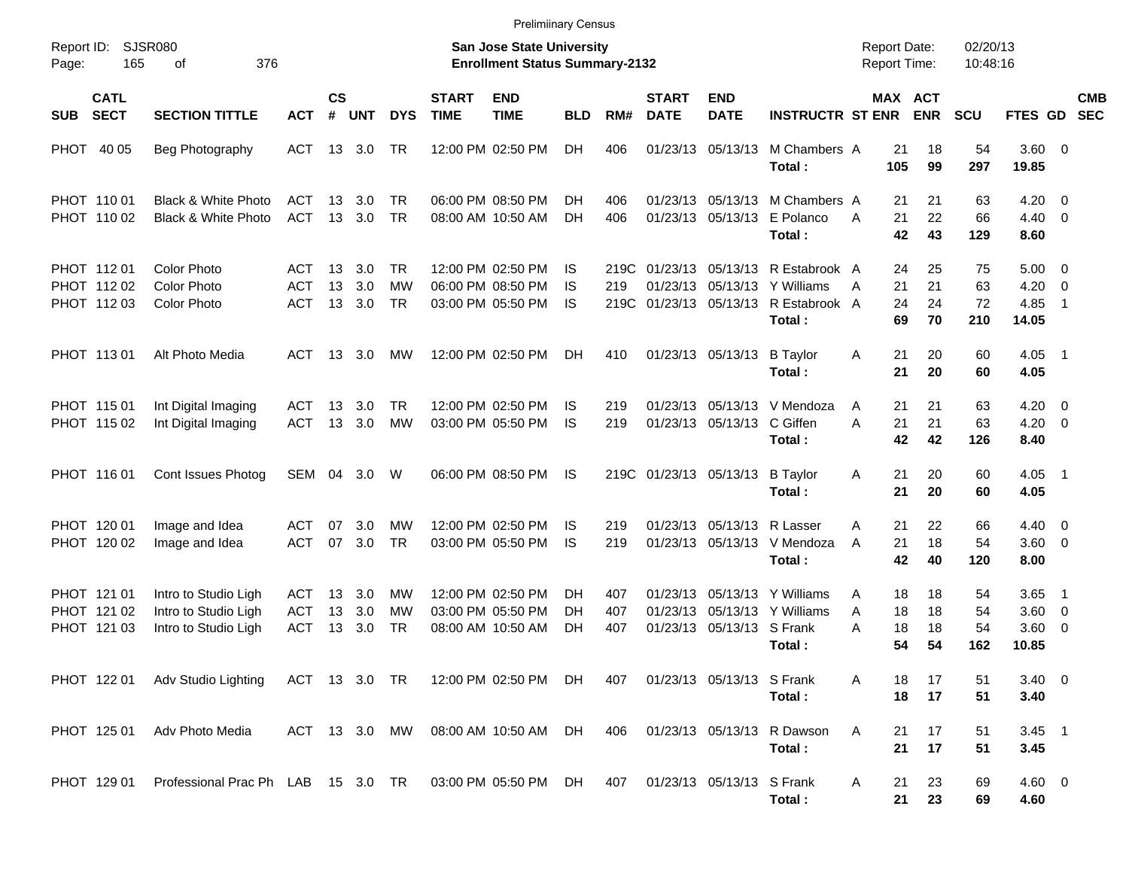|                                           |                                                                      |                                 |                |                      |                               |                             | <b>Prelimiinary Census</b>                                                |                 |                   |                             |                            |                                                                                                                        |                                            |                       |                       |                                      |                                            |  |
|-------------------------------------------|----------------------------------------------------------------------|---------------------------------|----------------|----------------------|-------------------------------|-----------------------------|---------------------------------------------------------------------------|-----------------|-------------------|-----------------------------|----------------------------|------------------------------------------------------------------------------------------------------------------------|--------------------------------------------|-----------------------|-----------------------|--------------------------------------|--------------------------------------------|--|
| Report ID:<br>Page:                       | SJSR080<br>165<br>376<br>οf                                          |                                 |                |                      |                               |                             | <b>San Jose State University</b><br><b>Enrollment Status Summary-2132</b> |                 |                   |                             |                            |                                                                                                                        | <b>Report Date:</b><br><b>Report Time:</b> |                       | 02/20/13<br>10:48:16  |                                      |                                            |  |
| <b>CATL</b><br><b>SECT</b><br><b>SUB</b>  | <b>SECTION TITTLE</b>                                                | <b>ACT</b>                      | <b>CS</b><br># | <b>UNT</b>           | <b>DYS</b>                    | <b>START</b><br><b>TIME</b> | <b>END</b><br><b>TIME</b>                                                 | <b>BLD</b>      | RM#               | <b>START</b><br><b>DATE</b> | <b>END</b><br><b>DATE</b>  | <b>INSTRUCTR ST ENR</b>                                                                                                |                                            | MAX ACT<br><b>ENR</b> | <b>SCU</b>            | FTES GD SEC                          | <b>CMB</b>                                 |  |
| PHOT 40 05                                | Beg Photography                                                      | ACT                             |                | 13 3.0               | TR                            |                             | 12:00 PM 02:50 PM                                                         | DH.             | 406               |                             | 01/23/13 05/13/13          | M Chambers A<br>Total:                                                                                                 | 21<br>105                                  | 18<br>99              | 54<br>297             | 3.60 0<br>19.85                      |                                            |  |
| PHOT 110 01<br>PHOT 110 02                | <b>Black &amp; White Photo</b><br>Black & White Photo                | ACT<br><b>ACT</b>               | 13             | 3.0<br>13 3.0        | TR<br><b>TR</b>               |                             | 06:00 PM 08:50 PM<br>08:00 AM 10:50 AM                                    | DH<br>DH        | 406<br>406        |                             |                            | 01/23/13 05/13/13 M Chambers A<br>01/23/13 05/13/13 E Polanco<br>Total:                                                | 21<br>21<br>A<br>42                        | 21<br>22<br>43        | 63<br>66<br>129       | 4.20<br>$4.40 \quad 0$<br>8.60       | $\overline{\phantom{0}}$                   |  |
| PHOT 11201<br>PHOT 112 02<br>PHOT 112 03  | <b>Color Photo</b><br><b>Color Photo</b><br><b>Color Photo</b>       | ACT<br><b>ACT</b><br>ACT        | 13<br>13       | 3.0<br>3.0<br>13 3.0 | TR.<br><b>MW</b><br><b>TR</b> |                             | 12:00 PM 02:50 PM<br>06:00 PM 08:50 PM<br>03:00 PM 05:50 PM               | IS.<br>IS<br>IS | 219               |                             |                            | 219C 01/23/13 05/13/13 R Estabrook A<br>01/23/13 05/13/13 Y Williams<br>219C 01/23/13 05/13/13 R Estabrook A<br>Total: | 24<br>21<br>A<br>24<br>69                  | 25<br>21<br>24<br>70  | 75<br>63<br>72<br>210 | $5.00 \t 0$<br>4.20<br>4.85<br>14.05 | $\overline{\phantom{0}}$<br>$\overline{1}$ |  |
| PHOT 11301                                | Alt Photo Media                                                      | ACT                             |                | 13 3.0               | МW                            |                             | 12:00 PM 02:50 PM                                                         | DH.             | 410               |                             | 01/23/13 05/13/13          | <b>B</b> Taylor<br>Total:                                                                                              | 21<br>Α<br>21                              | 20<br>20              | 60<br>60              | $4.05$ 1<br>4.05                     |                                            |  |
| PHOT 115 01<br>PHOT 115 02                | Int Digital Imaging<br>Int Digital Imaging                           | ACT<br><b>ACT</b>               | 13<br>13       | 3.0<br>3.0           | TR<br>MW                      |                             | 12:00 PM 02:50 PM<br>03:00 PM 05:50 PM                                    | IS<br>IS        | 219<br>219        |                             | 01/23/13 05/13/13 C Giffen | 01/23/13 05/13/13 V Mendoza<br>Total:                                                                                  | 21<br>A<br>21<br>A<br>42                   | 21<br>21<br>42        | 63<br>63<br>126       | $4.20 \ 0$<br>$4.20 \ 0$<br>8.40     |                                            |  |
| PHOT 116 01                               | Cont Issues Photog                                                   | SEM                             | 04             | 3.0                  | W                             |                             | 06:00 PM 08:50 PM                                                         | IS              |                   |                             | 219C 01/23/13 05/13/13     | B Taylor<br>Total:                                                                                                     | 21<br>Α<br>21                              | 20<br>20              | 60<br>60              | $4.05$ 1<br>4.05                     |                                            |  |
| PHOT 120 01<br>PHOT 120 02                | Image and Idea<br>Image and Idea                                     | ACT<br>ACT                      | 07<br>07       | 3.0<br>3.0           | МW<br>TR                      |                             | 12:00 PM 02:50 PM<br>03:00 PM 05:50 PM                                    | IS<br>IS        | 219<br>219        |                             | 01/23/13 05/13/13 R Lasser | 01/23/13 05/13/13 V Mendoza<br>Total:                                                                                  | 21<br>A<br>21<br>A<br>42                   | 22<br>18<br>40        | 66<br>54<br>120       | $4.40 \quad 0$<br>3.60 0<br>8.00     |                                            |  |
| PHOT 121 01<br>PHOT 121 02<br>PHOT 121 03 | Intro to Studio Ligh<br>Intro to Studio Ligh<br>Intro to Studio Ligh | ACT<br><b>ACT</b><br><b>ACT</b> | 13<br>13<br>13 | 3.0<br>3.0<br>3.0    | МW<br>МW<br>TR                |                             | 12:00 PM 02:50 PM<br>03:00 PM 05:50 PM<br>08:00 AM 10:50 AM               | DН<br>DH<br>DH  | 407<br>407<br>407 | 01/23/13<br>01/23/13        | 01/23/13 05/13/13 S Frank  | 05/13/13 Y Williams<br>05/13/13 Y Williams<br>Total :                                                                  | 18<br>Α<br>18<br>A<br>18<br>Α<br>54        | 18<br>18<br>18<br>54  | 54<br>54<br>54<br>162 | 3.65<br>3.60 0<br>3.60 0<br>10.85    | $\overline{\phantom{1}}$                   |  |
|                                           | PHOT 122 01 Adv Studio Lighting                                      |                                 |                |                      |                               |                             | ACT 13 3.0 TR 12:00 PM 02:50 PM DH                                        |                 | 407               |                             | 01/23/13 05/13/13 S Frank  | Total:                                                                                                                 | 18<br>A<br>18                              | 17<br>17              | 51<br>51              | $3.40 \ 0$<br>3.40                   |                                            |  |
| PHOT 125 01                               | Adv Photo Media                                                      |                                 |                |                      |                               |                             | ACT 13 3.0 MW 08:00 AM 10:50 AM DH                                        |                 | 406               |                             |                            | 01/23/13 05/13/13 R Dawson<br>Total:                                                                                   | A<br>21<br>21                              | 17<br>17              | 51<br>51              | $3.45$ 1<br>3.45                     |                                            |  |
|                                           | PHOT 129 01 Professional Prac Ph LAB 15 3.0 TR 03:00 PM 05:50 PM DH  |                                 |                |                      |                               |                             |                                                                           |                 | 407               |                             | 01/23/13 05/13/13 S Frank  | Total:                                                                                                                 | 21<br>A<br>21                              | 23<br>23              | 69<br>69              | $4.60 \ 0$<br>4.60                   |                                            |  |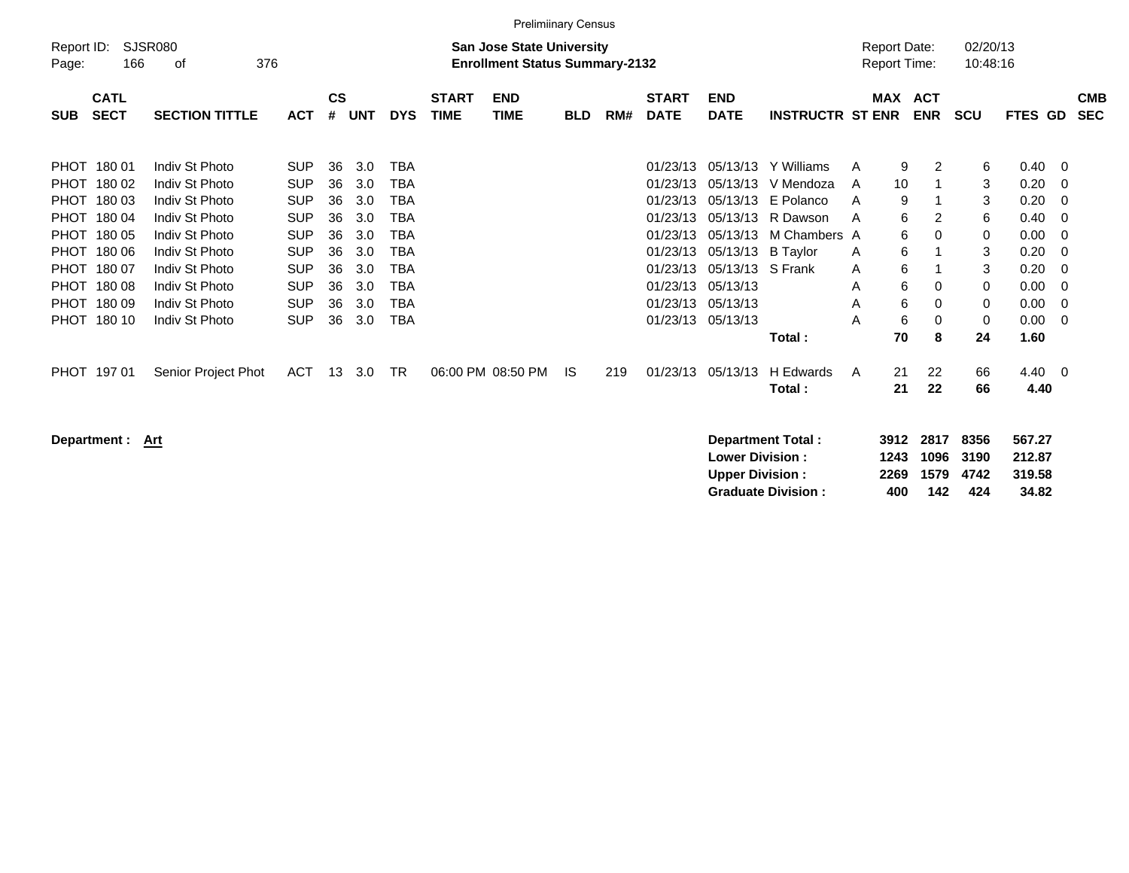|                                                                                                                      | <b>Prelimiinary Census</b>                                                                              |                                                                                                                                                                                  |                                                                                                                                          |                                                          |                                                                    |                                                                    |                             |                                                                           |            |     |                                                                                                                      |                                                                                                                      |                                                                                                          |                                            |                                                       |                                        |                                                      |                                                                                      |                                                                    |                          |
|----------------------------------------------------------------------------------------------------------------------|---------------------------------------------------------------------------------------------------------|----------------------------------------------------------------------------------------------------------------------------------------------------------------------------------|------------------------------------------------------------------------------------------------------------------------------------------|----------------------------------------------------------|--------------------------------------------------------------------|--------------------------------------------------------------------|-----------------------------|---------------------------------------------------------------------------|------------|-----|----------------------------------------------------------------------------------------------------------------------|----------------------------------------------------------------------------------------------------------------------|----------------------------------------------------------------------------------------------------------|--------------------------------------------|-------------------------------------------------------|----------------------------------------|------------------------------------------------------|--------------------------------------------------------------------------------------|--------------------------------------------------------------------|--------------------------|
| Report ID:<br>Page:                                                                                                  | 166                                                                                                     | SJSR080<br>376<br>оf                                                                                                                                                             |                                                                                                                                          |                                                          |                                                                    |                                                                    |                             | <b>San Jose State University</b><br><b>Enrollment Status Summary-2132</b> |            |     |                                                                                                                      |                                                                                                                      |                                                                                                          | <b>Report Date:</b><br><b>Report Time:</b> |                                                       |                                        | 02/20/13<br>10:48:16                                 |                                                                                      |                                                                    |                          |
| <b>SUB</b>                                                                                                           | <b>CATL</b><br><b>SECT</b>                                                                              | <b>SECTION TITTLE</b>                                                                                                                                                            | <b>ACT</b>                                                                                                                               | <b>CS</b><br>#                                           | <b>UNT</b>                                                         | <b>DYS</b>                                                         | <b>START</b><br><b>TIME</b> | <b>END</b><br>TIME                                                        | <b>BLD</b> | RM# | <b>START</b><br><b>DATE</b>                                                                                          | <b>END</b><br><b>DATE</b>                                                                                            | <b>INSTRUCTR ST ENR</b>                                                                                  | MAX                                        |                                                       | <b>ACT</b><br><b>ENR</b>               | <b>SCU</b>                                           | FTES GD                                                                              |                                                                    | <b>CMB</b><br><b>SEC</b> |
| <b>PHOT</b><br><b>PHOT</b><br><b>PHOT</b><br><b>PHOT</b><br><b>PHOT</b><br><b>PHOT</b><br><b>PHOT</b><br><b>PHOT</b> | 18001<br>180 02<br>18003<br>PHOT 180 04<br>180 05<br>180 06<br>180 07<br>18008<br>180 09<br>PHOT 180 10 | Indiv St Photo<br>Indiv St Photo<br>Indiv St Photo<br>Indiv St Photo<br>Indiv St Photo<br>Indiv St Photo<br>Indiv St Photo<br>Indiv St Photo<br>Indiv St Photo<br>Indiv St Photo | <b>SUP</b><br><b>SUP</b><br><b>SUP</b><br><b>SUP</b><br><b>SUP</b><br><b>SUP</b><br><b>SUP</b><br><b>SUP</b><br><b>SUP</b><br><b>SUP</b> | 36<br>36<br>36<br>36<br>36<br>36<br>36<br>36<br>36<br>36 | 3.0<br>3.0<br>3.0<br>3.0<br>3.0<br>3.0<br>3.0<br>3.0<br>3.0<br>3.0 | TBA<br>TBA<br>TBA<br>TBA<br>TBA<br>TBA<br>TBA<br>TBA<br>TBA<br>TBA |                             |                                                                           |            |     | 01/23/13<br>01/23/13<br>01/23/13<br>01/23/13<br>01/23/13<br>01/23/13<br>01/23/13<br>01/23/13<br>01/23/13<br>01/23/13 | 05/13/13<br>05/13/13<br>05/13/13<br>05/13/13<br>05/13/13<br>05/13/13<br>05/13/13<br>05/13/13<br>05/13/13<br>05/13/13 | Y Williams<br>V Mendoza<br>E Polanco<br>R Dawson<br>M Chambers A<br><b>B</b> Taylor<br>S Frank<br>Total: | A<br>A<br>A<br>A<br>A<br>A<br>A<br>A<br>A  | 9<br>10<br>9<br>6<br>6<br>6<br>6<br>6<br>6<br>6<br>70 | 2<br>2<br>$\Omega$<br>0<br>0<br>0<br>8 | 6<br>3<br>3<br>6<br>0<br>3<br>3<br>0<br>0<br>0<br>24 | 0.40<br>0.20<br>0.20<br>0.40<br>0.00<br>0.20<br>0.20<br>0.00<br>0.00<br>0.00<br>1.60 | - 0<br>- 0<br>- 0<br>- 0<br>- 0<br>- 0<br>- 0<br>- 0<br>- 0<br>- 0 |                          |
|                                                                                                                      | PHOT 197 01                                                                                             | Senior Project Phot                                                                                                                                                              | <b>ACT</b>                                                                                                                               | 13                                                       | 3.0                                                                | TR                                                                 |                             | 06:00 PM 08:50 PM                                                         | IS.        | 219 | 01/23/13                                                                                                             | 05/13/13                                                                                                             | H Edwards<br>Total:                                                                                      | A                                          | 21<br>21                                              | 22<br>22                               | 66<br>66                                             | 4.40<br>4.40                                                                         | $\overline{\phantom{0}}$                                           |                          |

**Department : Art** 

| Department Total:         |     | 3912 2817 8356 |     | 567.27 |
|---------------------------|-----|----------------|-----|--------|
| <b>Lower Division :</b>   |     | 1243 1096 3190 |     | 212.87 |
| <b>Upper Division:</b>    |     | 2269 1579 4742 |     | 319.58 |
| <b>Graduate Division:</b> | 400 | 142            | 424 | 34.82  |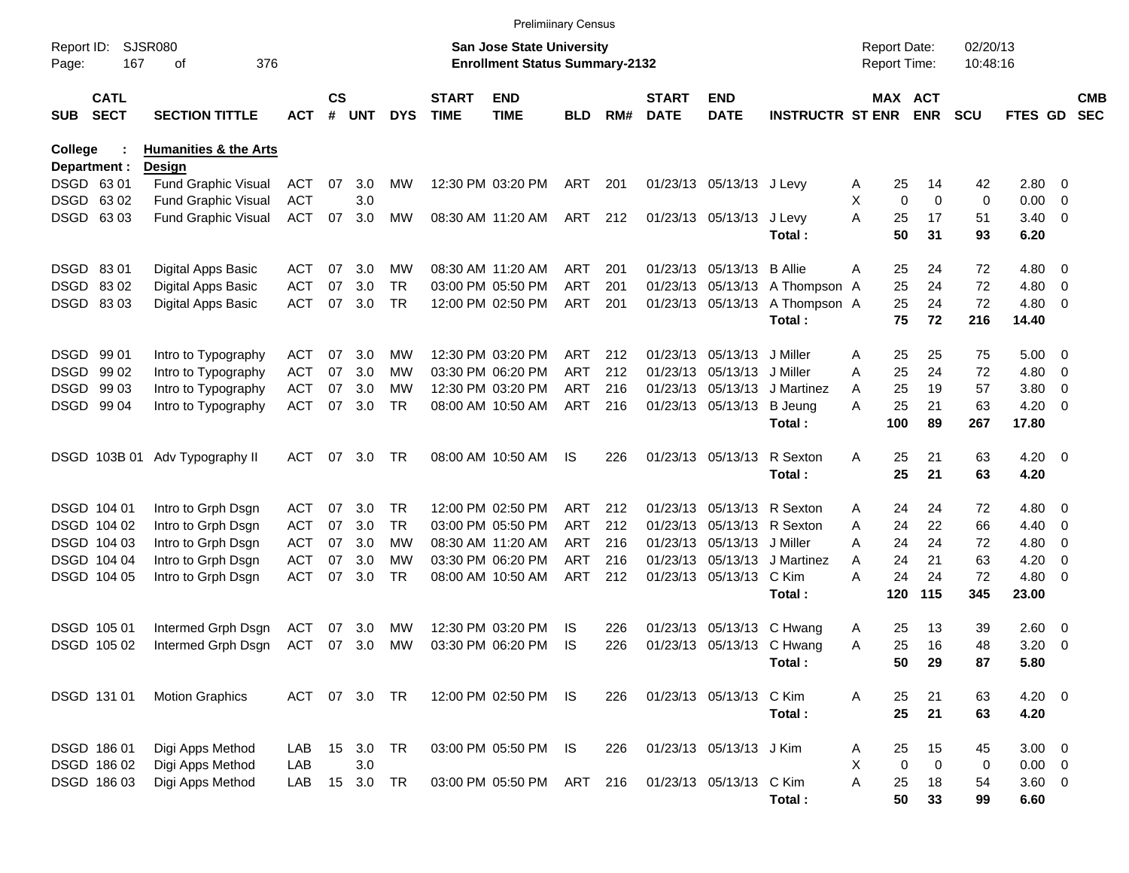|                     |                            |                                  |            |                    |               |            |                             | <b>Prelimiinary Census</b>                                                |            |     |                             |                           |                         |                     |                              |                      |             |                          |                          |
|---------------------|----------------------------|----------------------------------|------------|--------------------|---------------|------------|-----------------------------|---------------------------------------------------------------------------|------------|-----|-----------------------------|---------------------------|-------------------------|---------------------|------------------------------|----------------------|-------------|--------------------------|--------------------------|
| Report ID:<br>Page: | 167                        | <b>SJSR080</b><br>376<br>οf      |            |                    |               |            |                             | <b>San Jose State University</b><br><b>Enrollment Status Summary-2132</b> |            |     |                             |                           |                         | <b>Report Date:</b> | Report Time:                 | 02/20/13<br>10:48:16 |             |                          |                          |
| <b>SUB</b>          | <b>CATL</b><br><b>SECT</b> | <b>SECTION TITTLE</b>            | <b>ACT</b> | $\mathsf{cs}$<br># | <b>UNT</b>    | <b>DYS</b> | <b>START</b><br><b>TIME</b> | <b>END</b><br><b>TIME</b>                                                 | <b>BLD</b> | RM# | <b>START</b><br><b>DATE</b> | <b>END</b><br><b>DATE</b> | <b>INSTRUCTR ST ENR</b> |                     | <b>MAX ACT</b><br><b>ENR</b> | <b>SCU</b>           | FTES GD     |                          | <b>CMB</b><br><b>SEC</b> |
| College             |                            | <b>Humanities &amp; the Arts</b> |            |                    |               |            |                             |                                                                           |            |     |                             |                           |                         |                     |                              |                      |             |                          |                          |
|                     | Department :               | <b>Design</b>                    |            |                    |               |            |                             |                                                                           |            |     |                             |                           |                         |                     |                              |                      |             |                          |                          |
|                     | DSGD 63 01                 | <b>Fund Graphic Visual</b>       | <b>ACT</b> | 07                 | 3.0           | MW         |                             | 12:30 PM 03:20 PM                                                         | ART        | 201 |                             | 01/23/13 05/13/13 J Levy  |                         | A                   | 25<br>14                     | 42                   | 2.80 0      |                          |                          |
|                     | DSGD 6302                  | <b>Fund Graphic Visual</b>       | <b>ACT</b> |                    | 3.0           |            |                             |                                                                           |            |     |                             |                           |                         | X                   | $\mathbf 0$                  | $\mathbf 0$<br>0     | 0.00        | $\overline{\phantom{0}}$ |                          |
|                     | DSGD 6303                  | <b>Fund Graphic Visual</b>       | <b>ACT</b> | 07                 | 3.0           | MW         |                             | 08:30 AM 11:20 AM                                                         | ART 212    |     |                             | 01/23/13 05/13/13         | J Levy                  | A                   | 17<br>25                     | 51                   | $3.40 \ 0$  |                          |                          |
|                     |                            |                                  |            |                    |               |            |                             |                                                                           |            |     |                             |                           | Total:                  |                     | 50<br>31                     | 93                   | 6.20        |                          |                          |
|                     | DSGD 8301                  | Digital Apps Basic               | <b>ACT</b> | 07                 | 3.0           | МW         |                             | 08:30 AM 11:20 AM                                                         | ART        | 201 |                             | 01/23/13 05/13/13         | <b>B</b> Allie          | Α                   | 25<br>24                     | 72                   | 4.80 0      |                          |                          |
|                     | DSGD 8302                  | Digital Apps Basic               | <b>ACT</b> | 07                 | 3.0           | <b>TR</b>  |                             | 03:00 PM 05:50 PM                                                         | <b>ART</b> | 201 |                             | 01/23/13 05/13/13         | A Thompson A            |                     | 25<br>24                     | 72                   | 4.80        | $\overline{\phantom{0}}$ |                          |
|                     | DSGD 8303                  | Digital Apps Basic               | <b>ACT</b> | 07                 | 3.0           | <b>TR</b>  |                             | 12:00 PM 02:50 PM                                                         | ART        | 201 |                             | 01/23/13 05/13/13         | A Thompson A            |                     | 25<br>24                     | 72                   | 4.80 0      |                          |                          |
|                     |                            |                                  |            |                    |               |            |                             |                                                                           |            |     |                             |                           | Total:                  |                     | 75<br>72                     | 216                  | 14.40       |                          |                          |
|                     | DSGD 99 01                 | Intro to Typography              | <b>ACT</b> | 07                 | 3.0           | <b>MW</b>  |                             | 12:30 PM 03:20 PM                                                         | ART        | 212 |                             | 01/23/13 05/13/13         | J Miller                | A                   | 25<br>25                     | 75                   | 5.00        | $\overline{\phantom{0}}$ |                          |
| <b>DSGD</b>         | 99 02                      | Intro to Typography              | <b>ACT</b> | 07                 | 3.0           | МW         |                             | 03:30 PM 06:20 PM                                                         | ART        | 212 |                             | 01/23/13 05/13/13         | J Miller                | Α                   | 25<br>24                     | 72                   | 4.80        | $\overline{\mathbf{0}}$  |                          |
|                     | DSGD 99 03                 | Intro to Typography              | <b>ACT</b> | 07                 | 3.0           | MW         |                             | 12:30 PM 03:20 PM                                                         | ART        | 216 |                             | 01/23/13 05/13/13         | J Martinez              | A                   | 25<br>19                     | 57                   | 3.80        | $\overline{\phantom{0}}$ |                          |
|                     | DSGD 99 04                 | Intro to Typography              | <b>ACT</b> | 07                 | 3.0           | TR         |                             | 08:00 AM 10:50 AM                                                         | ART        | 216 |                             | 01/23/13 05/13/13         | <b>B</b> Jeung          | Α                   | 25<br>21                     | 63                   | 4.20        | $\overline{\phantom{0}}$ |                          |
|                     |                            |                                  |            |                    |               |            |                             |                                                                           |            |     |                             |                           | Total:                  | 100                 | 89                           | 267                  | 17.80       |                          |                          |
|                     |                            | DSGD 103B 01 Adv Typography II   | <b>ACT</b> | 07                 | 3.0           | TR         |                             | 08:00 AM 10:50 AM                                                         | IS         | 226 |                             | 01/23/13 05/13/13         | R Sexton                | Α                   | 25<br>21                     | 63                   | $4.20 \ 0$  |                          |                          |
|                     |                            |                                  |            |                    |               |            |                             |                                                                           |            |     |                             |                           | Total:                  |                     | 25<br>21                     | 63                   | 4.20        |                          |                          |
|                     | DSGD 104 01                | Intro to Grph Dsgn               | <b>ACT</b> | 07                 | 3.0           | TR.        |                             | 12:00 PM 02:50 PM                                                         | ART        | 212 |                             | 01/23/13 05/13/13         | R Sexton                | A                   | 24<br>24                     | 72                   | 4.80 0      |                          |                          |
|                     | DSGD 104 02                | Intro to Grph Dsgn               | <b>ACT</b> | 07                 | 3.0           | TR.        |                             | 03:00 PM 05:50 PM                                                         | ART        | 212 |                             | 01/23/13 05/13/13         | R Sexton                | Α                   | 24<br>22                     | 66                   | 4.40        | $\overline{\phantom{0}}$ |                          |
|                     | DSGD 104 03                | Intro to Grph Dsgn               | <b>ACT</b> | 07                 | 3.0           | МW         |                             | 08:30 AM 11:20 AM                                                         | ART        | 216 |                             | 01/23/13 05/13/13         | J Miller                | A                   | 24<br>24                     | 72                   | 4.80        | $\overline{\mathbf{0}}$  |                          |
|                     | DSGD 104 04                | Intro to Grph Dsgn               | <b>ACT</b> | 07                 | 3.0           | МW         |                             | 03:30 PM 06:20 PM                                                         | ART        | 216 |                             | 01/23/13 05/13/13         | J Martinez              | A                   | 24<br>21                     | 63                   | 4.20        | $\overline{0}$           |                          |
|                     | DSGD 104 05                | Intro to Grph Dsgn               | <b>ACT</b> | 07                 | 3.0           | TR         |                             | 08:00 AM 10:50 AM                                                         | ART        | 212 |                             | 01/23/13 05/13/13         | C Kim                   | A                   | 24<br>24                     | 72                   | $4.80\ 0$   |                          |                          |
|                     |                            |                                  |            |                    |               |            |                             |                                                                           |            |     |                             |                           | Total:                  |                     | 120<br>115                   | 345                  | 23.00       |                          |                          |
|                     | DSGD 105 01                | Intermed Grph Dsgn               | <b>ACT</b> | 07                 | 3.0           | <b>MW</b>  |                             | 12:30 PM 03:20 PM                                                         | IS         | 226 |                             | 01/23/13 05/13/13         | C Hwang                 | A                   | 25<br>13                     | 39                   | $2.60 \t 0$ |                          |                          |
|                     | DSGD 105 02                | Intermed Grph Dsgn               | <b>ACT</b> | 07                 | 3.0           | <b>MW</b>  |                             | 03:30 PM 06:20 PM                                                         | IS         | 226 |                             | 01/23/13 05/13/13 C Hwang |                         | Α                   | 25<br>16                     | 48                   | 3.20        | $\overline{\phantom{0}}$ |                          |
|                     |                            |                                  |            |                    |               |            |                             |                                                                           |            |     |                             |                           | Total:                  |                     | 50<br>29                     | 87                   | 5.80        |                          |                          |
|                     | DSGD 131 01                | <b>Motion Graphics</b>           |            |                    | ACT 07 3.0 TR |            |                             | 12:00 PM 02:50 PM                                                         | IS.        | 226 |                             | 01/23/13 05/13/13         | C Kim                   | Α                   | 25<br>21                     | 63                   | $4.20 \ 0$  |                          |                          |
|                     |                            |                                  |            |                    |               |            |                             |                                                                           |            |     |                             |                           | Total:                  |                     | 25<br>21                     | 63                   | 4.20        |                          |                          |
|                     | DSGD 186 01                | Digi Apps Method                 | LAB.       | 15                 | 3.0           | TR         |                             | 03:00 PM 05:50 PM                                                         | IS         | 226 |                             | 01/23/13 05/13/13 J Kim   |                         |                     | 25<br>15                     | 45                   | $3.00 \ 0$  |                          |                          |
|                     | DSGD 186 02                | Digi Apps Method                 | LAB        |                    | 3.0           |            |                             |                                                                           |            |     |                             |                           |                         | A<br>X              | 0                            | 0<br>0               | $0.00 \t 0$ |                          |                          |
|                     | DSGD 186 03                | Digi Apps Method                 | LAB        | 15                 | 3.0           | TR         |                             | 03:00 PM 05:50 PM                                                         | ART 216    |     |                             | 01/23/13 05/13/13 C Kim   |                         | Α                   | 25<br>18                     | 54                   | 3.60 0      |                          |                          |
|                     |                            |                                  |            |                    |               |            |                             |                                                                           |            |     |                             |                           | Total:                  |                     | 50<br>33                     | 99                   | 6.60        |                          |                          |
|                     |                            |                                  |            |                    |               |            |                             |                                                                           |            |     |                             |                           |                         |                     |                              |                      |             |                          |                          |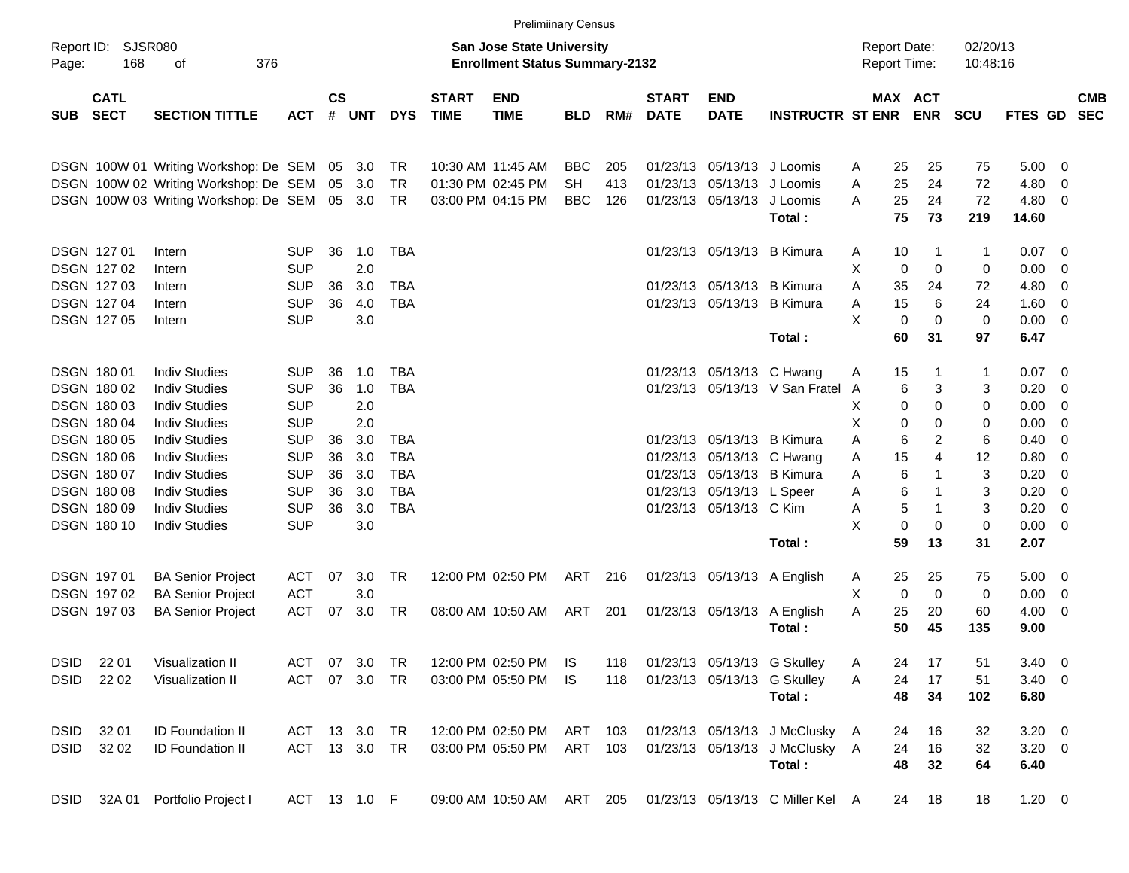|                     |                            |                                       |              |                |            |            |                             | <b>Prelimiinary Census</b>                                                |            |     |                             |                           |                                  |                                            |                            |                      |               |                |                          |
|---------------------|----------------------------|---------------------------------------|--------------|----------------|------------|------------|-----------------------------|---------------------------------------------------------------------------|------------|-----|-----------------------------|---------------------------|----------------------------------|--------------------------------------------|----------------------------|----------------------|---------------|----------------|--------------------------|
| Report ID:<br>Page: | <b>SJSR080</b><br>168      | 376<br>οf                             |              |                |            |            |                             | <b>San Jose State University</b><br><b>Enrollment Status Summary-2132</b> |            |     |                             |                           |                                  | <b>Report Date:</b><br><b>Report Time:</b> |                            | 02/20/13<br>10:48:16 |               |                |                          |
| <b>SUB</b>          | <b>CATL</b><br><b>SECT</b> | <b>SECTION TITTLE</b>                 | <b>ACT</b>   | <b>CS</b><br># | <b>UNT</b> | <b>DYS</b> | <b>START</b><br><b>TIME</b> | <b>END</b><br><b>TIME</b>                                                 | <b>BLD</b> | RM# | <b>START</b><br><b>DATE</b> | <b>END</b><br><b>DATE</b> | <b>INSTRUCTR ST ENR</b>          |                                            | MAX ACT<br><b>ENR</b>      | <b>SCU</b>           | FTES GD       |                | <b>CMB</b><br><b>SEC</b> |
|                     |                            | DSGN 100W 01 Writing Workshop: De SEM |              | 05             | 3.0        | TR         |                             | 10:30 AM 11:45 AM                                                         | <b>BBC</b> | 205 |                             | 01/23/13 05/13/13         | J Loomis                         | 25<br>A                                    | 25                         | 75                   | 5.00          | - 0            |                          |
|                     |                            | DSGN 100W 02 Writing Workshop: De SEM |              | 05             | 3.0        | <b>TR</b>  |                             | 01:30 PM 02:45 PM                                                         | <b>SH</b>  | 413 | 01/23/13                    | 05/13/13                  | J Loomis                         | 25<br>A                                    | 24                         | 72                   | 4.80          | 0              |                          |
|                     |                            | DSGN 100W 03 Writing Workshop: De SEM |              |                | 05 3.0     | <b>TR</b>  |                             | 03:00 PM 04:15 PM                                                         | <b>BBC</b> | 126 |                             | 01/23/13 05/13/13         | J Loomis<br>Total:               | 25<br>A<br>75                              | 24<br>73                   | 72<br>219            | 4.80<br>14.60 | 0              |                          |
|                     | <b>DSGN 12701</b>          | Intern                                | <b>SUP</b>   | 36             | 1.0        | <b>TBA</b> |                             |                                                                           |            |     |                             | 01/23/13 05/13/13         | <b>B</b> Kimura                  | 10<br>A                                    | -1                         | $\mathbf 1$          | 0.07          | 0              |                          |
|                     | <b>DSGN 12702</b>          | Intern                                | <b>SUP</b>   |                | 2.0        |            |                             |                                                                           |            |     |                             |                           |                                  | X<br>0                                     | $\mathbf 0$                | 0                    | 0.00          | $\mathbf 0$    |                          |
|                     | <b>DSGN 12703</b>          | Intern                                | <b>SUP</b>   | 36             | 3.0        | <b>TBA</b> |                             |                                                                           |            |     |                             | 01/23/13 05/13/13         | <b>B</b> Kimura                  | 35<br>A                                    | 24                         | 72                   | 4.80          | 0              |                          |
|                     | <b>DSGN 12704</b>          | Intern                                | <b>SUP</b>   | 36             | 4.0        | <b>TBA</b> |                             |                                                                           |            |     |                             | 01/23/13 05/13/13         | <b>B</b> Kimura                  | 15<br>A                                    | 6                          | 24                   | 1.60          | $\mathbf 0$    |                          |
|                     | DSGN 127 05                | Intern                                | <b>SUP</b>   |                | 3.0        |            |                             |                                                                           |            |     |                             |                           |                                  | X<br>$\mathbf 0$                           | 0                          | $\mathbf 0$          | 0.00          | 0              |                          |
|                     |                            |                                       |              |                |            |            |                             |                                                                           |            |     |                             |                           | Total:                           | 60                                         | 31                         | 97                   | 6.47          |                |                          |
|                     | <b>DSGN 18001</b>          | <b>Indiv Studies</b>                  | <b>SUP</b>   | 36             | 1.0        | <b>TBA</b> |                             |                                                                           |            |     |                             | 01/23/13 05/13/13 C Hwang |                                  | 15<br>Α                                    | -1                         | $\mathbf{1}$         | 0.07          | - 0            |                          |
|                     | <b>DSGN 18002</b>          | <b>Indiv Studies</b>                  | <b>SUP</b>   | 36             | 1.0        | <b>TBA</b> |                             |                                                                           |            |     |                             |                           | 01/23/13 05/13/13 V San Fratel   | A                                          | 6<br>3                     | 3                    | 0.20          | $\mathbf 0$    |                          |
|                     | DSGN 180 03                | <b>Indiv Studies</b>                  | <b>SUP</b>   |                | 2.0        |            |                             |                                                                           |            |     |                             |                           |                                  | Χ                                          | 0<br>0                     | 0                    | 0.00          | $\mathbf 0$    |                          |
|                     | <b>DSGN 18004</b>          | <b>Indiv Studies</b>                  | <b>SUP</b>   |                | 2.0        |            |                             |                                                                           |            |     |                             |                           |                                  | Χ                                          | 0<br>0                     | 0                    | 0.00          | $\mathbf 0$    |                          |
|                     | <b>DSGN 18005</b>          | <b>Indiv Studies</b>                  | <b>SUP</b>   | 36             | 3.0        | <b>TBA</b> |                             |                                                                           |            |     |                             | 01/23/13 05/13/13         | <b>B</b> Kimura                  | Α                                          | 6<br>2                     | 6                    | 0.40          | 0              |                          |
|                     | DSGN 180 06                | <b>Indiv Studies</b>                  | <b>SUP</b>   | 36             | 3.0        | <b>TBA</b> |                             |                                                                           |            |     |                             | 01/23/13 05/13/13         | C Hwang                          | 15<br>Α                                    | 4                          | 12                   | 0.80          | 0              |                          |
|                     | <b>DSGN 18007</b>          | <b>Indiv Studies</b>                  | <b>SUP</b>   | 36             | 3.0        | <b>TBA</b> |                             |                                                                           |            |     |                             | 01/23/13 05/13/13         | <b>B</b> Kimura                  | A                                          | 6<br>-1                    | 3                    | 0.20          | $\mathbf 0$    |                          |
|                     | <b>DSGN 18008</b>          | <b>Indiv Studies</b>                  | <b>SUP</b>   | 36             | 3.0        | <b>TBA</b> |                             |                                                                           |            |     |                             | 01/23/13 05/13/13         | L Speer                          | A                                          | 6<br>1                     | 3                    | 0.20          | $\mathbf 0$    |                          |
|                     | <b>DSGN 18009</b>          | <b>Indiv Studies</b>                  | <b>SUP</b>   | 36             | 3.0        | <b>TBA</b> |                             |                                                                           |            |     |                             | 01/23/13 05/13/13 C Kim   |                                  | A                                          | $\mathbf 5$<br>$\mathbf 1$ | 3                    | 0.20          | $\mathbf 0$    |                          |
|                     | DSGN 180 10                | <b>Indiv Studies</b>                  | <b>SUP</b>   |                | 3.0        |            |                             |                                                                           |            |     |                             |                           |                                  | X                                          | $\mathbf 0$<br>0           | $\mathbf 0$          | 0.00          | 0              |                          |
|                     |                            |                                       |              |                |            |            |                             |                                                                           |            |     |                             |                           | Total:                           | 59                                         | 13                         | 31                   | 2.07          |                |                          |
|                     | DSGN 197 01                | <b>BA Senior Project</b>              | <b>ACT</b>   | 07             | 3.0        | <b>TR</b>  |                             | 12:00 PM 02:50 PM                                                         | ART        | 216 |                             | 01/23/13 05/13/13         | A English                        | 25<br>A                                    | 25                         | 75                   | 5.00          | $\overline{0}$ |                          |
|                     | <b>DSGN 19702</b>          | <b>BA Senior Project</b>              | <b>ACT</b>   |                | 3.0        |            |                             |                                                                           |            |     |                             |                           |                                  | X<br>0                                     | 0                          | 0                    | 0.00          | 0              |                          |
|                     | <b>DSGN 19703</b>          | <b>BA Senior Project</b>              | <b>ACT</b>   | 07             | 3.0        | TR         |                             | 08:00 AM 10:50 AM                                                         | ART        | 201 |                             | 01/23/13 05/13/13         | A English                        | 25<br>A                                    | 20                         | 60                   | 4.00          | 0              |                          |
|                     |                            |                                       |              |                |            |            |                             |                                                                           |            |     |                             |                           | Total:                           | 50                                         | 45                         | 135                  | 9.00          |                |                          |
| <b>DSID</b>         | 22 01                      | Visualization II                      | ACT          | 07             | 3.0        | TR         |                             | 12:00 PM 02:50 PM IS                                                      |            | 118 |                             |                           | 01/23/13 05/13/13 G Skulley      | 24<br>Α                                    | 17                         | 51                   | $3.40 \ 0$    |                |                          |
| <b>DSID</b>         | 22 02                      | Visualization II                      | <b>ACT</b>   |                | 07 3.0     | TR         |                             | 03:00 PM 05:50 PM                                                         | - IS       | 118 |                             |                           | 01/23/13 05/13/13 G Skulley      | 24<br>Α                                    | 17                         | 51                   | $3.40 \ 0$    |                |                          |
|                     |                            |                                       |              |                |            |            |                             |                                                                           |            |     |                             |                           | Total:                           | 48                                         | 34                         | 102                  | 6.80          |                |                          |
| <b>DSID</b>         | 32 01                      | <b>ID Foundation II</b>               | ACT          |                | 13 3.0     | TR         |                             | 12:00 PM 02:50 PM ART 103                                                 |            |     |                             |                           | 01/23/13 05/13/13 J McClusky A   | 24                                         | 16                         | 32                   | $3.20 \ 0$    |                |                          |
| <b>DSID</b>         | 32 02                      | <b>ID Foundation II</b>               | ACT 13 3.0   |                |            | <b>TR</b>  |                             | 03:00 PM 05:50 PM ART 103                                                 |            |     |                             |                           | 01/23/13 05/13/13 J McClusky A   | 24                                         | 16                         | 32                   | $3.20 \ 0$    |                |                          |
|                     |                            |                                       |              |                |            |            |                             |                                                                           |            |     |                             |                           | Total:                           | 48                                         | 32                         | 64                   | 6.40          |                |                          |
| <b>DSID</b>         |                            | 32A 01 Portfolio Project I            | ACT 13 1.0 F |                |            |            |                             | 09:00 AM 10:50 AM ART 205                                                 |            |     |                             |                           | 01/23/13 05/13/13 C Miller Kel A | 24                                         | 18                         | 18                   | $1.20 \t 0$   |                |                          |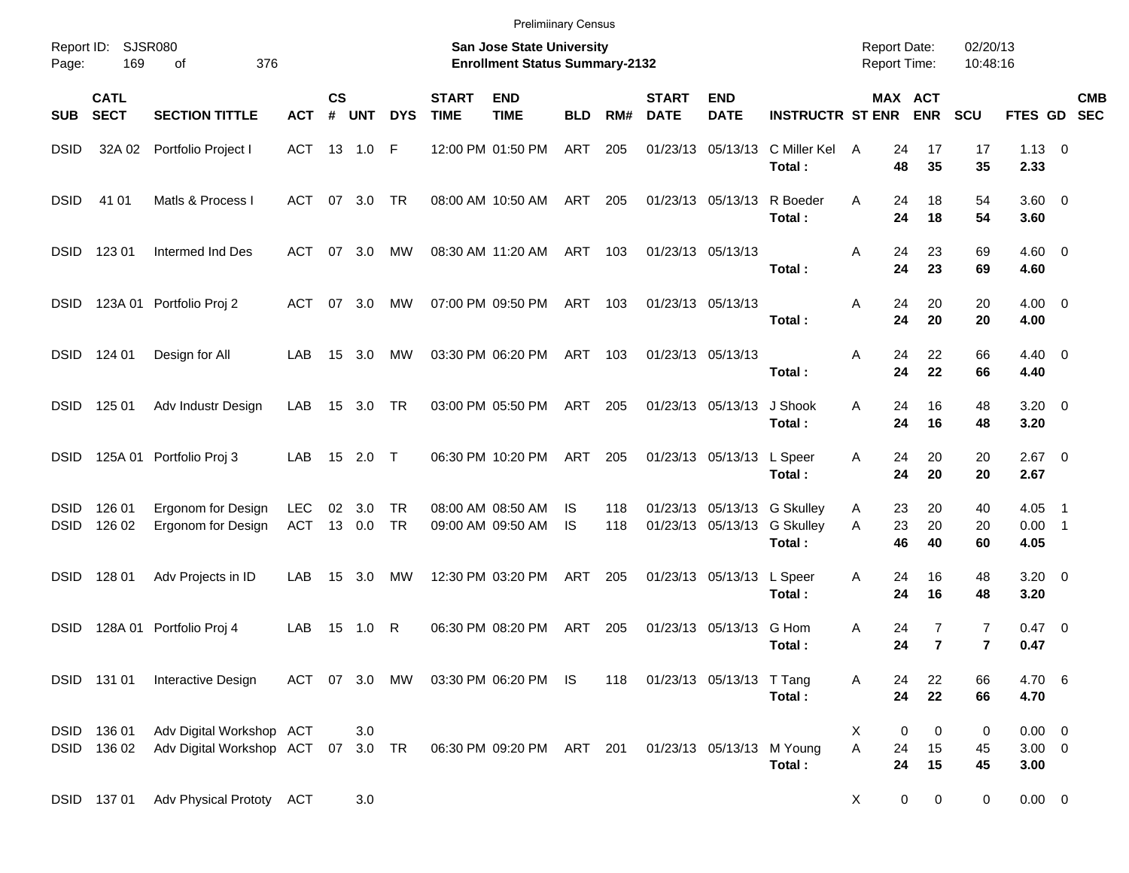| <b>Prelimiinary Census</b> |  |
|----------------------------|--|
|----------------------------|--|

| Report ID:<br>Page:        | 169                        | SJSR080<br>376<br>οf                                           |                          |                   |            |               |                             | <b>San Jose State University</b><br><b>Enrollment Status Summary-2132</b> |                 |            |                             |                           |                                                           | <b>Report Date:</b><br><b>Report Time:</b> |                |                     | 02/20/13<br>10:48:16             |                                   |                                                        |  |
|----------------------------|----------------------------|----------------------------------------------------------------|--------------------------|-------------------|------------|---------------|-----------------------------|---------------------------------------------------------------------------|-----------------|------------|-----------------------------|---------------------------|-----------------------------------------------------------|--------------------------------------------|----------------|---------------------|----------------------------------|-----------------------------------|--------------------------------------------------------|--|
| <b>SUB</b>                 | <b>CATL</b><br><b>SECT</b> | <b>SECTION TITTLE</b>                                          | <b>ACT</b>               | <b>CS</b><br>$\#$ | <b>UNT</b> | <b>DYS</b>    | <b>START</b><br><b>TIME</b> | <b>END</b><br><b>TIME</b>                                                 | <b>BLD</b>      | RM#        | <b>START</b><br><b>DATE</b> | <b>END</b><br><b>DATE</b> | <b>INSTRUCTR ST ENR</b>                                   |                                            | MAX ACT        | <b>ENR</b>          | <b>SCU</b>                       | FTES GD SEC                       | <b>CMB</b>                                             |  |
| DSID                       | 32A 02                     | Portfolio Project I                                            | ACT                      |                   | 13 1.0     | F             |                             | 12:00 PM 01:50 PM                                                         | <b>ART</b>      | 205        |                             | 01/23/13 05/13/13         | C Miller Kel<br>Total:                                    | A                                          | 24<br>48       | 17<br>35            | 17<br>35                         | $1.13 \ 0$<br>2.33                |                                                        |  |
| <b>DSID</b>                | 41 01                      | Matls & Process I                                              | ACT                      | 07                | 3.0        | TR            |                             | 08:00 AM 10:50 AM                                                         | ART             | 205        |                             | 01/23/13 05/13/13         | R Boeder<br>Total:                                        | A                                          | 24<br>24       | 18<br>18            | 54<br>54                         | $3.60 \ 0$<br>3.60                |                                                        |  |
| <b>DSID</b>                | 123 01                     | Intermed Ind Des                                               | <b>ACT</b>               | 07                | 3.0        | MW            |                             | 08:30 AM 11:20 AM                                                         | ART             | 103        | 01/23/13 05/13/13           |                           | Total:                                                    | Α                                          | 24<br>24       | 23<br>23            | 69<br>69                         | $4.60 \quad 0$<br>4.60            |                                                        |  |
| DSID                       |                            | 123A 01 Portfolio Proj 2                                       | ACT                      | 07                | 3.0        | MW            |                             | 07:00 PM 09:50 PM                                                         | ART             | 103        | 01/23/13 05/13/13           |                           | Total:                                                    | Α                                          | 24<br>24       | 20<br>20            | 20<br>20                         | $4.00 \ 0$<br>4.00                |                                                        |  |
| <b>DSID</b>                | 124 01                     | Design for All                                                 | LAB                      | 15                | 3.0        | MW            |                             | 03:30 PM 06:20 PM                                                         | ART             | 103        | 01/23/13 05/13/13           |                           | Total:                                                    | Α                                          | 24<br>24       | 22<br>22            | 66<br>66                         | $4.40 \quad 0$<br>4.40            |                                                        |  |
| <b>DSID</b>                | 125 01                     | Adv Industr Design                                             | LAB                      | 15                | 3.0        | TR            |                             | 03:00 PM 05:50 PM                                                         | ART             | 205        |                             | 01/23/13 05/13/13         | J Shook<br>Total:                                         | A                                          | 24<br>24       | 16<br>16            | 48<br>48                         | $3.20 \ 0$<br>3.20                |                                                        |  |
| DSID                       |                            | 125A 01 Portfolio Proj 3                                       | LAB                      | 15                | 2.0        | $\top$        |                             | 06:30 PM 10:20 PM                                                         | ART             | 205        |                             | 01/23/13 05/13/13         | L Speer<br>Total:                                         | A                                          | 24<br>24       | 20<br>20            | 20<br>20                         | $2.67$ 0<br>2.67                  |                                                        |  |
| DSID<br><b>DSID</b>        | 126 01<br>126 02           | Ergonom for Design<br>Ergonom for Design                       | <b>LEC</b><br><b>ACT</b> | 02<br>13          | 3.0<br>0.0 | TR<br>TR      |                             | 08:00 AM 08:50 AM<br>09:00 AM 09:50 AM                                    | 1S<br><b>IS</b> | 118<br>118 |                             | 01/23/13 05/13/13         | 01/23/13 05/13/13 G Skulley<br><b>G Skulley</b><br>Total: | A<br>A                                     | 23<br>23<br>46 | 20<br>20<br>40      | 40<br>20<br>60                   | 4.05<br>0.00<br>4.05              | $\overline{\phantom{1}}$<br>$\overline{\phantom{0}}$ 1 |  |
| <b>DSID</b>                | 128 01                     | Adv Projects in ID                                             | LAB                      | 15                | 3.0        | MW            |                             | 12:30 PM 03:20 PM                                                         | ART             | 205        |                             | 01/23/13 05/13/13         | L Speer<br>Total:                                         | Α                                          | 24<br>24       | 16<br>16            | 48<br>48                         | $3.20 \ 0$<br>3.20                |                                                        |  |
| DSID                       | 128A 01                    | Portfolio Proj 4                                               | LAB                      | 15                | 1.0        | R             |                             | 06:30 PM 08:20 PM                                                         | ART             | 205        |                             | 01/23/13 05/13/13         | G Hom<br>Total:                                           | Α                                          | 24<br>24       | 7<br>$\overline{7}$ | $\overline{7}$<br>$\overline{7}$ | $0.47 \quad 0$<br>0.47            |                                                        |  |
|                            |                            | DSID 131 01 Interactive Design                                 |                          |                   |            | ACT 07 3.0 MW |                             | 03:30 PM 06:20 PM IS                                                      |                 | 118        | 01/23/13 05/13/13 T Tang    |                           | Total:                                                    | Α                                          | 24<br>24       | 22<br>22            | 66<br>66                         | 4.70 6<br>4.70                    |                                                        |  |
| <b>DSID</b><br><b>DSID</b> | 136 01<br>136 02           | Adv Digital Workshop ACT<br>Adv Digital Workshop ACT 07 3.0 TR |                          |                   | 3.0        |               |                             | 06:30 PM 09:20 PM ART 201                                                 |                 |            |                             | 01/23/13 05/13/13 M Young | Total:                                                    | X<br>A                                     | 0<br>24<br>24  | 0<br>15<br>15       | 0<br>45<br>45                    | $0.00 \t 0$<br>$3.00 \ 0$<br>3.00 |                                                        |  |
|                            | DSID 137 01                | Adv Physical Prototy ACT                                       |                          |                   | 3.0        |               |                             |                                                                           |                 |            |                             |                           |                                                           | X                                          | 0              | 0                   | $\overline{0}$                   | $0.00 \t 0$                       |                                                        |  |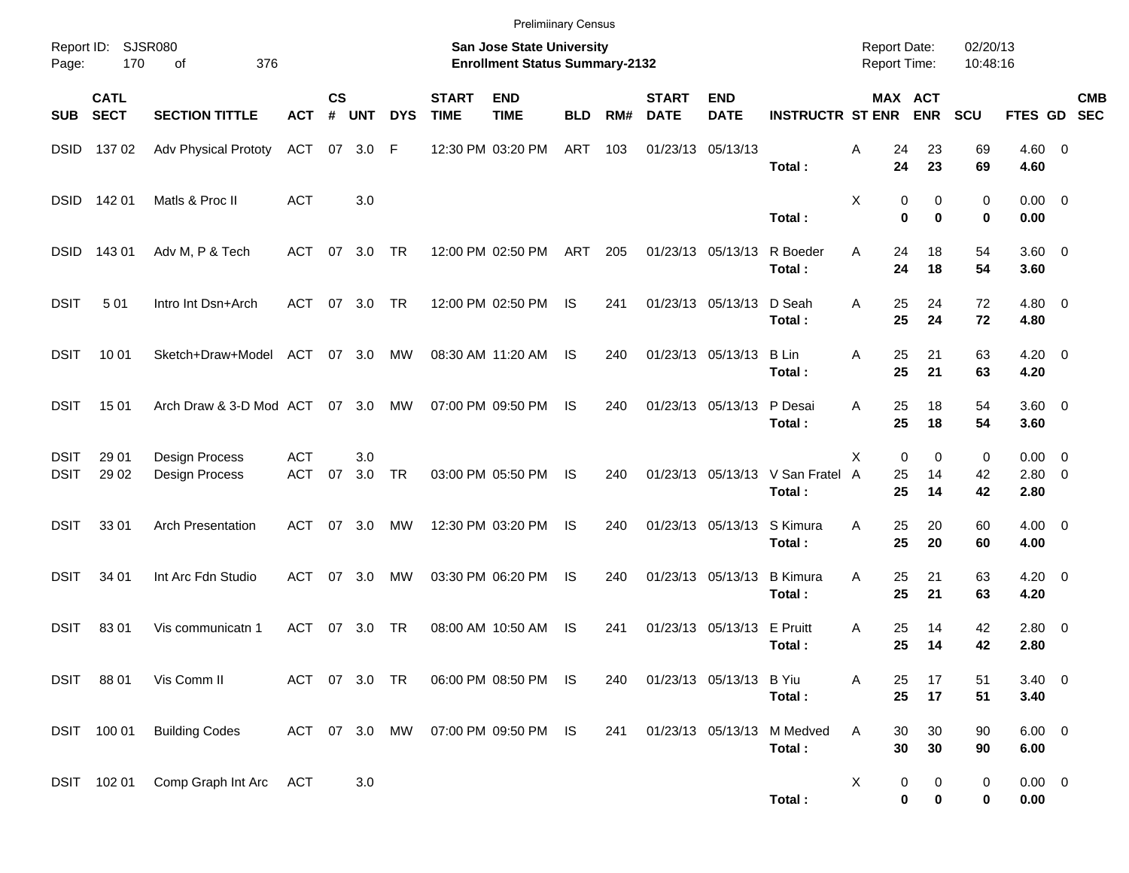|                            |                                        |                                  |                          |                    |            |               |                             | <b>Prelimiinary Census</b>                                         |            |     |                             |                           |                                          |                                     |                                      |                      |                                    |                           |
|----------------------------|----------------------------------------|----------------------------------|--------------------------|--------------------|------------|---------------|-----------------------------|--------------------------------------------------------------------|------------|-----|-----------------------------|---------------------------|------------------------------------------|-------------------------------------|--------------------------------------|----------------------|------------------------------------|---------------------------|
| Page:                      | Report ID: SJSR080<br>170<br>376<br>of |                                  |                          |                    |            |               |                             | San Jose State University<br><b>Enrollment Status Summary-2132</b> |            |     |                             |                           |                                          | <b>Report Date:</b><br>Report Time: |                                      | 02/20/13<br>10:48:16 |                                    |                           |
| <b>SUB</b>                 | <b>CATL</b><br><b>SECT</b>             | <b>SECTION TITTLE</b>            | <b>ACT</b>               | $\mathsf{cs}$<br># | <b>UNT</b> | <b>DYS</b>    | <b>START</b><br><b>TIME</b> | <b>END</b><br><b>TIME</b>                                          | <b>BLD</b> | RM# | <b>START</b><br><b>DATE</b> | <b>END</b><br><b>DATE</b> | <b>INSTRUCTR ST ENR</b>                  |                                     | MAX ACT<br><b>ENR</b>                | <b>SCU</b>           |                                    | <b>CMB</b><br>FTES GD SEC |
| <b>DSID</b>                | 137 02                                 | <b>Adv Physical Prototy</b>      | ACT                      | 07                 | 3.0        | F             |                             | 12:30 PM 03:20 PM                                                  | ART        | 103 |                             | 01/23/13 05/13/13         | Total:                                   | Α<br>24<br>24                       | 23<br>23                             | 69<br>69             | $4.60 \ 0$<br>4.60                 |                           |
| <b>DSID</b>                | 14201                                  | Matls & Proc II                  | <b>ACT</b>               |                    | 3.0        |               |                             |                                                                    |            |     |                             |                           | Total:                                   | Χ                                   | 0<br>0<br>0<br>$\bf{0}$              | 0<br>0               | $0.00 \t 0$<br>0.00                |                           |
| <b>DSID</b>                | 143 01                                 | Adv M, P & Tech                  | ACT                      | 07                 | 3.0        | <b>TR</b>     |                             | 12:00 PM 02:50 PM                                                  | ART        | 205 |                             | 01/23/13 05/13/13         | R Boeder<br>Total:                       | Α<br>24<br>24                       | 18<br>18                             | 54<br>54             | $3.60 \ 0$<br>3.60                 |                           |
| <b>DSIT</b>                | 501                                    | Intro Int Dsn+Arch               | ACT                      | 07                 | 3.0        | TR            |                             | 12:00 PM 02:50 PM                                                  | IS         | 241 |                             | 01/23/13 05/13/13         | D Seah<br>Total:                         | 25<br>Α<br>25                       | 24<br>24                             | 72<br>72             | $4.80$ 0<br>4.80                   |                           |
| <b>DSIT</b>                | 10 01                                  | Sketch+Draw+Model                | ACT 07 3.0               |                    |            | МW            |                             | 08:30 AM 11:20 AM                                                  | IS         | 240 |                             | 01/23/13 05/13/13         | <b>B</b> Lin<br>Total:                   | 25<br>Α<br>25                       | 21<br>21                             | 63<br>63             | $4.20 \ 0$<br>4.20                 |                           |
| <b>DSIT</b>                | 15 01                                  | Arch Draw & 3-D Mod ACT 07 3.0   |                          |                    |            | MW            |                             | 07:00 PM 09:50 PM                                                  | IS         | 240 |                             | 01/23/13 05/13/13         | P Desai<br>Total:                        | 25<br>Α<br>25                       | 18<br>18                             | 54<br>54             | $3.60 \ 0$<br>3.60                 |                           |
| <b>DSIT</b><br><b>DSIT</b> | 29 01<br>29 02                         | Design Process<br>Design Process | <b>ACT</b><br><b>ACT</b> | 07                 | 3.0<br>3.0 | TR            |                             | 03:00 PM 05:50 PM                                                  | <b>IS</b>  | 240 |                             |                           | 01/23/13 05/13/13 V San Fratel<br>Total: | X<br>25<br>A<br>25                  | $\mathbf 0$<br>0<br>14<br>14         | 0<br>42<br>42        | $0.00 \t 0$<br>$2.80 \t 0$<br>2.80 |                           |
| <b>DSIT</b>                | 33 01                                  | <b>Arch Presentation</b>         | ACT                      | 07                 | 3.0        | МW            |                             | 12:30 PM 03:20 PM                                                  | IS         | 240 |                             | 01/23/13 05/13/13         | S Kimura<br>Total:                       | 25<br>A<br>25                       | 20<br>20                             | 60<br>60             | $4.00 \ 0$<br>4.00                 |                           |
| <b>DSIT</b>                | 34 01                                  | Int Arc Fdn Studio               | ACT                      | 07                 | 3.0        | МW            |                             | 03:30 PM 06:20 PM                                                  | IS         | 240 |                             | 01/23/13 05/13/13         | <b>B</b> Kimura<br>Total:                | 25<br>A<br>25                       | 21<br>21                             | 63<br>63             | $4.20 \ 0$<br>4.20                 |                           |
| <b>DSIT</b>                | 8301                                   | Vis communicatn 1                | ACT                      | 07                 | 3.0        | TR            |                             | 08:00 AM 10:50 AM                                                  | IS         | 241 |                             | 01/23/13 05/13/13         | E Pruitt<br>Total:                       | 25<br>A<br>25                       | 14<br>14                             | 42<br>42             | $2.80 \t 0$<br>2.80                |                           |
|                            | DSIT 88 01                             | Vis Comm II                      |                          |                    |            | ACT 07 3.0 TR |                             | 06:00 PM 08:50 PM IS                                               |            | 240 |                             | 01/23/13 05/13/13 B Yiu   | Total:                                   | 25<br>Α<br>25                       | 17<br>17                             | 51<br>51             | $3.40 \ 0$<br>3.40                 |                           |
|                            | DSIT 100 01                            | <b>Building Codes</b>            |                          |                    |            |               |                             | ACT 07 3.0 MW 07:00 PM 09:50 PM IS                                 |            | 241 |                             | 01/23/13 05/13/13         | M Medved<br>Total:                       | Α<br>30<br>30                       | 30<br>30                             | 90<br>90             | $6.00 \t 0$<br>6.00                |                           |
|                            | DSIT 102 01                            | Comp Graph Int Arc ACT           |                          |                    | 3.0        |               |                             |                                                                    |            |     |                             |                           | Total:                                   | X                                   | 0<br>$\mathbf 0$<br>0<br>$\mathbf 0$ | 0<br>0               | $0.00 \t 0$<br>0.00                |                           |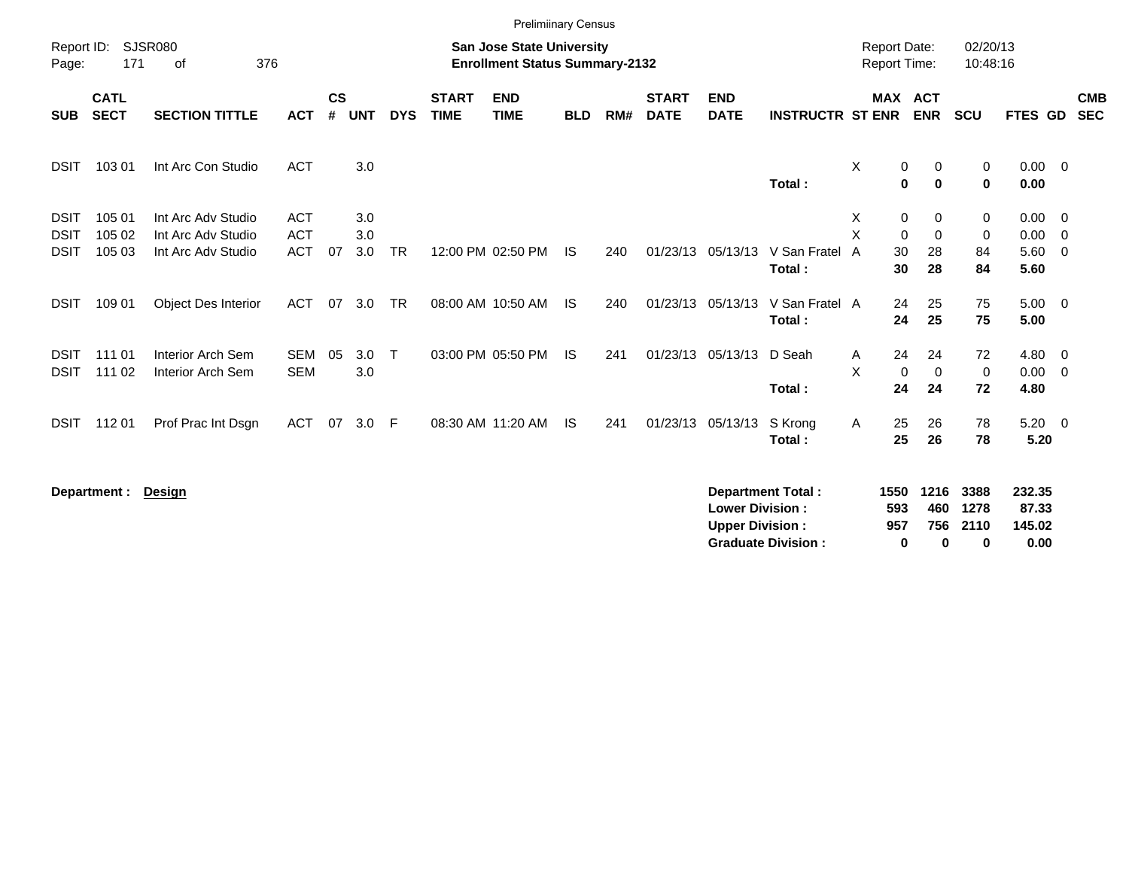|                                           |                            |                                                                |                                        |                    |                   |            |                             | <b>Prelimiinary Census</b>                                                |            |     |                             |                                                  |                                                       |                                     |                                   |                              |                              |                                              |                          |
|-------------------------------------------|----------------------------|----------------------------------------------------------------|----------------------------------------|--------------------|-------------------|------------|-----------------------------|---------------------------------------------------------------------------|------------|-----|-----------------------------|--------------------------------------------------|-------------------------------------------------------|-------------------------------------|-----------------------------------|------------------------------|------------------------------|----------------------------------------------|--------------------------|
| Report ID:<br>Page:                       | 171                        | SJSR080<br>376<br>οf                                           |                                        |                    |                   |            |                             | <b>San Jose State University</b><br><b>Enrollment Status Summary-2132</b> |            |     |                             |                                                  |                                                       | <b>Report Date:</b><br>Report Time: |                                   |                              | 02/20/13<br>10:48:16         |                                              |                          |
| <b>SUB</b>                                | <b>CATL</b><br><b>SECT</b> | <b>SECTION TITTLE</b>                                          | <b>ACT</b>                             | $\mathsf{cs}$<br># | <b>UNT</b>        | <b>DYS</b> | <b>START</b><br><b>TIME</b> | <b>END</b><br><b>TIME</b>                                                 | <b>BLD</b> | RM# | <b>START</b><br><b>DATE</b> | <b>END</b><br><b>DATE</b>                        | <b>INSTRUCTR ST ENR</b>                               |                                     |                                   | <b>MAX ACT</b><br><b>ENR</b> | <b>SCU</b>                   | FTES GD                                      | <b>CMB</b><br><b>SEC</b> |
| <b>DSIT</b>                               | 103 01                     | Int Arc Con Studio                                             | <b>ACT</b>                             |                    | 3.0               |            |                             |                                                                           |            |     |                             |                                                  | Total:                                                | X                                   | $\pmb{0}$<br>$\bf{0}$             | 0<br>$\bf{0}$                | 0<br>$\mathbf 0$             | $0.00 \t 0$<br>0.00                          |                          |
| <b>DSIT</b><br><b>DSIT</b><br><b>DSIT</b> | 105 01<br>105 02<br>105 03 | Int Arc Adv Studio<br>Int Arc Adv Studio<br>Int Arc Adv Studio | <b>ACT</b><br><b>ACT</b><br><b>ACT</b> | 07                 | 3.0<br>3.0<br>3.0 | <b>TR</b>  |                             | 12:00 PM 02:50 PM                                                         | <b>IS</b>  | 240 |                             | 01/23/13 05/13/13                                | V San Fratel<br>Total:                                | Χ<br>$\overline{X}$<br>A            | 0<br>$\mathbf 0$<br>30<br>30      | 0<br>$\mathbf 0$<br>28<br>28 | 0<br>$\mathbf 0$<br>84<br>84 | $0.00 \t 0$<br>$0.00 \t 0$<br>5.60 0<br>5.60 |                          |
| <b>DSIT</b>                               | 109 01                     | <b>Object Des Interior</b>                                     | <b>ACT</b>                             | 07                 | 3.0               | TR         |                             | 08:00 AM 10:50 AM                                                         | IS.        | 240 |                             | 01/23/13 05/13/13                                | V San Fratel A<br>Total:                              |                                     | 24<br>24                          | 25<br>25                     | 75<br>75                     | $5.00 \t 0$<br>5.00                          |                          |
| <b>DSIT</b><br><b>DSIT</b>                | 111 01<br>111 02           | Interior Arch Sem<br>Interior Arch Sem                         | <b>SEM</b><br><b>SEM</b>               | 05                 | 3.0<br>3.0        | $\top$     |                             | 03:00 PM 05:50 PM                                                         | IS.        | 241 |                             | 01/23/13 05/13/13                                | D Seah<br>Total:                                      | Α<br>X                              | 24<br>$\mathbf 0$<br>24           | 24<br>$\mathbf 0$<br>24      | 72<br>$\mathbf 0$<br>72      | 4.80 0<br>$0.00 \t 0$<br>4.80                |                          |
| <b>DSIT</b>                               | 11201                      | Prof Prac Int Dsgn                                             | <b>ACT</b>                             | 07                 | 3.0               | - F        |                             | 08:30 AM 11:20 AM                                                         | <b>IS</b>  | 241 |                             | 01/23/13 05/13/13                                | S Krong<br>Total:                                     | Α                                   | 25<br>25                          | 26<br>26                     | 78<br>78                     | $5.20 \ 0$<br>5.20                           |                          |
|                                           | Department :               | <b>Design</b>                                                  |                                        |                    |                   |            |                             |                                                                           |            |     |                             | <b>Lower Division:</b><br><b>Upper Division:</b> | <b>Department Total:</b><br><b>Graduate Division:</b> |                                     | 1550<br>593<br>957<br>$\mathbf 0$ | 1216<br>460<br>756<br>0      | 3388<br>1278<br>2110<br>0    | 232.35<br>87.33<br>145.02<br>0.00            |                          |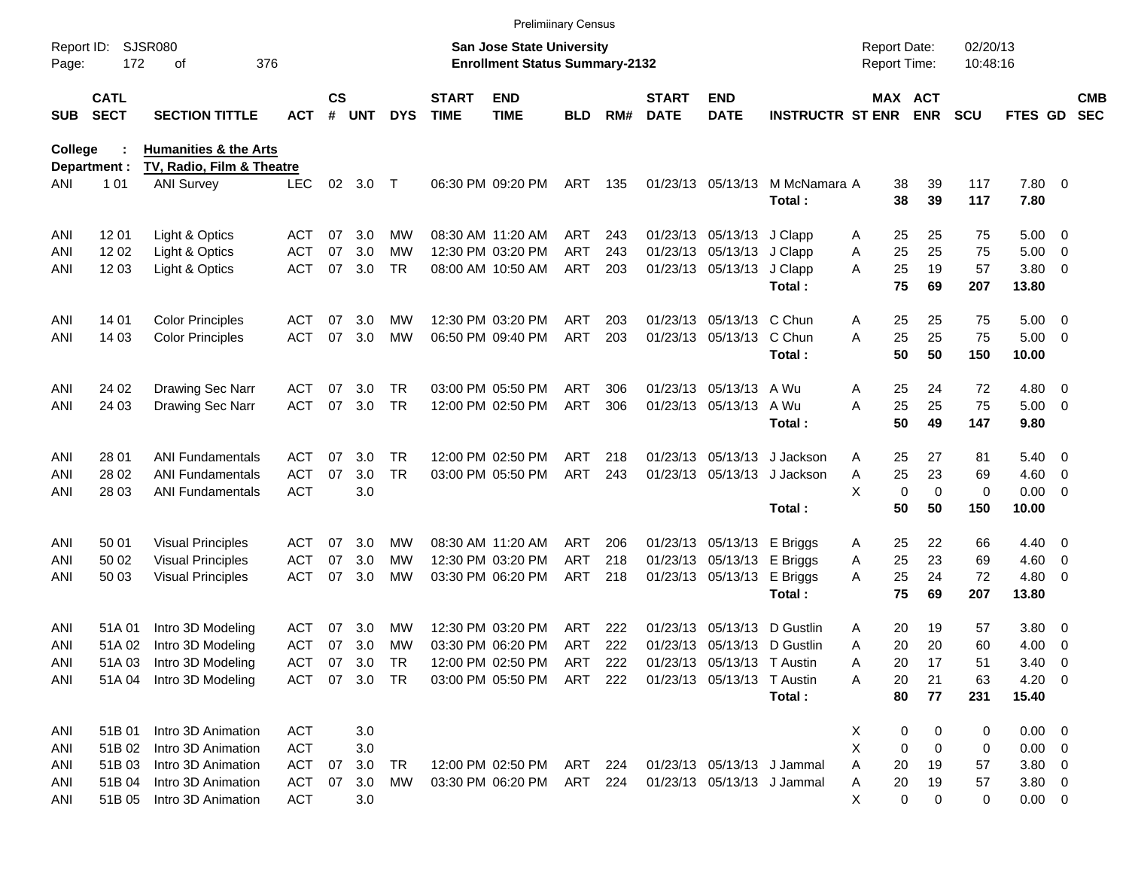|                     |                            |                                  |            |                    |            |            |                             | <b>Prelimiinary Census</b>                                                |            |       |                             |                             |                             |                                     |                       |                      |                 |                          |                          |
|---------------------|----------------------------|----------------------------------|------------|--------------------|------------|------------|-----------------------------|---------------------------------------------------------------------------|------------|-------|-----------------------------|-----------------------------|-----------------------------|-------------------------------------|-----------------------|----------------------|-----------------|--------------------------|--------------------------|
| Report ID:<br>Page: | 172                        | <b>SJSR080</b><br>376<br>οf      |            |                    |            |            |                             | <b>San Jose State University</b><br><b>Enrollment Status Summary-2132</b> |            |       |                             |                             |                             | <b>Report Date:</b><br>Report Time: |                       | 02/20/13<br>10:48:16 |                 |                          |                          |
| <b>SUB</b>          | <b>CATL</b><br><b>SECT</b> | <b>SECTION TITTLE</b>            | ACT        | $\mathsf{cs}$<br># | <b>UNT</b> | <b>DYS</b> | <b>START</b><br><b>TIME</b> | <b>END</b><br><b>TIME</b>                                                 | <b>BLD</b> | RM#   | <b>START</b><br><b>DATE</b> | <b>END</b><br><b>DATE</b>   | <b>INSTRUCTR ST ENR</b>     |                                     | MAX ACT<br><b>ENR</b> | <b>SCU</b>           | FTES GD         |                          | <b>CMB</b><br><b>SEC</b> |
| <b>College</b>      |                            | <b>Humanities &amp; the Arts</b> |            |                    |            |            |                             |                                                                           |            |       |                             |                             |                             |                                     |                       |                      |                 |                          |                          |
|                     | Department :               | TV, Radio, Film & Theatre        |            |                    |            |            |                             |                                                                           |            |       |                             |                             |                             |                                     |                       |                      |                 |                          |                          |
| ANI                 | 1 0 1                      | <b>ANI Survey</b>                | <b>LEC</b> | 02                 | 3.0        | $\top$     |                             | 06:30 PM 09:20 PM                                                         | ART        | 135   |                             | 01/23/13 05/13/13           | M McNamara A<br>Total:      | 38<br>38                            | 39<br>39              | 117<br>117           | 7.80 0<br>7.80  |                          |                          |
| ANI                 | 12 01                      | Light & Optics                   | ACT        | 07                 | 3.0        | МW         |                             | 08:30 AM 11:20 AM                                                         | ART        | 243   |                             | 01/23/13 05/13/13 J Clapp   |                             | 25<br>Α                             | 25                    | 75                   | $5.00 \t 0$     |                          |                          |
| ANI                 | 1202                       | Light & Optics                   | ACT        | 07                 | 3.0        | МW         |                             | 12:30 PM 03:20 PM                                                         | <b>ART</b> | 243   |                             | 01/23/13 05/13/13 J Clapp   |                             | 25<br>Α                             | 25                    | 75                   | 5.00            | $\overline{\phantom{0}}$ |                          |
| ANI                 | 12 03                      | Light & Optics                   | <b>ACT</b> | 07                 | 3.0        | TR.        |                             | 08:00 AM 10:50 AM                                                         | ART        | 203   |                             | 01/23/13 05/13/13 J Clapp   | Total:                      | A<br>25<br>75                       | 19<br>69              | 57<br>207            | 3.80 0<br>13.80 |                          |                          |
| ANI                 | 14 01                      | <b>Color Principles</b>          | ACT        | 07                 | 3.0        | МW         |                             | 12:30 PM 03:20 PM                                                         | ART        | 203   |                             | 01/23/13 05/13/13 C Chun    |                             | 25<br>Α                             | 25                    | 75                   | $5.00 \t 0$     |                          |                          |
| ANI                 | 14 03                      | <b>Color Principles</b>          | <b>ACT</b> | 07                 | 3.0        | MW         |                             | 06:50 PM 09:40 PM                                                         | ART        | 203   |                             | 01/23/13 05/13/13 C Chun    |                             | 25<br>A                             | 25                    | 75                   | $5.00 \t 0$     |                          |                          |
|                     |                            |                                  |            |                    |            |            |                             |                                                                           |            |       |                             |                             | Total:                      | 50                                  | 50                    | 150                  | 10.00           |                          |                          |
| ANI                 | 24 02                      | Drawing Sec Narr                 | ACT        | 07                 | 3.0        | TR         |                             | 03:00 PM 05:50 PM                                                         | <b>ART</b> | 306   |                             | 01/23/13 05/13/13           | A Wu                        | 25<br>Α                             | 24                    | 72                   | $4.80\ 0$       |                          |                          |
| ANI                 | 24 03                      | Drawing Sec Narr                 | <b>ACT</b> | 07                 | 3.0        | TR         |                             | 12:00 PM 02:50 PM                                                         | ART        | 306   |                             | 01/23/13 05/13/13 A Wu      |                             | 25<br>A                             | 25                    | 75                   | $5.00 \t 0$     |                          |                          |
|                     |                            |                                  |            |                    |            |            |                             |                                                                           |            |       |                             |                             | Total:                      | 50                                  | 49                    | 147                  | 9.80            |                          |                          |
| ANI                 | 28 01                      | <b>ANI Fundamentals</b>          | ACT        | 07                 | 3.0        | TR.        |                             | 12:00 PM 02:50 PM                                                         | ART        | 218   |                             | 01/23/13 05/13/13           | J Jackson                   | 25<br>Α                             | 27                    | 81                   | $5.40 \ 0$      |                          |                          |
| ANI                 | 28 02                      | <b>ANI Fundamentals</b>          | <b>ACT</b> | 07                 | 3.0        | <b>TR</b>  |                             | 03:00 PM 05:50 PM                                                         | ART        | 243   |                             |                             | 01/23/13 05/13/13 J Jackson | Α<br>25                             | 23                    | 69                   | $4.60$ 0        |                          |                          |
| ANI                 | 28 03                      | <b>ANI Fundamentals</b>          | <b>ACT</b> |                    | 3.0        |            |                             |                                                                           |            |       |                             |                             |                             | X<br>$\mathbf 0$                    | $\mathbf 0$           | 0                    | $0.00 \t 0$     |                          |                          |
|                     |                            |                                  |            |                    |            |            |                             |                                                                           |            |       |                             |                             | Total:                      | 50                                  | 50                    | 150                  | 10.00           |                          |                          |
| ANI                 | 50 01                      | <b>Visual Principles</b>         | ACT        | 07                 | 3.0        | МW         |                             | 08:30 AM 11:20 AM                                                         | ART        | 206   |                             | 01/23/13 05/13/13           | E Briggs                    | 25<br>Α                             | 22                    | 66                   | $4.40 \quad 0$  |                          |                          |
| ANI                 | 50 02                      | <b>Visual Principles</b>         | ACT        | 07                 | 3.0        | МW         |                             | 12:30 PM 03:20 PM                                                         | ART        | 218   |                             | 01/23/13 05/13/13 E Briggs  |                             | 25<br>Α                             | 23                    | 69                   | $4.60$ 0        |                          |                          |
| ANI                 | 50 03                      | <b>Visual Principles</b>         | <b>ACT</b> | 07                 | 3.0        | MW         |                             | 03:30 PM 06:20 PM                                                         | ART        | 218   |                             | 01/23/13 05/13/13           | E Briggs                    | A<br>25                             | 24                    | 72                   | $4.80\ 0$       |                          |                          |
|                     |                            |                                  |            |                    |            |            |                             |                                                                           |            |       |                             |                             | Total:                      | 75                                  | 69                    | 207                  | 13.80           |                          |                          |
| ANI                 | 51A 01                     | Intro 3D Modeling                | ACT        | 07                 | 3.0        | МW         |                             | 12:30 PM 03:20 PM                                                         | ART        | 222   |                             | 01/23/13 05/13/13           | D Gustlin                   | 20<br>A                             | 19                    | 57                   | 3.80 0          |                          |                          |
| ANI                 | 51A 02                     | Intro 3D Modeling                | ACT        | 07                 | 3.0        | MW         |                             | 03:30 PM 06:20 PM                                                         | ART        | 222   |                             | 01/23/13 05/13/13 D Gustlin |                             | 20<br>Α                             | 20                    | 60                   | 4.00            | $\overline{\phantom{0}}$ |                          |
| <b>ANI</b>          | 51A 03                     | Intro 3D Modeling                | <b>ACT</b> | 07                 | 3.0        | <b>TR</b>  |                             | 12:00 PM 02:50 PM                                                         | ART        | 222   |                             | 01/23/13 05/13/13 T Austin  |                             | 20<br>Α                             | 17                    | 51                   | 3.40            | $\overline{\phantom{0}}$ |                          |
| ANI                 | 51A 04                     | Intro 3D Modeling                | ACT        |                    | 07 3.0     | TR         |                             | 03:00 PM 05:50 PM                                                         | ART 222    |       |                             | 01/23/13 05/13/13 T Austin  |                             | 20<br>A                             | 21                    | 63                   | $4.20 \ 0$      |                          |                          |
|                     |                            |                                  |            |                    |            |            |                             |                                                                           |            |       |                             |                             | Total:                      | 80                                  | 77                    | 231                  | 15.40           |                          |                          |
| ANI                 | 51B 01                     | Intro 3D Animation               | <b>ACT</b> |                    | 3.0        |            |                             |                                                                           |            |       |                             |                             |                             | 0<br>X.                             | 0                     | 0                    | $0.00 \t 0$     |                          |                          |
| ANI                 | 51B 02                     | Intro 3D Animation               | <b>ACT</b> |                    | 3.0        |            |                             |                                                                           |            |       |                             |                             |                             | Χ<br>0                              | 0                     | 0                    | $0.00 \t 0$     |                          |                          |
| ANI                 | 51B 03                     | Intro 3D Animation               | ACT        | 07                 | 3.0        | TR         |                             | 12:00 PM 02:50 PM                                                         | ART        | - 224 |                             | 01/23/13 05/13/13 J Jammal  |                             | Α<br>20                             | 19                    | 57                   | $3.80\ 0$       |                          |                          |
| ANI                 | 51B 04                     | Intro 3D Animation               | ACT        | 07                 | 3.0        | МW         |                             | 03:30 PM 06:20 PM                                                         | ART 224    |       |                             | 01/23/13 05/13/13 J Jammal  |                             | 20<br>A                             | 19                    | 57                   | $3.80\ 0$       |                          |                          |
| ANI                 | 51B 05                     | Intro 3D Animation               | <b>ACT</b> |                    | 3.0        |            |                             |                                                                           |            |       |                             |                             |                             | X.<br>0                             | 0                     | 0                    | $0.00 \t 0$     |                          |                          |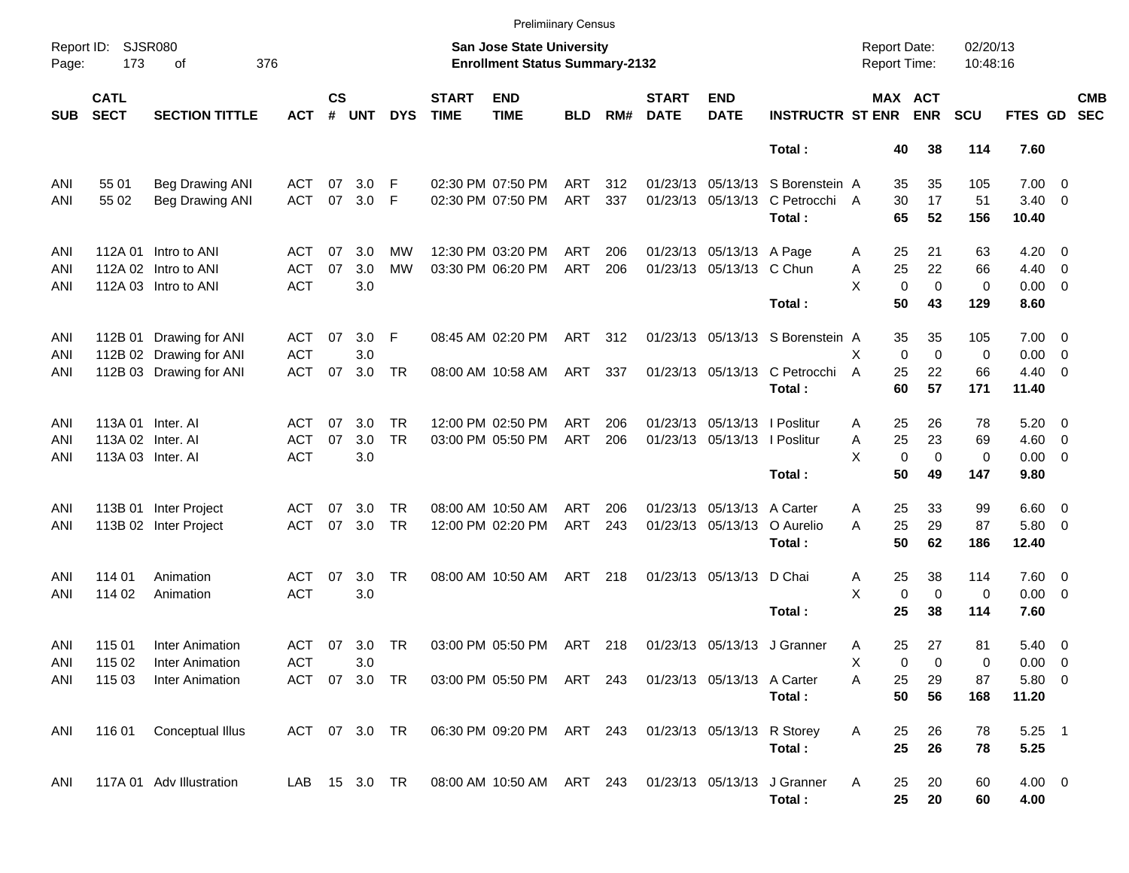|                     |                            |                             |            |                    |               |            |                             | <b>Prelimiinary Census</b>                                                |            |     |                             |                              |                                  |                                     |                            |                      |                |                          |
|---------------------|----------------------------|-----------------------------|------------|--------------------|---------------|------------|-----------------------------|---------------------------------------------------------------------------|------------|-----|-----------------------------|------------------------------|----------------------------------|-------------------------------------|----------------------------|----------------------|----------------|--------------------------|
| Report ID:<br>Page: | 173                        | <b>SJSR080</b><br>οf<br>376 |            |                    |               |            |                             | <b>San Jose State University</b><br><b>Enrollment Status Summary-2132</b> |            |     |                             |                              |                                  | <b>Report Date:</b><br>Report Time: |                            | 02/20/13<br>10:48:16 |                |                          |
| <b>SUB</b>          | <b>CATL</b><br><b>SECT</b> | <b>SECTION TITTLE</b>       | <b>ACT</b> | $\mathsf{cs}$<br># | <b>UNT</b>    | <b>DYS</b> | <b>START</b><br><b>TIME</b> | <b>END</b><br><b>TIME</b>                                                 | <b>BLD</b> | RM# | <b>START</b><br><b>DATE</b> | <b>END</b><br><b>DATE</b>    | <b>INSTRUCTR ST ENR</b>          |                                     | MAX ACT<br><b>ENR</b>      | <b>SCU</b>           | FTES GD        | <b>CMB</b><br><b>SEC</b> |
|                     |                            |                             |            |                    |               |            |                             |                                                                           |            |     |                             |                              | Total:                           |                                     | 38<br>40                   | 114                  | 7.60           |                          |
| ANI                 | 55 01                      | <b>Beg Drawing ANI</b>      | ACT        | 07                 | 3.0           | F          |                             | 02:30 PM 07:50 PM                                                         | ART        | 312 |                             |                              | 01/23/13 05/13/13 S Borenstein A |                                     | 35<br>35                   | 105                  | $7.00 \t 0$    |                          |
| ANI                 | 55 02                      | <b>Beg Drawing ANI</b>      | <b>ACT</b> | 07                 | 3.0           | F          |                             | 02:30 PM 07:50 PM                                                         | ART        | 337 |                             | 01/23/13 05/13/13            | C Petrocchi A                    |                                     | 30<br>17                   | 51                   | $3.40 \ 0$     |                          |
|                     |                            |                             |            |                    |               |            |                             |                                                                           |            |     |                             |                              | Total:                           |                                     | 65<br>52                   | 156                  | 10.40          |                          |
| ANI                 |                            | 112A 01 Intro to ANI        | ACT        | 07                 | 3.0           | <b>MW</b>  |                             | 12:30 PM 03:20 PM                                                         | ART        | 206 |                             | 01/23/13 05/13/13 A Page     |                                  | A                                   | 25<br>21                   | 63                   | $4.20 \ 0$     |                          |
| ANI                 |                            | 112A 02 Intro to ANI        | ACT        | 07                 | 3.0           | <b>MW</b>  |                             | 03:30 PM 06:20 PM                                                         | ART        | 206 |                             | 01/23/13 05/13/13 C Chun     |                                  | Α                                   | 25<br>22                   | 66                   | $4.40 \ 0$     |                          |
| ANI                 |                            | 112A 03 Intro to ANI        | <b>ACT</b> |                    | 3.0           |            |                             |                                                                           |            |     |                             |                              |                                  | X                                   | $\mathbf 0$<br>$\mathbf 0$ | $\mathbf 0$          | $0.00 \t 0$    |                          |
|                     |                            |                             |            |                    |               |            |                             |                                                                           |            |     |                             |                              | Total:                           |                                     | 50<br>43                   | 129                  | 8.60           |                          |
| ANI                 |                            | 112B 01 Drawing for ANI     | ACT        | 07                 | 3.0           | F          |                             | 08:45 AM 02:20 PM                                                         | ART 312    |     |                             |                              | 01/23/13 05/13/13 S Borenstein A |                                     | 35<br>35                   | 105                  | $7.00 \t 0$    |                          |
| ANI                 |                            | 112B 02 Drawing for ANI     | <b>ACT</b> |                    | 3.0           |            |                             |                                                                           |            |     |                             |                              |                                  | X                                   | $\mathbf 0$<br>$\mathbf 0$ | 0                    | $0.00 \t 0$    |                          |
| ANI                 |                            | 112B 03 Drawing for ANI     | <b>ACT</b> | 07                 | 3.0           | <b>TR</b>  |                             | 08:00 AM 10:58 AM                                                         | ART        | 337 |                             |                              | 01/23/13 05/13/13 C Petrocchi    | $\overline{A}$                      | 22<br>25                   | 66                   | $4.40 \quad 0$ |                          |
|                     |                            |                             |            |                    |               |            |                             |                                                                           |            |     |                             |                              | Total:                           |                                     | 60<br>57                   | 171                  | 11.40          |                          |
| ANI                 | 113A 01 Inter. AI          |                             | ACT        | 07                 | 3.0           | <b>TR</b>  |                             | 12:00 PM 02:50 PM                                                         | ART        | 206 |                             | 01/23/13 05/13/13   Poslitur |                                  | A                                   | 26<br>25                   | 78                   | $5.20 \ 0$     |                          |
| ANI                 | 113A 02 Inter. Al          |                             | <b>ACT</b> | 07                 | 3.0           | <b>TR</b>  |                             | 03:00 PM 05:50 PM                                                         | ART        | 206 |                             | 01/23/13 05/13/13   Poslitur |                                  | Α                                   | 25<br>23                   | 69                   | $4.60$ 0       |                          |
| ANI                 | 113A 03 Inter. Al          |                             | <b>ACT</b> |                    | 3.0           |            |                             |                                                                           |            |     |                             |                              |                                  | X                                   | $\mathbf 0$<br>$\mathbf 0$ | 0                    | $0.00 \t 0$    |                          |
|                     |                            |                             |            |                    |               |            |                             |                                                                           |            |     |                             |                              | Total:                           |                                     | 50<br>49                   | 147                  | 9.80           |                          |
| ANI                 |                            | 113B 01 Inter Project       | ACT        | 07                 | 3.0           | TR.        |                             | 08:00 AM 10:50 AM                                                         | ART        | 206 |                             | 01/23/13 05/13/13            | A Carter                         | A                                   | 33<br>25                   | 99                   | $6.60$ 0       |                          |
| ANI                 |                            | 113B 02 Inter Project       | <b>ACT</b> | 07                 | 3.0           | <b>TR</b>  |                             | 12:00 PM 02:20 PM                                                         | ART        | 243 |                             | 01/23/13 05/13/13            | O Aurelio                        | A                                   | 25<br>29                   | 87                   | 5.80 0         |                          |
|                     |                            |                             |            |                    |               |            |                             |                                                                           |            |     |                             |                              | Total:                           |                                     | 50<br>62                   | 186                  | 12.40          |                          |
| ANI                 | 114 01                     | Animation                   | ACT        | 07                 | 3.0           | <b>TR</b>  |                             | 08:00 AM 10:50 AM                                                         | ART        | 218 |                             | 01/23/13 05/13/13 D Chai     |                                  | A                                   | 38<br>25                   | 114                  | 7.60 0         |                          |
| ANI                 | 114 02                     | Animation                   | <b>ACT</b> |                    | 3.0           |            |                             |                                                                           |            |     |                             |                              |                                  | X                                   | 0<br>$\mathbf 0$           | 0                    | $0.00 \t 0$    |                          |
|                     |                            |                             |            |                    |               |            |                             |                                                                           |            |     |                             |                              | Total:                           |                                     | 25<br>38                   | 114                  | 7.60           |                          |
| ANI                 | 115 01                     | Inter Animation             | ACT        | 07                 | 3.0           | TR         |                             | 03:00 PM 05:50 PM                                                         | ART 218    |     |                             |                              | 01/23/13 05/13/13 J Granner      | Α                                   | 27<br>25                   | 81                   | $5.40 \ 0$     |                          |
| ANI                 | 115 02                     | <b>Inter Animation</b>      | <b>ACT</b> |                    | 3.0           |            |                             |                                                                           |            |     |                             |                              |                                  | х                                   | 0<br>0                     | 0                    | $0.00 \t 0$    |                          |
| ANI                 | 115 03                     | Inter Animation             |            |                    | ACT 07 3.0 TR |            |                             | 03:00 PM 05:50 PM ART 243 01/23/13 05/13/13 A Carter                      |            |     |                             |                              |                                  | Α                                   | 25<br>29                   | 87                   | 5.80 0         |                          |
|                     |                            |                             |            |                    |               |            |                             |                                                                           |            |     |                             |                              | Total:                           |                                     | 50<br>56                   | 168                  | 11.20          |                          |
| ANI                 | 116 01                     | Conceptual Illus            |            |                    | ACT 07 3.0 TR |            |                             | 06:30 PM 09:20 PM ART 243 01/23/13 05/13/13 R Storey                      |            |     |                             |                              |                                  | A                                   | 26<br>25                   | 78                   | $5.25$ 1       |                          |
|                     |                            |                             |            |                    |               |            |                             |                                                                           |            |     |                             |                              | Total:                           |                                     | 25<br>26                   | 78                   | 5.25           |                          |
| ANI                 |                            | 117A 01 Adv Illustration    |            |                    | LAB 15 3.0 TR |            |                             | 08:00 AM 10:50 AM ART 243 01/23/13 05/13/13 J Granner                     |            |     |                             |                              |                                  | A                                   | 20<br>25                   | 60                   | $4.00 \ 0$     |                          |
|                     |                            |                             |            |                    |               |            |                             |                                                                           |            |     |                             |                              | Total:                           |                                     | 25<br>20                   | 60                   | 4.00           |                          |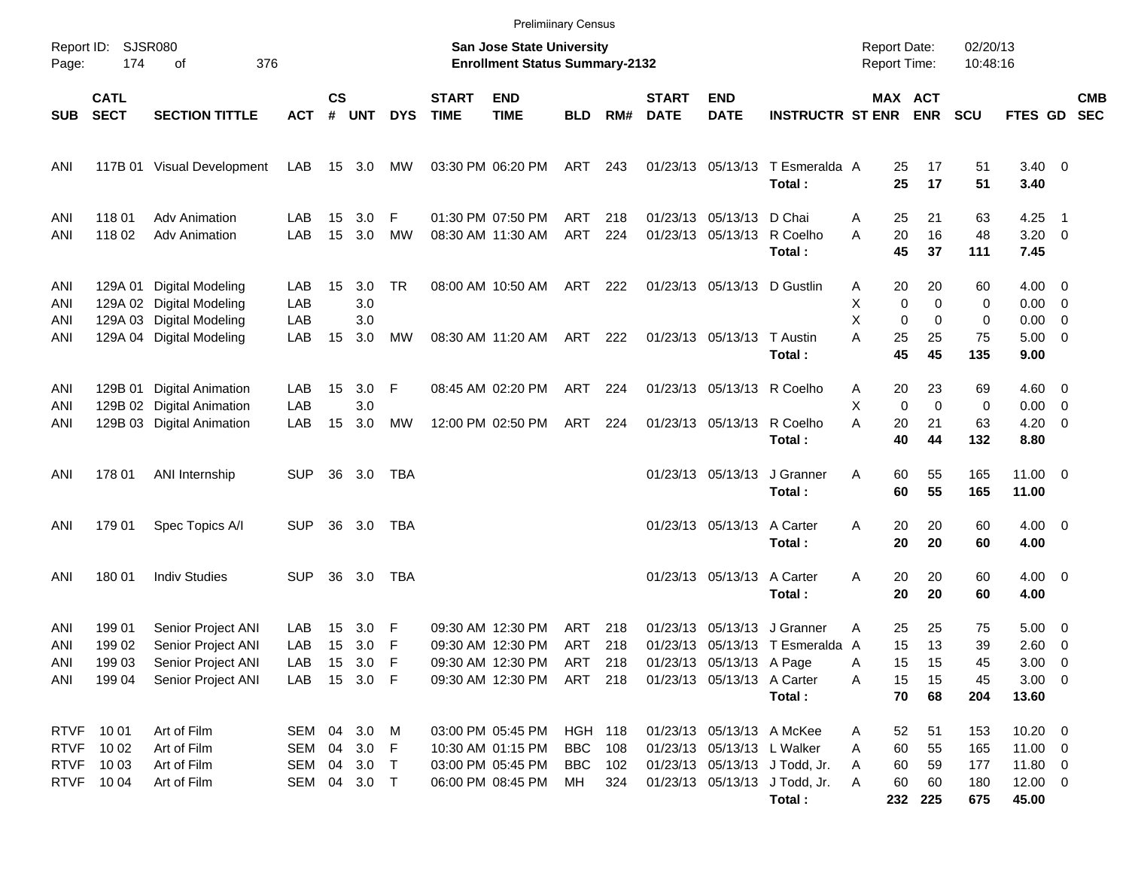|                   |                                        |                                                                                  |                   |                    |                   |                |                             | <b>Prelimiinary Census</b>                                         |                |            |                             |                                               |                                           |                                            |                                                   |                      |                                          |                          |            |
|-------------------|----------------------------------------|----------------------------------------------------------------------------------|-------------------|--------------------|-------------------|----------------|-----------------------------|--------------------------------------------------------------------|----------------|------------|-----------------------------|-----------------------------------------------|-------------------------------------------|--------------------------------------------|---------------------------------------------------|----------------------|------------------------------------------|--------------------------|------------|
| Page:             | Report ID: SJSR080<br>376<br>174<br>of |                                                                                  |                   |                    |                   |                |                             | San Jose State University<br><b>Enrollment Status Summary-2132</b> |                |            |                             |                                               |                                           | <b>Report Date:</b><br><b>Report Time:</b> |                                                   | 02/20/13<br>10:48:16 |                                          |                          |            |
| <b>SUB</b>        | <b>CATL</b><br><b>SECT</b>             | <b>SECTION TITTLE</b>                                                            | <b>ACT</b>        | $\mathsf{cs}$<br># | <b>UNT</b>        | <b>DYS</b>     | <b>START</b><br><b>TIME</b> | <b>END</b><br><b>TIME</b>                                          | <b>BLD</b>     | RM#        | <b>START</b><br><b>DATE</b> | <b>END</b><br><b>DATE</b>                     | <b>INSTRUCTR ST ENR</b>                   |                                            | MAX ACT<br><b>ENR</b>                             | <b>SCU</b>           | FTES GD SEC                              |                          | <b>CMB</b> |
| ANI               |                                        | 117B 01 Visual Development                                                       | LAB               |                    | 15 3.0            | MW             |                             | 03:30 PM 06:20 PM                                                  | ART 243        |            |                             |                                               | 01/23/13 05/13/13 T Esmeralda A<br>Total: | 25<br>25                                   | 17<br>17                                          | 51<br>51             | $3.40 \ 0$<br>3.40                       |                          |            |
| ANI<br>ANI        | 118 01<br>11802                        | <b>Adv Animation</b><br><b>Adv Animation</b>                                     | LAB<br>LAB        | 15<br>15           | 3.0<br>3.0        | F<br><b>MW</b> |                             | 01:30 PM 07:50 PM<br>08:30 AM 11:30 AM                             | ART<br>ART     | 218<br>224 |                             | 01/23/13 05/13/13 D Chai<br>01/23/13 05/13/13 | R Coelho<br>Total:                        | 25<br>A<br>20<br>A<br>45                   | 21<br>16<br>37                                    | 63<br>48<br>111      | 4.25<br>$3.20 \ 0$<br>7.45               | $\overline{\phantom{1}}$ |            |
| ANI<br>ANI<br>ANI |                                        | 129A 01 Digital Modeling<br>129A 02 Digital Modeling<br>129A 03 Digital Modeling | LAB<br>LAB<br>LAB | 15                 | 3.0<br>3.0<br>3.0 | <b>TR</b>      |                             | 08:00 AM 10:50 AM                                                  | ART            | 222        |                             | 01/23/13 05/13/13 D Gustlin                   |                                           | 20<br>A<br>X<br>X                          | 20<br>$\mathbf 0$<br>$\mathbf 0$<br>0<br>$\Omega$ | 60<br>0<br>0         | $4.00 \ 0$<br>$0.00 \t 0$<br>$0.00 \t 0$ |                          |            |
| ANI               |                                        | 129A 04 Digital Modeling                                                         | LAB               | 15                 | 3.0               | MW             |                             | 08:30 AM 11:20 AM                                                  | ART 222        |            |                             | 01/23/13 05/13/13 T Austin                    | Total:                                    | A<br>25<br>45                              | 25<br>45                                          | 75<br>135            | $5.00 \t 0$<br>9.00                      |                          |            |
| ANI<br>ANI        |                                        | 129B 01 Digital Animation<br>129B 02 Digital Animation                           | LAB<br>LAB        | 15                 | 3.0<br>3.0        | F              |                             | 08:45 AM 02:20 PM                                                  | ART            | 224        |                             | 01/23/13 05/13/13 R Coelho                    |                                           | 20<br>A<br>X                               | 23<br>$\mathbf 0$<br>$\Omega$                     | 69<br>0              | $4.60$ 0<br>$0.00 \t 0$                  |                          |            |
| ANI               |                                        | 129B 03 Digital Animation                                                        | LAB               | 15                 | 3.0               | MW             |                             | 12:00 PM 02:50 PM                                                  | ART            | 224        |                             | 01/23/13 05/13/13                             | R Coelho<br>Total:                        | A<br>20<br>40                              | 21<br>44                                          | 63<br>132            | $4.20 \ 0$<br>8.80                       |                          |            |
| ANI               | 178 01                                 | ANI Internship                                                                   | <b>SUP</b>        |                    | 36 3.0            | TBA            |                             |                                                                    |                |            |                             | 01/23/13 05/13/13                             | J Granner<br>Total:                       | 60<br>A<br>60                              | 55<br>55                                          | 165<br>165           | $11.00 \t 0$<br>11.00                    |                          |            |
| ANI               | 179 01                                 | Spec Topics A/I                                                                  | <b>SUP</b>        | 36                 | 3.0               | TBA            |                             |                                                                    |                |            |                             | 01/23/13 05/13/13 A Carter                    | Total:                                    | 20<br>A<br>20                              | 20<br>20                                          | 60<br>60             | $4.00 \ 0$<br>4.00                       |                          |            |
| ANI               | 180 01                                 | <b>Indiv Studies</b>                                                             | <b>SUP</b>        | 36                 | 3.0               | <b>TBA</b>     |                             |                                                                    |                |            |                             | 01/23/13 05/13/13 A Carter                    | Total:                                    | A<br>20<br>20                              | 20<br>20                                          | 60<br>60             | $4.00 \ 0$<br>4.00                       |                          |            |
| ANI               | 199 01                                 | Senior Project ANI                                                               | LAB               | 15                 | 3.0               | F              |                             | 09:30 AM 12:30 PM                                                  | ART            | 218        |                             |                                               | 01/23/13 05/13/13 J Granner               | 25<br>Α                                    | 25                                                | 75                   | $5.00 \quad 0$                           |                          |            |
| ANI               | 199 02                                 | Senior Project ANI                                                               | LAB               | 15                 | 3.0               | F              |                             | 09:30 AM 12:30 PM                                                  | ART            | 218        |                             |                                               | 01/23/13 05/13/13 T Esmeralda A           | 15                                         | 13                                                | 39                   | 2.60 0                                   |                          |            |
| ANI               | 19903                                  | Senior Project ANI                                                               | LAB               |                    | 15 3.0 F          |                |                             | 09:30 AM 12:30 PM ART 218                                          |                |            |                             | 01/23/13 05/13/13 A Page                      |                                           | 15<br>A                                    | 15                                                | 45                   | $3.00 \ 0$                               |                          |            |
| ANI               | 19904                                  | Senior Project ANI                                                               | LAB               |                    | 15 3.0 F          |                |                             | 09:30 AM 12:30 PM                                                  | ART 218        |            |                             | 01/23/13 05/13/13 A Carter                    |                                           | 15<br>A                                    | 15                                                | 45                   | $3.00 \ 0$                               |                          |            |
|                   |                                        |                                                                                  |                   |                    |                   |                |                             |                                                                    |                |            |                             |                                               | Total:                                    | 70                                         | 68                                                | 204                  | 13.60                                    |                          |            |
| <b>RTVF</b>       | 10 01                                  | Art of Film                                                                      | SEM 04 3.0 M      |                    |                   |                |                             | 03:00 PM 05:45 PM                                                  | <b>HGH 118</b> |            |                             | 01/23/13 05/13/13 A McKee                     |                                           | 52<br>A                                    | 51                                                | 153                  | $10.20 \t 0$                             |                          |            |
| <b>RTVF</b>       | 10 02                                  | Art of Film                                                                      | SEM               |                    | 04 3.0 F          |                |                             | 10:30 AM 01:15 PM                                                  | <b>BBC</b>     | 108        |                             | 01/23/13 05/13/13 L Walker                    |                                           | 60<br>A                                    | 55                                                | 165                  | 11.00 0                                  |                          |            |
| <b>RTVF</b>       | 10 03                                  | Art of Film                                                                      | SEM               |                    | 04 3.0 T          |                |                             | 03:00 PM 05:45 PM                                                  | <b>BBC</b>     | 102        |                             |                                               | 01/23/13 05/13/13 J Todd, Jr.             | 60<br>A                                    | 59                                                | 177                  | $11.80 \t 0$                             |                          |            |
| <b>RTVF</b>       | 10 04                                  | Art of Film                                                                      | SEM 04 3.0 T      |                    |                   |                |                             | 06:00 PM 08:45 PM                                                  | МH             | 324        |                             |                                               | 01/23/13 05/13/13 J Todd, Jr.             | 60<br>A                                    | 60                                                | 180                  | $12.00 \t 0$                             |                          |            |
|                   |                                        |                                                                                  |                   |                    |                   |                |                             |                                                                    |                |            |                             |                                               | Total:                                    |                                            | 232 225                                           | 675                  | 45.00                                    |                          |            |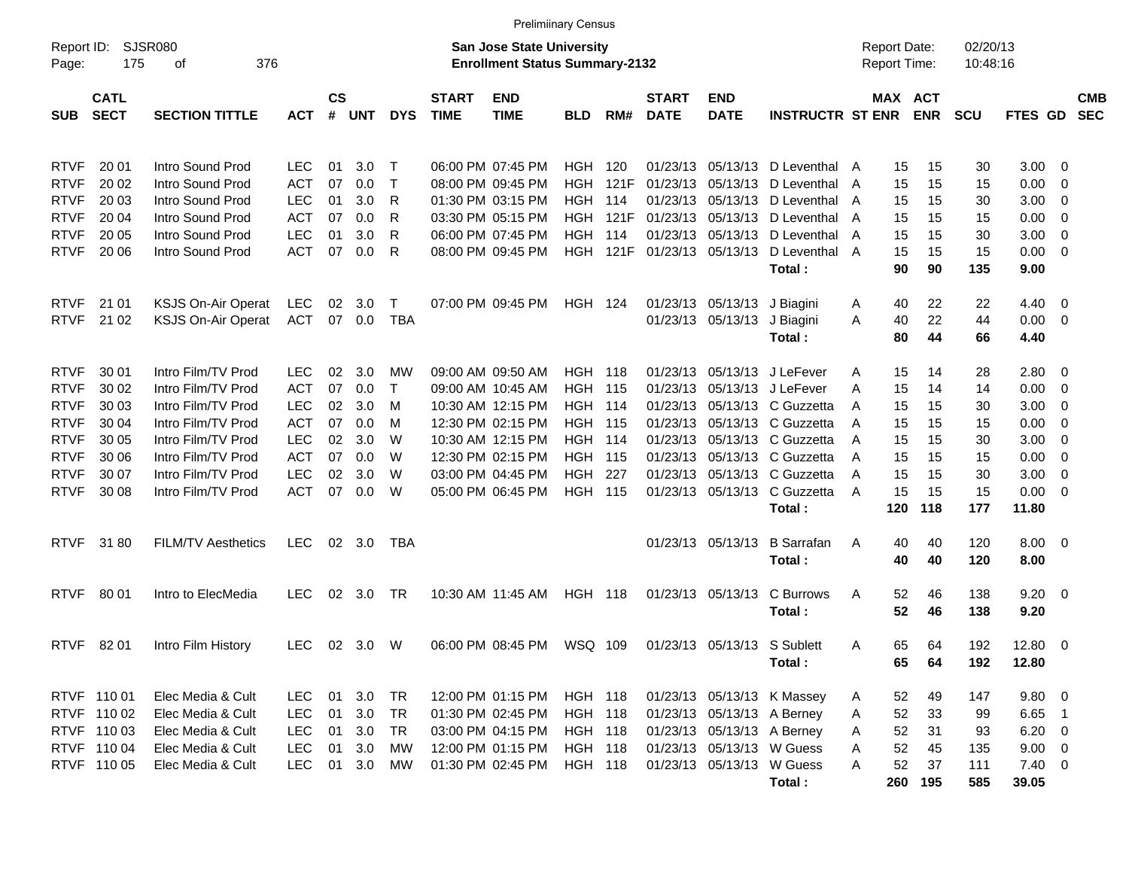|                     |                            |                                        |            |                |                |              |                             | <b>Prelimiinary Census</b>                                                |                    |                 |                             |                             |                                                          |                                            |                       |                      |                     |                          |                          |
|---------------------|----------------------------|----------------------------------------|------------|----------------|----------------|--------------|-----------------------------|---------------------------------------------------------------------------|--------------------|-----------------|-----------------------------|-----------------------------|----------------------------------------------------------|--------------------------------------------|-----------------------|----------------------|---------------------|--------------------------|--------------------------|
| Report ID:<br>Page: | 175                        | SJSR080<br>376<br>оf                   |            |                |                |              |                             | <b>San Jose State University</b><br><b>Enrollment Status Summary-2132</b> |                    |                 |                             |                             |                                                          | <b>Report Date:</b><br><b>Report Time:</b> |                       | 02/20/13<br>10:48:16 |                     |                          |                          |
| <b>SUB</b>          | <b>CATL</b><br><b>SECT</b> | <b>SECTION TITTLE</b>                  | <b>ACT</b> | <b>CS</b><br># | UNT            | <b>DYS</b>   | <b>START</b><br><b>TIME</b> | <b>END</b><br><b>TIME</b>                                                 | <b>BLD</b>         | RM#             | <b>START</b><br><b>DATE</b> | <b>END</b><br><b>DATE</b>   | <b>INSTRUCTR ST ENR</b>                                  |                                            | MAX ACT<br><b>ENR</b> | <b>SCU</b>           | FTES GD             |                          | <b>CMB</b><br><b>SEC</b> |
| <b>RTVF</b>         | 20 01                      | Intro Sound Prod                       | LEC        | 01             | 3.0            | Т            |                             | 06:00 PM 07:45 PM                                                         | HGH                | 120             | 01/23/13                    |                             | 05/13/13 D Leventhal                                     | 15<br>A                                    | 15                    | 30                   | $3.00 \ 0$          |                          |                          |
| <b>RTVF</b>         | 20 02                      | Intro Sound Prod                       | <b>ACT</b> | 07             | 0.0            | $\mathsf{T}$ |                             | 08:00 PM 09:45 PM                                                         | HGH.               | 121F            | 01/23/13                    |                             | 05/13/13 D Leventhal                                     | 15<br>A                                    | 15                    | 15                   | 0.00                | $\overline{\mathbf{0}}$  |                          |
| <b>RTVF</b>         | 20 03                      | Intro Sound Prod                       | <b>LEC</b> | 01             | 3.0            | R            |                             | 01:30 PM 03:15 PM                                                         | HGH.               | 114             | 01/23/13                    |                             | 05/13/13 D Leventhal                                     | 15<br>A                                    | 15                    | 30                   | 3.00                | $\overline{\mathbf{0}}$  |                          |
| <b>RTVF</b>         | 20 04                      | Intro Sound Prod                       | <b>ACT</b> | 07             | 0.0            | R            |                             | 03:30 PM 05:15 PM                                                         |                    | <b>HGH 121F</b> | 01/23/13                    |                             | 05/13/13 D Leventhal                                     | 15<br>A                                    | 15                    | 15                   | 0.00                | $\overline{\mathbf{0}}$  |                          |
| <b>RTVF</b>         | 20 05                      | Intro Sound Prod                       | <b>LEC</b> | 01             | 3.0            | R            |                             | 06:00 PM 07:45 PM                                                         | HGH                | 114             |                             |                             | 01/23/13 05/13/13 D Leventhal                            | 15<br>A                                    | 15                    | 30                   | 3.00                | $\overline{\mathbf{0}}$  |                          |
| <b>RTVF</b>         | 20 06                      | Intro Sound Prod                       | <b>ACT</b> | 07             | 0.0            | R            |                             | 08:00 PM 09:45 PM                                                         |                    | <b>HGH 121F</b> |                             | 01/23/13 05/13/13           | D Leventhal                                              | 15<br>A                                    | 15                    | 15                   | $0.00 \t 0$         |                          |                          |
|                     |                            |                                        |            |                |                |              |                             |                                                                           |                    |                 |                             |                             | Total:                                                   | 90                                         | 90                    | 135                  | 9.00                |                          |                          |
| <b>RTVF</b>         | 21 01                      | <b>KSJS On-Air Operat</b>              | LEC        | 02             | 3.0            | Т            |                             | 07:00 PM 09:45 PM                                                         | <b>HGH 124</b>     |                 |                             | 01/23/13 05/13/13 J Biagini |                                                          | 40<br>A                                    | 22                    | 22                   | $4.40 \ 0$          |                          |                          |
| <b>RTVF</b>         | 21 02                      | <b>KSJS On-Air Operat</b>              | <b>ACT</b> |                | 07 0.0         | <b>TBA</b>   |                             |                                                                           |                    |                 |                             | 01/23/13 05/13/13           | J Biagini                                                | 40<br>A                                    | 22                    | 44                   | $0.00 \t 0$         |                          |                          |
|                     |                            |                                        |            |                |                |              |                             |                                                                           |                    |                 |                             |                             | Total:                                                   | 80                                         | 44                    | 66                   | 4.40                |                          |                          |
|                     |                            |                                        |            |                |                |              |                             |                                                                           |                    |                 |                             |                             |                                                          |                                            |                       |                      |                     |                          |                          |
| <b>RTVF</b>         | 30 01                      | Intro Film/TV Prod                     | <b>LEC</b> | 02             | 3.0            | МW           |                             | 09:00 AM 09:50 AM                                                         | <b>HGH 118</b>     |                 | 01/23/13                    |                             | 05/13/13 J LeFever                                       | 15<br>Α                                    | 14                    | 28                   | 2.80 0              |                          |                          |
| <b>RTVF</b>         | 30 02                      | Intro Film/TV Prod                     | <b>ACT</b> | 07             | 0.0            | $\mathsf{T}$ |                             | 09:00 AM 10:45 AM                                                         | <b>HGH 115</b>     |                 | 01/23/13                    |                             | 05/13/13 J LeFever                                       | 15<br>A                                    | 14                    | 14                   | 0.00                | $\overline{\phantom{0}}$ |                          |
| <b>RTVF</b>         | 30 03                      | Intro Film/TV Prod                     | <b>LEC</b> | 02             | 3.0            | M            |                             | 10:30 AM 12:15 PM                                                         | <b>HGH 114</b>     |                 | 01/23/13                    |                             | 05/13/13 C Guzzetta                                      | 15<br>A                                    | 15                    | 30                   | 3.00                | $\overline{\phantom{0}}$ |                          |
| <b>RTVF</b>         | 30 04                      | Intro Film/TV Prod                     | <b>ACT</b> | 07             | 0.0            | M            |                             | 12:30 PM 02:15 PM                                                         | <b>HGH 115</b>     |                 | 01/23/13                    |                             | 05/13/13 C Guzzetta                                      | 15<br>A                                    | 15                    | 15                   | 0.00                | $\overline{\phantom{0}}$ |                          |
| <b>RTVF</b>         | 30 05                      | Intro Film/TV Prod                     | <b>LEC</b> | 02             | 3.0            | W            |                             | 10:30 AM 12:15 PM                                                         | <b>HGH 114</b>     |                 | 01/23/13                    |                             | 05/13/13 C Guzzetta                                      | 15<br>A                                    | 15                    | 30                   | 3.00                | $\overline{\phantom{0}}$ |                          |
| <b>RTVF</b>         | 30 06                      | Intro Film/TV Prod                     | <b>ACT</b> | 07             | 0.0            | W            |                             | 12:30 PM 02:15 PM                                                         | <b>HGH 115</b>     |                 |                             |                             | 01/23/13 05/13/13 C Guzzetta                             | 15<br>A                                    | 15                    | 15                   | 0.00                | $\overline{\mathbf{0}}$  |                          |
| <b>RTVF</b>         | 30 07                      | Intro Film/TV Prod                     | <b>LEC</b> | 02             | 3.0            | W            |                             | 03:00 PM 04:45 PM                                                         | <b>HGH</b>         | 227             | 01/23/13                    |                             | 05/13/13 C Guzzetta                                      | 15<br>A                                    | 15                    | 30                   | 3.00                | $\overline{\phantom{0}}$ |                          |
| <b>RTVF</b>         | 30 08                      | Intro Film/TV Prod                     | <b>ACT</b> | 07             | 0.0            | W            |                             | 05:00 PM 06:45 PM                                                         | <b>HGH 115</b>     |                 |                             |                             | 01/23/13 05/13/13 C Guzzetta                             | 15<br>A                                    | 15                    | 15                   | $0.00 \t 0$         |                          |                          |
|                     |                            |                                        |            |                |                |              |                             |                                                                           |                    |                 |                             |                             | Total:                                                   | 120                                        | 118                   | 177                  | 11.80               |                          |                          |
| <b>RTVF</b>         | 3180                       | <b>FILM/TV Aesthetics</b>              | <b>LEC</b> |                | $02 \quad 3.0$ | TBA          |                             |                                                                           |                    |                 |                             | 01/23/13 05/13/13           | <b>B</b> Sarrafan<br>Total:                              | 40<br>A<br>40                              | 40<br>40              | 120<br>120           | $8.00 \t 0$<br>8.00 |                          |                          |
| <b>RTVF</b>         | 80 01                      | Intro to ElecMedia                     | <b>LEC</b> | 02             | 3.0            | TR           |                             | 10:30 AM 11:45 AM                                                         | <b>HGH 118</b>     |                 |                             | 01/23/13 05/13/13           | C Burrows<br>Total:                                      | 52<br>Α<br>52                              | 46<br>46              | 138<br>138           | $9.20 \ 0$<br>9.20  |                          |                          |
| <b>RTVF</b>         | 82 01                      | Intro Film History                     | LEC        | 02             | 3.0            | W            |                             | 06:00 PM 08:45 PM                                                         | WSQ 109            |                 |                             | 01/23/13 05/13/13 S Sublett | Total:                                                   | 65<br>A<br>65                              | 64<br>64              | 192<br>192           | 12.80 0<br>12.80    |                          |                          |
|                     | RTVF 110 01                |                                        |            |                | 01 3.0         |              |                             |                                                                           |                    |                 |                             |                             |                                                          |                                            |                       |                      | 9.80 0              |                          |                          |
|                     | RTVF 110 02                | Elec Media & Cult<br>Elec Media & Cult | LEC<br>LEC | 01             | 3.0            | TR<br>TR     |                             | 12:00 PM 01:15 PM<br>01:30 PM 02:45 PM                                    | HGH 118<br>HGH 118 |                 |                             |                             | 01/23/13 05/13/13 K Massey<br>01/23/13 05/13/13 A Berney | 52<br>A<br>52<br>A                         | 49<br>33              | 147<br>99            | $6.65$ 1            |                          |                          |
|                     | RTVF 110 03                | Elec Media & Cult                      | LEC        |                | 01 3.0         | TR           |                             | 03:00 PM 04:15 PM                                                         | <b>HGH 118</b>     |                 |                             |                             | 01/23/13 05/13/13 A Berney                               | 52<br>A                                    | 31                    | 93                   | $6.20\ 0$           |                          |                          |
|                     | RTVF 110 04                | Elec Media & Cult                      | LEC        | 01             | 3.0            | MW           |                             | 12:00 PM 01:15 PM                                                         | <b>HGH 118</b>     |                 |                             | 01/23/13 05/13/13 W Guess   |                                                          | 52<br>A                                    | 45                    | 135                  | $9.00 \t 0$         |                          |                          |
|                     | RTVF 110 05                | Elec Media & Cult                      | LEC        |                | 01 3.0         | МW           |                             | 01:30 PM 02:45 PM                                                         | <b>HGH 118</b>     |                 |                             | 01/23/13 05/13/13 W Guess   |                                                          | 52<br>A                                    | 37                    | 111                  | $7.40 \ 0$          |                          |                          |
|                     |                            |                                        |            |                |                |              |                             |                                                                           |                    |                 |                             |                             | Total:                                                   |                                            | 260 195               | 585                  | 39.05               |                          |                          |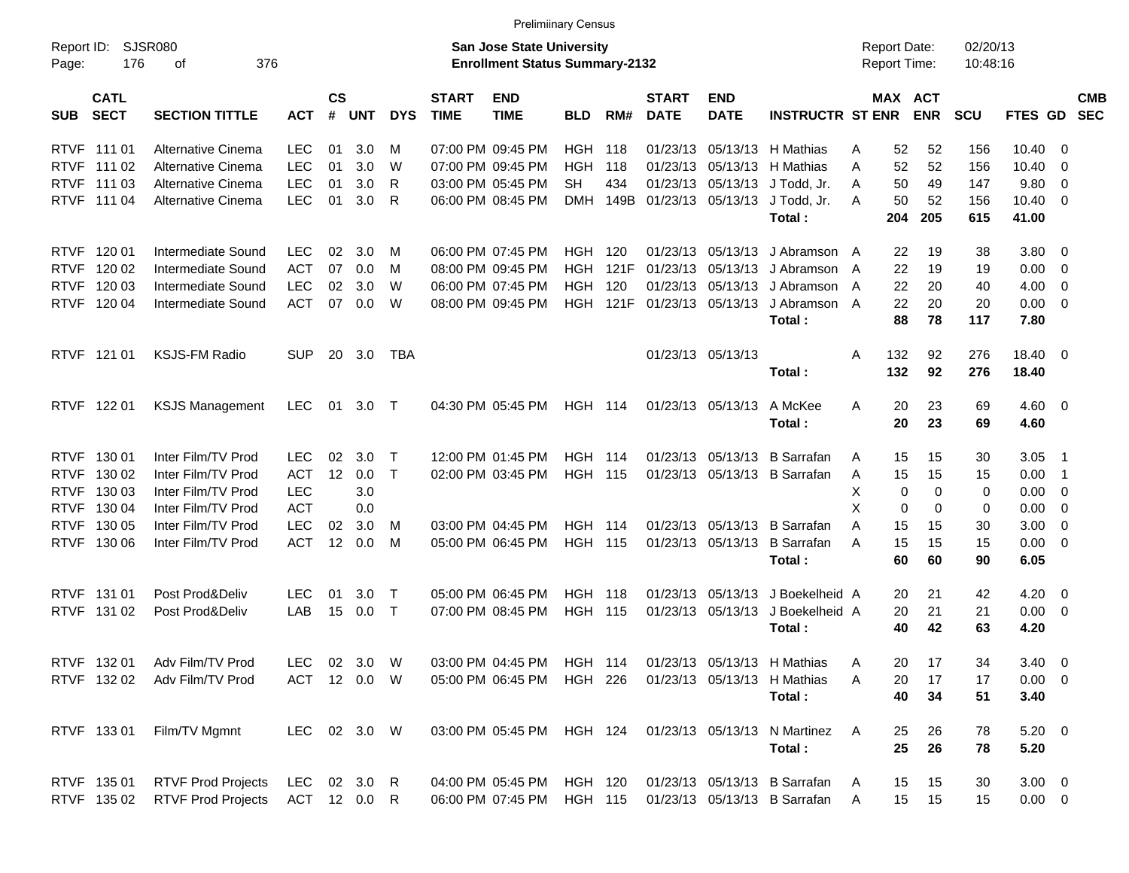| οf                        |                                                                                                                                                                                   |                                                                     |                 |                                                     |                                                                                                                       |                           |                                                                                                                                                                                                                                                                                                                                                                                        |                                        |                                                                                                                                                                                                                                                                                                               |                                                              |                                           |                                                                                                                                                                                                                                                                                                                                                                                                                                                                                                                                   |                                                                                                                                                        |                                                                                                                                                                                                                                                                                                                            |                                                                   |                                                              |                                                                                                                                                                                                                                                                                    |
|---------------------------|-----------------------------------------------------------------------------------------------------------------------------------------------------------------------------------|---------------------------------------------------------------------|-----------------|-----------------------------------------------------|-----------------------------------------------------------------------------------------------------------------------|---------------------------|----------------------------------------------------------------------------------------------------------------------------------------------------------------------------------------------------------------------------------------------------------------------------------------------------------------------------------------------------------------------------------------|----------------------------------------|---------------------------------------------------------------------------------------------------------------------------------------------------------------------------------------------------------------------------------------------------------------------------------------------------------------|--------------------------------------------------------------|-------------------------------------------|-----------------------------------------------------------------------------------------------------------------------------------------------------------------------------------------------------------------------------------------------------------------------------------------------------------------------------------------------------------------------------------------------------------------------------------------------------------------------------------------------------------------------------------|--------------------------------------------------------------------------------------------------------------------------------------------------------|----------------------------------------------------------------------------------------------------------------------------------------------------------------------------------------------------------------------------------------------------------------------------------------------------------------------------|-------------------------------------------------------------------|--------------------------------------------------------------|------------------------------------------------------------------------------------------------------------------------------------------------------------------------------------------------------------------------------------------------------------------------------------|
| <b>SECTION TITTLE</b>     | <b>ACT</b>                                                                                                                                                                        | #                                                                   |                 | <b>DYS</b>                                          | <b>START</b><br><b>TIME</b>                                                                                           | <b>END</b><br><b>TIME</b> | <b>BLD</b>                                                                                                                                                                                                                                                                                                                                                                             | RM#                                    | <b>START</b><br><b>DATE</b>                                                                                                                                                                                                                                                                                   | <b>END</b><br><b>DATE</b>                                    |                                           |                                                                                                                                                                                                                                                                                                                                                                                                                                                                                                                                   |                                                                                                                                                        | <b>SCU</b>                                                                                                                                                                                                                                                                                                                 |                                                                   |                                                              | <b>CMB</b>                                                                                                                                                                                                                                                                         |
| Alternative Cinema        | <b>LEC</b>                                                                                                                                                                        | 01                                                                  | 3.0             | M                                                   |                                                                                                                       |                           |                                                                                                                                                                                                                                                                                                                                                                                        | 118                                    | 01/23/13                                                                                                                                                                                                                                                                                                      |                                                              |                                           | A                                                                                                                                                                                                                                                                                                                                                                                                                                                                                                                                 | 52                                                                                                                                                     | 156                                                                                                                                                                                                                                                                                                                        | 10.40                                                             | - 0                                                          |                                                                                                                                                                                                                                                                                    |
| Alternative Cinema        | <b>LEC</b>                                                                                                                                                                        | 01                                                                  | 3.0             | W                                                   |                                                                                                                       |                           | <b>HGH</b>                                                                                                                                                                                                                                                                                                                                                                             | 118                                    | 01/23/13                                                                                                                                                                                                                                                                                                      |                                                              |                                           | A                                                                                                                                                                                                                                                                                                                                                                                                                                                                                                                                 | 52                                                                                                                                                     | 156                                                                                                                                                                                                                                                                                                                        | 10.40                                                             | - 0                                                          |                                                                                                                                                                                                                                                                                    |
| Alternative Cinema        | <b>LEC</b>                                                                                                                                                                        | 01                                                                  | 3.0             | R                                                   |                                                                                                                       |                           | <b>SH</b>                                                                                                                                                                                                                                                                                                                                                                              | 434                                    |                                                                                                                                                                                                                                                                                                               |                                                              |                                           | A                                                                                                                                                                                                                                                                                                                                                                                                                                                                                                                                 | 49                                                                                                                                                     | 147                                                                                                                                                                                                                                                                                                                        | 9.80                                                              | - 0                                                          |                                                                                                                                                                                                                                                                                    |
| Alternative Cinema        | <b>LEC</b>                                                                                                                                                                        | 01                                                                  | 3.0             | $\mathsf{R}$                                        |                                                                                                                       |                           |                                                                                                                                                                                                                                                                                                                                                                                        |                                        |                                                                                                                                                                                                                                                                                                               |                                                              |                                           | A                                                                                                                                                                                                                                                                                                                                                                                                                                                                                                                                 | 52                                                                                                                                                     | 156                                                                                                                                                                                                                                                                                                                        | 10.40                                                             | - 0                                                          |                                                                                                                                                                                                                                                                                    |
|                           |                                                                                                                                                                                   |                                                                     |                 |                                                     |                                                                                                                       |                           |                                                                                                                                                                                                                                                                                                                                                                                        |                                        |                                                                                                                                                                                                                                                                                                               |                                                              | Total:                                    |                                                                                                                                                                                                                                                                                                                                                                                                                                                                                                                                   | 205                                                                                                                                                    | 615                                                                                                                                                                                                                                                                                                                        | 41.00                                                             |                                                              |                                                                                                                                                                                                                                                                                    |
|                           |                                                                                                                                                                                   |                                                                     |                 |                                                     |                                                                                                                       |                           |                                                                                                                                                                                                                                                                                                                                                                                        |                                        |                                                                                                                                                                                                                                                                                                               |                                                              |                                           |                                                                                                                                                                                                                                                                                                                                                                                                                                                                                                                                   |                                                                                                                                                        |                                                                                                                                                                                                                                                                                                                            |                                                                   |                                                              |                                                                                                                                                                                                                                                                                    |
| Intermediate Sound        |                                                                                                                                                                                   | 07                                                                  | 0.0             | M                                                   |                                                                                                                       |                           | <b>HGH</b>                                                                                                                                                                                                                                                                                                                                                                             |                                        | 01/23/13                                                                                                                                                                                                                                                                                                      |                                                              |                                           | A                                                                                                                                                                                                                                                                                                                                                                                                                                                                                                                                 | 19                                                                                                                                                     | 19                                                                                                                                                                                                                                                                                                                         |                                                                   |                                                              |                                                                                                                                                                                                                                                                                    |
| Intermediate Sound        | <b>LEC</b>                                                                                                                                                                        | 02                                                                  | 3.0             | W                                                   |                                                                                                                       |                           | HGH                                                                                                                                                                                                                                                                                                                                                                                    | 120                                    | 01/23/13                                                                                                                                                                                                                                                                                                      |                                                              |                                           | A                                                                                                                                                                                                                                                                                                                                                                                                                                                                                                                                 | 20                                                                                                                                                     | 40                                                                                                                                                                                                                                                                                                                         | 4.00                                                              | - 0                                                          |                                                                                                                                                                                                                                                                                    |
| Intermediate Sound        | <b>ACT</b>                                                                                                                                                                        | 07                                                                  | 0.0             | W                                                   |                                                                                                                       |                           |                                                                                                                                                                                                                                                                                                                                                                                        |                                        |                                                                                                                                                                                                                                                                                                               |                                                              |                                           |                                                                                                                                                                                                                                                                                                                                                                                                                                                                                                                                   | 20                                                                                                                                                     | 20                                                                                                                                                                                                                                                                                                                         |                                                                   |                                                              |                                                                                                                                                                                                                                                                                    |
|                           |                                                                                                                                                                                   |                                                                     |                 |                                                     |                                                                                                                       |                           |                                                                                                                                                                                                                                                                                                                                                                                        |                                        |                                                                                                                                                                                                                                                                                                               |                                                              | Total:                                    |                                                                                                                                                                                                                                                                                                                                                                                                                                                                                                                                   | 78                                                                                                                                                     | 117                                                                                                                                                                                                                                                                                                                        | 7.80                                                              |                                                              |                                                                                                                                                                                                                                                                                    |
|                           |                                                                                                                                                                                   |                                                                     |                 |                                                     |                                                                                                                       |                           |                                                                                                                                                                                                                                                                                                                                                                                        |                                        |                                                                                                                                                                                                                                                                                                               |                                                              |                                           |                                                                                                                                                                                                                                                                                                                                                                                                                                                                                                                                   |                                                                                                                                                        |                                                                                                                                                                                                                                                                                                                            |                                                                   |                                                              |                                                                                                                                                                                                                                                                                    |
|                           |                                                                                                                                                                                   |                                                                     |                 |                                                     |                                                                                                                       |                           |                                                                                                                                                                                                                                                                                                                                                                                        |                                        |                                                                                                                                                                                                                                                                                                               |                                                              | Total:                                    |                                                                                                                                                                                                                                                                                                                                                                                                                                                                                                                                   | 92                                                                                                                                                     | 276                                                                                                                                                                                                                                                                                                                        | 18.40                                                             |                                                              |                                                                                                                                                                                                                                                                                    |
|                           |                                                                                                                                                                                   |                                                                     |                 |                                                     |                                                                                                                       |                           |                                                                                                                                                                                                                                                                                                                                                                                        |                                        |                                                                                                                                                                                                                                                                                                               |                                                              |                                           |                                                                                                                                                                                                                                                                                                                                                                                                                                                                                                                                   |                                                                                                                                                        |                                                                                                                                                                                                                                                                                                                            |                                                                   |                                                              |                                                                                                                                                                                                                                                                                    |
|                           |                                                                                                                                                                                   |                                                                     |                 |                                                     |                                                                                                                       |                           |                                                                                                                                                                                                                                                                                                                                                                                        |                                        |                                                                                                                                                                                                                                                                                                               |                                                              |                                           |                                                                                                                                                                                                                                                                                                                                                                                                                                                                                                                                   |                                                                                                                                                        |                                                                                                                                                                                                                                                                                                                            |                                                                   |                                                              |                                                                                                                                                                                                                                                                                    |
|                           |                                                                                                                                                                                   |                                                                     |                 |                                                     |                                                                                                                       |                           |                                                                                                                                                                                                                                                                                                                                                                                        |                                        |                                                                                                                                                                                                                                                                                                               |                                                              |                                           |                                                                                                                                                                                                                                                                                                                                                                                                                                                                                                                                   |                                                                                                                                                        |                                                                                                                                                                                                                                                                                                                            |                                                                   |                                                              |                                                                                                                                                                                                                                                                                    |
| Inter Film/TV Prod        | <b>LEC</b>                                                                                                                                                                        | 02                                                                  | 3.0             | $\top$                                              |                                                                                                                       |                           |                                                                                                                                                                                                                                                                                                                                                                                        |                                        |                                                                                                                                                                                                                                                                                                               |                                                              |                                           | A                                                                                                                                                                                                                                                                                                                                                                                                                                                                                                                                 | 15                                                                                                                                                     | 30                                                                                                                                                                                                                                                                                                                         |                                                                   |                                                              |                                                                                                                                                                                                                                                                                    |
| Inter Film/TV Prod        | <b>ACT</b>                                                                                                                                                                        | 12                                                                  | 0.0             |                                                     |                                                                                                                       |                           |                                                                                                                                                                                                                                                                                                                                                                                        |                                        |                                                                                                                                                                                                                                                                                                               |                                                              |                                           | A                                                                                                                                                                                                                                                                                                                                                                                                                                                                                                                                 | 15                                                                                                                                                     | 15                                                                                                                                                                                                                                                                                                                         | 0.00                                                              |                                                              |                                                                                                                                                                                                                                                                                    |
| Inter Film/TV Prod        | <b>LEC</b>                                                                                                                                                                        |                                                                     | 3.0             |                                                     |                                                                                                                       |                           |                                                                                                                                                                                                                                                                                                                                                                                        |                                        |                                                                                                                                                                                                                                                                                                               |                                                              |                                           | X                                                                                                                                                                                                                                                                                                                                                                                                                                                                                                                                 | $\Omega$                                                                                                                                               | 0                                                                                                                                                                                                                                                                                                                          | 0.00                                                              |                                                              |                                                                                                                                                                                                                                                                                    |
| Inter Film/TV Prod        | <b>ACT</b>                                                                                                                                                                        |                                                                     | 0.0             |                                                     |                                                                                                                       |                           |                                                                                                                                                                                                                                                                                                                                                                                        |                                        |                                                                                                                                                                                                                                                                                                               |                                                              |                                           | X                                                                                                                                                                                                                                                                                                                                                                                                                                                                                                                                 | $\Omega$                                                                                                                                               | 0                                                                                                                                                                                                                                                                                                                          | 0.00                                                              | - 0                                                          |                                                                                                                                                                                                                                                                                    |
| Inter Film/TV Prod        | <b>LEC</b>                                                                                                                                                                        | 02                                                                  | 3.0             | M                                                   |                                                                                                                       |                           |                                                                                                                                                                                                                                                                                                                                                                                        |                                        |                                                                                                                                                                                                                                                                                                               |                                                              |                                           | A                                                                                                                                                                                                                                                                                                                                                                                                                                                                                                                                 | 15                                                                                                                                                     | 30                                                                                                                                                                                                                                                                                                                         | 3.00                                                              | - 0                                                          |                                                                                                                                                                                                                                                                                    |
| Inter Film/TV Prod        | <b>ACT</b>                                                                                                                                                                        | 12                                                                  | 0.0             | M                                                   |                                                                                                                       |                           |                                                                                                                                                                                                                                                                                                                                                                                        |                                        |                                                                                                                                                                                                                                                                                                               |                                                              |                                           | A                                                                                                                                                                                                                                                                                                                                                                                                                                                                                                                                 | 15                                                                                                                                                     | 15                                                                                                                                                                                                                                                                                                                         |                                                                   |                                                              |                                                                                                                                                                                                                                                                                    |
|                           |                                                                                                                                                                                   |                                                                     |                 |                                                     |                                                                                                                       |                           |                                                                                                                                                                                                                                                                                                                                                                                        |                                        |                                                                                                                                                                                                                                                                                                               |                                                              | Total:                                    |                                                                                                                                                                                                                                                                                                                                                                                                                                                                                                                                   |                                                                                                                                                        |                                                                                                                                                                                                                                                                                                                            |                                                                   |                                                              |                                                                                                                                                                                                                                                                                    |
| Post Prod&Deliv           | <b>LEC</b>                                                                                                                                                                        | 01                                                                  | 3.0             | $\top$                                              |                                                                                                                       |                           |                                                                                                                                                                                                                                                                                                                                                                                        |                                        |                                                                                                                                                                                                                                                                                                               |                                                              |                                           |                                                                                                                                                                                                                                                                                                                                                                                                                                                                                                                                   | 21                                                                                                                                                     | 42                                                                                                                                                                                                                                                                                                                         |                                                                   |                                                              |                                                                                                                                                                                                                                                                                    |
| Post Prod&Deliv           | LAB                                                                                                                                                                               | 15                                                                  | 0.0             |                                                     |                                                                                                                       |                           |                                                                                                                                                                                                                                                                                                                                                                                        |                                        |                                                                                                                                                                                                                                                                                                               |                                                              |                                           |                                                                                                                                                                                                                                                                                                                                                                                                                                                                                                                                   | 21                                                                                                                                                     | 21                                                                                                                                                                                                                                                                                                                         |                                                                   |                                                              |                                                                                                                                                                                                                                                                                    |
|                           |                                                                                                                                                                                   |                                                                     |                 |                                                     |                                                                                                                       |                           |                                                                                                                                                                                                                                                                                                                                                                                        |                                        |                                                                                                                                                                                                                                                                                                               |                                                              | Total:                                    |                                                                                                                                                                                                                                                                                                                                                                                                                                                                                                                                   | 42                                                                                                                                                     | 63                                                                                                                                                                                                                                                                                                                         | 4.20                                                              |                                                              |                                                                                                                                                                                                                                                                                    |
|                           |                                                                                                                                                                                   |                                                                     |                 |                                                     |                                                                                                                       |                           |                                                                                                                                                                                                                                                                                                                                                                                        |                                        |                                                                                                                                                                                                                                                                                                               |                                                              |                                           |                                                                                                                                                                                                                                                                                                                                                                                                                                                                                                                                   |                                                                                                                                                        |                                                                                                                                                                                                                                                                                                                            |                                                                   |                                                              |                                                                                                                                                                                                                                                                                    |
|                           |                                                                                                                                                                                   |                                                                     |                 |                                                     |                                                                                                                       |                           |                                                                                                                                                                                                                                                                                                                                                                                        |                                        |                                                                                                                                                                                                                                                                                                               |                                                              |                                           |                                                                                                                                                                                                                                                                                                                                                                                                                                                                                                                                   |                                                                                                                                                        |                                                                                                                                                                                                                                                                                                                            |                                                                   |                                                              |                                                                                                                                                                                                                                                                                    |
|                           |                                                                                                                                                                                   |                                                                     |                 |                                                     |                                                                                                                       |                           |                                                                                                                                                                                                                                                                                                                                                                                        |                                        |                                                                                                                                                                                                                                                                                                               |                                                              |                                           |                                                                                                                                                                                                                                                                                                                                                                                                                                                                                                                                   |                                                                                                                                                        |                                                                                                                                                                                                                                                                                                                            |                                                                   |                                                              |                                                                                                                                                                                                                                                                                    |
|                           |                                                                                                                                                                                   |                                                                     |                 |                                                     |                                                                                                                       |                           |                                                                                                                                                                                                                                                                                                                                                                                        |                                        |                                                                                                                                                                                                                                                                                                               |                                                              |                                           |                                                                                                                                                                                                                                                                                                                                                                                                                                                                                                                                   |                                                                                                                                                        |                                                                                                                                                                                                                                                                                                                            |                                                                   |                                                              |                                                                                                                                                                                                                                                                                    |
| Film/TV Mgmnt             |                                                                                                                                                                                   |                                                                     |                 |                                                     |                                                                                                                       |                           |                                                                                                                                                                                                                                                                                                                                                                                        |                                        |                                                                                                                                                                                                                                                                                                               |                                                              |                                           | A                                                                                                                                                                                                                                                                                                                                                                                                                                                                                                                                 | 26                                                                                                                                                     | 78                                                                                                                                                                                                                                                                                                                         |                                                                   |                                                              |                                                                                                                                                                                                                                                                                    |
|                           |                                                                                                                                                                                   |                                                                     |                 |                                                     |                                                                                                                       |                           |                                                                                                                                                                                                                                                                                                                                                                                        |                                        |                                                                                                                                                                                                                                                                                                               |                                                              | Total:                                    |                                                                                                                                                                                                                                                                                                                                                                                                                                                                                                                                   | 26                                                                                                                                                     | 78                                                                                                                                                                                                                                                                                                                         | 5.20                                                              |                                                              |                                                                                                                                                                                                                                                                                    |
|                           |                                                                                                                                                                                   |                                                                     |                 |                                                     |                                                                                                                       |                           |                                                                                                                                                                                                                                                                                                                                                                                        |                                        |                                                                                                                                                                                                                                                                                                               |                                                              |                                           |                                                                                                                                                                                                                                                                                                                                                                                                                                                                                                                                   |                                                                                                                                                        |                                                                                                                                                                                                                                                                                                                            |                                                                   |                                                              |                                                                                                                                                                                                                                                                                    |
| <b>RTVF Prod Projects</b> |                                                                                                                                                                                   |                                                                     |                 |                                                     |                                                                                                                       |                           |                                                                                                                                                                                                                                                                                                                                                                                        |                                        |                                                                                                                                                                                                                                                                                                               |                                                              |                                           | A                                                                                                                                                                                                                                                                                                                                                                                                                                                                                                                                 | 15                                                                                                                                                     | 15                                                                                                                                                                                                                                                                                                                         |                                                                   |                                                              |                                                                                                                                                                                                                                                                                    |
|                           | <b>SJSR080</b><br>176<br>Intermediate Sound<br><b>KSJS-FM Radio</b><br><b>KSJS Management</b><br>Adv Film/TV Prod<br>Adv Film/TV Prod<br><b>RTVF Prod Projects</b><br>RTVF 135 02 | 376<br><b>LEC</b><br><b>ACT</b><br><b>SUP</b><br><b>LEC</b><br>LEC. | 02<br>01<br>LEC | $\mathsf{cs}$<br><b>UNT</b><br>3.0<br>20 3.0<br>3.0 | M<br><b>TBA</b><br>$\top$<br>$\top$<br>$\top$<br>02 3.0 W<br>ACT 12 0.0 W<br>LEC 02 3.0 W<br>02 3.0 R<br>ACT 12 0.0 R |                           | 07:00 PM 09:45 PM<br>07:00 PM 09:45 PM<br>03:00 PM 05:45 PM<br>06:00 PM 08:45 PM<br>06:00 PM 07:45 PM<br>08:00 PM 09:45 PM<br>06:00 PM 07:45 PM<br>08:00 PM 09:45 PM<br>04:30 PM 05:45 PM<br>12:00 PM 01:45 PM<br>02:00 PM 03:45 PM<br>03:00 PM 04:45 PM<br>05:00 PM 06:45 PM<br>05:00 PM 06:45 PM<br>07:00 PM 08:45 PM<br>05:00 PM 06:45 PM<br>04:00 PM 05:45 PM<br>06:00 PM 07:45 PM | 03:00 PM 04:45 PM<br>03:00 PM 05:45 PM | <b>Prelimiinary Census</b><br><b>San Jose State University</b><br><b>HGH</b><br>HGH<br>120<br>121F<br><b>HGH 121F</b><br><b>HGH 114</b><br><b>HGH 114</b><br><b>HGH 115</b><br><b>HGH 114</b><br><b>HGH 115</b><br><b>HGH 118</b><br><b>HGH 115</b><br><b>HGH 114</b><br><b>HGH 226</b><br>HGH 120<br>HGH 115 | <b>Enrollment Status Summary-2132</b><br>DMH 149B<br>HGH 124 | 01/23/13<br>01/23/13 05/13/13<br>01/23/13 | 05/13/13 H Mathias<br>05/13/13 H Mathias<br>05/13/13 J Todd, Jr.<br>01/23/13 05/13/13 J Todd, Jr.<br>05/13/13 J Abramson<br>05/13/13 J Abramson<br>01/23/13 05/13/13 J Abramson<br>01/23/13 05/13/13<br>A McKee<br>Total:<br>01/23/13 05/13/13 B Sarrafan<br>01/23/13 05/13/13 B Sarrafan<br>01/23/13 05/13/13 B Sarrafan<br>01/23/13 05/13/13 B Sarrafan<br>01/23/13 05/13/13 H Mathias<br>01/23/13 05/13/13 H Mathias<br>Total:<br>01/23/13 05/13/13 N Martinez<br>01/23/13 05/13/13 B Sarrafan<br>01/23/13 05/13/13 B Sarrafan | <b>INSTRUCTR ST ENR</b><br>01/23/13 05/13/13 J Abramson A<br>A<br>A<br>A<br>05/13/13 J Boekelheid A<br>01/23/13 05/13/13 J Boekelheid A<br>A<br>A<br>A | <b>Report Date:</b><br>Report Time:<br><b>MAX ACT</b><br>52<br>52<br>50<br>50<br>204<br>19<br>22<br>22<br>22<br>22<br>88<br>132<br>92<br>132<br>20<br>23<br>20<br>23<br>15<br>15<br>$\mathbf 0$<br>$\mathbf 0$<br>15<br>15<br>60<br>60<br>20<br>20<br>40<br>20<br>17<br>20<br>17<br>40<br>34<br>25<br>25<br>15<br>15<br>15 | <b>ENR</b><br>38<br>276<br>69<br>69<br>90<br>34<br>17<br>51<br>30 | 02/20/13<br>10:48:16<br>0.00<br>4.60<br>3.05<br>6.05<br>3.40 | FTES GD SEC<br>$3.80\ 0$<br>$\overline{\phantom{0}}$<br>$0.00 \t 0$<br>18.40 0<br>$4.60$ 0<br>- 1<br>$\overline{\phantom{0}}$<br>$\overline{\phantom{0}}$<br>$0.00 \t 0$<br>$4.20 \ 0$<br>$0.00 \t 0$<br>$3.40 \quad 0$<br>$0.00 \t 0$<br>$5.20 \t 0$<br>$3.00 \ 0$<br>$0.00 \t 0$ |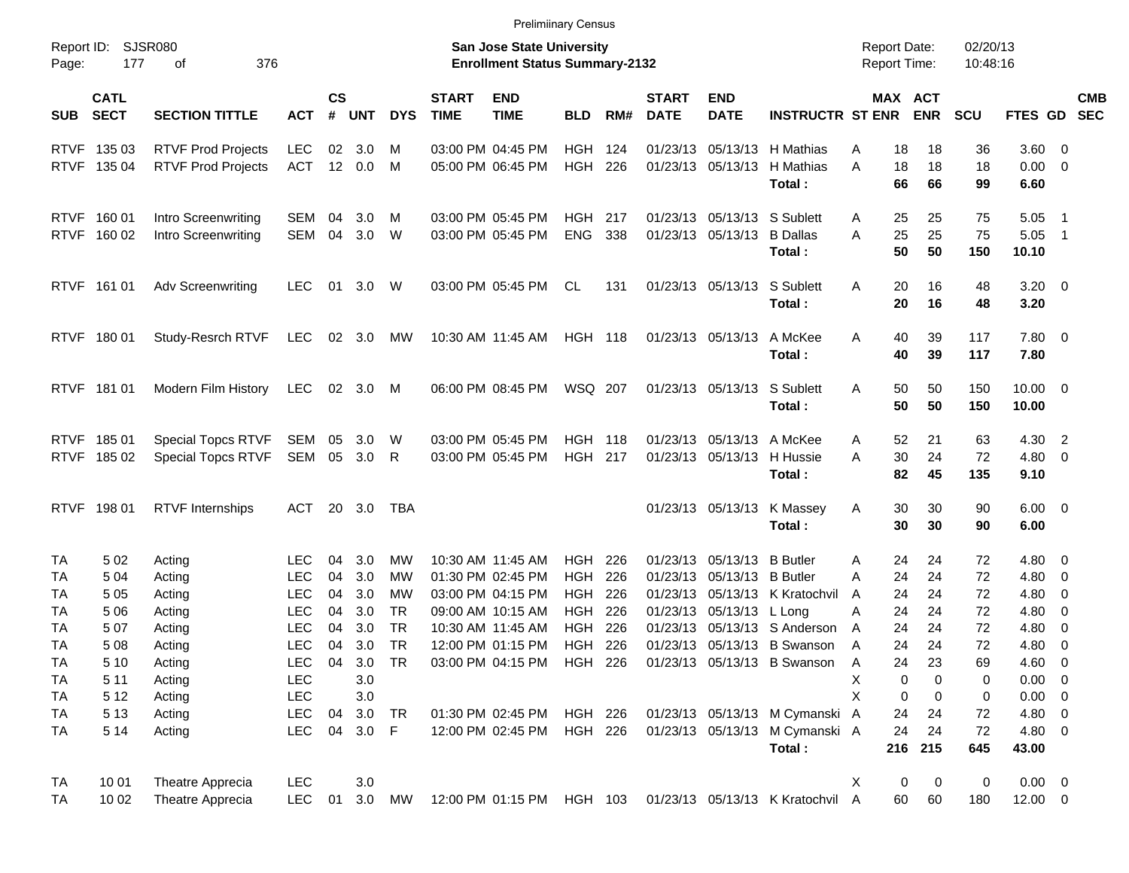|             |                            |                           |                          |                             |              |            |                             | <b>Prelimiinary Census</b>                                                |                    |     |                             |                             |                                                                  |                                     |          |            |                      |                        |                          |            |
|-------------|----------------------------|---------------------------|--------------------------|-----------------------------|--------------|------------|-----------------------------|---------------------------------------------------------------------------|--------------------|-----|-----------------------------|-----------------------------|------------------------------------------------------------------|-------------------------------------|----------|------------|----------------------|------------------------|--------------------------|------------|
| Page:       | Report ID: SJSR080<br>177  | 376<br>οf                 |                          |                             |              |            |                             | <b>San Jose State University</b><br><b>Enrollment Status Summary-2132</b> |                    |     |                             |                             |                                                                  | <b>Report Date:</b><br>Report Time: |          |            | 02/20/13<br>10:48:16 |                        |                          |            |
| <b>SUB</b>  | <b>CATL</b><br><b>SECT</b> | <b>SECTION TITTLE</b>     | <b>ACT</b>               | $\mathsf{cs}$<br>$\pmb{\#}$ | <b>UNT</b>   | <b>DYS</b> | <b>START</b><br><b>TIME</b> | <b>END</b><br><b>TIME</b>                                                 | <b>BLD</b>         | RM# | <b>START</b><br><b>DATE</b> | <b>END</b><br><b>DATE</b>   | <b>INSTRUCTR ST ENR</b>                                          | MAX ACT                             |          | <b>ENR</b> | <b>SCU</b>           | FTES GD SEC            |                          | <b>CMB</b> |
|             | RTVF 135 03                | <b>RTVF Prod Projects</b> | LEC                      | 02                          | 3.0          | M          |                             | 03:00 PM 04:45 PM                                                         | <b>HGH 124</b>     |     |                             |                             | 01/23/13 05/13/13 H Mathias                                      | Α                                   | 18       | 18         | 36                   | $3.60 \ 0$             |                          |            |
|             | RTVF 135 04                | <b>RTVF Prod Projects</b> | <b>ACT</b>               | 12                          | 0.0          | M          |                             | 05:00 PM 06:45 PM                                                         | <b>HGH</b>         | 226 |                             | 01/23/13 05/13/13           | H Mathias<br>Total:                                              | A                                   | 18<br>66 | 18<br>66   | 18<br>99             | $0.00 \t 0$<br>6.60    |                          |            |
|             | RTVF 160 01                | Intro Screenwriting       | SEM                      | 04                          | 3.0          | M          |                             | 03:00 PM 05:45 PM                                                         | <b>HGH 217</b>     |     |                             | 01/23/13 05/13/13 S Sublett |                                                                  | A                                   | 25       | 25         | 75                   | 5.05                   | $\blacksquare$ 1         |            |
|             | RTVF 160 02                | Intro Screenwriting       | SEM                      | 04                          | 3.0          | W          |                             | 03:00 PM 05:45 PM                                                         | <b>ENG</b>         | 338 |                             | 01/23/13 05/13/13           | <b>B</b> Dallas<br>Total:                                        | A                                   | 25<br>50 | 25<br>50   | 75<br>150            | 5.05<br>10.10          | $\overline{\phantom{1}}$ |            |
|             | RTVF 161 01                | <b>Adv Screenwriting</b>  | <b>LEC</b>               | 01                          | 3.0          | W          |                             | 03:00 PM 05:45 PM                                                         | CL                 | 131 |                             | 01/23/13 05/13/13           | S Sublett<br>Total:                                              | Α                                   | 20<br>20 | 16<br>16   | 48<br>48             | $3.20 \ 0$<br>3.20     |                          |            |
|             | RTVF 180 01                | Study-Resrch RTVF         | LEC                      |                             | 02 3.0       | MW         |                             | 10:30 AM 11:45 AM                                                         | HGH 118            |     |                             | 01/23/13 05/13/13           | A McKee<br>Total:                                                | Α                                   | 40<br>40 | 39<br>39   | 117<br>117           | 7.80 0<br>7.80         |                          |            |
|             | RTVF 181 01                | Modern Film History       | LEC                      |                             | 02 3.0       | M          |                             | 06:00 PM 08:45 PM                                                         | WSQ 207            |     |                             | 01/23/13 05/13/13           | S Sublett<br>Total:                                              | Α                                   | 50<br>50 | 50<br>50   | 150<br>150           | $10.00 \t 0$<br>10.00  |                          |            |
|             | RTVF 185 01                | Special Topcs RTVF        | SEM                      | 05                          | 3.0          | W          |                             | 03:00 PM 05:45 PM                                                         | <b>HGH 118</b>     |     |                             | 01/23/13 05/13/13 A McKee   |                                                                  | A                                   | 52       | 21         | 63                   | 4.30 2                 |                          |            |
| <b>RTVF</b> | 185 02                     | <b>Special Topcs RTVF</b> | SEM                      |                             | 05 3.0       | R          |                             | 03:00 PM 05:45 PM                                                         | <b>HGH 217</b>     |     |                             | 01/23/13 05/13/13           | H Hussie<br>Total:                                               | A                                   | 30<br>82 | 24<br>45   | 72<br>135            | $4.80\ 0$<br>9.10      |                          |            |
|             | RTVF 198 01                | <b>RTVF Internships</b>   | <b>ACT</b>               |                             | 20 3.0       | TBA        |                             |                                                                           |                    |     |                             |                             | 01/23/13 05/13/13 K Massey<br>Total:                             | Α                                   | 30<br>30 | 30<br>30   | 90<br>90             | $6.00 \quad 0$<br>6.00 |                          |            |
| TA          | 502                        | Acting                    | LEC.                     | 04                          | 3.0          | MW         |                             | 10:30 AM 11:45 AM                                                         | <b>HGH 226</b>     |     |                             | 01/23/13 05/13/13 B Butler  |                                                                  | A                                   | 24       | 24         | 72                   | $4.80\ 0$              |                          |            |
| TA          | 5 0 4                      | Acting                    | <b>LEC</b>               | 04                          | 3.0          | МW         |                             | 01:30 PM 02:45 PM                                                         | <b>HGH</b>         | 226 |                             | 01/23/13 05/13/13 B Butler  |                                                                  | A                                   | 24       | 24         | 72                   | 4.80 0                 |                          |            |
| ТA          | 505                        | Acting                    | <b>LEC</b>               | 04                          | 3.0          | MW         |                             | 03:00 PM 04:15 PM                                                         | <b>HGH</b>         | 226 |                             |                             | 01/23/13 05/13/13 K Kratochvil                                   | A                                   | 24       | 24         | 72                   | 4.80                   | $\overline{\phantom{0}}$ |            |
| ТA          | 5 0 6                      | Acting                    | <b>LEC</b>               | 04                          | 3.0          | TR         |                             | 09:00 AM 10:15 AM                                                         | <b>HGH</b>         | 226 |                             | 01/23/13 05/13/13           | L Long                                                           | A                                   | 24       | 24         | 72                   | 4.80                   | $\overline{\phantom{0}}$ |            |
| ТA          | 507                        | Acting                    | <b>LEC</b>               | 04                          | 3.0          | <b>TR</b>  |                             | 10:30 AM 11:45 AM                                                         | <b>HGH</b>         | 226 |                             |                             | 01/23/13 05/13/13 S Anderson                                     | A                                   | 24       | 24         | 72                   | 4.80                   | $\overline{\phantom{0}}$ |            |
| TA          | 508                        | Acting                    | <b>LEC</b>               | 04                          | 3.0          | TR         |                             | 12:00 PM 01:15 PM                                                         | <b>HGH</b>         | 226 |                             |                             | 01/23/13 05/13/13 B Swanson                                      | A                                   | 24       | 24         | 72                   | 4.80                   | $\overline{\phantom{0}}$ |            |
| TA          | 5 10                       | Acting                    | <b>LEC</b>               | 04                          | 3.0          | TR         |                             | 03:00 PM 04:15 PM HGH 226                                                 |                    |     |                             |                             | 01/23/13 05/13/13 B Swanson                                      | A                                   | 24       | 23         | 69                   | $4.60 \t 0$            |                          |            |
| <b>TA</b>   | 5 1 1                      | Acting                    | <b>LEC</b>               |                             | 3.0          |            |                             |                                                                           |                    |     |                             |                             |                                                                  | X                                   | 0        | 0          | 0                    | $0.00 \t 0$            |                          |            |
| TA          | 5 1 2                      | Acting                    | <b>LEC</b>               |                             | 3.0          |            |                             |                                                                           |                    |     |                             |                             |                                                                  | X                                   | 0        | 0          | 0                    | $0.00 \t 0$            |                          |            |
| TA          | 5 1 3<br>5 1 4             | Acting                    | <b>LEC</b><br><b>LEC</b> | 04<br>04                    | 3.0<br>3.0 F | TR         |                             | 01:30 PM 02:45 PM                                                         | HGH 226<br>HGH 226 |     |                             |                             | 01/23/13 05/13/13 M Cymanski A<br>01/23/13 05/13/13 M Cymanski A |                                     | 24<br>24 | 24<br>24   | 72<br>72             | $4.80$ 0<br>4.80 0     |                          |            |
| TA          |                            | Acting                    |                          |                             |              |            |                             | 12:00 PM 02:45 PM                                                         |                    |     |                             |                             | Total:                                                           |                                     | 216 215  |            | 645                  | 43.00                  |                          |            |
| <b>TA</b>   | 10 01                      | Theatre Apprecia          | <b>LEC</b>               |                             | 3.0          |            |                             |                                                                           |                    |     |                             |                             |                                                                  | X                                   | 0        | 0          | 0                    | $0.00 \t 0$            |                          |            |
| TA          | 10 02                      | Theatre Apprecia          | LEC                      | 01                          | 3.0          | <b>MW</b>  |                             |                                                                           |                    |     |                             |                             | 12:00 PM 01:15 PM HGH 103 01/23/13 05/13/13 K Kratochvil A       |                                     | 60       | 60         | 180                  | $12.00 \t 0$           |                          |            |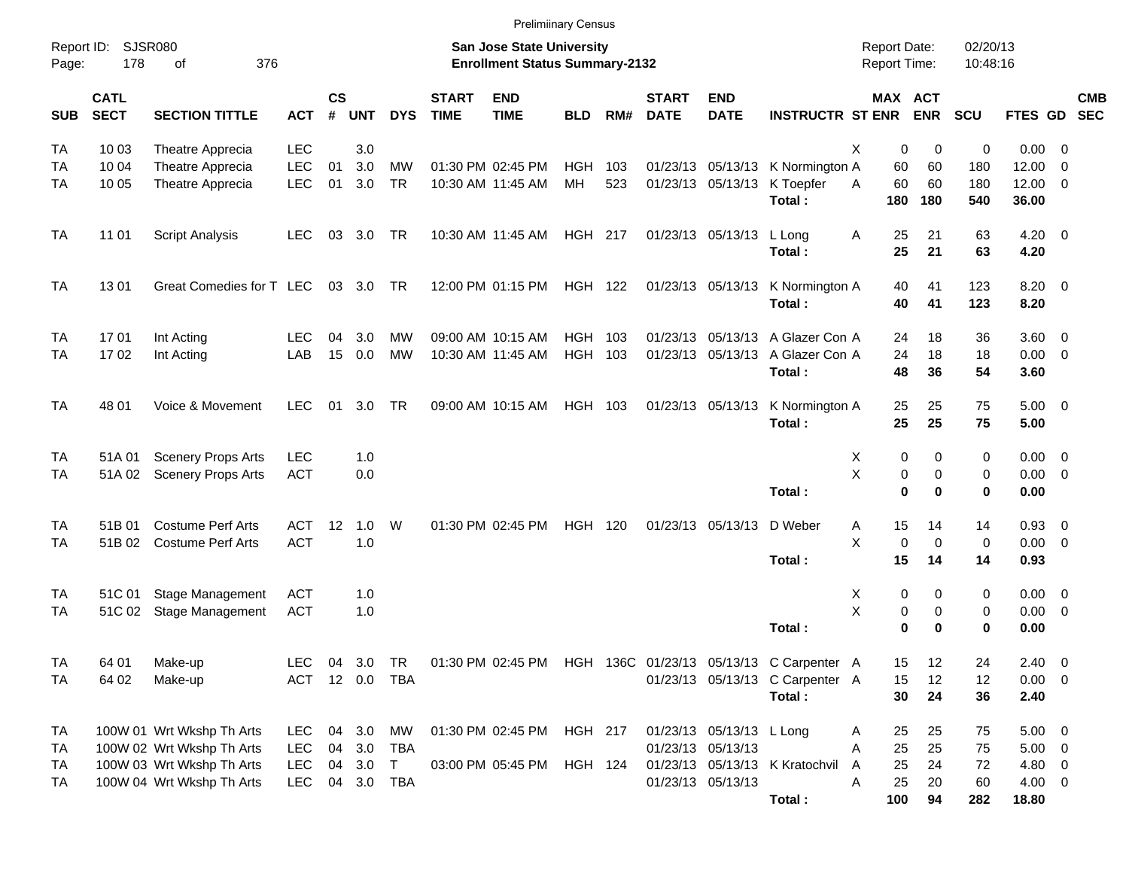|                    |     |    |     | <b>Prelimiinary Census</b>            |                     |          |
|--------------------|-----|----|-----|---------------------------------------|---------------------|----------|
| Report ID: SJSR080 |     |    |     | <b>San Jose State University</b>      | Report Date:        | 02/20/13 |
| Page:              | 178 | ot | 376 | <b>Enrollment Status Summary-2132</b> | <b>Report Time:</b> | 10:48:16 |

| <b>SUB</b>           | <b>CATL</b><br><b>SECT</b> | <b>SECTION TITTLE</b>                                                                                            | ACT                             | $\mathsf{cs}$<br>#   | <b>UNT</b>               | <b>DYS</b>                                     | <b>START</b><br><b>TIME</b> | <b>END</b><br><b>TIME</b>              | <b>BLD</b>                       | RM#        | <b>START</b><br><b>DATE</b> | <b>END</b><br><b>DATE</b>                                             | <b>INSTRUCTR ST ENR</b>                                      | MAX ACT                                  | <b>ENR</b>                             | <b>SCU</b>                       | <b>FTES GD</b>                  | <b>CMB</b><br><b>SEC</b>                                 |
|----------------------|----------------------------|------------------------------------------------------------------------------------------------------------------|---------------------------------|----------------------|--------------------------|------------------------------------------------|-----------------------------|----------------------------------------|----------------------------------|------------|-----------------------------|-----------------------------------------------------------------------|--------------------------------------------------------------|------------------------------------------|----------------------------------------|----------------------------------|---------------------------------|----------------------------------------------------------|
| TA<br>TA<br>TA       | 10 03<br>10 04<br>10 05    | Theatre Apprecia<br>Theatre Apprecia<br>Theatre Apprecia                                                         | <b>LEC</b><br><b>LEC</b><br>LEC | 01<br>01             | 3.0<br>3.0<br>3.0        | <b>MW</b><br><b>TR</b>                         |                             | 01:30 PM 02:45 PM<br>10:30 AM 11:45 AM | <b>HGH</b><br>MH                 | 103<br>523 | 01/23/13                    | 05/13/13                                                              | K Normington A<br>01/23/13 05/13/13 K Toepfer<br>Total:      | X<br>0<br>60<br>60<br>A<br>180           | $\mathbf 0$<br>60<br>60<br>180         | $\mathbf 0$<br>180<br>180<br>540 | 0.00<br>12.00<br>12.00<br>36.00 | $\overline{\mathbf{0}}$<br>$\mathbf 0$<br>$\overline{0}$ |
| TA                   | 11 01                      | <b>Script Analysis</b>                                                                                           | LEC                             | 03                   | 3.0 <sub>2</sub>         | TR                                             |                             | 10:30 AM 11:45 AM                      | HGH 217                          |            |                             | 01/23/13 05/13/13 L Long                                              | Total:                                                       | A<br>25<br>25                            | 21<br>21                               | 63<br>63                         | 4.20<br>4.20                    | $\overline{\mathbf{0}}$                                  |
| <b>TA</b>            | 1301                       | Great Comedies for T LEC                                                                                         |                                 | 03                   | 3.0                      | <b>TR</b>                                      |                             | 12:00 PM 01:15 PM                      | <b>HGH 122</b>                   |            |                             | 01/23/13 05/13/13                                                     | K Normington A<br>Total:                                     | 40<br>40                                 | 41<br>41                               | 123<br>123                       | 8.20<br>8.20                    | $\overline{\mathbf{0}}$                                  |
| TA<br>TA             | 1701<br>1702               | Int Acting<br>Int Acting                                                                                         | LEC<br>LAB                      | 04<br>15             | 3.0<br>0.0               | MW<br>МW                                       |                             | 09:00 AM 10:15 AM<br>10:30 AM 11:45 AM | <b>HGH</b><br>HGH                | 103<br>103 | 01/23/13                    | 05/13/13                                                              | A Glazer Con A<br>01/23/13 05/13/13 A Glazer Con A<br>Total: | 24<br>24<br>48                           | 18<br>18<br>36                         | 36<br>18<br>54                   | 3.60<br>0.00<br>3.60            | $\overline{0}$<br>- 0                                    |
| TA                   | 48 01                      | Voice & Movement                                                                                                 | <b>LEC</b>                      | 01                   | 3.0                      | TR                                             |                             | 09:00 AM 10:15 AM                      | HGH 103                          |            |                             | 01/23/13 05/13/13                                                     | K Normington A<br>Total:                                     | 25<br>25                                 | 25<br>25                               | 75<br>75                         | 5.00<br>5.00                    | - 0                                                      |
| TA<br>TA             | 51A 01<br>51A 02           | <b>Scenery Props Arts</b><br><b>Scenery Props Arts</b>                                                           | <b>LEC</b><br><b>ACT</b>        |                      | 1.0<br>0.0               |                                                |                             |                                        |                                  |            |                             |                                                                       | Total:                                                       | X<br>0<br>X<br>0<br>$\bf{0}$             | $\mathbf 0$<br>$\mathbf 0$<br>$\bf{0}$ | 0<br>$\mathbf 0$<br>0            | 0.00<br>0.00<br>0.00            | $\overline{\mathbf{0}}$<br>$\overline{0}$                |
| TA<br>TA             | 51B 01<br>51B 02           | <b>Costume Perf Arts</b><br><b>Costume Perf Arts</b>                                                             | <b>ACT</b><br><b>ACT</b>        | 12                   | 1.0<br>1.0               | W                                              |                             | 01:30 PM 02:45 PM                      | HGH 120                          |            |                             | 01/23/13 05/13/13                                                     | D Weber<br>Total:                                            | Α<br>15<br>X<br>$\mathsf 0$<br>15        | 14<br>$\pmb{0}$<br>14                  | 14<br>$\mathbf 0$<br>14          | 0.93<br>0.00<br>0.93            | $\overline{\mathbf{0}}$<br>$\overline{0}$                |
| TA<br>TA             | 51C 01                     | Stage Management<br>51C 02 Stage Management                                                                      | <b>ACT</b><br><b>ACT</b>        |                      | 1.0<br>1.0               |                                                |                             |                                        |                                  |            |                             |                                                                       | Total:                                                       | Χ<br>0<br>X<br>0<br>$\bf{0}$             | 0<br>0<br>$\bf{0}$                     | 0<br>$\mathbf 0$<br>$\bf{0}$     | 0.00<br>0.00<br>0.00            | $\overline{\mathbf{0}}$<br>$\mathbf 0$                   |
| TA<br>TA             | 64 01<br>64 02             | Make-up<br>Make-up                                                                                               | LEC<br><b>ACT</b>               | 04<br>12             | 3.0<br>0.0               | <b>TR</b><br><b>TBA</b>                        |                             | 01:30 PM 02:45 PM                      |                                  |            |                             | HGH 136C 01/23/13 05/13/13                                            | C Carpenter A<br>01/23/13 05/13/13 C Carpenter A<br>Total:   | 15<br>15<br>30                           | $12 \overline{ }$<br>12<br>24          | 24<br>12<br>36                   | 2.40<br>0.00<br>2.40            | $\overline{0}$<br>$\overline{0}$                         |
| TA<br>TA<br>TA<br>TA |                            | 100W 01 Wrt Wkshp Th Arts<br>100W 02 Wrt Wkshp Th Arts<br>100W 03 Wrt Wkshp Th Arts<br>100W 04 Wrt Wkshp Th Arts | LEC<br>LEC<br>LEC<br><b>LEC</b> | 04<br>04<br>04<br>04 | 3.0<br>3.0<br>3.0<br>3.0 | МW<br><b>TBA</b><br>$\mathsf{T}$<br><b>TBA</b> |                             | 01:30 PM 02:45 PM<br>03:00 PM 05:45 PM | <b>HGH 217</b><br><b>HGH 124</b> |            | 01/23/13<br>01/23/13        | 05/13/13 L Long<br>05/13/13<br>01/23/13 05/13/13<br>01/23/13 05/13/13 | K Kratochvil                                                 | 25<br>Α<br>25<br>A<br>25<br>A<br>25<br>A | 25<br>25<br>24<br>20                   | 75<br>75<br>72<br>60             | 5.00<br>5.00<br>4.80<br>4.00    | 0<br>$\mathbf 0$<br>0<br>$\mathbf 0$                     |
|                      |                            |                                                                                                                  |                                 |                      |                          |                                                |                             |                                        |                                  |            |                             |                                                                       | Total:                                                       | 100                                      | 94                                     | 282                              | 18.80                           |                                                          |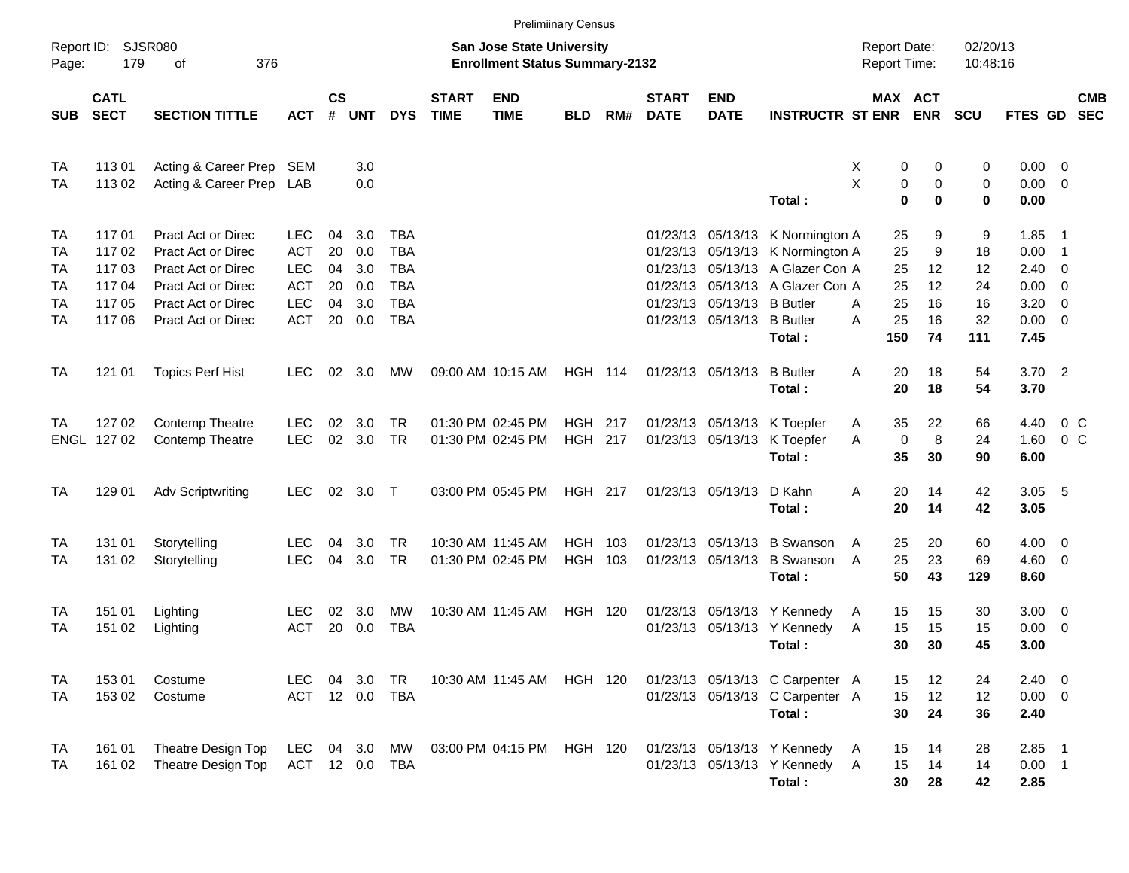|                                         |                                                    |                                                                                                                                                       |                                                                                  |                                  |                                        |                                                                           |                             |                                                                    | <b>Prelimiinary Census</b>       |            |                             |                                                          |                                                                                                                                                        |                                                   |                                      |                                        |                                                                                |                                 |                          |
|-----------------------------------------|----------------------------------------------------|-------------------------------------------------------------------------------------------------------------------------------------------------------|----------------------------------------------------------------------------------|----------------------------------|----------------------------------------|---------------------------------------------------------------------------|-----------------------------|--------------------------------------------------------------------|----------------------------------|------------|-----------------------------|----------------------------------------------------------|--------------------------------------------------------------------------------------------------------------------------------------------------------|---------------------------------------------------|--------------------------------------|----------------------------------------|--------------------------------------------------------------------------------|---------------------------------|--------------------------|
| Page:                                   | Report ID: SJSR080<br>179                          | 376<br>οf                                                                                                                                             |                                                                                  |                                  |                                        |                                                                           |                             | San Jose State University<br><b>Enrollment Status Summary-2132</b> |                                  |            |                             |                                                          |                                                                                                                                                        | <b>Report Date:</b><br><b>Report Time:</b>        |                                      | 02/20/13<br>10:48:16                   |                                                                                |                                 |                          |
| <b>SUB</b>                              | <b>CATL</b><br><b>SECT</b>                         | <b>SECTION TITTLE</b>                                                                                                                                 | <b>ACT</b>                                                                       | $\mathsf{cs}$<br>#               | <b>UNT</b>                             | <b>DYS</b>                                                                | <b>START</b><br><b>TIME</b> | <b>END</b><br><b>TIME</b>                                          | <b>BLD</b>                       | RM#        | <b>START</b><br><b>DATE</b> | <b>END</b><br><b>DATE</b>                                | <b>INSTRUCTR ST ENR</b>                                                                                                                                | MAX ACT                                           | <b>ENR</b>                           | <b>SCU</b>                             | <b>FTES GD</b>                                                                 |                                 | <b>CMB</b><br><b>SEC</b> |
| <b>TA</b><br>TA                         | 11301<br>11302                                     | Acting & Career Prep SEM<br>Acting & Career Prep LAB                                                                                                  |                                                                                  |                                  | 3.0<br>0.0                             |                                                                           |                             |                                                                    |                                  |            |                             |                                                          | Total:                                                                                                                                                 | 0<br>Х<br>X<br>0<br>$\mathbf 0$                   | 0<br>0<br>$\bf{0}$                   | 0<br>0<br>0                            | $0.00 \t 0$<br>$0.00 \t 0$<br>0.00                                             |                                 |                          |
| TA<br>TA<br>TA<br>TA<br>TA<br><b>TA</b> | 11701<br>11702<br>11703<br>11704<br>11705<br>11706 | <b>Pract Act or Direc</b><br><b>Pract Act or Direc</b><br><b>Pract Act or Direc</b><br>Pract Act or Direc<br>Pract Act or Direc<br>Pract Act or Direc | <b>LEC</b><br><b>ACT</b><br><b>LEC</b><br><b>ACT</b><br><b>LEC</b><br><b>ACT</b> | 04<br>20<br>04<br>20<br>04<br>20 | 3.0<br>0.0<br>3.0<br>0.0<br>3.0<br>0.0 | TBA<br><b>TBA</b><br><b>TBA</b><br><b>TBA</b><br><b>TBA</b><br><b>TBA</b> |                             |                                                                    |                                  |            |                             | 01/23/13 05/13/13 B Butler<br>01/23/13 05/13/13 B Butler | 01/23/13 05/13/13 K Normington A<br>01/23/13 05/13/13 K Normington A<br>01/23/13 05/13/13 A Glazer Con A<br>01/23/13 05/13/13 A Glazer Con A<br>Total: | 25<br>25<br>25<br>25<br>25<br>A<br>25<br>A<br>150 | 9<br>9<br>12<br>12<br>16<br>16<br>74 | 9<br>18<br>12<br>24<br>16<br>32<br>111 | 1.85<br>0.00<br>$2.40 \ 0$<br>$0.00 \t 0$<br>$3.20 \ 0$<br>$0.00 \t 0$<br>7.45 | - 1<br>$\overline{\phantom{0}}$ |                          |
| TA                                      | 121 01                                             | <b>Topics Perf Hist</b>                                                                                                                               | <b>LEC</b>                                                                       | 02                               | 3.0                                    | МW                                                                        |                             | 09:00 AM 10:15 AM                                                  | <b>HGH 114</b>                   |            |                             | 01/23/13 05/13/13                                        | <b>B</b> Butler<br>Total:                                                                                                                              | 20<br>A<br>20                                     | 18<br>18                             | 54<br>54                               | $3.70$ 2<br>3.70                                                               |                                 |                          |
| TA                                      | 127 02<br>ENGL 127 02                              | Contemp Theatre<br><b>Contemp Theatre</b>                                                                                                             | LEC.<br><b>LEC</b>                                                               | 02<br>02                         | 3.0<br>3.0                             | <b>TR</b><br><b>TR</b>                                                    |                             | 01:30 PM 02:45 PM<br>01:30 PM 02:45 PM                             | <b>HGH 217</b><br><b>HGH 217</b> |            |                             | 01/23/13 05/13/13                                        | 01/23/13 05/13/13 K Toepfer<br>K Toepfer<br>Total:                                                                                                     | 35<br>A<br>$\mathbf 0$<br>A<br>35                 | 22<br>8<br>30                        | 66<br>24<br>90                         | 4.40<br>1.60<br>6.00                                                           | $0\,$ C<br>0 <sup>o</sup>       |                          |
| TA                                      | 129 01                                             | <b>Adv Scriptwriting</b>                                                                                                                              | <b>LEC</b>                                                                       |                                  | 02 3.0 T                               |                                                                           |                             | 03:00 PM 05:45 PM                                                  | <b>HGH 217</b>                   |            |                             | 01/23/13 05/13/13                                        | D Kahn<br>Total:                                                                                                                                       | 20<br>Α<br>20                                     | 14<br>14                             | 42<br>42                               | $3.05$ 5<br>3.05                                                               |                                 |                          |
| TA<br>TA                                | 131 01<br>131 02                                   | Storytelling<br>Storytelling                                                                                                                          | <b>LEC</b><br><b>LEC</b>                                                         | 04<br>04                         | 3.0<br>3.0                             | <b>TR</b><br>TR                                                           |                             | 10:30 AM 11:45 AM<br>01:30 PM 02:45 PM                             | <b>HGH</b><br><b>HGH</b>         | 103<br>103 |                             | 01/23/13 05/13/13<br>01/23/13 05/13/13                   | <b>B</b> Swanson<br><b>B</b> Swanson<br>Total:                                                                                                         | 25<br>A<br>25<br>A<br>50                          | 20<br>23<br>43                       | 60<br>69<br>129                        | $4.00 \ 0$<br>$4.60$ 0<br>8.60                                                 |                                 |                          |
| TA<br>TA                                | 151 01<br>151 02                                   | Lighting<br>Lighting                                                                                                                                  | <b>LEC</b><br><b>ACT</b>                                                         | 02<br>20                         | 3.0<br>0.0                             | MW<br><b>TBA</b>                                                          |                             | 10:30 AM 11:45 AM                                                  | <b>HGH 120</b>                   |            |                             |                                                          | 01/23/13 05/13/13 Y Kennedy<br>01/23/13 05/13/13 Y Kennedy<br>Total:                                                                                   | 15<br>A<br>15<br>A<br>30                          | 15<br>15<br>30                       | 30<br>15<br>45                         | $3.00 \ 0$<br>$0.00 \t 0$<br>3.00                                              |                                 |                          |
| TA<br>TA                                | 15301<br>15302                                     | Costume<br>Costume                                                                                                                                    | LEC.<br>ACT 12 0.0 TBA                                                           |                                  | 04 3.0 TR                              |                                                                           |                             | 10:30 AM 11:45 AM HGH 120                                          |                                  |            |                             |                                                          | 01/23/13 05/13/13 C Carpenter A<br>01/23/13 05/13/13 C Carpenter A<br>Total:                                                                           | 15<br>15<br>30                                    | 12<br>12<br>24                       | 24<br>12<br>36                         | $2.40 \ 0$<br>$0.00 \t 0$<br>2.40                                              |                                 |                          |
| TA<br>TA                                | 161 01<br>161 02                                   | Theatre Design Top<br>Theatre Design Top                                                                                                              | LEC<br>ACT 12 0.0 TBA                                                            |                                  |                                        | 04 3.0 MW                                                                 |                             | 03:00 PM 04:15 PM                                                  | HGH 120                          |            |                             |                                                          | 01/23/13 05/13/13 Y Kennedy<br>01/23/13 05/13/13 Y Kennedy<br>Total:                                                                                   | 15<br>A<br>15<br>$\overline{A}$<br>30             | 14<br>14<br>28                       | 28<br>14<br>42                         | $2.85$ 1<br>$0.00$ 1<br>2.85                                                   |                                 |                          |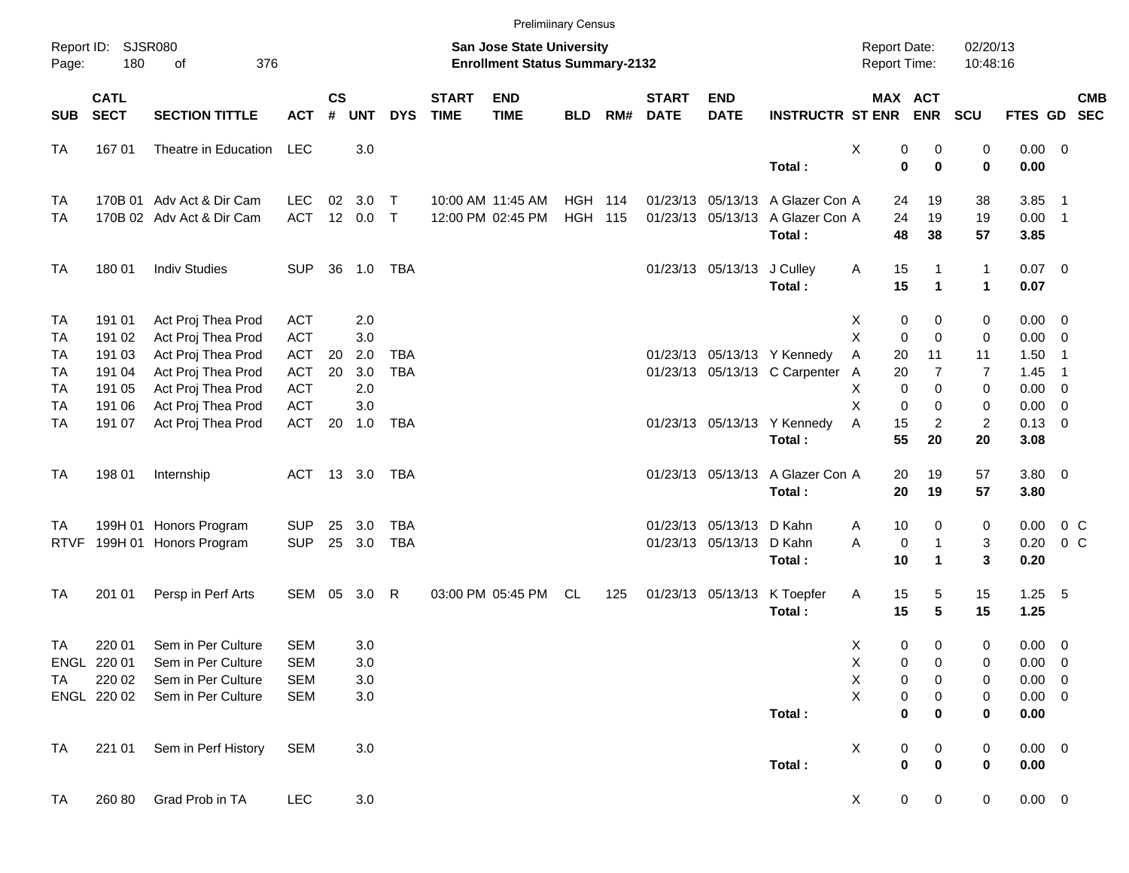|             |                            |                           |            |                    |            |              |                             | <b>Prelimiinary Census</b>                                                |                |     |                             |                           |                                  |                                     |             |                       |                           |                 |                            |            |
|-------------|----------------------------|---------------------------|------------|--------------------|------------|--------------|-----------------------------|---------------------------------------------------------------------------|----------------|-----|-----------------------------|---------------------------|----------------------------------|-------------------------------------|-------------|-----------------------|---------------------------|-----------------|----------------------------|------------|
| Page:       | Report ID: SJSR080<br>180  | 376<br>of                 |            |                    |            |              |                             | <b>San Jose State University</b><br><b>Enrollment Status Summary-2132</b> |                |     |                             |                           |                                  | <b>Report Date:</b><br>Report Time: |             |                       | 02/20/13<br>10:48:16      |                 |                            |            |
| <b>SUB</b>  | <b>CATL</b><br><b>SECT</b> | <b>SECTION TITTLE</b>     | <b>ACT</b> | $\mathsf{cs}$<br># | <b>UNT</b> | <b>DYS</b>   | <b>START</b><br><b>TIME</b> | <b>END</b><br><b>TIME</b>                                                 | <b>BLD</b>     | RM# | <b>START</b><br><b>DATE</b> | <b>END</b><br><b>DATE</b> | <b>INSTRUCTR ST ENR</b>          |                                     |             | MAX ACT<br><b>ENR</b> | SCU                       | FTES GD SEC     |                            | <b>CMB</b> |
| <b>TA</b>   | 16701                      | Theatre in Education      | LEC        |                    | 3.0        |              |                             |                                                                           |                |     |                             |                           |                                  | Х                                   | 0           | 0                     | 0                         | $0.00 \t 0$     |                            |            |
|             |                            |                           |            |                    |            |              |                             |                                                                           |                |     |                             |                           | Total:                           |                                     | $\bf{0}$    | $\bf{0}$              | $\bf{0}$                  | 0.00            |                            |            |
| <b>TA</b>   |                            | 170B 01 Adv Act & Dir Cam | <b>LEC</b> | 02                 | 3.0        | $\mathsf{T}$ |                             | 10:00 AM 11:45 AM                                                         | <b>HGH 114</b> |     |                             |                           | 01/23/13 05/13/13 A Glazer Con A |                                     | 24          | 19                    | 38                        | 3.85            | $\overline{\phantom{1}}$   |            |
| <b>TA</b>   |                            | 170B 02 Adv Act & Dir Cam | <b>ACT</b> |                    | 12 0.0     | $\mathsf{T}$ |                             | 12:00 PM 02:45 PM                                                         | <b>HGH 115</b> |     |                             | 01/23/13 05/13/13         | A Glazer Con A                   |                                     | 24          | 19                    | 19                        | $0.00$ 1        |                            |            |
|             |                            |                           |            |                    |            |              |                             |                                                                           |                |     |                             |                           | Total:                           |                                     | 48          | 38                    | 57                        | 3.85            |                            |            |
| <b>TA</b>   | 180 01                     | <b>Indiv Studies</b>      | <b>SUP</b> |                    | 36 1.0     | TBA          |                             |                                                                           |                |     |                             | 01/23/13 05/13/13         | J Culley                         | Α                                   | 15          | $\mathbf{1}$          | $\mathbf{1}$              | $0.07$ 0        |                            |            |
|             |                            |                           |            |                    |            |              |                             |                                                                           |                |     |                             |                           | Total:                           |                                     | 15          | $\mathbf{1}$          | $\mathbf{1}$              | 0.07            |                            |            |
| <b>TA</b>   | 191 01                     | Act Proj Thea Prod        | <b>ACT</b> |                    | 2.0        |              |                             |                                                                           |                |     |                             |                           |                                  | X                                   | 0           | 0                     | 0                         | $0.00 \t 0$     |                            |            |
| <b>TA</b>   | 191 02                     | Act Proj Thea Prod        | <b>ACT</b> |                    | 3.0        |              |                             |                                                                           |                |     |                             |                           |                                  | X                                   | 0           | $\mathbf 0$           | $\mathbf 0$               | 0.00            | $\overline{\phantom{0}}$   |            |
| <b>TA</b>   | 191 03                     | Act Proj Thea Prod        | <b>ACT</b> | 20                 | 2.0        | <b>TBA</b>   |                             |                                                                           |                |     |                             |                           | 01/23/13 05/13/13 Y Kennedy      | Α                                   | 20          | 11                    | 11                        | 1.50            | $\overline{1}$             |            |
| <b>TA</b>   | 191 04                     | Act Proj Thea Prod        | <b>ACT</b> | 20                 | 3.0        | <b>TBA</b>   |                             |                                                                           |                |     |                             |                           | 01/23/13 05/13/13 C Carpenter    | $\mathsf{A}$                        | 20          | $\overline{7}$        | $\overline{7}$            | 1.45            | $\overline{\phantom{0}}$ 1 |            |
| <b>TA</b>   | 191 05                     | Act Proj Thea Prod        | <b>ACT</b> |                    | 2.0        |              |                             |                                                                           |                |     |                             |                           |                                  | Χ                                   | 0           | $\mathbf 0$           | $\pmb{0}$                 | 0.00            | $\overline{0}$             |            |
| <b>TA</b>   | 191 06                     | Act Proj Thea Prod        | <b>ACT</b> |                    | 3.0        |              |                             |                                                                           |                |     |                             |                           |                                  | X                                   | 0           | 0                     | 0                         | 0.00            | $\overline{\mathbf{0}}$    |            |
| <b>TA</b>   | 191 07                     | Act Proj Thea Prod        | <b>ACT</b> | 20                 | 1.0        | <b>TBA</b>   |                             |                                                                           |                |     |                             |                           | 01/23/13 05/13/13 Y Kennedy      | Α                                   | 15          | $\overline{c}$        | $\overline{c}$            | $0.13 \ 0$      |                            |            |
|             |                            |                           |            |                    |            |              |                             |                                                                           |                |     |                             |                           | Total:                           |                                     | 55          | 20                    | 20                        | 3.08            |                            |            |
| <b>TA</b>   | 198 01                     | Internship                | ACT        |                    | 13 3.0     | TBA          |                             |                                                                           |                |     |                             |                           | 01/23/13 05/13/13 A Glazer Con A |                                     | 20          | 19                    | 57                        | $3.80\ 0$       |                            |            |
|             |                            |                           |            |                    |            |              |                             |                                                                           |                |     |                             |                           | Total:                           |                                     | 20          | 19                    | 57                        | 3.80            |                            |            |
| TA          |                            | 199H 01 Honors Program    | <b>SUP</b> | 25                 | 3.0        | <b>TBA</b>   |                             |                                                                           |                |     |                             | 01/23/13 05/13/13         | D Kahn                           | A                                   | 10          | 0                     | $\pmb{0}$                 | 0.00            | 0 C                        |            |
| <b>RTVF</b> |                            | 199H 01 Honors Program    | <b>SUP</b> |                    | 25 3.0     | <b>TBA</b>   |                             |                                                                           |                |     |                             | 01/23/13 05/13/13         | D Kahn                           | A                                   | 0           | $\mathbf{1}$          | $\ensuremath{\mathsf{3}}$ | 0.20            | $0\,C$                     |            |
|             |                            |                           |            |                    |            |              |                             |                                                                           |                |     |                             |                           | Total:                           |                                     | 10          | $\mathbf{1}$          | $\mathbf{3}$              | 0.20            |                            |            |
| <b>TA</b>   | 201 01                     | Persp in Perf Arts        | SEM        | 05                 | 3.0        | R            |                             | 03:00 PM 05:45 PM                                                         | <b>CL</b>      | 125 |                             | 01/23/13 05/13/13         | K Toepfer                        | A                                   | 15          | 5                     | 15                        | $1.25 - 5$      |                            |            |
|             |                            |                           |            |                    |            |              |                             |                                                                           |                |     |                             |                           | Total:                           |                                     | 15          | $5\phantom{.0}$       | 15                        | 1.25            |                            |            |
| TA          | 220 01                     | Sem in Per Culture        | <b>SEM</b> |                    | 3.0        |              |                             |                                                                           |                |     |                             |                           |                                  | X                                   | 0           | 0                     | 0                         | $0.00 \t 0$     |                            |            |
|             | ENGL 220 01                | Sem in Per Culture        | SEM        |                    | 3.0        |              |                             |                                                                           |                |     |                             |                           |                                  | X                                   | 0           | 0                     | 0                         | $0.00 \t 0$     |                            |            |
| TA          | 220 02                     | Sem in Per Culture        | <b>SEM</b> |                    | 3.0        |              |                             |                                                                           |                |     |                             |                           |                                  | $\mathsf X$                         | 0           | 0                     | 0                         | $0.00 \t 0$     |                            |            |
|             | ENGL 220 02                | Sem in Per Culture        | <b>SEM</b> |                    | 3.0        |              |                             |                                                                           |                |     |                             |                           |                                  | X                                   | $\pmb{0}$   | 0                     | $\pmb{0}$                 | $0.00 \t 0$     |                            |            |
|             |                            |                           |            |                    |            |              |                             |                                                                           |                |     |                             |                           | Total:                           |                                     | 0           | 0                     | 0                         | 0.00            |                            |            |
| <b>TA</b>   | 221 01                     | Sem in Perf History       | <b>SEM</b> |                    | 3.0        |              |                             |                                                                           |                |     |                             |                           |                                  | X                                   | 0           | $\pmb{0}$             | $\pmb{0}$                 | 0.00 0          |                            |            |
|             |                            |                           |            |                    |            |              |                             |                                                                           |                |     |                             |                           | Total:                           |                                     | $\bf{0}$    | $\bf{0}$              | $\pmb{0}$                 | 0.00            |                            |            |
| <b>TA</b>   | 260 80                     | Grad Prob in TA           | <b>LEC</b> |                    | 3.0        |              |                             |                                                                           |                |     |                             |                           |                                  | X                                   | $\mathbf 0$ | 0                     | 0                         | $0.00\quad$ $0$ |                            |            |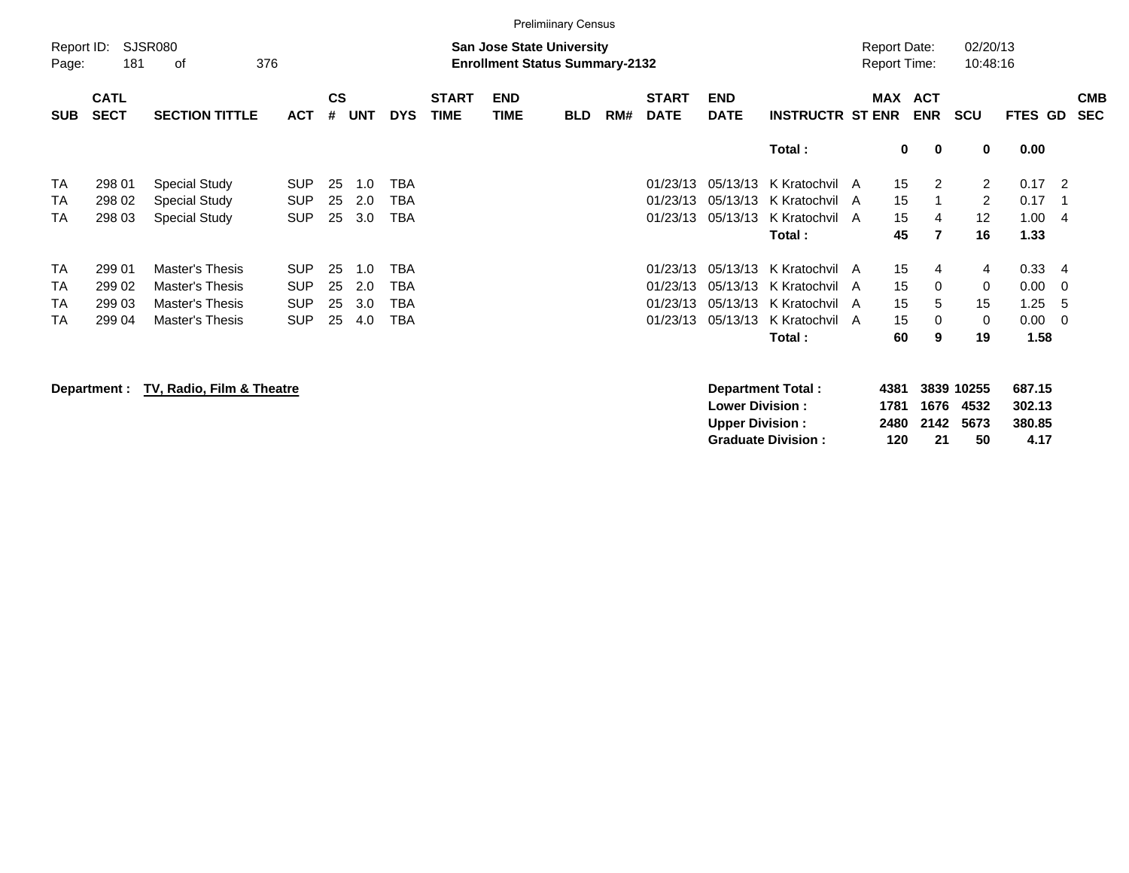|                     |                            |                             |            |                |            |            |                             |                                                                           | <b>Prelimiinary Census</b> |     |                             |                           |                         |                                            |                       |                       |                |                          |
|---------------------|----------------------------|-----------------------------|------------|----------------|------------|------------|-----------------------------|---------------------------------------------------------------------------|----------------------------|-----|-----------------------------|---------------------------|-------------------------|--------------------------------------------|-----------------------|-----------------------|----------------|--------------------------|
| Report ID:<br>Page: | 181                        | <b>SJSR080</b><br>376<br>οf |            |                |            |            |                             | <b>San Jose State University</b><br><b>Enrollment Status Summary-2132</b> |                            |     |                             |                           |                         | <b>Report Date:</b><br><b>Report Time:</b> |                       | 02/20/13<br>10:48:16  |                |                          |
| <b>SUB</b>          | <b>CATL</b><br><b>SECT</b> | <b>SECTION TITTLE</b>       | <b>ACT</b> | <b>CS</b><br># | <b>UNT</b> | <b>DYS</b> | <b>START</b><br><b>TIME</b> | <b>END</b><br>TIME                                                        | <b>BLD</b>                 | RM# | <b>START</b><br><b>DATE</b> | <b>END</b><br><b>DATE</b> | <b>INSTRUCTR ST ENR</b> |                                            | MAX ACT<br><b>ENR</b> | <b>SCU</b>            | <b>FTES GD</b> | <b>CMB</b><br><b>SEC</b> |
|                     |                            |                             |            |                |            |            |                             |                                                                           |                            |     |                             |                           | Total:                  |                                            | 0<br>0                | 0                     | 0.00           |                          |
| <b>TA</b>           | 298 01                     | <b>Special Study</b>        | <b>SUP</b> | 25             | 1.0        | TBA        |                             |                                                                           |                            |     | 01/23/13                    | 05/13/13                  | K Kratochvil            | 15<br>A                                    | 2                     | $\mathbf{2}^{\prime}$ | 0.17           | $\overline{2}$           |
| TA                  | 298 02                     | <b>Special Study</b>        | <b>SUP</b> | 25             | 2.0        | TBA        |                             |                                                                           |                            |     | 01/23/13                    | 05/13/13                  | K Kratochvil            | 15<br>A                                    |                       | 2                     | 0.17           | - 1                      |
| TA                  | 298 03                     | <b>Special Study</b>        | <b>SUP</b> | 25             | 3.0        | TBA        |                             |                                                                           |                            |     | 01/23/13                    | 05/13/13                  | K Kratochvil            | 15<br>A                                    | 4                     | $12 \overline{ }$     | 1.00           | - 4                      |
|                     |                            |                             |            |                |            |            |                             |                                                                           |                            |     |                             |                           | Total :                 | 45                                         | $\overline{7}$        | 16                    | 1.33           |                          |
| <b>TA</b>           | 299 01                     | Master's Thesis             | <b>SUP</b> | 25             | 1.0        | TBA        |                             |                                                                           |                            |     | 01/23/13                    | 05/13/13                  | K Kratochvil A          | 15                                         | 4                     | 4                     | 0.33           | -4                       |
| TA                  | 299 02                     | Master's Thesis             | <b>SUP</b> | 25             | 2.0        | TBA        |                             |                                                                           |                            |     | 01/23/13                    | 05/13/13                  | K Kratochvil A          | 15                                         | 0                     | 0                     | 0.00           | - 0                      |
| <b>TA</b>           | 299 03                     | Master's Thesis             | <b>SUP</b> | 25             | 3.0        | TBA        |                             |                                                                           |                            |     | 01/23/13                    | 05/13/13                  | K Kratochvil            | 15<br>A                                    | 5                     | 15                    | 1.25           | -5                       |
| <b>TA</b>           | 299 04                     | Master's Thesis             | <b>SUP</b> | 25             | 4.0        | TBA        |                             |                                                                           |                            |     | 01/23/13                    | 05/13/13                  | K Kratochvil A          | 15                                         | $\Omega$              | 0                     | 0.00           | $\overline{0}$           |
|                     |                            |                             |            |                |            |            |                             |                                                                           |                            |     |                             |                           | Total :                 | 60                                         | 9                     | 19                    | 1.58           |                          |

**Department : TV, Radio, Film & Theatre Department Total : 4381 3839 10255 687.15 Lower Division : 1781 1676 4532<br>
Upper Division : 2480 2142 5673 Upper Division : 2480 2142 5673 380.85 Graduate Division : 120 21 50 4.17**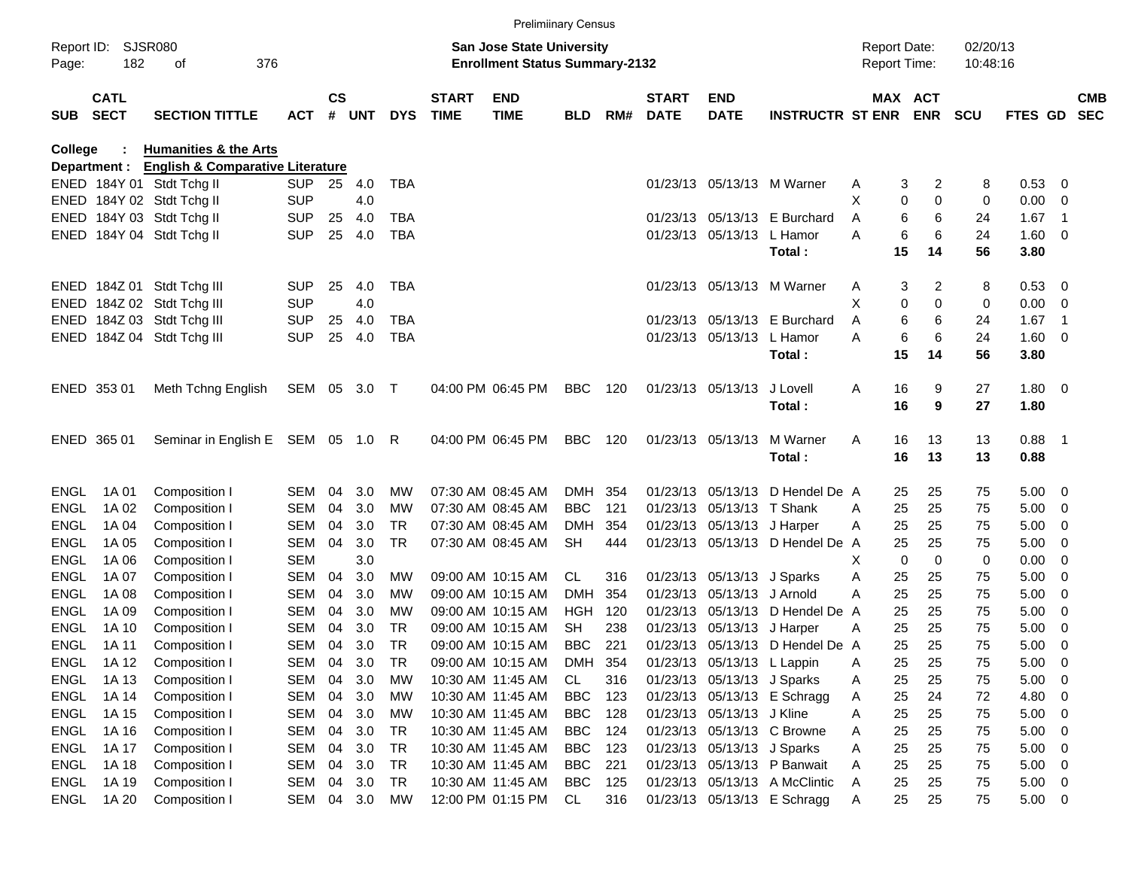|                     |                            |                                             |                   |                    |            |                 |                             | <b>Prelimiinary Census</b>             |                          |            |                             |                            |                                 |                     |                  |            |                |                            |                          |
|---------------------|----------------------------|---------------------------------------------|-------------------|--------------------|------------|-----------------|-----------------------------|----------------------------------------|--------------------------|------------|-----------------------------|----------------------------|---------------------------------|---------------------|------------------|------------|----------------|----------------------------|--------------------------|
| Report ID:          |                            | <b>SJSR080</b>                              |                   |                    |            |                 |                             | San Jose State University              |                          |            |                             |                            |                                 | <b>Report Date:</b> |                  | 02/20/13   |                |                            |                          |
| Page:               | 182                        | 376<br>οf                                   |                   |                    |            |                 |                             | <b>Enrollment Status Summary-2132</b>  |                          |            |                             |                            |                                 | <b>Report Time:</b> |                  | 10:48:16   |                |                            |                          |
| <b>SUB</b>          | <b>CATL</b><br><b>SECT</b> | <b>SECTION TITTLE</b>                       | <b>ACT</b>        | $\mathsf{cs}$<br># | <b>UNT</b> | <b>DYS</b>      | <b>START</b><br><b>TIME</b> | <b>END</b><br><b>TIME</b>              | <b>BLD</b>               | RM#        | <b>START</b><br><b>DATE</b> | <b>END</b><br><b>DATE</b>  | <b>INSTRUCTR ST ENR ENR</b>     |                     | <b>MAX ACT</b>   | <b>SCU</b> | <b>FTES GD</b> |                            | <b>CMB</b><br><b>SEC</b> |
| College             |                            | <b>Humanities &amp; the Arts</b>            |                   |                    |            |                 |                             |                                        |                          |            |                             |                            |                                 |                     |                  |            |                |                            |                          |
|                     | Department :               | <b>English &amp; Comparative Literature</b> |                   |                    |            |                 |                             |                                        |                          |            |                             |                            |                                 |                     |                  |            |                |                            |                          |
|                     |                            | ENED 184Y 01 Stdt Tchg II                   | <b>SUP</b>        | 25                 | 4.0        | TBA             |                             |                                        |                          |            |                             |                            | 01/23/13 05/13/13 M Warner      | Α                   | 2<br>3           | 8          | 0.53           | 0                          |                          |
|                     |                            | ENED 184Y 02 Stdt Tchg II                   | <b>SUP</b>        |                    | 4.0        |                 |                             |                                        |                          |            |                             |                            |                                 | X                   | 0<br>0           | 0          | 0.00           | 0                          |                          |
|                     |                            | ENED 184Y 03 Stdt Tchg II                   | <b>SUP</b>        | 25                 | 4.0        | TBA             |                             |                                        |                          |            |                             |                            | 01/23/13 05/13/13 E Burchard    | Α                   | 6<br>6           | 24         | 1.67           | -1                         |                          |
|                     |                            | ENED 184Y 04 Stdt Tchg II                   | <b>SUP</b>        | 25                 | 4.0        | <b>TBA</b>      |                             |                                        |                          |            |                             | 01/23/13 05/13/13          | L Hamor                         | Α                   | 6<br>6           | 24         | 1.60           | 0                          |                          |
|                     |                            |                                             |                   |                    |            |                 |                             |                                        |                          |            |                             |                            | Total:                          | 15                  | 14               | 56         | 3.80           |                            |                          |
|                     |                            | ENED 184Z 01 Stdt Tchg III                  | <b>SUP</b>        | 25                 | 4.0        | TBA             |                             |                                        |                          |            |                             |                            | 01/23/13 05/13/13 M Warner      | Α                   | 3<br>2           | 8          | 0.53           | 0                          |                          |
|                     |                            | ENED 184Z 02 Stdt Tchg III                  | <b>SUP</b>        |                    | 4.0        |                 |                             |                                        |                          |            |                             |                            |                                 | X                   | 0<br>$\Omega$    | 0          | 0.00           | 0                          |                          |
|                     |                            | ENED 184Z 03 Stdt Tchg III                  | <b>SUP</b>        | 25                 | 4.0        | TBA             |                             |                                        |                          |            |                             |                            | 01/23/13 05/13/13 E Burchard    | Α                   | 6<br>6           | 24         | 1.67           | -1                         |                          |
|                     |                            | ENED 184Z 04 Stdt Tchg III                  | <b>SUP</b>        | 25                 | 4.0        | <b>TBA</b>      |                             |                                        |                          |            |                             | 01/23/13 05/13/13          | L Hamor                         | Α                   | 6<br>6           | 24         | 1.60           | 0                          |                          |
|                     |                            |                                             |                   |                    |            |                 |                             |                                        |                          |            |                             |                            | Total:                          | 15                  | 14               | 56         | 3.80           |                            |                          |
|                     |                            |                                             |                   |                    |            |                 |                             |                                        |                          |            |                             |                            | J Lovell                        |                     |                  |            |                |                            |                          |
|                     | ENED 353 01                | Meth Tchng English                          | SEM 05 3.0        |                    |            | $\top$          |                             | 04:00 PM 06:45 PM                      | <b>BBC</b>               | 120        |                             | 01/23/13 05/13/13          | Total:                          | 16<br>Α<br>16       | 9<br>9           | 27<br>27   | 1.80<br>1.80   | $\overline{\mathbf{0}}$    |                          |
|                     |                            |                                             |                   |                    |            |                 |                             |                                        |                          |            |                             |                            |                                 |                     |                  |            |                |                            |                          |
|                     | ENED 365 01                | Seminar in English E SEM 05 1.0 R           |                   |                    |            |                 |                             | 04:00 PM 06:45 PM                      | <b>BBC</b>               | 120        |                             | 01/23/13 05/13/13          | M Warner                        | 16<br>Α             | 13               | 13         | 0.88           | - 1                        |                          |
|                     |                            |                                             |                   |                    |            |                 |                             |                                        |                          |            |                             |                            | Total:                          | 16                  | 13               | 13         | 0.88           |                            |                          |
|                     |                            |                                             |                   |                    |            |                 |                             |                                        |                          |            |                             |                            |                                 |                     |                  |            |                |                            |                          |
| ENGL                | 1A 01                      | Composition I                               | <b>SEM</b>        | 04                 | 3.0        | МW              |                             | 07:30 AM 08:45 AM                      | DMH.                     | 354        |                             | 01/23/13 05/13/13          | D Hendel De A                   | 25                  | 25               | 75         | 5.00           | 0                          |                          |
| <b>ENGL</b>         | 1A 02                      | Composition I                               | <b>SEM</b>        | 04                 | 3.0        | МW              |                             | 07:30 AM 08:45 AM                      | <b>BBC</b>               | 121        |                             | 01/23/13 05/13/13 T Shank  |                                 | 25<br>Α             | 25               | 75         | 5.00           | 0                          |                          |
| <b>ENGL</b>         | 1A 04                      | Composition I                               | <b>SEM</b>        | 04                 | 3.0        | <b>TR</b>       |                             | 07:30 AM 08:45 AM                      | DMH                      | 354        |                             | 01/23/13 05/13/13 J Harper |                                 | 25<br>Α             | 25               | 75         | 5.00           | 0                          |                          |
| <b>ENGL</b>         | 1A 05                      | Composition I                               | <b>SEM</b>        | 04                 | 3.0        | <b>TR</b>       |                             | 07:30 AM 08:45 AM                      | <b>SH</b>                | 444        |                             |                            | 01/23/13 05/13/13 D Hendel De   | 25<br>A             | 25               | 75         | 5.00           | 0                          |                          |
| <b>ENGL</b>         | 1A 06                      | Composition I                               | <b>SEM</b>        |                    | 3.0        |                 |                             |                                        |                          |            |                             |                            |                                 | X                   | $\mathbf 0$<br>0 | 0          | 0.00           | 0                          |                          |
| <b>ENGL</b>         | 1A 07                      | Composition I                               | <b>SEM</b>        | 04                 | 3.0        | MW              |                             | 09:00 AM 10:15 AM                      | CL.                      | 316        |                             | 01/23/13 05/13/13 J Sparks |                                 | 25<br>Α             | 25               | 75         | 5.00           | 0                          |                          |
| <b>ENGL</b>         | 1A 08                      | Composition I                               | <b>SEM</b>        | 04                 | 3.0        | МW              |                             | 09:00 AM 10:15 AM                      | DMH                      | 354        |                             | 01/23/13 05/13/13          | J Arnold                        | 25<br>A             | 25               | 75         | 5.00           | 0                          |                          |
| <b>ENGL</b>         | 1A 09                      | Composition I                               | <b>SEM</b>        | 04                 | 3.0        | МW              |                             | 09:00 AM 10:15 AM                      | HGH                      | 120        |                             | 01/23/13 05/13/13          | D Hendel De A                   | 25                  | 25               | 75         | 5.00           | 0                          |                          |
| ENGL                | 1A 10                      | Composition I                               | <b>SEM</b>        | 04                 | 3.0        | <b>TR</b>       |                             | 09:00 AM 10:15 AM                      | SH                       | 238        |                             | 01/23/13 05/13/13 J Harper |                                 | 25<br>Α             | 25               | 75         | 5.00           | 0                          |                          |
| ENGL                | 1A 11                      | Composition I                               | <b>SEM</b>        | 04                 | 3.0        | <b>TR</b>       |                             | 09:00 AM 10:15 AM                      | BBC                      | 221        |                             |                            | 01/23/13 05/13/13 D Hendel De A | 25                  | 25               | 75         | 5.00           | 0                          |                          |
| ENGL                | 1A 12                      | Composition I                               | SEM               | 04                 | 3.0        | TR              |                             | 09:00 AM 10:15 AM                      | DMH                      | 354        |                             | 01/23/13 05/13/13 L Lappin |                                 | 25<br>A             | 25               | 75         | 5.00           | 0                          |                          |
| ENGL                | 1A 13                      | Composition I                               | SEM               | 04                 | 3.0<br>3.0 | МW              |                             | 10:30 AM 11:45 AM                      | CL                       | 316        |                             | 01/23/13 05/13/13 J Sparks |                                 | 25<br>Α             | 25               | 75         | 5.00           | 0                          |                          |
| <b>ENGL</b>         | 1A 14                      | Composition I                               | <b>SEM</b>        | 04                 |            | MW              |                             | 10:30 AM 11:45 AM                      | <b>BBC</b>               | 123        |                             |                            | 01/23/13 05/13/13 E Schragg     | 25<br>Α             | 24               | 72         | 4.80           | 0                          |                          |
| ENGL<br><b>ENGL</b> | 1A 15<br>1A 16             | Composition I<br>Composition I              | SEM<br><b>SEM</b> | 04<br>04           | 3.0<br>3.0 | МW<br><b>TR</b> |                             | 10:30 AM 11:45 AM<br>10:30 AM 11:45 AM | <b>BBC</b><br><b>BBC</b> | 128<br>124 |                             | 01/23/13 05/13/13 J Kline  | 01/23/13 05/13/13 C Browne      | 25<br>Α<br>25       | 25<br>25         | 75         | 5.00<br>5.00   | $\mathbf 0$<br>$\mathbf 0$ |                          |
| <b>ENGL</b>         | 1A 17                      | Composition I                               | <b>SEM</b>        | 04                 | 3.0        | <b>TR</b>       |                             | 10:30 AM 11:45 AM                      | <b>BBC</b>               | 123        |                             | 01/23/13 05/13/13 J Sparks |                                 | Α<br>25<br>Α        | 25               | 75<br>75   | 5.00           | $\mathbf 0$                |                          |
| <b>ENGL</b>         | 1A 18                      | Composition I                               | <b>SEM</b>        | 04                 | 3.0        | <b>TR</b>       |                             | 10:30 AM 11:45 AM                      | <b>BBC</b>               | 221        |                             |                            | 01/23/13 05/13/13 P Banwait     | 25<br>Α             | 25               | 75         | 5.00           | $\mathbf 0$                |                          |
| <b>ENGL</b>         | 1A 19                      | Composition I                               | <b>SEM</b>        | 04                 | 3.0        | <b>TR</b>       |                             | 10:30 AM 11:45 AM                      | <b>BBC</b>               | 125        |                             |                            | 01/23/13 05/13/13 A McClintic   | 25<br>Α             | 25               | 75         | 5.00           | $\overline{\mathbf{0}}$    |                          |
| <b>ENGL</b>         | 1A 20                      | Composition I                               | SEM               | 04                 | 3.0        | МW              |                             | 12:00 PM 01:15 PM                      | CL                       | 316        |                             |                            | 01/23/13 05/13/13 E Schragg     | 25<br>A             | 25               | 75         | 5.00           | $\overline{0}$             |                          |
|                     |                            |                                             |                   |                    |            |                 |                             |                                        |                          |            |                             |                            |                                 |                     |                  |            |                |                            |                          |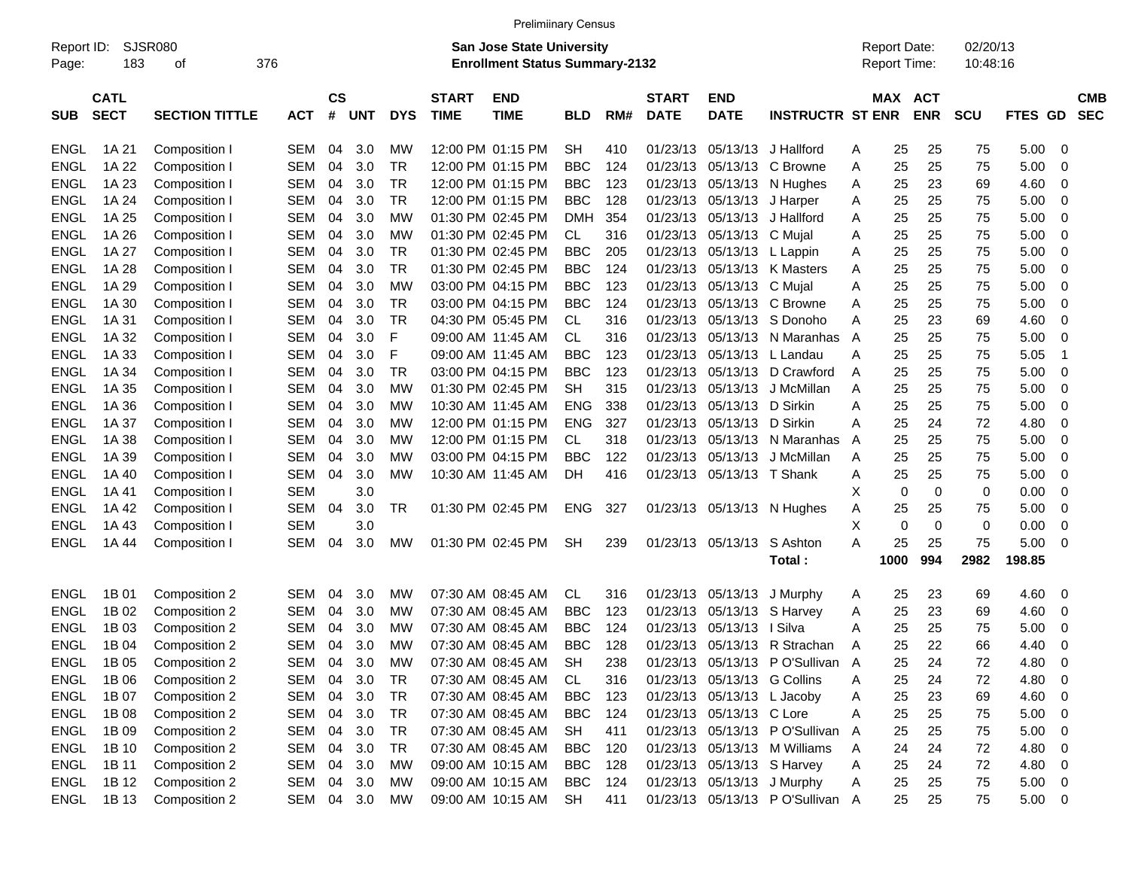|             |             |                       |            |           |            |            |              | <b>Prelimiinary Census</b>            |            |     |              |                             |                                 |                     |            |            |             |                          |
|-------------|-------------|-----------------------|------------|-----------|------------|------------|--------------|---------------------------------------|------------|-----|--------------|-----------------------------|---------------------------------|---------------------|------------|------------|-------------|--------------------------|
| Report ID:  |             | SJSR080               |            |           |            |            |              | <b>San Jose State University</b>      |            |     |              |                             |                                 | <b>Report Date:</b> |            | 02/20/13   |             |                          |
| Page:       | 183         | 376<br>οf             |            |           |            |            |              | <b>Enrollment Status Summary-2132</b> |            |     |              |                             |                                 | Report Time:        |            | 10:48:16   |             |                          |
|             | <b>CATL</b> |                       |            | <b>CS</b> |            |            | <b>START</b> | <b>END</b>                            |            |     | <b>START</b> | <b>END</b>                  |                                 | MAX ACT             |            |            |             | <b>CMB</b>               |
| SUB         | <b>SECT</b> | <b>SECTION TITTLE</b> | <b>ACT</b> | #         | <b>UNT</b> | <b>DYS</b> | <b>TIME</b>  | <b>TIME</b>                           | <b>BLD</b> | RM# | <b>DATE</b>  | <b>DATE</b>                 | <b>INSTRUCTR ST ENR</b>         |                     | <b>ENR</b> | <b>SCU</b> | FTES GD     | <b>SEC</b>               |
|             |             |                       |            |           |            |            |              |                                       |            |     |              |                             |                                 |                     |            |            |             |                          |
| <b>ENGL</b> | 1A 21       | Composition I         | <b>SEM</b> | 04        | 3.0        | МW         |              | 12:00 PM 01:15 PM                     | <b>SH</b>  | 410 | 01/23/13     | 05/13/13                    | J Hallford                      | 25<br>Α             | 25         | 75         | 5.00        | 0                        |
| <b>ENGL</b> | 1A 22       | Composition I         | <b>SEM</b> | 04        | 3.0        | TR.        |              | 12:00 PM 01:15 PM                     | <b>BBC</b> | 124 |              | 01/23/13 05/13/13           | C Browne                        | 25<br>Α             | 25         | 75         | 5.00        | 0                        |
| <b>ENGL</b> | 1A 23       | Composition I         | <b>SEM</b> | 04        | 3.0        | <b>TR</b>  |              | 12:00 PM 01:15 PM                     | <b>BBC</b> | 123 |              | 01/23/13 05/13/13           | N Hughes                        | 25<br>Α             | 23         | 69         | 4.60        | 0                        |
| <b>ENGL</b> | 1A 24       | Composition I         | <b>SEM</b> | 04        | 3.0        | <b>TR</b>  |              | 12:00 PM 01:15 PM                     | BBC        | 128 |              | 01/23/13 05/13/13           | J Harper                        | 25<br>Α             | 25         | 75         | 5.00        | 0                        |
| <b>ENGL</b> | 1A 25       | Composition I         | <b>SEM</b> | 04        | 3.0        | МW         |              | 01:30 PM 02:45 PM                     | DMH        | 354 |              | 01/23/13 05/13/13           | J Hallford                      | 25<br>Α             | 25         | 75         | 5.00        | 0                        |
| <b>ENGL</b> | 1A 26       | Composition I         | <b>SEM</b> | 04        | 3.0        | МW         |              | 01:30 PM 02:45 PM                     | CL         | 316 |              | 01/23/13 05/13/13           | C Mujal                         | 25<br>Α             | 25         | 75         | 5.00        | 0                        |
| <b>ENGL</b> | 1A 27       | Composition I         | <b>SEM</b> | 04        | 3.0        | TR.        |              | 01:30 PM 02:45 PM                     | <b>BBC</b> | 205 |              | 01/23/13 05/13/13           | L Lappin                        | 25<br>Α             | 25         | 75         | 5.00        | 0                        |
| <b>ENGL</b> | 1A 28       | Composition I         | <b>SEM</b> | 04        | 3.0        | TR.        |              | 01:30 PM 02:45 PM                     | <b>BBC</b> | 124 |              | 01/23/13 05/13/13           | K Masters                       | 25<br>A             | 25         | 75         | 5.00        | 0                        |
| <b>ENGL</b> | 1A 29       | Composition I         | <b>SEM</b> | 04        | 3.0        | МW         |              | 03:00 PM 04:15 PM                     | <b>BBC</b> | 123 | 01/23/13     | 05/13/13 C Mujal            |                                 | 25<br>A             | 25         | 75         | 5.00        | 0                        |
| <b>ENGL</b> | 1A 30       | Composition I         | <b>SEM</b> | 04        | 3.0        | TR         |              | 03:00 PM 04:15 PM                     | <b>BBC</b> | 124 | 01/23/13     | 05/13/13                    | C Browne                        | 25<br>A             | 25         | 75         | 5.00        | 0                        |
| <b>ENGL</b> | 1A 31       | Composition I         | <b>SEM</b> | 04        | 3.0        | <b>TR</b>  |              | 04:30 PM 05:45 PM                     | CL         | 316 | 01/23/13     |                             | 05/13/13 S Donoho               | Α<br>25             | 23         | 69         | 4.60        | 0                        |
| <b>ENGL</b> | 1A 32       | Composition I         | <b>SEM</b> | 04        | 3.0        | F          |              | 09:00 AM 11:45 AM                     | CL         | 316 | 01/23/13     | 05/13/13                    | N Maranhas                      | 25<br>A             | 25         | 75         | 5.00        | 0                        |
| <b>ENGL</b> | 1A 33       | Composition I         | <b>SEM</b> | 04        | 3.0        | F          |              | 09:00 AM 11:45 AM                     | <b>BBC</b> | 123 | 01/23/13     | 05/13/13                    | L Landau                        | 25<br>A             | 25         | 75         | 5.05        | -1                       |
| <b>ENGL</b> | 1A 34       | Composition I         | <b>SEM</b> | 04        | 3.0        | <b>TR</b>  |              | 03:00 PM 04:15 PM                     | <b>BBC</b> | 123 | 01/23/13     | 05/13/13                    | D Crawford                      | 25<br>A             | 25         | 75         | 5.00        | 0                        |
| <b>ENGL</b> | 1A 35       | Composition I         | <b>SEM</b> | 04        | 3.0        | МW         |              | 01:30 PM 02:45 PM                     | SН         | 315 | 01/23/13     | 05/13/13                    | J McMillan                      | 25<br>A             | 25         | 75         | 5.00        | 0                        |
| <b>ENGL</b> | 1A 36       | Composition I         | <b>SEM</b> | 04        | 3.0        | МW         |              | 10:30 AM 11:45 AM                     | <b>ENG</b> | 338 | 01/23/13     | 05/13/13                    | D Sirkin                        | 25<br>Α             | 25         | 75         | 5.00        | 0                        |
| <b>ENGL</b> | 1A 37       | Composition I         | <b>SEM</b> | 04        | 3.0        | МW         |              | 12:00 PM 01:15 PM                     | <b>ENG</b> | 327 | 01/23/13     | 05/13/13                    | D Sirkin                        | 25<br>A             | 24         | 72         | 4.80        | 0                        |
| <b>ENGL</b> | 1A 38       | Composition I         | <b>SEM</b> | 04        | 3.0        | МW         |              | 12:00 PM 01:15 PM                     | CL         | 318 | 01/23/13     | 05/13/13                    | N Maranhas                      | 25<br>A             | 25         | 75         | 5.00        | 0                        |
| <b>ENGL</b> | 1A 39       | Composition I         | <b>SEM</b> | 04        | 3.0        | МW         |              | 03:00 PM 04:15 PM                     | <b>BBC</b> | 122 | 01/23/13     | 05/13/13                    | J McMillan                      | 25<br>A             | 25         | 75         | 5.00        | 0                        |
| <b>ENGL</b> | 1A 40       | Composition I         | <b>SEM</b> | 04        | 3.0        | МW         |              | 10:30 AM 11:45 AM                     | DH.        | 416 |              | 01/23/13 05/13/13 T Shank   |                                 | 25<br>Α             | 25         | 75         | 5.00        | 0                        |
| <b>ENGL</b> | 1A 41       | Composition I         | <b>SEM</b> |           | 3.0        |            |              |                                       |            |     |              |                             |                                 | X<br>$\mathbf 0$    | 0          | 0          | 0.00        | 0                        |
| <b>ENGL</b> | 1A 42       | Composition I         | <b>SEM</b> | 04        | 3.0        | TR         |              | 01:30 PM 02:45 PM                     | <b>ENG</b> | 327 |              | 01/23/13 05/13/13           | N Hughes                        | 25<br>Α             | 25         | 75         | 5.00        | 0                        |
| <b>ENGL</b> | 1A 43       | Composition I         | <b>SEM</b> |           | 3.0        |            |              |                                       |            |     |              |                             |                                 | Х<br>$\mathbf 0$    | 0          | 0          | 0.00        | 0                        |
| <b>ENGL</b> | 1A 44       | Composition I         | <b>SEM</b> | 04        | 3.0        | <b>MW</b>  |              | 01:30 PM 02:45 PM                     | <b>SH</b>  | 239 |              | 01/23/13 05/13/13           | S Ashton                        | 25<br>А             | 25         | 75         | 5.00        | 0                        |
|             |             |                       |            |           |            |            |              |                                       |            |     |              |                             | Total:                          | 1000                | 994        | 2982       | 198.85      |                          |
|             |             |                       |            |           |            |            |              |                                       |            |     |              |                             |                                 |                     |            |            |             |                          |
| <b>ENGL</b> | 1B 01       | Composition 2         | <b>SEM</b> | 04        | 3.0        | <b>MW</b>  |              | 07:30 AM 08:45 AM                     | CL.        | 316 |              | 01/23/13 05/13/13           | J Murphy                        | 25<br>A             | 23         | 69         | 4.60        | 0                        |
| <b>ENGL</b> | 1B 02       | Composition 2         | <b>SEM</b> | 04        | 3.0        | MW         |              | 07:30 AM 08:45 AM                     | <b>BBC</b> | 123 | 01/23/13     | 05/13/13                    | S Harvey                        | 25<br>Α             | 23         | 69         | 4.60        | 0                        |
| <b>ENGL</b> | 1B 03       | Composition 2         | <b>SEM</b> | 04        | 3.0        | МW         |              | 07:30 AM 08:45 AM                     | <b>BBC</b> | 124 | 01/23/13     | 05/13/13                    | ∣ Silva                         | 25<br>A             | 25         | 75         | 5.00        | 0                        |
| <b>ENGL</b> | 1B 04       | Composition 2         | <b>SEM</b> | 04        | 3.0        | МW         |              | 07:30 AM 08:45 AM                     | BBC        | 128 |              |                             | 01/23/13 05/13/13 R Strachan    | 25<br>A             | 22         | 66         | 4.40        | 0                        |
| <b>ENGL</b> | 1B 05       | Composition 2         | SEM        | 04        | 3.0        | MW         |              | 07:30 AM 08:45 AM                     | <b>SH</b>  | 238 |              |                             | 01/23/13 05/13/13 PO'Sullivan A | 25                  | 24         | 72         | 4.80        | $\overline{\mathbf{0}}$  |
| <b>ENGL</b> | 1B 06       | Composition 2         | <b>SEM</b> | 04        | 3.0        | TR         |              | 07:30 AM 08:45 AM                     | CL.        | 316 |              | 01/23/13 05/13/13 G Collins |                                 | 25<br>Α             | 24         | 72         | 4.80        | $\overline{\mathbf{0}}$  |
| <b>ENGL</b> | 1B 07       | Composition 2         | <b>SEM</b> | 04        | 3.0        | TR         |              | 07:30 AM 08:45 AM                     | <b>BBC</b> | 123 |              | 01/23/13 05/13/13 L Jacoby  |                                 | 25<br>A             | 23         | 69         | 4.60        | $\overline{\mathbf{0}}$  |
| ENGL        | 1B 08       | Composition 2         | <b>SEM</b> | 04        | 3.0        | TR         |              | 07:30 AM 08:45 AM                     | <b>BBC</b> | 124 |              | 01/23/13 05/13/13 C Lore    |                                 | 25<br>Α             | 25         | 75         | 5.00        | $\overline{\mathbf{0}}$  |
| <b>ENGL</b> | 1B 09       | Composition 2         | <b>SEM</b> | 04        | 3.0        | TR         |              | 07:30 AM 08:45 AM                     | SH         | 411 |              |                             | 01/23/13 05/13/13 P O'Sullivan  | 25<br>A             | 25         | 75         | 5.00        | $\overline{\mathbf{0}}$  |
| <b>ENGL</b> | 1B 10       | Composition 2         | <b>SEM</b> | 04        | 3.0        | <b>TR</b>  |              | 07:30 AM 08:45 AM                     | <b>BBC</b> | 120 |              |                             | 01/23/13 05/13/13 M Williams    | 24<br>A             | 24         | 72         | 4.80        | $\mathbf 0$              |
| <b>ENGL</b> | 1B 11       | Composition 2         | <b>SEM</b> | 04        | 3.0        | <b>MW</b>  |              | 09:00 AM 10:15 AM                     | <b>BBC</b> | 128 |              | 01/23/13 05/13/13 S Harvey  |                                 | 25<br>Α             | 24         | 72         | 4.80        | $\overline{\phantom{0}}$ |
| ENGL        | 1B 12       | Composition 2         | <b>SEM</b> | 04        | 3.0        | МW         |              | 09:00 AM 10:15 AM                     | <b>BBC</b> | 124 |              | 01/23/13 05/13/13 J Murphy  |                                 | 25<br>Α             | 25         | 75         | $5.00 \t 0$ |                          |
|             |             |                       |            |           |            |            |              |                                       |            |     |              |                             |                                 |                     |            |            |             |                          |
| ENGL        | 1B 13       | Composition 2         | SEM        |           | 04 3.0     | MW         |              | 09:00 AM 10:15 AM                     | SH         | 411 |              |                             | 01/23/13 05/13/13 PO'Sullivan A | 25                  | 25         | 75         | $5.00 \t 0$ |                          |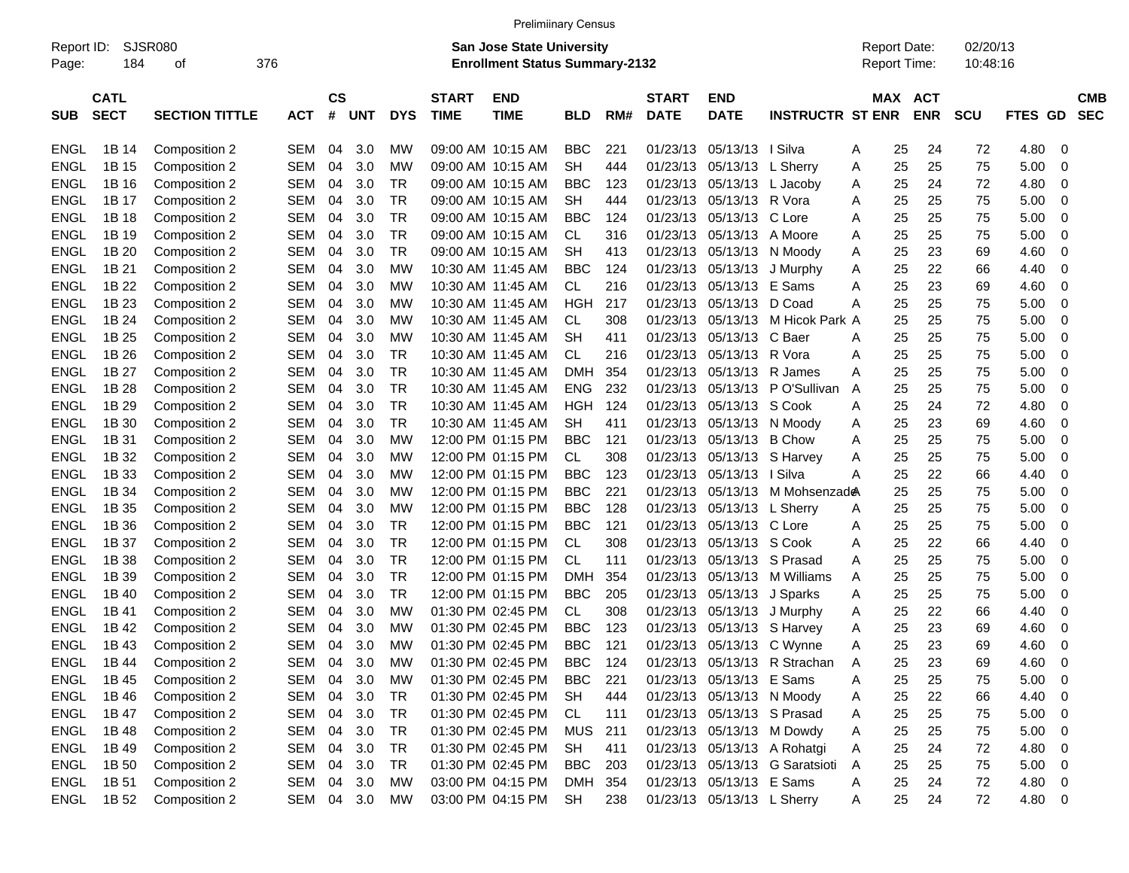|                     |                            |                       |            |                |            |            |                             | <b>Prelimiinary Census</b>                                                |            |     |                             |                            |                                |                                            |         |            |                      |         |                          |
|---------------------|----------------------------|-----------------------|------------|----------------|------------|------------|-----------------------------|---------------------------------------------------------------------------|------------|-----|-----------------------------|----------------------------|--------------------------------|--------------------------------------------|---------|------------|----------------------|---------|--------------------------|
| Report ID:<br>Page: | 184                        | <b>SJSR080</b><br>οf  | 376        |                |            |            |                             | <b>San Jose State University</b><br><b>Enrollment Status Summary-2132</b> |            |     |                             |                            |                                | <b>Report Date:</b><br><b>Report Time:</b> |         |            | 02/20/13<br>10:48:16 |         |                          |
| <b>SUB</b>          | <b>CATL</b><br><b>SECT</b> | <b>SECTION TITTLE</b> | <b>ACT</b> | <b>CS</b><br># | <b>UNT</b> | <b>DYS</b> | <b>START</b><br><b>TIME</b> | <b>END</b><br><b>TIME</b>                                                 | <b>BLD</b> | RM# | <b>START</b><br><b>DATE</b> | END<br><b>DATE</b>         | <b>INSTRUCTR ST ENR</b>        |                                            | MAX ACT | <b>ENR</b> | <b>SCU</b>           | FTES GD | <b>CMB</b><br><b>SEC</b> |
| <b>ENGL</b>         | 1B 14                      | Composition 2         | <b>SEM</b> | 04             | 3.0        | МW         |                             | 09:00 AM 10:15 AM                                                         | <b>BBC</b> | 221 | 01/23/13                    | 05/13/13   Silva           |                                | A                                          | 25      | 24         | 72                   | 4.80    | -0                       |
| ENGL                | 1B 15                      | Composition 2         | <b>SEM</b> | 04             | 3.0        | MW         |                             | 09:00 AM 10:15 AM                                                         | <b>SH</b>  | 444 | 01/23/13                    | 05/13/13                   | L Sherry                       | A                                          | 25      | 25         | 75                   | 5.00    | 0                        |
| ENGL                | 1B 16                      | Composition 2         | <b>SEM</b> | 04             | 3.0        | ТR         |                             | 09:00 AM 10:15 AM                                                         | BBC        | 123 | 01/23/13                    | 05/13/13                   | L Jacoby                       | A                                          | 25      | 24         | 72                   | 4.80    | 0                        |
| ENGL                | 1B 17                      | Composition 2         | <b>SEM</b> | 04             | 3.0        | TR         |                             | 09:00 AM 10:15 AM                                                         | SН         | 444 | 01/23/13                    | 05/13/13                   | R Vora                         | A                                          | 25      | 25         | 75                   | 5.00    | 0                        |
| ENGL                | 1B 18                      | Composition 2         | <b>SEM</b> | 04             | 3.0        | <b>TR</b>  |                             | 09:00 AM 10:15 AM                                                         | BBC        | 124 | 01/23/13                    | 05/13/13                   | C Lore                         | A                                          | 25      | 25         | 75                   | 5.00    | 0                        |
| ENGL                | 1B 19                      | Composition 2         | <b>SEM</b> | 04             | 3.0        | TR         |                             | 09:00 AM 10:15 AM                                                         | СL         | 316 | 01/23/13                    | 05/13/13                   | A Moore                        | A                                          | 25      | 25         | 75                   | 5.00    | 0                        |
| ENGL                | 1B 20                      | Composition 2         | <b>SEM</b> | 04             | 3.0        | <b>TR</b>  |                             | 09:00 AM 10:15 AM                                                         | SН         | 413 | 01/23/13                    | 05/13/13                   | N Moody                        | A                                          | 25      | 23         | 69                   | 4.60    | 0                        |
| ENGL                | 1B 21                      | Composition 2         | <b>SEM</b> | 04             | 3.0        | МW         |                             | 10:30 AM 11:45 AM                                                         | BBC        | 124 | 01/23/13                    | 05/13/13                   | J Murphy                       | A                                          | 25      | 22         | 66                   | 4.40    | 0                        |
| ENGL                | 1B 22                      | Composition 2         | <b>SEM</b> | 04             | 3.0        | МW         |                             | 10:30 AM 11:45 AM                                                         | CL.        | 216 | 01/23/13                    | 05/13/13                   | E Sams                         | A                                          | 25      | 23         | 69                   | 4.60    | 0                        |
| ENGL                | 1B 23                      | Composition 2         | <b>SEM</b> | 04             | 3.0        | МW         |                             | 10:30 AM 11:45 AM                                                         | <b>HGH</b> | 217 | 01/23/13                    | 05/13/13                   | D Coad                         | А                                          | 25      | 25         | 75                   | 5.00    | 0                        |
| ENGL                | 1B 24                      | Composition 2         | <b>SEM</b> | 04             | 3.0        | МW         |                             | 10:30 AM 11:45 AM                                                         | СL         | 308 | 01/23/13                    | 05/13/13                   | M Hicok Park A                 |                                            | 25      | 25         | 75                   | 5.00    | 0                        |
| ENGL                | 1B 25                      | Composition 2         | <b>SEM</b> | 04             | 3.0        | МW         |                             | 10:30 AM 11:45 AM                                                         | SН         | 411 | 01/23/13                    | 05/13/13                   | C Baer                         | A                                          | 25      | 25         | 75                   | 5.00    | 0                        |
| ENGL                | 1B 26                      | Composition 2         | <b>SEM</b> | 04             | 3.0        | <b>TR</b>  |                             | 10:30 AM 11:45 AM                                                         | <b>CL</b>  | 216 | 01/23/13                    | 05/13/13                   | R Vora                         | A                                          | 25      | 25         | 75                   | 5.00    | 0                        |
| ENGL                | 1B 27                      | Composition 2         | <b>SEM</b> | 04             | 3.0        | ТR         |                             | 10:30 AM 11:45 AM                                                         | <b>DMH</b> | 354 | 01/23/13                    | 05/13/13                   | R James                        | A                                          | 25      | 25         | 75                   | 5.00    | 0                        |
| ENGL                | 1B 28                      | Composition 2         | <b>SEM</b> | 04             | 3.0        | <b>TR</b>  |                             | 10:30 AM 11:45 AM                                                         | <b>ENG</b> | 232 | 01/23/13                    | 05/13/13                   | P O'Sullivan                   | A                                          | 25      | 25         | 75                   | 5.00    | 0                        |
| ENGL                | 1B 29                      | Composition 2         | <b>SEM</b> | 04             | 3.0        | <b>TR</b>  |                             | 10:30 AM 11:45 AM                                                         | HGH        | 124 | 01/23/13                    | 05/13/13                   | S Cook                         | A                                          | 25      | 24         | 72                   | 4.80    | 0                        |
| ENGL                | 1B 30                      | Composition 2         | <b>SEM</b> | 04             | 3.0        | <b>TR</b>  |                             | 10:30 AM 11:45 AM                                                         | SН         | 411 | 01/23/13                    | 05/13/13                   | N Moody                        | A                                          | 25      | 23         | 69                   | 4.60    | 0                        |
| ENGL                | 1B 31                      | Composition 2         | <b>SEM</b> | 04             | 3.0        | МW         |                             | 12:00 PM 01:15 PM                                                         | <b>BBC</b> | 121 | 01/23/13                    | 05/13/13                   | <b>B</b> Chow                  | A                                          | 25      | 25         | 75                   | 5.00    | 0                        |
| ENGL                | 1B 32                      | Composition 2         | <b>SEM</b> | 04             | 3.0        | МW         |                             | 12:00 PM 01:15 PM                                                         | <b>CL</b>  | 308 | 01/23/13                    | 05/13/13                   | S Harvey                       | A                                          | 25      | 25         | 75                   | 5.00    | 0                        |
| ENGL                | 1B 33                      | Composition 2         | <b>SEM</b> | 04             | 3.0        | МW         |                             | 12:00 PM 01:15 PM                                                         | BBC        | 123 | 01/23/13                    | 05/13/13   Silva           |                                | A                                          | 25      | 22         | 66                   | 4.40    | 0                        |
| ENGL                | 1B 34                      | Composition 2         | <b>SEM</b> | 04             | 3.0        | МW         |                             | 12:00 PM 01:15 PM                                                         | BBC        | 221 | 01/23/13                    | 05/13/13                   | M Mohsenzad <sup>&amp;</sup>   |                                            | 25      | 25         | 75                   | 5.00    | 0                        |
| ENGL                | 1B 35                      | Composition 2         | <b>SEM</b> | 04             | 3.0        | МW         |                             | 12:00 PM 01:15 PM                                                         | BBC        | 128 | 01/23/13                    | 05/13/13                   | L Sherry                       | A                                          | 25      | 25         | 75                   | 5.00    | 0                        |
| ENGL                | 1B 36                      | Composition 2         | <b>SEM</b> | 04             | 3.0        | <b>TR</b>  |                             | 12:00 PM 01:15 PM                                                         | <b>BBC</b> | 121 | 01/23/13                    | 05/13/13                   | C Lore                         | A                                          | 25      | 25         | 75                   | 5.00    | 0                        |
| ENGL                | 1B 37                      | Composition 2         | <b>SEM</b> | 04             | 3.0        | ТR         |                             | 12:00 PM 01:15 PM                                                         | <b>CL</b>  | 308 | 01/23/13                    | 05/13/13                   | S Cook                         | A                                          | 25      | 22         | 66                   | 4.40    | 0                        |
| ENGL                | 1B 38                      | Composition 2         | <b>SEM</b> | 04             | 3.0        | <b>TR</b>  |                             | 12:00 PM 01:15 PM                                                         | <b>CL</b>  | 111 | 01/23/13                    | 05/13/13                   | S Prasad                       | A                                          | 25      | 25         | 75                   | 5.00    | 0                        |
| ENGL                | 1B 39                      | Composition 2         | <b>SEM</b> | 04             | 3.0        | <b>TR</b>  |                             | 12:00 PM 01:15 PM                                                         | <b>DMH</b> | 354 | 01/23/13                    | 05/13/13                   | M Williams                     | A                                          | 25      | 25         | 75                   | 5.00    | 0                        |
| <b>ENGL</b>         | 1B 40                      | Composition 2         | <b>SEM</b> | 04             | 3.0        | TR         |                             | 12:00 PM 01:15 PM                                                         | BBC        | 205 | 01/23/13                    | 05/13/13                   | J Sparks                       | A                                          | 25      | 25         | 75                   | 5.00    | 0                        |
| ENGL                | 1B 41                      | Composition 2         | <b>SEM</b> | 04             | 3.0        | МW         |                             | 01:30 PM 02:45 PM                                                         | CL.        | 308 | 01/23/13                    | 05/13/13                   | J Murphy                       | A                                          | 25      | 22         | 66                   | 4.40    | 0                        |
| ENGL                | 1B 42                      | Composition 2         | <b>SEM</b> | 04             | 3.0        | МW         |                             | 01:30 PM 02:45 PM                                                         | BBC        | 123 | 01/23/13                    | 05/13/13                   | S Harvey                       | A                                          | 25      | 23         | 69                   | 4.60    | 0                        |
| ENGL                | 1B 43                      | Composition 2         | <b>SEM</b> | 04             | 3.0        | MW         |                             | 01:30 PM 02:45 PM                                                         | <b>BBC</b> | 121 | 01/23/13                    |                            | 05/13/13 C Wynne               | A                                          | 25      | 23         | 69                   | 4.60    | 0                        |
| ENGL                | 1B 44                      | Composition 2         | SEM        | 04             | 3.0        | МW         |                             | 01:30 PM 02:45 PM                                                         | <b>BBC</b> | 124 |                             |                            | 01/23/13 05/13/13 R Strachan   | A                                          | 25      | 23         | 69                   | 4.60    | - 0                      |
| <b>ENGL</b>         | 1B 45                      | Composition 2         | SEM        |                | 04 3.0     | <b>MW</b>  |                             | 01:30 PM 02:45 PM                                                         | <b>BBC</b> | 221 |                             | 01/23/13 05/13/13 E Sams   |                                | A                                          | 25      | 25         | 75                   | 5.00    | $\overline{0}$           |
| <b>ENGL</b>         | 1B 46                      | Composition 2         | SEM 04 3.0 |                |            | <b>TR</b>  |                             | 01:30 PM 02:45 PM                                                         | SH         | 444 |                             | 01/23/13 05/13/13 N Moody  |                                | A                                          | 25      | 22         | 66                   | 4.40    | 0                        |
| <b>ENGL</b>         | 1B 47                      | Composition 2         | SEM 04 3.0 |                |            | <b>TR</b>  |                             | 01:30 PM 02:45 PM                                                         | CL         | 111 |                             | 01/23/13 05/13/13 S Prasad |                                | Α                                          | 25      | 25         | 75                   | 5.00    | $\overline{0}$           |
| ENGL                | 1B 48                      | Composition 2         | SEM        |                | 04 3.0     | TR         |                             | 01:30 PM 02:45 PM                                                         | <b>MUS</b> | 211 |                             |                            | 01/23/13 05/13/13 M Dowdy      | Α                                          | 25      | 25         | 75                   | 5.00    | $\overline{0}$           |
| <b>ENGL</b>         | 1B 49                      | Composition 2         | SEM 04 3.0 |                |            | <b>TR</b>  |                             | 01:30 PM 02:45 PM                                                         | <b>SH</b>  | 411 |                             |                            | 01/23/13 05/13/13 A Rohatgi    | Α                                          | 25      | 24         | 72                   | 4.80    | $\overline{0}$           |
| <b>ENGL</b>         | 1B 50                      | Composition 2         | SEM 04 3.0 |                |            | <b>TR</b>  |                             | 01:30 PM 02:45 PM                                                         | <b>BBC</b> | 203 |                             |                            | 01/23/13 05/13/13 G Saratsioti | Α                                          | 25      | 25         | 75                   | 5.00    | $\overline{\mathbf{0}}$  |
| <b>ENGL</b>         | 1B 51                      | Composition 2         | SEM 04 3.0 |                |            | MW         |                             | 03:00 PM 04:15 PM                                                         | DMH 354    |     |                             | 01/23/13 05/13/13 E Sams   |                                | A                                          | 25      | 24         | 72                   | 4.80 0  |                          |

ENGL 1B 52 Composition 2 SEM 04 3.0 MW 03:00 PM 04:15 PM SH 238 01/23/13 05/13/13 L Sherry A 25 24 72 4.80 0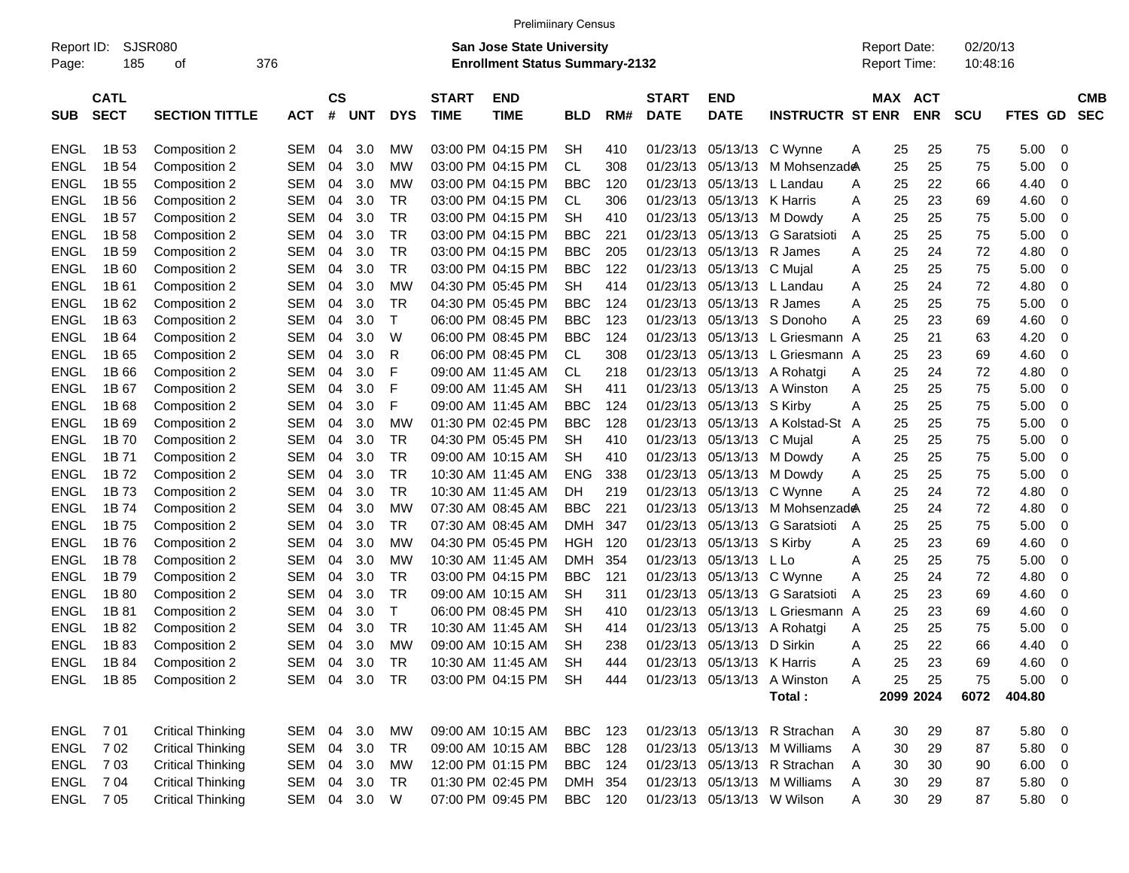| <b>Prelimiinary Census</b> |  |
|----------------------------|--|
|                            |  |

| Report ID:<br>Page: | 185                        | SJSR080<br>οf            | 376        |                |               |            |                             | <b>San Jose State University</b><br><b>Enrollment Status Summary-2132</b> |            |     |                             |                            |                              |                | <b>Report Date:</b><br>Report Time: |            | 02/20/13<br>10:48:16 |             |   |                          |
|---------------------|----------------------------|--------------------------|------------|----------------|---------------|------------|-----------------------------|---------------------------------------------------------------------------|------------|-----|-----------------------------|----------------------------|------------------------------|----------------|-------------------------------------|------------|----------------------|-------------|---|--------------------------|
| <b>SUB</b>          | <b>CATL</b><br><b>SECT</b> | <b>SECTION TITTLE</b>    | <b>ACT</b> | <b>CS</b><br># | UNT           | <b>DYS</b> | <b>START</b><br><b>TIME</b> | <b>END</b><br><b>TIME</b>                                                 | <b>BLD</b> | RM# | <b>START</b><br><b>DATE</b> | <b>END</b><br><b>DATE</b>  | <b>INSTRUCTR ST ENR</b>      |                | MAX ACT                             | <b>ENR</b> | <b>SCU</b>           | FTES GD     |   | <b>CMB</b><br><b>SEC</b> |
|                     |                            |                          |            |                |               |            |                             |                                                                           |            |     |                             |                            |                              |                |                                     |            |                      |             |   |                          |
| <b>ENGL</b>         | 1B 53                      | Composition 2            | SEM        | 04             | 3.0           | МW         |                             | 03:00 PM 04:15 PM                                                         | SН         | 410 | 01/23/13                    | 05/13/13                   | C Wynne                      | Α              | 25                                  | 25         | 75                   | 5.00        | 0 |                          |
| ENGL                | 1B 54                      | Composition 2            | <b>SEM</b> | 04             | 3.0           | <b>MW</b>  |                             | 03:00 PM 04:15 PM                                                         | CL.        | 308 | 01/23/13                    | 05/13/13                   | M Mohsenzad <del>@</del>     |                | 25                                  | 25         | 75                   | 5.00        | 0 |                          |
| ENGL                | 1B 55                      | Composition 2            | SEM        | 04             | 3.0           | <b>MW</b>  |                             | 03:00 PM 04:15 PM                                                         | <b>BBC</b> | 120 | 01/23/13                    | 05/13/13                   | L Landau                     | A              | 25                                  | 22         | 66                   | 4.40        | 0 |                          |
| <b>ENGL</b>         | 1B 56                      | Composition 2            | <b>SEM</b> | 04             | 3.0           | TR         |                             | 03:00 PM 04:15 PM                                                         | CL.        | 306 | 01/23/13                    | 05/13/13 K Harris          |                              | Α              | 25                                  | 23         | 69                   | 4.60        | 0 |                          |
| <b>ENGL</b>         | 1B 57                      | Composition 2            | SEM        | 04             | 3.0           | TR         |                             | 03:00 PM 04:15 PM                                                         | <b>SH</b>  | 410 | 01/23/13                    |                            | 05/13/13 M Dowdy             | Α              | 25                                  | 25         | 75                   | 5.00        | 0 |                          |
| <b>ENGL</b>         | 1B 58                      | Composition 2            | SEM        | 04             | 3.0           | TR         |                             | 03:00 PM 04:15 PM                                                         | <b>BBC</b> | 221 | 01/23/13                    | 05/13/13                   | G Saratsioti                 | A              | 25                                  | 25         | 75                   | 5.00        | 0 |                          |
| <b>ENGL</b>         | 1B 59                      | Composition 2            | <b>SEM</b> | 04             | 3.0           | TR         |                             | 03:00 PM 04:15 PM                                                         | <b>BBC</b> | 205 | 01/23/13                    | 05/13/13 R James           |                              | A              | 25                                  | 24         | 72                   | 4.80        | 0 |                          |
| <b>ENGL</b>         | 1B 60                      | Composition 2            | SEM        | 04             | 3.0           | TR         |                             | 03:00 PM 04:15 PM                                                         | <b>BBC</b> | 122 | 01/23/13                    | 05/13/13 C Mujal           |                              | Α              | 25                                  | 25         | 75                   | 5.00        | 0 |                          |
| <b>ENGL</b>         | 1B 61                      | Composition 2            | <b>SEM</b> | 04             | 3.0           | МW         |                             | 04:30 PM 05:45 PM                                                         | <b>SH</b>  | 414 | 01/23/13                    | 05/13/13                   | L Landau                     | A              | 25                                  | 24         | 72                   | 4.80        | 0 |                          |
| <b>ENGL</b>         | 1B 62                      | Composition 2            | SEM        | 04             | 3.0           | TR         |                             | 04:30 PM 05:45 PM                                                         | <b>BBC</b> | 124 | 01/23/13                    | 05/13/13 R James           |                              | A              | 25                                  | 25         | 75                   | 5.00        | 0 |                          |
| <b>ENGL</b>         | 1B <sub>63</sub>           | Composition 2            | SEM        | 04             | 3.0           | Т          |                             | 06:00 PM 08:45 PM                                                         | <b>BBC</b> | 123 | 01/23/13                    |                            | 05/13/13 S Donoho            | A              | 25                                  | 23         | 69                   | 4.60        | 0 |                          |
| <b>ENGL</b>         | 1B 64                      | Composition 2            | <b>SEM</b> | 04             | 3.0           | W          |                             | 06:00 PM 08:45 PM                                                         | <b>BBC</b> | 124 | 01/23/13                    | 05/13/13                   | L Griesmann A                |                | 25                                  | 21         | 63                   | 4.20        | 0 |                          |
| <b>ENGL</b>         | 1B 65                      | Composition 2            | SEM        | 04             | 3.0           | R          |                             | 06:00 PM 08:45 PM                                                         | CL.        | 308 | 01/23/13                    | 05/13/13                   | L Griesmann A                |                | 25                                  | 23         | 69                   | 4.60        | 0 |                          |
| <b>ENGL</b>         | 1B 66                      | Composition 2            | <b>SEM</b> | 04             | 3.0           | F          |                             | 09:00 AM 11:45 AM                                                         | CL         | 218 | 01/23/13                    | 05/13/13                   | A Rohatgi                    | A              | 25                                  | 24         | 72                   | 4.80        | 0 |                          |
| <b>ENGL</b>         | 1B 67                      | Composition 2            | SEM        | 04             | 3.0           | F          |                             | 09:00 AM 11:45 AM                                                         | <b>SH</b>  | 411 | 01/23/13                    |                            | 05/13/13 A Winston           | A              | 25                                  | 25         | 75                   | 5.00        | 0 |                          |
| <b>ENGL</b>         | 1B <sub>68</sub>           | Composition 2            | SEM        | 04             | 3.0           | F          |                             | 09:00 AM 11:45 AM                                                         | <b>BBC</b> | 124 | 01/23/13                    | 05/13/13 S Kirby           |                              | Α              | 25                                  | 25         | 75                   | 5.00        | 0 |                          |
| <b>ENGL</b>         | 1B <sub>69</sub>           | Composition 2            | <b>SEM</b> | 04             | 3.0           | МW         |                             | 01:30 PM 02:45 PM                                                         | <b>BBC</b> | 128 | 01/23/13                    | 05/13/13                   | A Kolstad-St                 | $\overline{A}$ | 25                                  | 25         | 75                   | 5.00        | 0 |                          |
| <b>ENGL</b>         | 1B 70                      | Composition 2            | SEM        | 04             | 3.0           | TR         |                             | 04:30 PM 05:45 PM                                                         | <b>SH</b>  | 410 | 01/23/13                    | 05/13/13                   | C Mujal                      | Α              | 25                                  | 25         | 75                   | 5.00        | 0 |                          |
| <b>ENGL</b>         | 1B 71                      | Composition 2            | <b>SEM</b> | 04             | 3.0           | TR         |                             | 09:00 AM 10:15 AM                                                         | <b>SH</b>  | 410 | 01/23/13                    |                            | 05/13/13 M Dowdy             | Α              | 25                                  | 25         | 75                   | 5.00        | 0 |                          |
| <b>ENGL</b>         | 1B 72                      | Composition 2            | <b>SEM</b> | 04             | 3.0           | TR         |                             | 10:30 AM 11:45 AM                                                         | <b>ENG</b> | 338 | 01/23/13                    | 05/13/13                   | M Dowdy                      | Α              | 25                                  | 25         | 75                   | 5.00        | 0 |                          |
| <b>ENGL</b>         | 1B 73                      | Composition 2            | SEM        | 04             | 3.0           | TR         |                             | 10:30 AM 11:45 AM                                                         | DH         | 219 | 01/23/13                    | 05/13/13                   | C Wynne                      | Α              | 25                                  | 24         | 72                   | 4.80        | 0 |                          |
| <b>ENGL</b>         | 1B 74                      | Composition 2            | <b>SEM</b> | 04             | 3.0           | МW         |                             | 07:30 AM 08:45 AM                                                         | <b>BBC</b> | 221 | 01/23/13                    | 05/13/13                   | M Mohsenzad <b>e</b> A       |                | 25                                  | 24         | 72                   | 4.80        | 0 |                          |
| <b>ENGL</b>         | 1B 75                      | Composition 2            | SEM        | 04             | 3.0           | TR         |                             | 07:30 AM 08:45 AM                                                         | <b>DMH</b> | 347 | 01/23/13                    | 05/13/13                   | G Saratsioti                 | A              | 25                                  | 25         | 75                   | 5.00        | 0 |                          |
| <b>ENGL</b>         | 1B 76                      | Composition 2            | SEM        | 04             | 3.0           | МW         |                             | 04:30 PM 05:45 PM                                                         | HGH        | 120 | 01/23/13                    | 05/13/13 S Kirby           |                              | Α              | 25                                  | 23         | 69                   | 4.60        | 0 |                          |
| <b>ENGL</b>         | 1B 78                      | Composition 2            | <b>SEM</b> | 04             | 3.0           | МW         |                             | 10:30 AM 11:45 AM                                                         | <b>DMH</b> | 354 | 01/23/13                    | 05/13/13                   | - L Lo                       | Α              | 25                                  | 25         | 75                   | 5.00        | 0 |                          |
| <b>ENGL</b>         | 1B 79                      | Composition 2            | SEM        | 04             | 3.0           | TR         |                             | 03:00 PM 04:15 PM                                                         | <b>BBC</b> | 121 | 01/23/13                    |                            | 05/13/13 C Wynne             | A              | 25                                  | 24         | 72                   | 4.80        | 0 |                          |
| <b>ENGL</b>         | 1B 80                      | Composition 2            | <b>SEM</b> | 04             | 3.0           | TR         |                             | 09:00 AM 10:15 AM                                                         | SН         | 311 | 01/23/13                    | 05/13/13                   | G Saratsioti                 | A              | 25                                  | 23         | 69                   | 4.60        | 0 |                          |
| ENGL                | 1B 81                      | Composition 2            | <b>SEM</b> | 04             | 3.0           | Т          |                             | 06:00 PM 08:45 PM                                                         | SН         | 410 | 01/23/13                    | 05/13/13                   | L Griesmann A                |                | 25                                  | 23         | 69                   | 4.60        | 0 |                          |
| ENGL                | 1B 82                      | Composition 2            | <b>SEM</b> | 04             | 3.0           | TR         |                             | 10:30 AM 11:45 AM                                                         | SН         | 414 | 01/23/13                    | 05/13/13                   | A Rohatgi                    | Α              | 25                                  | 25         | 75                   | 5.00        | 0 |                          |
| ENGL                | 1B 83                      | Composition 2            | <b>SEM</b> | 04             | 3.0           | <b>MW</b>  |                             | 09:00 AM 10:15 AM                                                         | SН         | 238 | 01/23/13                    | 05/13/13                   | D Sirkin                     | Α              | 25                                  | 22         | 66                   | 4.40        | 0 |                          |
| ENGL                | 1B 84                      | Composition 2            | SEM        | 04             | 3.0           | TR         |                             | 10:30 AM 11:45 AM                                                         | SН         | 444 |                             | 01/23/13 05/13/13 K Harris |                              | A              | 25                                  | 23         | 69                   | 4.60        | 0 |                          |
|                     | ENGL 1B85                  | Composition 2            |            |                | SEM 04 3.0 TR |            |                             | 03:00 PM 04:15 PM SH                                                      |            | 444 |                             |                            | 01/23/13 05/13/13 A Winston  | A              | 25                                  | 25         | 75                   | $5.00 \t 0$ |   |                          |
|                     |                            |                          |            |                |               |            |                             |                                                                           |            |     |                             |                            | Total:                       |                |                                     | 2099 2024  | 6072                 | 404.80      |   |                          |
|                     |                            |                          |            |                |               |            |                             |                                                                           |            |     |                             |                            |                              |                |                                     |            |                      |             |   |                          |
|                     | <b>ENGL 701</b>            | <b>Critical Thinking</b> |            |                | SEM 04 3.0    | МW         |                             | 09:00 AM 10:15 AM                                                         | BBC        | 123 |                             |                            | 01/23/13 05/13/13 R Strachan | A              | 30                                  | 29         | 87                   | 5.80 0      |   |                          |
| ENGL                | 702                        | <b>Critical Thinking</b> |            |                | SEM 04 3.0    | TR         |                             | 09:00 AM 10:15 AM                                                         | BBC        | 128 |                             |                            | 01/23/13 05/13/13 M Williams | A              | 30                                  | 29         | 87                   | 5.80 0      |   |                          |
| ENGL                | 703                        | <b>Critical Thinking</b> |            |                | SEM 04 3.0    | МW         |                             | 12:00 PM 01:15 PM                                                         | <b>BBC</b> | 124 |                             |                            | 01/23/13 05/13/13 R Strachan | A              | 30                                  | 30         | 90                   | $6.00 \t 0$ |   |                          |
| ENGL                | 7 04                       | <b>Critical Thinking</b> |            |                | SEM 04 3.0    | TR         |                             | 01:30 PM 02:45 PM                                                         | DMH 354    |     |                             |                            | 01/23/13 05/13/13 M Williams | A              | 30                                  | 29         | 87                   | 5.80 0      |   |                          |
|                     | ENGL 705                   | <b>Critical Thinking</b> |            |                | SEM 04 3.0    | W          |                             | 07:00 PM 09:45 PM                                                         | BBC 120    |     |                             |                            | 01/23/13 05/13/13 W Wilson   | A              | 30                                  | 29         | 87                   | 5.80 0      |   |                          |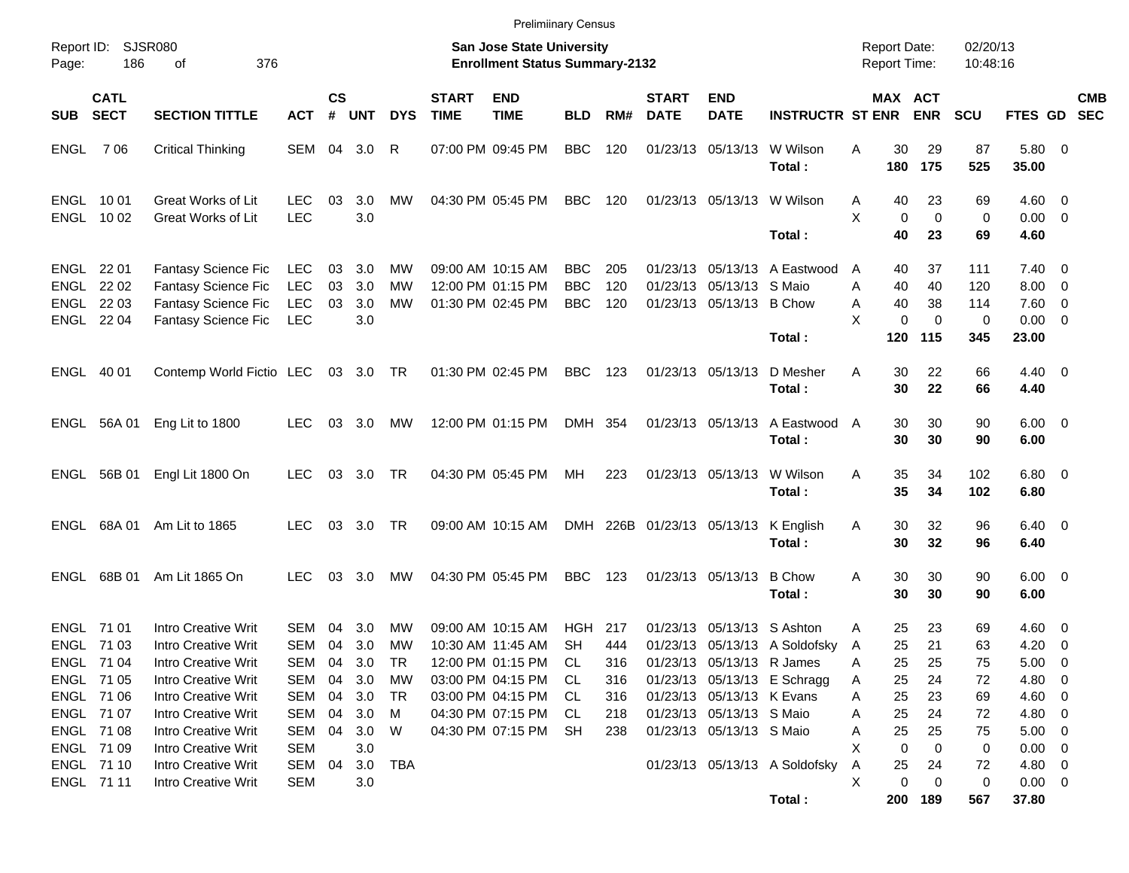|            |                                        |                                                                                                               |                                                      |                |                          |                                    |                             | <b>Prelimiinary Census</b>                                                       |                                        |                          |                             |                                                                                   |                                                              |                                            |                                                          |                               |                                                                      |            |
|------------|----------------------------------------|---------------------------------------------------------------------------------------------------------------|------------------------------------------------------|----------------|--------------------------|------------------------------------|-----------------------------|----------------------------------------------------------------------------------|----------------------------------------|--------------------------|-----------------------------|-----------------------------------------------------------------------------------|--------------------------------------------------------------|--------------------------------------------|----------------------------------------------------------|-------------------------------|----------------------------------------------------------------------|------------|
| Page:      | Report ID: SJSR080<br>186              | 376<br>οf                                                                                                     |                                                      |                |                          |                                    |                             | <b>San Jose State University</b><br><b>Enrollment Status Summary-2132</b>        |                                        |                          |                             |                                                                                   |                                                              | <b>Report Date:</b><br><b>Report Time:</b> |                                                          | 02/20/13<br>10:48:16          |                                                                      |            |
| <b>SUB</b> | <b>CATL</b><br><b>SECT</b>             | <b>SECTION TITTLE</b>                                                                                         | <b>ACT</b>                                           | <b>CS</b><br># | <b>UNT</b>               | <b>DYS</b>                         | <b>START</b><br><b>TIME</b> | <b>END</b><br><b>TIME</b>                                                        | <b>BLD</b>                             | RM#                      | <b>START</b><br><b>DATE</b> | <b>END</b><br><b>DATE</b>                                                         | <b>INSTRUCTR ST ENR</b>                                      |                                            | MAX ACT<br><b>ENR</b>                                    | <b>SCU</b>                    | FTES GD SEC                                                          | <b>CMB</b> |
| ENGL       | 7 06                                   | <b>Critical Thinking</b>                                                                                      | SEM 04 3.0                                           |                |                          | R                                  |                             | 07:00 PM 09:45 PM                                                                | <b>BBC</b>                             | 120                      |                             | 01/23/13 05/13/13                                                                 | W Wilson<br>Total:                                           | A<br>180                                   | 30<br>29<br>175                                          | 87<br>525                     | 5.80 0<br>35.00                                                      |            |
| ENGL 1001  | ENGL 1002                              | Great Works of Lit<br>Great Works of Lit                                                                      | <b>LEC</b><br><b>LEC</b>                             | 03             | 3.0<br>3.0               | MW                                 |                             | 04:30 PM 05:45 PM                                                                | <b>BBC</b>                             | 120                      |                             |                                                                                   | 01/23/13 05/13/13 W Wilson<br>Total:                         | A<br>X                                     | 23<br>40<br>$\Omega$<br>$\mathbf 0$<br>40<br>23          | 69<br>$\mathbf 0$<br>69       | $4.60$ 0<br>$0.00 \t 0$<br>4.60                                      |            |
| ENGL 22 01 | ENGL 2202<br>ENGL 22 03<br>ENGL 22 04  | <b>Fantasy Science Fic</b><br><b>Fantasy Science Fic</b><br><b>Fantasy Science Fic</b><br>Fantasy Science Fic | <b>LEC</b><br><b>LEC</b><br><b>LEC</b><br><b>LEC</b> | 03<br>03<br>03 | 3.0<br>3.0<br>3.0<br>3.0 | MW<br>MW<br><b>MW</b>              |                             | 09:00 AM 10:15 AM<br>12:00 PM 01:15 PM<br>01:30 PM 02:45 PM                      | <b>BBC</b><br><b>BBC</b><br><b>BBC</b> | 205<br>120<br>120        |                             | 01/23/13 05/13/13 S Maio<br>01/23/13 05/13/13 B Chow                              | 01/23/13 05/13/13 A Eastwood<br>Total:                       | A<br>A<br>A<br>X<br>120                    | 40<br>37<br>40<br>40<br>40<br>38<br>0<br>$\Omega$<br>115 | 111<br>120<br>114<br>0<br>345 | $7.40 \quad 0$<br>$8.00 \t 0$<br>$7.60 \t 0$<br>$0.00 \t 0$<br>23.00 |            |
| ENGL 40 01 |                                        | Contemp World Fictio LEC                                                                                      |                                                      |                | 03 3.0 TR                |                                    |                             | 01:30 PM 02:45 PM                                                                | <b>BBC</b>                             | 123                      |                             | 01/23/13 05/13/13                                                                 | D Mesher<br>Total:                                           | A                                          | 22<br>30<br>30<br>22                                     | 66<br>66                      | $4.40 \quad 0$<br>4.40                                               |            |
|            | ENGL 56A 01                            | Eng Lit to 1800                                                                                               | <b>LEC</b>                                           | 03             | 3.0                      | MW                                 |                             | 12:00 PM 01:15 PM                                                                | DMH 354                                |                          |                             | 01/23/13 05/13/13                                                                 | A Eastwood<br>Total:                                         | A                                          | 30<br>30<br>30<br>30                                     | 90<br>90                      | $6.00 \quad 0$<br>6.00                                               |            |
|            | ENGL 56B 01                            | Engl Lit 1800 On                                                                                              | <b>LEC</b>                                           | 03             | 3.0                      | TR                                 |                             | 04:30 PM 05:45 PM                                                                | MH                                     | 223                      |                             | 01/23/13 05/13/13                                                                 | W Wilson<br>Total:                                           | A                                          | 35<br>34<br>35<br>34                                     | 102<br>102                    | $6.80$ 0<br>6.80                                                     |            |
|            | ENGL 68A 01                            | Am Lit to 1865                                                                                                | LEC.                                                 | 03             | 3.0                      | TR                                 |                             | 09:00 AM 10:15 AM                                                                |                                        |                          | DMH 226B 01/23/13 05/13/13  |                                                                                   | K English<br>Total:                                          | A                                          | 30<br>32<br>32<br>30                                     | 96<br>96                      | $6.40 \quad 0$<br>6.40                                               |            |
|            | ENGL 68B 01                            | Am Lit 1865 On                                                                                                | <b>LEC</b>                                           | 03             | 3.0                      | MW                                 |                             | 04:30 PM 05:45 PM                                                                | <b>BBC</b>                             | 123                      |                             | 01/23/13 05/13/13                                                                 | <b>B</b> Chow<br>Total:                                      | A                                          | 30<br>30<br>30<br>30                                     | 90<br>90                      | $6.00 \quad 0$<br>6.00                                               |            |
| ENGL 71 01 | ENGL 71 03<br>ENGL 71 04<br>ENGL 71 05 | Intro Creative Writ<br><b>Intro Creative Writ</b><br>Intro Creative Writ<br>Intro Creative Writ               | SEM<br>SEM<br>SEM 04<br>SEM 04                       | 04<br>04       | 3.0<br>3.0<br>3.0<br>3.0 | <b>MW</b><br><b>MW</b><br>TR<br>МW |                             | 09:00 AM 10:15 AM<br>10:30 AM 11:45 AM<br>12:00 PM 01:15 PM<br>03:00 PM 04:15 PM | HGH<br><b>SH</b><br>CL<br>CL.          | 217<br>444<br>316<br>316 | 01/23/13                    | 05/13/13 S Ashton<br>01/23/13 05/13/13 R James                                    | 01/23/13 05/13/13 A Soldofsky<br>01/23/13 05/13/13 E Schragg | A<br>A<br>A<br>A                           | 23<br>25<br>25<br>21<br>25<br>25<br>25<br>24             | 69<br>63<br>75<br>72          | $4.60 \quad 0$<br>$4.20 \ 0$<br>$5.00 \t 0$<br>4.80 0                |            |
|            | ENGL 71 06<br>ENGL 71 07<br>ENGL 71 08 | Intro Creative Writ<br>Intro Creative Writ<br>Intro Creative Writ                                             | SEM 04<br>SEM 04<br>SEM 04                           |                | 3.0<br>3.0<br>3.0        | TR<br>M<br>W                       |                             | 03:00 PM 04:15 PM<br>04:30 PM 07:15 PM<br>04:30 PM 07:15 PM                      | CL<br>CL<br><b>SH</b>                  | 316<br>218<br>238        |                             | 01/23/13 05/13/13 K Evans<br>01/23/13 05/13/13 S Maio<br>01/23/13 05/13/13 S Maio |                                                              | Α<br>Α<br>Α                                | 25<br>23<br>25<br>24<br>25<br>25                         | 69<br>72<br>75                | $4.60$ 0<br>4.80 0<br>$5.00 \t 0$                                    |            |
|            | ENGL 71 09<br>ENGL 71 10<br>ENGL 71 11 | Intro Creative Writ<br>Intro Creative Writ<br>Intro Creative Writ                                             | SEM<br>SEM 04<br>SEM                                 |                | 3.0<br>3.0<br>3.0        | <b>TBA</b>                         |                             |                                                                                  |                                        |                          |                             |                                                                                   | 01/23/13 05/13/13 A Soldofsky<br>Total:                      | X<br>Α<br>X<br>200                         | 0<br>0<br>25<br>24<br>$\pmb{0}$<br>0<br>189              | 0<br>72<br>0<br>567           | $0.00 \t 0$<br>4.80 0<br>$0.00 \t 0$<br>37.80                        |            |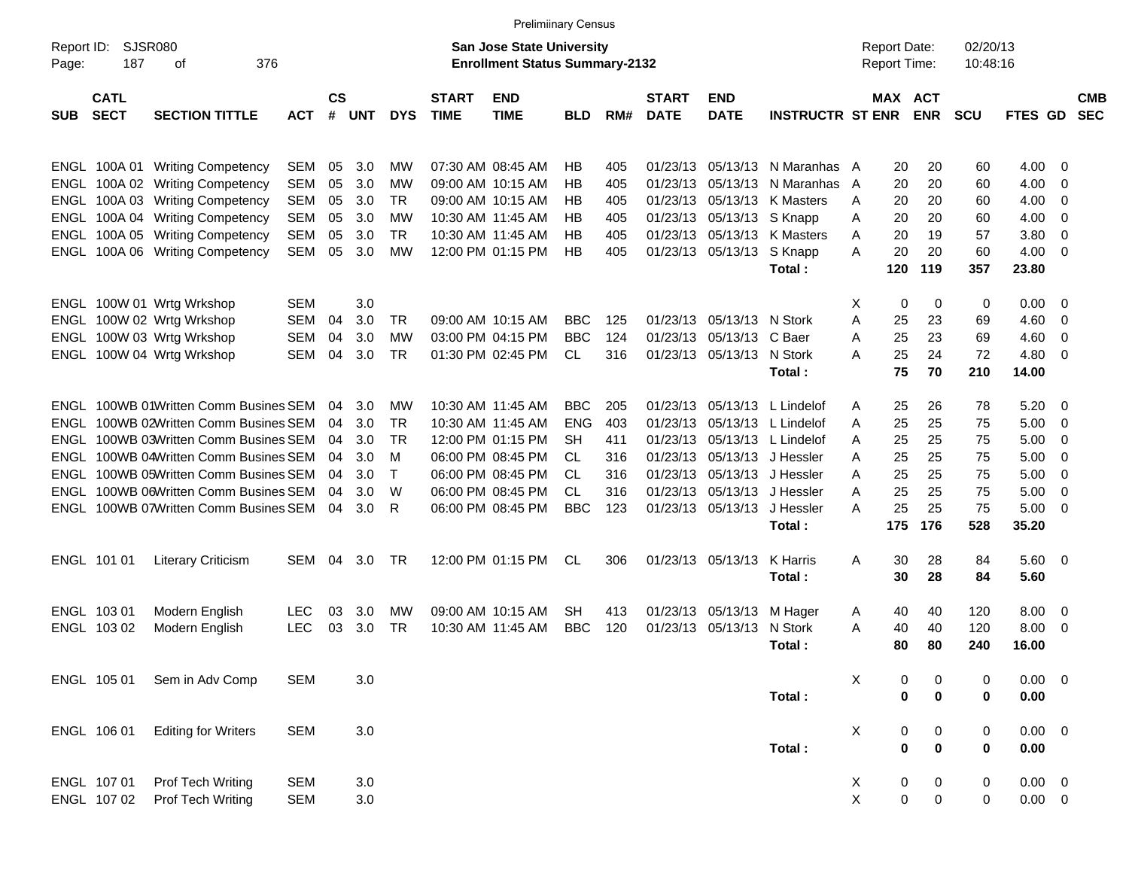|                     |                            |                                       |            |               |       |            |                             | <b>Prelimiinary Census</b>                                                |            |     |                             |                           |                             |   |                                            |                  |                      |             |     |                          |
|---------------------|----------------------------|---------------------------------------|------------|---------------|-------|------------|-----------------------------|---------------------------------------------------------------------------|------------|-----|-----------------------------|---------------------------|-----------------------------|---|--------------------------------------------|------------------|----------------------|-------------|-----|--------------------------|
| Report ID:<br>Page: | <b>SJSR080</b><br>187      | 376<br>οf                             |            |               |       |            |                             | <b>San Jose State University</b><br><b>Enrollment Status Summary-2132</b> |            |     |                             |                           |                             |   | <b>Report Date:</b><br><b>Report Time:</b> |                  | 02/20/13<br>10:48:16 |             |     |                          |
| <b>SUB</b>          | <b>CATL</b><br><b>SECT</b> | <b>SECTION TITTLE</b>                 | <b>ACT</b> | $\mathsf{cs}$ | # UNT | <b>DYS</b> | <b>START</b><br><b>TIME</b> | <b>END</b><br><b>TIME</b>                                                 | <b>BLD</b> | RM# | <b>START</b><br><b>DATE</b> | <b>END</b><br><b>DATE</b> | <b>INSTRUCTR ST ENR</b>     |   | MAX ACT                                    | <b>ENR</b>       | <b>SCU</b>           | FTES GD     |     | <b>CMB</b><br><b>SEC</b> |
|                     |                            | ENGL 100A 01 Writing Competency       | SEM        | 05            | 3.0   | МW         |                             | 07:30 AM 08:45 AM                                                         | НB         | 405 | 01/23/13                    |                           | 05/13/13 N Maranhas A       |   | 20                                         | 20               | 60                   | 4.00        | -0  |                          |
|                     |                            | ENGL 100A 02 Writing Competency       | <b>SEM</b> | 05            | 3.0   | МW         |                             | 09:00 AM 10:15 AM                                                         | НB         | 405 | 01/23/13                    |                           | $05/13/13$ N Maranhas       | A | 20                                         | 20               | 60                   | 4.00        | -0  |                          |
|                     |                            | ENGL 100A 03 Writing Competency       | <b>SEM</b> | 05            | 3.0   | TR         |                             | 09:00 AM 10:15 AM                                                         | ΗB         | 405 | 01/23/13                    |                           | 05/13/13 K Masters          | A | 20                                         | 20               | 60                   | 4.00        | 0   |                          |
|                     |                            | ENGL 100A 04 Writing Competency       | <b>SEM</b> | 05            | 3.0   | МW         |                             | 10:30 AM 11:45 AM                                                         | НB         | 405 |                             | 01/23/13 05/13/13 S Knapp |                             | A | 20                                         | 20               | 60                   | 4.00        | 0   |                          |
|                     |                            | ENGL 100A 05 Writing Competency       | <b>SEM</b> | 05            | 3.0   | TR         |                             | 10:30 AM 11:45 AM                                                         | НB         | 405 |                             |                           | 01/23/13 05/13/13 K Masters | A | 20                                         | 19               | 57                   | 3.80        | -0  |                          |
|                     |                            | ENGL 100A 06 Writing Competency       | SEM        | 05            | 3.0   | МW         |                             | 12:00 PM 01:15 PM                                                         | НB         | 405 |                             | 01/23/13 05/13/13 S Knapp |                             | A | 20                                         | 20               | 60                   | 4.00        | -0  |                          |
|                     |                            |                                       |            |               |       |            |                             |                                                                           |            |     |                             |                           | Total:                      |   | 120                                        | 119              | 357                  | 23.80       |     |                          |
|                     |                            | ENGL 100W 01 Wrtg Wrkshop             | <b>SEM</b> |               | 3.0   |            |                             |                                                                           |            |     |                             |                           |                             | X | 0                                          | 0                | 0                    | 0.00        | - 0 |                          |
|                     |                            | ENGL 100W 02 Wrtg Wrkshop             | SEM        | 04            | 3.0   | TR         |                             | 09:00 AM 10:15 AM                                                         | BBC.       | 125 |                             | 01/23/13 05/13/13 N Stork |                             | A | 25                                         | 23               | 69                   | 4.60        | 0   |                          |
|                     |                            | ENGL 100W 03 Wrtg Wrkshop             | <b>SEM</b> | 04            | 3.0   | <b>MW</b>  |                             | 03:00 PM 04:15 PM                                                         | <b>BBC</b> | 124 |                             | 01/23/13 05/13/13 C Baer  |                             | A | 25                                         | 23               | 69                   | 4.60        | -0  |                          |
|                     |                            | ENGL 100W 04 Wrtg Wrkshop             | <b>SEM</b> | 04            | 3.0   | <b>TR</b>  |                             | 01:30 PM 02:45 PM                                                         | CL         | 316 |                             | 01/23/13 05/13/13 N Stork |                             | A | 25                                         | 24               | 72                   | 4.80        | -0  |                          |
|                     |                            |                                       |            |               |       |            |                             |                                                                           |            |     |                             |                           | Total:                      |   | 75                                         | 70               | 210                  | 14.00       |     |                          |
|                     |                            | ENGL 100WB 01Written Comm Busines SEM |            | 04            | 3.0   | МW         |                             | 10:30 AM 11:45 AM                                                         | BBC.       | 205 | 01/23/13                    |                           | 05/13/13 L Lindelof         | A | 25                                         | 26               | 78                   | 5.20        | - 0 |                          |
| ENGL                |                            | 100WB 02Written Comm Busines SEM      |            | 04            | 3.0   | TR         |                             | 10:30 AM 11:45 AM                                                         | ENG        | 403 | 01/23/13                    |                           | 05/13/13 L Lindelof         | A | 25                                         | 25               | 75                   | 5.00        | -0  |                          |
|                     |                            | ENGL 100WB 03Written Comm Busines SEM |            | 04            | 3.0   | TR         |                             | 12:00 PM 01:15 PM                                                         | SH         | 411 | 01/23/13                    |                           | 05/13/13 L Lindelof         | A | 25                                         | 25               | 75                   | 5.00        | 0   |                          |
|                     |                            | ENGL 100WB 04Written Comm Busines SEM |            | 04            | 3.0   | м          |                             | 06:00 PM 08:45 PM                                                         | CL.        | 316 | 01/23/13                    |                           | 05/13/13 J Hessler          | A | 25                                         | 25               | 75                   | 5.00        | -0  |                          |
|                     |                            | ENGL 100WB 05Written Comm Busines SEM |            | 04            | 3.0   | т          |                             | 06:00 PM 08:45 PM                                                         | CL.        | 316 | 01/23/13                    |                           | 05/13/13 J Hessler          | A | 25                                         | 25               | 75                   | 5.00        | -0  |                          |
|                     |                            | ENGL 100WB 06Written Comm Busines SEM |            | 04            | 3.0   | W          |                             | 06:00 PM 08:45 PM                                                         | CL.        | 316 | 01/23/13                    |                           | 05/13/13 J Hessler          | A | 25                                         | 25               | 75                   | 5.00        | -0  |                          |
|                     |                            | ENGL 100WB 07Written Comm Busines SEM |            | 04            | 3.0   | R          |                             | 06:00 PM 08:45 PM                                                         | <b>BBC</b> | 123 |                             | 01/23/13 05/13/13         | J Hessler                   | A | 25                                         | 25               | 75                   | 5.00        | - 0 |                          |
|                     |                            |                                       |            |               |       |            |                             |                                                                           |            |     |                             |                           | Total:                      |   | 175                                        | 176              | 528                  | 35.20       |     |                          |
|                     | ENGL 101 01                | <b>Literary Criticism</b>             | SEM        | 04            | 3.0   | TR         |                             | 12:00 PM 01:15 PM                                                         | CL         | 306 |                             | 01/23/13 05/13/13         | K Harris                    | Α | 30                                         | 28               | 84                   | 5.60 0      |     |                          |
|                     |                            |                                       |            |               |       |            |                             |                                                                           |            |     |                             |                           | Total:                      |   | 30                                         | 28               | 84                   | 5.60        |     |                          |
|                     | ENGL 103 01                | Modern English                        | LEC        | 03            | 3.0   | МW         |                             | 09:00 AM 10:15 AM                                                         | <b>SH</b>  | 413 |                             | 01/23/13 05/13/13         | M Hager                     | A | 40                                         | 40               | 120                  | 8.00        | 0   |                          |
|                     | ENGL 103 02                | Modern English                        | LEC        | 03            | 3.0   | TR         |                             | 10:30 AM 11:45 AM                                                         | <b>BBC</b> | 120 |                             | 01/23/13 05/13/13 N Stork |                             | A | 40                                         | 40               | 120                  | 8.00        | - 0 |                          |
|                     |                            |                                       |            |               |       |            |                             |                                                                           |            |     |                             |                           | Total:                      |   | 80                                         | 80               | 240                  | 16.00       |     |                          |
|                     | ENGL 105 01                | Sem in Adv Comp                       | <b>SEM</b> |               | 3.0   |            |                             |                                                                           |            |     |                             |                           |                             | Х | 0                                          | 0                | 0                    | $0.00 \t 0$ |     |                          |
|                     |                            |                                       |            |               |       |            |                             |                                                                           |            |     |                             |                           | Total :                     |   | 0                                          | $\pmb{0}$        | $\pmb{0}$            | $0.00\,$    |     |                          |
|                     | ENGL 106 01                | <b>Editing for Writers</b>            | <b>SEM</b> |               | 3.0   |            |                             |                                                                           |            |     |                             |                           |                             | X | 0                                          | $\boldsymbol{0}$ | 0                    | $0.00 \t 0$ |     |                          |
|                     |                            |                                       |            |               |       |            |                             |                                                                           |            |     |                             |                           | Total:                      |   | $\pmb{0}$                                  | $\pmb{0}$        | 0                    | 0.00        |     |                          |
|                     | ENGL 107 01                | Prof Tech Writing                     | <b>SEM</b> |               | 3.0   |            |                             |                                                                           |            |     |                             |                           |                             | X | 0                                          | 0                | $\boldsymbol{0}$     | $0.00 \t 0$ |     |                          |
|                     | ENGL 107 02                | Prof Tech Writing                     | <b>SEM</b> |               | 3.0   |            |                             |                                                                           |            |     |                             |                           |                             | X | $\pmb{0}$                                  | $\,0\,$          | $\pmb{0}$            | $0.00 \t 0$ |     |                          |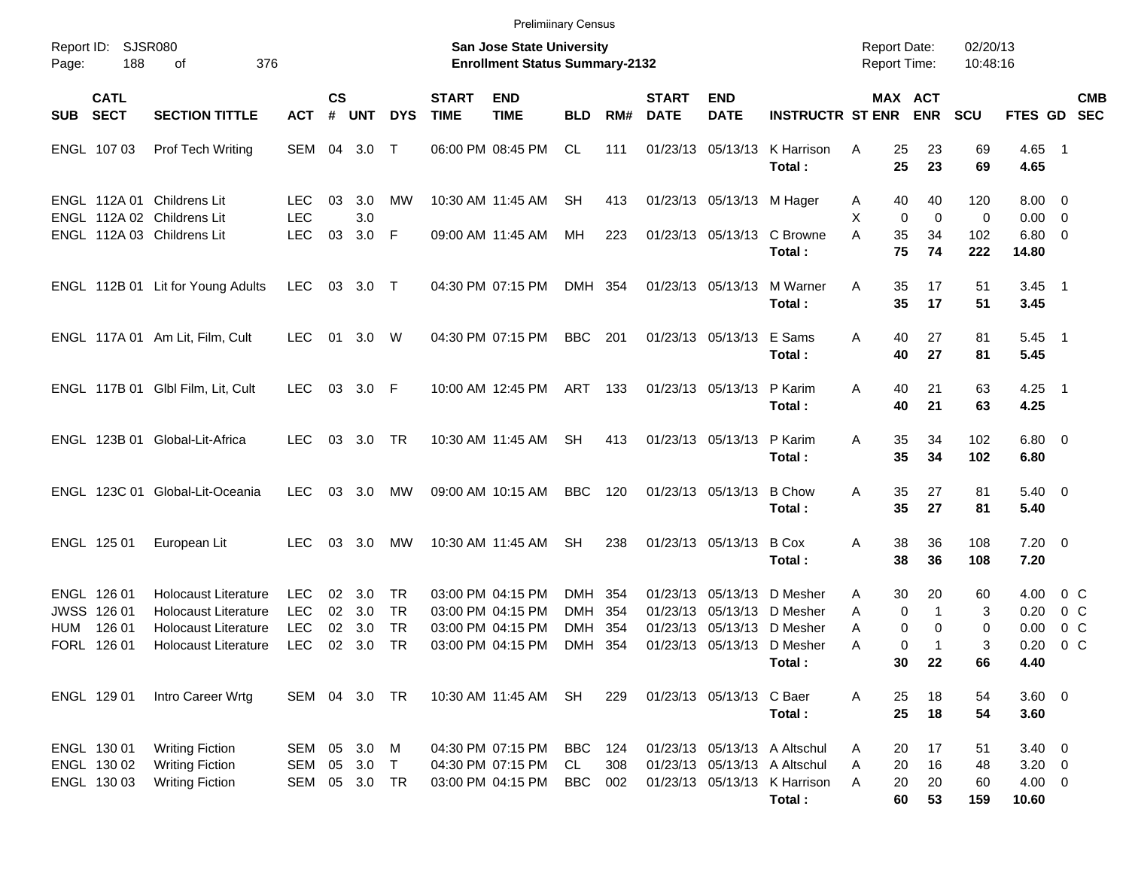|                                                    |                                                     |                                                                                                                          |                                                      |                    |                             |                             |                             | <b>Prelimiinary Census</b>                                                       |                                        |                                            |                                  |                           |                                                                                                        |                                             |                       |                         |                                                 |                              |                |
|----------------------------------------------------|-----------------------------------------------------|--------------------------------------------------------------------------------------------------------------------------|------------------------------------------------------|--------------------|-----------------------------|-----------------------------|-----------------------------|----------------------------------------------------------------------------------|----------------------------------------|--------------------------------------------|----------------------------------|---------------------------|--------------------------------------------------------------------------------------------------------|---------------------------------------------|-----------------------|-------------------------|-------------------------------------------------|------------------------------|----------------|
| SJSR080<br>Report ID:<br>188<br>376<br>Page:<br>οf |                                                     |                                                                                                                          |                                                      |                    |                             |                             |                             | San Jose State University<br><b>Enrollment Status Summary-2132</b>               |                                        | <b>Report Date:</b><br><b>Report Time:</b> |                                  | 02/20/13<br>10:48:16      |                                                                                                        |                                             |                       |                         |                                                 |                              |                |
| <b>SUB</b>                                         | <b>CATL</b><br><b>SECT</b>                          | <b>SECTION TITTLE</b>                                                                                                    | <b>ACT</b>                                           | $\mathsf{cs}$<br># | <b>UNT</b>                  | <b>DYS</b>                  | <b>START</b><br><b>TIME</b> | <b>END</b><br><b>TIME</b>                                                        | <b>BLD</b>                             | RM#                                        | <b>START</b><br><b>DATE</b>      | <b>END</b><br><b>DATE</b> | <b>INSTRUCTR ST ENR</b>                                                                                |                                             | MAX ACT<br><b>ENR</b> | <b>SCU</b>              | FTES GD SEC                                     |                              | <b>CMB</b>     |
|                                                    | ENGL 107 03                                         | Prof Tech Writing                                                                                                        | SEM                                                  | 04                 | 3.0                         | $\top$                      |                             | 06:00 PM 08:45 PM                                                                | CL.                                    | 111                                        |                                  |                           | 01/23/13 05/13/13 K Harrison<br>Total:                                                                 | Α<br>25<br>25                               | 23<br>23              | 69<br>69                | 4.65 1<br>4.65                                  |                              |                |
|                                                    | ENGL 112A 01                                        | Childrens Lit<br>ENGL 112A 02 Childrens Lit                                                                              | <b>LEC</b><br><b>LEC</b>                             | 03                 | 3.0<br>3.0                  | MW                          |                             | 10:30 AM 11:45 AM                                                                | <b>SH</b>                              | 413                                        |                                  | 01/23/13 05/13/13 M Hager |                                                                                                        | 40<br>A<br>X<br>$\mathbf 0$                 | 40<br>$\mathbf 0$     | 120<br>0                | $8.00 \quad 0$<br>$0.00 \t 0$                   |                              |                |
|                                                    |                                                     | ENGL 112A 03 Childrens Lit                                                                                               | <b>LEC</b>                                           | 03                 | 3.0 F                       |                             |                             | 09:00 AM 11:45 AM                                                                | MH.                                    | 223                                        |                                  |                           | 01/23/13 05/13/13 C Browne<br>Total:                                                                   | A<br>35<br>75                               | 34<br>74              | 102<br>222              | $6.80$ 0<br>14.80                               |                              |                |
|                                                    |                                                     | ENGL 112B 01 Lit for Young Adults                                                                                        | LEC                                                  | 03                 | $3.0$ T                     |                             |                             | 04:30 PM 07:15 PM                                                                | DMH 354                                |                                            |                                  |                           | 01/23/13 05/13/13 M Warner<br>Total:                                                                   | 35<br>Α<br>35                               | 17<br>17              | 51<br>51                | $3.45$ 1<br>3.45                                |                              |                |
|                                                    |                                                     | ENGL 117A 01 Am Lit, Film, Cult                                                                                          | <b>LEC</b>                                           | 01                 | 3.0                         | W                           |                             | 04:30 PM 07:15 PM                                                                | <b>BBC</b>                             | 201                                        |                                  | 01/23/13 05/13/13 E Sams  | Total:                                                                                                 | 40<br>Α<br>40                               | 27<br>27              | 81<br>81                | $5.45$ 1<br>5.45                                |                              |                |
|                                                    |                                                     | ENGL 117B 01 Glbl Film, Lit, Cult                                                                                        | <b>LEC</b>                                           | 03                 | $3.0$ F                     |                             |                             | 10:00 AM 12:45 PM                                                                | ART                                    | 133                                        |                                  | 01/23/13 05/13/13 P Karim | Total:                                                                                                 | Α<br>40<br>40                               | 21<br>21              | 63<br>63                | $4.25$ 1<br>4.25                                |                              |                |
|                                                    |                                                     | ENGL 123B 01 Global-Lit-Africa                                                                                           | <b>LEC</b>                                           | 03                 | 3.0                         | TR                          |                             | 10:30 AM 11:45 AM                                                                | SH                                     | 413                                        |                                  | 01/23/13 05/13/13 P Karim | Total:                                                                                                 | 35<br>Α<br>35                               | 34<br>34              | 102<br>102              | $6.80$ 0<br>6.80                                |                              |                |
|                                                    |                                                     | ENGL 123C 01 Global-Lit-Oceania                                                                                          | LEC                                                  | 03                 | 3.0                         | MW                          |                             | 09:00 AM 10:15 AM                                                                | <b>BBC</b>                             | 120                                        |                                  | 01/23/13 05/13/13         | <b>B</b> Chow<br>Total:                                                                                | 35<br>Α<br>35                               | 27<br>27              | 81<br>81                | $5.40 \quad 0$<br>5.40                          |                              |                |
|                                                    | ENGL 125 01                                         | European Lit                                                                                                             | LEC                                                  | 03                 | 3.0                         | MW                          |                             | 10:30 AM 11:45 AM                                                                | SH                                     | 238                                        |                                  | 01/23/13 05/13/13         | <b>B</b> Cox<br>Total:                                                                                 | 38<br>Α<br>38                               | 36<br>36              | 108<br>108              | $7.20 \t 0$<br>7.20                             |                              |                |
| HUM                                                | ENGL 126 01<br>JWSS 126 01<br>126 01<br>FORL 126 01 | <b>Holocaust Literature</b><br><b>Holocaust Literature</b><br><b>Holocaust Literature</b><br><b>Holocaust Literature</b> | <b>LEC</b><br><b>LEC</b><br><b>LEC</b><br><b>LEC</b> | 02<br>02<br>02     | 3.0<br>02 3.0<br>3.0<br>3.0 | TR<br>TR<br><b>TR</b><br>TR |                             | 03:00 PM 04:15 PM<br>03:00 PM 04:15 PM<br>03:00 PM 04:15 PM<br>03:00 PM 04:15 PM | DMH<br><b>DMH</b><br><b>DMH</b><br>DMH | 354<br>354<br>354<br>354                   | 01/23/13<br>01/23/13<br>01/23/13 |                           | 05/13/13 D Mesher<br>05/13/13 D Mesher<br>05/13/13 D Mesher<br>01/23/13 05/13/13 D Mesher<br>Total:    | 30<br>A<br>0<br>A<br>0<br>A<br>0<br>A<br>30 | 20<br>1<br>0<br>22    | 60<br>3<br>0<br>3<br>66 | 4.00<br>0.20<br>0.00<br>0.20<br>4.40            | 0 C<br>0 C<br>0 <sup>o</sup> | 0 <sup>o</sup> |
|                                                    | ENGL 129 01                                         | Intro Career Wrtg                                                                                                        | SEM 04 3.0 TR                                        |                    |                             |                             |                             | 10:30 AM 11:45 AM                                                                | SH                                     | 229                                        |                                  | 01/23/13 05/13/13 C Baer  | Total:                                                                                                 | 25<br>Α<br>25                               | 18<br>18              | 54<br>54                | 3.60 0<br>3.60                                  |                              |                |
|                                                    | ENGL 130 01<br>ENGL 130 02<br>ENGL 130 03           | <b>Writing Fiction</b><br><b>Writing Fiction</b><br><b>Writing Fiction</b>                                               | SEM 05<br>SEM 05<br>SEM 05 3.0 TR                    |                    | 3.0<br>$3.0$ T              | M                           |                             | 04:30 PM 07:15 PM<br>04:30 PM 07:15 PM<br>03:00 PM 04:15 PM                      | <b>BBC</b><br>CL<br><b>BBC</b>         | 124<br>308<br>002                          |                                  |                           | 01/23/13 05/13/13 A Altschul<br>01/23/13 05/13/13 A Altschul<br>01/23/13 05/13/13 K Harrison<br>Total: | 20<br>A<br>20<br>Α<br>20<br>A<br>60         | 17<br>16<br>20<br>53  | 51<br>48<br>60<br>159   | $3.40 \ 0$<br>$3.20 \ 0$<br>$4.00 \ 0$<br>10.60 |                              |                |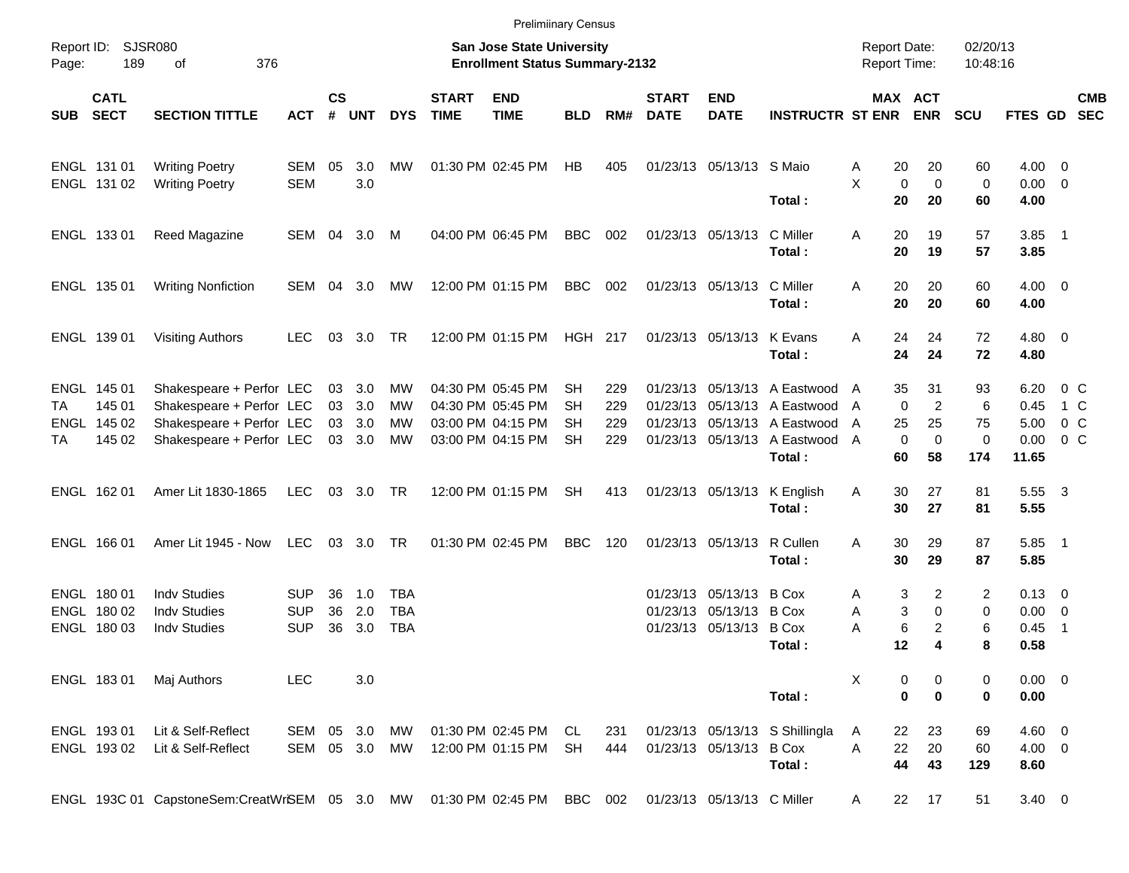|            |                                                |                                                                                                              |                                        |                                                                    |                                   |                          |                             | <b>Prelimiinary Census</b>                                                       |                             |                          |                             |                                                                               |                                                                                                                                            |                          |                                                                               |                           |                                               |                                           |                          |
|------------|------------------------------------------------|--------------------------------------------------------------------------------------------------------------|----------------------------------------|--------------------------------------------------------------------|-----------------------------------|--------------------------|-----------------------------|----------------------------------------------------------------------------------|-----------------------------|--------------------------|-----------------------------|-------------------------------------------------------------------------------|--------------------------------------------------------------------------------------------------------------------------------------------|--------------------------|-------------------------------------------------------------------------------|---------------------------|-----------------------------------------------|-------------------------------------------|--------------------------|
| Page:      | Report ID: SJSR080<br>189<br>376<br>of         |                                                                                                              |                                        | San Jose State University<br><b>Enrollment Status Summary-2132</b> |                                   |                          |                             |                                                                                  |                             |                          |                             |                                                                               |                                                                                                                                            |                          | <b>Report Date:</b><br><b>Report Time:</b>                                    | 02/20/13<br>10:48:16      |                                               |                                           |                          |
| <b>SUB</b> | <b>CATL</b><br><b>SECT</b>                     | <b>SECTION TITTLE</b>                                                                                        | <b>ACT</b>                             | $\mathsf{cs}$<br>#                                                 | <b>UNT</b>                        | <b>DYS</b>               | <b>START</b><br><b>TIME</b> | <b>END</b><br><b>TIME</b>                                                        | <b>BLD</b>                  | RM#                      | <b>START</b><br><b>DATE</b> | <b>END</b><br><b>DATE</b>                                                     | <b>INSTRUCTR ST ENR</b>                                                                                                                    |                          | MAX ACT<br><b>ENR</b>                                                         | <b>SCU</b>                | <b>FTES GD</b>                                |                                           | <b>CMB</b><br><b>SEC</b> |
|            | ENGL 131 01<br>ENGL 131 02                     | <b>Writing Poetry</b><br><b>Writing Poetry</b>                                                               | SEM<br><b>SEM</b>                      | 05                                                                 | 3.0<br>3.0                        | МW                       |                             | 01:30 PM 02:45 PM                                                                | HB                          | 405                      |                             | 01/23/13 05/13/13 S Maio                                                      |                                                                                                                                            | 20<br>A<br>X             | 20<br>$\mathbf 0$<br>$\mathbf 0$                                              | 60<br>0                   | $4.00 \ 0$<br>$0.00 \t 0$                     |                                           |                          |
|            | ENGL 133 01                                    | Reed Magazine                                                                                                | SEM 04                                 |                                                                    | 3.0                               | M                        |                             | 04:00 PM 06:45 PM                                                                | <b>BBC</b>                  | 002                      |                             | 01/23/13 05/13/13                                                             | Total:<br>C Miller<br>Total:                                                                                                               | 20<br>Α<br>20<br>20      | 20<br>19<br>19                                                                | 60<br>57<br>57            | 4.00<br>$3.85$ 1<br>3.85                      |                                           |                          |
|            | ENGL 135 01                                    | <b>Writing Nonfiction</b>                                                                                    | SEM                                    | 04                                                                 | 3.0                               | МW                       |                             | 12:00 PM 01:15 PM                                                                | <b>BBC</b>                  | 002                      |                             | 01/23/13 05/13/13                                                             | C Miller<br>Total:                                                                                                                         | 20<br>A<br>20            | 20<br>20                                                                      | 60<br>60                  | $4.00 \ 0$<br>4.00                            |                                           |                          |
|            | ENGL 139 01                                    | <b>Visiting Authors</b>                                                                                      | <b>LEC</b>                             | 03                                                                 | 3.0                               | TR                       |                             | 12:00 PM 01:15 PM                                                                | HGH 217                     |                          |                             | 01/23/13 05/13/13                                                             | K Evans<br>Total:                                                                                                                          | A<br>24<br>24            | 24<br>24                                                                      | 72<br>72                  | $4.80$ 0<br>4.80                              |                                           |                          |
| ТA<br>ТA   | ENGL 145 01<br>145 01<br>ENGL 145 02<br>145 02 | Shakespeare + Perfor LEC<br>Shakespeare + Perfor LEC<br>Shakespeare + Perfor LEC<br>Shakespeare + Perfor LEC |                                        | 03                                                                 | 03 3.0<br>03 3.0<br>3.0<br>03 3.0 | MW<br>MW<br>МW<br>MW     |                             | 04:30 PM 05:45 PM<br>04:30 PM 05:45 PM<br>03:00 PM 04:15 PM<br>03:00 PM 04:15 PM | SН<br>SН<br>SН<br><b>SH</b> | 229<br>229<br>229<br>229 |                             |                                                                               | 01/23/13 05/13/13 A Eastwood A<br>01/23/13 05/13/13 A Eastwood<br>01/23/13 05/13/13 A Eastwood<br>01/23/13 05/13/13 A Eastwood A<br>Total: | 35<br>A<br>25<br>A<br>60 | 31<br>$\overline{2}$<br>$\mathbf 0$<br>25<br>$\mathbf 0$<br>$\mathbf 0$<br>58 | 93<br>6<br>75<br>0<br>174 | 6.20<br>0.45<br>5.00<br>0.00<br>11.65         | $0\,C$<br>1 C<br>$0\,C$<br>0 <sup>o</sup> |                          |
|            | ENGL 162 01                                    | Amer Lit 1830-1865                                                                                           | <b>LEC</b>                             |                                                                    | 03 3.0                            | TR                       |                             | 12:00 PM 01:15 PM                                                                | <b>SH</b>                   | 413                      |                             | 01/23/13 05/13/13                                                             | K English<br>Total:                                                                                                                        | Α<br>30<br>30            | 27<br>27                                                                      | 81<br>81                  | 5.55 3<br>5.55                                |                                           |                          |
|            | ENGL 166 01                                    | Amer Lit 1945 - Now                                                                                          | <b>LEC</b>                             |                                                                    | 03 3.0                            | TR                       |                             | 01:30 PM 02:45 PM                                                                | <b>BBC</b>                  | 120                      |                             | 01/23/13 05/13/13                                                             | R Cullen<br>Total:                                                                                                                         | 30<br>A<br>30            | 29<br>29                                                                      | 87<br>87                  | $5.85$ 1<br>5.85                              |                                           |                          |
|            | ENGL 180 01<br>ENGL 180 02<br>ENGL 180 03      | <b>Indv Studies</b><br><b>Indv Studies</b><br><b>Indy Studies</b>                                            | <b>SUP</b><br><b>SUP</b><br><b>SUP</b> | 36<br>36<br>36                                                     | 1.0<br>2.0<br>3.0                 | TBA<br>TBA<br><b>TBA</b> |                             |                                                                                  |                             |                          |                             | 01/23/13 05/13/13 B Cox<br>01/23/13 05/13/13 B Cox<br>01/23/13 05/13/13 B Cox | Total:                                                                                                                                     | Α<br>Α<br>Α<br>12        | 3<br>2<br>3<br>$\mathbf 0$<br>6<br>$\overline{2}$<br>4                        | 2<br>0<br>6<br>8          | $0.13 \quad 0$<br>$0.00 \t 0$<br>0.45<br>0.58 | $\overline{1}$                            |                          |
|            | ENGL 18301                                     | Maj Authors                                                                                                  | <b>LEC</b>                             |                                                                    | 3.0                               |                          |                             |                                                                                  |                             |                          |                             |                                                                               | Total:                                                                                                                                     | X                        | 0<br>0<br>$\bf{0}$<br>$\bf{0}$                                                | 0<br>0                    | $0.00 \t 0$<br>0.00                           |                                           |                          |
|            | ENGL 19301<br>ENGL 19302                       | Lit & Self-Reflect<br>Lit & Self-Reflect                                                                     | SEM<br>SEM                             |                                                                    | 05 3.0<br>05 3.0 MW               | MW                       |                             | 01:30 PM 02:45 PM<br>12:00 PM 01:15 PM                                           | CL<br>SH                    | 231<br>444               |                             | 01/23/13 05/13/13 B Cox                                                       | 01/23/13 05/13/13 S Shillingla<br>Total:                                                                                                   | 22<br>A<br>A<br>22<br>44 | 23<br>20<br>43                                                                | 69<br>60<br>129           | $4.60$ 0<br>$4.00 \ 0$<br>8.60                |                                           |                          |
|            |                                                | ENGL 193C 01 CapstoneSem:CreatWrSEM 05 3.0 MW 01:30 PM 02:45 PM BBC 002                                      |                                        |                                                                    |                                   |                          |                             |                                                                                  |                             |                          |                             | 01/23/13 05/13/13 C Miller                                                    |                                                                                                                                            | A                        | 17<br>22                                                                      | 51                        | $3.40 \ 0$                                    |                                           |                          |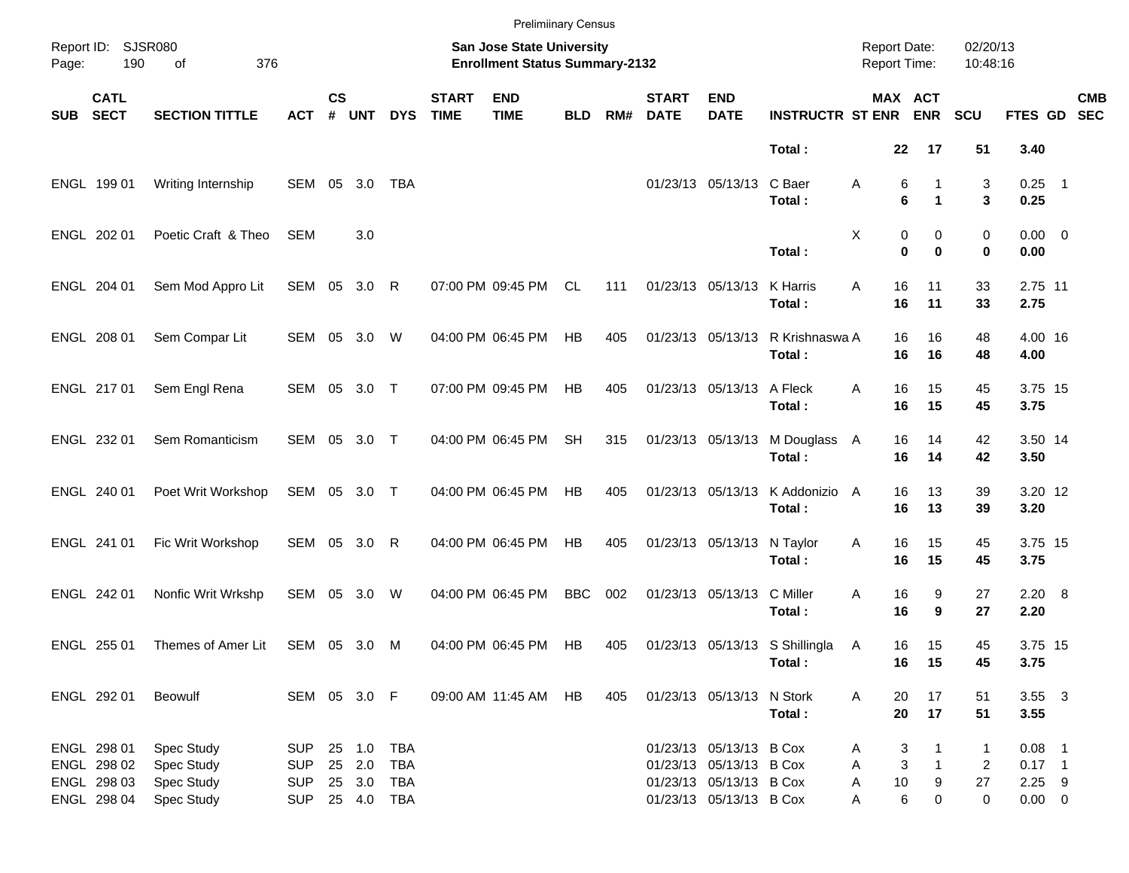|                                                 |                                                          |                                                      |                                                      |                    |                            |                                        |                                                                    | <b>Prelimiinary Census</b> |            |                                                                    |                             |                                                                                                          |                                          |                               |                                  |                                      |                                                 |                           |
|-------------------------------------------------|----------------------------------------------------------|------------------------------------------------------|------------------------------------------------------|--------------------|----------------------------|----------------------------------------|--------------------------------------------------------------------|----------------------------|------------|--------------------------------------------------------------------|-----------------------------|----------------------------------------------------------------------------------------------------------|------------------------------------------|-------------------------------|----------------------------------|--------------------------------------|-------------------------------------------------|---------------------------|
| Report ID: SJSR080<br>190<br>376<br>Page:<br>of |                                                          |                                                      |                                                      |                    |                            |                                        | San Jose State University<br><b>Enrollment Status Summary-2132</b> |                            |            | <b>Report Date:</b><br>02/20/13<br><b>Report Time:</b><br>10:48:16 |                             |                                                                                                          |                                          |                               |                                  |                                      |                                                 |                           |
| <b>SUB</b>                                      | <b>CATL</b><br><b>SECT</b>                               | <b>SECTION TITTLE</b>                                | <b>ACT</b>                                           | $\mathsf{cs}$<br># | <b>UNT</b>                 | <b>DYS</b>                             | <b>START</b><br><b>TIME</b>                                        | <b>END</b><br><b>TIME</b>  | <b>BLD</b> | RM#                                                                | <b>START</b><br><b>DATE</b> | <b>END</b><br><b>DATE</b>                                                                                | <b>INSTRUCTR ST ENR</b>                  |                               | MAX ACT<br><b>ENR</b>            | <b>SCU</b>                           |                                                 | <b>CMB</b><br>FTES GD SEC |
|                                                 |                                                          |                                                      |                                                      |                    |                            |                                        |                                                                    |                            |            |                                                                    |                             |                                                                                                          | Total:                                   | 22                            | 17                               | 51                                   | 3.40                                            |                           |
|                                                 | ENGL 199 01                                              | Writing Internship                                   | SEM                                                  | 05                 | 3.0                        | TBA                                    |                                                                    |                            |            |                                                                    |                             | 01/23/13 05/13/13                                                                                        | C Baer<br>Total:                         | 6<br>Α<br>6                   | 1<br>$\blacktriangleleft$        | 3<br>3                               | $0.25$ 1<br>0.25                                |                           |
|                                                 | ENGL 202 01                                              | Poetic Craft & Theo                                  | <b>SEM</b>                                           |                    | 3.0                        |                                        |                                                                    |                            |            |                                                                    |                             |                                                                                                          | Total:                                   | Χ<br>0<br>$\bf{0}$            | 0<br>$\bf{0}$                    | 0<br>0                               | $0.00 \t 0$<br>0.00                             |                           |
|                                                 | ENGL 204 01                                              | Sem Mod Appro Lit                                    | SEM 05 3.0 R                                         |                    |                            |                                        |                                                                    | 07:00 PM 09:45 PM          | CL         | 111                                                                |                             | 01/23/13 05/13/13                                                                                        | K Harris<br>Total:                       | 16<br>A<br>16                 | 11<br>11                         | 33<br>33                             | 2.75 11<br>2.75                                 |                           |
|                                                 | ENGL 208 01                                              | Sem Compar Lit                                       | SEM 05 3.0                                           |                    |                            | W                                      |                                                                    | 04:00 PM 06:45 PM          | HB         | 405                                                                |                             | 01/23/13 05/13/13                                                                                        | R Krishnaswa A<br>Total:                 | 16<br>16                      | 16<br>16                         | 48<br>48                             | 4.00 16<br>4.00                                 |                           |
|                                                 | ENGL 217 01                                              | Sem Engl Rena                                        | SEM 05 3.0 T                                         |                    |                            |                                        |                                                                    | 07:00 PM 09:45 PM          | HB         | 405                                                                |                             | 01/23/13 05/13/13                                                                                        | A Fleck<br>Total:                        | 16<br>A<br>16                 | 15<br>15                         | 45<br>45                             | 3.75 15<br>3.75                                 |                           |
|                                                 | ENGL 232 01                                              | Sem Romanticism                                      | SEM 05 3.0 T                                         |                    |                            |                                        |                                                                    | 04:00 PM 06:45 PM          | <b>SH</b>  | 315                                                                |                             | 01/23/13 05/13/13                                                                                        | M Douglass A<br>Total:                   | 16<br>16                      | 14<br>14                         | 42<br>42                             | 3.50 14<br>3.50                                 |                           |
|                                                 | ENGL 240 01                                              | Poet Writ Workshop                                   | SEM 05 3.0 T                                         |                    |                            |                                        |                                                                    | 04:00 PM 06:45 PM          | HB         | 405                                                                |                             | 01/23/13 05/13/13                                                                                        | K Addonizio A<br>Total:                  | 16<br>16                      | 13<br>13                         | 39<br>39                             | 3.20 12<br>3.20                                 |                           |
|                                                 | ENGL 241 01                                              | Fic Writ Workshop                                    | SEM 05 3.0 R                                         |                    |                            |                                        |                                                                    | 04:00 PM 06:45 PM          | HB         | 405                                                                |                             | 01/23/13 05/13/13                                                                                        | N Taylor<br>Total:                       | 16<br>Α<br>16                 | 15<br>15                         | 45<br>45                             | 3.75 15<br>3.75                                 |                           |
|                                                 | ENGL 242 01                                              | Nonfic Writ Wrkshp                                   | SEM                                                  | 05                 | 3.0                        | W                                      |                                                                    | 04:00 PM 06:45 PM          | <b>BBC</b> | 002                                                                |                             | 01/23/13 05/13/13                                                                                        | C Miller<br>Total:                       | 16<br>Α<br>16                 | 9<br>9                           | 27<br>27                             | $2.20\ 8$<br>2.20                               |                           |
|                                                 | ENGL 255 01                                              | Themes of Amer Lit                                   | SEM 05 3.0                                           |                    |                            | M                                      |                                                                    | 04:00 PM 06:45 PM          | HB         | 405                                                                |                             |                                                                                                          | 01/23/13 05/13/13 S Shillingla<br>Total: | 16<br>A<br>16                 | 15<br>15                         | 45<br>45                             | 3.75 15<br>3.75                                 |                           |
|                                                 | ENGL 292 01                                              | Beowulf                                              | SEM 05 3.0 F                                         |                    |                            |                                        |                                                                    | 09:00 AM 11:45 AM          | HB         | 405                                                                |                             | 01/23/13 05/13/13 N Stork                                                                                | Total:                                   | 20<br>Α<br>20                 | 17<br>17                         | 51<br>51                             | $3.55 \quad 3$<br>3.55                          |                           |
|                                                 | ENGL 298 01<br>ENGL 298 02<br>ENGL 298 03<br>ENGL 298 04 | Spec Study<br>Spec Study<br>Spec Study<br>Spec Study | <b>SUP</b><br><b>SUP</b><br><b>SUP</b><br><b>SUP</b> |                    | 25 1.0<br>25 2.0<br>25 3.0 | <b>TBA</b><br>TBA<br>TBA<br>25 4.0 TBA |                                                                    |                            |            |                                                                    |                             | 01/23/13 05/13/13 B Cox<br>01/23/13 05/13/13 B Cox<br>01/23/13 05/13/13 B Cox<br>01/23/13 05/13/13 B Cox |                                          | 3<br>A<br>Α<br>Α<br>$10$<br>Α | 3<br>$\mathbf{1}$<br>9<br>6<br>0 | $\mathbf{1}$<br>2<br>27<br>$\pmb{0}$ | $0.08$ 1<br>$0.17$ 1<br>$2.25$ 9<br>$0.00 \t 0$ |                           |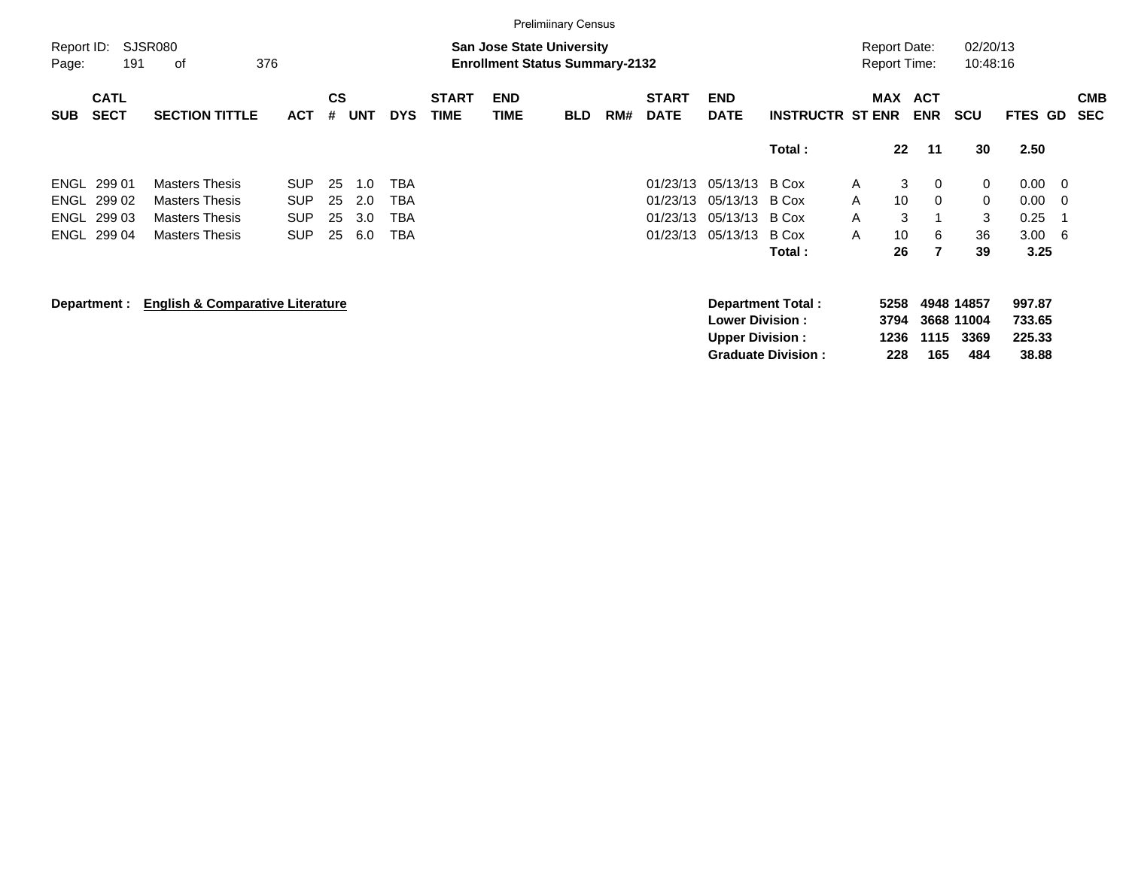|                     | <b>Prelimiinary Census</b> |                                                                                                   |            |                |     |            |                             |                           |            |     |                             |                                                  |                           |              |                                            |                          |                                  |                            |     |                          |
|---------------------|----------------------------|---------------------------------------------------------------------------------------------------|------------|----------------|-----|------------|-----------------------------|---------------------------|------------|-----|-----------------------------|--------------------------------------------------|---------------------------|--------------|--------------------------------------------|--------------------------|----------------------------------|----------------------------|-----|--------------------------|
| Report ID:<br>Page: | 191                        | SJSR080<br><b>San Jose State University</b><br>376<br><b>Enrollment Status Summary-2132</b><br>οf |            |                |     |            |                             |                           |            |     |                             |                                                  |                           |              | <b>Report Date:</b><br><b>Report Time:</b> |                          | 02/20/13<br>10:48:16             |                            |     |                          |
| <b>SUB</b>          | <b>CATL</b><br><b>SECT</b> | <b>SECTION TITTLE</b>                                                                             | <b>ACT</b> | <b>CS</b><br># |     | <b>DYS</b> | <b>START</b><br><b>TIME</b> | <b>END</b><br><b>TIME</b> | <b>BLD</b> | RM# | <b>START</b><br><b>DATE</b> | <b>END</b><br><b>DATE</b>                        | <b>INSTRUCTR ST ENR</b>   |              | MAX                                        | <b>ACT</b><br><b>ENR</b> | <b>SCU</b>                       | FTES GD                    |     | <b>CMB</b><br><b>SEC</b> |
|                     |                            | <b>UNT</b><br>Total:                                                                              |            |                |     |            |                             |                           |            |     |                             |                                                  |                           |              | $22 \,$                                    | 11                       | 30                               | 2.50                       |     |                          |
| ENGL                | 299 01                     | <b>Masters Thesis</b>                                                                             | <b>SUP</b> | 25             | 1.0 | TBA        |                             |                           |            |     | 01/23/13                    | 05/13/13                                         | B Cox                     | $\mathsf{A}$ | 3                                          | 0                        | 0                                | 0.00                       | - 0 |                          |
| ENGL                | 299 02                     | <b>Masters Thesis</b>                                                                             | <b>SUP</b> | 25             | 2.0 | <b>TBA</b> |                             |                           |            |     | 01/23/13                    | 05/13/13                                         | B Cox                     | A            | 10                                         | 0                        | 0                                | 0.00                       | - 0 |                          |
| ENGL                | 299 03                     | <b>Masters Thesis</b>                                                                             | <b>SUP</b> | 25             | 3.0 | TBA        |                             |                           |            |     | 01/23/13                    | 05/13/13                                         | B Cox                     | A            | 3                                          |                          | 3                                | 0.25                       | -1  |                          |
|                     | ENGL 299 04                | <b>Masters Thesis</b>                                                                             | <b>SUP</b> | 25             | 6.0 | <b>TBA</b> |                             |                           |            |     | 01/23/13                    | 05/13/13                                         | B Cox                     | A            | 10                                         | 6                        | 36                               | 3.00                       | - 6 |                          |
|                     |                            |                                                                                                   |            |                |     |            |                             |                           |            |     |                             |                                                  | Total :                   |              | 26                                         | 7                        | 39                               | 3.25                       |     |                          |
|                     | Department :               | <b>English &amp; Comparative Literature</b>                                                       |            |                |     |            |                             |                           |            |     |                             | <b>Lower Division:</b><br><b>Upper Division:</b> | Department Total:         |              | 5258<br>3794<br>1236                       | 1115                     | 4948 14857<br>3668 11004<br>3369 | 997.87<br>733.65<br>225.33 |     |                          |
|                     |                            |                                                                                                   |            |                |     |            |                             |                           |            |     |                             |                                                  | <b>Graduate Division:</b> |              | 228                                        | 165                      | 484                              | 38.88                      |     |                          |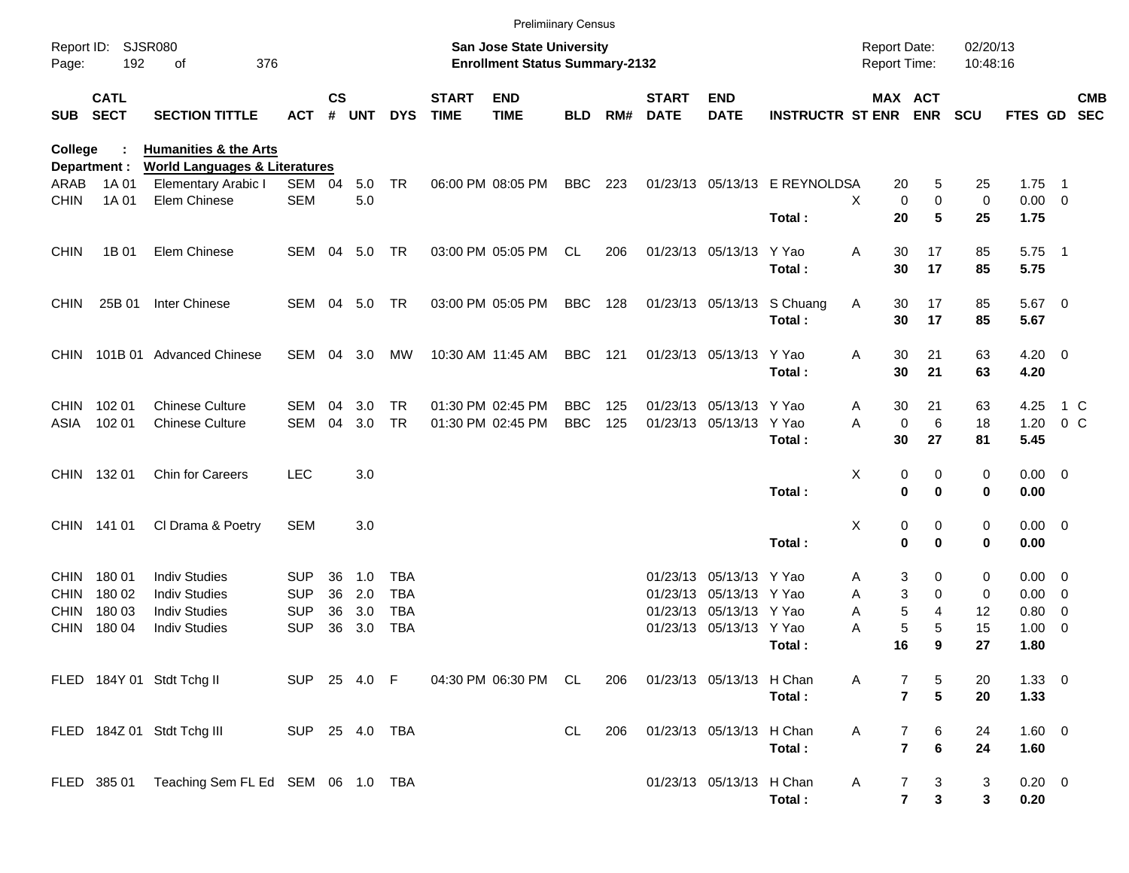|                |                            |                                                                 |                |               |        |              |                             | <b>Prelimiinary Census</b>                                                |            |     |                             |                           |                               |                                            |                                           |                      |                |                          |            |
|----------------|----------------------------|-----------------------------------------------------------------|----------------|---------------|--------|--------------|-----------------------------|---------------------------------------------------------------------------|------------|-----|-----------------------------|---------------------------|-------------------------------|--------------------------------------------|-------------------------------------------|----------------------|----------------|--------------------------|------------|
| Page:          | Report ID: SJSR080<br>192  | 376<br>of                                                       |                |               |        |              |                             | <b>San Jose State University</b><br><b>Enrollment Status Summary-2132</b> |            |     |                             |                           |                               | <b>Report Date:</b><br><b>Report Time:</b> |                                           | 02/20/13<br>10:48:16 |                |                          |            |
| <b>SUB</b>     | <b>CATL</b><br><b>SECT</b> | <b>SECTION TITTLE</b>                                           | <b>ACT</b>     | $\mathsf{cs}$ | # UNT  | <b>DYS</b>   | <b>START</b><br><b>TIME</b> | <b>END</b><br><b>TIME</b>                                                 | <b>BLD</b> | RM# | <b>START</b><br><b>DATE</b> | <b>END</b><br><b>DATE</b> | <b>INSTRUCTR ST ENR ENR</b>   |                                            | MAX ACT                                   | <b>SCU</b>           | <b>FTES GD</b> | <b>SEC</b>               | <b>CMB</b> |
| <b>College</b> |                            | <b>Humanities &amp; the Arts</b>                                |                |               |        |              |                             |                                                                           |            |     |                             |                           |                               |                                            |                                           |                      |                |                          |            |
| ARAB           | Department :<br>1A 01      | <b>World Languages &amp; Literatures</b><br>Elementary Arabic I | SEM 04         |               | 5.0    | <b>TR</b>    |                             | 06:00 PM 08:05 PM                                                         | BBC        | 223 |                             |                           | 01/23/13 05/13/13 E REYNOLDSA | 20                                         | 5                                         | 25                   | 1.75           | - 1                      |            |
| <b>CHIN</b>    | 1A 01                      | Elem Chinese                                                    | <b>SEM</b>     |               | 5.0    |              |                             |                                                                           |            |     |                             |                           |                               | X                                          | $\mathbf 0$<br>0                          | 0                    | $0.00 \t 0$    |                          |            |
|                |                            |                                                                 |                |               |        |              |                             |                                                                           |            |     |                             |                           | Total:                        | 20                                         | 5                                         | 25                   | 1.75           |                          |            |
| <b>CHIN</b>    | 1B 01                      | Elem Chinese                                                    | SEM            |               | 04 5.0 | TR           |                             | 03:00 PM 05:05 PM                                                         | CL.        | 206 |                             | 01/23/13 05/13/13         | Y Yao                         | Α<br>30                                    | 17                                        | 85                   | $5.75$ 1       |                          |            |
|                |                            |                                                                 |                |               |        |              |                             |                                                                           |            |     |                             |                           | Total:                        | 30                                         | 17                                        | 85                   | 5.75           |                          |            |
| <b>CHIN</b>    | 25B 01                     | Inter Chinese                                                   | SEM 04 5.0     |               |        | TR           |                             | 03:00 PM 05:05 PM                                                         | BBC        | 128 |                             |                           | 01/23/13 05/13/13 S Chuang    | Α<br>30                                    | 17                                        | 85                   | 5.67 0         |                          |            |
|                |                            |                                                                 |                |               |        |              |                             |                                                                           |            |     |                             |                           | Total:                        | 30                                         | 17                                        | 85                   | 5.67           |                          |            |
|                |                            | CHIN 101B 01 Advanced Chinese                                   | SEM            | 04            | 3.0    | МW           |                             | 10:30 AM 11:45 AM                                                         | BBC        | 121 |                             | 01/23/13 05/13/13 Y Yao   |                               | Α<br>30<br>30                              | 21                                        | 63                   | $4.20 \ 0$     |                          |            |
|                |                            |                                                                 |                |               |        |              |                             |                                                                           |            |     |                             |                           | Total:                        |                                            | 21                                        | 63                   | 4.20           |                          |            |
| CHIN .         | 102 01                     | <b>Chinese Culture</b>                                          | SEM            | 04            | 3.0    | <b>TR</b>    |                             | 01:30 PM 02:45 PM                                                         | <b>BBC</b> | 125 |                             | 01/23/13 05/13/13 Y Yao   |                               | 30<br>A                                    | 21                                        | 63                   | 4.25           | 1 C                      |            |
| ASIA           | 102 01                     | <b>Chinese Culture</b>                                          | <b>SEM</b>     | 04            | 3.0    | <b>TR</b>    |                             | 01:30 PM 02:45 PM                                                         | <b>BBC</b> | 125 |                             | 01/23/13 05/13/13 Y Yao   |                               | A                                          | 6<br>0                                    | 18                   | 1.20           | 0 <sup>o</sup>           |            |
|                |                            |                                                                 |                |               |        |              |                             |                                                                           |            |     |                             |                           | Total:                        | 30                                         | 27                                        | 81                   | 5.45           |                          |            |
|                | CHIN 132 01                | Chin for Careers                                                | <b>LEC</b>     |               | 3.0    |              |                             |                                                                           |            |     |                             |                           |                               | X                                          | 0<br>0                                    | 0                    | $0.00 \t 0$    |                          |            |
|                |                            |                                                                 |                |               |        |              |                             |                                                                           |            |     |                             |                           | Total:                        |                                            | $\bf{0}$<br>$\mathbf 0$                   | 0                    | 0.00           |                          |            |
|                | CHIN 141 01                | Cl Drama & Poetry                                               | <b>SEM</b>     |               | 3.0    |              |                             |                                                                           |            |     |                             |                           |                               | X                                          | 0<br>0                                    | 0                    | $0.00 \t 0$    |                          |            |
|                |                            |                                                                 |                |               |        |              |                             |                                                                           |            |     |                             |                           | Total:                        |                                            | 0<br>$\mathbf 0$                          | 0                    | 0.00           |                          |            |
| CHIN.          | 18001                      | <b>Indiv Studies</b>                                            | <b>SUP</b>     | 36            | 1.0    | <b>TBA</b>   |                             |                                                                           |            |     |                             | 01/23/13 05/13/13 Y Yao   |                               | Α                                          | 3<br>0                                    | 0                    | $0.00 \t 0$    |                          |            |
| <b>CHIN</b>    | 180 02                     | <b>Indiv Studies</b>                                            | <b>SUP</b>     | 36            | 2.0    | <b>TBA</b>   |                             |                                                                           |            |     |                             | 01/23/13 05/13/13 Y Yao   |                               | Α                                          | 3<br>0                                    | 0                    | $0.00 \t 0$    |                          |            |
| <b>CHIN</b>    | 180 03                     | <b>Indiv Studies</b>                                            | <b>SUP</b>     | 36            | 3.0    | <b>TBA</b>   |                             |                                                                           |            |     |                             | 01/23/13 05/13/13 Y Yao   |                               | Α                                          | 5<br>4                                    | 12                   | 0.80           | $\overline{\phantom{0}}$ |            |
| <b>CHIN</b>    | 18004                      | <b>Indiv Studies</b>                                            | <b>SUP</b>     | 36            | 3.0    | <b>TBA</b>   |                             |                                                                           |            |     |                             | 01/23/13 05/13/13 Y Yao   |                               | Α                                          | 5<br>5                                    | 15                   | 1.00           | $\overline{\phantom{0}}$ |            |
|                |                            |                                                                 |                |               |        |              |                             |                                                                           |            |     |                             |                           | Total:                        | 16                                         | 9                                         | 27                   | 1.80           |                          |            |
|                |                            | FLED 184Y 01 Stdt Tchg II                                       |                |               |        | SUP 25 4.0 F |                             | 04:30 PM 06:30 PM CL 206 01/23/13 05/13/13 H Chan                         |            |     |                             |                           |                               | A                                          | 7<br>5                                    | 20                   | $1.33 \ 0$     |                          |            |
|                |                            |                                                                 |                |               |        |              |                             |                                                                           |            |     |                             |                           | Total:                        |                                            | $5\phantom{a}$<br>$\mathbf{7}$            | 20                   | 1.33           |                          |            |
|                |                            | FLED 184Z 01 Stdt Tchg III                                      | SUP 25 4.0 TBA |               |        |              |                             |                                                                           | CL         | 206 |                             | 01/23/13 05/13/13 H Chan  |                               | Α                                          | 7<br>6                                    | 24                   | 1.60 0         |                          |            |
|                |                            |                                                                 |                |               |        |              |                             |                                                                           |            |     |                             |                           | Total:                        |                                            | $\overline{7}$<br>$6\phantom{a}$          | 24                   | 1.60           |                          |            |
|                |                            | FLED 385 01 Teaching Sem FL Ed SEM 06 1.0 TBA                   |                |               |        |              |                             |                                                                           |            |     |                             | 01/23/13 05/13/13 H Chan  |                               | A                                          | 7<br>3                                    | 3                    | $0.20 \ 0$     |                          |            |
|                |                            |                                                                 |                |               |        |              |                             |                                                                           |            |     |                             |                           | Total:                        |                                            | $\overline{7}$<br>$\overline{\mathbf{3}}$ | 3                    | 0.20           |                          |            |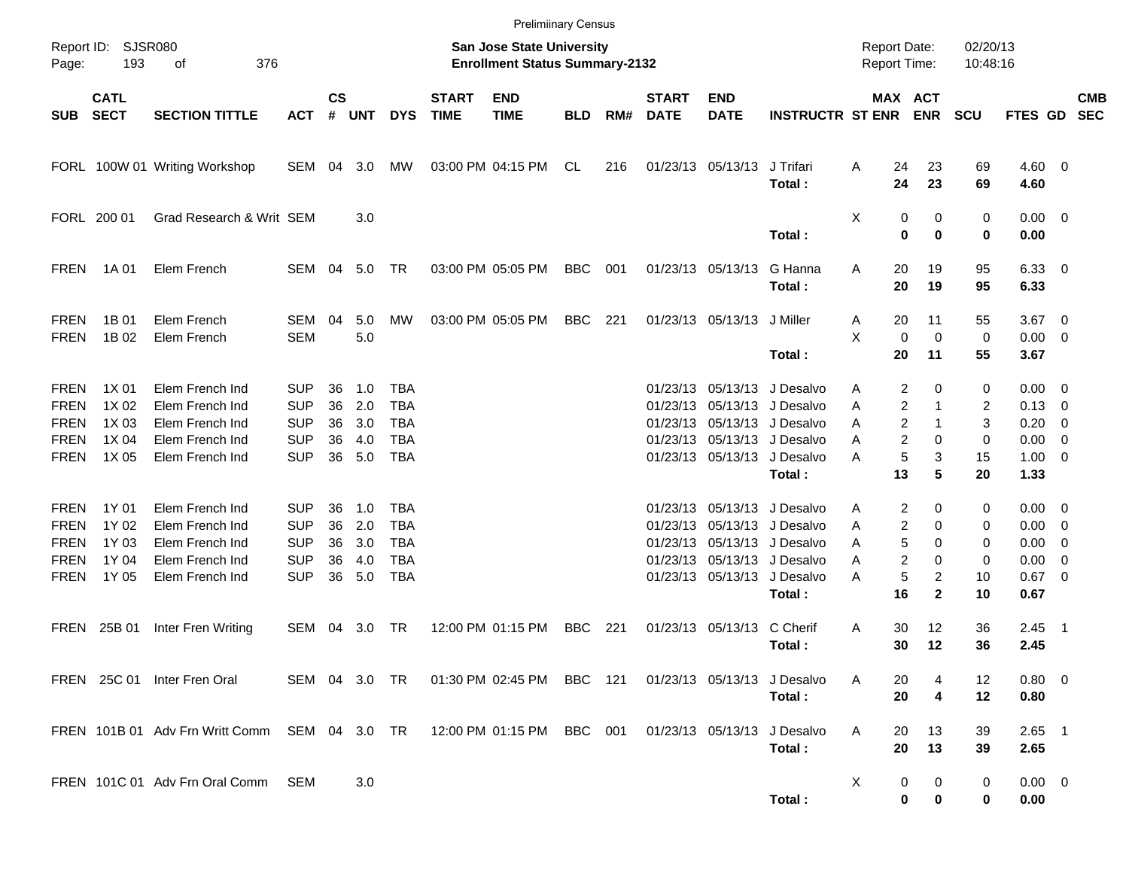|                                                                         |                                           |                                                                                             |                                                                    |                      |                                    |                                                                    |                             | <b>Prelimiinary Census</b>                                                |            |     |                             |                            |                                                                                                                                                                   |                                     |                                                                          |                              |                                                                         |                          |            |
|-------------------------------------------------------------------------|-------------------------------------------|---------------------------------------------------------------------------------------------|--------------------------------------------------------------------|----------------------|------------------------------------|--------------------------------------------------------------------|-----------------------------|---------------------------------------------------------------------------|------------|-----|-----------------------------|----------------------------|-------------------------------------------------------------------------------------------------------------------------------------------------------------------|-------------------------------------|--------------------------------------------------------------------------|------------------------------|-------------------------------------------------------------------------|--------------------------|------------|
| Page:                                                                   | Report ID: SJSR080<br>193                 | 376<br>οf                                                                                   |                                                                    |                      |                                    |                                                                    |                             | <b>San Jose State University</b><br><b>Enrollment Status Summary-2132</b> |            |     |                             |                            |                                                                                                                                                                   | <b>Report Date:</b><br>Report Time: |                                                                          | 02/20/13<br>10:48:16         |                                                                         |                          |            |
| <b>SUB</b>                                                              | <b>CATL</b><br><b>SECT</b>                | <b>SECTION TITTLE</b>                                                                       | <b>ACT</b>                                                         | $\mathsf{cs}$        | # UNT                              | <b>DYS</b>                                                         | <b>START</b><br><b>TIME</b> | <b>END</b><br><b>TIME</b>                                                 | <b>BLD</b> | RM# | <b>START</b><br><b>DATE</b> | <b>END</b><br><b>DATE</b>  | <b>INSTRUCTR ST ENR ENR</b>                                                                                                                                       |                                     | MAX ACT                                                                  | <b>SCU</b>                   | FTES GD SEC                                                             |                          | <b>CMB</b> |
|                                                                         |                                           | FORL 100W 01 Writing Workshop                                                               | SEM 04 3.0                                                         |                      |                                    | MW                                                                 |                             | 03:00 PM 04:15 PM                                                         | CL         | 216 |                             | 01/23/13 05/13/13          | J Trifari<br>Total:                                                                                                                                               | 24<br>Α<br>24                       | 23<br>23                                                                 | 69<br>69                     | $4.60$ 0<br>4.60                                                        |                          |            |
|                                                                         | FORL 200 01                               | Grad Research & Writ SEM                                                                    |                                                                    |                      | 3.0                                |                                                                    |                             |                                                                           |            |     |                             |                            | Total:                                                                                                                                                            | Χ                                   | 0<br>0<br>$\bf{0}$<br>$\bf{0}$                                           | 0<br>0                       | $0.00 \t 0$<br>0.00                                                     |                          |            |
| FREN                                                                    | 1A 01                                     | Elem French                                                                                 | SEM                                                                |                      | 04 5.0                             | TR                                                                 |                             | 03:00 PM 05:05 PM                                                         | BBC        | 001 |                             | 01/23/13 05/13/13          | G Hanna<br>Total:                                                                                                                                                 | Α<br>20<br>20                       | 19<br>19                                                                 | 95<br>95                     | $6.33$ 0<br>6.33                                                        |                          |            |
| <b>FREN</b><br><b>FREN</b>                                              | 1B 01<br>1B 02                            | Elem French<br>Elem French                                                                  | SEM<br><b>SEM</b>                                                  | 04                   | 5.0<br>5.0                         | MW                                                                 |                             | 03:00 PM 05:05 PM                                                         | BBC        | 221 |                             | 01/23/13 05/13/13 J Miller | Total:                                                                                                                                                            | 20<br>Α<br>X<br>0<br>20             | 11<br>$\mathbf 0$<br>11                                                  | 55<br>0<br>55                | $3.67$ 0<br>$0.00 \t 0$<br>3.67                                         |                          |            |
| <b>FREN</b><br><b>FREN</b><br><b>FREN</b><br><b>FREN</b><br><b>FREN</b> | 1X 01<br>1X 02<br>1X 03<br>1X 04<br>1X 05 | Elem French Ind<br>Elem French Ind<br>Elem French Ind<br>Elem French Ind<br>Elem French Ind | <b>SUP</b><br><b>SUP</b><br><b>SUP</b><br><b>SUP</b><br><b>SUP</b> | 36<br>36<br>36<br>36 | 1.0<br>2.0<br>3.0<br>4.0<br>36 5.0 | <b>TBA</b><br><b>TBA</b><br><b>TBA</b><br><b>TBA</b><br><b>TBA</b> |                             |                                                                           |            |     |                             |                            | 01/23/13 05/13/13 J Desalvo<br>01/23/13 05/13/13 J Desalvo<br>01/23/13 05/13/13 J Desalvo<br>01/23/13 05/13/13 J Desalvo<br>01/23/13 05/13/13 J Desalvo<br>Total: | Α<br>Α<br>A<br>Α<br>Α<br>13         | 2<br>0<br>2<br>1<br>2<br>1<br>$\overline{c}$<br>0<br>5<br>3<br>5         | 0<br>2<br>3<br>0<br>15<br>20 | $0.00 \t 0$<br>$0.13 \ 0$<br>0.20<br>$0.00 \t 0$<br>$1.00 \t 0$<br>1.33 | $\overline{\phantom{0}}$ |            |
| <b>FREN</b><br><b>FREN</b><br><b>FREN</b><br><b>FREN</b><br><b>FREN</b> | 1Y 01<br>1Y 02<br>1Y 03<br>1Y 04<br>1Y 05 | Elem French Ind<br>Elem French Ind<br>Elem French Ind<br>Elem French Ind<br>Elem French Ind | <b>SUP</b><br><b>SUP</b><br><b>SUP</b><br><b>SUP</b><br><b>SUP</b> | 36<br>36<br>36<br>36 | 1.0<br>2.0<br>3.0<br>4.0<br>36 5.0 | TBA<br><b>TBA</b><br><b>TBA</b><br><b>TBA</b><br><b>TBA</b>        |                             |                                                                           |            |     |                             |                            | 01/23/13 05/13/13 J Desalvo<br>01/23/13 05/13/13 J Desalvo<br>01/23/13 05/13/13 J Desalvo<br>01/23/13 05/13/13 J Desalvo<br>01/23/13 05/13/13 J Desalvo           | Α<br>Α<br>Α<br>Α<br>Α               | 2<br>0<br>2<br>0<br>5<br>0<br>$\overline{c}$<br>0<br>5<br>$\overline{2}$ | 0<br>0<br>0<br>0<br>10       | $0.00 \t 0$<br>$0.00 \t 0$<br>$0.00 \t 0$<br>0.00<br>$0.67$ 0           | $\overline{\phantom{0}}$ |            |
|                                                                         | FREN 25B 01                               | Inter Fren Writing                                                                          | SEM                                                                | 04                   | 3.0                                | TR                                                                 |                             | 12:00 PM 01:15 PM                                                         | <b>BBC</b> | 221 |                             | 01/23/13 05/13/13          | Total:<br>C Cherif<br>Total:                                                                                                                                      | 16<br>30<br>A<br>30                 | $\mathbf{2}$<br>12<br>12                                                 | 10<br>36<br>36               | 0.67<br>$2.45$ 1<br>2.45                                                |                          |            |
|                                                                         |                                           | FREN 25C 01 Inter Fren Oral                                                                 |                                                                    |                      |                                    | SEM 04 3.0 TR                                                      |                             | 01:30 PM 02:45 PM BBC 121 01/23/13 05/13/13 J Desalvo                     |            |     |                             |                            | Total:                                                                                                                                                            | A<br>20<br>20                       | 4<br>4                                                                   | 12<br>12                     | $0.80 \ 0$<br>0.80                                                      |                          |            |
|                                                                         |                                           | FREN 101B 01 Adv Frn Writt Comm SEM 04 3.0 TR 12:00 PM 01:15 PM BBC 001                     |                                                                    |                      |                                    |                                                                    |                             |                                                                           |            |     |                             | 01/23/13 05/13/13          | J Desalvo<br>Total:                                                                                                                                               | A<br>20<br>20                       | 13<br>13                                                                 | 39<br>39                     | $2.65$ 1<br>2.65                                                        |                          |            |
|                                                                         |                                           | FREN 101C 01 Adv Frn Oral Comm SEM                                                          |                                                                    |                      | 3.0                                |                                                                    |                             |                                                                           |            |     |                             |                            | Total:                                                                                                                                                            | X                                   | 0<br>0<br>0<br>0                                                         | 0<br>0                       | $0.00 \t 0$<br>0.00                                                     |                          |            |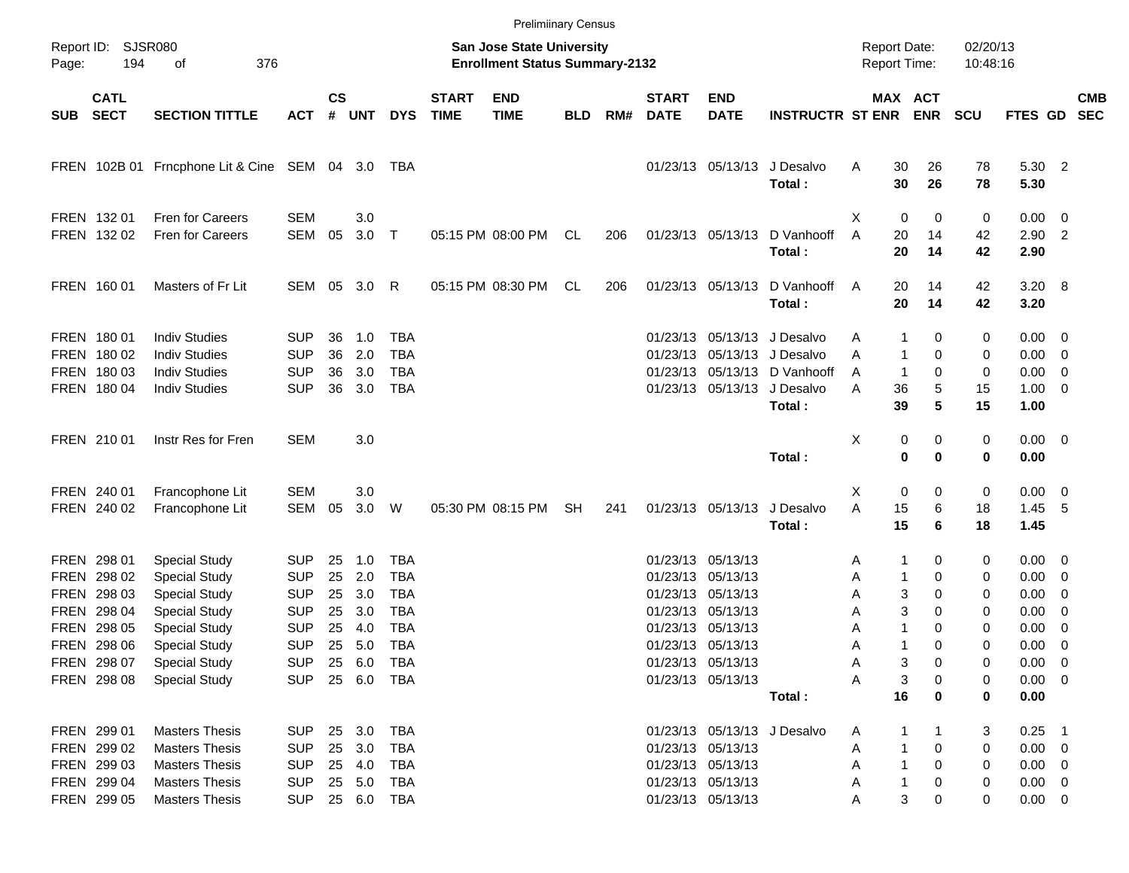|                     |                                                                         |                                                                                                                           |                                                                    |                            |                                      |                                                                    |                             | <b>Prelimiinary Census</b>                                                |            |     |                             |                                                                                                       |                                                                                                                   |                                                                      |                                 |                         |                                                                      |                                                                                 |                          |
|---------------------|-------------------------------------------------------------------------|---------------------------------------------------------------------------------------------------------------------------|--------------------------------------------------------------------|----------------------------|--------------------------------------|--------------------------------------------------------------------|-----------------------------|---------------------------------------------------------------------------|------------|-----|-----------------------------|-------------------------------------------------------------------------------------------------------|-------------------------------------------------------------------------------------------------------------------|----------------------------------------------------------------------|---------------------------------|-------------------------|----------------------------------------------------------------------|---------------------------------------------------------------------------------|--------------------------|
| Page:               | Report ID: SJSR080<br>194                                               | οf<br>376                                                                                                                 |                                                                    |                            |                                      |                                                                    |                             | <b>San Jose State University</b><br><b>Enrollment Status Summary-2132</b> |            |     |                             |                                                                                                       |                                                                                                                   | <b>Report Date:</b><br>Report Time:                                  |                                 | 02/20/13<br>10:48:16    |                                                                      |                                                                                 |                          |
| <b>SUB</b>          | <b>CATL</b><br><b>SECT</b>                                              | <b>SECTION TITTLE</b>                                                                                                     | <b>ACT</b>                                                         | $\mathsf{cs}$<br>#         | <b>UNT</b>                           | <b>DYS</b>                                                         | <b>START</b><br><b>TIME</b> | <b>END</b><br><b>TIME</b>                                                 | <b>BLD</b> | RM# | <b>START</b><br><b>DATE</b> | <b>END</b><br><b>DATE</b>                                                                             | <b>INSTRUCTR ST ENR ENR</b>                                                                                       |                                                                      | MAX ACT                         | <b>SCU</b>              | FTES GD                                                              |                                                                                 | <b>CMB</b><br><b>SEC</b> |
|                     |                                                                         | FREN 102B 01 Frncphone Lit & Cine SEM 04 3.0                                                                              |                                                                    |                            |                                      | TBA                                                                |                             |                                                                           |            |     |                             | 01/23/13 05/13/13                                                                                     | J Desalvo<br>Total:                                                                                               | Α<br>30<br>30                                                        | 26<br>26                        | 78<br>78                | 5.30 2<br>5.30                                                       |                                                                                 |                          |
|                     | FREN 132 01<br>FREN 132 02                                              | Fren for Careers<br><b>Fren for Careers</b>                                                                               | <b>SEM</b><br><b>SEM</b>                                           | 05                         | 3.0<br>3.0                           | $\top$                                                             |                             | 05:15 PM 08:00 PM                                                         | CL         | 206 |                             | 01/23/13 05/13/13                                                                                     | D Vanhooff<br>Total:                                                                                              | X<br>0<br>A<br>20<br>20                                              | 0<br>14<br>14                   | 0<br>42<br>42           | $0.00 \t 0$<br>$2.90$ 2<br>2.90                                      |                                                                                 |                          |
|                     | FREN 160 01                                                             | Masters of Fr Lit                                                                                                         | SEM 05                                                             |                            | 3.0 R                                |                                                                    |                             | 05:15 PM 08:30 PM                                                         | CL         | 206 |                             | 01/23/13 05/13/13                                                                                     | D Vanhooff<br>Total:                                                                                              | 20<br>A<br>20                                                        | 14<br>14                        | 42<br>42                | 3.20 8<br>3.20                                                       |                                                                                 |                          |
|                     | FREN 180 01<br>FREN 180 02<br>FREN 180 03<br>FREN 180 04                | <b>Indiv Studies</b><br><b>Indiv Studies</b><br><b>Indiv Studies</b><br><b>Indiv Studies</b>                              | <b>SUP</b><br><b>SUP</b><br><b>SUP</b><br><b>SUP</b>               | 36<br>36<br>36<br>36       | 1.0<br>2.0<br>3.0<br>3.0             | <b>TBA</b><br><b>TBA</b><br><b>TBA</b><br><b>TBA</b>               |                             |                                                                           |            |     |                             | 01/23/13 05/13/13                                                                                     | 01/23/13 05/13/13 J Desalvo<br>01/23/13 05/13/13 J Desalvo<br>01/23/13 05/13/13 D Vanhooff<br>J Desalvo<br>Total: | -1<br>A<br>Α<br>$\mathbf{1}$<br>$\overline{1}$<br>A<br>36<br>Α<br>39 | 0<br>0<br>0<br>5<br>5           | 0<br>0<br>0<br>15<br>15 | $0.00 \t 0$<br>$0.00 \t 0$<br>$0.00 \t 0$<br>$1.00 \t 0$<br>1.00     |                                                                                 |                          |
|                     | FREN 210 01                                                             | Instr Res for Fren                                                                                                        | <b>SEM</b>                                                         |                            | 3.0                                  |                                                                    |                             |                                                                           |            |     |                             |                                                                                                       | Total:                                                                                                            | Χ<br>0<br>$\mathbf 0$                                                | 0<br>$\mathbf 0$                | 0<br>0                  | $0.00 \t 0$<br>0.00                                                  |                                                                                 |                          |
|                     | FREN 240 01<br>FREN 240 02                                              | Francophone Lit<br>Francophone Lit                                                                                        | <b>SEM</b><br>SEM                                                  | 05                         | 3.0<br>3.0                           | W                                                                  |                             | 05:30 PM 08:15 PM                                                         | <b>SH</b>  | 241 |                             | 01/23/13 05/13/13                                                                                     | J Desalvo<br>Total:                                                                                               | X<br>0<br>A<br>15<br>15                                              | 0<br>6<br>6                     | 0<br>18<br>18           | $0.00 \t 0$<br>1.45<br>1.45                                          | - 5                                                                             |                          |
| <b>FREN</b><br>FREN | FREN 298 01<br>298 02<br>FREN 298 03<br>FREN 298 04<br>298 05           | <b>Special Study</b><br><b>Special Study</b><br><b>Special Study</b><br><b>Special Study</b><br><b>Special Study</b>      | <b>SUP</b><br><b>SUP</b><br><b>SUP</b><br><b>SUP</b><br><b>SUP</b> | 25<br>25<br>25<br>25<br>25 | 1.0<br>2.0<br>3.0<br>3.0<br>4.0      | <b>TBA</b><br><b>TBA</b><br><b>TBA</b><br><b>TBA</b><br><b>TBA</b> |                             |                                                                           |            |     |                             | 01/23/13 05/13/13<br>01/23/13 05/13/13<br>01/23/13 05/13/13<br>01/23/13 05/13/13<br>01/23/13 05/13/13 |                                                                                                                   | -1<br>Α<br>Α<br>$\mathbf{1}$<br>Α<br>Α<br>1<br>Α                     | 0<br>0<br>3<br>0<br>3<br>0<br>0 | 0<br>0<br>0<br>0<br>0   | $0.00 \t 0$<br>$0.00 \t 0$<br>0.00<br>0.00<br>0.00                   | $\overline{\phantom{0}}$<br>$\overline{\phantom{0}}$<br>$\overline{\mathbf{0}}$ |                          |
|                     | FREN 298 06<br>FREN 298 07<br>FREN 298 08                               | <b>Special Study</b><br><b>Special Study</b><br><b>Special Study</b>                                                      | <b>SUP</b><br><b>SUP</b><br><b>SUP</b>                             | 25                         | 5.0<br>25 6.0<br>25 6.0              | <b>TBA</b><br>TBA<br>TBA                                           |                             |                                                                           |            |     |                             | 01/23/13 05/13/13<br>01/23/13 05/13/13<br>01/23/13 05/13/13                                           | Total:                                                                                                            | 1<br>Α<br>A<br>Α<br>16                                               | 0<br>3<br>0<br>3<br>0<br>0      | 0<br>0<br>0<br>0        | 0.00<br>$0.00 \t 0$<br>$0.00 \t 0$<br>0.00                           | $\overline{\phantom{0}}$                                                        |                          |
|                     | FREN 299 01<br>FREN 299 02<br>FREN 299 03<br>FREN 299 04<br>FREN 299 05 | <b>Masters Thesis</b><br><b>Masters Thesis</b><br><b>Masters Thesis</b><br><b>Masters Thesis</b><br><b>Masters Thesis</b> | <b>SUP</b><br><b>SUP</b><br><b>SUP</b><br><b>SUP</b><br><b>SUP</b> |                            | 25 3.0<br>25 3.0<br>25 4.0<br>25 5.0 | <b>TBA</b><br>TBA<br>TBA<br>TBA<br>25 6.0 TBA                      |                             |                                                                           |            |     |                             | 01/23/13 05/13/13<br>01/23/13 05/13/13<br>01/23/13 05/13/13<br>01/23/13 05/13/13                      | 01/23/13 05/13/13 J Desalvo                                                                                       | 1<br>A<br>Α<br>1<br>А<br>1<br>1<br>Α<br>Α                            | 0<br>0<br>0<br>3<br>0           | 3<br>0<br>0<br>0<br>0   | $0.25$ 1<br>$0.00 \t 0$<br>$0.00 \t 0$<br>$0.00 \t 0$<br>$0.00 \t 0$ |                                                                                 |                          |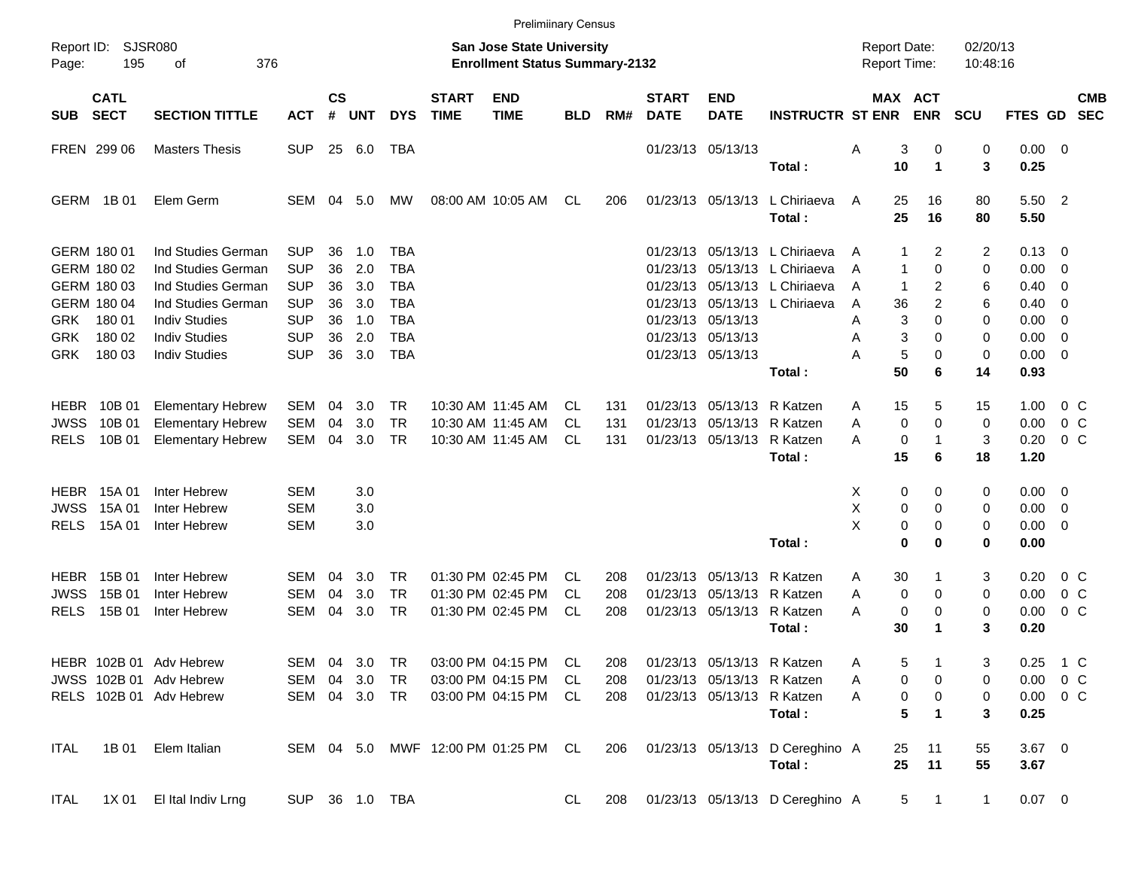|                     |                            |                             |               |                    |            |                |                             | <b>Prelimiinary Census</b>                                         |            |     |                             |                            |                                 |                                            |                      |                      |               |                |            |
|---------------------|----------------------------|-----------------------------|---------------|--------------------|------------|----------------|-----------------------------|--------------------------------------------------------------------|------------|-----|-----------------------------|----------------------------|---------------------------------|--------------------------------------------|----------------------|----------------------|---------------|----------------|------------|
| Report ID:<br>Page: | 195                        | <b>SJSR080</b><br>376<br>оf |               |                    |            |                |                             | San Jose State University<br><b>Enrollment Status Summary-2132</b> |            |     |                             |                            |                                 | <b>Report Date:</b><br><b>Report Time:</b> |                      | 02/20/13<br>10:48:16 |               |                |            |
| <b>SUB</b>          | <b>CATL</b><br><b>SECT</b> | <b>SECTION TITTLE</b>       | <b>ACT</b>    | $\mathsf{cs}$<br># | <b>UNT</b> | <b>DYS</b>     | <b>START</b><br><b>TIME</b> | <b>END</b><br><b>TIME</b>                                          | <b>BLD</b> | RM# | <b>START</b><br><b>DATE</b> | <b>END</b><br><b>DATE</b>  | <b>INSTRUCTR ST ENR</b>         | MAX ACT                                    | <b>ENR</b>           | <b>SCU</b>           | FTES GD SEC   |                | <b>CMB</b> |
|                     | FREN 299 06                | <b>Masters Thesis</b>       | <b>SUP</b>    |                    | 25 6.0     | TBA            |                             |                                                                    |            |     |                             | 01/23/13 05/13/13          |                                 | 3<br>Α                                     | 0                    | 0                    | $0.00 \t 0$   |                |            |
|                     |                            |                             |               |                    |            |                |                             |                                                                    |            |     |                             |                            | Total:                          | 10                                         | $\blacktriangleleft$ | 3                    | 0.25          |                |            |
|                     | GERM 1B 01                 | Elem Germ                   | SEM           |                    | 04 5.0     | MW             |                             | 08:00 AM 10:05 AM                                                  | CL         | 206 |                             | 01/23/13 05/13/13          | L Chiriaeva                     | 25<br>A                                    | 16                   | 80                   | 5.50 2        |                |            |
|                     |                            |                             |               |                    |            |                |                             |                                                                    |            |     |                             |                            | Total:                          | 25                                         | 16                   | 80                   | 5.50          |                |            |
|                     | GERM 180 01                | Ind Studies German          | <b>SUP</b>    | 36                 | 1.0        | <b>TBA</b>     |                             |                                                                    |            |     |                             |                            | 01/23/13 05/13/13 L Chiriaeva   | 1<br>A                                     | 2                    | 2                    | 0.13          | 0              |            |
|                     | GERM 180 02                | Ind Studies German          | <b>SUP</b>    | 36                 | 2.0        | <b>TBA</b>     |                             |                                                                    |            |     |                             |                            | 01/23/13 05/13/13 L Chiriaeva   | $\mathbf{1}$<br>A                          | $\Omega$             | 0                    | 0.00          | 0              |            |
|                     | GERM 180 03                | Ind Studies German          | <b>SUP</b>    | 36                 | 3.0        | <b>TBA</b>     |                             |                                                                    |            |     |                             |                            | 01/23/13 05/13/13 L Chiriaeva   | $\overline{1}$<br>A                        | 2                    | 6                    | 0.40          | 0              |            |
|                     | GERM 180 04                | Ind Studies German          | <b>SUP</b>    | 36                 | 3.0        | <b>TBA</b>     |                             |                                                                    |            |     |                             |                            | 01/23/13 05/13/13 L Chiriaeva   | A<br>36                                    | 2                    | 6                    | 0.40          | 0              |            |
| GRK                 | 180 01                     | <b>Indiv Studies</b>        | <b>SUP</b>    | 36                 | 1.0        | <b>TBA</b>     |                             |                                                                    |            |     |                             | 01/23/13 05/13/13          |                                 | 3<br>Α                                     | $\Omega$             | $\Omega$             | 0.00          | 0              |            |
| GRK.                | 180 02                     | <b>Indiv Studies</b>        | <b>SUP</b>    | 36                 | 2.0        | <b>TBA</b>     |                             |                                                                    |            |     |                             | 01/23/13 05/13/13          |                                 | 3<br>Α                                     | $\Omega$             | 0                    | 0.00          | 0              |            |
| <b>GRK</b>          | 180 03                     | <b>Indiv Studies</b>        | <b>SUP</b>    | 36                 | 3.0        | <b>TBA</b>     |                             |                                                                    |            |     |                             | 01/23/13 05/13/13          |                                 | $\overline{5}$<br>А                        | $\Omega$             | $\mathbf 0$          | 0.00          | $\overline{0}$ |            |
|                     |                            |                             |               |                    |            |                |                             |                                                                    |            |     |                             |                            | Total:                          | 50                                         | 6                    | 14                   | 0.93          |                |            |
| <b>HEBR</b>         | 10B 01                     | <b>Elementary Hebrew</b>    | SEM           | 04                 | 3.0        | <b>TR</b>      |                             | 10:30 AM 11:45 AM                                                  | CL.        | 131 |                             | 01/23/13 05/13/13          | R Katzen                        | 15<br>A                                    | 5                    | 15                   | 1.00          | 0 <sup>o</sup> |            |
| <b>JWSS</b>         | 10B 01                     | <b>Elementary Hebrew</b>    | <b>SEM</b>    | 04                 | 3.0        | <b>TR</b>      |                             | 10:30 AM 11:45 AM                                                  | CL         | 131 |                             | 01/23/13 05/13/13          | R Katzen                        | $\mathbf 0$<br>Α                           | $\Omega$             | $\mathbf 0$          | 0.00          | 0 <sup>o</sup> |            |
| <b>RELS</b>         | 10B 01                     | <b>Elementary Hebrew</b>    | <b>SEM</b>    | 04                 | 3.0        | <b>TR</b>      |                             | 10:30 AM 11:45 AM                                                  | CL         | 131 |                             | 01/23/13 05/13/13          | R Katzen                        | 0<br>А                                     | -1                   | 3                    | 0.20          | 0 <sup>o</sup> |            |
|                     |                            |                             |               |                    |            |                |                             |                                                                    |            |     |                             |                            | Total:                          | 15                                         | 6                    | 18                   | 1.20          |                |            |
|                     | <b>HEBR</b> 15A 01         | Inter Hebrew                | <b>SEM</b>    |                    | 3.0        |                |                             |                                                                    |            |     |                             |                            |                                 | X<br>0                                     | 0                    | 0                    | 0.00          | 0              |            |
| <b>JWSS</b>         | 15A 01                     | Inter Hebrew                | <b>SEM</b>    |                    | 3.0        |                |                             |                                                                    |            |     |                             |                            |                                 | X<br>0                                     | $\Omega$             | 0                    | 0.00          | 0              |            |
| <b>RELS</b>         | 15A 01                     | Inter Hebrew                | <b>SEM</b>    |                    | 3.0        |                |                             |                                                                    |            |     |                             |                            |                                 | X<br>0                                     | $\Omega$             | 0                    | 0.00          | 0              |            |
|                     |                            |                             |               |                    |            |                |                             |                                                                    |            |     |                             |                            | Total:                          | 0                                          | 0                    | 0                    | 0.00          |                |            |
| <b>HEBR</b>         | 15B 01                     | Inter Hebrew                | SEM           | 04                 | 3.0        | <b>TR</b>      |                             | 01:30 PM 02:45 PM                                                  | CL.        | 208 |                             | 01/23/13 05/13/13          | R Katzen                        | 30<br>A                                    |                      | 3                    | 0.20          | 0 <sup>o</sup> |            |
| <b>JWSS</b>         | 15B 01                     | Inter Hebrew                | <b>SEM</b>    | 04                 | 3.0        | <b>TR</b>      |                             | 01:30 PM 02:45 PM                                                  | CL.        | 208 |                             | 01/23/13 05/13/13          | R Katzen                        | 0<br>Α                                     | 0                    | 0                    | 0.00          | 0 <sup>o</sup> |            |
| <b>RELS</b>         | 15B 01                     | Inter Hebrew                | <b>SEM</b>    | 04                 | 3.0        | <b>TR</b>      |                             | 01:30 PM 02:45 PM                                                  | CL         | 208 |                             | 01/23/13 05/13/13          | R Katzen                        | 0<br>Α                                     | 0                    | 0                    | 0.00          | 0 <sup>o</sup> |            |
|                     |                            |                             |               |                    |            |                |                             |                                                                    |            |     |                             |                            | Total:                          | 30                                         | 1                    | 3                    | 0.20          |                |            |
|                     |                            | HEBR 102B 01 Adv Hebrew     | SEM 04 3.0    |                    |            | <b>TR</b>      |                             | 03:00 PM 04:15 PM                                                  | CL         | 208 |                             | 01/23/13 05/13/13 R Katzen |                                 | 5<br>A                                     |                      | 3                    | $0.25$ 1 C    |                |            |
|                     |                            | JWSS 102B 01 Adv Hebrew     | SEM 04 3.0    |                    |            | TR             |                             | 03:00 PM 04:15 PM                                                  | CL         | 208 |                             |                            | 01/23/13 05/13/13 R Katzen      | 0<br>A                                     | 0                    | 0                    | $0.00 \t 0 C$ |                |            |
|                     |                            | RELS 102B 01 Adv Hebrew     | SEM 04 3.0 TR |                    |            |                |                             | 03:00 PM 04:15 PM                                                  | CL.        | 208 |                             |                            | 01/23/13 05/13/13 R Katzen      | 0<br>A                                     | 0                    | 0                    | $0.00 \t 0 C$ |                |            |
|                     |                            |                             |               |                    |            |                |                             |                                                                    |            |     |                             |                            | Total:                          | 5                                          | 1                    | 3                    | 0.25          |                |            |
| ITAL                | 1B 01                      | Elem Italian                |               |                    |            |                |                             | SEM 04 5.0 MWF 12:00 PM 01:25 PM CL                                |            | 206 |                             |                            | 01/23/13 05/13/13 D Cereghino A | 25                                         | 11                   | 55                   | $3.67$ 0      |                |            |
|                     |                            |                             |               |                    |            |                |                             |                                                                    |            |     |                             |                            | Total:                          | 25                                         | 11                   | 55                   | 3.67          |                |            |
| ITAL                | 1X 01                      | El Ital Indiv Lrng          |               |                    |            | SUP 36 1.0 TBA |                             |                                                                    | CL.        | 208 |                             |                            | 01/23/13 05/13/13 D Cereghino A |                                            | $5 \quad 1$          | $\mathbf{1}$         | $0.07$ 0      |                |            |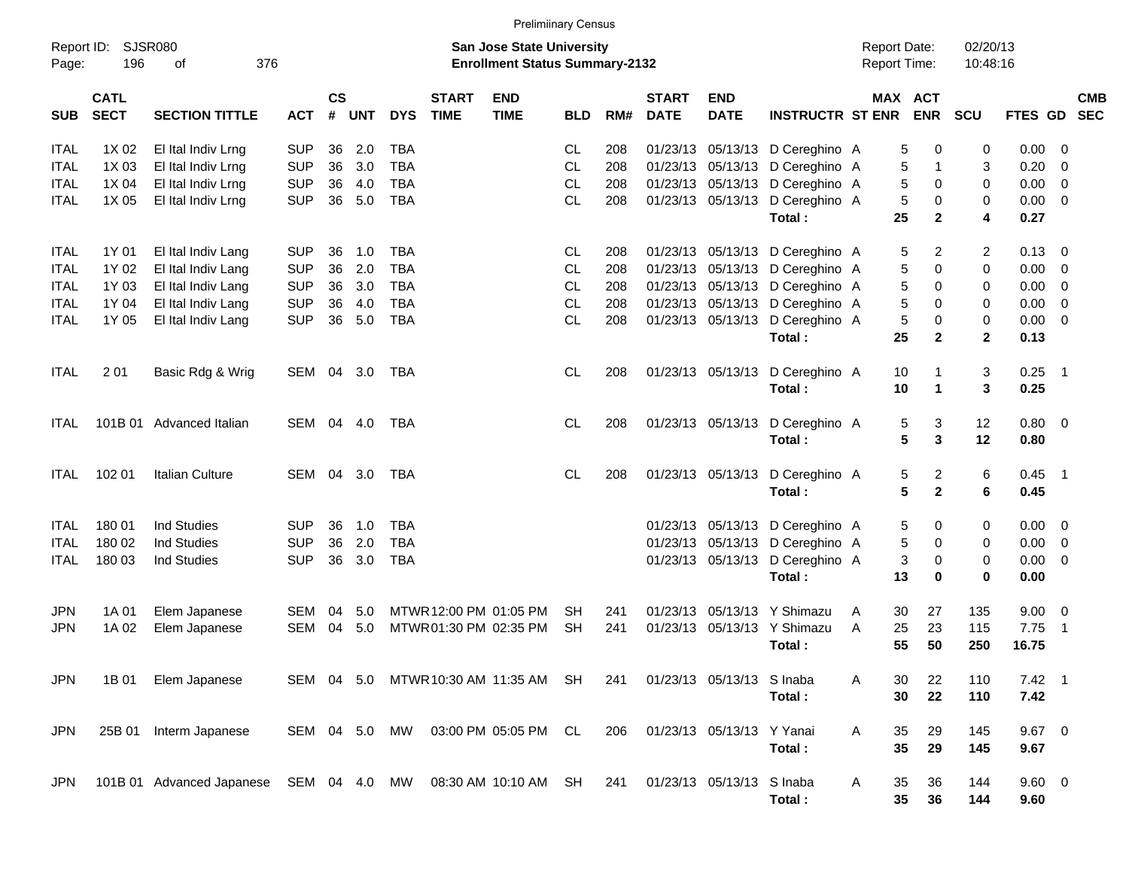|                     |                            |                           |            |                    |            |               |                             |                                                                           | <b>Prelimiinary Census</b> |     |                             |                               |                         |                                            |                       |                      |                |                         |                          |
|---------------------|----------------------------|---------------------------|------------|--------------------|------------|---------------|-----------------------------|---------------------------------------------------------------------------|----------------------------|-----|-----------------------------|-------------------------------|-------------------------|--------------------------------------------|-----------------------|----------------------|----------------|-------------------------|--------------------------|
| Report ID:<br>Page: | 196                        | SJSR080<br>οf<br>376      |            |                    |            |               |                             | <b>San Jose State University</b><br><b>Enrollment Status Summary-2132</b> |                            |     |                             |                               |                         | <b>Report Date:</b><br><b>Report Time:</b> |                       | 02/20/13<br>10:48:16 |                |                         |                          |
| <b>SUB</b>          | <b>CATL</b><br><b>SECT</b> | <b>SECTION TITTLE</b>     | <b>ACT</b> | $\mathsf{cs}$<br># | <b>UNT</b> | <b>DYS</b>    | <b>START</b><br><b>TIME</b> | <b>END</b><br><b>TIME</b>                                                 | <b>BLD</b>                 | RM# | <b>START</b><br><b>DATE</b> | <b>END</b><br><b>DATE</b>     | <b>INSTRUCTR ST ENR</b> |                                            | MAX ACT<br><b>ENR</b> | <b>SCU</b>           | <b>FTES GD</b> |                         | <b>CMB</b><br><b>SEC</b> |
| <b>ITAL</b>         | 1X 02                      | El Ital Indiv Lrng        | <b>SUP</b> | 36                 | 2.0        | <b>TBA</b>    |                             |                                                                           | CL                         | 208 | 01/23/13                    | 05/13/13                      | D Cereghino A           |                                            | 5<br>0                | 0                    | 0.00           | 0                       |                          |
| ITAL                | 1X 03                      | El Ital Indiv Lrng        | <b>SUP</b> | 36                 | 3.0        | <b>TBA</b>    |                             |                                                                           | CL.                        | 208 | 01/23/13                    | 05/13/13                      | D Cereghino A           |                                            | 5<br>-1               | 3                    | 0.20           | $\mathbf 0$             |                          |
| ITAL                | 1X 04                      | El Ital Indiv Lrng        | <b>SUP</b> | 36                 | 4.0        | <b>TBA</b>    |                             |                                                                           | <b>CL</b>                  | 208 | 01/23/13                    | 05/13/13                      | D Cereghino A           |                                            | 5<br>0                | 0                    | 0.00           | 0                       |                          |
| ITAL                | 1X 05                      | El Ital Indiv Lrng        | <b>SUP</b> | 36                 | 5.0        | <b>TBA</b>    |                             |                                                                           | <b>CL</b>                  | 208 | 01/23/13                    | 05/13/13                      | D Cereghino A           |                                            | 5<br>0                | 0                    | 0.00           | $\overline{0}$          |                          |
|                     |                            |                           |            |                    |            |               |                             |                                                                           |                            |     |                             |                               | Total:                  | 25                                         | $\mathbf{2}$          | 4                    | 0.27           |                         |                          |
| <b>ITAL</b>         | 1Y 01                      | El Ital Indiv Lang        | <b>SUP</b> | 36                 | 1.0        | <b>TBA</b>    |                             |                                                                           | CL.                        | 208 | 01/23/13                    |                               | 05/13/13 D Cereghino A  |                                            | 2<br>5                | 2                    | 0.13           | - 0                     |                          |
| ITAL                | 1Y 02                      | El Ital Indiv Lang        | <b>SUP</b> | 36                 | 2.0        | <b>TBA</b>    |                             |                                                                           | CL                         | 208 | 01/23/13                    | 05/13/13                      | D Cereghino A           |                                            | 5<br>0                | 0                    | 0.00           | 0                       |                          |
| ITAL                | 1Y 03                      | El Ital Indiv Lang        | <b>SUP</b> | 36                 | 3.0        | <b>TBA</b>    |                             |                                                                           | CL.                        | 208 | 01/23/13                    | 05/13/13                      | D Cereghino A           |                                            | 0<br>5                | 0                    | 0.00           | 0                       |                          |
| ITAL                | 1Y 04                      | El Ital Indiv Lang        | <b>SUP</b> | 36                 | 4.0        | <b>TBA</b>    |                             |                                                                           | <b>CL</b>                  | 208 | 01/23/13                    | 05/13/13                      | D Cereghino A           |                                            | 5<br>0                | 0                    | 0.00           | 0                       |                          |
| ITAL                | 1Y 05                      | El Ital Indiv Lang        | <b>SUP</b> | 36                 | 5.0        | <b>TBA</b>    |                             |                                                                           | <b>CL</b>                  | 208 | 01/23/13                    | 05/13/13                      | D Cereghino A           |                                            | 5<br>0                | 0                    | 0.00           | $\overline{0}$          |                          |
|                     |                            |                           |            |                    |            |               |                             |                                                                           |                            |     |                             |                               | Total:                  | 25                                         | $\mathbf{2}$          | $\mathbf{2}$         | 0.13           |                         |                          |
| <b>ITAL</b>         | 201                        | Basic Rdg & Wrig          | SEM        | 04                 | 3.0        | TBA           |                             |                                                                           | CL.                        | 208 |                             | 01/23/13 05/13/13             | D Cereghino A           | 10                                         | -1                    | 3                    | 0.25           | $\overline{1}$          |                          |
|                     |                            |                           |            |                    |            |               |                             |                                                                           |                            |     |                             |                               | Total:                  | 10                                         | $\mathbf 1$           | 3                    | 0.25           |                         |                          |
| <b>ITAL</b>         |                            | 101B 01 Advanced Italian  | SEM        | 04                 | 4.0        | TBA           |                             |                                                                           | CL.                        | 208 |                             | 01/23/13 05/13/13             | D Cereghino A           |                                            | 5<br>3                | 12                   | 0.80           | $\overline{\mathbf{0}}$ |                          |
|                     |                            |                           |            |                    |            |               |                             |                                                                           |                            |     |                             |                               | Total:                  |                                            | 5<br>3                | 12                   | 0.80           |                         |                          |
| <b>ITAL</b>         | 102 01                     | Italian Culture           | SEM        | 04                 | 3.0        | TBA           |                             |                                                                           | CL.                        | 208 |                             | 01/23/13 05/13/13             | D Cereghino A           |                                            | 5<br>2                | 6                    | 0.45           | $\overline{1}$          |                          |
|                     |                            |                           |            |                    |            |               |                             |                                                                           |                            |     |                             |                               | Total:                  |                                            | $\mathbf{2}$<br>5     | 6                    | 0.45           |                         |                          |
| <b>ITAL</b>         | 180 01                     | Ind Studies               | <b>SUP</b> | 36                 | 1.0        | TBA           |                             |                                                                           |                            |     | 01/23/13                    |                               | 05/13/13 D Cereghino A  |                                            | 5<br>0                | 0                    | 0.00           | $\overline{0}$          |                          |
| <b>ITAL</b>         | 180 02                     | <b>Ind Studies</b>        | <b>SUP</b> | 36                 | 2.0        | <b>TBA</b>    |                             |                                                                           |                            |     | 01/23/13                    | 05/13/13                      | D Cereghino A           |                                            | 5<br>0                | 0                    | 0.00           | $\overline{0}$          |                          |
| ITAL                | 180 03                     | <b>Ind Studies</b>        | <b>SUP</b> | 36                 | 3.0        | <b>TBA</b>    |                             |                                                                           |                            |     |                             | 01/23/13 05/13/13             | D Cereghino A           |                                            | 3<br>0                | 0                    | 0.00           | $\overline{0}$          |                          |
|                     |                            |                           |            |                    |            |               |                             |                                                                           |                            |     |                             |                               | Total:                  | 13                                         | 0                     | 0                    | 0.00           |                         |                          |
| <b>JPN</b>          | 1A 01                      | Elem Japanese             | SEM        | 04                 | 5.0        |               |                             | MTWR 12:00 PM 01:05 PM                                                    | SН                         | 241 | 01/23/13                    | 05/13/13                      | Y Shimazu               | A<br>30                                    | 27                    | 135                  | 9.00           | 0                       |                          |
| <b>JPN</b>          | 1A 02                      | Elem Japanese             | SEM        | 04                 | 5.0        |               |                             | MTWR 01:30 PM 02:35 PM                                                    | SН                         | 241 | 01/23/13                    |                               | 05/13/13 Y Shimazu      | A<br>25                                    | 23                    | 115                  | 7.75           | $\overline{1}$          |                          |
|                     |                            |                           |            |                    |            |               |                             |                                                                           |                            |     |                             |                               | Total:                  | 55                                         | 50                    | 250                  | 16.75          |                         |                          |
| <b>JPN</b>          | 1B 01                      | Elem Japanese             |            |                    |            |               |                             | SEM 04 5.0 MTWR 10:30 AM 11:35 AM SH                                      |                            |     |                             | 241 01/23/13 05/13/13 S Inaba |                         | A<br>30                                    | 22                    | 110                  | $7.42 \quad 1$ |                         |                          |
|                     |                            |                           |            |                    |            |               |                             |                                                                           |                            |     |                             |                               | Total:                  | 30                                         | 22                    | 110                  | 7.42           |                         |                          |
| <b>JPN</b>          |                            | 25B 01 Interm Japanese    |            |                    |            | SEM 04 5.0 MW |                             | 03:00 PM 05:05 PM CL                                                      |                            | 206 |                             | 01/23/13 05/13/13 Y Yanai     |                         | A<br>35                                    | 29                    | 145                  | $9.67$ 0       |                         |                          |
|                     |                            |                           |            |                    |            |               |                             |                                                                           |                            |     |                             |                               | Total:                  | 35                                         | 29                    | 145                  | 9.67           |                         |                          |
| JPN.                |                            | 101B 01 Advanced Japanese |            |                    |            |               |                             | SEM 04 4.0 MW 08:30 AM 10:10 AM SH                                        |                            | 241 |                             | 01/23/13 05/13/13 S Inaba     |                         | A<br>35                                    | 36                    | 144                  | $9.60 \quad 0$ |                         |                          |
|                     |                            |                           |            |                    |            |               |                             |                                                                           |                            |     |                             |                               | Total:                  | 35                                         | 36                    | 144                  | 9.60           |                         |                          |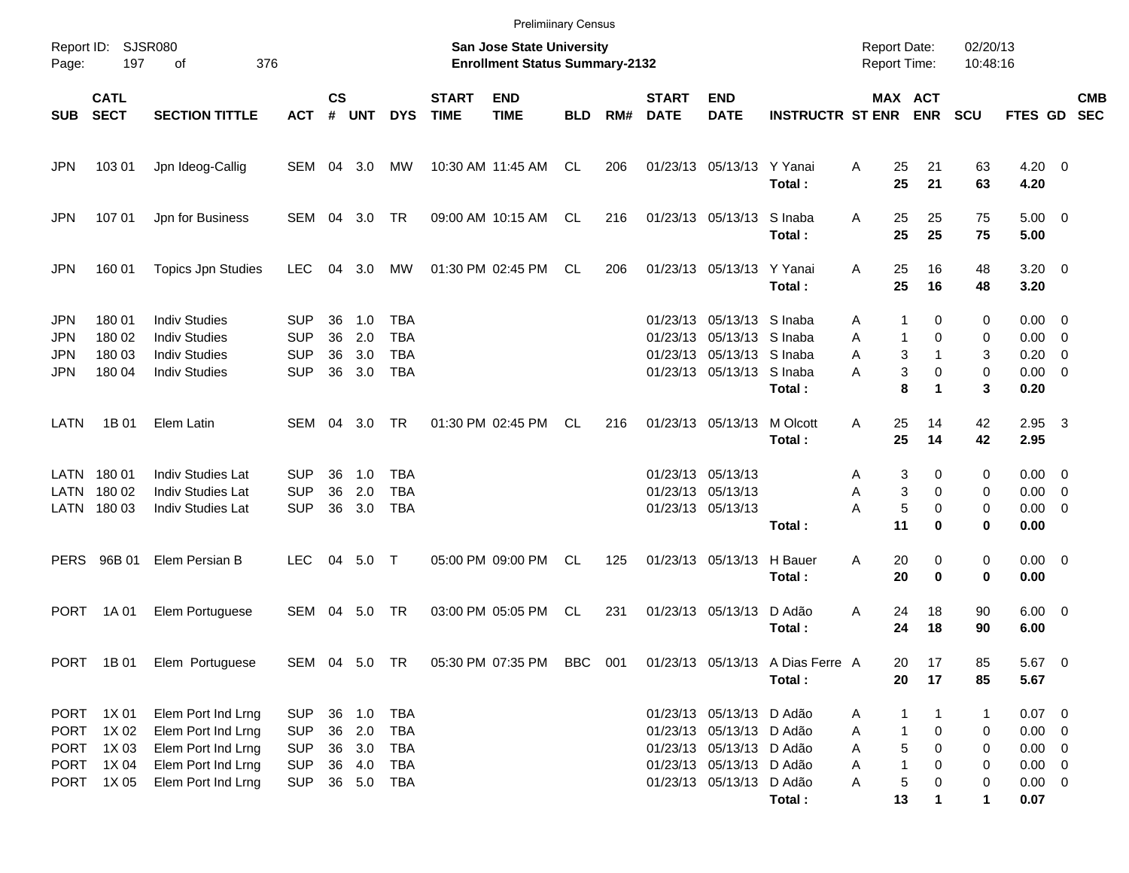|                                 |                                                   |                                                                                              |                                                      |                      |                                          |                                                      |                             | <b>Prelimiinary Census</b>                                         |            |     |                             |                                                                                                                  |                                                                      |                                            |                                                                             |                       |                                                                   |                          |
|---------------------------------|---------------------------------------------------|----------------------------------------------------------------------------------------------|------------------------------------------------------|----------------------|------------------------------------------|------------------------------------------------------|-----------------------------|--------------------------------------------------------------------|------------|-----|-----------------------------|------------------------------------------------------------------------------------------------------------------|----------------------------------------------------------------------|--------------------------------------------|-----------------------------------------------------------------------------|-----------------------|-------------------------------------------------------------------|--------------------------|
| Page:                           | Report ID: SJSR080<br>197                         | 376<br>оf                                                                                    |                                                      |                      |                                          |                                                      |                             | San Jose State University<br><b>Enrollment Status Summary-2132</b> |            |     |                             |                                                                                                                  |                                                                      | <b>Report Date:</b><br><b>Report Time:</b> |                                                                             | 02/20/13<br>10:48:16  |                                                                   |                          |
| <b>SUB</b>                      | <b>CATL</b><br><b>SECT</b>                        | <b>SECTION TITTLE</b>                                                                        | <b>ACT</b>                                           | $\mathsf{cs}$<br>#   | <b>UNT</b>                               | <b>DYS</b>                                           | <b>START</b><br><b>TIME</b> | <b>END</b><br><b>TIME</b>                                          | <b>BLD</b> | RM# | <b>START</b><br><b>DATE</b> | <b>END</b><br><b>DATE</b>                                                                                        | <b>INSTRUCTR ST ENR</b>                                              |                                            | MAX ACT<br><b>ENR</b>                                                       | <b>SCU</b>            | FTES GD                                                           | <b>CMB</b><br><b>SEC</b> |
| JPN                             | 103 01                                            | Jpn Ideog-Callig                                                                             | SEM 04 3.0                                           |                      |                                          | МW                                                   |                             | 10:30 AM 11:45 AM                                                  | CL         | 206 |                             | 01/23/13 05/13/13 Y Yanai                                                                                        | Total:                                                               | 25<br>A<br>25                              | 21<br>21                                                                    | 63<br>63              | $4.20 \ 0$<br>4.20                                                |                          |
| JPN                             | 107 01                                            | Jpn for Business                                                                             | SEM 04 3.0 TR                                        |                      |                                          |                                                      |                             | 09:00 AM 10:15 AM                                                  | CL         | 216 |                             | 01/23/13 05/13/13 S Inaba                                                                                        | Total:                                                               | 25<br>A<br>25                              | 25<br>25                                                                    | 75<br>75              | $5.00 \t 0$<br>5.00                                               |                          |
| <b>JPN</b>                      | 160 01                                            | <b>Topics Jpn Studies</b>                                                                    | <b>LEC</b>                                           | 04                   | 3.0                                      | MW                                                   |                             | 01:30 PM 02:45 PM                                                  | CL         | 206 |                             | 01/23/13 05/13/13 Y Yanai                                                                                        | Total:                                                               | 25<br>A<br>25                              | 16<br>16                                                                    | 48<br>48              | $3.20 \ 0$<br>3.20                                                |                          |
| <b>JPN</b><br>JPN<br>JPN<br>JPN | 180 01<br>180 02<br>180 03<br>180 04              | <b>Indiv Studies</b><br><b>Indiv Studies</b><br><b>Indiv Studies</b><br><b>Indiv Studies</b> | <b>SUP</b><br><b>SUP</b><br><b>SUP</b><br><b>SUP</b> | 36<br>36<br>36<br>36 | 1.0<br>2.0<br>3.0<br>3.0                 | <b>TBA</b><br><b>TBA</b><br><b>TBA</b><br><b>TBA</b> |                             |                                                                    |            |     |                             | 01/23/13 05/13/13 S Inaba<br>01/23/13 05/13/13 S Inaba<br>01/23/13 05/13/13 S Inaba<br>01/23/13 05/13/13 S Inaba | Total:                                                               | A<br>A<br>Α<br>A                           | 0<br>1<br>$\Omega$<br>$\mathbf{1}$<br>3<br>$\mathbf{1}$<br>3<br>0<br>8<br>1 | 0<br>0<br>3<br>0<br>3 | $0.00 \quad 0$<br>$0.00 \ 0$<br>$0.20 \ 0$<br>$0.00 \t 0$<br>0.20 |                          |
| LATN                            | 1B 01                                             | Elem Latin                                                                                   | SEM 04 3.0                                           |                      |                                          | <b>TR</b>                                            |                             | 01:30 PM 02:45 PM                                                  | CL         | 216 |                             | 01/23/13 05/13/13                                                                                                | M Olcott<br>Total:                                                   | 25<br>A<br>25                              | 14<br>14                                                                    | 42<br>42              | $2.95\quad 3$<br>2.95                                             |                          |
|                                 | LATN 180 01<br>LATN 180 02<br>LATN 180 03         | <b>Indiv Studies Lat</b><br>Indiv Studies Lat<br>Indiv Studies Lat                           | <b>SUP</b><br><b>SUP</b><br><b>SUP</b>               | 36<br>36<br>36       | 1.0<br>2.0<br>3.0                        | <b>TBA</b><br><b>TBA</b><br><b>TBA</b>               |                             |                                                                    |            |     |                             | 01/23/13 05/13/13<br>01/23/13 05/13/13<br>01/23/13 05/13/13                                                      | Total:                                                               | A<br>Α<br>А<br>11                          | 3<br>0<br>3<br>0<br>5<br>$\mathbf 0$<br>0                                   | 0<br>0<br>0<br>0      | $0.00 \t 0$<br>$0.00 \t 0$<br>$0.00 \t 0$<br>0.00                 |                          |
| <b>PERS</b>                     | 96B 01                                            | Elem Persian B                                                                               | <b>LEC</b>                                           |                      | 04 5.0 T                                 |                                                      |                             | 05:00 PM 09:00 PM                                                  | CL         | 125 |                             | 01/23/13 05/13/13                                                                                                | H Bauer<br>Total:                                                    | 20<br>A<br>20                              | 0<br>0                                                                      | 0<br>0                | $0.00 \t 0$<br>0.00                                               |                          |
| <b>PORT</b>                     | 1A 01                                             | Elem Portuguese                                                                              | SEM 04 5.0                                           |                      |                                          | TR                                                   |                             | 03:00 PM 05:05 PM                                                  | CL         | 231 |                             | 01/23/13 05/13/13                                                                                                | D Adão<br>Total:                                                     | A<br>24<br>24                              | 18<br>18                                                                    | 90<br>90              | $6.00 \quad 0$<br>6.00                                            |                          |
|                                 |                                                   | PORT 1B 01 Elem Portuguese                                                                   |                                                      |                      | SEM 04 5.0 TR                            |                                                      |                             |                                                                    |            |     |                             |                                                                                                                  | 05:30 PM 07:35 PM BBC 001 01/23/13 05/13/13 A Dias Ferre A<br>Total: | 20<br>20                                   | 17<br>17                                                                    | 85<br>85              | 5.67 0<br>5.67                                                    |                          |
|                                 | PORT 1X 01<br>PORT 1X02<br>PORT 1X03<br>PORT 1X04 | Elem Port Ind Lrng<br>Elem Port Ind Lrng<br>Elem Port Ind Lrng<br>Elem Port Ind Lrng         | <b>SUP</b><br><b>SUP</b><br><b>SUP</b><br><b>SUP</b> |                      | 36 1.0 TBA<br>36 2.0<br>36 3.0<br>36 4.0 | TBA<br>TBA<br>TBA                                    |                             |                                                                    |            |     |                             | 01/23/13 05/13/13 D Adão<br>01/23/13 05/13/13 D Adão<br>01/23/13 05/13/13 D Adão<br>01/23/13 05/13/13 D Adão     |                                                                      | A<br>Α<br>Α<br>A                           | 1<br>1<br>0<br>$\mathbf{1}$<br>5<br>0<br>$\mathbf{1}$<br>0                  | 1<br>0<br>0<br>0      | $0.07$ 0<br>$0.00 \t 0$<br>$0.00 \t 0$<br>$0.00 \t 0$             |                          |
|                                 | PORT 1X05                                         | Elem Port Ind Lrng                                                                           | <b>SUP</b>                                           |                      | 36 5.0 TBA                               |                                                      |                             |                                                                    |            |     |                             | 01/23/13 05/13/13 D Adão                                                                                         | Total:                                                               | A<br>13                                    | $\sqrt{5}$<br>0<br>$\mathbf 1$                                              | 0<br>1                | $0.00 \t 0$<br>0.07                                               |                          |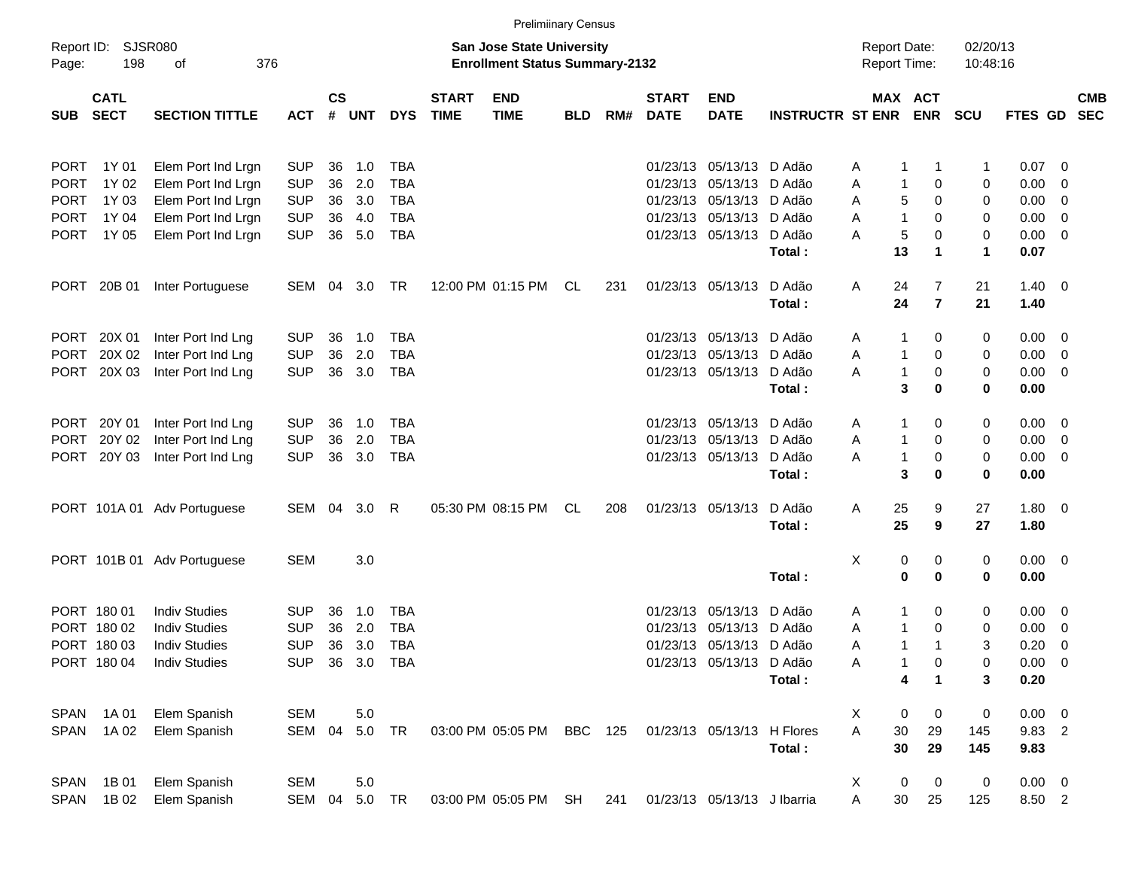|             |                            |                             |            |           |                |            |                             | <b>Prelimiinary Census</b>                                                |            |     |                             |                             |                         |                                     |                     |                      |                    |                          |            |
|-------------|----------------------------|-----------------------------|------------|-----------|----------------|------------|-----------------------------|---------------------------------------------------------------------------|------------|-----|-----------------------------|-----------------------------|-------------------------|-------------------------------------|---------------------|----------------------|--------------------|--------------------------|------------|
| Page:       | Report ID: SJSR080<br>198  | of<br>376                   |            |           |                |            |                             | <b>San Jose State University</b><br><b>Enrollment Status Summary-2132</b> |            |     |                             |                             |                         | <b>Report Date:</b><br>Report Time: |                     | 02/20/13<br>10:48:16 |                    |                          |            |
| <b>SUB</b>  | <b>CATL</b><br><b>SECT</b> | <b>SECTION TITTLE</b>       | <b>ACT</b> | <b>CS</b> | # UNT          | <b>DYS</b> | <b>START</b><br><b>TIME</b> | <b>END</b><br><b>TIME</b>                                                 | <b>BLD</b> | RM# | <b>START</b><br><b>DATE</b> | <b>END</b><br><b>DATE</b>   | <b>INSTRUCTR ST ENR</b> | MAX ACT                             | <b>ENR</b>          | <b>SCU</b>           | FTES GD SEC        |                          | <b>CMB</b> |
| <b>PORT</b> | 1Y 01                      | Elem Port Ind Lrgn          | <b>SUP</b> | 36        | 1.0            | <b>TBA</b> |                             |                                                                           |            |     |                             | 01/23/13 05/13/13 D Adão    |                         | A<br>1                              | -1                  | 1                    | $0.07 \quad 0$     |                          |            |
| <b>PORT</b> | 1Y 02                      | Elem Port Ind Lrgn          | <b>SUP</b> | 36        | 2.0            | <b>TBA</b> |                             |                                                                           |            |     |                             | 01/23/13 05/13/13 D Adão    |                         | $\mathbf{1}$<br>Α                   | 0                   | 0                    | 0.00               | $\overline{\mathbf{0}}$  |            |
| <b>PORT</b> | 1Y 03                      | Elem Port Ind Lrgn          | <b>SUP</b> | 36        | 3.0            | <b>TBA</b> |                             |                                                                           |            |     |                             | 01/23/13 05/13/13 D Adão    |                         | 5<br>Α                              | 0                   | 0                    | 0.00               | $\overline{\mathbf{0}}$  |            |
| <b>PORT</b> | 1Y 04                      | Elem Port Ind Lrgn          | <b>SUP</b> | 36        | 4.0            | <b>TBA</b> |                             |                                                                           |            |     |                             | 01/23/13 05/13/13 D Adão    |                         | $\mathbf{1}$<br>Α                   | 0                   | 0                    | 0.00               | $\overline{\mathbf{0}}$  |            |
| <b>PORT</b> | 1Y 05                      | Elem Port Ind Lrgn          | <b>SUP</b> |           | 36 5.0         | <b>TBA</b> |                             |                                                                           |            |     |                             | 01/23/13 05/13/13           | D Adão                  | 5<br>А                              | 0                   | 0                    | $0.00 \t 0$        |                          |            |
|             |                            |                             |            |           |                |            |                             |                                                                           |            |     |                             |                             | Total:                  | 13                                  | 1                   | $\mathbf{1}$         | 0.07               |                          |            |
|             | PORT 20B 01                | Inter Portuguese            | SEM 04     |           | 3.0            | TR         |                             | 12:00 PM 01:15 PM                                                         | CL         | 231 |                             | 01/23/13 05/13/13           | D Adão<br>Total:        | Α<br>24<br>24                       | 7<br>$\overline{7}$ | 21<br>21             | $1.40 \ 0$<br>1.40 |                          |            |
|             |                            |                             |            |           |                |            |                             |                                                                           |            |     |                             |                             |                         |                                     |                     |                      |                    |                          |            |
|             | PORT 20X 01                | Inter Port Ind Lng          | <b>SUP</b> | 36        | 1.0            | <b>TBA</b> |                             |                                                                           |            |     |                             | 01/23/13 05/13/13           | D Adão                  | 1<br>A                              | 0                   | 0                    | $0.00 \quad 0$     |                          |            |
| <b>PORT</b> | 20X 02                     | Inter Port Ind Lng          | <b>SUP</b> | 36        | 2.0            | <b>TBA</b> |                             |                                                                           |            |     |                             | 01/23/13 05/13/13           | D Adão                  | 1<br>Α                              | 0                   | 0                    | 0.00               | $\overline{\phantom{0}}$ |            |
| PORT        | 20X 03                     | Inter Port Ind Lng          | <b>SUP</b> |           | 36 3.0         | <b>TBA</b> |                             |                                                                           |            |     |                             | 01/23/13 05/13/13           | D Adão                  | $\mathbf{1}$<br>A                   | 0                   | 0                    | $0.00 \t 0$        |                          |            |
|             |                            |                             |            |           |                |            |                             |                                                                           |            |     |                             |                             | Total:                  | 3                                   | $\bf{0}$            | 0                    | 0.00               |                          |            |
|             | PORT 20Y 01                | Inter Port Ind Lng          | <b>SUP</b> | 36        | 1.0            | <b>TBA</b> |                             |                                                                           |            |     |                             | 01/23/13 05/13/13           | D Adão                  | 1<br>A                              | 0                   | 0                    | $0.00 \t 0$        |                          |            |
| PORT        | 20Y 02                     | Inter Port Ind Lng          | <b>SUP</b> | 36        | 2.0            | <b>TBA</b> |                             |                                                                           |            |     |                             | 01/23/13 05/13/13           | D Adão                  | $\mathbf{1}$<br>Α                   | 0                   | 0                    | 0.00               | $\overline{\phantom{0}}$ |            |
|             | PORT 20Y 03                | Inter Port Ind Lng          | <b>SUP</b> | 36        | 3.0            | <b>TBA</b> |                             |                                                                           |            |     |                             | 01/23/13 05/13/13           | D Adão                  | $\mathbf{1}$<br>A                   | 0                   | 0                    | $0.00 \t 0$        |                          |            |
|             |                            |                             |            |           |                |            |                             |                                                                           |            |     |                             |                             | Total:                  | 3                                   | 0                   | 0                    | 0.00               |                          |            |
|             |                            | PORT 101A 01 Adv Portuguese | SEM 04     |           | 3.0            | R          |                             | 05:30 PM 08:15 PM                                                         | CL         | 208 |                             | 01/23/13 05/13/13           | D Adão                  | 25<br>Α                             | 9                   | 27                   | $1.80 \ 0$         |                          |            |
|             |                            |                             |            |           |                |            |                             |                                                                           |            |     |                             |                             | Total:                  | 25                                  | 9                   | 27                   | 1.80               |                          |            |
|             |                            | PORT 101B 01 Adv Portuguese | <b>SEM</b> |           | 3.0            |            |                             |                                                                           |            |     |                             |                             |                         | X<br>0                              | 0                   | 0                    | $0.00 \t 0$        |                          |            |
|             |                            |                             |            |           |                |            |                             |                                                                           |            |     |                             |                             | Total:                  | $\mathbf 0$                         | $\bf{0}$            | 0                    | 0.00               |                          |            |
|             | PORT 180 01                | <b>Indiv Studies</b>        | <b>SUP</b> | 36        | 1.0            | <b>TBA</b> |                             |                                                                           |            |     |                             | 01/23/13 05/13/13           | D Adão                  | 1<br>A                              | 0                   | 0                    | $0.00 \t 0$        |                          |            |
|             | PORT 180 02                | <b>Indiv Studies</b>        | <b>SUP</b> | 36        | 2.0            | <b>TBA</b> |                             |                                                                           |            |     |                             | 01/23/13 05/13/13           | D Adão                  | Α<br>1                              | 0                   | 0                    | 0.00               | $\overline{\mathbf{0}}$  |            |
|             | PORT 180 03                | <b>Indiv Studies</b>        | <b>SUP</b> | 36        | 3.0            | <b>TBA</b> |                             |                                                                           |            |     |                             | 01/23/13 05/13/13 D Adão    |                         | $\mathbf 1$<br>Α                    | 1                   | 3                    | 0.20               | $\overline{\mathbf{0}}$  |            |
|             | PORT 180 04                | <b>Indiv Studies</b>        |            |           | SUP 36 3.0 TBA |            |                             |                                                                           |            |     |                             | 01/23/13 05/13/13           | D Adão                  | Α                                   | 0                   | 0                    | $0.00 \t 0$        |                          |            |
|             |                            |                             |            |           |                |            |                             |                                                                           |            |     |                             |                             | Total:                  | 4                                   | 1                   | 3                    | 0.20               |                          |            |
| SPAN        | 1A 01                      | Elem Spanish                | <b>SEM</b> |           | 5.0            |            |                             |                                                                           |            |     |                             |                             |                         | X<br>0                              | 0                   | $\pmb{0}$            | $0.00 \t 0$        |                          |            |
| SPAN        | 1A 02                      | Elem Spanish                | SEM 04     |           | 5.0 TR         |            |                             | 03:00 PM 05:05 PM                                                         | BBC 125    |     |                             | 01/23/13 05/13/13           | H Flores                | Α<br>30                             | 29                  | 145                  | 9.83 2             |                          |            |
|             |                            |                             |            |           |                |            |                             |                                                                           |            |     |                             |                             | Total:                  | 30                                  | 29                  | 145                  | 9.83               |                          |            |
| SPAN        | 1B 01                      | Elem Spanish                | <b>SEM</b> |           | 5.0            |            |                             |                                                                           |            |     |                             |                             |                         | X<br>0                              | 0                   | $\pmb{0}$            | $0.00 \t 0$        |                          |            |
| <b>SPAN</b> | 1B 02                      | Elem Spanish                | SEM        | 04        | 5.0 TR         |            |                             | 03:00 PM 05:05 PM                                                         | SH         | 241 |                             | 01/23/13 05/13/13 J Ibarria |                         | Α<br>30                             | 25                  | 125                  | 8.50 2             |                          |            |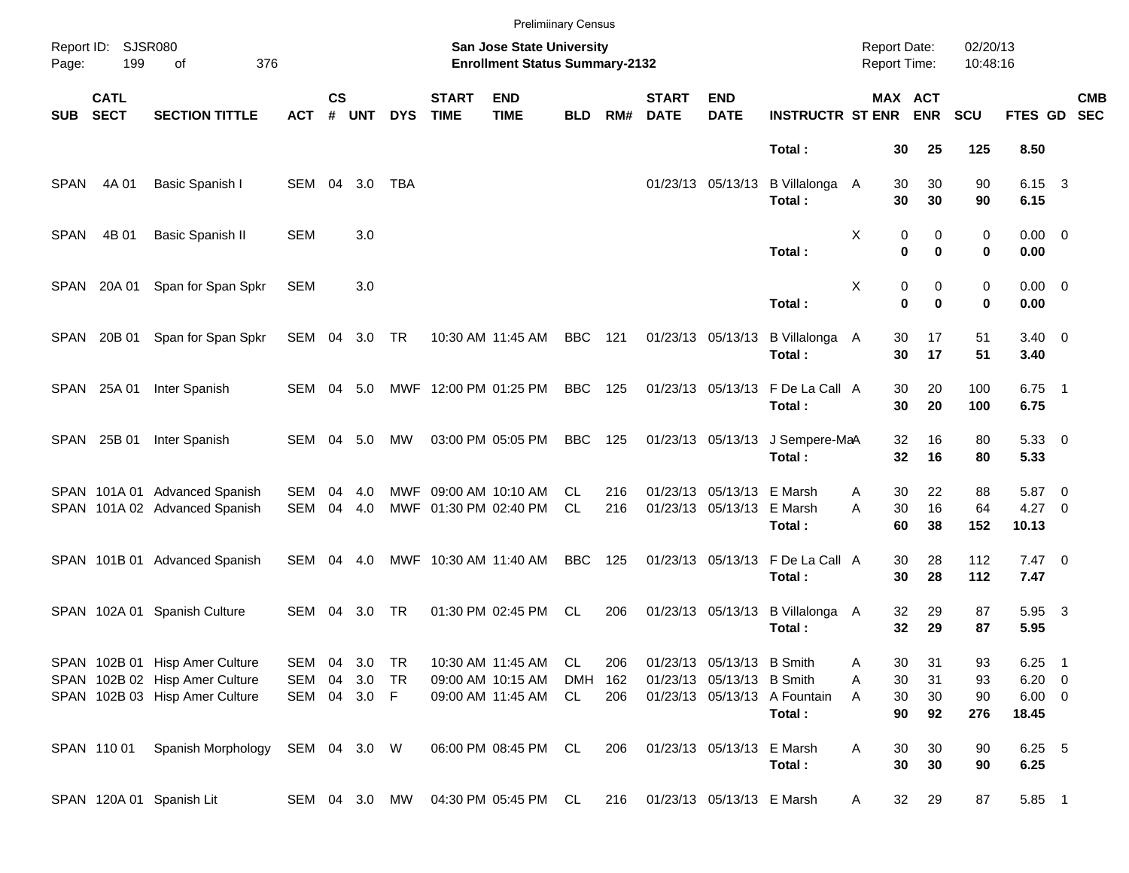|             |                            |                                                                                                    |                                   |               |               |            |                             | <b>Prelimiinary Census</b>                                                |                               |                   |                             |                                                        |                                            |                                     |                                              |                       |                                             |                            |            |
|-------------|----------------------------|----------------------------------------------------------------------------------------------------|-----------------------------------|---------------|---------------|------------|-----------------------------|---------------------------------------------------------------------------|-------------------------------|-------------------|-----------------------------|--------------------------------------------------------|--------------------------------------------|-------------------------------------|----------------------------------------------|-----------------------|---------------------------------------------|----------------------------|------------|
| Page:       | Report ID: SJSR080<br>199  | 376<br>of                                                                                          |                                   |               |               |            |                             | <b>San Jose State University</b><br><b>Enrollment Status Summary-2132</b> |                               |                   |                             |                                                        |                                            | <b>Report Date:</b><br>Report Time: |                                              | 02/20/13<br>10:48:16  |                                             |                            |            |
| SUB         | <b>CATL</b><br><b>SECT</b> | <b>SECTION TITTLE</b>                                                                              | ACT                               | $\mathsf{cs}$ | # UNT         | <b>DYS</b> | <b>START</b><br><b>TIME</b> | <b>END</b><br><b>TIME</b>                                                 | <b>BLD</b>                    | RM#               | <b>START</b><br><b>DATE</b> | <b>END</b><br><b>DATE</b>                              | <b>INSTRUCTR ST ENR ENR</b>                |                                     | MAX ACT                                      | <b>SCU</b>            | FTES GD SEC                                 |                            | <b>CMB</b> |
|             |                            |                                                                                                    |                                   |               |               |            |                             |                                                                           |                               |                   |                             |                                                        | Total:                                     |                                     | 30<br>25                                     | 125                   | 8.50                                        |                            |            |
| <b>SPAN</b> | 4A 01                      | Basic Spanish I                                                                                    | SEM                               | 04            | 3.0           | <b>TBA</b> |                             |                                                                           |                               |                   |                             | 01/23/13 05/13/13                                      | B Villalonga<br>Total:                     | A                                   | 30<br>30<br>30<br>30                         | 90<br>90              | 6.15 3<br>6.15                              |                            |            |
| <b>SPAN</b> | 4B 01                      | <b>Basic Spanish II</b>                                                                            | <b>SEM</b>                        |               | 3.0           |            |                             |                                                                           |                               |                   |                             |                                                        | Total:                                     | Χ                                   | 0<br>0<br>$\bf{0}$<br>$\bf{0}$               | 0<br>0                | $0.00 \t 0$<br>0.00                         |                            |            |
|             | SPAN 20A 01                | Span for Span Spkr                                                                                 | <b>SEM</b>                        |               | 3.0           |            |                             |                                                                           |                               |                   |                             |                                                        | Total:                                     | Χ                                   | 0<br>0<br>$\bf{0}$<br>$\bf{0}$               | 0<br>0                | $0.00 \t 0$<br>0.00                         |                            |            |
|             | SPAN 20B 01                | Span for Span Spkr                                                                                 | SEM 04 3.0 TR                     |               |               |            |                             | 10:30 AM 11:45 AM                                                         | <b>BBC</b> 121                |                   |                             | 01/23/13 05/13/13                                      | B Villalonga<br>Total:                     | A                                   | 17<br>30<br>30<br>17                         | 51<br>51              | $3.40 \ 0$<br>3.40                          |                            |            |
|             | SPAN 25A 01                | Inter Spanish                                                                                      | SEM 04 5.0                        |               |               |            |                             | MWF 12:00 PM 01:25 PM                                                     | <b>BBC</b> 125                |                   |                             | 01/23/13 05/13/13                                      | F De La Call A<br>Total:                   |                                     | 30<br>20<br>30<br>20                         | 100<br>100            | $6.75$ 1<br>6.75                            |                            |            |
|             | SPAN 25B 01                | Inter Spanish                                                                                      | SEM 04 5.0                        |               |               | МW         |                             | 03:00 PM 05:05 PM                                                         | BBC                           | 125               |                             | 01/23/13 05/13/13                                      | J Sempere-MaA<br>Total:                    |                                     | 32<br>16<br>32<br>16                         | 80<br>80              | 5.3300<br>5.33                              |                            |            |
|             |                            | SPAN 101A 01 Advanced Spanish<br>SPAN 101A 02 Advanced Spanish                                     | SEM<br>SEM                        | 04            | 4.0<br>04 4.0 |            |                             | MWF 09:00 AM 10:10 AM<br>MWF 01:30 PM 02:40 PM                            | CL.<br>CL.                    | 216<br>216        |                             | 01/23/13 05/13/13 E Marsh<br>01/23/13 05/13/13 E Marsh | Total:                                     | Α<br>A                              | 22<br>30<br>30<br>16<br>60<br>38             | 88<br>64<br>152       | 5.87 0<br>$4.27 \t 0$<br>10.13              |                            |            |
|             |                            | SPAN 101B 01 Advanced Spanish                                                                      | SEM 04 4.0                        |               |               |            |                             | MWF 10:30 AM 11:40 AM                                                     | <b>BBC</b>                    | 125               |                             |                                                        | 01/23/13 05/13/13 F De La Call A<br>Total: |                                     | 30<br>28<br>28<br>30                         | 112<br>112            | $7.47\ 0$<br>7.47                           |                            |            |
|             |                            | SPAN 102A 01 Spanish Culture                                                                       | SEM 04 3.0                        |               |               | TR         |                             | 01:30 PM 02:45 PM                                                         | CL                            | 206               |                             | 01/23/13 05/13/13                                      | B Villalonga A<br>Total:                   |                                     | 29<br>32<br>32<br>29                         | 87<br>87              | 5.95 3<br>5.95                              |                            |            |
|             |                            | SPAN 102B 01 Hisp Amer Culture<br>SPAN 102B 02 Hisp Amer Culture<br>SPAN 102B 03 Hisp Amer Culture | SEM 04 3.0<br>SEM<br>SEM 04 3.0 F | 04            | 3.0           | TR<br>TR   |                             | 10:30 AM 11:45 AM<br>09:00 AM 10:15 AM<br>09:00 AM 11:45 AM               | <b>CL</b><br><b>DMH</b><br>CL | 206<br>162<br>206 |                             | 01/23/13 05/13/13 B Smith<br>01/23/13 05/13/13 B Smith | 01/23/13 05/13/13 A Fountain<br>Total:     | Α<br>Α<br>Α                         | 30<br>31<br>30<br>31<br>30<br>30<br>90<br>92 | 93<br>93<br>90<br>276 | 6.25<br>$6.20 \t 0$<br>$6.00 \t 0$<br>18.45 | $\overline{\phantom{0}}$ 1 |            |
|             | SPAN 11001                 | Spanish Morphology                                                                                 | SEM 04 3.0 W                      |               |               |            |                             | 06:00 PM 08:45 PM                                                         | CL                            | 206               |                             | 01/23/13 05/13/13 E Marsh                              | Total:                                     | A                                   | 30<br>30<br>30<br>30                         | 90<br>90              | 6.25 5<br>6.25                              |                            |            |
|             |                            | SPAN 120A 01 Spanish Lit                                                                           | SEM 04 3.0 MW                     |               |               |            |                             | 04:30 PM 05:45 PM                                                         | CL                            | 216               |                             | 01/23/13 05/13/13 E Marsh                              |                                            | A                                   | 29<br>32                                     | 87                    | 5.85 1                                      |                            |            |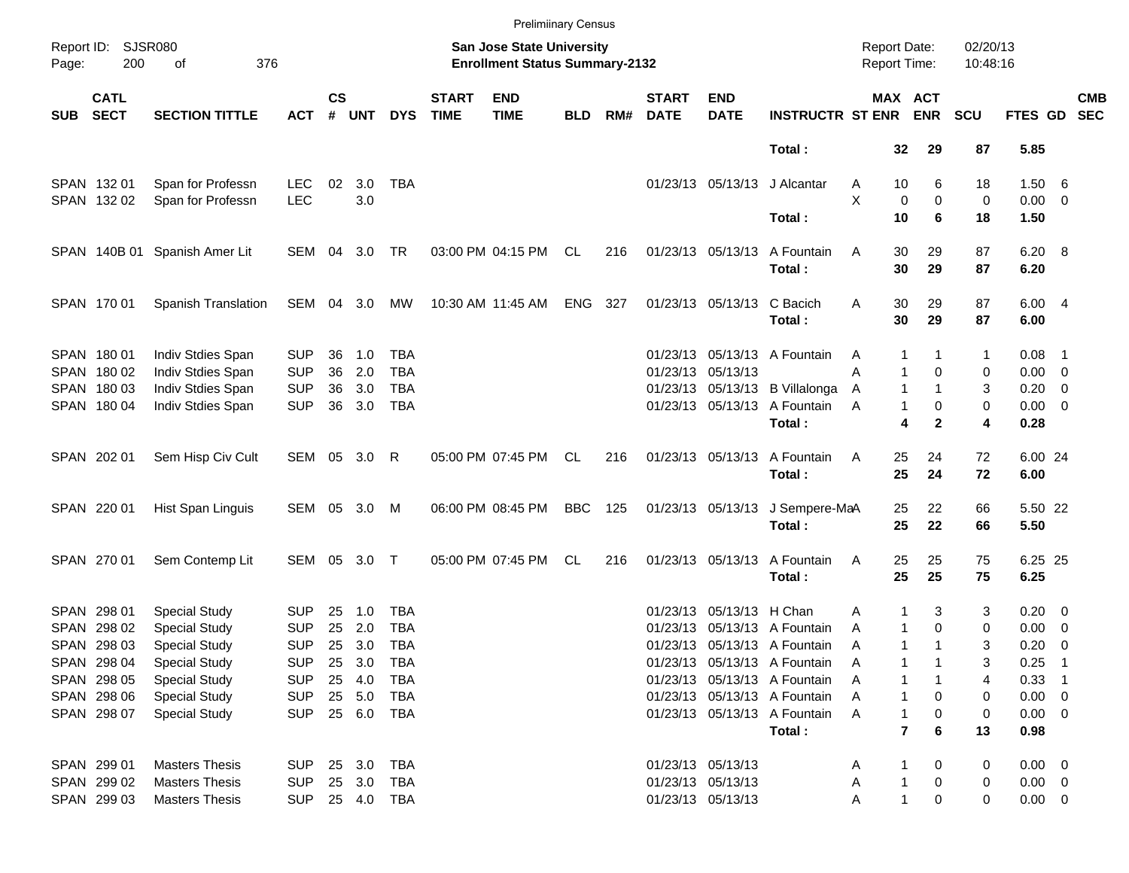|            |                            |                               |              |               |            |              |                             | <b>Prelimiinary Census</b>                                                |            |     |                             |                            |                                        |                                     |                     |                       |                      |                     |                            |                          |
|------------|----------------------------|-------------------------------|--------------|---------------|------------|--------------|-----------------------------|---------------------------------------------------------------------------|------------|-----|-----------------------------|----------------------------|----------------------------------------|-------------------------------------|---------------------|-----------------------|----------------------|---------------------|----------------------------|--------------------------|
| Page:      | Report ID: SJSR080<br>200  | 376<br>of                     |              |               |            |              |                             | <b>San Jose State University</b><br><b>Enrollment Status Summary-2132</b> |            |     |                             |                            |                                        | <b>Report Date:</b><br>Report Time: |                     |                       | 02/20/13<br>10:48:16 |                     |                            |                          |
| <b>SUB</b> | <b>CATL</b><br><b>SECT</b> | <b>SECTION TITTLE</b>         | <b>ACT</b>   | $\mathsf{cs}$ | # UNT      | <b>DYS</b>   | <b>START</b><br><b>TIME</b> | <b>END</b><br><b>TIME</b>                                                 | <b>BLD</b> | RM# | <b>START</b><br><b>DATE</b> | <b>END</b><br><b>DATE</b>  | <b>INSTRUCTR ST ENR</b>                |                                     |                     | MAX ACT<br><b>ENR</b> | <b>SCU</b>           | <b>FTES GD</b>      |                            | <b>CMB</b><br><b>SEC</b> |
|            |                            |                               |              |               |            |              |                             |                                                                           |            |     |                             |                            | Total:                                 |                                     | 32                  | 29                    | 87                   | 5.85                |                            |                          |
|            | SPAN 132 01                | Span for Professn             | <b>LEC</b>   | 02            | 3.0        | <b>TBA</b>   |                             |                                                                           |            |     |                             | 01/23/13 05/13/13          | J Alcantar                             | A                                   | 10                  | 6                     | 18                   | 1.50 6              |                            |                          |
|            | SPAN 132 02                | Span for Professn             | <b>LEC</b>   |               | 3.0        |              |                             |                                                                           |            |     |                             |                            |                                        | X                                   | 0                   | $\mathbf 0$           | 0                    | $0.00 \t 0$         |                            |                          |
|            |                            |                               |              |               |            |              |                             |                                                                           |            |     |                             |                            | Total:                                 |                                     | 10                  | 6                     | 18                   | 1.50                |                            |                          |
|            |                            | SPAN 140B 01 Spanish Amer Lit | SEM 04 3.0   |               |            | TR           |                             | 03:00 PM 04:15 PM                                                         | CL         | 216 |                             | 01/23/13 05/13/13          | A Fountain                             | Α                                   | 30                  | 29                    | 87                   | 6.20 8              |                            |                          |
|            |                            |                               |              |               |            |              |                             |                                                                           |            |     |                             |                            | Total:                                 |                                     | 30                  | 29                    | 87                   | 6.20                |                            |                          |
|            | SPAN 170 01                | Spanish Translation           | SEM 04 3.0   |               |            | MW           |                             | 10:30 AM 11:45 AM                                                         | ENG 327    |     |                             | 01/23/13 05/13/13 C Bacich |                                        | Α                                   | 30                  | 29                    | 87                   | 6.004               |                            |                          |
|            |                            |                               |              |               |            |              |                             |                                                                           |            |     |                             |                            | Total:                                 |                                     | 30                  | 29                    | 87                   | 6.00                |                            |                          |
|            | SPAN 180 01                | Indiv Stdies Span             | <b>SUP</b>   | 36            | 1.0        | TBA          |                             |                                                                           |            |     |                             |                            | 01/23/13 05/13/13 A Fountain           | A                                   | 1                   |                       | 1                    | $0.08$ 1            |                            |                          |
|            | SPAN 180 02                | Indiv Stdies Span             | <b>SUP</b>   | 36            | 2.0        | <b>TBA</b>   |                             |                                                                           |            |     |                             | 01/23/13 05/13/13          |                                        | Α                                   | 1                   | 0                     | 0                    | $0.00 \t 0$         |                            |                          |
|            | SPAN 180 03                | Indiv Stdies Span             | <b>SUP</b>   | 36            | 3.0        | <b>TBA</b>   |                             |                                                                           |            |     |                             |                            | 01/23/13 05/13/13 B Villalonga         | A                                   | $\mathbf{1}$        | $\mathbf{1}$          | 3                    | $0.20 \ 0$          |                            |                          |
|            | SPAN 180 04                | Indiv Stdies Span             | <b>SUP</b>   |               | 36 3.0     | <b>TBA</b>   |                             |                                                                           |            |     |                             |                            | 01/23/13 05/13/13 A Fountain           | A                                   | $\mathbf{1}$        | 0                     | 0                    | $0.00 \t 0$         |                            |                          |
|            |                            |                               |              |               |            |              |                             |                                                                           |            |     |                             |                            | Total:                                 |                                     | 4                   | $\mathbf{2}$          | 4                    | 0.28                |                            |                          |
|            | SPAN 202 01                | Sem Hisp Civ Cult             | SEM 05 3.0   |               |            | R            |                             | 05:00 PM 07:45 PM                                                         | CL         | 216 |                             | 01/23/13 05/13/13          | A Fountain                             | Α                                   | 25                  | 24                    | 72                   | 6.00 24             |                            |                          |
|            |                            |                               |              |               |            |              |                             |                                                                           |            |     |                             |                            | Total:                                 |                                     | 25                  | 24                    | 72                   | 6.00                |                            |                          |
|            | SPAN 220 01                | Hist Span Linguis             | SEM 05 3.0   |               |            | M            |                             | 06:00 PM 08:45 PM                                                         | <b>BBC</b> | 125 |                             | 01/23/13 05/13/13          | J Sempere-MaA                          |                                     | 25                  | 22                    | 66                   | 5.50 22             |                            |                          |
|            |                            |                               |              |               |            |              |                             |                                                                           |            |     |                             |                            | Total:                                 |                                     | 25                  | 22                    | 66                   | 5.50                |                            |                          |
|            | SPAN 270 01                | Sem Contemp Lit               | SEM 05 3.0 T |               |            |              |                             | 05:00 PM 07:45 PM                                                         | CL.        | 216 |                             | 01/23/13 05/13/13          | A Fountain                             | Α                                   | 25                  | 25                    | 75                   | 6.25 25             |                            |                          |
|            |                            |                               |              |               |            |              |                             |                                                                           |            |     |                             |                            | Total:                                 |                                     | 25                  | 25                    | 75                   | 6.25                |                            |                          |
|            | SPAN 298 01                | <b>Special Study</b>          | <b>SUP</b>   | 25            | 1.0        | <b>TBA</b>   |                             |                                                                           |            |     |                             | 01/23/13 05/13/13 H Chan   |                                        | Α                                   | 1                   | 3                     | 3                    | $0.20 \ 0$          |                            |                          |
|            | SPAN 298 02                | <b>Special Study</b>          | <b>SUP</b>   | 25            | 2.0        | <b>TBA</b>   |                             |                                                                           |            |     |                             |                            | 01/23/13 05/13/13 A Fountain           | A                                   | $\mathbf{1}$        | $\mathbf 0$           | 0                    | $0.00 \t 0$         |                            |                          |
|            | SPAN 298 03                | <b>Special Study</b>          | <b>SUP</b>   |               | 25 3.0     | TBA          |                             |                                                                           |            |     |                             |                            | 01/23/13 05/13/13 A Fountain           | Α                                   | 1                   | 1                     | 3                    | 0.20                | $\overline{\phantom{0}}$   |                          |
|            | SPAN 298 04                | <b>Special Study</b>          | <b>SUP</b>   |               | 25 3.0     | TBA          |                             |                                                                           |            |     |                             |                            | 01/23/13 05/13/13 A Fountain           | A                                   |                     |                       | 3                    | 0.25                | $\overline{\phantom{0}}$ 1 |                          |
|            | SPAN 298 05                | <b>Special Study</b>          | <b>SUP</b>   |               | 25 4.0     | TBA          |                             |                                                                           |            |     |                             |                            | 01/23/13 05/13/13 A Fountain           | Α                                   |                     |                       | 4                    | $0.33$ 1            |                            |                          |
|            | SPAN 298 06                | <b>Special Study</b>          | <b>SUP</b>   |               | 25 5.0     | TBA          |                             |                                                                           |            |     |                             |                            | 01/23/13 05/13/13 A Fountain           | Α                                   | 1                   | 0                     | 0                    | $0.00 \t 0$         |                            |                          |
|            | SPAN 298 07                | <b>Special Study</b>          | <b>SUP</b>   |               | 25 6.0 TBA |              |                             |                                                                           |            |     |                             |                            | 01/23/13 05/13/13 A Fountain<br>Total: | A                                   | 1<br>$\overline{7}$ | 0<br>6                | 0<br>13              | $0.00 \t 0$<br>0.98 |                            |                          |
|            |                            |                               |              |               |            |              |                             |                                                                           |            |     |                             |                            |                                        |                                     |                     |                       |                      |                     |                            |                          |
|            | SPAN 299 01                | <b>Masters Thesis</b>         | <b>SUP</b>   |               | 25 3.0     | TBA          |                             |                                                                           |            |     |                             | 01/23/13 05/13/13          |                                        | Α                                   |                     | 0                     | 0                    | $0.00 \t 0$         |                            |                          |
|            | SPAN 299 02                | <b>Masters Thesis</b>         | <b>SUP</b>   |               | 25 3.0     | TBA          |                             |                                                                           |            |     |                             | 01/23/13 05/13/13          |                                        | Α                                   | 1                   | 0                     | 0                    | $0.00 \t 0$         |                            |                          |
|            | SPAN 299 03                | <b>Masters Thesis</b>         | <b>SUP</b>   |               |            | 25  4.0  TBA |                             |                                                                           |            |     |                             | 01/23/13 05/13/13          |                                        | Α                                   | 1                   | 0                     | 0                    | $0.00 \t 0$         |                            |                          |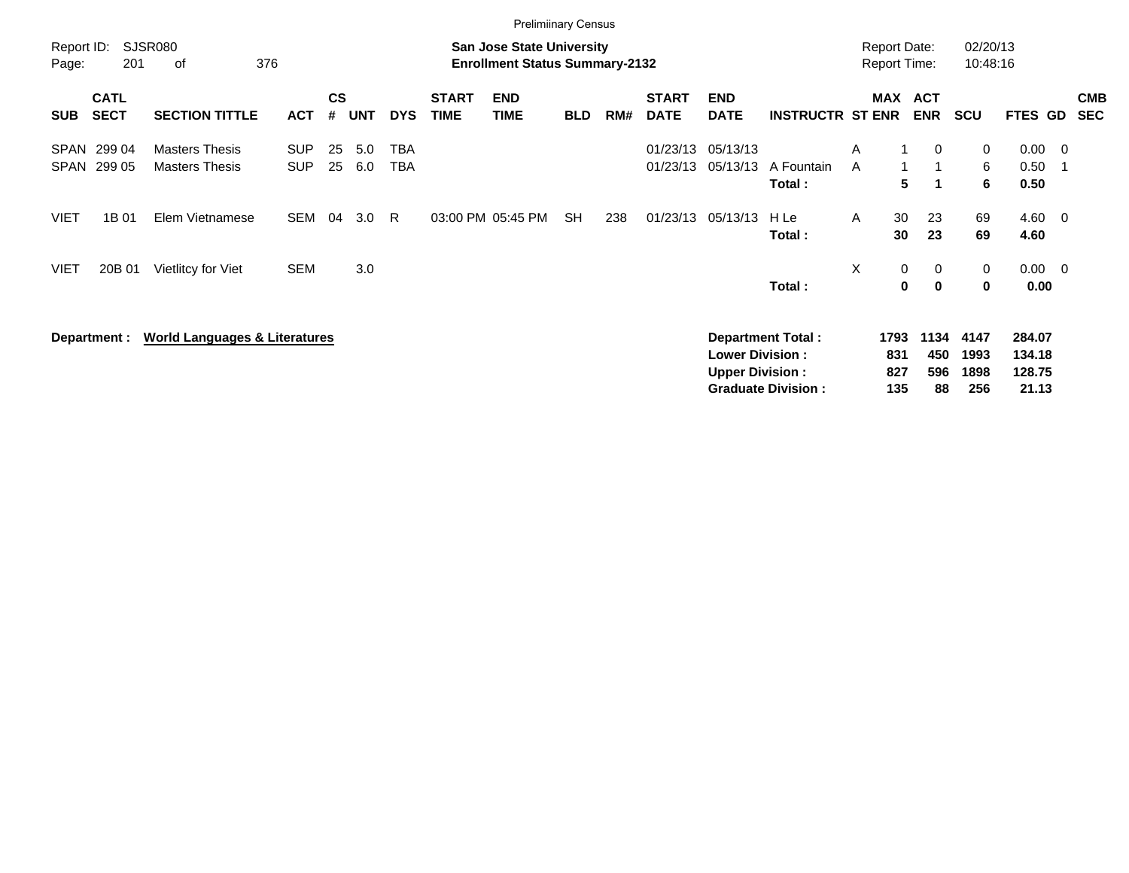|                     |                            |                                                |                          |                    |            |            |                             | <b>Prelimiinary Census</b>                                                |            |     |                             |                                                  |                                                       |                                            |                   |                          |                             |                                     |                                 |                          |
|---------------------|----------------------------|------------------------------------------------|--------------------------|--------------------|------------|------------|-----------------------------|---------------------------------------------------------------------------|------------|-----|-----------------------------|--------------------------------------------------|-------------------------------------------------------|--------------------------------------------|-------------------|--------------------------|-----------------------------|-------------------------------------|---------------------------------|--------------------------|
| Report ID:<br>Page: | 201                        | <b>SJSR080</b><br>376<br>оf                    |                          |                    |            |            |                             | <b>San Jose State University</b><br><b>Enrollment Status Summary-2132</b> |            |     |                             |                                                  |                                                       | <b>Report Date:</b><br><b>Report Time:</b> |                   |                          | 02/20/13<br>10:48:16        |                                     |                                 |                          |
| <b>SUB</b>          | <b>CATL</b><br><b>SECT</b> | <b>SECTION TITTLE</b>                          | <b>ACT</b>               | $\mathsf{cs}$<br># | <b>UNT</b> | <b>DYS</b> | <b>START</b><br><b>TIME</b> | <b>END</b><br><b>TIME</b>                                                 | <b>BLD</b> | RM# | <b>START</b><br><b>DATE</b> | <b>END</b><br><b>DATE</b>                        | <b>INSTRUCTR ST ENR</b>                               |                                            |                   | MAX ACT<br><b>ENR</b>    | <b>SCU</b>                  | <b>FTES GD</b>                      |                                 | <b>CMB</b><br><b>SEC</b> |
| SPAN<br><b>SPAN</b> | 299 04<br>299 05           | <b>Masters Thesis</b><br><b>Masters Thesis</b> | <b>SUP</b><br><b>SUP</b> | 25<br>25           | 5.0<br>6.0 | TBA<br>TBA |                             |                                                                           |            |     | 01/23/13<br>01/23/13        | 05/13/13<br>05/13/13                             | A Fountain<br>Total:                                  | A<br>A                                     | 5                 | $\mathbf{0}$<br>-1       | 0<br>6<br>6                 | 0.00<br>0.50<br>0.50                | $\overline{\phantom{0}}$<br>- 1 |                          |
| <b>VIET</b>         | 1B 01                      | Elem Vietnamese                                | <b>SEM</b>               | 04                 | 3.0        | R.         |                             | 03:00 PM 05:45 PM                                                         | <b>SH</b>  | 238 | 01/23/13                    | 05/13/13                                         | H Le<br>Total:                                        | $\mathsf{A}$                               | 30<br>30          | 23<br>23                 | 69<br>69                    | 4.60 0<br>4.60                      |                                 |                          |
| <b>VIET</b>         | 20B 01                     | Vietlitcy for Viet                             | <b>SEM</b>               |                    | 3.0        |            |                             |                                                                           |            |     |                             |                                                  | Total:                                                | X                                          | 0<br>0            | 0<br>$\mathbf 0$         | 0<br>0                      | $0.00 \t 0$<br>0.00                 |                                 |                          |
|                     | Department :               | <b>World Languages &amp; Literatures</b>       |                          |                    |            |            |                             |                                                                           |            |     |                             | <b>Lower Division:</b><br><b>Upper Division:</b> | <b>Department Total:</b><br><b>Graduate Division:</b> | 1793                                       | 831<br>827<br>135 | 1134<br>450<br>596<br>88 | 4147<br>1993<br>1898<br>256 | 284.07<br>134.18<br>128.75<br>21.13 |                                 |                          |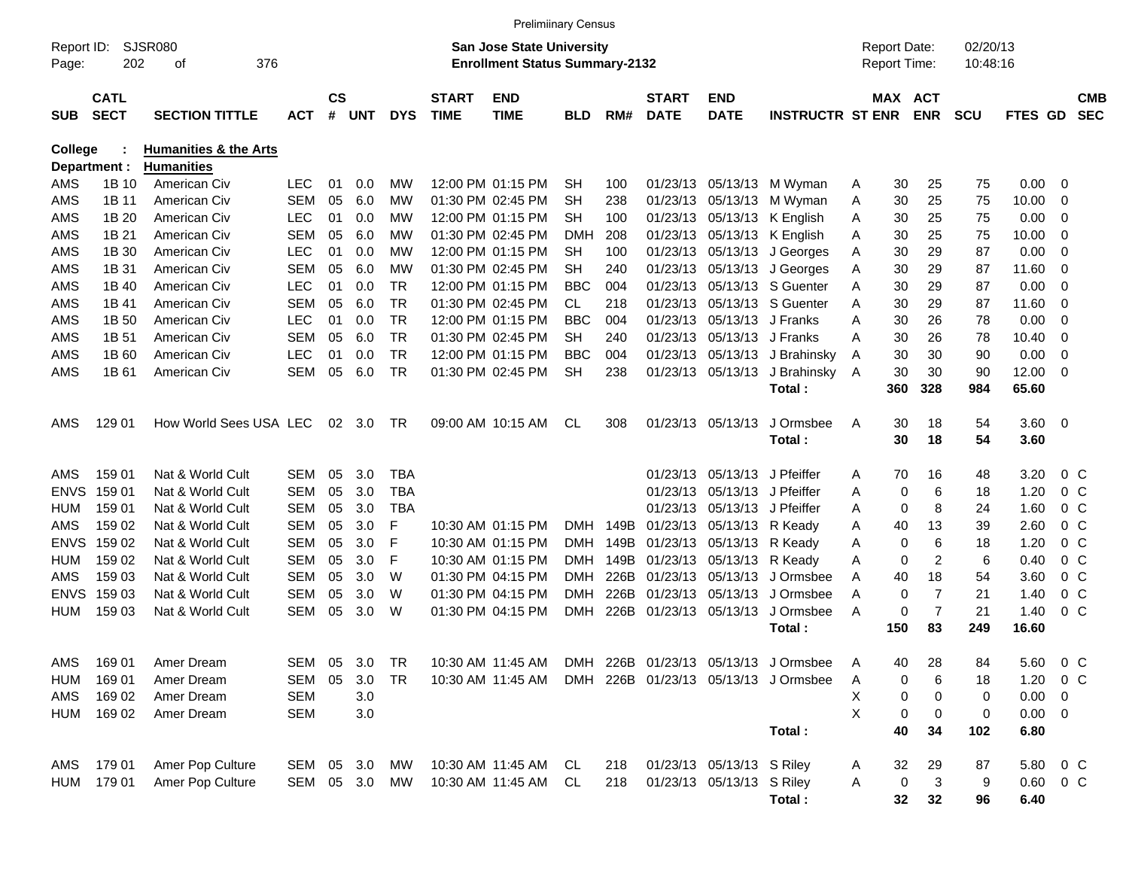|                     |                            |                                  |            |                |            |            |                             | <b>Prelimiinary Census</b>                                                |            |      |                             |                            |                         |                                            |         |                |                      |         |                          |                          |
|---------------------|----------------------------|----------------------------------|------------|----------------|------------|------------|-----------------------------|---------------------------------------------------------------------------|------------|------|-----------------------------|----------------------------|-------------------------|--------------------------------------------|---------|----------------|----------------------|---------|--------------------------|--------------------------|
| Report ID:<br>Page: | 202                        | SJSR080<br>376<br>οf             |            |                |            |            |                             | <b>San Jose State University</b><br><b>Enrollment Status Summary-2132</b> |            |      |                             |                            |                         | <b>Report Date:</b><br><b>Report Time:</b> |         |                | 02/20/13<br>10:48:16 |         |                          |                          |
| <b>SUB</b>          | <b>CATL</b><br><b>SECT</b> | <b>SECTION TITTLE</b>            | <b>ACT</b> | <b>CS</b><br># | <b>UNT</b> | <b>DYS</b> | <b>START</b><br><b>TIME</b> | <b>END</b><br><b>TIME</b>                                                 | BLD        | RM#  | <b>START</b><br><b>DATE</b> | <b>END</b><br><b>DATE</b>  | <b>INSTRUCTR ST ENR</b> |                                            | MAX ACT | <b>ENR</b>     | <b>SCU</b>           | FTES GD |                          | <b>CMB</b><br><b>SEC</b> |
| College             |                            | <b>Humanities &amp; the Arts</b> |            |                |            |            |                             |                                                                           |            |      |                             |                            |                         |                                            |         |                |                      |         |                          |                          |
|                     | Department :               | <b>Humanities</b>                |            |                |            |            |                             |                                                                           |            |      |                             |                            |                         |                                            |         |                |                      |         |                          |                          |
| AMS                 | 1B 10                      | American Civ                     | <b>LEC</b> | 01             | 0.0        | MW         |                             | 12:00 PM 01:15 PM                                                         | <b>SH</b>  | 100  |                             | 01/23/13 05/13/13          | M Wyman                 | Α                                          | 30      | 25             | 75                   | 0.00    | 0                        |                          |
| AMS                 | 1B 11                      | American Civ                     | <b>SEM</b> | 05             | 6.0        | МW         |                             | 01:30 PM 02:45 PM                                                         | <b>SH</b>  | 238  | 01/23/13                    | 05/13/13                   | M Wyman                 | Α                                          | 30      | 25             | 75                   | 10.00   | 0                        |                          |
| AMS                 | 1B 20                      | American Civ                     | <b>LEC</b> | 01             | 0.0        | МW         |                             | 12:00 PM 01:15 PM                                                         | <b>SH</b>  | 100  |                             | 01/23/13 05/13/13          | K English               | Α                                          | 30      | 25             | 75                   | 0.00    | 0                        |                          |
| AMS                 | 1B 21                      | American Civ                     | <b>SEM</b> | 05             | 6.0        | МW         |                             | 01:30 PM 02:45 PM                                                         | DMH        | 208  |                             | 01/23/13 05/13/13          | K English               | Α                                          | 30      | 25             | 75                   | 10.00   | 0                        |                          |
| AMS                 | 1B 30                      | American Civ                     | <b>LEC</b> | 01             | 0.0        | МW         |                             | 12:00 PM 01:15 PM                                                         | SН         | 100  |                             | 01/23/13 05/13/13          | J Georges               | A                                          | 30      | 29             | 87                   | 0.00    | 0                        |                          |
| AMS                 | 1B 31                      | American Civ                     | <b>SEM</b> | 05             | 6.0        | МW         |                             | 01:30 PM 02:45 PM                                                         | <b>SH</b>  | 240  |                             | 01/23/13 05/13/13          | J Georges               | Α                                          | 30      | 29             | 87                   | 11.60   | 0                        |                          |
| AMS                 | 1B 40                      | American Civ                     | <b>LEC</b> | 01             | 0.0        | TR         |                             | 12:00 PM 01:15 PM                                                         | <b>BBC</b> | 004  | 01/23/13                    | 05/13/13                   | S Guenter               | Α                                          | 30      | 29             | 87                   | 0.00    | 0                        |                          |
| AMS                 | 1B 41                      | American Civ                     | <b>SEM</b> | 05             | 6.0        | <b>TR</b>  |                             | 01:30 PM 02:45 PM                                                         | <b>CL</b>  | 218  | 01/23/13                    | 05/13/13                   | S Guenter               | Α                                          | 30      | 29             | 87                   | 11.60   | 0                        |                          |
| AMS                 | 1B 50                      | American Civ                     | <b>LEC</b> | 01             | 0.0        | <b>TR</b>  |                             | 12:00 PM 01:15 PM                                                         | <b>BBC</b> | 004  | 01/23/13                    | 05/13/13                   | J Franks                | Α                                          | 30      | 26             | 78                   | 0.00    | 0                        |                          |
| AMS                 | 1B 51                      | American Civ                     | <b>SEM</b> | 05             | 6.0        | <b>TR</b>  |                             | 01:30 PM 02:45 PM                                                         | <b>SH</b>  | 240  | 01/23/13                    | 05/13/13                   | J Franks                | Α                                          | 30      | 26             | 78                   | 10.40   | 0                        |                          |
| AMS                 | 1B 60                      | American Civ                     | <b>LEC</b> | 01             | 0.0        | <b>TR</b>  |                             | 12:00 PM 01:15 PM                                                         | <b>BBC</b> | 004  | 01/23/13                    | 05/13/13                   | J Brahinsky             | A                                          | 30      | 30             | 90                   | 0.00    | 0                        |                          |
| AMS                 | 1B 61                      | American Civ                     | <b>SEM</b> | 05             | 6.0        | <b>TR</b>  |                             | 01:30 PM 02:45 PM                                                         | <b>SH</b>  | 238  |                             | 01/23/13 05/13/13          | J Brahinsky             | $\overline{A}$                             | 30      | 30             | 90                   | 12.00   | 0                        |                          |
|                     |                            |                                  |            |                |            |            |                             |                                                                           |            |      |                             |                            | Total:                  |                                            | 360     | 328            | 984                  | 65.60   |                          |                          |
|                     |                            |                                  |            |                |            |            |                             | 09:00 AM 10:15 AM                                                         |            |      |                             |                            |                         |                                            |         |                |                      |         |                          |                          |
| AMS                 | 129 01                     | How World Sees USA LEC           |            | 02             | 3.0        | <b>TR</b>  |                             |                                                                           | CL         | 308  |                             | 01/23/13 05/13/13          | J Ormsbee               | A                                          | 30      | 18             | 54                   | 3.60    | - 0                      |                          |
|                     |                            |                                  |            |                |            |            |                             |                                                                           |            |      |                             |                            | Total:                  |                                            | 30      | 18             | 54                   | 3.60    |                          |                          |
| AMS                 | 159 01                     | Nat & World Cult                 | <b>SEM</b> | 05             | 3.0        | <b>TBA</b> |                             |                                                                           |            |      |                             | 01/23/13 05/13/13          | J Pfeiffer              | Α                                          | 70      | 16             | 48                   | 3.20    | $0\,$ C                  |                          |
| <b>ENVS</b>         | 159 01                     | Nat & World Cult                 | <b>SEM</b> | 05             | 3.0        | <b>TBA</b> |                             |                                                                           |            |      | 01/23/13                    | 05/13/13                   | J Pfeiffer              | Α                                          | 0       | 6              | 18                   | 1.20    | 0 <sup>o</sup>           |                          |
| <b>HUM</b>          | 159 01                     | Nat & World Cult                 | <b>SEM</b> | 05             | 3.0        | <b>TBA</b> |                             |                                                                           |            |      | 01/23/13                    | 05/13/13                   | J Pfeiffer              | A                                          | 0       | 8              | 24                   | 1.60    | 0 <sup>o</sup>           |                          |
| AMS                 | 159 02                     | Nat & World Cult                 | <b>SEM</b> | 05             | 3.0        | F          |                             | 10:30 AM 01:15 PM                                                         | DMH        | 149B | 01/23/13                    | 05/13/13                   | R Keady                 | Α                                          | 40      | 13             | 39                   | 2.60    | 0 <sup>o</sup>           |                          |
| <b>ENVS</b>         | 159 02                     | Nat & World Cult                 | <b>SEM</b> | 05             | 3.0        | F          |                             | 10:30 AM 01:15 PM                                                         | <b>DMH</b> | 149B | 01/23/13                    | 05/13/13                   | R Keady                 | Α                                          | 0       | 6              | 18                   | 1.20    | 0 <sup>o</sup>           |                          |
| <b>HUM</b>          | 159 02                     | Nat & World Cult                 | <b>SEM</b> | 05             | 3.0        | F          |                             | 10:30 AM 01:15 PM                                                         | DMH        | 149B | 01/23/13                    | 05/13/13                   | R Keady                 | Α                                          | 0       | $\overline{2}$ | 6                    | 0.40    | 0 <sup>o</sup>           |                          |
| AMS                 | 159 03                     | Nat & World Cult                 | <b>SEM</b> | 05             | 3.0        | W          |                             | 01:30 PM 04:15 PM                                                         | DMH        | 226B | 01/23/13                    | 05/13/13                   | J Ormsbee               | A                                          | 40      | 18             | 54                   | 3.60    | 0 <sup>o</sup>           |                          |
| <b>ENVS</b>         | 159 03                     | Nat & World Cult                 | <b>SEM</b> | 05             | 3.0        | W          |                             | 01:30 PM 04:15 PM                                                         | <b>DMH</b> | 226B | 01/23/13                    | 05/13/13                   | J Ormsbee               | A                                          | 0       | $\overline{7}$ | 21                   | 1.40    | $0\,$ C                  |                          |
| <b>HUM</b>          | 159 03                     | Nat & World Cult                 | <b>SEM</b> | 05             | 3.0        | W          |                             | 01:30 PM 04:15 PM                                                         | DMH        | 226B | 01/23/13 05/13/13           |                            | J Ormsbee               | A                                          | 0       | $\overline{7}$ | 21                   | 1.40    | 0 <sup>o</sup>           |                          |
|                     |                            |                                  |            |                |            |            |                             |                                                                           |            |      |                             |                            | Total:                  |                                            | 150     | 83             | 249                  | 16.60   |                          |                          |
|                     |                            |                                  |            |                |            |            |                             |                                                                           |            |      |                             |                            |                         |                                            |         |                |                      |         |                          |                          |
| AMS                 | 169 01                     | Amer Dream                       | SEM        | 05             | 3.0        | <b>TR</b>  |                             | 10:30 AM 11:45 AM                                                         |            |      |                             | DMH 226B 01/23/13 05/13/13 | J Ormsbee               | Α                                          | 40      | 28             | 84                   | 5.60    | 0 <sup>o</sup>           |                          |
| HUM                 | 169 01                     | Amer Dream                       | <b>SEM</b> | 05             | 3.0        | <b>TR</b>  |                             | 10:30 AM 11:45 AM                                                         | DMH        |      |                             | 226B 01/23/13 05/13/13     | J Ormsbee               | A                                          | 0       | 6              | 18                   | 1.20    | 0 <sup>o</sup>           |                          |
| AMS                 | 169 02                     | Amer Dream                       | <b>SEM</b> |                | 3.0        |            |                             |                                                                           |            |      |                             |                            |                         | Х                                          | 0       | 0              | 0                    | 0.00    | 0                        |                          |
| HUM                 | 169 02                     | Amer Dream                       | <b>SEM</b> |                | 3.0        |            |                             |                                                                           |            |      |                             |                            |                         | X                                          | 0       | 0              | 0                    | 0.00    | $\overline{\phantom{0}}$ |                          |
|                     |                            |                                  |            |                |            |            |                             |                                                                           |            |      |                             |                            | Total:                  |                                            | 40      | 34             | 102                  | 6.80    |                          |                          |
|                     |                            |                                  |            |                |            |            |                             |                                                                           |            |      |                             |                            |                         |                                            |         |                |                      |         |                          |                          |
| AMS                 | 179 01                     | Amer Pop Culture                 | SEM        |                | 05 3.0     | МW         |                             | 10:30 AM 11:45 AM                                                         | CL.        | 218  |                             | 01/23/13 05/13/13 S Riley  |                         | A                                          | 32      | 29             | 87                   | 5.80    | $0\,$ C                  |                          |
| HUM                 | 179 01                     | Amer Pop Culture                 | SEM 05 3.0 |                |            | MW.        |                             | 10:30 AM 11:45 AM                                                         | CL.        | 218  |                             | 01/23/13 05/13/13 S Riley  |                         | A                                          | 0       | 3              | 9                    | 0.60    | $0\,$ C                  |                          |
|                     |                            |                                  |            |                |            |            |                             |                                                                           |            |      |                             |                            | Total:                  |                                            | 32      | 32             | 96                   | 6.40    |                          |                          |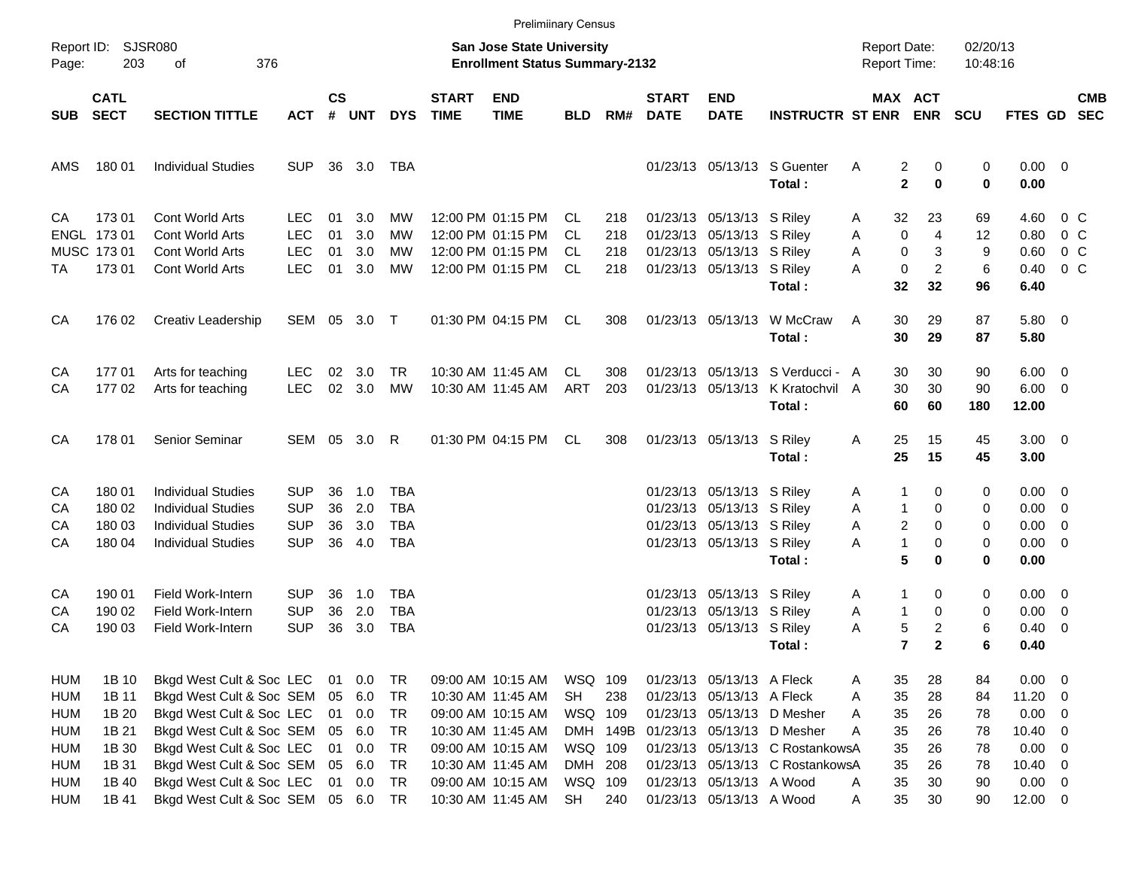|            |                                        |                           |              |                    |            |            |                             | <b>Prelimiinary Census</b>                                         |                  |          |                             |                           |                                       |                                            |                      |                      |                         |                          |                          |
|------------|----------------------------------------|---------------------------|--------------|--------------------|------------|------------|-----------------------------|--------------------------------------------------------------------|------------------|----------|-----------------------------|---------------------------|---------------------------------------|--------------------------------------------|----------------------|----------------------|-------------------------|--------------------------|--------------------------|
| Page:      | Report ID: SJSR080<br>203<br>376<br>οf |                           |              |                    |            |            |                             | San Jose State University<br><b>Enrollment Status Summary-2132</b> |                  |          |                             |                           |                                       | <b>Report Date:</b><br><b>Report Time:</b> |                      | 02/20/13<br>10:48:16 |                         |                          |                          |
| <b>SUB</b> | <b>CATL</b><br><b>SECT</b>             | <b>SECTION TITTLE</b>     | <b>ACT</b>   | $\mathsf{cs}$<br># | <b>UNT</b> | <b>DYS</b> | <b>START</b><br><b>TIME</b> | <b>END</b><br><b>TIME</b>                                          | <b>BLD</b>       | RM#      | <b>START</b><br><b>DATE</b> | <b>END</b><br><b>DATE</b> | <b>INSTRUCTR ST ENR</b>               | <b>MAX ACT</b>                             | <b>ENR</b>           | <b>SCU</b>           | FTES GD                 |                          | <b>CMB</b><br><b>SEC</b> |
| AMS        | 180 01                                 | <b>Individual Studies</b> | <b>SUP</b>   |                    | 36 3.0     | TBA        |                             |                                                                    |                  |          |                             |                           | 01/23/13 05/13/13 S Guenter<br>Total: | Α<br>2<br>$\mathbf{2}$                     | 0<br>$\bf{0}$        | 0<br>0               | $0.00 \t 0$<br>0.00     |                          |                          |
| CA         | 173 01                                 | Cont World Arts           | <b>LEC</b>   | 01                 | 3.0        | MW         |                             | 12:00 PM 01:15 PM                                                  | CL               | 218      |                             | 01/23/13 05/13/13 S Riley |                                       | 32<br>Α                                    | 23                   | 69                   | 4.60                    | 0 C                      |                          |
|            | ENGL 173 01                            | Cont World Arts           | <b>LEC</b>   | 01                 | 3.0        | MW         |                             | 12:00 PM 01:15 PM                                                  | CL               | 218      |                             | 01/23/13 05/13/13 S Riley |                                       | $\mathbf 0$<br>Α                           | $\overline{4}$       | 12                   | 0.80                    | $0\,$ C                  |                          |
|            | MUSC 173 01                            | Cont World Arts           | <b>LEC</b>   | 01                 | 3.0        | MW         |                             | 12:00 PM 01:15 PM                                                  | CL.<br><b>CL</b> | 218      |                             | 01/23/13 05/13/13 S Riley |                                       | 0<br>Α<br>A                                | 3                    | 9                    | 0.60                    | 0 <sup>o</sup>           |                          |
| TA         | 17301                                  | Cont World Arts           | <b>LEC</b>   | 01                 | 3.0        | MW         |                             | 12:00 PM 01:15 PM                                                  |                  | 218      |                             | 01/23/13 05/13/13 S Riley | Total:                                | 0<br>32                                    | $\overline{c}$<br>32 | 6<br>96              | 0.40<br>6.40            | 0 <sup>o</sup>           |                          |
| CA         | 176 02                                 | Creativ Leadership        | SEM 05 3.0 T |                    |            |            |                             | 01:30 PM 04:15 PM                                                  | CL               | 308      |                             | 01/23/13 05/13/13         | W McCraw<br>Total:                    | A<br>30<br>30                              | 29<br>29             | 87<br>87             | 5.80 0<br>5.80          |                          |                          |
| CA         | 17701                                  | Arts for teaching         | <b>LEC</b>   | 02                 | 3.0        | TR.        |                             | 10:30 AM 11:45 AM                                                  | CL.              | 308      |                             |                           | 01/23/13 05/13/13 S Verducci - A      | 30                                         | 30                   | 90                   | $6.00 \quad 0$          |                          |                          |
| CA         | 17702                                  | Arts for teaching         | <b>LEC</b>   | 02                 | 3.0        | <b>MW</b>  |                             | 10:30 AM 11:45 AM                                                  | ART              | 203      |                             | 01/23/13 05/13/13         | K Kratochvil A<br>Total:              | 30<br>60                                   | 30<br>60             | 90<br>180            | $6.00 \quad 0$<br>12.00 |                          |                          |
| CA         | 178 01                                 | Senior Seminar            | SEM          |                    | 05 3.0     | R          |                             | 01:30 PM 04:15 PM                                                  | CL               | 308      |                             | 01/23/13 05/13/13 S Riley |                                       | Α<br>25                                    | 15                   | 45                   | $3.00 \ 0$              |                          |                          |
|            |                                        |                           |              |                    |            |            |                             |                                                                    |                  |          |                             |                           | Total:                                | 25                                         | 15                   | 45                   | 3.00                    |                          |                          |
| CA         | 180 01                                 | <b>Individual Studies</b> | <b>SUP</b>   | 36                 | 1.0        | TBA        |                             |                                                                    |                  |          |                             | 01/23/13 05/13/13 S Riley |                                       | 1<br>Α                                     | 0                    | 0                    | $0.00 \quad 0$          |                          |                          |
| CA         | 180 02                                 | <b>Individual Studies</b> | <b>SUP</b>   | 36                 | 2.0        | TBA        |                             |                                                                    |                  |          |                             | 01/23/13 05/13/13 S Riley |                                       | Α<br>$\mathbf{1}$                          | 0                    | 0                    | $0.00 \t 0$             |                          |                          |
| CA         | 180 03                                 | <b>Individual Studies</b> | <b>SUP</b>   | 36                 | 3.0        | <b>TBA</b> |                             |                                                                    |                  |          |                             | 01/23/13 05/13/13 S Riley |                                       | Α<br>2                                     | 0                    | 0                    | 0.00                    | $\overline{\phantom{0}}$ |                          |
| CA         | 180 04                                 | <b>Individual Studies</b> | <b>SUP</b>   | 36                 | 4.0        | TBA        |                             |                                                                    |                  |          |                             | 01/23/13 05/13/13 S Riley |                                       | $\mathbf{1}$<br>A                          | 0                    | 0                    | $0.00 \t 0$             |                          |                          |
|            |                                        |                           |              |                    |            |            |                             |                                                                    |                  |          |                             |                           | Total:                                | 5                                          | 0                    | 0                    | 0.00                    |                          |                          |
| CA         | 190 01                                 | Field Work-Intern         | <b>SUP</b>   | 36                 | 1.0        | TBA        |                             |                                                                    |                  |          |                             | 01/23/13 05/13/13 S Riley |                                       | 1<br>Α                                     | 0                    | 0                    | $0.00 \quad 0$          |                          |                          |
| CA         | 190 02                                 | Field Work-Intern         | <b>SUP</b>   | 36                 | 2.0        | TBA        |                             |                                                                    |                  |          |                             | 01/23/13 05/13/13 S Riley |                                       | $\mathbf{1}$<br>Α                          | 0                    | 0                    | 0.00                    | $\overline{\phantom{0}}$ |                          |
| CA         | 190 03                                 | <b>Field Work-Intern</b>  | <b>SUP</b>   | 36                 | 3.0        | TBA        |                             |                                                                    |                  |          |                             | 01/23/13 05/13/13 S Riley |                                       | 5<br>A                                     | 2                    | 6                    | 0.40                    | $\overline{\phantom{0}}$ |                          |
|            |                                        |                           |              |                    |            |            |                             |                                                                    |                  |          |                             |                           | Total:                                | 7                                          | $\mathbf{2}$         | 6                    | 0.40                    |                          |                          |
| HUM        | 1B 10                                  | Bkgd West Cult & Soc LEC  |              | 01                 | 0.0        | TR         |                             | 09:00 AM 10:15 AM                                                  | WSQ 109          |          |                             | 01/23/13 05/13/13 A Fleck |                                       | 35<br>Α                                    | 28                   | 84                   | $0.00 \t 0$             |                          |                          |
| <b>HUM</b> | 1B 11                                  | Bkgd West Cult & Soc SEM  |              | 05                 | 6.0        | TR         |                             | 10:30 AM 11:45 AM                                                  | <b>SH</b>        | 238      |                             | 01/23/13 05/13/13 A Fleck |                                       | 35<br>Α                                    | 28                   | 84                   | 11.20 0                 |                          |                          |
| <b>HUM</b> | 1B 20                                  | Bkgd West Cult & Soc LEC  |              | 01                 | 0.0        | TR         |                             | 09:00 AM 10:15 AM                                                  | WSQ 109          |          |                             |                           | 01/23/13 05/13/13 D Mesher            | 35<br>A                                    | 26                   | 78                   | $0.00 \t 0$             |                          |                          |
| <b>HUM</b> | 1B 21                                  | Bkgd West Cult & Soc SEM  |              | 05                 | 6.0        | TR         |                             | 10:30 AM 11:45 AM                                                  |                  | DMH 149B |                             |                           | 01/23/13 05/13/13 D Mesher            | 35<br>A                                    | 26                   | 78                   | $10.40 \ 0$             |                          |                          |
| <b>HUM</b> | 1B 30                                  | Bkgd West Cult & Soc LEC  |              | 01                 | 0.0        | <b>TR</b>  |                             | 09:00 AM 10:15 AM                                                  | WSQ 109          |          |                             |                           | 01/23/13 05/13/13 C RostankowsA       | 35                                         | 26                   | 78                   | $0.00 \t 0$             |                          |                          |
| <b>HUM</b> | 1B 31                                  | Bkgd West Cult & Soc SEM  |              |                    | 05 6.0     | <b>TR</b>  |                             | 10:30 AM 11:45 AM                                                  | DMH 208          |          |                             |                           | 01/23/13 05/13/13 C RostankowsA       | 35                                         | 26                   | 78                   | $10.40 \ 0$             |                          |                          |
| <b>HUM</b> | 1B 40                                  | Bkgd West Cult & Soc LEC  |              | 01                 | 0.0        | <b>TR</b>  |                             | 09:00 AM 10:15 AM                                                  | WSQ 109          |          |                             | 01/23/13 05/13/13 A Wood  |                                       | 35<br>A                                    | 30                   | 90                   | $0.00 \t 0$             |                          |                          |
| <b>HUM</b> | 1B 41                                  | Bkgd West Cult & Soc SEM  |              |                    | 05 6.0     | <b>TR</b>  |                             | 10:30 AM 11:45 AM                                                  | SH               | 240      |                             | 01/23/13 05/13/13 A Wood  |                                       | 35<br>A                                    | 30                   | 90                   | $12.00 \t 0$            |                          |                          |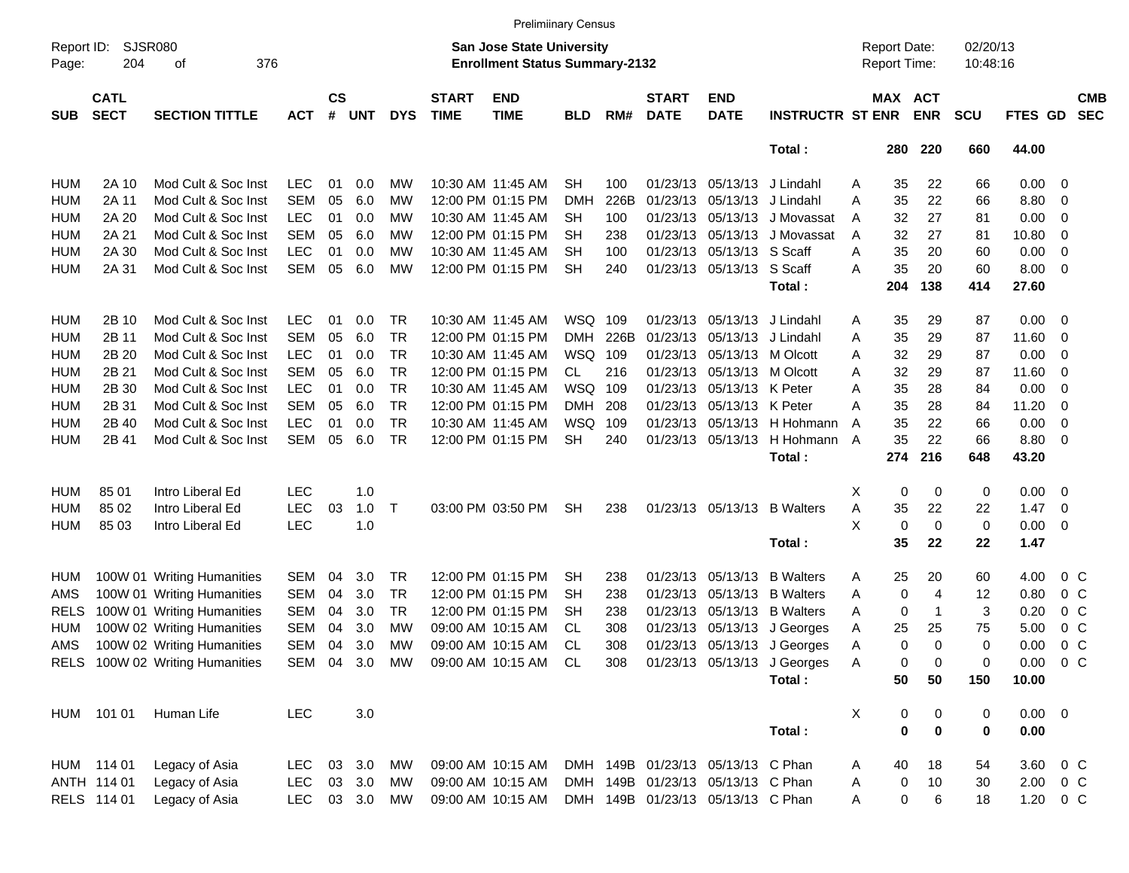|                     |                            |                                 |            |                    |            |               |                             | <b>Prelimiinary Census</b>                                                |            |      |                             |                                   |                             |   |                                     |              |                      |               |                          |  |
|---------------------|----------------------------|---------------------------------|------------|--------------------|------------|---------------|-----------------------------|---------------------------------------------------------------------------|------------|------|-----------------------------|-----------------------------------|-----------------------------|---|-------------------------------------|--------------|----------------------|---------------|--------------------------|--|
| Report ID:<br>Page: | SJSR080<br>204             | 376<br>οf                       |            |                    |            |               |                             | <b>San Jose State University</b><br><b>Enrollment Status Summary-2132</b> |            |      |                             |                                   |                             |   | <b>Report Date:</b><br>Report Time: |              | 02/20/13<br>10:48:16 |               |                          |  |
| <b>SUB</b>          | <b>CATL</b><br><b>SECT</b> | <b>SECTION TITTLE</b>           | <b>ACT</b> | $\mathsf{cs}$<br># | <b>UNT</b> | <b>DYS</b>    | <b>START</b><br><b>TIME</b> | <b>END</b><br><b>TIME</b>                                                 | <b>BLD</b> | RM#  | <b>START</b><br><b>DATE</b> | <b>END</b><br><b>DATE</b>         | <b>INSTRUCTR ST ENR</b>     |   | MAX ACT                             | <b>ENR</b>   | <b>SCU</b>           | FTES GD       | <b>CMB</b><br><b>SEC</b> |  |
|                     |                            |                                 |            |                    |            |               |                             |                                                                           |            |      |                             |                                   | Total:                      |   | 280                                 | 220          | 660                  | 44.00         |                          |  |
| <b>HUM</b>          | 2A 10                      | Mod Cult & Soc Inst             | <b>LEC</b> | 01                 | 0.0        | MW            |                             | 10:30 AM 11:45 AM                                                         | <b>SH</b>  | 100  |                             | 01/23/13 05/13/13                 | J Lindahl                   | A | 35                                  | 22           | 66                   | 0.00          | $\overline{\mathbf{0}}$  |  |
| <b>HUM</b>          | 2A 11                      | Mod Cult & Soc Inst             | <b>SEM</b> | 05                 | 6.0        | MW            |                             | 12:00 PM 01:15 PM                                                         | DMH        | 226B | 01/23/13                    | 05/13/13                          | J Lindahl                   | A | 35                                  | 22           | 66                   | 8.80          | 0                        |  |
| <b>HUM</b>          | 2A 20                      | Mod Cult & Soc Inst             | <b>LEC</b> | 01                 | 0.0        | МW            |                             | 10:30 AM 11:45 AM                                                         | SН         | 100  | 01/23/13                    | 05/13/13                          | J Movassat                  | A | 32                                  | 27           | 81                   | 0.00          | 0                        |  |
| <b>HUM</b>          | 2A 21                      | Mod Cult & Soc Inst             | <b>SEM</b> | 05                 | 6.0        | MW            |                             | 12:00 PM 01:15 PM                                                         | <b>SH</b>  | 238  | 01/23/13                    | 05/13/13                          | J Movassat                  | A | 32                                  | 27           | 81                   | 10.80         | 0                        |  |
| <b>HUM</b>          | 2A 30                      | Mod Cult & Soc Inst             | <b>LEC</b> | 01                 | 0.0        | MW            |                             | 10:30 AM 11:45 AM                                                         | SН         | 100  | 01/23/13                    | 05/13/13 S Scaff                  |                             | A | 35                                  | 20           | 60                   | 0.00          | 0                        |  |
| <b>HUM</b>          | 2A 31                      | Mod Cult & Soc Inst             | <b>SEM</b> | 05                 | 6.0        | MW            |                             | 12:00 PM 01:15 PM                                                         | <b>SH</b>  | 240  |                             | 01/23/13 05/13/13                 | S Scaff                     | Α | 35                                  | 20           | 60                   | 8.00          | 0                        |  |
|                     |                            |                                 |            |                    |            |               |                             |                                                                           |            |      |                             |                                   | Total:                      |   | 204                                 | 138          | 414                  | 27.60         |                          |  |
| <b>HUM</b>          | 2B 10                      | Mod Cult & Soc Inst             | <b>LEC</b> | 01                 | 0.0        | TR            |                             | 10:30 AM 11:45 AM                                                         | WSQ        | 109  |                             | 01/23/13 05/13/13                 | J Lindahl                   | A | 35                                  | 29           | 87                   | 0.00          | $\overline{\mathbf{0}}$  |  |
| <b>HUM</b>          | 2B 11                      | Mod Cult & Soc Inst             | <b>SEM</b> | 05                 | 6.0        | <b>TR</b>     |                             | 12:00 PM 01:15 PM                                                         | <b>DMH</b> | 226B | 01/23/13                    | 05/13/13                          | J Lindahl                   | Α | 35                                  | 29           | 87                   | 11.60         | 0                        |  |
| <b>HUM</b>          | 2B 20                      | Mod Cult & Soc Inst             | <b>LEC</b> | 01                 | 0.0        | <b>TR</b>     |                             | 10:30 AM 11:45 AM                                                         | WSQ        | 109  | 01/23/13                    | 05/13/13                          | M Olcott                    | A | 32                                  | 29           | 87                   | 0.00          | 0                        |  |
| <b>HUM</b>          | 2B 21                      | Mod Cult & Soc Inst             | <b>SEM</b> | 05                 | 6.0        | <b>TR</b>     |                             | 12:00 PM 01:15 PM                                                         | CL         | 216  | 01/23/13                    | 05/13/13                          | M Olcott                    | Α | 32                                  | 29           | 87                   | 11.60         | 0                        |  |
| <b>HUM</b>          | 2B 30                      | Mod Cult & Soc Inst             | <b>LEC</b> | 01                 | 0.0        | <b>TR</b>     |                             | 10:30 AM 11:45 AM                                                         | <b>WSQ</b> | 109  | 01/23/13                    | 05/13/13                          | K Peter                     | Α | 35                                  | 28           | 84                   | 0.00          | 0                        |  |
| <b>HUM</b>          | 2B 31                      | Mod Cult & Soc Inst             | <b>SEM</b> | 05                 | 6.0        | <b>TR</b>     |                             | 12:00 PM 01:15 PM                                                         | <b>DMH</b> | 208  | 01/23/13                    | 05/13/13                          | K Peter                     | Α | 35                                  | 28           | 84                   | 11.20         | 0                        |  |
| <b>HUM</b>          | 2B 40                      | Mod Cult & Soc Inst             | <b>LEC</b> | 01                 | 0.0        | <b>TR</b>     |                             | 10:30 AM 11:45 AM                                                         | <b>WSQ</b> | 109  | 01/23/13                    | 05/13/13                          | H Hohmann                   | A | 35                                  | 22           | 66                   | 0.00          | 0                        |  |
| <b>HUM</b>          | 2B 41                      | Mod Cult & Soc Inst             | <b>SEM</b> | 05                 | 6.0        | <b>TR</b>     |                             | 12:00 PM 01:15 PM                                                         | <b>SH</b>  | 240  | 01/23/13                    | 05/13/13                          | H Hohmann                   | A | 35                                  | 22           | 66                   | 8.80          | 0                        |  |
|                     |                            |                                 |            |                    |            |               |                             |                                                                           |            |      |                             |                                   | Total:                      |   | 274                                 | 216          | 648                  | 43.20         |                          |  |
|                     |                            |                                 |            |                    |            |               |                             |                                                                           |            |      |                             |                                   |                             |   |                                     |              |                      |               |                          |  |
| <b>HUM</b>          | 85 01                      | Intro Liberal Ed                | <b>LEC</b> |                    | 1.0        |               |                             |                                                                           |            |      |                             |                                   |                             | Х | 0                                   | 0            | 0                    | 0.00          | $\overline{\mathbf{0}}$  |  |
| <b>HUM</b>          | 85 02                      | Intro Liberal Ed                | <b>LEC</b> | 03                 | 1.0        | T             |                             | 03:00 PM 03:50 PM                                                         | <b>SH</b>  | 238  |                             | 01/23/13 05/13/13                 | <b>B</b> Walters            | Α | 35                                  | 22           | 22                   | 1.47          | 0                        |  |
| <b>HUM</b>          | 85 03                      | Intro Liberal Ed                | <b>LEC</b> |                    | 1.0        |               |                             |                                                                           |            |      |                             |                                   |                             | X | 0                                   | 0            | 0                    | 0.00          | 0                        |  |
|                     |                            |                                 |            |                    |            |               |                             |                                                                           |            |      |                             |                                   | Total:                      |   | 35                                  | 22           | 22                   | 1.47          |                          |  |
| HUM                 |                            | 100W 01 Writing Humanities      | <b>SEM</b> | 04                 | 3.0        | TR            |                             | 12:00 PM 01:15 PM                                                         | <b>SH</b>  | 238  | 01/23/13                    | 05/13/13                          | <b>B</b> Walters            | Α | 25                                  | 20           | 60                   | 4.00          | $0\,$ C                  |  |
| AMS                 |                            | 100W 01 Writing Humanities      | <b>SEM</b> | 04                 | 3.0        | <b>TR</b>     |                             | 12:00 PM 01:15 PM                                                         | <b>SH</b>  | 238  | 01/23/13                    | 05/13/13                          | <b>B</b> Walters            | Α | 0                                   | 4            | 12                   | 0.80          | 0 <sup>o</sup>           |  |
| <b>RELS</b>         |                            | 100W 01 Writing Humanities      | <b>SEM</b> | 04                 | 3.0        | <b>TR</b>     |                             | 12:00 PM 01:15 PM                                                         | <b>SH</b>  | 238  | 01/23/13                    | 05/13/13                          | <b>B</b> Walters            | A | 0                                   | $\mathbf{1}$ | 3                    | 0.20          | $0\,$ C                  |  |
| <b>HUM</b>          |                            | 100W 02 Writing Humanities      | <b>SEM</b> | 04                 | 3.0        | MW            |                             | 09:00 AM 10:15 AM                                                         | CL         | 308  | 01/23/13                    | 05/13/13                          | J Georges                   | A | 25                                  | 25           | 75                   | 5.00          | $0\,$ C                  |  |
| AMS                 |                            | 100W 02 Writing Humanities      | <b>SEM</b> | 04                 | 3.0        | MW            |                             | 09:00 AM 10:15 AM                                                         | <b>CL</b>  | 308  |                             | 01/23/13 05/13/13                 | J Georges                   | Α | 0                                   | $\Omega$     | 0                    | 0.00          | 0 <sup>o</sup>           |  |
|                     |                            | RELS 100W 02 Writing Humanities |            |                    |            | SEM 04 3.0 MW |                             | 09:00 AM 10:15 AM CL                                                      |            | 308  |                             |                                   | 01/23/13 05/13/13 J Georges | A | 0                                   | 0            | 0                    | $0.00 \t 0 C$ |                          |  |
|                     |                            |                                 |            |                    |            |               |                             |                                                                           |            |      |                             |                                   | Total:                      |   | 50                                  | 50           | 150                  | 10.00         |                          |  |
|                     | HUM 101 01                 | Human Life                      | <b>LEC</b> |                    | 3.0        |               |                             |                                                                           |            |      |                             |                                   |                             | X | 0                                   | 0            | 0                    | $0.00 \t 0$   |                          |  |
|                     |                            |                                 |            |                    |            |               |                             |                                                                           |            |      |                             |                                   | Total:                      |   | $\bf{0}$                            | $\bf{0}$     | 0                    | 0.00          |                          |  |
|                     |                            |                                 |            |                    |            |               |                             |                                                                           |            |      |                             |                                   |                             |   |                                     |              |                      |               |                          |  |
|                     | HUM 114 01                 | Legacy of Asia                  | <b>LEC</b> | 03                 | 3.0        | МW            |                             | 09:00 AM 10:15 AM                                                         |            |      |                             | DMH 149B 01/23/13 05/13/13 C Phan |                             | A | 40                                  | 18           | 54                   | 3.60          | $0\,$ C                  |  |
|                     | ANTH 114 01                | Legacy of Asia                  | <b>LEC</b> | 03                 | 3.0        | MW            |                             | 09:00 AM 10:15 AM                                                         |            |      |                             | DMH 149B 01/23/13 05/13/13 C Phan |                             | A | 0                                   | 10           | 30                   |               | $2.00 \t 0 \t C$         |  |
|                     | RELS 114 01                | Legacy of Asia                  | <b>LEC</b> |                    | 03 3.0     | MW            |                             | 09:00 AM 10:15 AM                                                         |            |      |                             | DMH 149B 01/23/13 05/13/13 C Phan |                             | Α | 0                                   | 6            | 18                   |               | 1.20 0 C                 |  |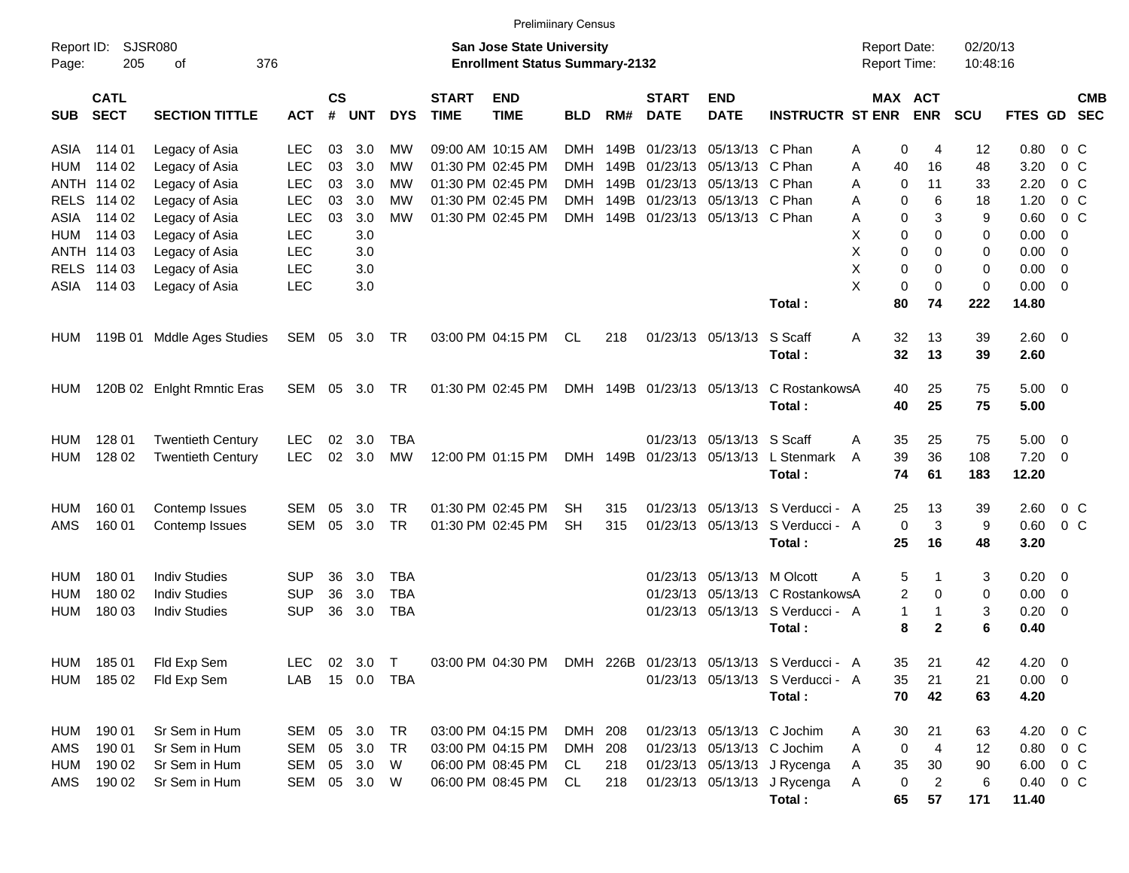|                     |                            |                            |              |                         |              |            |                             | <b>Prelimiinary Census</b>                                                |            |      |                             |                            |                                                             |                                            |                             |                      |                |                          |                          |
|---------------------|----------------------------|----------------------------|--------------|-------------------------|--------------|------------|-----------------------------|---------------------------------------------------------------------------|------------|------|-----------------------------|----------------------------|-------------------------------------------------------------|--------------------------------------------|-----------------------------|----------------------|----------------|--------------------------|--------------------------|
| Report ID:<br>Page: | <b>SJSR080</b><br>205      | 376<br>οf                  |              |                         |              |            |                             | <b>San Jose State University</b><br><b>Enrollment Status Summary-2132</b> |            |      |                             |                            |                                                             | <b>Report Date:</b><br><b>Report Time:</b> |                             | 02/20/13<br>10:48:16 |                |                          |                          |
| <b>SUB</b>          | <b>CATL</b><br><b>SECT</b> | <b>SECTION TITTLE</b>      | <b>ACT</b>   | <b>CS</b><br>$\pmb{\#}$ | <b>UNT</b>   | <b>DYS</b> | <b>START</b><br><b>TIME</b> | <b>END</b><br><b>TIME</b>                                                 | <b>BLD</b> | RM#  | <b>START</b><br><b>DATE</b> | <b>END</b><br><b>DATE</b>  | <b>INSTRUCTR ST ENR</b>                                     |                                            | MAX ACT<br><b>ENR</b>       | SCU                  | <b>FTES GD</b> |                          | <b>CMB</b><br><b>SEC</b> |
| ASIA                | 114 01                     | Legacy of Asia             | <b>LEC</b>   | 03                      | 3.0          | МW         |                             | 09:00 AM 10:15 AM                                                         | <b>DMH</b> | 149B | 01/23/13                    | 05/13/13 C Phan            |                                                             | A                                          | 0<br>4                      | 12                   | 0.80           | $0\,$ C                  |                          |
| HUM                 | 114 02                     | Legacy of Asia             | <b>LEC</b>   | 03                      | 3.0          | МW         |                             | 01:30 PM 02:45 PM                                                         | <b>DMH</b> | 149B | 01/23/13                    | 05/13/13                   | C Phan                                                      | A                                          | 40<br>16                    | 48                   | 3.20           | 0 <sup>o</sup>           |                          |
|                     | ANTH 114 02                | Legacy of Asia             | <b>LEC</b>   | 03                      | 3.0          | МW         |                             | 01:30 PM 02:45 PM                                                         | DMH        | 149B | 01/23/13                    | 05/13/13                   | C Phan                                                      | Α                                          | 0<br>11                     | 33                   | 2.20           | 0 <sup>o</sup>           |                          |
| <b>RELS</b>         | 114 02                     | Legacy of Asia             | <b>LEC</b>   | 03                      | 3.0          | <b>MW</b>  |                             | 01:30 PM 02:45 PM                                                         | DMH        | 149B | 01/23/13                    | 05/13/13                   | C Phan                                                      | А                                          | 6<br>0                      | 18                   | 1.20           | 0 <sup>o</sup>           |                          |
| ASIA                | 114 02                     | Legacy of Asia             | <b>LEC</b>   | 03                      | 3.0          | <b>MW</b>  |                             | 01:30 PM 02:45 PM                                                         | DMH        | 149B |                             | 01/23/13 05/13/13 C Phan   |                                                             | Α                                          | 0                           | 3<br>9               | 0.60           | $0\,C$                   |                          |
| HUM                 | 114 03                     | Legacy of Asia             | <b>LEC</b>   |                         | 3.0          |            |                             |                                                                           |            |      |                             |                            |                                                             | X                                          | 0<br>$\Omega$               | 0                    | 0.00           | $\overline{0}$           |                          |
|                     | ANTH 114 03                | Legacy of Asia             | <b>LEC</b>   |                         | 3.0          |            |                             |                                                                           |            |      |                             |                            |                                                             | X                                          | 0<br>$\Omega$               | 0                    | 0.00           | $\overline{0}$           |                          |
| <b>RELS</b>         | 114 03                     | Legacy of Asia             | <b>LEC</b>   |                         | 3.0          |            |                             |                                                                           |            |      |                             |                            |                                                             | X                                          | 0<br>$\Omega$               | 0                    | 0.00           | $\overline{0}$           |                          |
| ASIA                | 114 03                     | Legacy of Asia             | <b>LEC</b>   |                         | 3.0          |            |                             |                                                                           |            |      |                             |                            |                                                             | X                                          | $\mathbf 0$<br>0            | 0                    | 0.00           | $\overline{\mathbf{0}}$  |                          |
|                     |                            |                            |              |                         |              |            |                             |                                                                           |            |      |                             |                            | Total:                                                      |                                            | 80<br>74                    | 222                  | 14.80          |                          |                          |
| HUM                 |                            | 119B 01 Mddle Ages Studies | SEM 05       |                         | 3.0          | TR         |                             | 03:00 PM 04:15 PM                                                         | CL         | 218  |                             | 01/23/13 05/13/13          | S Scaff                                                     | A                                          | 32<br>13                    | 39                   | $2.60 \t 0$    |                          |                          |
|                     |                            |                            |              |                         |              |            |                             |                                                                           |            |      |                             |                            | Total:                                                      |                                            | 32<br>13                    | 39                   | 2.60           |                          |                          |
|                     |                            |                            |              |                         |              |            |                             |                                                                           |            |      |                             |                            |                                                             |                                            |                             |                      |                |                          |                          |
| HUM                 |                            | 120B 02 Enlght Rmntic Eras | SEM 05       |                         | 3.0          | TR         |                             | 01:30 PM 02:45 PM                                                         |            |      | DMH 149B 01/23/13 05/13/13  |                            | C RostankowsA                                               |                                            | 25<br>40                    | 75                   | $5.00 \t 0$    |                          |                          |
|                     |                            |                            |              |                         |              |            |                             |                                                                           |            |      |                             |                            | Total:                                                      |                                            | 40<br>25                    | 75                   | 5.00           |                          |                          |
| HUM                 | 128 01                     | <b>Twentieth Century</b>   | <b>LEC</b>   | 02                      | 3.0          | <b>TBA</b> |                             |                                                                           |            |      |                             | 01/23/13 05/13/13 S Scaff  |                                                             | A                                          | 35<br>25                    | 75                   | 5.00           | - 0                      |                          |
| <b>HUM</b>          | 128 02                     | <b>Twentieth Century</b>   | <b>LEC</b>   | 02                      | 3.0          | <b>MW</b>  |                             | 12:00 PM 01:15 PM                                                         | <b>DMH</b> | 149B | 01/23/13 05/13/13           |                            | L Stenmark                                                  | A                                          | 39<br>36                    | 108                  | 7.20           | $\overline{0}$           |                          |
|                     |                            |                            |              |                         |              |            |                             |                                                                           |            |      |                             |                            | Total:                                                      |                                            | 74<br>61                    | 183                  | 12.20          |                          |                          |
| <b>HUM</b>          | 160 01                     | Contemp Issues             | SEM          | 05                      | 3.0          | <b>TR</b>  |                             | 01:30 PM 02:45 PM                                                         | <b>SH</b>  | 315  | 01/23/13                    | 05/13/13                   | S Verducci - A                                              |                                            | 25<br>13                    | 39                   | 2.60           | $0\,$ C                  |                          |
| AMS                 | 160 01                     | Contemp Issues             | SEM          | 05                      | 3.0          | <b>TR</b>  |                             | 01:30 PM 02:45 PM                                                         | <b>SH</b>  | 315  |                             | 01/23/13 05/13/13          | S Verducci - A                                              |                                            | $\mathbf 0$<br>3            | 9                    | 0.60           | $0\,C$                   |                          |
|                     |                            |                            |              |                         |              |            |                             |                                                                           |            |      |                             |                            | Total:                                                      |                                            | 25<br>16                    | 48                   | 3.20           |                          |                          |
|                     |                            |                            |              |                         |              |            |                             |                                                                           |            |      |                             |                            |                                                             |                                            |                             |                      |                |                          |                          |
| HUM                 | 180 01                     | <b>Indiv Studies</b>       | <b>SUP</b>   | 36                      | 3.0          | <b>TBA</b> |                             |                                                                           |            |      | 01/23/13                    | 05/13/13                   | M Olcott                                                    | Α                                          | 5<br>1                      | 3                    | 0.20           | $\overline{\phantom{0}}$ |                          |
| HUM                 | 180 02                     | <b>Indiv Studies</b>       | <b>SUP</b>   | 36                      | 3.0          | <b>TBA</b> |                             |                                                                           |            |      | 01/23/13                    | 05/13/13                   | C RostankowsA                                               |                                            | $\overline{2}$<br>0         | 0                    | 0.00           | $\overline{0}$           |                          |
| HUM                 | 180 03                     | <b>Indiv Studies</b>       | <b>SUP</b>   | 36                      | 3.0          | <b>TBA</b> |                             |                                                                           |            |      |                             |                            | 01/23/13 05/13/13 S Verducci - A                            |                                            | $\mathbf{1}$<br>$\mathbf 1$ | 3                    | 0.20           | $\overline{0}$           |                          |
|                     |                            |                            |              |                         |              |            |                             |                                                                           |            |      |                             |                            | Total:                                                      |                                            | 8<br>$\mathbf{2}$           | 6                    | 0.40           |                          |                          |
| HUM                 | 185 01                     | Fld Exp Sem                | LEC.         | 02                      | $3.0$ T      |            |                             |                                                                           |            |      |                             |                            | 03:00 PM 04:30 PM DMH 226B 01/23/13 05/13/13 S Verducci - A |                                            | 21<br>35                    | 42                   | 4.20 0         |                          |                          |
| HUM                 | 185 02                     | Fld Exp Sem                | LAB          |                         | 15  0.0  TBA |            |                             |                                                                           |            |      |                             |                            | 01/23/13 05/13/13 S Verducci - A                            |                                            | 21<br>35                    | 21                   | $0.00 \t 0$    |                          |                          |
|                     |                            |                            |              |                         |              |            |                             |                                                                           |            |      |                             |                            | Total:                                                      |                                            | 70<br>42                    | 63                   | 4.20           |                          |                          |
| HUM                 | 190 01                     | Sr Sem in Hum              | SEM 05 3.0   |                         |              | TR         |                             | 03:00 PM 04:15 PM                                                         | DMH 208    |      |                             | 01/23/13 05/13/13 C Jochim |                                                             | A                                          | 30<br>21                    | 63                   | 4.20           | 0 C                      |                          |
| AMS                 | 190 01                     | Sr Sem in Hum              | SEM 05 3.0   |                         |              | TR         |                             | 03:00 PM 04:15 PM                                                         | DMH 208    |      |                             |                            | 01/23/13 05/13/13 C Jochim                                  | Α                                          | 0<br>4                      | 12                   | 0.80 0 C       |                          |                          |
| HUM                 | 190 02                     | Sr Sem in Hum              | SEM 05 3.0   |                         |              | W          |                             | 06:00 PM 08:45 PM                                                         | CL         | 218  |                             |                            | 01/23/13 05/13/13 J Rycenga                                 | A                                          | 35<br>30                    | 90                   | 6.00 0 C       |                          |                          |
| AMS                 | 190 02                     | Sr Sem in Hum              | SEM 05 3.0 W |                         |              |            |                             | 06:00 PM 08:45 PM                                                         | CL         | 218  |                             |                            | 01/23/13 05/13/13 J Rycenga                                 | A                                          | 0<br>$\overline{c}$         | 6                    | 0.40 0 C       |                          |                          |
|                     |                            |                            |              |                         |              |            |                             |                                                                           |            |      |                             |                            | Total:                                                      |                                            | 65<br>57                    | 171                  | 11.40          |                          |                          |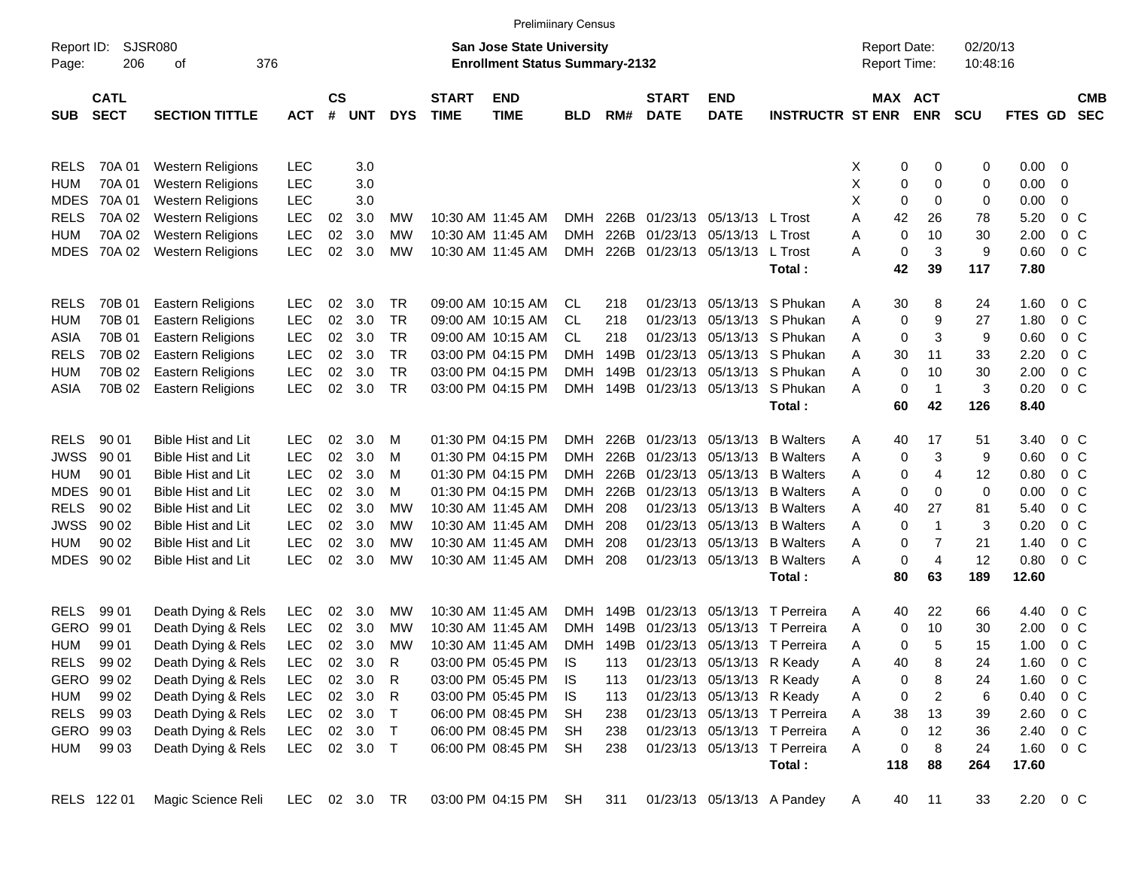|             |                                           |                           |               |                    |            |            |                             | <b>Prelimiinary Census</b>                                         |            |      |                             |                           |                              |                                     |                       |                      |                        |                |                          |
|-------------|-------------------------------------------|---------------------------|---------------|--------------------|------------|------------|-----------------------------|--------------------------------------------------------------------|------------|------|-----------------------------|---------------------------|------------------------------|-------------------------------------|-----------------------|----------------------|------------------------|----------------|--------------------------|
| Page:       | SJSR080<br>Report ID:<br>206<br>376<br>οf |                           |               |                    |            |            |                             | San Jose State University<br><b>Enrollment Status Summary-2132</b> |            |      |                             |                           |                              | <b>Report Date:</b><br>Report Time: |                       | 02/20/13<br>10:48:16 |                        |                |                          |
| <b>SUB</b>  | <b>CATL</b><br><b>SECT</b>                | <b>SECTION TITTLE</b>     | <b>ACT</b>    | $\mathsf{cs}$<br># | <b>UNT</b> | <b>DYS</b> | <b>START</b><br><b>TIME</b> | <b>END</b><br><b>TIME</b>                                          | <b>BLD</b> | RM#  | <b>START</b><br><b>DATE</b> | <b>END</b><br><b>DATE</b> | <b>INSTRUCTR ST ENR</b>      |                                     | MAX ACT<br><b>ENR</b> | <b>SCU</b>           | FTES GD                |                | <b>CMB</b><br><b>SEC</b> |
| <b>RELS</b> | 70A 01                                    | Western Religions         | <b>LEC</b>    |                    | 3.0        |            |                             |                                                                    |            |      |                             |                           |                              | X                                   | 0<br>0                | 0                    | $0.00 \t 0$            |                |                          |
| <b>HUM</b>  | 70A 01                                    | <b>Western Religions</b>  | <b>LEC</b>    |                    | 3.0        |            |                             |                                                                    |            |      |                             |                           |                              | Х                                   | 0<br>0                | 0                    | 0.00                   | 0              |                          |
| <b>MDES</b> | 70A 01                                    | <b>Western Religions</b>  | <b>LEC</b>    |                    | 3.0        |            |                             |                                                                    |            |      |                             |                           |                              | Х                                   | 0<br>0                | 0                    | 0.00                   | 0              |                          |
| <b>RELS</b> | 70A 02                                    | <b>Western Religions</b>  | <b>LEC</b>    | 02                 | 3.0        | MW         |                             | 10:30 AM 11:45 AM                                                  | <b>DMH</b> | 226B |                             | 01/23/13 05/13/13 L Trost |                              | 42<br>Α                             | 26                    | 78                   | 5.20                   | 0 <sup>o</sup> |                          |
| <b>HUM</b>  | 70A 02                                    | <b>Western Religions</b>  | <b>LEC</b>    | 02                 | 3.0        | MW         |                             | 10:30 AM 11:45 AM                                                  | DMH        | 226B |                             | 01/23/13 05/13/13 L Trost |                              | Α                                   | 0<br>10               | 30                   | 2.00                   | 0 <sup>o</sup> |                          |
| <b>MDES</b> | 70A 02                                    | <b>Western Religions</b>  | <b>LEC</b>    | 02                 | 3.0        | MW         |                             | 10:30 AM 11:45 AM                                                  | <b>DMH</b> | 226B |                             | 01/23/13 05/13/13 L Trost |                              | Α                                   | $\pmb{0}$<br>3        | 9                    | 0.60                   | 0 <sup>o</sup> |                          |
|             |                                           |                           |               |                    |            |            |                             |                                                                    |            |      |                             |                           | Total:                       | 42                                  | 39                    | 117                  | 7.80                   |                |                          |
| <b>RELS</b> | 70B 01                                    | Eastern Religions         | <b>LEC</b>    | 02                 | 3.0        | TR         |                             | 09:00 AM 10:15 AM                                                  | CL.        | 218  |                             |                           | 01/23/13 05/13/13 S Phukan   | 30<br>A                             | 8                     | 24                   | 1.60                   | 0 <sup>o</sup> |                          |
| <b>HUM</b>  | 70B 01                                    | <b>Eastern Religions</b>  | <b>LEC</b>    | 02                 | 3.0        | <b>TR</b>  |                             | 09:00 AM 10:15 AM                                                  | <b>CL</b>  | 218  |                             |                           | 01/23/13 05/13/13 S Phukan   | Α                                   | 0<br>9                | 27                   | 1.80                   | 0 C            |                          |
| ASIA        | 70B 01                                    | Eastern Religions         | <b>LEC</b>    | 02                 | 3.0        | <b>TR</b>  |                             | 09:00 AM 10:15 AM                                                  | CL         | 218  |                             |                           | 01/23/13 05/13/13 S Phukan   | A                                   | 0<br>3                | 9                    | 0.60                   | 0 <sup>o</sup> |                          |
| <b>RELS</b> | 70B 02                                    | Eastern Religions         | <b>LEC</b>    | 02                 | 3.0        | <b>TR</b>  |                             | 03:00 PM 04:15 PM                                                  | DMH        | 149B |                             |                           | 01/23/13 05/13/13 S Phukan   | Α<br>30                             | 11                    | 33                   | 2.20                   | $0\,$ C        |                          |
| <b>HUM</b>  | 70B 02                                    | <b>Eastern Religions</b>  | <b>LEC</b>    | 02                 | 3.0        | <b>TR</b>  |                             | 03:00 PM 04:15 PM                                                  | DMH        | 149B |                             |                           | 01/23/13 05/13/13 S Phukan   | Α                                   | 0<br>10               | 30                   | 2.00                   | 0 <sup>o</sup> |                          |
| ASIA        | 70B 02                                    | <b>Eastern Religions</b>  | <b>LEC</b>    | 02                 | 3.0        | <b>TR</b>  |                             | 03:00 PM 04:15 PM                                                  | <b>DMH</b> | 149B |                             |                           | 01/23/13 05/13/13 S Phukan   | Α                                   | 0<br>$\mathbf 1$      | 3                    | 0.20                   | 0 <sup>o</sup> |                          |
|             |                                           |                           |               |                    |            |            |                             |                                                                    |            |      |                             |                           | Total:                       | 60                                  | 42                    | 126                  | 8.40                   |                |                          |
| <b>RELS</b> | 90 01                                     | <b>Bible Hist and Lit</b> | <b>LEC</b>    | 02                 | 3.0        | M          |                             | 01:30 PM 04:15 PM                                                  | <b>DMH</b> | 226B |                             | 01/23/13 05/13/13         | <b>B</b> Walters             | 40<br>Α                             | 17                    | 51                   | 3.40                   | 0 C            |                          |
| <b>JWSS</b> | 90 01                                     | <b>Bible Hist and Lit</b> | <b>LEC</b>    | 02                 | 3.0        | M          |                             | 01:30 PM 04:15 PM                                                  | DMH        | 226B |                             | 01/23/13 05/13/13         | <b>B</b> Walters             | Α                                   | 3<br>0                | 9                    | 0.60                   | 0 <sup>o</sup> |                          |
| HUM         | 90 01                                     | <b>Bible Hist and Lit</b> | <b>LEC</b>    | 02                 | 3.0        | M          |                             | 01:30 PM 04:15 PM                                                  | DMH        | 226B |                             | 01/23/13 05/13/13         | <b>B</b> Walters             | Α                                   | 0<br>4                | 12                   | 0.80                   | 0 <sup>o</sup> |                          |
| <b>MDES</b> | 90 01                                     | <b>Bible Hist and Lit</b> | <b>LEC</b>    | 02                 | 3.0        | M          |                             | 01:30 PM 04:15 PM                                                  | DMH        | 226B |                             | 01/23/13 05/13/13         | <b>B</b> Walters             | Α                                   | 0<br>0                | 0                    | 0.00                   | 0 <sup>o</sup> |                          |
| <b>RELS</b> | 90 02                                     | <b>Bible Hist and Lit</b> | <b>LEC</b>    | 02                 | 3.0        | МW         |                             | 10:30 AM 11:45 AM                                                  | DMH        | 208  |                             |                           | 01/23/13 05/13/13 B Walters  | Α<br>40                             | 27                    | 81                   | 5.40                   | 0 C            |                          |
| <b>JWSS</b> | 90 02                                     | <b>Bible Hist and Lit</b> | <b>LEC</b>    | 02                 | 3.0        | MW         |                             | 10:30 AM 11:45 AM                                                  | DMH        | 208  |                             |                           | 01/23/13 05/13/13 B Walters  | Α                                   | 0<br>$\mathbf{1}$     | 3                    | 0.20                   | 0 <sup>o</sup> |                          |
| HUM         | 90 02                                     | <b>Bible Hist and Lit</b> | <b>LEC</b>    | 02                 | 3.0        | МW         |                             | 10:30 AM 11:45 AM                                                  | DMH        | 208  |                             | 01/23/13 05/13/13         | <b>B</b> Walters             | Α                                   | 0<br>7                | 21                   | 1.40                   | 0 C            |                          |
| MDES 90 02  |                                           | <b>Bible Hist and Lit</b> | <b>LEC</b>    | 02                 | 3.0        | MW         |                             | 10:30 AM 11:45 AM                                                  | <b>DMH</b> | 208  |                             | 01/23/13 05/13/13         | <b>B</b> Walters             | Α                                   | 0<br>$\overline{4}$   | 12                   | 0.80                   | 0 <sup>o</sup> |                          |
|             |                                           |                           |               |                    |            |            |                             |                                                                    |            |      |                             |                           | Total :                      | 80                                  | 63                    | 189                  | 12.60                  |                |                          |
| <b>RELS</b> | 99 01                                     | Death Dying & Rels        | <b>LEC</b>    | 02                 | 3.0        | MW         |                             | 10:30 AM 11:45 AM                                                  | DMH        | 149B | 01/23/13                    | 05/13/13                  | T Perreira                   | 40<br>Α                             | 22                    | 66                   | 4.40                   | 0 C            |                          |
| <b>GERO</b> | 99 01                                     | Death Dying & Rels        | <b>LEC</b>    | 02                 | 3.0        | MW         |                             | 10:30 AM 11:45 AM                                                  | DMH        | 149B | 01/23/13                    | 05/13/13                  | T Perreira                   | Α                                   | 10<br>0               | 30                   | 2.00                   | $0\,$ C        |                          |
| HUM         | 99 01                                     | Death Dying & Rels        | LEC           | 02                 | 3.0        | MW         |                             | 10:30 AM 11:45 AM                                                  | DMH        | 149B |                             |                           | 01/23/13 05/13/13 T Perreira | Α                                   | 0<br>5                | 15                   | 1.00                   | 0 C            |                          |
| RELS 99 02  |                                           | Death Dying & Rels        | <b>LEC</b>    | $02\,$             | 3.0        | R          |                             | 03:00 PM 05:45 PM                                                  | IS         | 113  |                             | 01/23/13 05/13/13 R Keady |                              | 40<br>Α                             | 8                     | 24                   | 1.60 0 C               |                |                          |
| GERO 99 02  |                                           | Death Dying & Rels        | <b>LEC</b>    |                    | 02 3.0     | R          |                             | 03:00 PM 05:45 PM                                                  | IS.        | 113  |                             | 01/23/13 05/13/13 R Keady |                              | Α                                   | 0<br>8                | 24                   | 1.60 0 C               |                |                          |
| HUM         | 99 02                                     | Death Dying & Rels        | <b>LEC</b>    |                    | 02 3.0     | R          |                             | 03:00 PM 05:45 PM                                                  | IS.        | 113  |                             | 01/23/13 05/13/13 R Keady |                              | A                                   | 0<br>2                | 6                    | $0.40 \quad 0 \quad C$ |                |                          |
| RELS 99 03  |                                           | Death Dying & Rels        | <b>LEC</b>    |                    | 02 3.0     | $\top$     |                             | 06:00 PM 08:45 PM                                                  | <b>SH</b>  | 238  |                             |                           | 01/23/13 05/13/13 T Perreira | 38<br>Α                             | 13                    | 39                   | 2.60 0 C               |                |                          |
| GERO 99 03  |                                           | Death Dying & Rels        | <b>LEC</b>    |                    | 02 3.0 T   |            |                             | 06:00 PM 08:45 PM                                                  | <b>SH</b>  | 238  |                             |                           | 01/23/13 05/13/13 T Perreira | Α                                   | 0<br>12               | 36                   | 2.40 0 C               |                |                          |
| HUM         | 99 03                                     | Death Dying & Rels        | <b>LEC</b>    |                    | 02 3.0 T   |            |                             | 06:00 PM 08:45 PM                                                  | SH         | 238  |                             |                           | 01/23/13 05/13/13 T Perreira | A                                   | 0<br>8                | 24                   | 1.60 0 C               |                |                          |
|             |                                           |                           |               |                    |            |            |                             |                                                                    |            |      |                             |                           | Total:                       | 118                                 | 88                    | 264                  | 17.60                  |                |                          |
|             | RELS 122 01                               | Magic Science Reli        | LEC 02 3.0 TR |                    |            |            |                             | 03:00 PM 04:15 PM SH                                               |            | 311  |                             |                           | 01/23/13 05/13/13 A Pandey   | 40<br>A                             | 11                    | 33                   | 2.20 0 C               |                |                          |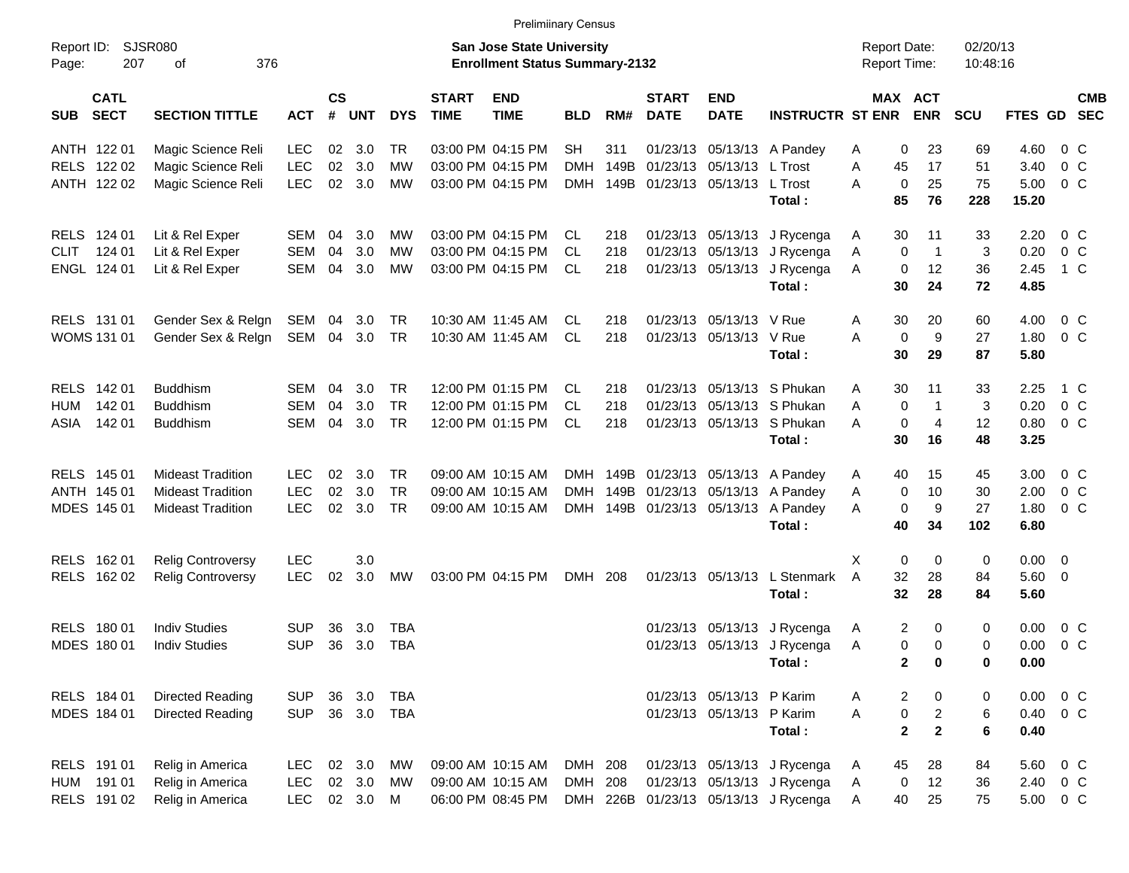ANTH 122 01 Magic Science Reli LEC 02 3.0 TR 03:00 PM 04:15 PM SH 311 01/23/13 05/13/13 A Pandey A 0 23 69 4.60 0 C RELS 122 02 Magic Science Reli LEC 02 3.0 MW 03:00 PM 04:15 PM DMH 149B 01/23/13 05/13/13 L Trost A 45 17 51 3.40 0 C ANTH 122 02 Magic Science Reli LEC 02 3.0 MW 03:00 PM 04:15 PM DMH 149B 01/23/13 05/13/13 L Trost A 0 25 75 5.00 0 C **Total : 85 76 228 15.20** RELS 124 01 Lit & Rel Exper SEM 04 3.0 MW 03:00 PM 04:15 PM CL 218 01/23/13 05/13/13 J Rycenga A 30 11 33 2.20 0 C CLIT 124 01 Lit & Rel Exper SEM 04 3.0 MW 03:00 PM 04:15 PM CL 218 01/23/13 05/13/13 J Rycenga A 0 1 3 0.20 0 C ENGL 124 01 Lit & Rel Exper SEM 04 3.0 MW 03:00 PM 04:15 PM CL 218 01/23/13 05/13/13 J Rycenga A 0 12 36 2.45 1 C **Total : 30 24 72 4.85** RELS 131 01 Gender Sex & Relgn SEM 04 3.0 TR 10:30 AM 11:45 AM CL 218 01/23/13 05/13/13 V Rue A 30 20 60 4.00 0 C WOMS 131 01 Gender Sex & Relgn SEM 04 3.0 TR 10:30 AM 11:45 AM CL 218 01/23/13 05/13/13 V Rue A 0 9 27 1.80 0 C **Total : 30 29 87 5.80** RELS 142 01 Buddhism SEM 04 3.0 TR 12:00 PM 01:15 PM CL 218 01/23/13 05/13/13 S Phukan A 30 11 33 2.25 1 C HUM 142 01 Buddhism SEM 04 3.0 TR 12:00 PM 01:15 PM CL 218 01/23/13 05/13/13 S Phukan A 0 1 3 0.20 0 C ASIA 142 01 Buddhism SEM 04 3.0 TR 12:00 PM 01:15 PM CL 218 01/23/13 05/13/13 S Phukan A 0 4 12 0.80 0 C **Total : 30 16 48 3.25** RELS 145 01 Mideast Tradition LEC 02 3.0 TR 09:00 AM 10:15 AM DMH 149B 01/23/13 05/13/13 A Pandey A 40 15 45 3.00 0 C ANTH 145 01 Mideast Tradition LEC 02 3.0 TR 09:00 AM 10:15 AM DMH 149B 01/23/13 05/13/13 A Pandey A 0 10 30 2.00 0 C MDES 145 01 Mideast Tradition LEC 02 3.0 TR 09:00 AM 10:15 AM DMH 149B 01/23/13 05/13/13 A Pandey A 0 9 27 1.80 0 C **Total : 40 34 102 6.80** RELS 16201 Relig Controversy LEC 3.0 3.0 And the state of the state of the state of the state of the state of the state of the state of the state of the state of the state of the state of the state of the state of the stat RELS 162 02 Relig Controversy LEC 02 3.0 MW 03:00 PM 04:15 PM DMH 208 01/23/13 05/13/13 L Stenmark A 32 28 84 5.60 0 **Total : 32 28 84 5.60** RELS 180 01 Indiv Studies SUP 36 3.0 TBA 01/23/13 05/13/13 05/13/13 J Rycenga A 2 0 0 0.00 0 C MDES 180 01 Indiv Studies SUP 36 3.0 TBA 01/23/13 05/13/13 05/13/13 J Rycenga A 0 0 0 0.00 0 C **Total : 2 0 0 0.00** RELS 184 01 Directed Reading SUP 36 3.0 TBA 01/23/13 05/13/13 P Karim A 2 0 0 0.00 0 C MDES 184 01 Directed Reading SUP 36 3.0 TBA 01/23/13 05/13/13 05/13/13 P Karim A 0 2 6 0.40 0 C **Total : 2 2 6 0.40** RELS 191 01 Relig in America LEC 02 3.0 MW 09:00 AM 10:15 AM DMH 208 01/23/13 05/13/13 J Rycenga A 45 28 84 5.60 0 C HUM 191 01 Relig in America LEC 02 3.0 MW 09:00 AM 10:15 AM DMH 208 01/23/13 05/13/13 J Rycenga A 0 12 36 2.40 0 C Report ID: SJSR080 **San Jose State University San Jose State University San Jose State University Report Date:** 02/20/13 Page: 207 of 376 **Enrollment Status Summary-2132** Report Time: 10:48:16 **CATL CS START END START END MAX ACT CMB SUB SECT SECTION TITTLE ACT # UNT DYS TIME TIME BLD RM# DATE DATE INSTRUCTR ST ENR ENR SCU FTES GD SEC** Prelimiinary Census

RELS 191 02 Relig in America LEC 02 3.0 M 06:00 PM 08:45 PM DMH 226B 01/23/13 05/13/13 J Rycenga A 40 25 75 5.00 0 C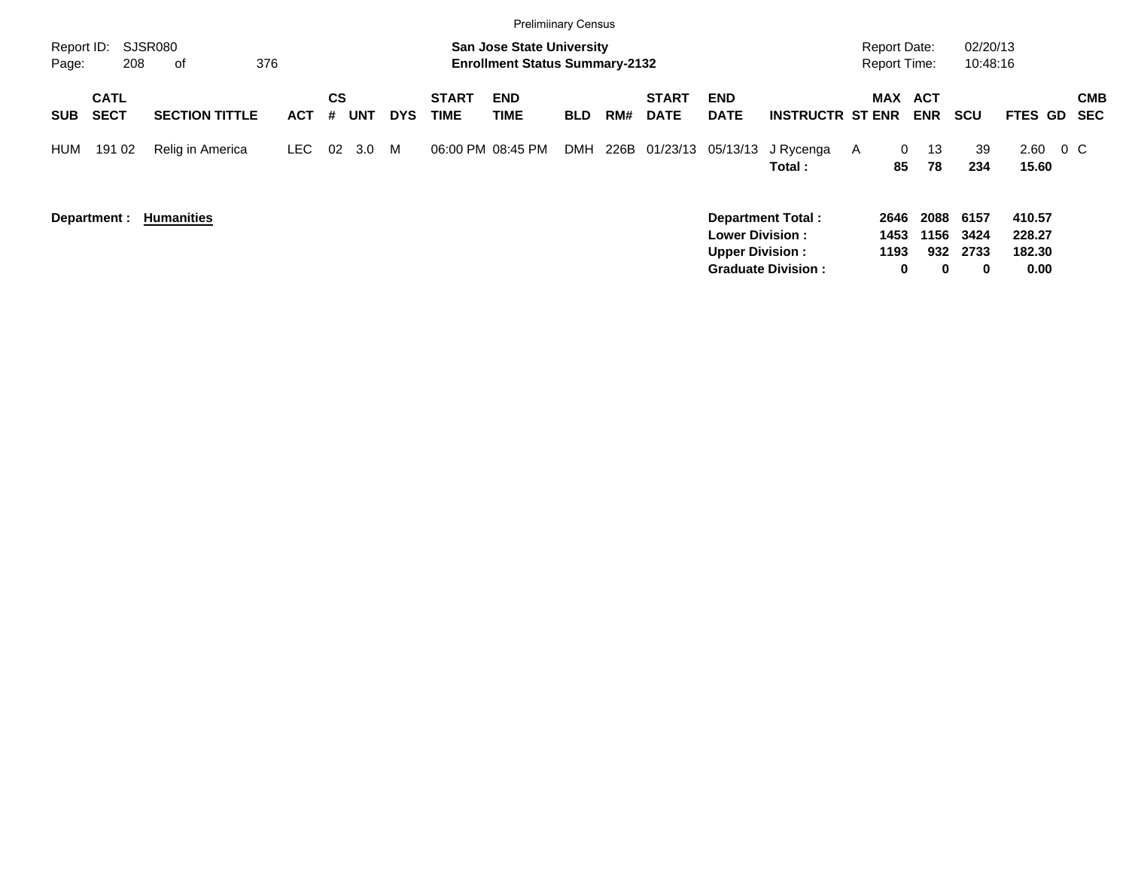|                     |                            |                             |            |                              |            |                             | <b>Prelimiinary Census</b>                                                |            |     |                             |                                                  |                                            |   |                                            |                     |                      |                            |         |                   |
|---------------------|----------------------------|-----------------------------|------------|------------------------------|------------|-----------------------------|---------------------------------------------------------------------------|------------|-----|-----------------------------|--------------------------------------------------|--------------------------------------------|---|--------------------------------------------|---------------------|----------------------|----------------------------|---------|-------------------|
| Report ID:<br>Page: | 208                        | <b>SJSR080</b><br>376<br>of |            |                              |            |                             | <b>San Jose State University</b><br><b>Enrollment Status Summary-2132</b> |            |     |                             |                                                  |                                            |   | <b>Report Date:</b><br><b>Report Time:</b> |                     | 02/20/13<br>10:48:16 |                            |         |                   |
| <b>SUB</b>          | <b>CATL</b><br><b>SECT</b> | <b>SECTION TITTLE</b>       | <b>ACT</b> | <b>CS</b><br><b>UNT</b><br># | <b>DYS</b> | <b>START</b><br><b>TIME</b> | <b>END</b><br>TIME                                                        | <b>BLD</b> | RM# | <b>START</b><br><b>DATE</b> | <b>END</b><br><b>DATE</b>                        | <b>INSTRUCTR ST ENR</b>                    |   | <b>MAX</b>                                 | ACT<br><b>ENR</b>   | <b>SCU</b>           | <b>FTES GD</b>             |         | <b>CMB</b><br>SEC |
| <b>HUM</b>          | 191 02                     | Relig in America            | LEC.       | 02<br>3.0                    | M          | 06:00 PM 08:45 PM           |                                                                           | <b>DMH</b> |     |                             |                                                  | 226B 01/23/13 05/13/13 J Rycenga<br>Total: | A | $\mathbf{0}$<br>85                         | 13<br>78            | 39<br>234            | 2.60<br>15.60              | $0\,$ C |                   |
|                     | Department :               | <b>Humanities</b>           |            |                              |            |                             |                                                                           |            |     |                             | <b>Lower Division:</b><br><b>Upper Division:</b> | <b>Department Total:</b>                   |   | 2646<br>1453<br>1193                       | 2088<br>1156<br>932 | 6157<br>3424<br>2733 | 410.57<br>228.27<br>182.30 |         |                   |

**Graduate Division : 0 0 0 0.00**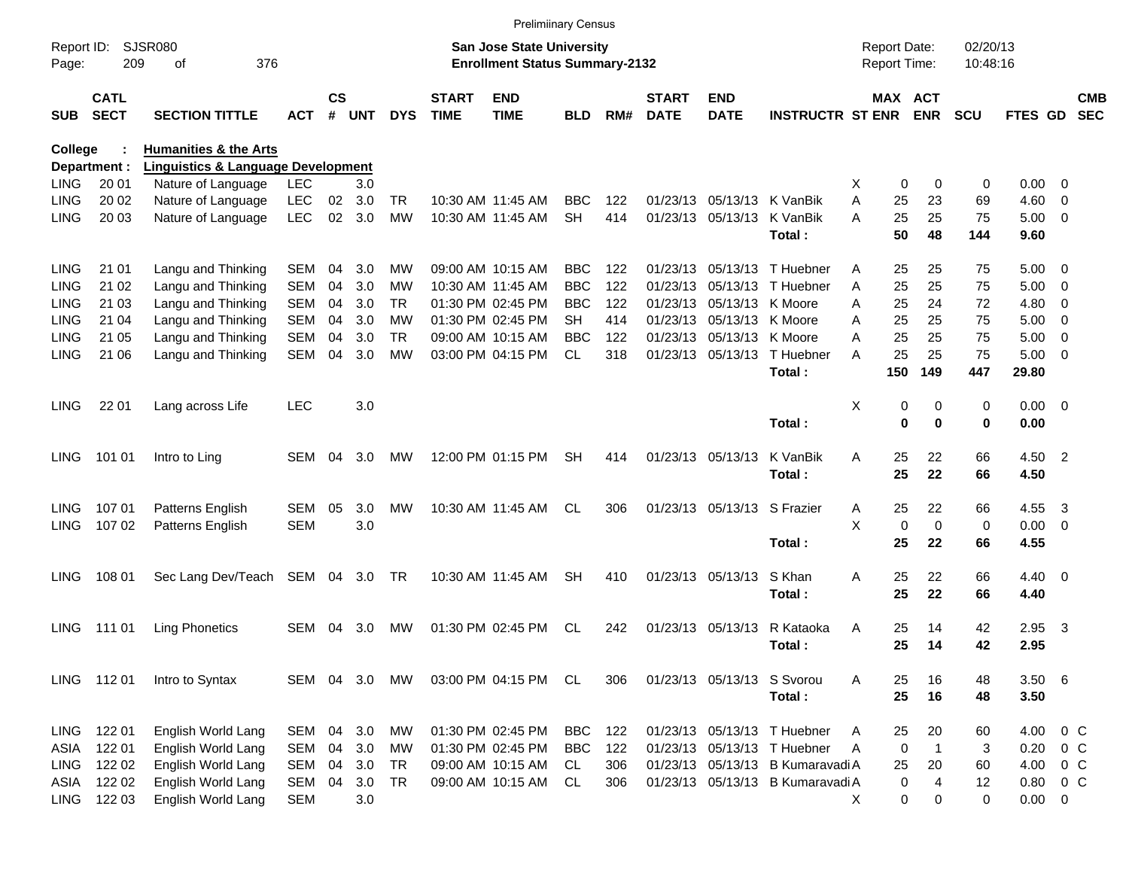| <b>SJSR080</b><br>02/20/13<br>Report ID:<br><b>San Jose State University</b><br><b>Report Date:</b><br><b>Enrollment Status Summary-2132</b><br>Report Time:<br>209<br>376<br>10:48:16<br>Page:<br>οf<br>$\mathsf{cs}$<br><b>CATL</b><br><b>START</b><br><b>END</b><br><b>START</b><br><b>END</b><br>MAX ACT<br><b>SECT</b><br><b>SECTION TITTLE</b><br>#<br><b>UNT</b><br><b>DYS</b><br><b>TIME</b><br><b>TIME</b><br>RM#<br><b>DATE</b><br><b>DATE</b><br><b>INSTRUCTR ST ENR</b><br><b>ENR</b><br><b>SCU</b><br>FTES GD<br><b>SUB</b><br><b>ACT</b><br><b>BLD</b><br><b>Humanities &amp; the Arts</b><br><b>College</b><br><b>Linguistics &amp; Language Development</b><br>Department :<br>20 01<br><b>LEC</b><br>0.00<br>LING<br>Nature of Language<br>3.0<br>X<br>0<br>0<br>0<br>$\overline{\phantom{0}}$<br><b>LEC</b><br>02<br>3.0<br>01/23/13 05/13/13 K VanBik<br>A<br>25<br>23<br>4.60<br>LING<br>20 02<br>Nature of Language<br>TR<br>10:30 AM 11:45 AM<br><b>BBC</b><br>122<br>69<br>$\overline{\phantom{0}}$<br>25<br>20 03<br>Nature of Language<br><b>LEC</b><br>02<br>3.0<br><b>MW</b><br>10:30 AM 11:45 AM<br><b>SH</b><br>414<br>01/23/13 05/13/13<br>A<br>25<br>$5.00 \t 0$<br><b>LING</b><br>K VanBik<br>75<br>50<br>48<br>144<br>Total:<br>9.60 |                          |
|-----------------------------------------------------------------------------------------------------------------------------------------------------------------------------------------------------------------------------------------------------------------------------------------------------------------------------------------------------------------------------------------------------------------------------------------------------------------------------------------------------------------------------------------------------------------------------------------------------------------------------------------------------------------------------------------------------------------------------------------------------------------------------------------------------------------------------------------------------------------------------------------------------------------------------------------------------------------------------------------------------------------------------------------------------------------------------------------------------------------------------------------------------------------------------------------------------------------------------------------------------------------------|--------------------------|
|                                                                                                                                                                                                                                                                                                                                                                                                                                                                                                                                                                                                                                                                                                                                                                                                                                                                                                                                                                                                                                                                                                                                                                                                                                                                       |                          |
|                                                                                                                                                                                                                                                                                                                                                                                                                                                                                                                                                                                                                                                                                                                                                                                                                                                                                                                                                                                                                                                                                                                                                                                                                                                                       | <b>CMB</b><br><b>SEC</b> |
|                                                                                                                                                                                                                                                                                                                                                                                                                                                                                                                                                                                                                                                                                                                                                                                                                                                                                                                                                                                                                                                                                                                                                                                                                                                                       |                          |
|                                                                                                                                                                                                                                                                                                                                                                                                                                                                                                                                                                                                                                                                                                                                                                                                                                                                                                                                                                                                                                                                                                                                                                                                                                                                       |                          |
|                                                                                                                                                                                                                                                                                                                                                                                                                                                                                                                                                                                                                                                                                                                                                                                                                                                                                                                                                                                                                                                                                                                                                                                                                                                                       |                          |
|                                                                                                                                                                                                                                                                                                                                                                                                                                                                                                                                                                                                                                                                                                                                                                                                                                                                                                                                                                                                                                                                                                                                                                                                                                                                       |                          |
|                                                                                                                                                                                                                                                                                                                                                                                                                                                                                                                                                                                                                                                                                                                                                                                                                                                                                                                                                                                                                                                                                                                                                                                                                                                                       |                          |
|                                                                                                                                                                                                                                                                                                                                                                                                                                                                                                                                                                                                                                                                                                                                                                                                                                                                                                                                                                                                                                                                                                                                                                                                                                                                       |                          |
| $5.00 \t 0$<br><b>LING</b><br>21 01<br>Langu and Thinking<br><b>SEM</b><br>04<br>3.0<br>MW<br>09:00 AM 10:15 AM<br>BBC<br>122<br>01/23/13 05/13/13 T Huebner<br>25<br>25<br>75<br>Α                                                                                                                                                                                                                                                                                                                                                                                                                                                                                                                                                                                                                                                                                                                                                                                                                                                                                                                                                                                                                                                                                   |                          |
| 3.0<br><b>BBC</b><br>122<br>25<br>25<br>5.00<br>LING<br>21 02<br>Langu and Thinking<br><b>SEM</b><br>04<br>MW<br>10:30 AM 11:45 AM<br>01/23/13 05/13/13 T Huebner<br>A<br>75<br>$\overline{\mathbf{0}}$                                                                                                                                                                                                                                                                                                                                                                                                                                                                                                                                                                                                                                                                                                                                                                                                                                                                                                                                                                                                                                                               |                          |
| <b>BBC</b><br>122<br>25<br>4.80<br>21 03<br>Langu and Thinking<br><b>SEM</b><br>04<br>3.0<br>TR.<br>01:30 PM 02:45 PM<br>01/23/13 05/13/13 K Moore<br>24<br>72<br>0<br>LING<br>A                                                                                                                                                                                                                                                                                                                                                                                                                                                                                                                                                                                                                                                                                                                                                                                                                                                                                                                                                                                                                                                                                      |                          |
| Langu and Thinking<br>3.0<br>01:30 PM 02:45 PM<br>414<br>25<br>5.00<br>21 04<br><b>SEM</b><br>04<br>МW<br>SН<br>01/23/13 05/13/13 K Moore<br>Α<br>25<br>75<br>$\overline{\mathbf{0}}$<br>LING                                                                                                                                                                                                                                                                                                                                                                                                                                                                                                                                                                                                                                                                                                                                                                                                                                                                                                                                                                                                                                                                         |                          |
| Langu and Thinking<br>25<br>25<br>5.00<br>21 05<br><b>SEM</b><br>04<br>3.0<br>TR.<br>09:00 AM 10:15 AM<br>BBC<br>122<br>01/23/13 05/13/13 K Moore<br>А<br>75<br>$\overline{\mathbf{0}}$<br>LING                                                                                                                                                                                                                                                                                                                                                                                                                                                                                                                                                                                                                                                                                                                                                                                                                                                                                                                                                                                                                                                                       |                          |
| 25<br>25<br><b>SEM</b><br>3.0<br>03:00 PM 04:15 PM<br>318<br>01/23/13 05/13/13 T Huebner<br>A<br>75<br>$5.00 \t 0$<br><b>LING</b><br>21 06<br>Langu and Thinking<br>04<br>МW<br>CL                                                                                                                                                                                                                                                                                                                                                                                                                                                                                                                                                                                                                                                                                                                                                                                                                                                                                                                                                                                                                                                                                    |                          |
| 150<br>149<br>447<br>29.80<br>Total:                                                                                                                                                                                                                                                                                                                                                                                                                                                                                                                                                                                                                                                                                                                                                                                                                                                                                                                                                                                                                                                                                                                                                                                                                                  |                          |
| <b>LEC</b><br>3.0<br>х<br>0<br>0<br>$0.00 \t 0$<br><b>LING</b><br>22 01<br>Lang across Life<br>0                                                                                                                                                                                                                                                                                                                                                                                                                                                                                                                                                                                                                                                                                                                                                                                                                                                                                                                                                                                                                                                                                                                                                                      |                          |
| Total:<br>0<br>$\bf{0}$<br>0<br>0.00                                                                                                                                                                                                                                                                                                                                                                                                                                                                                                                                                                                                                                                                                                                                                                                                                                                                                                                                                                                                                                                                                                                                                                                                                                  |                          |
| 12:00 PM 01:15 PM<br>01/23/13 05/13/13<br>K VanBik<br>22<br>66<br>4.50 2<br><b>LING</b><br>101 01<br>Intro to Ling<br>SEM<br>04<br>3.0<br>MW<br><b>SH</b><br>414<br>Α<br>25                                                                                                                                                                                                                                                                                                                                                                                                                                                                                                                                                                                                                                                                                                                                                                                                                                                                                                                                                                                                                                                                                           |                          |
| 25<br>Total:<br>22<br>66<br>4.50                                                                                                                                                                                                                                                                                                                                                                                                                                                                                                                                                                                                                                                                                                                                                                                                                                                                                                                                                                                                                                                                                                                                                                                                                                      |                          |
| 107 01<br>10:30 AM 11:45 AM<br>01/23/13 05/13/13 S Frazier<br>25<br>22<br>66<br>4.55<br>Patterns English<br>SEM<br>05<br>3.0<br>MW<br><b>CL</b><br>306<br>- 3<br><b>LING</b><br>A                                                                                                                                                                                                                                                                                                                                                                                                                                                                                                                                                                                                                                                                                                                                                                                                                                                                                                                                                                                                                                                                                     |                          |
| X<br><b>SEM</b><br>3.0<br>$\mathbf 0$<br>$\mathbf 0$<br>0<br>$0.00 \t 0$<br><b>LING</b><br>107 02<br>Patterns English                                                                                                                                                                                                                                                                                                                                                                                                                                                                                                                                                                                                                                                                                                                                                                                                                                                                                                                                                                                                                                                                                                                                                 |                          |
| 25<br>22<br>4.55<br>Total:<br>66                                                                                                                                                                                                                                                                                                                                                                                                                                                                                                                                                                                                                                                                                                                                                                                                                                                                                                                                                                                                                                                                                                                                                                                                                                      |                          |
| Sec Lang Dev/Teach SEM 04 3.0 TR<br>S Khan<br>22<br>66<br>$4.40 \quad 0$<br><b>LING</b><br>108 01<br>10:30 AM 11:45 AM<br><b>SH</b><br>410<br>01/23/13 05/13/13<br>A<br>25                                                                                                                                                                                                                                                                                                                                                                                                                                                                                                                                                                                                                                                                                                                                                                                                                                                                                                                                                                                                                                                                                            |                          |
| 25<br>22<br>66<br>Total:<br>4.40                                                                                                                                                                                                                                                                                                                                                                                                                                                                                                                                                                                                                                                                                                                                                                                                                                                                                                                                                                                                                                                                                                                                                                                                                                      |                          |
| 01:30 PM 02:45 PM<br>R Kataoka<br>2.95<br>111 01<br><b>Ling Phonetics</b><br><b>SEM</b><br>3.0<br><b>CL</b><br>242<br>01/23/13 05/13/13<br>Α<br>25<br>14<br>42<br>$_{3}$<br>LING<br>04<br><b>MW</b>                                                                                                                                                                                                                                                                                                                                                                                                                                                                                                                                                                                                                                                                                                                                                                                                                                                                                                                                                                                                                                                                   |                          |
| 25<br>42<br>2.95<br>Total:<br>14                                                                                                                                                                                                                                                                                                                                                                                                                                                                                                                                                                                                                                                                                                                                                                                                                                                                                                                                                                                                                                                                                                                                                                                                                                      |                          |
| LING 112 01<br>Intro to Syntax<br>03:00 PM 04:15 PM<br>01/23/13 05/13/13 S Svorou<br>3.506<br>SEM 04 3.0<br>MW<br>CL<br>306<br>25<br>16<br>48<br>Α                                                                                                                                                                                                                                                                                                                                                                                                                                                                                                                                                                                                                                                                                                                                                                                                                                                                                                                                                                                                                                                                                                                    |                          |
| 25<br>16<br>48<br>3.50<br>Total:                                                                                                                                                                                                                                                                                                                                                                                                                                                                                                                                                                                                                                                                                                                                                                                                                                                                                                                                                                                                                                                                                                                                                                                                                                      |                          |
| 122 01<br>01:30 PM 02:45 PM<br>01/23/13 05/13/13 T Huebner<br>20<br>4.00<br>$0\,$ C<br>LING<br>English World Lang<br>SEM<br>04<br>3.0<br>МW<br>BBC<br>122<br>25<br>60<br>A                                                                                                                                                                                                                                                                                                                                                                                                                                                                                                                                                                                                                                                                                                                                                                                                                                                                                                                                                                                                                                                                                            |                          |
| 122 01<br>English World Lang<br>04<br>3.0<br>01:30 PM 02:45 PM<br><b>BBC</b><br>122<br>01/23/13 05/13/13 T Huebner<br>0<br>3<br>0.20<br>$0\,$ C<br>ASIA<br>SEM<br>МW<br>A<br>$\mathbf{1}$                                                                                                                                                                                                                                                                                                                                                                                                                                                                                                                                                                                                                                                                                                                                                                                                                                                                                                                                                                                                                                                                             |                          |
| 20<br>122 02<br>English World Lang<br>04<br>3.0<br>09:00 AM 10:15 AM<br>306<br>01/23/13 05/13/13 B Kumaravadi A<br>25<br>4.00 0 C<br>LING<br>SEM<br>TR<br>CL<br>60                                                                                                                                                                                                                                                                                                                                                                                                                                                                                                                                                                                                                                                                                                                                                                                                                                                                                                                                                                                                                                                                                                    |                          |
| 122 02<br>English World Lang<br>SEM<br>04<br>3.0<br><b>TR</b><br>09:00 AM 10:15 AM<br>306<br>01/23/13 05/13/13 B Kumaravadi A<br>0<br>$0.80 \t 0 C$<br>ASIA<br>CL<br>4<br>12                                                                                                                                                                                                                                                                                                                                                                                                                                                                                                                                                                                                                                                                                                                                                                                                                                                                                                                                                                                                                                                                                          |                          |
| 0<br>122 03<br>English World Lang<br>3.0<br>0<br>0<br>$0.00 \t 0$<br>LING<br><b>SEM</b><br>X.                                                                                                                                                                                                                                                                                                                                                                                                                                                                                                                                                                                                                                                                                                                                                                                                                                                                                                                                                                                                                                                                                                                                                                         |                          |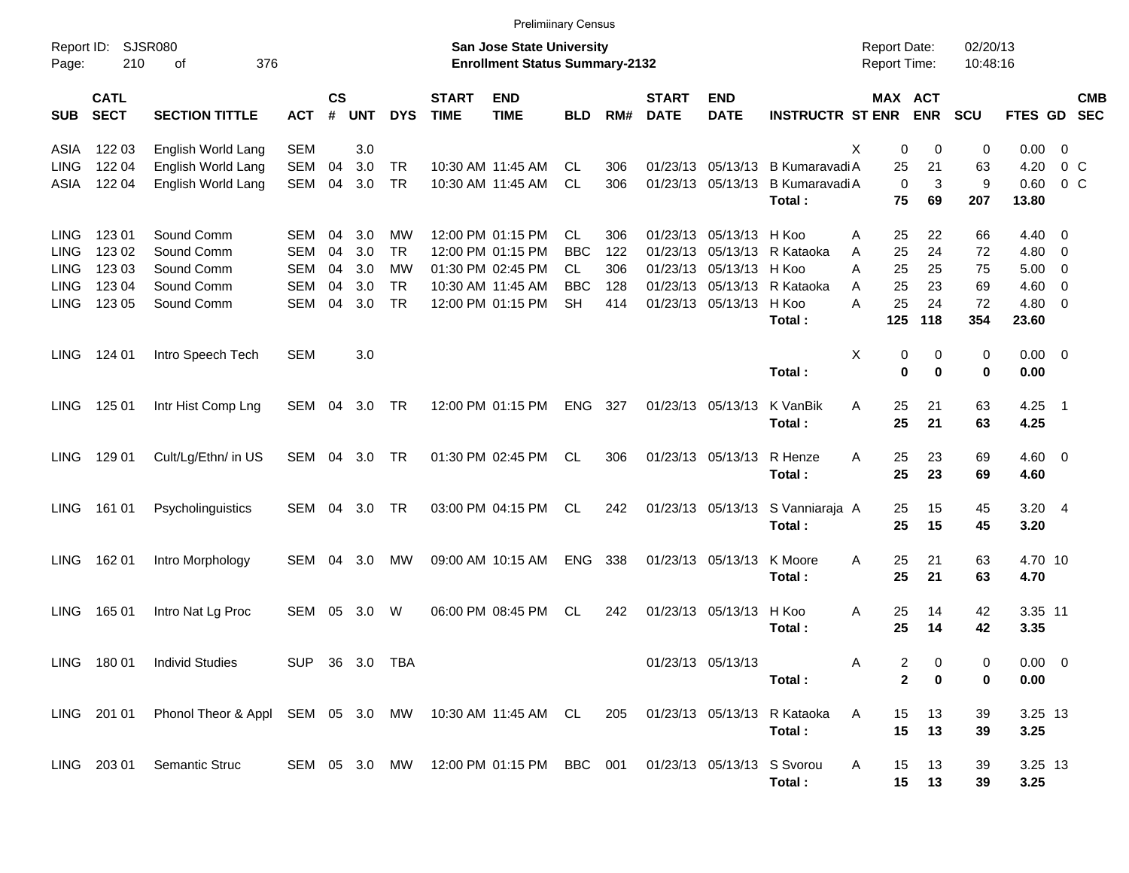|                     |                            |                                                                                        |                |                    |            |            |                             | <b>Prelimiinary Census</b>                                                |            |     |                             |                           |                                  |                                            |                          |                      |             |                          |            |
|---------------------|----------------------------|----------------------------------------------------------------------------------------|----------------|--------------------|------------|------------|-----------------------------|---------------------------------------------------------------------------|------------|-----|-----------------------------|---------------------------|----------------------------------|--------------------------------------------|--------------------------|----------------------|-------------|--------------------------|------------|
| Report ID:<br>Page: | 210                        | SJSR080<br>376<br>οf                                                                   |                |                    |            |            |                             | <b>San Jose State University</b><br><b>Enrollment Status Summary-2132</b> |            |     |                             |                           |                                  | <b>Report Date:</b><br><b>Report Time:</b> |                          | 02/20/13<br>10:48:16 |             |                          |            |
| <b>SUB</b>          | <b>CATL</b><br><b>SECT</b> | <b>SECTION TITTLE</b>                                                                  | <b>ACT</b>     | $\mathsf{cs}$<br># | <b>UNT</b> | <b>DYS</b> | <b>START</b><br><b>TIME</b> | <b>END</b><br><b>TIME</b>                                                 | <b>BLD</b> | RM# | <b>START</b><br><b>DATE</b> | <b>END</b><br><b>DATE</b> | <b>INSTRUCTR ST ENR</b>          | MAX ACT                                    | <b>ENR</b>               | <b>SCU</b>           | FTES GD SEC |                          | <b>CMB</b> |
| ASIA                | 122 03                     | English World Lang                                                                     | <b>SEM</b>     |                    | 3.0        |            |                             |                                                                           |            |     |                             |                           |                                  | X<br>$\mathbf 0$                           | 0                        | 0                    | 0.00        | $\overline{0}$           |            |
| <b>LING</b>         | 122 04                     | English World Lang                                                                     | SEM            | 04                 | 3.0        | <b>TR</b>  |                             | 10:30 AM 11:45 AM                                                         | <b>CL</b>  | 306 | 01/23/13                    |                           | 05/13/13 B Kumaravadi A          | 25                                         | 21                       | 63                   | 4.20        | $0\,C$                   |            |
| ASIA                | 122 04                     | English World Lang                                                                     | SEM            | 04                 | 3.0        | <b>TR</b>  |                             | 10:30 AM 11:45 AM                                                         | <b>CL</b>  | 306 |                             |                           | 01/23/13 05/13/13 B Kumaravadi A | $\Omega$                                   | 3                        | 9                    | 0.60        | $0\,C$                   |            |
|                     |                            |                                                                                        |                |                    |            |            |                             |                                                                           |            |     |                             |                           | Total:                           | 75                                         | 69                       | 207                  | 13.80       |                          |            |
| <b>LING</b>         | 123 01                     | Sound Comm                                                                             | SEM            | 04                 | 3.0        | МW         |                             | 12:00 PM 01:15 PM                                                         | <b>CL</b>  | 306 | 01/23/13                    | 05/13/13 H Koo            |                                  | 25<br>A                                    | 22                       | 66                   | 4.40        | $\overline{\phantom{0}}$ |            |
| LING                | 123 02                     | Sound Comm                                                                             | <b>SEM</b>     | 04                 | 3.0        | <b>TR</b>  |                             | 12:00 PM 01:15 PM                                                         | <b>BBC</b> | 122 | 01/23/13                    |                           | 05/13/13 R Kataoka               | 25<br>A                                    | 24                       | 72                   | $4.80\ 0$   |                          |            |
| LING                | 123 03                     | Sound Comm                                                                             | SEM            | 04                 | 3.0        | MW         |                             | 01:30 PM 02:45 PM                                                         | <b>CL</b>  | 306 | 01/23/13                    | 05/13/13 H Koo            |                                  | 25<br>A                                    | 25                       | 75                   | 5.00        | $\overline{\phantom{0}}$ |            |
| LING                | 123 04                     | Sound Comm                                                                             | SEM            | 04                 | 3.0        | <b>TR</b>  |                             | 10:30 AM 11:45 AM                                                         | <b>BBC</b> | 128 | 01/23/13                    |                           | 05/13/13 R Kataoka               | 25<br>A                                    | 23                       | 69                   | 4.60        | $\overline{\phantom{0}}$ |            |
| <b>LING</b>         | 123 05                     | Sound Comm                                                                             | SEM            | 04                 | 3.0        | <b>TR</b>  |                             | 12:00 PM 01:15 PM                                                         | <b>SH</b>  | 414 |                             | 01/23/13 05/13/13 H Koo   |                                  | 25<br>A                                    | 24                       | 72                   | $4.80\ 0$   |                          |            |
|                     |                            |                                                                                        |                |                    |            |            |                             |                                                                           |            |     |                             |                           | Total:                           | 125                                        | 118                      | 354                  | 23.60       |                          |            |
|                     |                            |                                                                                        |                |                    |            |            |                             |                                                                           |            |     |                             |                           |                                  |                                            |                          |                      |             |                          |            |
| LING                | 124 01                     | Intro Speech Tech                                                                      | <b>SEM</b>     |                    | 3.0        |            |                             |                                                                           |            |     |                             |                           |                                  | X<br>0                                     | 0                        | 0                    | $0.00 \t 0$ |                          |            |
|                     |                            |                                                                                        |                |                    |            |            |                             |                                                                           |            |     |                             |                           | Total:                           | $\bf{0}$                                   | $\bf{0}$                 | 0                    | 0.00        |                          |            |
| LING                | 125 01                     | Intr Hist Comp Lng                                                                     | SEM 04         |                    | 3.0        | TR         |                             | 12:00 PM 01:15 PM                                                         | ENG 327    |     |                             | 01/23/13 05/13/13         | K VanBik                         | 25<br>A                                    | 21                       | 63                   | $4.25$ 1    |                          |            |
|                     |                            |                                                                                        |                |                    |            |            |                             |                                                                           |            |     |                             |                           | Total:                           | 25                                         | 21                       | 63                   | 4.25        |                          |            |
|                     |                            |                                                                                        |                |                    |            |            |                             |                                                                           |            |     |                             |                           |                                  |                                            |                          |                      |             |                          |            |
| LING                | 129 01                     | Cult/Lg/Ethn/ in US                                                                    | SEM            |                    | 04 3.0     | TR         |                             | 01:30 PM 02:45 PM                                                         | CL.        | 306 |                             | 01/23/13 05/13/13 R Henze |                                  | 25<br>A                                    | 23                       | 69                   | $4.60 \ 0$  |                          |            |
|                     |                            |                                                                                        |                |                    |            |            |                             |                                                                           |            |     |                             |                           | Total:                           | 25                                         | 23                       | 69                   | 4.60        |                          |            |
| LING                | 161 01                     | Psycholinguistics                                                                      | SEM            | 04                 | 3.0        | <b>TR</b>  |                             | 03:00 PM 04:15 PM                                                         | <b>CL</b>  | 242 |                             |                           | 01/23/13 05/13/13 S Vanniaraja A | 25                                         | 15                       | 45                   | $3.20$ 4    |                          |            |
|                     |                            |                                                                                        |                |                    |            |            |                             |                                                                           |            |     |                             |                           | Total:                           | 25                                         | 15                       | 45                   | 3.20        |                          |            |
|                     |                            |                                                                                        |                |                    |            |            |                             |                                                                           |            |     |                             |                           |                                  |                                            |                          |                      |             |                          |            |
| LING                | 162 01                     | Intro Morphology                                                                       | SEM            | 04                 | 3.0        | MW         |                             | 09:00 AM 10:15 AM                                                         | ENG        | 338 |                             | 01/23/13 05/13/13         | K Moore                          | 25<br>A                                    | 21                       | 63                   | 4.70 10     |                          |            |
|                     |                            |                                                                                        |                |                    |            |            |                             |                                                                           |            |     |                             |                           | Total:                           | 25                                         | 21                       | 63                   | 4.70        |                          |            |
| <b>LING</b>         | 165 01                     | Intro Nat Lg Proc                                                                      | SEM 05         |                    | 3.0        | W          |                             | 06:00 PM 08:45 PM                                                         | <b>CL</b>  | 242 |                             | 01/23/13 05/13/13 H Koo   |                                  | 25<br>Α                                    | 14                       | 42                   | 3.35 11     |                          |            |
|                     |                            |                                                                                        |                |                    |            |            |                             |                                                                           |            |     |                             |                           | Total:                           | 25                                         | 14                       | 42                   | 3.35        |                          |            |
|                     |                            |                                                                                        |                |                    |            |            |                             |                                                                           |            |     |                             |                           |                                  |                                            |                          |                      |             |                          |            |
|                     | LING 180 01                | <b>Individ Studies</b>                                                                 | SUP 36 3.0 TBA |                    |            |            |                             |                                                                           |            |     |                             | 01/23/13 05/13/13         |                                  | Α<br>2                                     | 0                        |                      | $0.00 \t 0$ |                          |            |
|                     |                            |                                                                                        |                |                    |            |            |                             |                                                                           |            |     |                             |                           | Total:                           |                                            | $\mathbf{2}$<br>$\bf{0}$ | 0                    | 0.00        |                          |            |
|                     |                            |                                                                                        |                |                    |            |            |                             |                                                                           |            |     |                             |                           |                                  |                                            |                          |                      |             |                          |            |
|                     | LING 201 01                | Phonol Theor & Appl SEM 05 3.0 MW 10:30 AM 11:45 AM CL 205 01/23/13 05/13/13 R Kataoka |                |                    |            |            |                             |                                                                           |            |     |                             |                           |                                  | A<br>15                                    | 13                       | 39                   | 3.25 13     |                          |            |
|                     |                            |                                                                                        |                |                    |            |            |                             |                                                                           |            |     |                             |                           | Total:                           | 15                                         | 13                       | 39                   | 3.25        |                          |            |
|                     | LING 203 01                | <b>Semantic Struc</b>                                                                  |                |                    |            |            |                             | SEM 05 3.0 MW 12:00 PM 01:15 PM BBC 001 01/23/13 05/13/13 S Svorou        |            |     |                             |                           |                                  | A                                          | 15 13                    | 39                   | 3.25 13     |                          |            |
|                     |                            |                                                                                        |                |                    |            |            |                             |                                                                           |            |     |                             |                           | Total:                           |                                            | 15 13                    | 39                   | 3.25        |                          |            |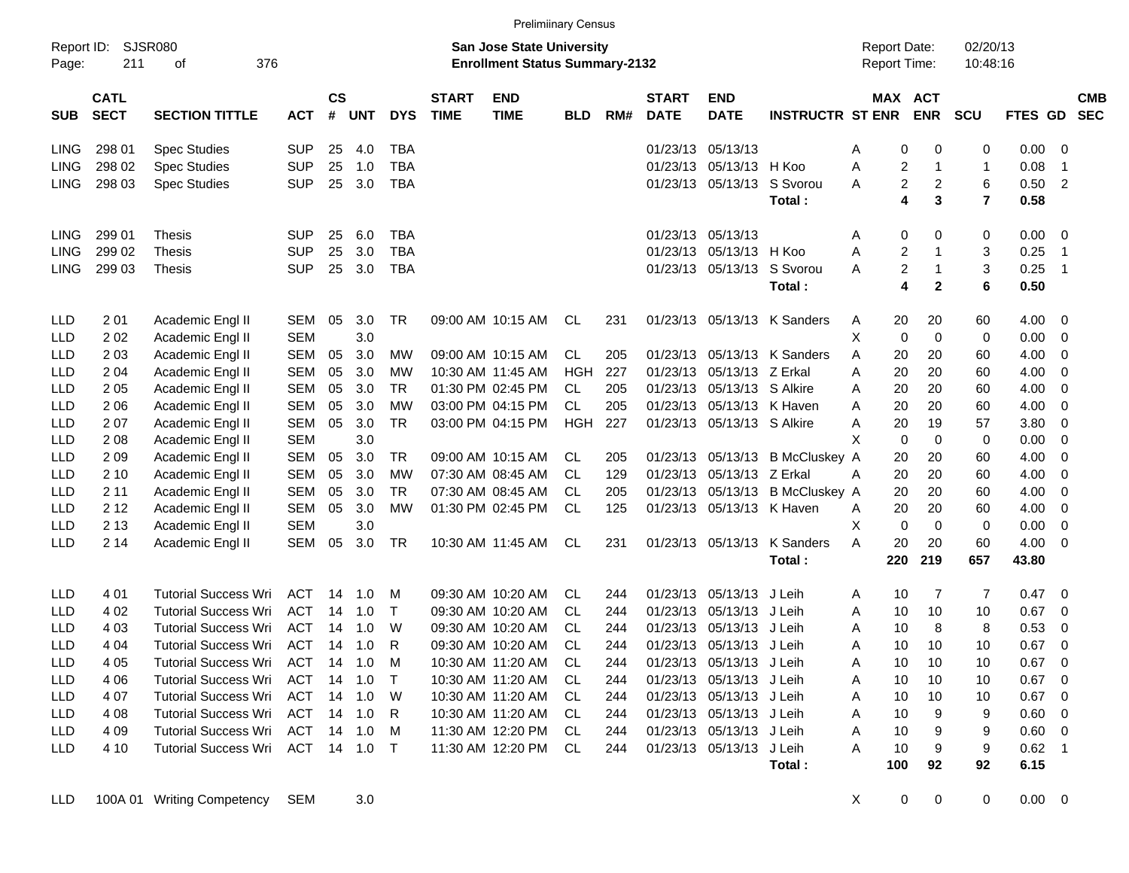|                     |                            |                             |              |                       |            |              |                             | <b>Prelimiinary Census</b>                                                |            |     |                             |                           |                         |                                     |                                           |                      |             |                            |                          |
|---------------------|----------------------------|-----------------------------|--------------|-----------------------|------------|--------------|-----------------------------|---------------------------------------------------------------------------|------------|-----|-----------------------------|---------------------------|-------------------------|-------------------------------------|-------------------------------------------|----------------------|-------------|----------------------------|--------------------------|
| Report ID:<br>Page: | 211                        | <b>SJSR080</b><br>376<br>οf |              |                       |            |              |                             | <b>San Jose State University</b><br><b>Enrollment Status Summary-2132</b> |            |     |                             |                           |                         | <b>Report Date:</b><br>Report Time: |                                           | 02/20/13<br>10:48:16 |             |                            |                          |
| <b>SUB</b>          | <b>CATL</b><br><b>SECT</b> | <b>SECTION TITTLE</b>       | <b>ACT</b>   | $\mathsf{cs}$<br>$\#$ | <b>UNT</b> | <b>DYS</b>   | <b>START</b><br><b>TIME</b> | <b>END</b><br><b>TIME</b>                                                 | <b>BLD</b> | RM# | <b>START</b><br><b>DATE</b> | <b>END</b><br><b>DATE</b> | <b>INSTRUCTR ST ENR</b> |                                     | MAX ACT<br><b>ENR</b>                     | <b>SCU</b>           | FTES GD     |                            | <b>CMB</b><br><b>SEC</b> |
| <b>LING</b>         | 298 01                     | <b>Spec Studies</b>         | <b>SUP</b>   | 25                    | 4.0        | TBA          |                             |                                                                           |            |     | 01/23/13                    | 05/13/13                  |                         | A                                   | 0<br>0                                    | 0                    | 0.00        | - 0                        |                          |
| <b>LING</b>         | 298 02                     | <b>Spec Studies</b>         | <b>SUP</b>   | 25                    | 1.0        | <b>TBA</b>   |                             |                                                                           |            |     | 01/23/13                    | 05/13/13                  | H Koo                   | A                                   | $\overline{c}$<br>$\overline{1}$          | 1                    | 0.08        | $\overline{1}$             |                          |
| <b>LING</b>         | 298 03                     | <b>Spec Studies</b>         | <b>SUP</b>   | 25                    | 3.0        | <b>TBA</b>   |                             |                                                                           |            |     | 01/23/13                    | 05/13/13                  | S Svorou                | A                                   | $\overline{c}$<br>$\overline{c}$          | 6                    | 0.50        | $\overline{2}$             |                          |
|                     |                            |                             |              |                       |            |              |                             |                                                                           |            |     |                             |                           | Total:                  |                                     | 3<br>4                                    | $\overline{7}$       | 0.58        |                            |                          |
| <b>LING</b>         | 299 01                     | Thesis                      | <b>SUP</b>   | 25                    | 6.0        | <b>TBA</b>   |                             |                                                                           |            |     | 01/23/13                    | 05/13/13                  |                         | A                                   | 0<br>0                                    | 0                    | 0.00        | - 0                        |                          |
| <b>LING</b>         | 299 02                     | <b>Thesis</b>               | <b>SUP</b>   | 25                    | 3.0        | <b>TBA</b>   |                             |                                                                           |            |     | 01/23/13                    | 05/13/13                  | H Koo                   | A                                   | $\overline{c}$<br>$\overline{1}$          | 3                    | 0.25        | $\overline{1}$             |                          |
| <b>LING</b>         | 299 03                     | <b>Thesis</b>               | <b>SUP</b>   | 25                    | 3.0        | <b>TBA</b>   |                             |                                                                           |            |     | 01/23/13                    | 05/13/13                  | S Svorou                | A                                   | $\overline{\mathbf{c}}$<br>$\overline{1}$ | 3                    | 0.25        | $\overline{\phantom{0}}$ 1 |                          |
|                     |                            |                             |              |                       |            |              |                             |                                                                           |            |     |                             |                           | Total:                  |                                     | $\mathbf{2}$<br>4                         | 6                    | 0.50        |                            |                          |
| LLD                 | 2 0 1                      | Academic Engl II            | SEM          | 05                    | 3.0        | <b>TR</b>    |                             | 09:00 AM 10:15 AM                                                         | CL         | 231 | 01/23/13                    |                           | 05/13/13 K Sanders      | 20<br>A                             | 20                                        | 60                   | 4.00        | 0                          |                          |
| <b>LLD</b>          | 202                        | Academic Engl II            | <b>SEM</b>   |                       | 3.0        |              |                             |                                                                           |            |     |                             |                           |                         | X<br>0                              | $\mathbf 0$                               | 0                    | 0.00        | $\mathbf 0$                |                          |
| <b>LLD</b>          | 203                        | Academic Engl II            | <b>SEM</b>   | 05                    | 3.0        | <b>MW</b>    |                             | 09:00 AM 10:15 AM                                                         | CL         | 205 | 01/23/13                    |                           | 05/13/13 K Sanders      | A<br>20                             | 20                                        | 60                   | 4.00        | 0                          |                          |
| LLD                 | 2 0 4                      | Academic Engl II            | <b>SEM</b>   | 05                    | 3.0        | <b>MW</b>    |                             | 10:30 AM 11:45 AM                                                         | <b>HGH</b> | 227 | 01/23/13                    | 05/13/13                  | Z Erkal                 | 20<br>A                             | 20                                        | 60                   | 4.00        | 0                          |                          |
| LLD                 | 2 0 5                      | Academic Engl II            | <b>SEM</b>   | 05                    | 3.0        | <b>TR</b>    |                             | 01:30 PM 02:45 PM                                                         | CL         | 205 | 01/23/13                    | 05/13/13 S Alkire         |                         | 20<br>A                             | 20                                        | 60                   | 4.00        | 0                          |                          |
| LLD                 | 206                        | Academic Engl II            | <b>SEM</b>   | 05                    | 3.0        | <b>MW</b>    |                             | 03:00 PM 04:15 PM                                                         | <b>CL</b>  | 205 | 01/23/13                    | 05/13/13 K Haven          |                         | 20<br>A                             | 20                                        | 60                   | 4.00        | 0                          |                          |
| LLD                 | 207                        | Academic Engl II            | <b>SEM</b>   | 05                    | 3.0        | <b>TR</b>    |                             | 03:00 PM 04:15 PM                                                         | <b>HGH</b> | 227 | 01/23/13                    | 05/13/13 S Alkire         |                         | 20<br>A                             | 19                                        | 57                   | 3.80        | 0                          |                          |
| LLD                 | 2 0 8                      | Academic Engl II            | <b>SEM</b>   |                       | 3.0        |              |                             |                                                                           |            |     |                             |                           |                         | X<br>0                              | 0                                         | 0                    | 0.00        | 0                          |                          |
| LLD                 | 209                        | Academic Engl II            | <b>SEM</b>   | 05                    | 3.0        | <b>TR</b>    |                             | 09:00 AM 10:15 AM                                                         | CL         | 205 | 01/23/13                    | 05/13/13                  | <b>B</b> McCluskey A    | 20                                  | 20                                        | 60                   | 4.00        | 0                          |                          |
| LLD                 | 2 10                       | Academic Engl II            | <b>SEM</b>   | 05                    | 3.0        | <b>MW</b>    |                             | 07:30 AM 08:45 AM                                                         | CL         | 129 | 01/23/13                    | 05/13/13                  | Z Erkal                 | 20<br>A                             | 20                                        | 60                   | 4.00        | 0                          |                          |
| <b>LLD</b>          | 2 1 1                      | Academic Engl II            | <b>SEM</b>   | 05                    | 3.0        | <b>TR</b>    |                             | 07:30 AM 08:45 AM                                                         | CL         | 205 | 01/23/13                    | 05/13/13                  | <b>B</b> McCluskey A    | 20                                  | 20                                        | 60                   | 4.00        | 0                          |                          |
| <b>LLD</b>          | 2 1 2                      | Academic Engl II            | <b>SEM</b>   | 05                    | 3.0        | <b>MW</b>    |                             | 01:30 PM 02:45 PM                                                         | CL         | 125 | 01/23/13                    | 05/13/13 K Haven          |                         | 20<br>A                             | 20                                        | 60                   | 4.00        | 0                          |                          |
| <b>LLD</b>          | 2 1 3                      | Academic Engl II            | <b>SEM</b>   |                       | 3.0        |              |                             |                                                                           |            |     |                             |                           |                         | X<br>0                              | $\mathbf 0$                               | 0                    | 0.00        | 0                          |                          |
| <b>LLD</b>          | 2 14                       | Academic Engl II            | <b>SEM</b>   | 05                    | 3.0        | TR           |                             | 10:30 AM 11:45 AM                                                         | CL         | 231 | 01/23/13                    | 05/13/13                  | <b>K</b> Sanders        | 20<br>A                             | 20                                        | 60                   | 4.00        | 0                          |                          |
|                     |                            |                             |              |                       |            |              |                             |                                                                           |            |     |                             |                           | Total:                  | 220                                 | 219                                       | 657                  | 43.80       |                            |                          |
| LLD                 | 4 0 1                      | <b>Tutorial Success Wri</b> | <b>ACT</b>   | 14                    | 1.0        | M            |                             | 09:30 AM 10:20 AM                                                         | CL         | 244 | 01/23/13                    | 05/13/13                  | J Leih                  | A<br>10                             | 7                                         | 7                    | 0.47        | 0                          |                          |
| <b>LLD</b>          | 4 0 2                      | <b>Tutorial Success Wri</b> | <b>ACT</b>   | 14                    | 1.0        | $\mathsf{T}$ |                             | 09:30 AM 10:20 AM                                                         | CL         | 244 | 01/23/13                    | 05/13/13                  | J Leih                  | 10<br>A                             | 10                                        | 10                   | 0.67        | 0                          |                          |
| LLD                 | 4 0 3                      | <b>Tutorial Success Wri</b> | <b>ACT</b>   | 14                    | 1.0        | W            |                             | 09:30 AM 10:20 AM                                                         | CL         | 244 | 01/23/13                    | 05/13/13                  | J Leih                  | 10<br>A                             | 8                                         | 8                    | 0.53        | 0                          |                          |
| <b>LLD</b>          | 404                        | <b>Tutorial Success Wri</b> | ACT          | 14                    | 1.0        | R            |                             | 09:30 AM 10:20 AM                                                         | <b>CL</b>  | 244 | 01/23/13                    | 05/13/13                  | J Leih                  | 10<br>A                             | 10                                        | 10                   | 0.67        | $\mathbf 0$                |                          |
| LLD                 | 4 0 5                      | <b>Tutorial Success Wri</b> | ACT          |                       |            | M            |                             | 10:30 AM 11:20 AM                                                         | CL.        | 244 |                             | 01/23/13 05/13/13 J Leih  |                         | A<br>10                             | 10                                        | 10                   | $0.67$ 0    |                            |                          |
| LLD                 | 4 0 6                      | <b>Tutorial Success Wri</b> | ACT          |                       | 14 1.0     | $\top$       |                             | 10:30 AM 11:20 AM                                                         | CL.        | 244 |                             | 01/23/13 05/13/13 J Leih  |                         | 10<br>A                             | 10                                        | 10                   | 0.67        | $\overline{\mathbf{0}}$    |                          |
| LLD                 | 4 0 7                      | <b>Tutorial Success Wri</b> | ACT 14 1.0   |                       |            | - W          |                             | 10:30 AM 11:20 AM                                                         | CL         | 244 |                             | 01/23/13 05/13/13 J Leih  |                         | A<br>10                             | 10                                        | 10                   | $0.67$ 0    |                            |                          |
| LLD                 | 4 08                       | <b>Tutorial Success Wri</b> | ACT 14 1.0   |                       |            | - R          |                             | 10:30 AM 11:20 AM                                                         | CL         | 244 |                             | 01/23/13 05/13/13 J Leih  |                         | A<br>10                             | 9                                         | 9                    | 0.60        | $\overline{\phantom{0}}$   |                          |
| LLD                 | 4 0 9                      | <b>Tutorial Success Wri</b> | ACT 14 1.0   |                       |            | M            |                             | 11:30 AM 12:20 PM                                                         | CL         | 244 |                             | 01/23/13 05/13/13 J Leih  |                         | 10<br>A                             | 9                                         | 9                    | $0.60 \t 0$ |                            |                          |
| LLD                 | 4 10                       | <b>Tutorial Success Wri</b> | ACT 14 1.0 T |                       |            |              |                             | 11:30 AM 12:20 PM                                                         | -CL        | 244 |                             | 01/23/13 05/13/13 J Leih  |                         | A<br>10                             | 9                                         | 9                    | $0.62$ 1    |                            |                          |
|                     |                            |                             |              |                       |            |              |                             |                                                                           |            |     |                             |                           | Total:                  | 100                                 | 92                                        | 92                   | 6.15        |                            |                          |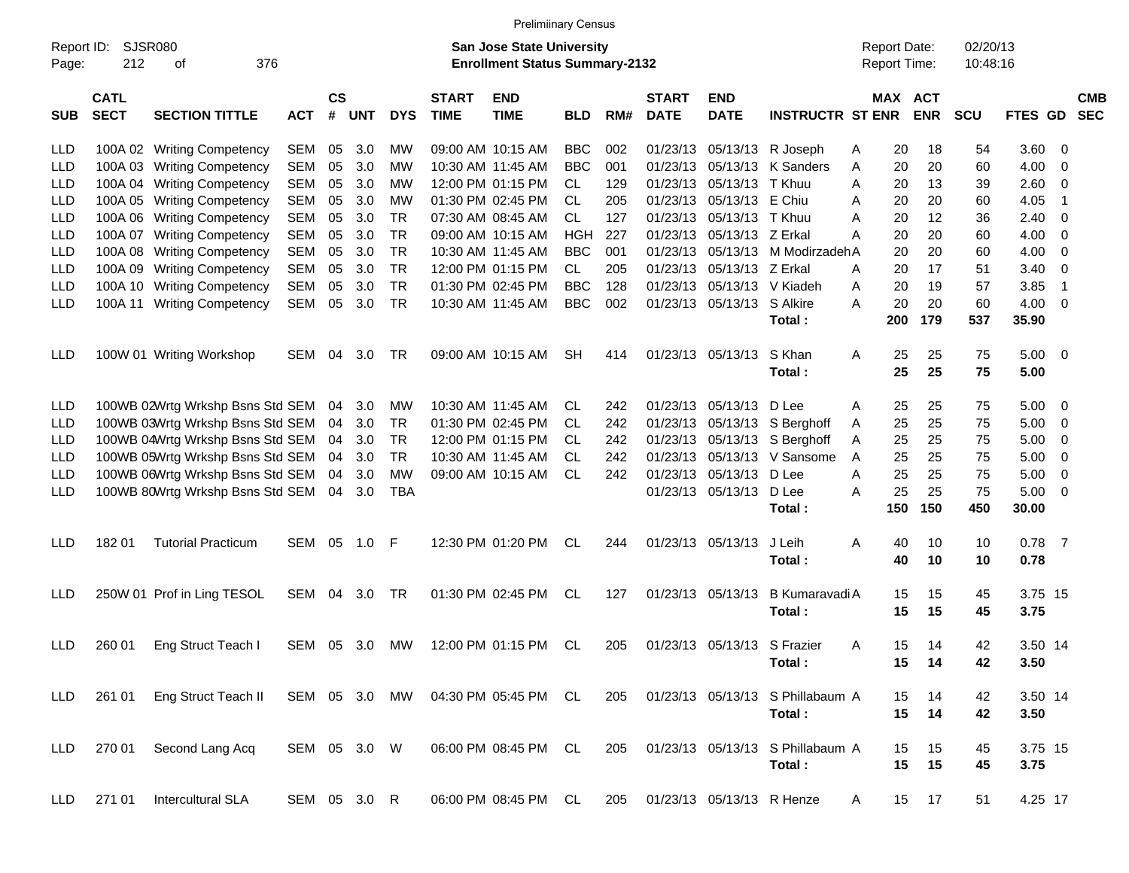|                     |                            |                                                                      |              |                    |            |               |                             | <b>Prelimiinary Census</b>                                                |            |            |                             |                                        |                                           |        |                                            |            |                      |                     |                         |                          |
|---------------------|----------------------------|----------------------------------------------------------------------|--------------|--------------------|------------|---------------|-----------------------------|---------------------------------------------------------------------------|------------|------------|-----------------------------|----------------------------------------|-------------------------------------------|--------|--------------------------------------------|------------|----------------------|---------------------|-------------------------|--------------------------|
| Report ID:<br>Page: | <b>SJSR080</b><br>212      | 376<br>οf                                                            |              |                    |            |               |                             | <b>San Jose State University</b><br><b>Enrollment Status Summary-2132</b> |            |            |                             |                                        |                                           |        | <b>Report Date:</b><br><b>Report Time:</b> |            | 02/20/13<br>10:48:16 |                     |                         |                          |
| <b>SUB</b>          | <b>CATL</b><br><b>SECT</b> | <b>SECTION TITTLE</b>                                                | <b>ACT</b>   | $\mathsf{cs}$<br># | <b>UNT</b> | <b>DYS</b>    | <b>START</b><br><b>TIME</b> | <b>END</b><br><b>TIME</b>                                                 | <b>BLD</b> | RM#        | <b>START</b><br><b>DATE</b> | <b>END</b><br><b>DATE</b>              | <b>INSTRUCTR ST ENR</b>                   |        | MAX ACT                                    | <b>ENR</b> | <b>SCU</b>           | <b>FTES GD</b>      |                         | <b>CMB</b><br><b>SEC</b> |
| LLD                 |                            | 100A 02 Writing Competency                                           | SEM          | 05                 | 3.0        | МW            |                             | 09:00 AM 10:15 AM                                                         | <b>BBC</b> | 002        | 01/23/13                    |                                        | 05/13/13 R Joseph                         | A      | 20                                         | 18         | 54                   | 3.60                | - 0                     |                          |
| LLD                 |                            | 100A 03 Writing Competency                                           | <b>SEM</b>   | 05                 | 3.0        | МW            |                             | 10:30 AM 11:45 AM                                                         | <b>BBC</b> | 001        | 01/23/13                    | 05/13/13                               | K Sanders                                 | A      | 20                                         | 20         | 60                   | 4.00                | 0                       |                          |
| LLD                 |                            | 100A 04 Writing Competency                                           | <b>SEM</b>   | 05                 | 3.0        | МW            |                             | 12:00 PM 01:15 PM                                                         | CL.        | 129        | 01/23/13                    | 05/13/13                               | T Khuu                                    | A      | 20                                         | 13         | 39                   | 2.60                | - 0                     |                          |
| LLD                 |                            | 100A 05 Writing Competency                                           | <b>SEM</b>   | 05                 | 3.0        | МW            |                             | 01:30 PM 02:45 PM                                                         | CL.        | 205        | 01/23/13                    | 05/13/13 E Chiu                        |                                           | A      | 20                                         | 20         | 60                   | 4.05                | $\mathbf 1$             |                          |
| LLD                 |                            | 100A 06 Writing Competency                                           | <b>SEM</b>   | 05                 | 3.0        | TR            |                             | 07:30 AM 08:45 AM                                                         | CL.        | 127        | 01/23/13                    | 05/13/13 T Khuu                        |                                           | A      | 20                                         | 12         | 36                   | 2.40                | 0                       |                          |
| LLD                 |                            | 100A 07 Writing Competency                                           | <b>SEM</b>   | 05                 | 3.0        | TR.           |                             | 09:00 AM 10:15 AM                                                         | HGH        | 227        | 01/23/13                    | 05/13/13 Z Erkal                       |                                           | A      | 20                                         | 20         | 60                   | 4.00                | - 0                     |                          |
| LLD                 |                            | 100A 08 Writing Competency                                           | <b>SEM</b>   | 05                 | 3.0        | <b>TR</b>     |                             | 10:30 AM 11:45 AM                                                         | <b>BBC</b> | 001        | 01/23/13                    |                                        | 05/13/13 M ModirzadehA                    |        | 20                                         | 20         | 60                   | 4.00                | - 0                     |                          |
| LLD                 |                            | 100A 09 Writing Competency                                           | <b>SEM</b>   | 05                 | 3.0        | TR            |                             | 12:00 PM 01:15 PM                                                         | CL.        | 205        | 01/23/13                    | 05/13/13 Z Erkal                       |                                           | A      | 20                                         | 17         | 51                   | 3.40                | - 0                     |                          |
| LLD                 |                            | 100A 10 Writing Competency                                           | <b>SEM</b>   | 05                 | 3.0        | <b>TR</b>     |                             | 01:30 PM 02:45 PM                                                         | <b>BBC</b> | 128        | 01/23/13                    |                                        | 05/13/13 V Kiadeh                         | A      | 20                                         | 19         | 57                   | 3.85                | $\mathbf 1$             |                          |
| LLD                 | 100A 11                    | <b>Writing Competency</b>                                            | SEM          | 05                 | 3.0        | <b>TR</b>     |                             | 10:30 AM 11:45 AM                                                         | <b>BBC</b> | 002        |                             | 01/23/13 05/13/13 S Alkire             |                                           | A      | 20                                         | 20         | 60                   | 4.00                | - 0                     |                          |
|                     |                            |                                                                      |              |                    |            |               |                             |                                                                           |            |            |                             |                                        | Total:                                    |        | 200                                        | 179        | 537                  | 35.90               |                         |                          |
| LLD                 |                            | 100W 01 Writing Workshop                                             | SEM 04       |                    | 3.0        | TR            |                             | 09:00 AM 10:15 AM                                                         | <b>SH</b>  | 414        |                             | 01/23/13 05/13/13                      | S Khan<br>Total:                          | Α      | 25<br>25                                   | 25<br>25   | 75<br>75             | $5.00 \t 0$<br>5.00 |                         |                          |
|                     |                            |                                                                      |              |                    |            |               |                             |                                                                           |            |            |                             | 01/23/13 05/13/13                      |                                           |        |                                            |            |                      |                     |                         |                          |
| <b>LLD</b>          |                            | 100WB 02Wrtg Wrkshp Bsns Std SEM                                     |              | 04                 | 3.0        | МW            |                             | 10:30 AM 11:45 AM<br>01:30 PM 02:45 PM                                    | CL.        | 242        |                             |                                        | D Lee                                     | A      | 25                                         | 25         | 75                   | 5.00                | - 0                     |                          |
| LLD                 |                            | 100WB 03Wrtg Wrkshp Bsns Std SEM                                     |              | 04                 | 3.0        | TR<br>TR      |                             | 12:00 PM 01:15 PM                                                         | CL         | 242<br>242 |                             | 01/23/13 05/13/13<br>01/23/13 05/13/13 | S Berghoff                                | A      | 25<br>25                                   | 25<br>25   | 75<br>75             | 5.00<br>5.00        | $\overline{\mathbf{0}}$ |                          |
| LLD                 |                            | 100WB 04Wrtg Wrkshp Bsns Std SEM<br>100WB 05Wrtg Wrkshp Bsns Std SEM |              | 04                 | 3.0        | TR            |                             | 10:30 AM 11:45 AM                                                         | CL.<br>CL. | 242        |                             |                                        | S Berghoff<br>01/23/13 05/13/13 V Sansome | A<br>A | 25                                         | 25         | 75                   | 5.00                | 0                       |                          |
| LLD<br>LLD          |                            | 100WB 06Wrtg Wrkshp Bsns Std SEM                                     |              | 04<br>04           | 3.0<br>3.0 | <b>MW</b>     |                             | 09:00 AM 10:15 AM                                                         | CL         | 242        |                             | 01/23/13 05/13/13                      | D Lee                                     | A      | 25                                         | 25         | 75                   | 5.00                | - 0<br>- 0              |                          |
| LLD                 |                            | 100WB 80Wrtg Wrkshp Bsns Std SEM                                     |              | 04                 | 3.0        | <b>TBA</b>    |                             |                                                                           |            |            |                             | 01/23/13 05/13/13                      | D Lee                                     | A      | 25                                         | 25         | 75                   | 5.00                | - 0                     |                          |
|                     |                            |                                                                      |              |                    |            |               |                             |                                                                           |            |            |                             |                                        | Total:                                    |        | 150                                        | 150        | 450                  | 30.00               |                         |                          |
| LLD                 | 182 01                     | <b>Tutorial Practicum</b>                                            | SEM 05       |                    | 1.0        | -F            |                             | 12:30 PM 01:20 PM                                                         | CL         | 244        |                             | 01/23/13 05/13/13                      | J Leih                                    | A      | 40                                         | 10         | 10                   | $0.78$ 7            |                         |                          |
|                     |                            |                                                                      |              |                    |            |               |                             |                                                                           |            |            |                             |                                        | Total:                                    |        | 40                                         | 10         | 10                   | 0.78                |                         |                          |
| LLD                 |                            | 250W 01 Prof in Ling TESOL                                           | SEM 04       |                    | 3.0        | TR            |                             | 01:30 PM 02:45 PM                                                         | CL         | 127        |                             | 01/23/13 05/13/13                      | B Kumaravadi A                            |        | 15                                         | 15         | 45                   | 3.75 15             |                         |                          |
|                     |                            |                                                                      |              |                    |            |               |                             |                                                                           |            |            |                             |                                        | Total:                                    |        | 15                                         | 15         | 45                   | 3.75                |                         |                          |
| LLD                 | 260 01                     | Eng Struct Teach I                                                   | SEM 05       |                    | 3.0        | МW            |                             | 12:00 PM 01:15 PM                                                         | CL         | 205        |                             | 01/23/13 05/13/13 S Frazier            |                                           | A      | 15                                         | 14         | 42                   | 3.50 14             |                         |                          |
|                     |                            |                                                                      |              |                    |            |               |                             |                                                                           |            |            |                             |                                        | Total:                                    |        | 15                                         | 14         | 42                   | 3.50                |                         |                          |
| LLD                 | 261 01                     | Eng Struct Teach II                                                  |              |                    |            | SEM 05 3.0 MW |                             | 04:30 PM 05:45 PM CL                                                      |            | 205        |                             |                                        | 01/23/13 05/13/13 S Phillabaum A          |        | 15                                         | 14         | 42                   | 3.50 14             |                         |                          |
|                     |                            |                                                                      |              |                    |            |               |                             |                                                                           |            |            |                             |                                        | Total:                                    |        | 15                                         | 14         | 42                   | 3.50                |                         |                          |
| <b>LLD</b>          | 270 01                     | Second Lang Acq                                                      | SEM 05 3.0 W |                    |            |               |                             | 06:00 PM 08:45 PM CL                                                      |            | 205        |                             |                                        | 01/23/13 05/13/13 S Phillabaum A          |        | 15                                         | 15         | 45                   | 3.75 15             |                         |                          |
|                     |                            |                                                                      |              |                    |            |               |                             |                                                                           |            |            |                             |                                        | Total:                                    |        | 15                                         | 15         | 45                   | 3.75                |                         |                          |
| LLD                 | 271 01                     | Intercultural SLA                                                    | SEM 05 3.0 R |                    |            |               |                             | 06:00 PM 08:45 PM CL                                                      |            | 205        |                             | 01/23/13 05/13/13 R Henze              |                                           | A      |                                            | 15 17      | 51                   | 4.25 17             |                         |                          |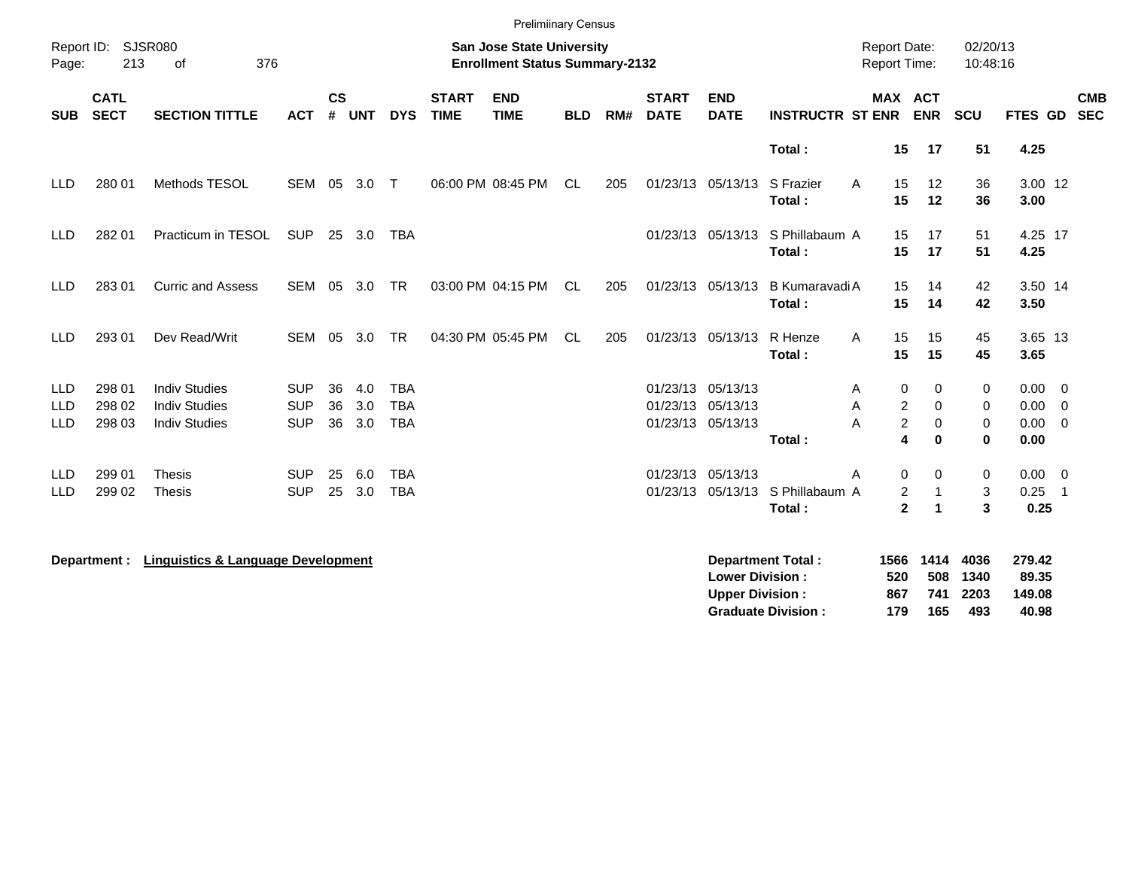|                                        |                            |                                                                      |                                        |                |                   |                                        |                             | <b>Prelimiinary Census</b>                                                |            |     |                             |                                                             |                                                       |                                            |                              |                             |                                                         |                          |
|----------------------------------------|----------------------------|----------------------------------------------------------------------|----------------------------------------|----------------|-------------------|----------------------------------------|-----------------------------|---------------------------------------------------------------------------|------------|-----|-----------------------------|-------------------------------------------------------------|-------------------------------------------------------|--------------------------------------------|------------------------------|-----------------------------|---------------------------------------------------------|--------------------------|
| Page:                                  | Report ID: SJSR080<br>213  | 376<br>of                                                            |                                        |                |                   |                                        |                             | <b>San Jose State University</b><br><b>Enrollment Status Summary-2132</b> |            |     |                             |                                                             |                                                       | <b>Report Date:</b><br><b>Report Time:</b> |                              | 02/20/13<br>10:48:16        |                                                         |                          |
| <b>SUB</b>                             | <b>CATL</b><br><b>SECT</b> | <b>SECTION TITTLE</b>                                                | <b>ACT</b>                             | <b>CS</b><br># | <b>UNT</b>        | <b>DYS</b>                             | <b>START</b><br><b>TIME</b> | <b>END</b><br><b>TIME</b>                                                 | <b>BLD</b> | RM# | <b>START</b><br><b>DATE</b> | <b>END</b><br><b>DATE</b>                                   | <b>INSTRUCTR ST ENR</b>                               | MAX ACT                                    | <b>ENR</b>                   | <b>SCU</b>                  | FTES GD                                                 | <b>CMB</b><br><b>SEC</b> |
|                                        |                            |                                                                      |                                        |                |                   |                                        |                             |                                                                           |            |     |                             |                                                             | Total:                                                | 15                                         | 17                           | 51                          | 4.25                                                    |                          |
| <b>LLD</b>                             | 280 01                     | Methods TESOL                                                        | <b>SEM</b>                             | 05             | 3.0               | $\top$                                 |                             | 06:00 PM 08:45 PM                                                         | <b>CL</b>  | 205 |                             | 01/23/13 05/13/13                                           | S Frazier<br>A<br>Total:                              | 15<br>15                                   | 12<br>12                     | 36<br>36                    | 3.00 12<br>3.00                                         |                          |
| <b>LLD</b>                             | 282 01                     | Practicum in TESOL                                                   | <b>SUP</b>                             |                | 25 3.0            | <b>TBA</b>                             |                             |                                                                           |            |     |                             | 01/23/13 05/13/13                                           | S Phillabaum A<br>Total:                              | 15<br>15                                   | 17<br>17                     | 51<br>51                    | 4.25 17<br>4.25                                         |                          |
| <b>LLD</b>                             | 283 01                     | <b>Curric and Assess</b>                                             | SEM 05                                 |                | 3.0               | <b>TR</b>                              |                             | 03:00 PM 04:15 PM                                                         | CL         | 205 |                             | 01/23/13 05/13/13                                           | <b>B KumaravadiA</b><br>Total:                        | 15<br>15                                   | 14<br>14                     | 42<br>42                    | 3.50 14<br>3.50                                         |                          |
| <b>LLD</b>                             | 293 01                     | Dev Read/Writ                                                        | SEM                                    | 05             | 3.0               | TR                                     |                             | 04:30 PM 05:45 PM                                                         | CL         | 205 |                             | 01/23/13 05/13/13                                           | R Henze<br>Α<br>Total:                                | 15<br>15                                   | 15<br>15                     | 45<br>45                    | 3.65 13<br>3.65                                         |                          |
| <b>LLD</b><br><b>LLD</b><br><b>LLD</b> | 298 01<br>298 02<br>298 03 | <b>Indiv Studies</b><br><b>Indiv Studies</b><br><b>Indiv Studies</b> | <b>SUP</b><br><b>SUP</b><br><b>SUP</b> | 36<br>36<br>36 | 4.0<br>3.0<br>3.0 | <b>TBA</b><br><b>TBA</b><br><b>TBA</b> |                             |                                                                           |            |     |                             | 01/23/13 05/13/13<br>01/23/13 05/13/13<br>01/23/13 05/13/13 | Α<br>Α<br>Α<br>Total:                                 | 0<br>2<br>$\overline{c}$<br>4              | 0<br>0<br>0<br>$\bf{0}$      | 0<br>0<br>0<br>$\bf{0}$     | $0.00 \t 0$<br>$0.00 \t 0$<br>$0.00 \t 0$<br>0.00       |                          |
| <b>LLD</b><br><b>LLD</b>               | 299 01<br>299 02           | <b>Thesis</b><br>Thesis                                              | <b>SUP</b><br><b>SUP</b>               | 25<br>25       | 6.0<br>3.0        | <b>TBA</b><br><b>TBA</b>               |                             |                                                                           |            |     | 01/23/13                    | 01/23/13 05/13/13                                           | A<br>05/13/13 S Phillabaum A<br>Total:                | 0<br>2<br>$\mathbf{2}$                     | $\Omega$<br>$\mathbf 1$<br>1 | 0<br>3<br>3                 | $0.00 \t 0$<br>0.25<br>$\overline{\phantom{1}}$<br>0.25 |                          |
|                                        | Department :               | <b>Linguistics &amp; Language Development</b>                        |                                        |                |                   |                                        |                             |                                                                           |            |     |                             | <b>Lower Division:</b><br><b>Upper Division:</b>            | <b>Department Total:</b><br><b>Graduate Division:</b> | 1566<br>520<br>867<br>179                  | 1414<br>508<br>741<br>165    | 4036<br>1340<br>2203<br>493 | 279.42<br>89.35<br>149.08<br>40.98                      |                          |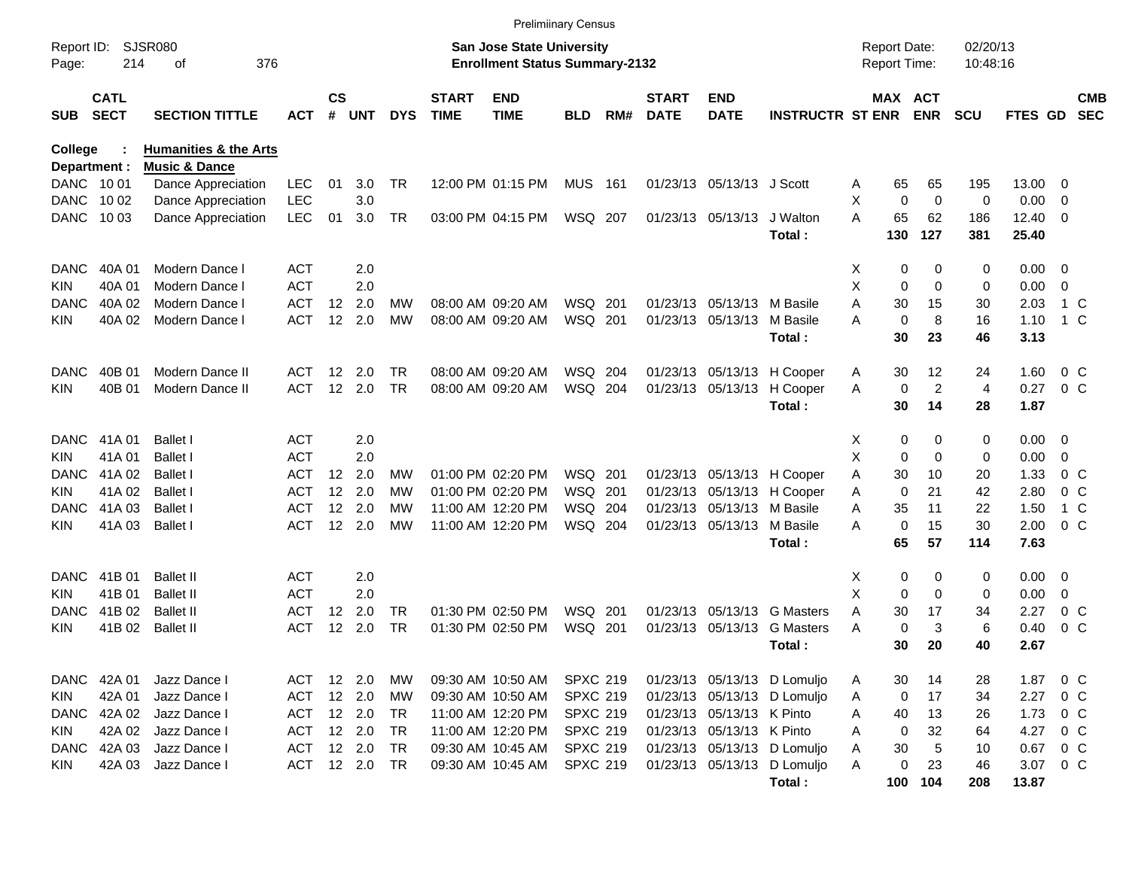|              |             |                                  |            |                   |               |            |              | <b>Prelimiinary Census</b>            |                 |     |              |                           |                             |    |                     |             |                |                |                                          |            |
|--------------|-------------|----------------------------------|------------|-------------------|---------------|------------|--------------|---------------------------------------|-----------------|-----|--------------|---------------------------|-----------------------------|----|---------------------|-------------|----------------|----------------|------------------------------------------|------------|
| Report ID:   |             | SJSR080                          |            |                   |               |            |              | <b>San Jose State University</b>      |                 |     |              |                           |                             |    | <b>Report Date:</b> |             | 02/20/13       |                |                                          |            |
| Page:        | 214         | 376<br>οf                        |            |                   |               |            |              | <b>Enrollment Status Summary-2132</b> |                 |     |              |                           |                             |    | <b>Report Time:</b> |             | 10:48:16       |                |                                          |            |
|              | <b>CATL</b> |                                  |            | <b>CS</b>         |               |            | <b>START</b> | <b>END</b>                            |                 |     | <b>START</b> | <b>END</b>                |                             |    |                     | MAX ACT     |                |                |                                          | <b>CMB</b> |
| <b>SUB</b>   | <b>SECT</b> | <b>SECTION TITTLE</b>            | <b>ACT</b> | #                 | <b>UNT</b>    | <b>DYS</b> | <b>TIME</b>  | <b>TIME</b>                           | <b>BLD</b>      | RM# | <b>DATE</b>  | <b>DATE</b>               | <b>INSTRUCTR ST ENR</b>     |    |                     | <b>ENR</b>  | <b>SCU</b>     | FTES GD        |                                          | <b>SEC</b> |
| College      |             | <b>Humanities &amp; the Arts</b> |            |                   |               |            |              |                                       |                 |     |              |                           |                             |    |                     |             |                |                |                                          |            |
| Department : |             | <b>Music &amp; Dance</b>         |            |                   |               |            |              |                                       |                 |     |              |                           |                             |    |                     |             |                |                |                                          |            |
| DANC 1001    |             | Dance Appreciation               | <b>LEC</b> | 01                | 3.0           | TR         |              | 12:00 PM 01:15 PM                     | <b>MUS 161</b>  |     |              | 01/23/13 05/13/13 J Scott |                             | A  | 65                  | 65          | 195            | 13.00          | - 0                                      |            |
| DANC         | 10 02       | Dance Appreciation               | <b>LEC</b> |                   | 3.0           |            |              |                                       |                 |     |              |                           |                             | X  | 0                   | $\mathbf 0$ | 0              | 0.00           | $\overline{0}$                           |            |
| DANC         | 10 03       | Dance Appreciation               | <b>LEC</b> | 01                | 3.0           | TR         |              | 03:00 PM 04:15 PM                     | WSQ 207         |     |              | 01/23/13 05/13/13         | J Walton                    | А  | 65                  | 62          | 186            | 12.40          | $\overline{\phantom{0}}$                 |            |
|              |             |                                  |            |                   |               |            |              |                                       |                 |     |              |                           | Total:                      |    | 130                 | 127         | 381            | 25.40          |                                          |            |
| DANC         | 40A 01      | Modern Dance I                   | <b>ACT</b> |                   | 2.0           |            |              |                                       |                 |     |              |                           |                             | X  | 0                   | 0           | 0              | 0.00           | $\overline{\phantom{0}}$                 |            |
| <b>KIN</b>   | 40A 01      | Modern Dance I                   | <b>ACT</b> |                   | 2.0           |            |              |                                       |                 |     |              |                           |                             | X  | 0                   | $\Omega$    | 0              | 0.00           | $\overline{0}$                           |            |
| <b>DANC</b>  | 40A 02      | Modern Dance I                   | <b>ACT</b> | $12 \overline{ }$ | 2.0           | МW         |              | 08:00 AM 09:20 AM                     | WSQ 201         |     |              | 01/23/13 05/13/13         | M Basile                    | Α  | 30                  | 15          | 30             | 2.03           | 1 C                                      |            |
| <b>KIN</b>   | 40A 02      | Modern Dance I                   | <b>ACT</b> |                   | 12 2.0        | <b>MW</b>  |              | 08:00 AM 09:20 AM                     | WSQ 201         |     |              | 01/23/13 05/13/13         | M Basile                    | А  | $\mathbf 0$         | 8           | 16             | 1.10           | 1 C                                      |            |
|              |             |                                  |            |                   |               |            |              |                                       |                 |     |              |                           | Total:                      |    | 30                  | 23          | 46             | 3.13           |                                          |            |
| <b>DANC</b>  | 40B 01      | Modern Dance II                  | ACT        | $12 \overline{ }$ | - 2.0         | TR         |              | 08:00 AM 09:20 AM                     | WSQ 204         |     |              | 01/23/13 05/13/13         | H Cooper                    | A  | 30                  | 12          | 24             | 1.60           | 0 C                                      |            |
| <b>KIN</b>   | 40B 01      | Modern Dance II                  | <b>ACT</b> |                   | 12 2.0        | <b>TR</b>  |              | 08:00 AM 09:20 AM                     | WSQ 204         |     |              | 01/23/13 05/13/13         | H Cooper                    | A  | 0                   | 2           | $\overline{4}$ | 0.27           | $0\,C$                                   |            |
|              |             |                                  |            |                   |               |            |              |                                       |                 |     |              |                           | Total:                      |    | 30                  | 14          | 28             | 1.87           |                                          |            |
| <b>DANC</b>  | 41A 01      | <b>Ballet I</b>                  | <b>ACT</b> |                   | 2.0           |            |              |                                       |                 |     |              |                           |                             | X. | 0                   | 0           | 0              | $0.00 \t 0$    |                                          |            |
| KIN.         | 41A 01      | <b>Ballet I</b>                  | <b>ACT</b> |                   | 2.0           |            |              |                                       |                 |     |              |                           |                             | X  | 0                   | $\Omega$    | 0              | 0.00           | 0                                        |            |
| <b>DANC</b>  | 41A 02      | <b>Ballet I</b>                  | <b>ACT</b> | $12 \overline{ }$ | 2.0           | МW         |              | 01:00 PM 02:20 PM                     | WSQ 201         |     |              | 01/23/13 05/13/13         | H Cooper                    | Α  | 30                  | 10          | 20             | 1.33           | 0 <sup>o</sup>                           |            |
| <b>KIN</b>   | 41A 02      | <b>Ballet I</b>                  | <b>ACT</b> | 12                | 2.0           | МW         |              | 01:00 PM 02:20 PM                     | WSQ 201         |     |              | 01/23/13 05/13/13         | H Cooper                    | A  | 0                   | 21          | 42             | 2.80           | 0 <sup>o</sup>                           |            |
| <b>DANC</b>  | 41A 03      | <b>Ballet I</b>                  | ACT        | 12                | 2.0           | МW         |              | 11:00 AM 12:20 PM                     | WSQ 204         |     |              | 01/23/13 05/13/13         | M Basile                    | Α  | 35                  | 11          | 22             | 1.50           | 1 C                                      |            |
| <b>KIN</b>   | 41A 03      | <b>Ballet I</b>                  | <b>ACT</b> |                   | 12 2.0        | МW         |              | 11:00 AM 12:20 PM                     | WSQ 204         |     |              | 01/23/13 05/13/13         | M Basile                    | Α  | $\mathbf 0$         | 15          | 30             | 2.00           | 0 <sup>o</sup>                           |            |
|              |             |                                  |            |                   |               |            |              |                                       |                 |     |              |                           | Total:                      |    | 65                  | 57          | 114            | 7.63           |                                          |            |
| <b>DANC</b>  | 41B 01      | <b>Ballet II</b>                 | <b>ACT</b> |                   | 2.0           |            |              |                                       |                 |     |              |                           |                             | X. | 0                   | 0           | 0              | $0.00 \quad 0$ |                                          |            |
| KIN.         | 41B 01      | <b>Ballet II</b>                 | <b>ACT</b> |                   | 2.0           |            |              |                                       |                 |     |              |                           |                             | X  | 0                   | 0           | 0              | 0.00           | 0                                        |            |
| DANC         | 41B 02      | <b>Ballet II</b>                 | <b>ACT</b> | 12                | 2.0           | TR         |              | 01:30 PM 02:50 PM                     | WSQ 201         |     |              | 01/23/13 05/13/13         | <b>G</b> Masters            | Α  | 30                  | 17          | 34             | 2.27           | $0\,C$                                   |            |
| <b>KIN</b>   | 41B 02      | <b>Ballet II</b>                 | <b>ACT</b> | 12                | 2.0           | <b>TR</b>  |              | 01:30 PM 02:50 PM                     | WSQ 201         |     |              | 01/23/13 05/13/13         | <b>G</b> Masters            | Α  | 0                   | 3           | 6              | 0.40           | $0\,$ C                                  |            |
|              |             |                                  |            |                   |               |            |              |                                       |                 |     |              |                           | Total :                     |    | 30                  | 20          | 40             | 2.67           |                                          |            |
|              | DANC 42A 01 | Jazz Dance I                     | ACT 12 2.0 |                   |               | МW         |              | 09:30 AM 10:50 AM                     | <b>SPXC 219</b> |     |              |                           | 01/23/13 05/13/13 D Lomuljo | A  | 30                  | 14          | 28             | 1.87           | $\begin{array}{ccc} & 0 & C \end{array}$ |            |
| <b>KIN</b>   | 42A 01      | Jazz Dance I                     | ACT        |                   | 12 2.0        | МW         |              | 09:30 AM 10:50 AM                     | <b>SPXC 219</b> |     |              |                           | 01/23/13 05/13/13 D Lomuljo | A  | 0                   | 17          | 34             | 2.27           | 0 C                                      |            |
| DANC         | 42A 02      | Jazz Dance I                     | ACT        |                   | 12 2.0        | TR.        |              | 11:00 AM 12:20 PM                     | <b>SPXC 219</b> |     |              | 01/23/13 05/13/13 K Pinto |                             | Α  | 40                  | 13          | 26             | 1.73           | $0\,$ C                                  |            |
| KIN          | 42A 02      | Jazz Dance I                     | ACT        |                   | 12 2.0        | TR         |              | 11:00 AM 12:20 PM                     | <b>SPXC 219</b> |     |              | 01/23/13 05/13/13 K Pinto |                             | Α  | 0                   | 32          | 64             | 4.27           | 0 C                                      |            |
| DANC         | 42A 03      | Jazz Dance I                     | <b>ACT</b> |                   | 12 2.0        | TR         |              | 09:30 AM 10:45 AM                     | <b>SPXC 219</b> |     |              |                           | 01/23/13 05/13/13 D Lomuljo | Α  | $30\,$              | 5           | 10             | 0.67           | 0 C                                      |            |
| <b>KIN</b>   | 42A 03      | Jazz Dance I                     |            |                   | ACT 12 2.0 TR |            |              | 09:30 AM 10:45 AM                     | <b>SPXC 219</b> |     |              |                           | 01/23/13 05/13/13 D Lomuljo | Α  | 0                   | 23          | 46             | 3.07 0 C       |                                          |            |
|              |             |                                  |            |                   |               |            |              |                                       |                 |     |              |                           | Total:                      |    | 100                 | 104         | 208            | 13.87          |                                          |            |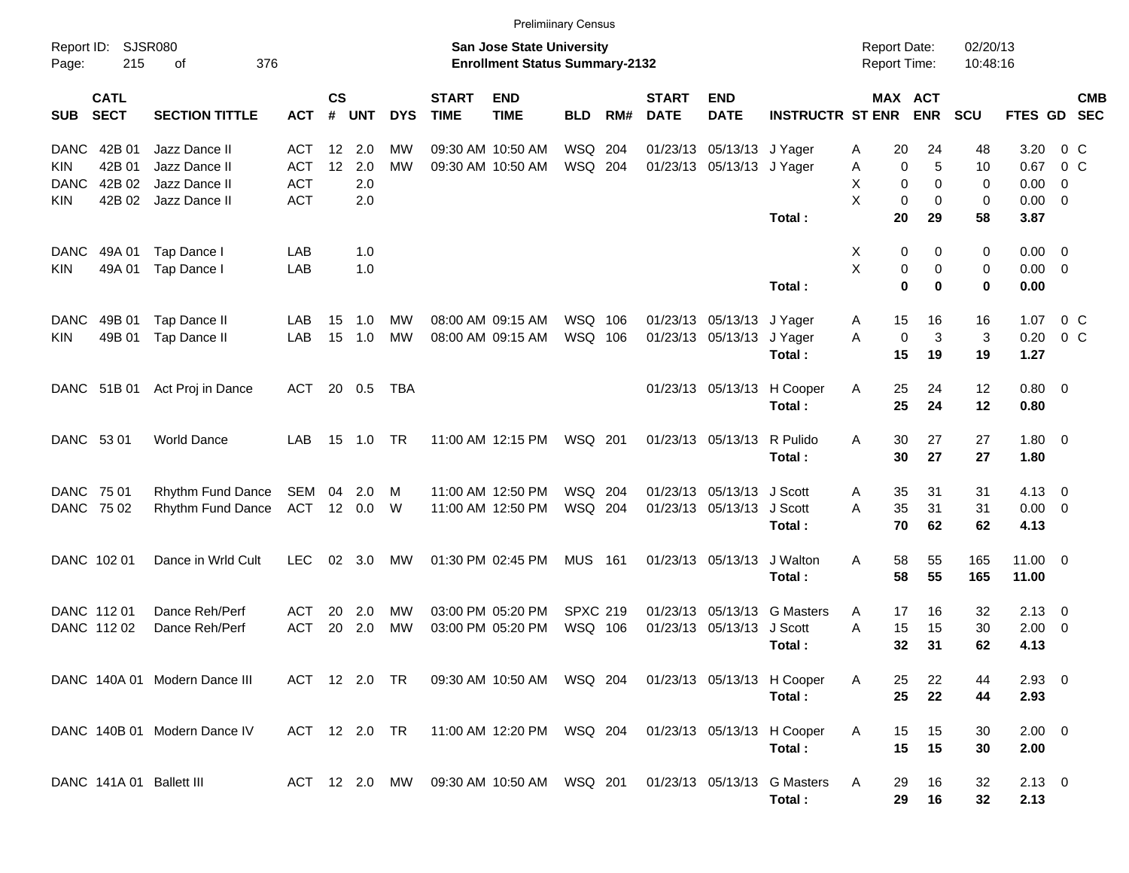|                                          |                               |               |                |                |                 |                             | <b>Prelimiinary Census</b>                                                |                 |     |                             |                           |                             |                                            |                       |                      |                |                |            |
|------------------------------------------|-------------------------------|---------------|----------------|----------------|-----------------|-----------------------------|---------------------------------------------------------------------------|-----------------|-----|-----------------------------|---------------------------|-----------------------------|--------------------------------------------|-----------------------|----------------------|----------------|----------------|------------|
| Report ID:<br>215<br>Page:               | SJSR080<br>376<br>of          |               |                |                |                 |                             | <b>San Jose State University</b><br><b>Enrollment Status Summary-2132</b> |                 |     |                             |                           |                             | <b>Report Date:</b><br><b>Report Time:</b> |                       | 02/20/13<br>10:48:16 |                |                |            |
| <b>CATL</b><br><b>SECT</b><br><b>SUB</b> | <b>SECTION TITTLE</b>         | <b>ACT</b>    | <b>CS</b><br># | UNT            | <b>DYS</b>      | <b>START</b><br><b>TIME</b> | <b>END</b><br><b>TIME</b>                                                 | <b>BLD</b>      | RM# | <b>START</b><br><b>DATE</b> | <b>END</b><br><b>DATE</b> | <b>INSTRUCTR ST ENR</b>     |                                            | MAX ACT<br><b>ENR</b> | <b>SCU</b>           | FTES GD SEC    |                | <b>CMB</b> |
| 42B 01<br><b>DANC</b>                    | Jazz Dance II                 | <b>ACT</b>    | $12 \,$        | 2.0            | МW              |                             | 09:30 AM 10:50 AM                                                         | WSQ 204         |     |                             | 01/23/13 05/13/13 J Yager |                             | 20<br>Α                                    | 24                    | 48                   | 3.20           | 0 <sup>o</sup> |            |
| 42B 01<br><b>KIN</b>                     | Jazz Dance II                 | <b>ACT</b>    | 12             | 2.0            | <b>MW</b>       |                             | 09:30 AM 10:50 AM                                                         | WSQ 204         |     |                             | 01/23/13 05/13/13 J Yager |                             | 0<br>Α                                     | 5                     | 10                   | 0.67           | $0\,$ C        |            |
| 42B 02<br><b>DANC</b>                    | Jazz Dance II                 | <b>ACT</b>    |                | 2.0            |                 |                             |                                                                           |                 |     |                             |                           |                             | Χ<br>0                                     | $\Omega$              | 0                    | 0.00           | - 0            |            |
| 42B 02<br><b>KIN</b>                     | Jazz Dance II                 | <b>ACT</b>    |                | 2.0            |                 |                             |                                                                           |                 |     |                             |                           |                             | X<br>0                                     | 0                     | 0                    | $0.00 \t 0$    |                |            |
|                                          |                               |               |                |                |                 |                             |                                                                           |                 |     |                             |                           | Total:                      | 20                                         | 29                    | 58                   | 3.87           |                |            |
| <b>DANC</b><br>49A 01                    | Tap Dance I                   | LAB           |                | 1.0            |                 |                             |                                                                           |                 |     |                             |                           |                             | X<br>0                                     | 0                     | 0                    | $0.00 \t 0$    |                |            |
| 49A 01<br><b>KIN</b>                     | Tap Dance I                   | LAB           |                | 1.0            |                 |                             |                                                                           |                 |     |                             |                           |                             | X<br>0                                     | 0                     | 0                    | $0.00 \t 0$    |                |            |
|                                          |                               |               |                |                |                 |                             |                                                                           |                 |     |                             |                           | Total:                      | $\mathbf{0}$                               | $\bf{0}$              | 0                    | 0.00           |                |            |
|                                          |                               |               |                |                |                 |                             |                                                                           |                 |     |                             |                           |                             |                                            |                       |                      |                |                |            |
| <b>DANC</b><br>49B 01                    | Tap Dance II                  | LAB           | 15             | 1.0            | МW<br><b>MW</b> |                             | 08:00 AM 09:15 AM                                                         | WSQ 106         |     |                             | 01/23/13 05/13/13 J Yager |                             | 15<br>A                                    | 16                    | 16                   | 1.07           | $0\,$ C        |            |
| 49B 01<br><b>KIN</b>                     | Tap Dance II                  | LAB           | 15             | 1.0            |                 |                             | 08:00 AM 09:15 AM                                                         | WSQ 106         |     |                             | 01/23/13 05/13/13         | J Yager<br>Total:           | 0<br>A<br>15                               | 3<br>19               | 3<br>19              | 0.20<br>1.27   | 0 <sup>o</sup> |            |
|                                          |                               |               |                |                |                 |                             |                                                                           |                 |     |                             |                           |                             |                                            |                       |                      |                |                |            |
| DANC 51B 01                              | Act Proj in Dance             | ACT           |                | 20 0.5         | TBA             |                             |                                                                           |                 |     |                             | 01/23/13 05/13/13         | H Cooper                    | 25<br>Α                                    | 24                    | 12                   | $0.80 \ 0$     |                |            |
|                                          |                               |               |                |                |                 |                             |                                                                           |                 |     |                             |                           | Total:                      | 25                                         | 24                    | 12                   | 0.80           |                |            |
|                                          |                               |               |                |                |                 |                             |                                                                           |                 |     |                             |                           |                             |                                            |                       |                      |                |                |            |
| DANC 53 01                               | <b>World Dance</b>            | LAB           | 15             | 1.0            | TR              |                             | 11:00 AM 12:15 PM                                                         | WSQ 201         |     |                             | 01/23/13 05/13/13         | R Pulido                    | 30<br>A                                    | 27                    | 27                   | $1.80 \ 0$     |                |            |
|                                          |                               |               |                |                |                 |                             |                                                                           |                 |     |                             |                           | Total:                      | 30                                         | 27                    | 27                   | 1.80           |                |            |
| DANC 75 01                               | Rhythm Fund Dance             | SEM           | 04             | 2.0            | M               |                             | 11:00 AM 12:50 PM                                                         | WSQ 204         |     |                             | 01/23/13 05/13/13 J Scott |                             | 35<br>A                                    | 31                    | 31                   | $4.13 \quad 0$ |                |            |
| DANC 75 02                               | Rhythm Fund Dance             | ACT           |                | 12 0.0         | W               |                             | 11:00 AM 12:50 PM                                                         | WSQ 204         |     |                             | 01/23/13 05/13/13         | J Scott                     | 35<br>A                                    | 31                    | 31                   | $0.00 \t 0$    |                |            |
|                                          |                               |               |                |                |                 |                             |                                                                           |                 |     |                             |                           | Total:                      | 70                                         | 62                    | 62                   | 4.13           |                |            |
| DANC 102 01                              | Dance in Wrld Cult            | <b>LEC</b>    |                | $02 \quad 3.0$ | MW              |                             | 01:30 PM 02:45 PM                                                         | <b>MUS 161</b>  |     |                             | 01/23/13 05/13/13         | J Walton                    | 58<br>A                                    | 55                    | 165                  | $11.00 \t 0$   |                |            |
|                                          |                               |               |                |                |                 |                             |                                                                           |                 |     |                             |                           | Total:                      | 58                                         | 55                    | 165                  | 11.00          |                |            |
|                                          |                               |               |                |                |                 |                             |                                                                           |                 |     |                             |                           |                             |                                            |                       |                      |                |                |            |
| DANC 11201                               | Dance Reh/Perf                | ACT           | 20             | 2.0            | МW              |                             | 03:00 PM 05:20 PM                                                         | <b>SPXC 219</b> |     |                             |                           | 01/23/13 05/13/13 G Masters | Α<br>17                                    | 16                    | 32                   | $2.13 \quad 0$ |                |            |
| DANC 112 02                              | Dance Reh/Perf                | <b>ACT</b>    | 20             | 2.0            | <b>MW</b>       |                             | 03:00 PM 05:20 PM                                                         | WSQ 106         |     |                             | 01/23/13 05/13/13         | J Scott                     | A<br>15                                    | 15                    | 30                   | $2.00 \t 0$    |                |            |
|                                          |                               |               |                |                |                 |                             |                                                                           |                 |     |                             |                           | Total :                     | 32                                         | 31                    | 62                   | 4.13           |                |            |
|                                          | DANC 140A 01 Modern Dance III |               |                |                |                 |                             | ACT 12 2.0 TR 09:30 AM 10:50 AM WSQ 204 01/23/13 05/13/13 H Cooper        |                 |     |                             |                           |                             | A<br>25                                    | 22                    | 44                   | $2.93$ 0       |                |            |
|                                          |                               |               |                |                |                 |                             |                                                                           |                 |     |                             |                           | Total:                      | 25                                         | 22                    | 44                   | 2.93           |                |            |
|                                          |                               |               |                |                |                 |                             |                                                                           |                 |     |                             |                           |                             |                                            |                       |                      |                |                |            |
|                                          | DANC 140B 01 Modern Dance IV  | ACT 12 2.0 TR |                |                |                 |                             |                                                                           |                 |     |                             |                           | 01/23/13 05/13/13 H Cooper  | Α<br>15                                    | 15                    | 30                   | $2.00 \t 0$    |                |            |
|                                          |                               |               |                |                |                 |                             |                                                                           |                 |     |                             |                           | Total:                      | 15                                         | 15                    | 30                   | 2.00           |                |            |
| DANC 141A 01 Ballett III                 |                               |               |                |                |                 |                             | ACT 12 2.0 MW 09:30 AM 10:50 AM WSQ 201                                   |                 |     |                             |                           | 01/23/13 05/13/13 G Masters | 29<br>A                                    | 16                    | 32                   | $2.13 \t 0$    |                |            |
|                                          |                               |               |                |                |                 |                             |                                                                           |                 |     |                             |                           | Total:                      | 29                                         | 16                    | 32                   | 2.13           |                |            |
|                                          |                               |               |                |                |                 |                             |                                                                           |                 |     |                             |                           |                             |                                            |                       |                      |                |                |            |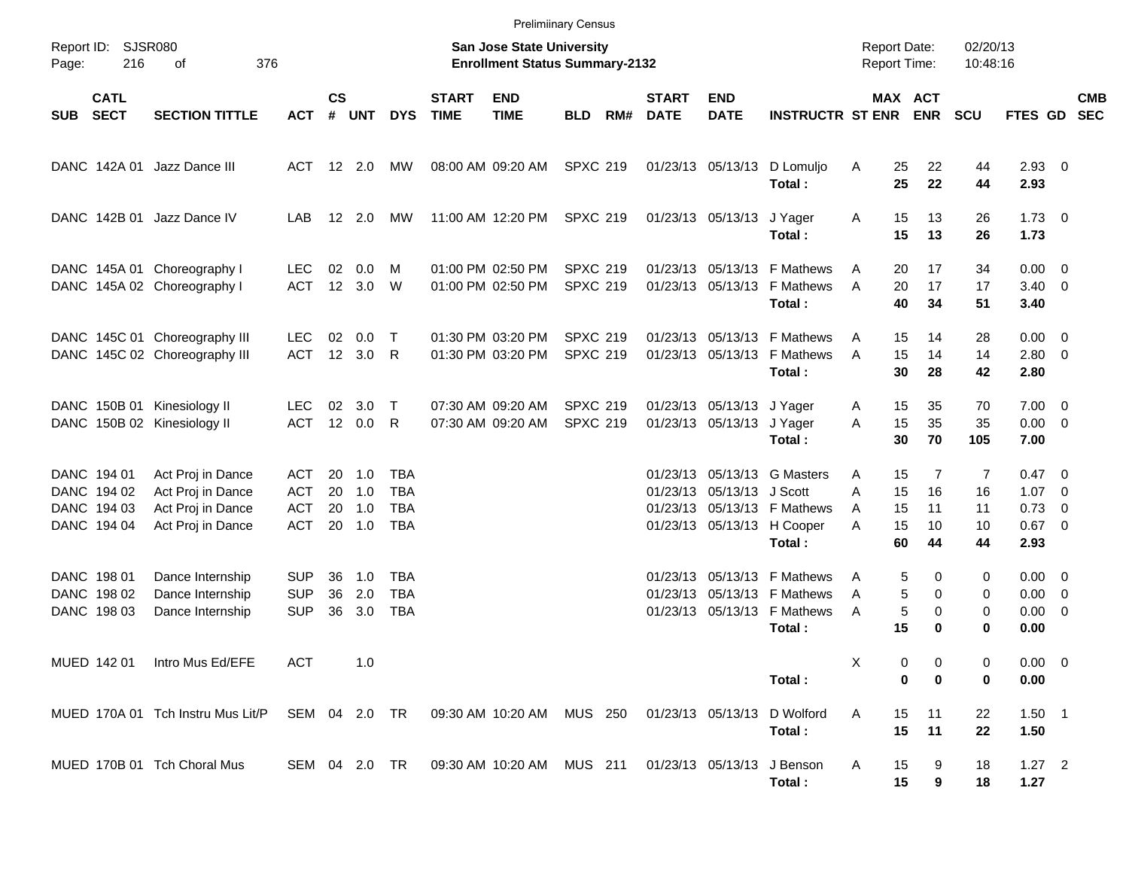|            |                                                          |                                                                                  |                                        |                    |                             |                                        |                             | <b>Prelimiinary Census</b>                                         |                                    |     |                             |                                                        |                                                                                                     |                     |                                                         |                           |                                                                     |                          |
|------------|----------------------------------------------------------|----------------------------------------------------------------------------------|----------------------------------------|--------------------|-----------------------------|----------------------------------------|-----------------------------|--------------------------------------------------------------------|------------------------------------|-----|-----------------------------|--------------------------------------------------------|-----------------------------------------------------------------------------------------------------|---------------------|---------------------------------------------------------|---------------------------|---------------------------------------------------------------------|--------------------------|
| Page:      | Report ID: SJSR080<br>216                                | 376<br>οf                                                                        |                                        |                    |                             |                                        |                             | San Jose State University<br><b>Enrollment Status Summary-2132</b> |                                    |     |                             |                                                        |                                                                                                     | <b>Report Date:</b> | <b>Report Time:</b>                                     | 02/20/13<br>10:48:16      |                                                                     |                          |
| <b>SUB</b> | <b>CATL</b><br><b>SECT</b>                               | <b>SECTION TITTLE</b>                                                            | ACT                                    | $\mathsf{cs}$<br># | UNT                         | <b>DYS</b>                             | <b>START</b><br><b>TIME</b> | <b>END</b><br><b>TIME</b>                                          | <b>BLD</b>                         | RM# | <b>START</b><br><b>DATE</b> | <b>END</b><br><b>DATE</b>                              | <b>INSTRUCTR ST ENR</b>                                                                             |                     | MAX ACT<br><b>ENR</b>                                   | <b>SCU</b>                | <b>FTES GD</b>                                                      | <b>CMB</b><br><b>SEC</b> |
|            |                                                          | DANC 142A 01 Jazz Dance III                                                      | ACT 12 2.0                             |                    |                             | МW                                     |                             | 08:00 AM 09:20 AM                                                  | <b>SPXC 219</b>                    |     |                             | 01/23/13 05/13/13                                      | D Lomuljo<br>Total:                                                                                 | Α                   | 25<br>22<br>25<br>22                                    | 44<br>44                  | $2.93$ 0<br>2.93                                                    |                          |
|            |                                                          | DANC 142B 01 Jazz Dance IV                                                       | LAB                                    |                    | 12 2.0                      | МW                                     |                             | 11:00 AM 12:20 PM                                                  | <b>SPXC 219</b>                    |     |                             | 01/23/13 05/13/13 J Yager                              | Total:                                                                                              | Α                   | 15<br>13<br>15<br>13                                    | 26<br>26                  | $1.73 \t 0$<br>1.73                                                 |                          |
|            |                                                          | DANC 145A 01 Choreography I<br>DANC 145A 02 Choreography I                       | LEC.<br>ACT                            | 02                 | 0.0<br>12 3.0               | м<br>W                                 |                             | 01:00 PM 02:50 PM<br>01:00 PM 02:50 PM                             | <b>SPXC 219</b><br><b>SPXC 219</b> |     |                             |                                                        | 01/23/13 05/13/13 F Mathews<br>01/23/13 05/13/13 F Mathews<br>Total:                                | A<br>A              | 20<br>17<br>20<br>17<br>40<br>34                        | 34<br>17<br>51            | $0.00 \t 0$<br>$3.40 \ 0$<br>3.40                                   |                          |
|            |                                                          | DANC 145C 01 Choreography III<br>DANC 145C 02 Choreography III                   | LEC.<br>ACT                            | 02                 | 0.0<br>12 3.0 R             | $\top$                                 |                             | 01:30 PM 03:20 PM<br>01:30 PM 03:20 PM                             | <b>SPXC 219</b><br><b>SPXC 219</b> |     |                             |                                                        | 01/23/13 05/13/13 F Mathews<br>01/23/13 05/13/13 F Mathews<br>Total:                                | A<br>A              | 15<br>14<br>15<br>14<br>30<br>28                        | 28<br>14<br>42            | $0.00 \t 0$<br>$2.80 \t 0$<br>2.80                                  |                          |
|            |                                                          | DANC 150B 01 Kinesiology II<br>DANC 150B 02 Kinesiology II                       | LEC.<br>ACT                            | 02                 | 3.0<br>12 0.0 R             | $\top$                                 |                             | 07:30 AM 09:20 AM<br>07:30 AM 09:20 AM                             | <b>SPXC 219</b><br><b>SPXC 219</b> |     |                             | 01/23/13 05/13/13 J Yager<br>01/23/13 05/13/13 J Yager | Total:                                                                                              | A<br>A              | 15<br>35<br>35<br>15<br>30<br>70                        | 70<br>35<br>105           | $7.00 \t 0$<br>$0.00 \t 0$<br>7.00                                  |                          |
|            | DANC 194 01<br>DANC 194 02<br>DANC 194 03<br>DANC 194 04 | Act Proj in Dance<br>Act Proj in Dance<br>Act Proj in Dance<br>Act Proj in Dance | ACT<br>ACT<br>ACT<br><b>ACT</b>        | 20<br>20<br>20     | 1.0<br>1.0<br>1.0<br>20 1.0 | TBA<br><b>TBA</b><br>TBA<br><b>TBA</b> |                             |                                                                    |                                    |     |                             | 01/23/13 05/13/13 J Scott                              | 01/23/13 05/13/13 G Masters<br>01/23/13 05/13/13 F Mathews<br>01/23/13 05/13/13 H Cooper<br>Total:  | Α<br>А<br>A<br>А    | 15<br>7<br>15<br>16<br>15<br>11<br>15<br>10<br>60<br>44 | 7<br>16<br>11<br>10<br>44 | $0.47 \quad 0$<br>$1.07 \t 0$<br>$0.73 \quad 0$<br>$0.67$ 0<br>2.93 |                          |
|            | DANC 198 01<br>DANC 198 02<br>DANC 198 03                | Dance Internship<br>Dance Internship<br>Dance Internship                         | <b>SUP</b><br><b>SUP</b><br><b>SUP</b> | 36<br>36<br>36     | 1.0<br>2.0<br>3.0           | TBA<br><b>TBA</b><br>TBA               |                             |                                                                    |                                    |     |                             |                                                        | 01/23/13 05/13/13 F Mathews<br>01/23/13 05/13/13 F Mathews<br>01/23/13 05/13/13 F Mathews<br>Total: | Α<br>A<br>Α         | 5<br>0<br>5<br>0<br>5<br>0<br>15<br>0                   | 0<br>0<br>0<br>0          | $0.00 \t 0$<br>$0.00 \t 0$<br>$0.00 \t 0$<br>0.00                   |                          |
|            |                                                          | MUED 142 01 Intro Mus Ed/EFE                                                     | <b>ACT</b>                             |                    | 1.0                         |                                        |                             |                                                                    |                                    |     |                             |                                                        | Total:                                                                                              |                     | 0<br>0<br>0<br>0                                        | 0<br>0                    | $0.00 \t 0$<br>0.00                                                 |                          |
|            |                                                          | MUED 170A 01 Tch Instru Mus Lit/P                                                |                                        |                    |                             | SEM 04 2.0 TR                          |                             | 09:30 AM 10:20 AM MUS 250                                          |                                    |     |                             | 01/23/13 05/13/13                                      | D Wolford<br>Total:                                                                                 | A                   | 15<br>11<br>15<br>11                                    | 22<br>22                  | $1.50$ 1<br>1.50                                                    |                          |
|            |                                                          | MUED 170B 01 Tch Choral Mus                                                      | SEM 04 2.0 TR                          |                    |                             |                                        |                             | 09:30 AM 10:20 AM MUS 211                                          |                                    |     |                             |                                                        | 01/23/13 05/13/13 J Benson<br>Total:                                                                | Α                   | 15<br>9<br>15<br>9                                      | 18<br>18                  | $1.27$ 2<br>1.27                                                    |                          |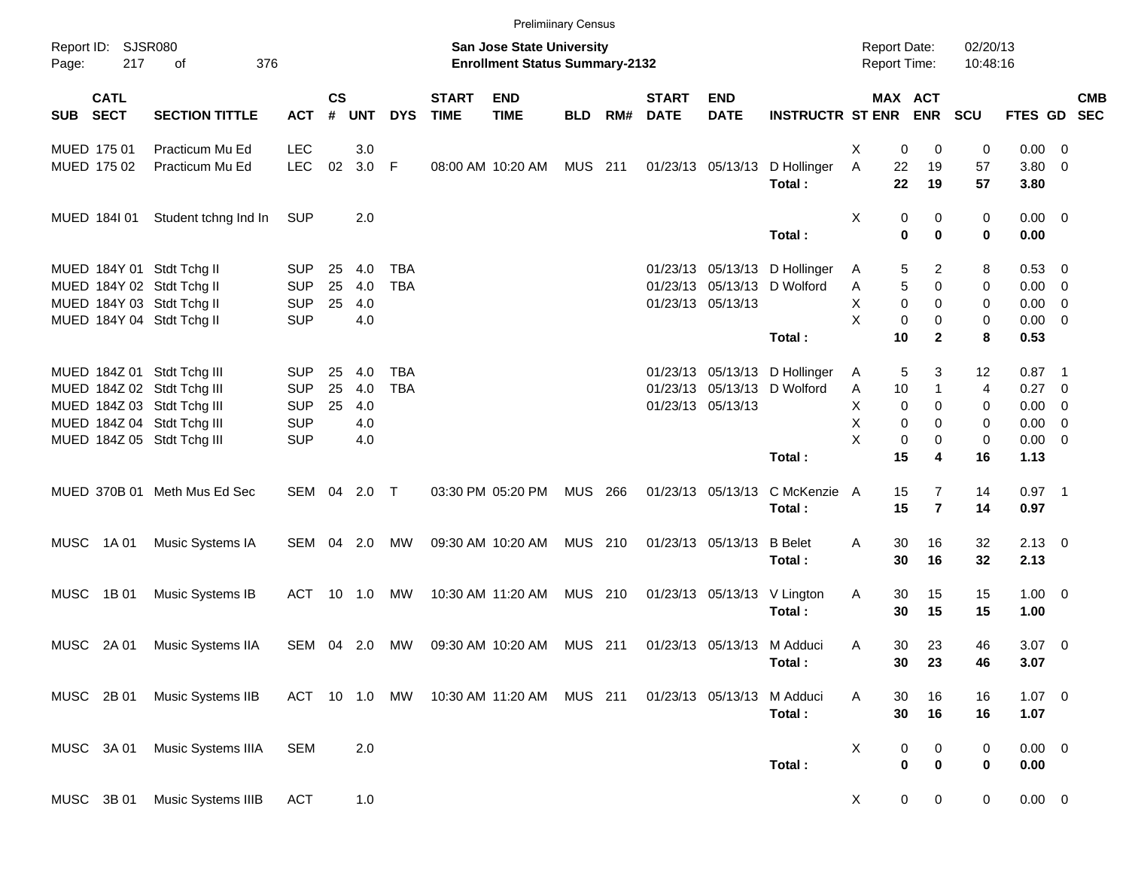|             |                           |                              |               |                             |            |            |                             | <b>Prelimiinary Census</b>                                         |            |     |                             |                            |                                         |                                            |                         |                      |                     |            |
|-------------|---------------------------|------------------------------|---------------|-----------------------------|------------|------------|-----------------------------|--------------------------------------------------------------------|------------|-----|-----------------------------|----------------------------|-----------------------------------------|--------------------------------------------|-------------------------|----------------------|---------------------|------------|
| Page:       | Report ID: SJSR080<br>217 | 376<br>of                    |               |                             |            |            |                             | San Jose State University<br><b>Enrollment Status Summary-2132</b> |            |     |                             |                            |                                         | <b>Report Date:</b><br><b>Report Time:</b> |                         | 02/20/13<br>10:48:16 |                     |            |
|             | <b>CATL</b><br>SUB SECT   | <b>SECTION TITTLE</b>        | <b>ACT</b>    | $\mathsf{cs}$<br>$\pmb{\#}$ | <b>UNT</b> | <b>DYS</b> | <b>START</b><br><b>TIME</b> | <b>END</b><br><b>TIME</b>                                          | <b>BLD</b> | RM# | <b>START</b><br><b>DATE</b> | <b>END</b><br><b>DATE</b>  | <b>INSTRUCTR ST ENR</b>                 |                                            | MAX ACT<br><b>ENR</b>   | <b>SCU</b>           | FTES GD SEC         | <b>CMB</b> |
|             | MUED 175 01               | Practicum Mu Ed              | <b>LEC</b>    |                             | 3.0        |            |                             |                                                                    |            |     |                             |                            |                                         | X<br>0                                     | 0                       | 0                    | $0.00 \t 0$         |            |
|             | MUED 175 02               | Practicum Mu Ed              | <b>LEC</b>    | 02                          | 3.0 F      |            |                             | 08:00 AM 10:20 AM                                                  | MUS 211    |     |                             |                            | 01/23/13 05/13/13 D Hollinger<br>Total: | Α<br>22<br>22                              | 19<br>19                | 57<br>57             | $3.80\ 0$<br>3.80   |            |
|             | MUED 1841 01              | Student tchng Ind In         | <b>SUP</b>    |                             | 2.0        |            |                             |                                                                    |            |     |                             |                            | Total:                                  | X<br>0<br>$\bf{0}$                         | 0<br>0                  | 0<br>0               | $0.00 \t 0$<br>0.00 |            |
|             |                           | MUED 184Y 01 Stdt Tchg II    | <b>SUP</b>    | 25                          | 4.0        | <b>TBA</b> |                             |                                                                    |            |     |                             |                            | 01/23/13 05/13/13 D Hollinger           | 5<br>A                                     | 2                       | 8                    | 0.53 0              |            |
|             |                           | MUED 184Y 02 Stdt Tchg II    | <b>SUP</b>    | 25                          | 4.0        | <b>TBA</b> |                             |                                                                    |            |     |                             |                            | 01/23/13 05/13/13 D Wolford             | 5<br>Α                                     | $\mathbf 0$             | 0                    | $0.00 \t 0$         |            |
|             |                           | MUED 184Y 03 Stdt Tchg II    | <b>SUP</b>    | 25                          | 4.0        |            |                             |                                                                    |            |     |                             | 01/23/13 05/13/13          |                                         | X<br>$\mathbf 0$                           | $\mathbf 0$             | 0                    | $0.00 \t 0$         |            |
|             |                           | MUED 184Y 04 Stdt Tchg II    | <b>SUP</b>    |                             | 4.0        |            |                             |                                                                    |            |     |                             |                            |                                         | X<br>0                                     | 0                       | 0                    | $0.00 \t 0$         |            |
|             |                           |                              |               |                             |            |            |                             |                                                                    |            |     |                             |                            | Total:                                  | 10                                         | $\mathbf{2}$            | 8                    | 0.53                |            |
|             |                           | MUED 184Z 01 Stdt Tchg III   | <b>SUP</b>    | 25                          | 4.0        | <b>TBA</b> |                             |                                                                    |            |     |                             |                            | 01/23/13 05/13/13 D Hollinger           | 5<br>A                                     | 3                       | 12                   | $0.87$ 1            |            |
|             |                           | MUED 184Z 02 Stdt Tchg III   | <b>SUP</b>    | 25                          | 4.0        | <b>TBA</b> |                             |                                                                    |            |     |                             |                            | 01/23/13 05/13/13 D Wolford             | 10<br>Α                                    | $\mathbf{1}$            | 4                    | $0.27$ 0            |            |
|             |                           | MUED 184Z 03 Stdt Tchg III   | <b>SUP</b>    | 25                          | 4.0        |            |                             |                                                                    |            |     |                             | 01/23/13 05/13/13          |                                         | X<br>$\mathbf 0$                           | 0                       | 0                    | $0.00 \t 0$         |            |
|             |                           | MUED 184Z 04 Stdt Tchg III   | <b>SUP</b>    |                             | 4.0        |            |                             |                                                                    |            |     |                             |                            |                                         | X<br>0                                     | 0                       | 0                    | $0.00 \t 0$         |            |
|             |                           | MUED 184Z 05 Stdt Tchg III   | <b>SUP</b>    |                             | 4.0        |            |                             |                                                                    |            |     |                             |                            |                                         | X<br>0                                     | 0                       | 0                    | $0.00 \t 0$         |            |
|             |                           |                              |               |                             |            |            |                             |                                                                    |            |     |                             |                            | Total:                                  | 15                                         | 4                       | 16                   | 1.13                |            |
|             |                           | MUED 370B 01 Meth Mus Ed Sec | SEM 04 2.0 T  |                             |            |            |                             | 03:30 PM 05:20 PM                                                  | MUS 266    |     |                             | 01/23/13 05/13/13          | C McKenzie A                            | 15                                         | $\overline{7}$          | 14                   | $0.97$ 1            |            |
|             |                           |                              |               |                             |            |            |                             |                                                                    |            |     |                             |                            | Total:                                  | 15                                         | $\overline{\mathbf{r}}$ | 14                   | 0.97                |            |
|             | MUSC 1A 01                | Music Systems IA             | SEM 04 2.0    |                             |            | МW         |                             | 09:30 AM 10:20 AM                                                  | MUS 210    |     |                             | 01/23/13 05/13/13          | <b>B</b> Belet<br>Total:                | 30<br>Α<br>30                              | 16<br>16                | 32<br>32             | $2.13 \ 0$<br>2.13  |            |
|             |                           |                              |               |                             |            |            |                             |                                                                    |            |     |                             |                            |                                         |                                            |                         |                      |                     |            |
| <b>MUSC</b> | 1B 01                     | Music Systems IB             | ACT 10 1.0    |                             |            | МW         |                             | 10:30 AM 11:20 AM                                                  | MUS 210    |     |                             |                            | 01/23/13 05/13/13 V Lington<br>Total:   | Α<br>30<br>30                              | 15<br>15                | 15<br>15             | $1.00 \t 0$<br>1.00 |            |
|             |                           |                              |               |                             |            |            |                             |                                                                    |            |     |                             |                            |                                         |                                            |                         |                      |                     |            |
| MUSC        | 2A 01                     | Music Systems IIA            | SEM 04 2.0    |                             |            | МW         |                             | 09:30 AM 10:20 AM                                                  | MUS 211    |     |                             | 01/23/13 05/13/13 M Adduci | Total:                                  | 30<br>A<br>30                              | 23<br>23                | 46<br>46             | $3.07$ 0<br>3.07    |            |
|             |                           |                              |               |                             |            |            |                             |                                                                    |            |     |                             |                            |                                         |                                            |                         |                      |                     |            |
|             | MUSC 2B 01                | Music Systems IIB            | ACT 10 1.0 MW |                             |            |            |                             | 10:30 AM 11:20 AM                                                  | MUS 211    |     |                             | 01/23/13 05/13/13          | M Adduci                                | Α<br>30                                    | 16                      | 16                   | $1.07 \t 0$         |            |
|             |                           |                              |               |                             |            |            |                             |                                                                    |            |     |                             |                            | Total:                                  | 30                                         | 16                      | 16                   | 1.07                |            |
|             | MUSC 3A 01                | Music Systems IIIA           | <b>SEM</b>    |                             | 2.0        |            |                             |                                                                    |            |     |                             |                            |                                         | Χ<br>0                                     | 0                       | 0                    | $0.00 \t 0$         |            |
|             |                           |                              |               |                             |            |            |                             |                                                                    |            |     |                             |                            | Total:                                  | $\pmb{0}$                                  | $\bf{0}$                | 0                    | 0.00                |            |
|             | MUSC 3B 01                | Music Systems IIIB           | <b>ACT</b>    |                             | 1.0        |            |                             |                                                                    |            |     |                             |                            |                                         | X                                          | 0<br>$\mathbf 0$        | 0                    | $0.00 \t 0$         |            |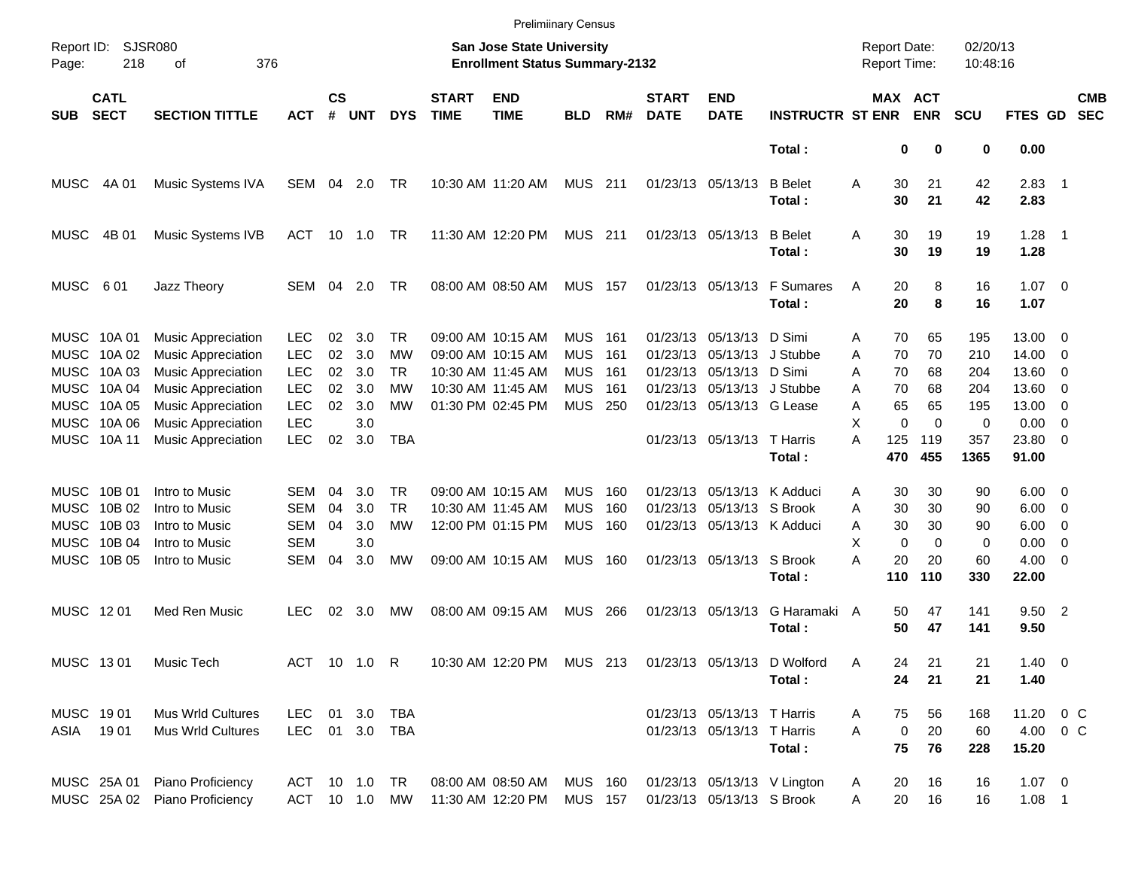|                     |                            |                                                        |                          |                    |                |            |                             | <b>Prelimiinary Census</b>                                                |                          |              |                             |                                                 |                                       |                                     |                              |                      |                     |                          |                          |
|---------------------|----------------------------|--------------------------------------------------------|--------------------------|--------------------|----------------|------------|-----------------------------|---------------------------------------------------------------------------|--------------------------|--------------|-----------------------------|-------------------------------------------------|---------------------------------------|-------------------------------------|------------------------------|----------------------|---------------------|--------------------------|--------------------------|
| Report ID:<br>Page: | 218                        | <b>SJSR080</b><br>376<br>оf                            |                          |                    |                |            |                             | <b>San Jose State University</b><br><b>Enrollment Status Summary-2132</b> |                          |              |                             |                                                 |                                       | <b>Report Date:</b><br>Report Time: |                              | 02/20/13<br>10:48:16 |                     |                          |                          |
| <b>SUB</b>          | <b>CATL</b><br><b>SECT</b> | <b>SECTION TITTLE</b>                                  | <b>ACT</b>               | $\mathsf{cs}$<br># | <b>UNT</b>     | <b>DYS</b> | <b>START</b><br><b>TIME</b> | <b>END</b><br><b>TIME</b>                                                 | <b>BLD</b>               | RM#          | <b>START</b><br><b>DATE</b> | <b>END</b><br><b>DATE</b>                       | <b>INSTRUCTR ST ENR</b>               |                                     | <b>MAX ACT</b><br><b>ENR</b> | <b>SCU</b>           | FTES GD             |                          | <b>CMB</b><br><b>SEC</b> |
|                     |                            |                                                        |                          |                    |                |            |                             |                                                                           |                          |              |                             |                                                 | Total:                                |                                     | 0<br>0                       | 0                    | 0.00                |                          |                          |
| MUSC                | 4A 01                      | Music Systems IVA                                      | SEM 04                   |                    | 2.0            | TR         |                             | 10:30 AM 11:20 AM                                                         | <b>MUS 211</b>           |              |                             | 01/23/13 05/13/13                               | <b>B</b> Belet<br>Total:              | Α<br>30<br>30                       | 21<br>21                     | 42<br>42             | $2.83$ 1<br>2.83    |                          |                          |
| <b>MUSC</b>         | 4B 01                      | Music Systems IVB                                      | <b>ACT</b>               |                    | $10 \quad 1.0$ | TR         |                             | 11:30 AM 12:20 PM                                                         | <b>MUS 211</b>           |              |                             | 01/23/13 05/13/13                               | <b>B</b> Belet<br>Total:              | Α<br>30<br>30                       | 19<br>19                     | 19<br>19             | $1.28$ 1<br>1.28    |                          |                          |
| <b>MUSC</b>         | 601                        | Jazz Theory                                            | SEM                      | 04                 | 2.0            | <b>TR</b>  |                             | 08:00 AM 08:50 AM                                                         | <b>MUS 157</b>           |              |                             | 01/23/13 05/13/13                               | <b>F</b> Sumares<br>Total:            | Α<br>20<br>20                       | 8<br>8                       | 16<br>16             | $1.07 \t 0$<br>1.07 |                          |                          |
|                     | MUSC 10A 01<br>MUSC 10A 02 | <b>Music Appreciation</b><br><b>Music Appreciation</b> | <b>LEC</b><br><b>LEC</b> | 02<br>02           | 3.0<br>3.0     | TR<br>МW   |                             | 09:00 AM 10:15 AM<br>09:00 AM 10:15 AM                                    | <b>MUS</b><br><b>MUS</b> | - 161<br>161 |                             | 01/23/13 05/13/13<br>01/23/13 05/13/13 J Stubbe | D Simi                                | 70<br>Α<br>A<br>70                  | 65<br>70                     | 195<br>210           | 13.00<br>14.00      | - 0<br>- 0               |                          |
|                     | MUSC 10A 03                | <b>Music Appreciation</b>                              | <b>LEC</b>               | 02                 | 3.0            | TR         |                             | 10:30 AM 11:45 AM                                                         | <b>MUS</b>               | 161          |                             | 01/23/13 05/13/13 D Simi                        |                                       | A<br>70                             | 68                           | 204                  | 13.60               | - 0                      |                          |
|                     | MUSC 10A 04                | <b>Music Appreciation</b>                              | <b>LEC</b>               | 02                 | 3.0            | МW         |                             | 10:30 AM 11:45 AM                                                         | <b>MUS</b>               | -161         |                             | 01/23/13 05/13/13 J Stubbe                      |                                       | 70<br>A                             | 68                           | 204                  | 13.60               | $\overline{0}$           |                          |
|                     | MUSC 10A 05                | <b>Music Appreciation</b>                              | <b>LEC</b>               | 02                 | 3.0            | MW         |                             | 01:30 PM 02:45 PM                                                         | MUS                      | 250          |                             | 01/23/13 05/13/13 G Lease                       |                                       | 65<br>A                             | 65                           | 195                  | 13.00               | $\overline{0}$           |                          |
|                     | MUSC 10A 06                | <b>Music Appreciation</b>                              | <b>LEC</b>               |                    | 3.0            |            |                             |                                                                           |                          |              |                             |                                                 |                                       | X                                   | $\mathbf 0$<br>$\Omega$      | 0                    | 0.00                | - 0                      |                          |
|                     | MUSC 10A 11                | <b>Music Appreciation</b>                              | <b>LEC</b>               | 02                 | 3.0            | <b>TBA</b> |                             |                                                                           |                          |              |                             | 01/23/13 05/13/13 T Harris                      |                                       | A<br>125                            | 119                          | 357                  | 23.80 0             |                          |                          |
|                     |                            |                                                        |                          |                    |                |            |                             |                                                                           |                          |              |                             |                                                 | Total:                                | 470                                 | 455                          | 1365                 | 91.00               |                          |                          |
|                     | MUSC 10B 01                | Intro to Music                                         | <b>SEM</b>               | 04                 | 3.0            | TR         |                             | 09:00 AM 10:15 AM                                                         | <b>MUS</b>               | 160          |                             | 01/23/13 05/13/13 K Adduci                      |                                       | 30<br>Α                             | 30                           | 90                   | $6.00 \quad 0$      |                          |                          |
| MUSC                | 10B 02                     | Intro to Music                                         | <b>SEM</b>               | 04                 | 3.0            | <b>TR</b>  |                             | 10:30 AM 11:45 AM                                                         | <b>MUS</b>               | 160          |                             | 01/23/13 05/13/13 S Brook                       |                                       | 30<br>Α                             | 30                           | 90                   | 6.00                | $\overline{\phantom{0}}$ |                          |
| MUSC                | 10B 03                     | Intro to Music                                         | <b>SEM</b>               | 04                 | 3.0            | МW         |                             | 12:00 PM 01:15 PM                                                         | <b>MUS</b>               | 160          |                             | 01/23/13 05/13/13 K Adduci                      |                                       | A<br>30                             | 30                           | 90                   | 6.00                | $\overline{\mathbf{0}}$  |                          |
|                     | MUSC 10B 04                | Intro to Music                                         | <b>SEM</b>               |                    | 3.0            |            |                             |                                                                           |                          |              |                             |                                                 |                                       | X                                   | $\mathbf 0$<br>$\Omega$      | 0                    | 0.00                | $\overline{0}$           |                          |
|                     | MUSC 10B 05                | Intro to Music                                         | <b>SEM</b>               | 04                 | 3.0            | MW         |                             | 09:00 AM 10:15 AM                                                         | <b>MUS</b>               | - 160        |                             | 01/23/13 05/13/13 S Brook                       |                                       | A<br>20                             | 20                           | 60                   | $4.00 \ 0$          |                          |                          |
|                     |                            |                                                        |                          |                    |                |            |                             |                                                                           |                          |              |                             |                                                 | Total:                                | 110                                 | 110                          | 330                  | 22.00               |                          |                          |
| MUSC 1201           |                            | Med Ren Music                                          | <b>LEC</b>               | 02                 | 3.0            | <b>MW</b>  |                             | 08:00 AM 09:15 AM                                                         | MUS                      | - 266        |                             | 01/23/13 05/13/13                               | G Haramaki A<br>Total:                | 50<br>50                            | 47<br>47                     | 141<br>141           | $9.50$ 2<br>9.50    |                          |                          |
| MUSC 1301           |                            | Music Tech                                             |                          |                    | ACT 10 1.0 R   |            |                             | 10:30 AM 12:20 PM MUS 213                                                 |                          |              |                             |                                                 | 01/23/13 05/13/13 D Wolford<br>Total: | Α<br>24<br>24                       | 21<br>21                     | 21<br>21             | $1.40 \ 0$<br>1.40  |                          |                          |
| MUSC 1901           |                            | Mus Wrld Cultures                                      | LEC                      |                    | 01 3.0         | TBA        |                             |                                                                           |                          |              |                             | 01/23/13 05/13/13 T Harris                      |                                       | 75<br>Α                             | 56                           | 168                  | 11.20 0 C           |                          |                          |
| ASIA 1901           |                            | <b>Mus Wrld Cultures</b>                               | LEC 01 3.0 TBA           |                    |                |            |                             |                                                                           |                          |              |                             | 01/23/13 05/13/13 T Harris                      |                                       | A                                   | 0<br>20                      | 60                   | 4.00 0 C            |                          |                          |
|                     |                            |                                                        |                          |                    |                |            |                             |                                                                           |                          |              |                             |                                                 | Total:                                | 75                                  | 76                           | 228                  | 15.20               |                          |                          |
|                     | MUSC 25A 01                | Piano Proficiency                                      | ACT 10 1.0 TR            |                    |                |            |                             | 08:00 AM 08:50 AM                                                         | <b>MUS 160</b>           |              |                             |                                                 | 01/23/13 05/13/13 V Lington           | 20<br>A                             | 16                           | 16                   | $1.07 \t 0$         |                          |                          |
|                     | MUSC 25A 02                | Piano Proficiency                                      | ACT 10 1.0 MW            |                    |                |            |                             | 11:30 AM 12:20 PM                                                         | <b>MUS 157</b>           |              |                             | 01/23/13 05/13/13 S Brook                       |                                       | 20<br>Α                             | 16                           | 16                   | $1.08$ 1            |                          |                          |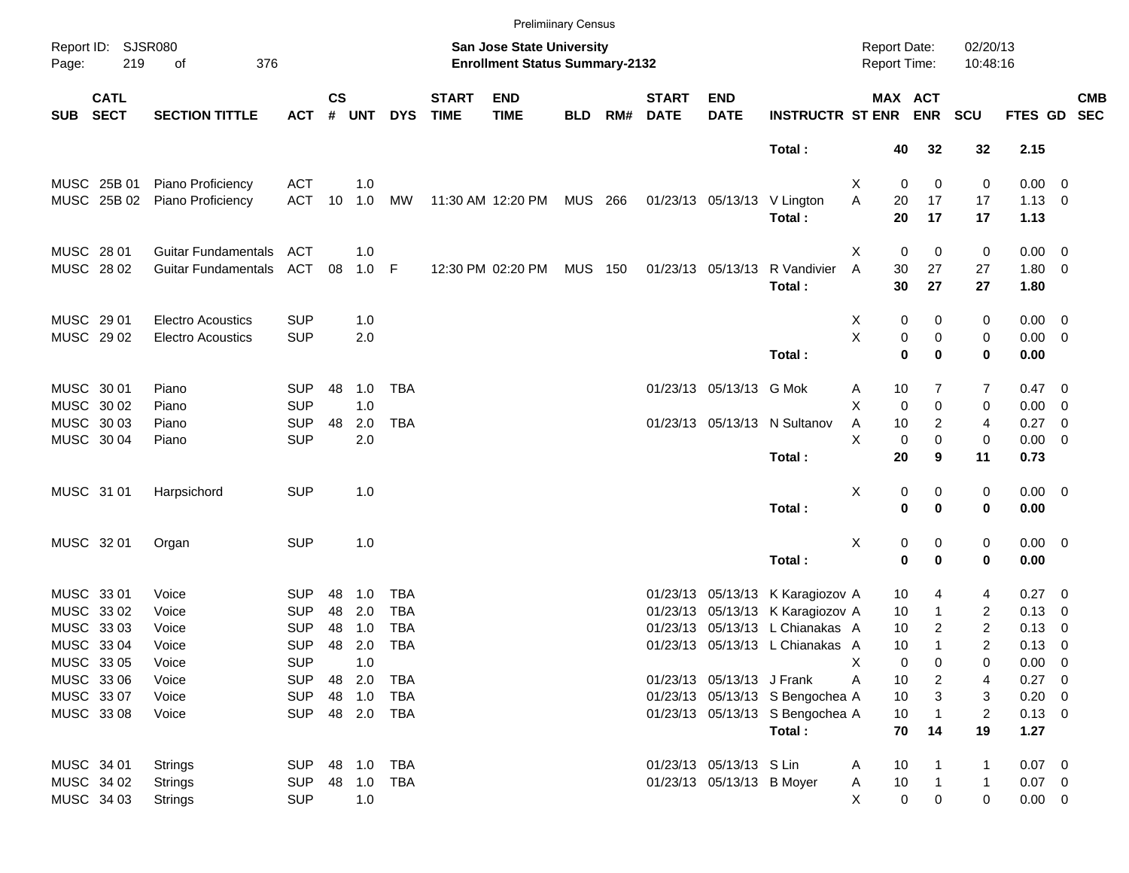|            |                            |                            |            |               |            |            |                             |                                                                           | <b>Prelimiinary Census</b> |     |                             |                           |                                  |                                     |              |                      |                |                          |            |
|------------|----------------------------|----------------------------|------------|---------------|------------|------------|-----------------------------|---------------------------------------------------------------------------|----------------------------|-----|-----------------------------|---------------------------|----------------------------------|-------------------------------------|--------------|----------------------|----------------|--------------------------|------------|
| Page:      | Report ID: SJSR080<br>219  | 376<br>of                  |            |               |            |            |                             | <b>San Jose State University</b><br><b>Enrollment Status Summary-2132</b> |                            |     |                             |                           |                                  | <b>Report Date:</b><br>Report Time: |              | 02/20/13<br>10:48:16 |                |                          |            |
| <b>SUB</b> | <b>CATL</b><br><b>SECT</b> | <b>SECTION TITTLE</b>      | <b>ACT</b> | $\mathsf{cs}$ | # UNT      | <b>DYS</b> | <b>START</b><br><b>TIME</b> | <b>END</b><br><b>TIME</b>                                                 | <b>BLD</b>                 | RM# | <b>START</b><br><b>DATE</b> | <b>END</b><br><b>DATE</b> | <b>INSTRUCTR ST ENR</b>          | MAX ACT                             | <b>ENR</b>   | <b>SCU</b>           | FTES GD SEC    |                          | <b>CMB</b> |
|            |                            |                            |            |               |            |            |                             |                                                                           |                            |     |                             |                           | Total:                           | 40                                  | 32           | 32                   | 2.15           |                          |            |
|            | MUSC 25B 01                | Piano Proficiency          | <b>ACT</b> |               | 1.0        |            |                             |                                                                           |                            |     |                             |                           |                                  | Χ<br>0                              | 0            | 0                    | $0.00 \t 0$    |                          |            |
|            | MUSC 25B 02                | Piano Proficiency          | <b>ACT</b> | 10            | 1.0        | МW         |                             | 11:30 AM 12:20 PM MUS 266                                                 |                            |     |                             |                           | 01/23/13 05/13/13 V Lington      | A<br>20                             | 17           | 17                   | $1.13 \ 0$     |                          |            |
|            |                            |                            |            |               |            |            |                             |                                                                           |                            |     |                             |                           | Total:                           | 20                                  | 17           | 17                   | 1.13           |                          |            |
|            | MUSC 28 01                 | <b>Guitar Fundamentals</b> | ACT        |               | 1.0        |            |                             |                                                                           |                            |     |                             |                           |                                  | $\mathbf 0$<br>X                    | 0            | 0                    | $0.00 \t 0$    |                          |            |
|            | MUSC 28 02                 | <b>Guitar Fundamentals</b> | ACT        | 08            | $1.0$ F    |            |                             | 12:30 PM 02:20 PM                                                         | <b>MUS 150</b>             |     |                             | 01/23/13 05/13/13         | R Vandivier<br>Total:            | A<br>30<br>30                       | 27<br>27     | 27<br>27             | 1.80 0<br>1.80 |                          |            |
|            | MUSC 29 01                 | <b>Electro Acoustics</b>   | <b>SUP</b> |               | 1.0        |            |                             |                                                                           |                            |     |                             |                           |                                  | X<br>0                              | 0            | 0                    | $0.00 \t 0$    |                          |            |
|            | MUSC 29 02                 | <b>Electro Acoustics</b>   | <b>SUP</b> |               | 2.0        |            |                             |                                                                           |                            |     |                             |                           |                                  | X<br>$\pmb{0}$                      | 0            | 0                    | $0.00 \t 0$    |                          |            |
|            |                            |                            |            |               |            |            |                             |                                                                           |                            |     |                             |                           | Total:                           | $\mathbf 0$                         | $\mathbf 0$  | 0                    | 0.00           |                          |            |
|            | MUSC 30 01                 | Piano                      | <b>SUP</b> | 48            | 1.0        | <b>TBA</b> |                             |                                                                           |                            |     |                             | 01/23/13 05/13/13 G Mok   |                                  | 10<br>Α                             | 7            | 7                    | $0.47 \quad 0$ |                          |            |
|            | MUSC 30 02                 | Piano                      | <b>SUP</b> |               | 1.0        |            |                             |                                                                           |                            |     |                             |                           |                                  | X<br>0                              | $\mathbf 0$  | 0                    | $0.00 \t 0$    |                          |            |
|            | MUSC 30 03                 | Piano                      | <b>SUP</b> | 48            | 2.0        | <b>TBA</b> |                             |                                                                           |                            |     |                             |                           | 01/23/13 05/13/13 N Sultanov     | Α<br>10                             | 2            | 4                    | $0.27$ 0       |                          |            |
|            | MUSC 30 04                 | Piano                      | <b>SUP</b> |               | 2.0        |            |                             |                                                                           |                            |     |                             |                           |                                  | X<br>0                              | 0            | 0                    | $0.00 \t 0$    |                          |            |
|            |                            |                            |            |               |            |            |                             |                                                                           |                            |     |                             |                           | Total:                           | 20                                  | 9            | 11                   | 0.73           |                          |            |
|            | MUSC 31 01                 | Harpsichord                | <b>SUP</b> |               | 1.0        |            |                             |                                                                           |                            |     |                             |                           |                                  | X<br>0                              | 0            | 0                    | $0.00 \t 0$    |                          |            |
|            |                            |                            |            |               |            |            |                             |                                                                           |                            |     |                             |                           | Total:                           | $\bf{0}$                            | $\mathbf 0$  | 0                    | 0.00           |                          |            |
|            | MUSC 32 01                 | Organ                      | <b>SUP</b> |               | 1.0        |            |                             |                                                                           |                            |     |                             |                           |                                  | X<br>0                              | 0            | 0                    | $0.00 \t 0$    |                          |            |
|            |                            |                            |            |               |            |            |                             |                                                                           |                            |     |                             |                           | Total:                           | $\mathbf 0$                         | $\mathbf 0$  | 0                    | 0.00           |                          |            |
|            | MUSC 33 01                 | Voice                      | <b>SUP</b> | 48            | 1.0        | <b>TBA</b> |                             |                                                                           |                            |     |                             |                           | 01/23/13 05/13/13 K Karagiozov A | 10                                  | 4            | 4                    | $0.27$ 0       |                          |            |
|            | MUSC 33 02                 | Voice                      | <b>SUP</b> | 48            | 2.0        | <b>TBA</b> |                             |                                                                           |                            |     |                             |                           | 01/23/13 05/13/13 K Karagiozov A | 10                                  | 1            | $\overline{c}$       | $0.13 \ 0$     |                          |            |
|            | MUSC 33 03                 | Voice                      | <b>SUP</b> | 48            | 1.0        | <b>TBA</b> |                             |                                                                           |                            |     |                             |                           | 01/23/13 05/13/13 L Chianakas A  | 10                                  | 2            | $\overline{c}$       | 0.13           | $\overline{\phantom{0}}$ |            |
|            | MUSC 33 04                 | Voice                      | <b>SUP</b> | 48            | 2.0        | <b>TBA</b> |                             |                                                                           |                            |     |                             |                           | 01/23/13 05/13/13 L Chianakas A  | 10                                  | $\mathbf{1}$ | $\overline{c}$       | $0.13 \ 0$     |                          |            |
|            | MUSC 33 05                 | Voice                      | <b>SUP</b> |               | 1.0        |            |                             |                                                                           |                            |     |                             |                           |                                  | х<br>0                              | 0            | 0                    | $0.00 \t 0$    |                          |            |
|            | MUSC 33 06                 | Voice                      | <b>SUP</b> |               | 48 2.0     | <b>TBA</b> |                             |                                                                           |                            |     |                             | 01/23/13 05/13/13 J Frank |                                  | Α<br>10                             | 2            | 4                    | $0.27$ 0       |                          |            |
|            | MUSC 33 07                 | Voice                      | <b>SUP</b> |               | 48 1.0     | <b>TBA</b> |                             |                                                                           |                            |     |                             |                           | 01/23/13 05/13/13 S Bengochea A  | 10                                  | 3            | 3                    | $0.20 \ 0$     |                          |            |
|            | MUSC 33 08                 | Voice                      | <b>SUP</b> |               |            | 48 2.0 TBA |                             |                                                                           |                            |     |                             |                           | 01/23/13 05/13/13 S Bengochea A  | 10                                  | $\mathbf{1}$ | $\overline{c}$       | $0.13 \ 0$     |                          |            |
|            |                            |                            |            |               |            |            |                             |                                                                           |                            |     |                             |                           | Total:                           | 70                                  | 14           | 19                   | 1.27           |                          |            |
|            | MUSC 34 01                 | <b>Strings</b>             | <b>SUP</b> |               | 48 1.0 TBA |            |                             |                                                                           |                            |     |                             | 01/23/13 05/13/13 S Lin   |                                  | 10<br>A                             |              | 1                    | $0.07$ 0       |                          |            |
|            | MUSC 34 02                 | <b>Strings</b>             | <b>SUP</b> |               | 48 1.0     | TBA        |                             |                                                                           |                            |     |                             | 01/23/13 05/13/13 B Moyer |                                  | $10$<br>A                           | 1            | $\mathbf{1}$         | $0.07$ 0       |                          |            |
|            | MUSC 34 03                 | <b>Strings</b>             | <b>SUP</b> |               | 1.0        |            |                             |                                                                           |                            |     |                             |                           |                                  | $\boldsymbol{0}$<br>X.              | 0            | 0                    | $0.00 \t 0$    |                          |            |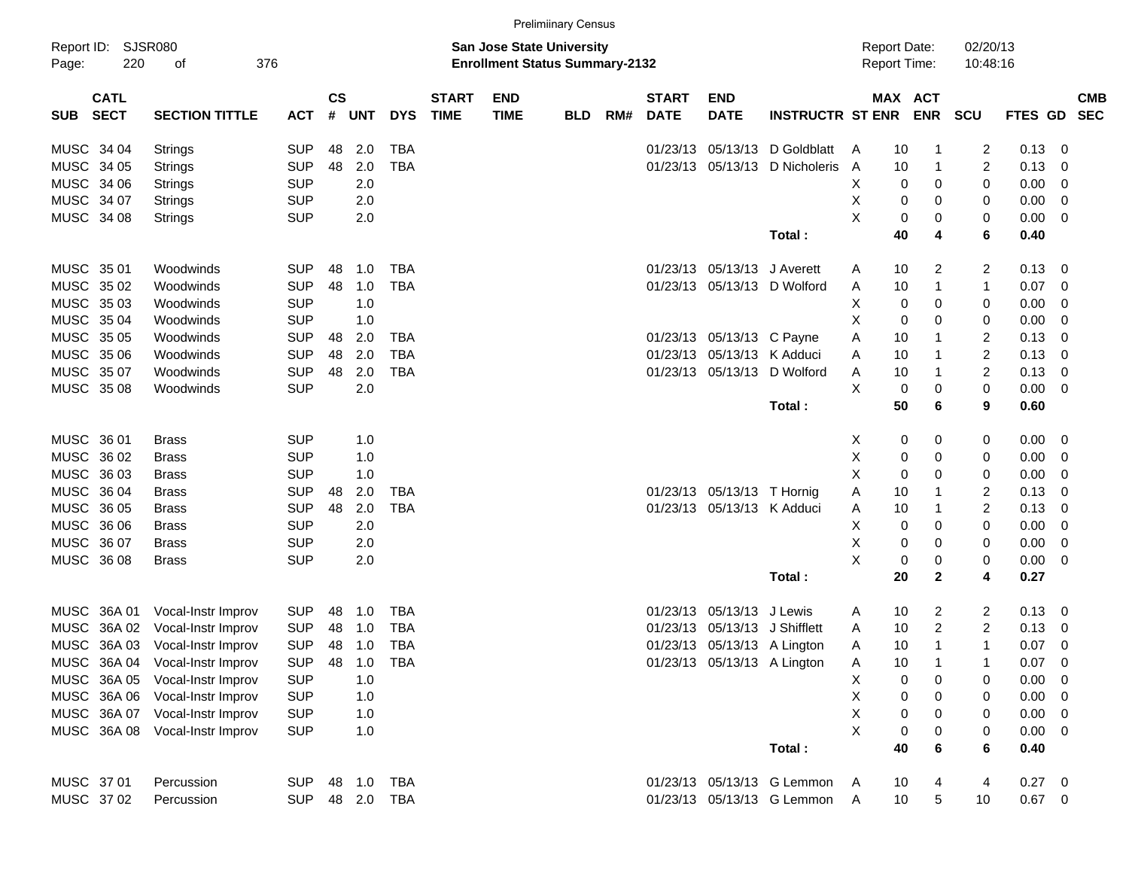|                           |                       |            |               |            |            |              |                                       | <b>Prelimiinary Census</b> |     |              |                             |                             |                     |              |                |             |                          |            |
|---------------------------|-----------------------|------------|---------------|------------|------------|--------------|---------------------------------------|----------------------------|-----|--------------|-----------------------------|-----------------------------|---------------------|--------------|----------------|-------------|--------------------------|------------|
| Report ID: SJSR080        |                       |            |               |            |            |              | <b>San Jose State University</b>      |                            |     |              |                             |                             | <b>Report Date:</b> |              | 02/20/13       |             |                          |            |
| Page:<br>220              | 376<br>of             |            |               |            |            |              | <b>Enrollment Status Summary-2132</b> |                            |     |              |                             |                             | <b>Report Time:</b> |              | 10:48:16       |             |                          |            |
| <b>CATL</b>               |                       |            | $\mathsf{cs}$ |            |            | <b>START</b> | <b>END</b>                            |                            |     | <b>START</b> | <b>END</b>                  |                             |                     | MAX ACT      |                |             |                          | <b>CMB</b> |
| <b>SECT</b><br><b>SUB</b> | <b>SECTION TITTLE</b> | <b>ACT</b> | #             | <b>UNT</b> | <b>DYS</b> | <b>TIME</b>  | <b>TIME</b>                           | <b>BLD</b>                 | RM# | <b>DATE</b>  | <b>DATE</b>                 | <b>INSTRUCTR ST ENR</b>     |                     | <b>ENR</b>   | <b>SCU</b>     | FTES GD SEC |                          |            |
| MUSC 34 04                | Strings               | <b>SUP</b> | 48            | 2.0        | <b>TBA</b> |              |                                       |                            |     | 01/23/13     | 05/13/13                    | D Goldblatt                 | 10<br>A             | -1           | 2              | 0.13        | - 0                      |            |
| MUSC 34 05                | Strings               | <b>SUP</b> | 48            | 2.0        | <b>TBA</b> |              |                                       |                            |     |              | 01/23/13 05/13/13           | D Nicholeris                | 10<br>A             | $\mathbf{1}$ | $\overline{c}$ | 0.13        | - 0                      |            |
| MUSC 34 06                | Strings               | <b>SUP</b> |               | 2.0        |            |              |                                       |                            |     |              |                             |                             | Х                   | 0<br>0       | 0              | 0.00        | - 0                      |            |
| MUSC 34 07                | <b>Strings</b>        | <b>SUP</b> |               | 2.0        |            |              |                                       |                            |     |              |                             |                             | х                   | 0<br>0       | 0              | 0.00        | - 0                      |            |
| MUSC 34 08                | Strings               | <b>SUP</b> |               | 2.0        |            |              |                                       |                            |     |              |                             |                             | X                   | 0<br>0       | 0              | 0.00        | $\overline{\phantom{0}}$ |            |
|                           |                       |            |               |            |            |              |                                       |                            |     |              |                             | Total:                      | 40                  | 4            | 6              | 0.40        |                          |            |
| MUSC 35 01                | Woodwinds             | <b>SUP</b> | 48            | 1.0        | <b>TBA</b> |              |                                       |                            |     |              | 01/23/13 05/13/13 J Averett |                             | 10<br>A             | 2            | $\overline{c}$ | $0.13 \ 0$  |                          |            |
| MUSC 3502                 | Woodwinds             | <b>SUP</b> | 48            | 1.0        | <b>TBA</b> |              |                                       |                            |     |              |                             | 01/23/13 05/13/13 D Wolford | 10<br>A             | $\mathbf{1}$ | $\mathbf{1}$   | 0.07        | $\overline{\mathbf{0}}$  |            |
| MUSC 3503                 | Woodwinds             | <b>SUP</b> |               | 1.0        |            |              |                                       |                            |     |              |                             |                             | Х                   | 0<br>0       | 0              | 0.00        | 0                        |            |
| MUSC 35 04                | Woodwinds             | <b>SUP</b> |               | 1.0        |            |              |                                       |                            |     |              |                             |                             | Х                   | 0<br>0       | 0              | 0.00        | - 0                      |            |
| MUSC 35 05                | Woodwinds             | <b>SUP</b> | 48            | 2.0        | TBA        |              |                                       |                            |     |              | 01/23/13 05/13/13 C Payne   |                             | Α<br>10             | 1            | $\overline{c}$ | 0.13        | - 0                      |            |
| MUSC 35 06                | Woodwinds             | <b>SUP</b> | 48            | 2.0        | <b>TBA</b> |              |                                       |                            |     |              | 01/23/13 05/13/13 K Adduci  |                             | 10<br>A             | 1            | $\overline{c}$ | 0.13        | - 0                      |            |
| MUSC 3507                 | Woodwinds             | <b>SUP</b> | 48            | 2.0        | <b>TBA</b> |              |                                       |                            |     |              | 01/23/13 05/13/13           | D Wolford                   | Α<br>10             | $\mathbf{1}$ | $\overline{c}$ | 0.13        | - 0                      |            |
| MUSC 35 08                | Woodwinds             | <b>SUP</b> |               | 2.0        |            |              |                                       |                            |     |              |                             |                             | X                   | 0<br>0       | $\mathbf 0$    | 0.00        | $\overline{\phantom{0}}$ |            |
|                           |                       |            |               |            |            |              |                                       |                            |     |              |                             | Total:                      | 50                  | 6            | 9              | 0.60        |                          |            |
| MUSC 36 01                |                       | <b>SUP</b> |               |            |            |              |                                       |                            |     |              |                             |                             |                     |              |                | $0.00 \t 0$ |                          |            |
| MUSC 36 02                | Brass<br><b>Brass</b> | <b>SUP</b> |               | 1.0<br>1.0 |            |              |                                       |                            |     |              |                             |                             | X<br>Χ              | 0<br>0<br>0  | 0              | 0.00        | $\overline{\mathbf{0}}$  |            |
| MUSC 36 03                | Brass                 | <b>SUP</b> |               | 1.0        |            |              |                                       |                            |     |              |                             |                             | X                   | 0<br>0<br>0  | 0<br>0         | 0.00        | 0                        |            |
| MUSC 36 04                | Brass                 | <b>SUP</b> | 48            | 2.0        | <b>TBA</b> |              |                                       |                            |     |              | 01/23/13 05/13/13 T Hornig  |                             | Α<br>10             | 1            | $\overline{c}$ | 0.13        | - 0                      |            |
| MUSC 36 05                | Brass                 | <b>SUP</b> | 48            | 2.0        | <b>TBA</b> |              |                                       |                            |     |              | 01/23/13 05/13/13 K Adduci  |                             | Α<br>10             | 1            | $\overline{c}$ | 0.13        | - 0                      |            |
| MUSC 36 06                | Brass                 | <b>SUP</b> |               | 2.0        |            |              |                                       |                            |     |              |                             |                             | X                   | 0<br>0       | 0              | 0.00        | 0                        |            |
| MUSC 36 07                | Brass                 | <b>SUP</b> |               | 2.0        |            |              |                                       |                            |     |              |                             |                             | х                   | 0<br>0       | 0              | 0.00        | - 0                      |            |
| MUSC 36 08                | <b>Brass</b>          | <b>SUP</b> |               | 2.0        |            |              |                                       |                            |     |              |                             |                             | X                   | 0<br>0       | 0              | 0.00        | $\overline{\phantom{0}}$ |            |
|                           |                       |            |               |            |            |              |                                       |                            |     |              |                             | Total:                      | 20                  | $\mathbf{2}$ | 4              | 0.27        |                          |            |
|                           |                       |            |               |            |            |              |                                       |                            |     |              |                             |                             |                     |              |                |             |                          |            |
| MUSC 36A 01               | Vocal-Instr Improv    | <b>SUP</b> | 48            | 1.0        | TBA        |              |                                       |                            |     | 01/23/13     | 05/13/13                    | J Lewis                     | 10<br>A             | 2            | 2              | $0.13 \ 0$  |                          |            |
| MUSC<br>36A 02            | Vocal-Instr Improv    | <b>SUP</b> | 48            | 1.0        | <b>TBA</b> |              |                                       |                            |     | 01/23/13     |                             | 05/13/13 J Shifflett        | 10<br>A             | 2            | 2              | 0.13        | - 0                      |            |
| MUSC 36A 03               | Vocal-Instr Improv    | <b>SUP</b> | 48            | 1.0        | <b>TBA</b> |              |                                       |                            |     |              |                             | 01/23/13 05/13/13 A Lington | 10<br>Α             | 1            | $\mathbf{1}$   | 0.07        | - 0                      |            |
| MUSC 36A 04               | Vocal-Instr Improv    | <b>SUP</b> | 48            | 1.0        | TBA        |              |                                       |                            |     |              |                             | 01/23/13 05/13/13 A Lington | Α<br>10             |              | 1              | 0.07        | $\overline{\mathbf{0}}$  |            |
| MUSC 36A 05               | Vocal-Instr Improv    | <b>SUP</b> |               | 1.0        |            |              |                                       |                            |     |              |                             |                             | х                   | 0<br>0       | 0              | 0.00        | - 0                      |            |
| MUSC 36A 06               | Vocal-Instr Improv    | <b>SUP</b> |               | 1.0        |            |              |                                       |                            |     |              |                             |                             | Χ                   | 0<br>0       | 0              | $0.00 \t 0$ |                          |            |
| MUSC 36A 07               | Vocal-Instr Improv    | <b>SUP</b> |               | 1.0        |            |              |                                       |                            |     |              |                             |                             | X                   | 0<br>0       | 0              | $0.00 \t 0$ |                          |            |
| MUSC 36A 08               | Vocal-Instr Improv    | <b>SUP</b> |               | 1.0        |            |              |                                       |                            |     |              |                             |                             | X                   | 0<br>0       | 0              | $0.00 \t 0$ |                          |            |
|                           |                       |            |               |            |            |              |                                       |                            |     |              |                             | Total:                      | 40                  | 6            | 6              | 0.40        |                          |            |
| MUSC 37 01                | Percussion            | <b>SUP</b> |               | 48 1.0     | <b>TBA</b> |              |                                       |                            |     |              |                             | 01/23/13 05/13/13 G Lemmon  | 10<br>A             | 4            | 4              | $0.27$ 0    |                          |            |
| MUSC 37 02                | Percussion            | <b>SUP</b> |               |            | 48 2.0 TBA |              |                                       |                            |     |              |                             | 01/23/13 05/13/13 G Lemmon  | 10<br>Α             | 5            | 10             | $0.67$ 0    |                          |            |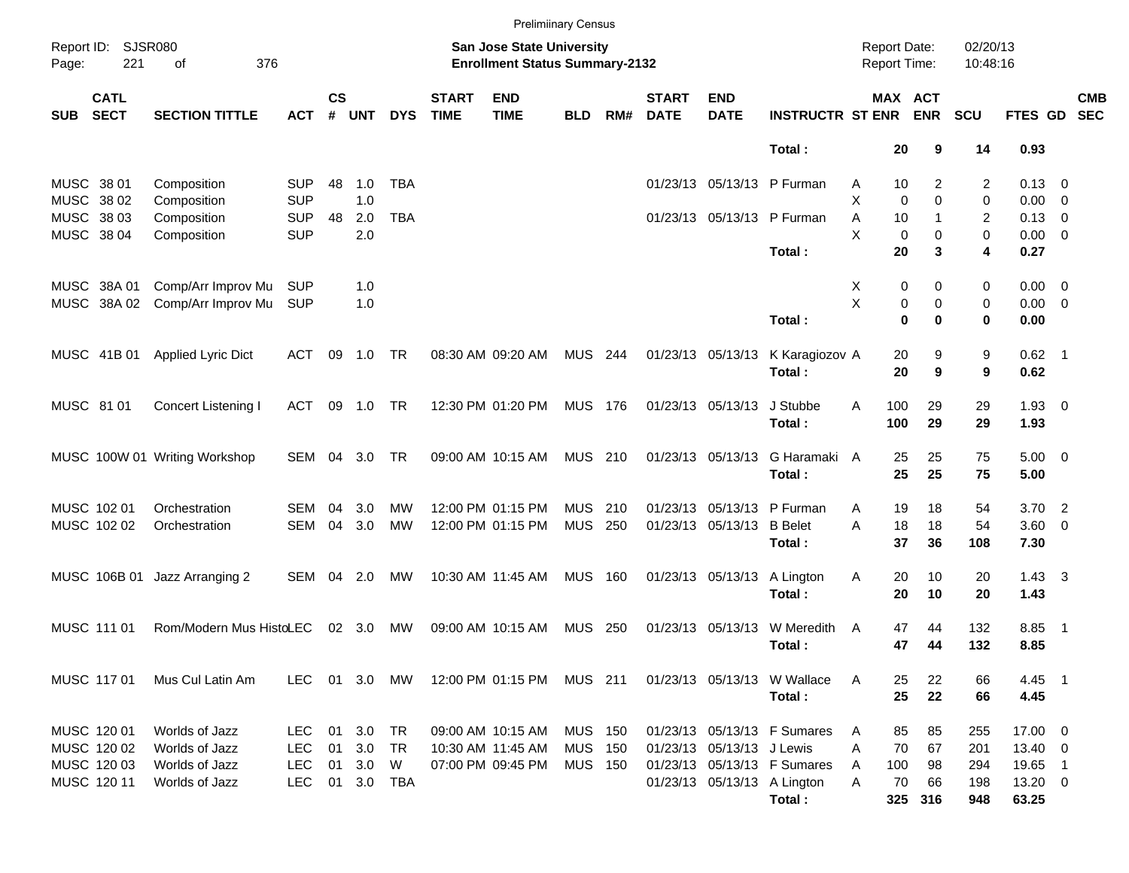|            |                            |                               |               |                    |                |            |                             | <b>Prelimiinary Census</b>                                                |                |       |                             |                           |                             |                                            |                              |                      |                |                          |
|------------|----------------------------|-------------------------------|---------------|--------------------|----------------|------------|-----------------------------|---------------------------------------------------------------------------|----------------|-------|-----------------------------|---------------------------|-----------------------------|--------------------------------------------|------------------------------|----------------------|----------------|--------------------------|
| Page:      | Report ID: SJSR080<br>221  | 376<br>of                     |               |                    |                |            |                             | <b>San Jose State University</b><br><b>Enrollment Status Summary-2132</b> |                |       |                             |                           |                             | <b>Report Date:</b><br><b>Report Time:</b> |                              | 02/20/13<br>10:48:16 |                |                          |
| <b>SUB</b> | <b>CATL</b><br><b>SECT</b> | <b>SECTION TITTLE</b>         | <b>ACT</b>    | $\mathsf{cs}$<br># | <b>UNT</b>     | <b>DYS</b> | <b>START</b><br><b>TIME</b> | <b>END</b><br><b>TIME</b>                                                 | <b>BLD</b>     | RM#   | <b>START</b><br><b>DATE</b> | <b>END</b><br><b>DATE</b> | <b>INSTRUCTR ST ENR</b>     |                                            | <b>MAX ACT</b><br><b>ENR</b> | <b>SCU</b>           | FTES GD        | <b>CMB</b><br><b>SEC</b> |
|            |                            |                               |               |                    |                |            |                             |                                                                           |                |       |                             |                           | Total:                      | 20                                         | 9                            | 14                   | 0.93           |                          |
|            | MUSC 38 01                 | Composition                   | <b>SUP</b>    | 48                 | 1.0            | <b>TBA</b> |                             |                                                                           |                |       |                             |                           | 01/23/13 05/13/13 P Furman  | 10<br>Α                                    | 2                            | 2                    | $0.13 \quad 0$ |                          |
|            | MUSC 38 02                 | Composition                   | <b>SUP</b>    |                    | 1.0            |            |                             |                                                                           |                |       |                             |                           |                             | X<br>$\mathbf 0$                           | $\Omega$                     | 0                    | $0.00 \t 0$    |                          |
|            | MUSC 38 03                 | Composition                   | <b>SUP</b>    | 48                 | 2.0            | <b>TBA</b> |                             |                                                                           |                |       |                             |                           | 01/23/13 05/13/13 P Furman  | Α<br>10                                    | $\mathbf{1}$                 | 2                    | $0.13 \quad 0$ |                          |
|            | MUSC 38 04                 | Composition                   | <b>SUP</b>    |                    | 2.0            |            |                             |                                                                           |                |       |                             |                           |                             | X<br>$\mathbf 0$                           | 0                            | 0                    | $0.00 \t 0$    |                          |
|            |                            |                               |               |                    |                |            |                             |                                                                           |                |       |                             |                           | Total:                      | 20                                         | 3                            | 4                    | 0.27           |                          |
|            | MUSC 38A 01                | Comp/Arr Improv Mu            | <b>SUP</b>    |                    | 1.0            |            |                             |                                                                           |                |       |                             |                           |                             | X<br>0                                     | 0                            | 0                    | $0.00 \t 0$    |                          |
|            | MUSC 38A 02                | Comp/Arr Improv Mu            | SUP           |                    | 1.0            |            |                             |                                                                           |                |       |                             |                           |                             | Χ<br>0                                     | $\mathbf 0$                  | 0                    | $0.00 \t 0$    |                          |
|            |                            |                               |               |                    |                |            |                             |                                                                           |                |       |                             |                           | Total:                      | $\mathbf 0$                                | $\bf{0}$                     | 0                    | 0.00           |                          |
|            | MUSC 41B 01                | <b>Applied Lyric Dict</b>     | ACT           | 09                 | 1.0            | TR         |                             | 08:30 AM 09:20 AM                                                         | <b>MUS 244</b> |       |                             | 01/23/13 05/13/13         | K Karagiozov A              | 20                                         | 9                            | 9                    | $0.62$ 1       |                          |
|            |                            |                               |               |                    |                |            |                             |                                                                           |                |       |                             |                           | Total:                      | 20                                         | 9                            | 9                    | 0.62           |                          |
|            | MUSC 81 01                 | Concert Listening I           | ACT           | 09                 | 1.0            | TR         |                             | 12:30 PM 01:20 PM                                                         | <b>MUS 176</b> |       |                             | 01/23/13 05/13/13         | J Stubbe                    | 100<br>A                                   | 29                           | 29                   | $1.93 \ 0$     |                          |
|            |                            |                               |               |                    |                |            |                             |                                                                           |                |       |                             |                           | Total:                      | 100                                        | 29                           | 29                   | 1.93           |                          |
|            |                            | MUSC 100W 01 Writing Workshop | SEM           | 04                 | 3.0            | TR         |                             | 09:00 AM 10:15 AM                                                         | MUS 210        |       |                             | 01/23/13 05/13/13         | G Haramaki A                | 25                                         | 25                           | 75                   | $5.00 \t 0$    |                          |
|            |                            |                               |               |                    |                |            |                             |                                                                           |                |       |                             |                           | Total:                      | 25                                         | 25                           | 75                   | 5.00           |                          |
|            | MUSC 102 01                | Orchestration                 | SEM           | 04                 | 3.0            | МW         |                             | 12:00 PM 01:15 PM                                                         | <b>MUS</b>     | -210  |                             | 01/23/13 05/13/13         | P Furman                    | Α<br>19                                    | 18                           | 54                   | $3.70$ 2       |                          |
|            | MUSC 102 02                | Orchestration                 | <b>SEM</b>    | 04                 | 3.0            | MW         |                             | 12:00 PM 01:15 PM                                                         | MUS            | 250   |                             | 01/23/13 05/13/13         | <b>B</b> Belet              | A<br>18                                    | 18                           | 54                   | $3.60 \ 0$     |                          |
|            |                            |                               |               |                    |                |            |                             |                                                                           |                |       |                             |                           | Total:                      | 37                                         | 36                           | 108                  | 7.30           |                          |
|            | MUSC 106B 01               | Jazz Arranging 2              | SEM           | 04                 | 2.0            | МW         |                             | 10:30 AM 11:45 AM                                                         | <b>MUS 160</b> |       |                             | 01/23/13 05/13/13         | A Lington                   | Α<br>20                                    | 10                           | 20                   | $1.43 \quad 3$ |                          |
|            |                            |                               |               |                    |                |            |                             |                                                                           |                |       |                             |                           | Total:                      | 20                                         | 10                           | 20                   | 1.43           |                          |
|            | MUSC 111 01                | Rom/Modern Mus HistoLEC       |               |                    | $02 \quad 3.0$ | МW         |                             | 09:00 AM 10:15 AM                                                         | MUS            | - 250 |                             | 01/23/13 05/13/13         | W Meredith                  | 47<br>A                                    | 44                           | 132                  | 8.85           | $\overline{\phantom{1}}$ |
|            |                            |                               |               |                    |                |            |                             |                                                                           |                |       |                             |                           | Total:                      | 47                                         | 44                           | 132                  | 8.85           |                          |
|            | MUSC 11701                 | Mus Cul Latin Am              | LEC 01 3.0 MW |                    |                |            |                             | 12:00 PM 01:15 PM MUS 211                                                 |                |       |                             |                           | 01/23/13 05/13/13 W Wallace | 25<br>A                                    | 22                           | 66                   | 4.45 1         |                          |
|            |                            |                               |               |                    |                |            |                             |                                                                           |                |       |                             |                           | Total:                      | 25                                         | 22                           | 66                   | 4.45           |                          |
|            | MUSC 120 01                | Worlds of Jazz                | <b>LEC</b>    |                    | 01 3.0 TR      |            |                             | 09:00 AM 10:15 AM                                                         | <b>MUS 150</b> |       |                             |                           | 01/23/13 05/13/13 F Sumares | 85<br>A                                    | 85                           | 255                  | 17.00 0        |                          |
|            | MUSC 120 02                | Worlds of Jazz                | <b>LEC</b>    | 01                 | 3.0            | TR         |                             | 10:30 AM 11:45 AM                                                         | <b>MUS 150</b> |       |                             | 01/23/13 05/13/13 J Lewis |                             | 70<br>A                                    | 67                           | 201                  | 13.40 0        |                          |
|            | MUSC 120 03                | Worlds of Jazz                | <b>LEC</b>    | 01                 | 3.0            | W          |                             | 07:00 PM 09:45 PM                                                         | <b>MUS 150</b> |       |                             |                           | 01/23/13 05/13/13 F Sumares | 100<br>A                                   | 98                           | 294                  | 19.65 1        |                          |
|            | MUSC 12011                 | Worlds of Jazz                | <b>LEC</b>    | 01                 |                | 3.0 TBA    |                             |                                                                           |                |       |                             |                           | 01/23/13 05/13/13 A Lington | 70<br>Α                                    | 66                           | 198                  | 13.20 0        |                          |
|            |                            |                               |               |                    |                |            |                             |                                                                           |                |       |                             |                           | Total:                      |                                            | 325 316                      | 948                  | 63.25          |                          |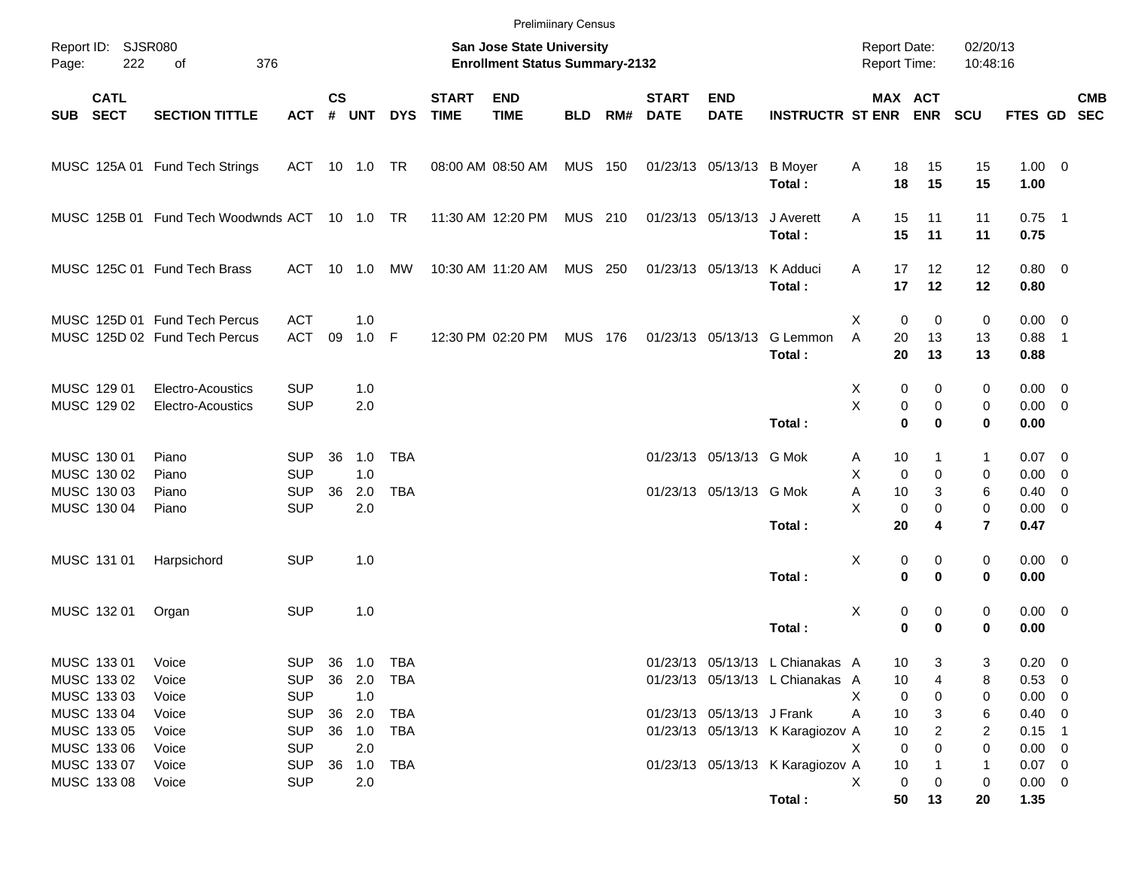|       |                                           |                                                                |                                        |               |                         |            |                             | <b>Prelimiinary Census</b>                                         |                |     |                             |                           |                                                                    |                                            |                       |                          |                                        |            |
|-------|-------------------------------------------|----------------------------------------------------------------|----------------------------------------|---------------|-------------------------|------------|-----------------------------|--------------------------------------------------------------------|----------------|-----|-----------------------------|---------------------------|--------------------------------------------------------------------|--------------------------------------------|-----------------------|--------------------------|----------------------------------------|------------|
| Page: | Report ID: SJSR080<br>222                 | 376<br>of                                                      |                                        |               |                         |            |                             | San Jose State University<br><b>Enrollment Status Summary-2132</b> |                |     |                             |                           |                                                                    | <b>Report Date:</b><br><b>Report Time:</b> |                       | 02/20/13<br>10:48:16     |                                        |            |
|       | <b>CATL</b><br>SUB SECT                   | <b>SECTION TITTLE</b>                                          | <b>ACT</b>                             | $\mathsf{cs}$ | # UNT                   | <b>DYS</b> | <b>START</b><br><b>TIME</b> | <b>END</b><br><b>TIME</b>                                          | <b>BLD</b>     | RM# | <b>START</b><br><b>DATE</b> | <b>END</b><br><b>DATE</b> | <b>INSTRUCTR ST ENR ENR</b>                                        |                                            | MAX ACT               | <b>SCU</b>               | FTES GD SEC                            | <b>CMB</b> |
|       |                                           | MUSC 125A 01 Fund Tech Strings                                 | ACT 10 1.0 TR                          |               |                         |            |                             | 08:00 AM 08:50 AM                                                  | <b>MUS 150</b> |     |                             | 01/23/13 05/13/13 B Moyer | Total:                                                             | Α<br>18<br>18                              | 15<br>15              | 15<br>15                 | $1.00 \t 0$<br>1.00                    |            |
|       |                                           | MUSC 125B 01 Fund Tech Woodwnds ACT 10 1.0 TR                  |                                        |               |                         |            |                             | 11:30 AM 12:20 PM                                                  | MUS 210        |     |                             | 01/23/13 05/13/13         | J Averett<br>Total:                                                | 15<br>A<br>15                              | 11<br>11              | 11<br>11                 | $0.75$ 1<br>0.75                       |            |
|       |                                           | MUSC 125C 01 Fund Tech Brass                                   | ACT 10 1.0                             |               |                         | MW         |                             | 10:30 AM 11:20 AM                                                  | <b>MUS 250</b> |     |                             | 01/23/13 05/13/13         | K Adduci<br>Total:                                                 | 17<br>A<br>17                              | 12<br>12              | 12<br>12                 | $0.80 \ 0$<br>0.80                     |            |
|       |                                           | MUSC 125D 01 Fund Tech Percus<br>MUSC 125D 02 Fund Tech Percus | <b>ACT</b><br><b>ACT</b>               | 09            | 1.0<br>$1.0$ F          |            |                             | 12:30 PM 02:20 PM                                                  | MUS 176        |     |                             | 01/23/13 05/13/13         | G Lemmon<br>Total:                                                 | Χ<br>$\mathbf 0$<br>A<br>20<br>20          | 0<br>13<br>13         | 0<br>13<br>13            | $0.00 \t 0$<br>$0.88$ 1<br>0.88        |            |
|       | MUSC 129 01<br>MUSC 129 02                | Electro-Acoustics<br>Electro-Acoustics                         | <b>SUP</b><br><b>SUP</b>               |               | 1.0<br>2.0              |            |                             |                                                                    |                |     |                             |                           | Total:                                                             | 0<br>Х<br>X<br>$\pmb{0}$<br>$\mathbf 0$    | 0<br>$\mathbf 0$<br>0 | 0<br>0<br>0              | $0.00 \t 0$<br>$0.00 \t 0$<br>0.00     |            |
|       | MUSC 130 01<br>MUSC 130 02                | Piano<br>Piano                                                 | <b>SUP</b><br><b>SUP</b>               | 36            | 1.0<br>1.0              | <b>TBA</b> |                             |                                                                    |                |     |                             | 01/23/13 05/13/13 G Mok   |                                                                    | 10<br>A<br>X<br>$\mathbf 0$                | 1<br>$\Omega$         | 1<br>0                   | $0.07$ 0<br>$0.00 \t 0$                |            |
|       | MUSC 130 03<br>MUSC 130 04                | Piano<br>Piano                                                 | <b>SUP</b><br><b>SUP</b>               | 36            | 2.0<br>2.0              | <b>TBA</b> |                             |                                                                    |                |     |                             | 01/23/13 05/13/13 G Mok   | Total:                                                             | Α<br>10<br>X<br>$\mathbf 0$<br>20          | 3<br>$\mathbf 0$<br>4 | 6<br>0<br>$\overline{7}$ | $0.40 \quad 0$<br>$0.00 \t 0$<br>0.47  |            |
|       | MUSC 131 01                               | Harpsichord                                                    | <b>SUP</b>                             |               | 1.0                     |            |                             |                                                                    |                |     |                             |                           | Total:                                                             | х<br>0<br>$\mathbf 0$                      | 0<br>0                | 0<br>0                   | $0.00 \t 0$<br>0.00                    |            |
|       | MUSC 132 01                               | Organ                                                          | <b>SUP</b>                             |               | 1.0                     |            |                             |                                                                    |                |     |                             |                           | Total:                                                             | х<br>0<br>0                                | 0<br>$\bf{0}$         | 0<br>0                   | $0.00 \t 0$<br>0.00                    |            |
|       | MUSC 133 01<br>MUSC 133 02                | Voice<br>Voice                                                 | SUP 36 1.0 TBA<br><b>SUP</b>           |               | 36 2.0                  | TBA        |                             |                                                                    |                |     |                             |                           | 01/23/13 05/13/13 L Chianakas A<br>01/23/13 05/13/13 L Chianakas A | 10<br>10                                   | 3<br>4                | 3<br>8                   | $0.20 \ 0$<br>0.53 0                   |            |
|       | MUSC 133 03<br>MUSC 133 04<br>MUSC 133 05 | Voice<br>Voice<br>Voice                                        | <b>SUP</b><br><b>SUP</b><br><b>SUP</b> |               | 1.0<br>36 2.0<br>36 1.0 | TBA<br>TBA |                             |                                                                    |                |     |                             | 01/23/13 05/13/13 J Frank | 01/23/13 05/13/13 K Karagiozov A                                   | Х<br>0<br>Α<br>10<br>10                    | 0<br>3<br>2           | 0<br>6<br>2              | $0.00 \t 0$<br>$0.40 \ 0$<br>$0.15$ 1  |            |
|       | MUSC 133 06<br>MUSC 133 07<br>MUSC 133 08 | Voice<br>Voice<br>Voice                                        | <b>SUP</b><br><b>SUP</b><br><b>SUP</b> | 36            | 2.0<br>2.0              | 1.0 TBA    |                             |                                                                    |                |     |                             |                           | 01/23/13 05/13/13 K Karagiozov A                                   | Х<br>0<br>$10$<br>Χ<br>0                   | 0<br>0                | 0<br>1<br>0              | $0.00 \t 0$<br>$0.07$ 0<br>$0.00 \t 0$ |            |
|       |                                           |                                                                |                                        |               |                         |            |                             |                                                                    |                |     |                             |                           | Total:                                                             | 50                                         | 13                    | 20                       | 1.35                                   |            |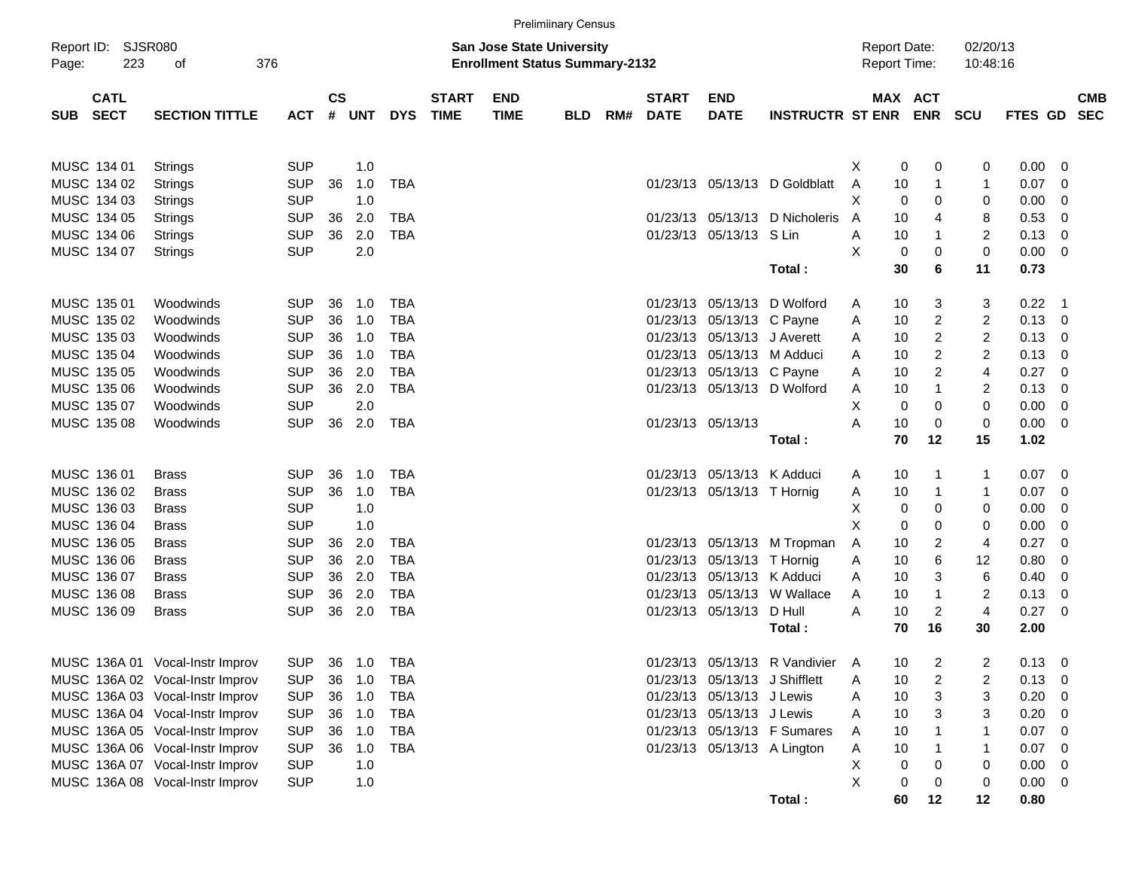|       |                            |                                 |            |               |       |            |                             |                                                                           | <b>Prelimiinary Census</b> |     |                             |                               |                               |                                            |                         |                      |         |                          |                          |
|-------|----------------------------|---------------------------------|------------|---------------|-------|------------|-----------------------------|---------------------------------------------------------------------------|----------------------------|-----|-----------------------------|-------------------------------|-------------------------------|--------------------------------------------|-------------------------|----------------------|---------|--------------------------|--------------------------|
| Page: | Report ID: SJSR080<br>223  | οf                              | 376        |               |       |            |                             | <b>San Jose State University</b><br><b>Enrollment Status Summary-2132</b> |                            |     |                             |                               |                               | <b>Report Date:</b><br><b>Report Time:</b> |                         | 02/20/13<br>10:48:16 |         |                          |                          |
| SUB   | <b>CATL</b><br><b>SECT</b> | <b>SECTION TITTLE</b>           | <b>ACT</b> | $\mathsf{cs}$ | # UNT | <b>DYS</b> | <b>START</b><br><b>TIME</b> | <b>END</b><br><b>TIME</b>                                                 | <b>BLD</b>                 | RM# | <b>START</b><br><b>DATE</b> | <b>END</b><br><b>DATE</b>     | <b>INSTRUCTR ST ENR</b>       | MAX ACT                                    | <b>ENR</b>              | <b>SCU</b>           | FTES GD |                          | <b>CMB</b><br><b>SEC</b> |
|       | MUSC 134 01                | Strings                         | <b>SUP</b> |               | 1.0   |            |                             |                                                                           |                            |     |                             |                               |                               | 0<br>X                                     | 0                       | 0                    | 0.00    | - 0                      |                          |
|       | MUSC 134 02                | Strings                         | <b>SUP</b> | 36            | 1.0   | <b>TBA</b> |                             |                                                                           |                            |     |                             |                               | 01/23/13 05/13/13 D Goldblatt | Α<br>10                                    | -1                      | 1                    | 0.07    | -0                       |                          |
|       | MUSC 134 03                | Strings                         | <b>SUP</b> |               | 1.0   |            |                             |                                                                           |                            |     |                             |                               |                               | X<br>0                                     | 0                       | 0                    | 0.00    | 0                        |                          |
|       | MUSC 134 05                | Strings                         | <b>SUP</b> | 36            | 2.0   | <b>TBA</b> |                             |                                                                           |                            |     |                             | 01/23/13 05/13/13             | D Nicholeris                  | 10<br>A                                    | $\overline{4}$          | 8                    | 0.53    | 0                        |                          |
|       | MUSC 134 06                | Strings                         | <b>SUP</b> | 36            | 2.0   | <b>TBA</b> |                             |                                                                           |                            |     |                             | 01/23/13 05/13/13 S Lin       |                               | 10<br>Α                                    | $\mathbf 1$             | $\overline{c}$       | 0.13    | - 0                      |                          |
|       | MUSC 134 07                | Strings                         | <b>SUP</b> |               | 2.0   |            |                             |                                                                           |                            |     |                             |                               |                               | X<br>0                                     | 0                       | $\mathbf 0$          | 0.00    | $\overline{\phantom{0}}$ |                          |
|       |                            |                                 |            |               |       |            |                             |                                                                           |                            |     |                             |                               | Total:                        | 30                                         | 6                       | 11                   | 0.73    |                          |                          |
|       | MUSC 135 01                | Woodwinds                       | <b>SUP</b> | 36            | 1.0   | <b>TBA</b> |                             |                                                                           |                            |     | 01/23/13                    |                               | 05/13/13 D Wolford            | 10<br>A                                    | 3                       | 3                    | 0.22    | $\overline{\phantom{1}}$ |                          |
|       | MUSC 135 02                | Woodwinds                       | <b>SUP</b> | 36            | 1.0   | <b>TBA</b> |                             |                                                                           |                            |     |                             | 01/23/13 05/13/13 C Payne     |                               | 10<br>A                                    | 2                       | 2                    | 0.13    | - 0                      |                          |
|       | MUSC 135 03                | Woodwinds                       | <b>SUP</b> | 36            | 1.0   | <b>TBA</b> |                             |                                                                           |                            |     |                             | 01/23/13 05/13/13 J Averett   |                               | 10<br>A                                    | 2                       | $\overline{c}$       | 0.13    | - 0                      |                          |
|       | MUSC 135 04                | Woodwinds                       | <b>SUP</b> | 36            | 1.0   | <b>TBA</b> |                             |                                                                           |                            |     |                             | 01/23/13 05/13/13 M Adduci    |                               | 10<br>A                                    | $\overline{\mathbf{c}}$ | $\overline{c}$       | 0.13    | - 0                      |                          |
|       | MUSC 135 05                | Woodwinds                       | <b>SUP</b> | 36            | 2.0   | <b>TBA</b> |                             |                                                                           |                            |     |                             | 01/23/13 05/13/13 C Payne     |                               | 10<br>A                                    | $\overline{c}$          | 4                    | 0.27    | -0                       |                          |
|       | MUSC 135 06                | Woodwinds                       | <b>SUP</b> | 36            | 2.0   | <b>TBA</b> |                             |                                                                           |                            |     |                             |                               | 01/23/13 05/13/13 D Wolford   | 10<br>Α                                    | $\mathbf{1}$            | 2                    | 0.13    | - 0                      |                          |
|       | MUSC 135 07                | Woodwinds                       | <b>SUP</b> |               | 2.0   |            |                             |                                                                           |                            |     |                             |                               |                               | х<br>0                                     | 0                       | 0                    | 0.00    | - 0                      |                          |
|       | MUSC 135 08                | Woodwinds                       | <b>SUP</b> | 36            | 2.0   | <b>TBA</b> |                             |                                                                           |                            |     |                             | 01/23/13 05/13/13             |                               | 10<br>Α                                    | 0                       | $\mathbf 0$          | 0.00    | - 0                      |                          |
|       |                            |                                 |            |               |       |            |                             |                                                                           |                            |     |                             |                               | Total:                        | 70                                         | 12                      | 15                   | 1.02    |                          |                          |
|       | MUSC 136 01                | <b>Brass</b>                    | <b>SUP</b> | 36            | 1.0   | TBA        |                             |                                                                           |                            |     |                             | 01/23/13 05/13/13 K Adduci    |                               | 10<br>A                                    | -1                      | 1                    | 0.07    | $\overline{\phantom{0}}$ |                          |
|       | MUSC 136 02                | <b>Brass</b>                    | <b>SUP</b> | 36            | 1.0   | <b>TBA</b> |                             |                                                                           |                            |     |                             | 01/23/13 05/13/13 T Hornig    |                               | 10<br>A                                    | 1                       | 1                    | 0.07    | - 0                      |                          |
|       | MUSC 136 03                | <b>Brass</b>                    | <b>SUP</b> |               | 1.0   |            |                             |                                                                           |                            |     |                             |                               |                               | Χ<br>0                                     | 0                       | 0                    | 0.00    | 0                        |                          |
|       | MUSC 136 04                | <b>Brass</b>                    | <b>SUP</b> |               | 1.0   |            |                             |                                                                           |                            |     |                             |                               |                               | Χ<br>0                                     | 0                       | 0                    | 0.00    | 0                        |                          |
|       | MUSC 136 05                | <b>Brass</b>                    | <b>SUP</b> | 36            | 2.0   | <b>TBA</b> |                             |                                                                           |                            |     |                             |                               | 01/23/13 05/13/13 M Tropman   | Α<br>10                                    | 2                       | 4                    | 0.27    | -0                       |                          |
|       | MUSC 136 06                | <b>Brass</b>                    | <b>SUP</b> | 36            | 2.0   | <b>TBA</b> |                             |                                                                           |                            |     |                             | 01/23/13 05/13/13 T Hornig    |                               | Α<br>10                                    | 6                       | 12                   | 0.80    | 0                        |                          |
|       | MUSC 136 07                | <b>Brass</b>                    | <b>SUP</b> | 36            | 2.0   | <b>TBA</b> |                             |                                                                           |                            |     | 01/23/13                    | 05/13/13 K Adduci             |                               | 10<br>A                                    | 3                       | 6                    | 0.40    | - 0                      |                          |
|       | MUSC 136 08                | <b>Brass</b>                    | <b>SUP</b> | 36            | 2.0   | <b>TBA</b> |                             |                                                                           |                            |     | 01/23/13                    |                               | 05/13/13 W Wallace            | 10<br>A                                    | $\mathbf{1}$            | $\overline{c}$       | 0.13    | - 0                      |                          |
|       | MUSC 136 09                | <b>Brass</b>                    | <b>SUP</b> | 36            | 2.0   | <b>TBA</b> |                             |                                                                           |                            |     |                             | 01/23/13 05/13/13             | D Hull                        | Α<br>10                                    | $\overline{2}$          | 4                    | 0.27    | - 0                      |                          |
|       |                            |                                 |            |               |       |            |                             |                                                                           |                            |     |                             |                               | Total:                        | 70                                         | 16                      | 30                   | 2.00    |                          |                          |
|       |                            | MUSC 136A 01 Vocal-Instr Improv | <b>SUP</b> | 36            | 1.0   | <b>TBA</b> |                             |                                                                           |                            |     |                             |                               | 01/23/13 05/13/13 R Vandivier | Α<br>10                                    | 2                       | 2                    | 0.13    | - 0                      |                          |
|       |                            | MUSC 136A 02 Vocal-Instr Improv | <b>SUP</b> | 36            | 1.0   | <b>TBA</b> |                             |                                                                           |                            |     |                             | 01/23/13 05/13/13 J Shifflett |                               | 10<br>Α                                    | 2                       | 2                    | 0.13    | $\overline{\phantom{0}}$ |                          |
|       |                            | MUSC 136A 03 Vocal-Instr Improv | <b>SUP</b> | 36            | 1.0   | <b>TBA</b> |                             |                                                                           |                            |     |                             | 01/23/13 05/13/13 J Lewis     |                               | Α<br>10                                    | 3                       | 3                    | 0.20    | - 0                      |                          |
|       |                            | MUSC 136A 04 Vocal-Instr Improv | <b>SUP</b> | 36            | 1.0   | TBA        |                             |                                                                           |                            |     |                             | 01/23/13 05/13/13 J Lewis     |                               | Α<br>10                                    | 3                       | 3                    | 0.20    | - 0                      |                          |
|       |                            | MUSC 136A 05 Vocal-Instr Improv | <b>SUP</b> | 36            | 1.0   | TBA        |                             |                                                                           |                            |     |                             |                               | 01/23/13 05/13/13 F Sumares   | Α<br>10                                    |                         | 1                    | 0.07    | - 0                      |                          |
|       |                            | MUSC 136A 06 Vocal-Instr Improv | <b>SUP</b> | 36            | 1.0   | <b>TBA</b> |                             |                                                                           |                            |     |                             |                               | 01/23/13 05/13/13 A Lington   | Α<br>10                                    | 1                       | 1                    | 0.07    | - 0                      |                          |
|       |                            | MUSC 136A 07 Vocal-Instr Improv | <b>SUP</b> |               | 1.0   |            |                             |                                                                           |                            |     |                             |                               |                               | Χ<br>0                                     | 0                       | 0                    | 0.00    | - 0                      |                          |
|       |                            | MUSC 136A 08 Vocal-Instr Improv | <b>SUP</b> |               | 1.0   |            |                             |                                                                           |                            |     |                             |                               |                               | X<br>0                                     | 0                       | 0                    | 0.00    | $\overline{\phantom{0}}$ |                          |
|       |                            |                                 |            |               |       |            |                             |                                                                           |                            |     |                             |                               | Total:                        | 60                                         | 12                      | 12                   | 0.80    |                          |                          |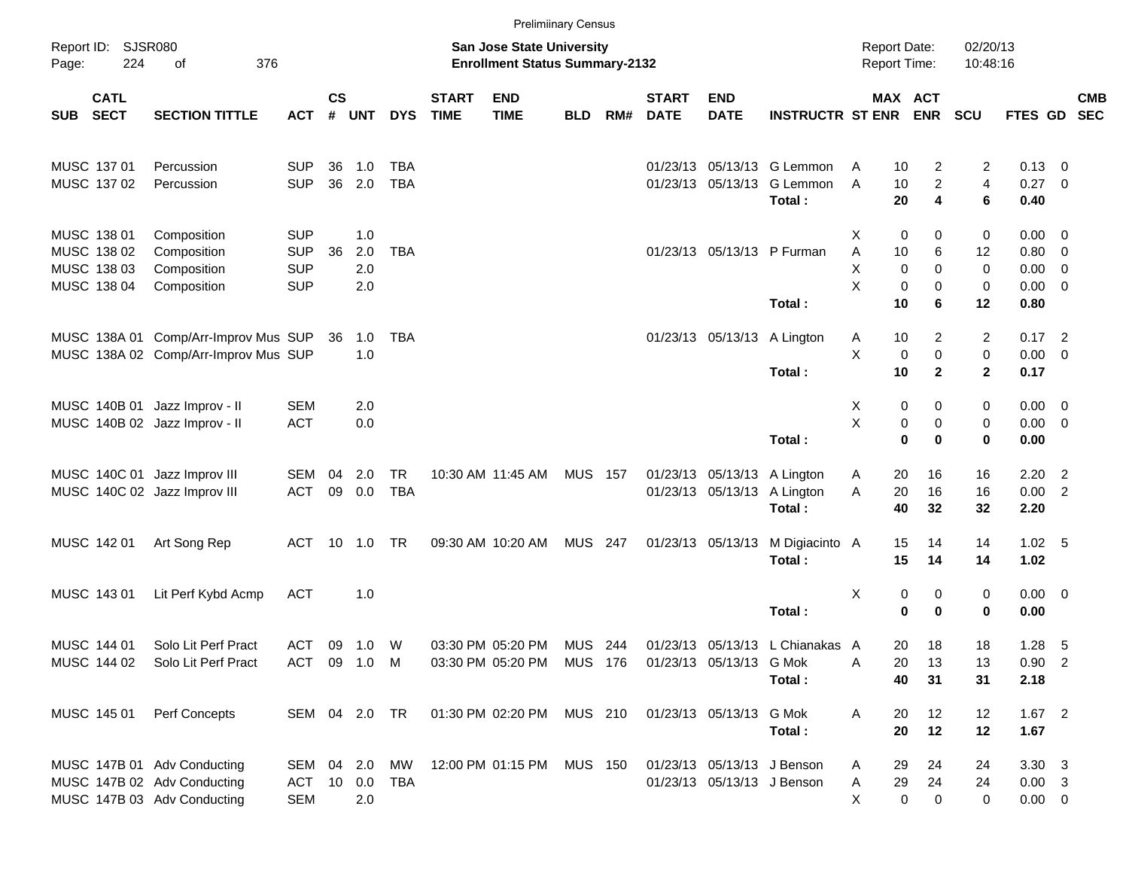|            |                            |                                                                |                          |                    |            |                         |                             | <b>Prelimiinary Census</b>                                         |                |     |                             |                            |                                          |                                            |                            |                      |                            |            |
|------------|----------------------------|----------------------------------------------------------------|--------------------------|--------------------|------------|-------------------------|-----------------------------|--------------------------------------------------------------------|----------------|-----|-----------------------------|----------------------------|------------------------------------------|--------------------------------------------|----------------------------|----------------------|----------------------------|------------|
| Page:      | Report ID: SJSR080<br>224  | 376<br>оf                                                      |                          |                    |            |                         |                             | San Jose State University<br><b>Enrollment Status Summary-2132</b> |                |     |                             |                            |                                          | <b>Report Date:</b><br><b>Report Time:</b> |                            | 02/20/13<br>10:48:16 |                            |            |
| <b>SUB</b> | <b>CATL</b><br><b>SECT</b> | <b>SECTION TITTLE</b>                                          | <b>ACT</b>               | $\mathsf{cs}$<br># | <b>UNT</b> | <b>DYS</b>              | <b>START</b><br><b>TIME</b> | <b>END</b><br><b>TIME</b>                                          | <b>BLD</b>     | RM# | <b>START</b><br><b>DATE</b> | <b>END</b><br><b>DATE</b>  | <b>INSTRUCTR ST ENR</b>                  |                                            | MAX ACT<br><b>ENR</b>      | <b>SCU</b>           | FTES GD SEC                | <b>CMB</b> |
|            | MUSC 137 01                | Percussion                                                     | <b>SUP</b>               | 36                 | 1.0        | <b>TBA</b>              |                             |                                                                    |                |     |                             |                            | 01/23/13 05/13/13 G Lemmon               | 10<br>A                                    | 2                          | 2                    | $0.13 \quad 0$             |            |
|            | MUSC 137 02                | Percussion                                                     | <b>SUP</b>               | 36                 | 2.0        | <b>TBA</b>              |                             |                                                                    |                |     |                             |                            | 01/23/13 05/13/13 G Lemmon<br>Total:     | A<br>10<br>20                              | $\overline{c}$<br>4        | 4<br>6               | $0.27$ 0<br>0.40           |            |
|            | MUSC 138 01                | Composition                                                    | <b>SUP</b>               |                    | 1.0        |                         |                             |                                                                    |                |     |                             |                            |                                          | х                                          | 0<br>0                     | 0                    | $0.00 \t 0$                |            |
|            | MUSC 138 02<br>MUSC 138 03 | Composition<br>Composition                                     | <b>SUP</b><br><b>SUP</b> | 36                 | 2.0<br>2.0 | <b>TBA</b>              |                             |                                                                    |                |     |                             |                            | 01/23/13 05/13/13 P Furman               | Α<br>10<br>X                               | 6<br>$\mathbf 0$<br>0      | 12<br>0              | 0.80 0<br>$0.00 \t 0$      |            |
|            | MUSC 138 04                | Composition                                                    | <b>SUP</b>               |                    | 2.0        |                         |                             |                                                                    |                |     |                             |                            | Total:                                   | X<br>10                                    | 0<br>0<br>6                | 0<br>12              | $0.00 \t 0$<br>0.80        |            |
|            |                            | MUSC 138A 01 Comp/Arr-Improv Mus SUP                           |                          | 36                 | 1.0<br>1.0 | TBA                     |                             |                                                                    |                |     |                             |                            | 01/23/13 05/13/13 A Lington              | 10<br>A<br>Χ                               | 2<br>$\mathbf 0$<br>0      | 2<br>0               | $0.17$ 2<br>$0.00 \t 0$    |            |
|            |                            | MUSC 138A 02 Comp/Arr-Improv Mus SUP                           |                          |                    |            |                         |                             |                                                                    |                |     |                             |                            | Total:                                   | 10                                         | $\mathbf{2}$               | $\mathbf{2}$         | 0.17                       |            |
|            |                            | MUSC 140B 01 Jazz Improv - II<br>MUSC 140B 02 Jazz Improv - II | <b>SEM</b><br><b>ACT</b> |                    | 2.0<br>0.0 |                         |                             |                                                                    |                |     |                             |                            |                                          | Х<br>X                                     | 0<br>0<br>0<br>0           | 0<br>0               | $0.00 \t 0$<br>$0.00 \t 0$ |            |
|            |                            |                                                                |                          |                    |            |                         |                             |                                                                    |                |     |                             |                            | Total:                                   |                                            | $\mathbf 0$<br>$\bf{0}$    | 0                    | 0.00                       |            |
|            |                            | MUSC 140C 01 Jazz Improv III<br>MUSC 140C 02 Jazz Improv III   | SEM<br><b>ACT</b>        | 04<br>09           | 2.0<br>0.0 | <b>TR</b><br><b>TBA</b> |                             | 10:30 AM 11:45 AM                                                  | <b>MUS 157</b> |     |                             | 01/23/13 05/13/13          | 01/23/13 05/13/13 A Lington<br>A Lington | 20<br>A<br>20<br>A                         | 16<br>16                   | 16<br>16             | $2.20$ 2<br>0.00 2         |            |
|            |                            |                                                                |                          |                    |            |                         |                             |                                                                    |                |     |                             |                            | Total:                                   | 40                                         | 32                         | 32                   | 2.20                       |            |
|            | MUSC 142 01                | Art Song Rep                                                   | ACT                      |                    | 10 1.0     | TR                      |                             | 09:30 AM 10:20 AM                                                  | <b>MUS 247</b> |     |                             | 01/23/13 05/13/13          | M Digiacinto A<br>Total:                 | 15<br>15                                   | 14<br>14                   | 14<br>14             | 1.02 <sub>5</sub><br>1.02  |            |
|            | MUSC 143 01                | Lit Perf Kybd Acmp                                             | <b>ACT</b>               |                    | 1.0        |                         |                             |                                                                    |                |     |                             |                            |                                          | X                                          | 0<br>0                     | 0                    | $0.00 \t 0$                |            |
|            |                            |                                                                |                          |                    |            |                         |                             |                                                                    |                |     |                             |                            | Total:                                   |                                            | $\mathbf 0$<br>$\mathbf 0$ | 0                    | 0.00                       |            |
|            | MUSC 144 01<br>MUSC 144 02 | Solo Lit Perf Pract<br>Solo Lit Perf Pract                     | ACT<br>ACT 09 1.0 M      | 09                 | 1.0        | W                       |                             | 03:30 PM 05:20 PM<br>03:30 PM 05:20 PM MUS 176                     | <b>MUS 244</b> |     |                             | 01/23/13 05/13/13 G Mok    | 01/23/13 05/13/13 L Chianakas A          | 20<br>Α<br>20                              | 18<br>13                   | 18<br>13             | $1.28$ 5<br>$0.90$ 2       |            |
|            |                            |                                                                |                          |                    |            |                         |                             |                                                                    |                |     |                             |                            | Total:                                   | 40                                         | 31                         | 31                   | 2.18                       |            |
|            | MUSC 145 01                | Perf Concepts                                                  | SEM 04 2.0 TR            |                    |            |                         |                             | 01:30 PM 02:20 PM                                                  | <b>MUS 210</b> |     |                             | 01/23/13 05/13/13 G Mok    | Total:                                   | Α<br>20<br>20                              | 12<br>12                   | 12<br>12             | $1.67$ 2<br>1.67           |            |
|            |                            | MUSC 147B 01 Adv Conducting                                    | SEM 04 2.0               |                    |            | MW                      |                             | 12:00 PM 01:15 PM                                                  | <b>MUS 150</b> |     |                             | 01/23/13 05/13/13 J Benson |                                          | 29<br>A                                    | 24                         | 24                   | $3.30 \quad 3$             |            |
|            |                            | MUSC 147B 02 Adv Conducting                                    | ACT 10 0.0 TBA           |                    |            |                         |                             |                                                                    |                |     |                             | 01/23/13 05/13/13 J Benson |                                          | 29<br>Α                                    | 24                         | 24                   | $0.00 \quad 3$             |            |
|            |                            | MUSC 147B 03 Adv Conducting                                    | <b>SEM</b>               |                    | 2.0        |                         |                             |                                                                    |                |     |                             |                            |                                          | X                                          | $\mathbf 0$<br>0           | 0                    | $0.00\quad 0$              |            |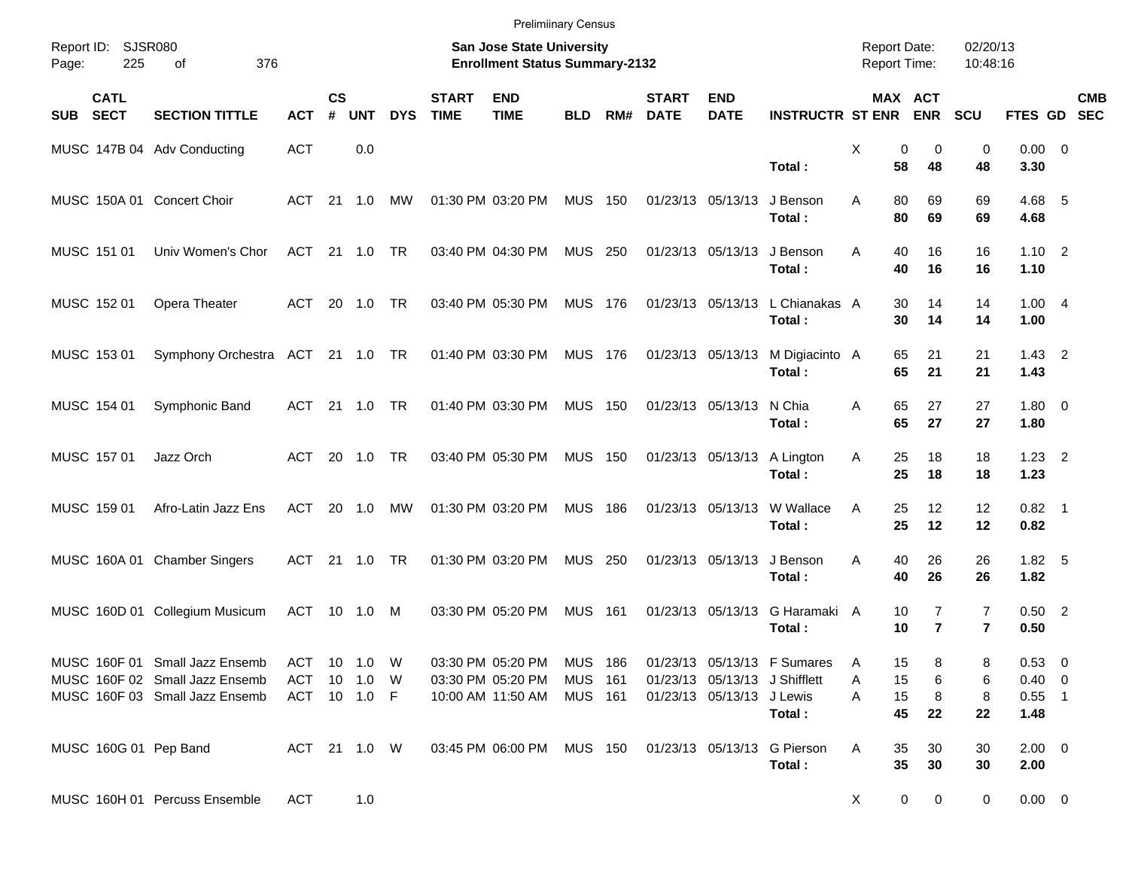|                                          |                                                                                                    |                                     |                |            |            |                             | <b>Prelimiinary Census</b>                                                |                                      |     |                             |                                                            |                                               |                                            |                                  |                                  |                                      |                           |  |
|------------------------------------------|----------------------------------------------------------------------------------------------------|-------------------------------------|----------------|------------|------------|-----------------------------|---------------------------------------------------------------------------|--------------------------------------|-----|-----------------------------|------------------------------------------------------------|-----------------------------------------------|--------------------------------------------|----------------------------------|----------------------------------|--------------------------------------|---------------------------|--|
| Report ID:<br>225<br>Page:               | <b>SJSR080</b><br>376<br>οf                                                                        |                                     |                |            |            |                             | <b>San Jose State University</b><br><b>Enrollment Status Summary-2132</b> |                                      |     |                             |                                                            |                                               | <b>Report Date:</b><br><b>Report Time:</b> |                                  | 02/20/13<br>10:48:16             |                                      |                           |  |
| <b>CATL</b><br><b>SECT</b><br><b>SUB</b> | <b>SECTION TITTLE</b>                                                                              | <b>ACT</b>                          | <b>CS</b><br># | <b>UNT</b> | <b>DYS</b> | <b>START</b><br><b>TIME</b> | <b>END</b><br><b>TIME</b>                                                 | <b>BLD</b>                           | RM# | <b>START</b><br><b>DATE</b> | <b>END</b><br><b>DATE</b>                                  | <b>INSTRUCTR ST ENR</b>                       |                                            | MAX ACT<br><b>ENR</b>            | <b>SCU</b>                       |                                      | <b>CMB</b><br>FTES GD SEC |  |
|                                          | MUSC 147B 04 Adv Conducting                                                                        | <b>ACT</b>                          |                | 0.0        |            |                             |                                                                           |                                      |     |                             |                                                            | Total:                                        | X<br>58                                    | 0<br>0<br>48                     | $\mathbf 0$<br>48                | $0.00 \t 0$<br>3.30                  |                           |  |
| MUSC 150A 01 Concert Choir               |                                                                                                    | ACT 21 1.0                          |                |            | МW         |                             | 01:30 PM 03:20 PM                                                         | <b>MUS 150</b>                       |     |                             | 01/23/13 05/13/13                                          | J Benson<br>Total:                            | 80<br>A<br>80                              | 69<br>69                         | 69<br>69                         | 4.68 5<br>4.68                       |                           |  |
| MUSC 151 01                              | Univ Women's Chor                                                                                  | ACT 21 1.0                          |                |            | TR         |                             | 03:40 PM 04:30 PM                                                         | <b>MUS 250</b>                       |     |                             | 01/23/13 05/13/13                                          | J Benson<br>Total:                            | 40<br>A<br>40                              | 16<br>16                         | 16<br>16                         | $1.10 \quad 2$<br>1.10               |                           |  |
| MUSC 152 01                              | Opera Theater                                                                                      | ACT 20 1.0                          |                |            | <b>TR</b>  |                             | 03:40 PM 05:30 PM                                                         | MUS 176                              |     |                             |                                                            | 01/23/13 05/13/13 L Chianakas A<br>Total:     | 30<br>30                                   | 14<br>14                         | 14<br>14                         | 1.004<br>1.00                        |                           |  |
| MUSC 153 01                              | Symphony Orchestra ACT 21 1.0 TR                                                                   |                                     |                |            |            |                             | 01:40 PM 03:30 PM                                                         | MUS 176                              |     |                             | 01/23/13 05/13/13                                          | M Digiacinto A<br>Total:                      | 65<br>65                                   | 21<br>21                         | 21<br>21                         | $1.43 \quad 2$<br>1.43               |                           |  |
| MUSC 154 01                              | Symphonic Band                                                                                     | ACT 21 1.0 TR                       |                |            |            |                             | 01:40 PM 03:30 PM                                                         | <b>MUS 150</b>                       |     |                             | 01/23/13 05/13/13                                          | N Chia<br>Total:                              | 65<br>A<br>65                              | 27<br>27                         | 27<br>27                         | $1.80 \ 0$<br>1.80                   |                           |  |
| MUSC 157 01                              | Jazz Orch                                                                                          |                                     |                | ACT 20 1.0 | <b>TR</b>  |                             | 03:40 PM 05:30 PM                                                         | <b>MUS 150</b>                       |     |                             | 01/23/13 05/13/13                                          | A Lington<br>Total:                           | 25<br>A<br>25                              | 18<br>18                         | 18<br>18                         | $1.23 \quad 2$<br>1.23               |                           |  |
| MUSC 159 01                              | Afro-Latin Jazz Ens                                                                                | ACT                                 |                | 20 1.0     | <b>MW</b>  |                             | 01:30 PM 03:20 PM                                                         | <b>MUS 186</b>                       |     |                             | 01/23/13 05/13/13                                          | W Wallace<br>Total:                           | 25<br>A<br>25                              | 12<br>12                         | 12<br>12                         | $0.82$ 1<br>0.82                     |                           |  |
|                                          | MUSC 160A 01 Chamber Singers                                                                       | ACT 21 1.0                          |                |            | TR         |                             | 01:30 PM 03:20 PM                                                         | <b>MUS 250</b>                       |     |                             | 01/23/13 05/13/13                                          | J Benson<br>Total:                            | 40<br>A<br>40                              | 26<br>26                         | 26<br>26                         | $1.82\quad 5$<br>1.82                |                           |  |
|                                          | MUSC 160D 01 Collegium Musicum                                                                     | ACT 10 1.0 M                        |                |            |            |                             | 03:30 PM 05:20 PM                                                         | <b>MUS 161</b>                       |     |                             | 01/23/13 05/13/13                                          | G Haramaki A<br>Total:                        | 10<br>10                                   | $\overline{7}$<br>$\overline{7}$ | $\overline{7}$<br>$\overline{7}$ | $0.50$ 2<br>0.50                     |                           |  |
|                                          | MUSC 160F 01 Small Jazz Ensemb<br>MUSC 160F 02 Small Jazz Ensemb<br>MUSC 160F 03 Small Jazz Ensemb | ACT 10 1.0 W<br>ACT<br>ACT 10 1.0 F |                | 10 1.0 W   |            |                             | 03:30 PM 05:20 PM<br>03:30 PM 05:20 PM<br>10:00 AM 11:50 AM               | MUS 186<br>MUS 161<br><b>MUS 161</b> |     |                             | 01/23/13 05/13/13 J Shifflett<br>01/23/13 05/13/13 J Lewis | 01/23/13 05/13/13 F Sumares                   | A<br>15<br>15<br>Α<br>15<br>Α              | 8<br>6<br>8                      | 8<br>6                           | 0.53 0<br>$0.40 \quad 0$<br>$0.55$ 1 |                           |  |
|                                          |                                                                                                    |                                     |                |            |            |                             |                                                                           |                                      |     |                             |                                                            | Total:                                        | 45                                         | 22                               | 8<br>22                          | 1.48                                 |                           |  |
| MUSC 160G 01 Pep Band                    |                                                                                                    | ACT 21 1.0 W                        |                |            |            |                             | 03:45 PM 06:00 PM                                                         |                                      |     |                             |                                                            | MUS 150 01/23/13 05/13/13 G Pierson<br>Total: | 35<br>A<br>35                              | 30<br>30                         | 30<br>30                         | $2.00 \t 0$<br>2.00                  |                           |  |
|                                          | MUSC 160H 01 Percuss Ensemble                                                                      | ACT                                 |                | 1.0        |            |                             |                                                                           |                                      |     |                             |                                                            |                                               | X                                          | 0<br>0                           | 0                                | $0.00 \t 0$                          |                           |  |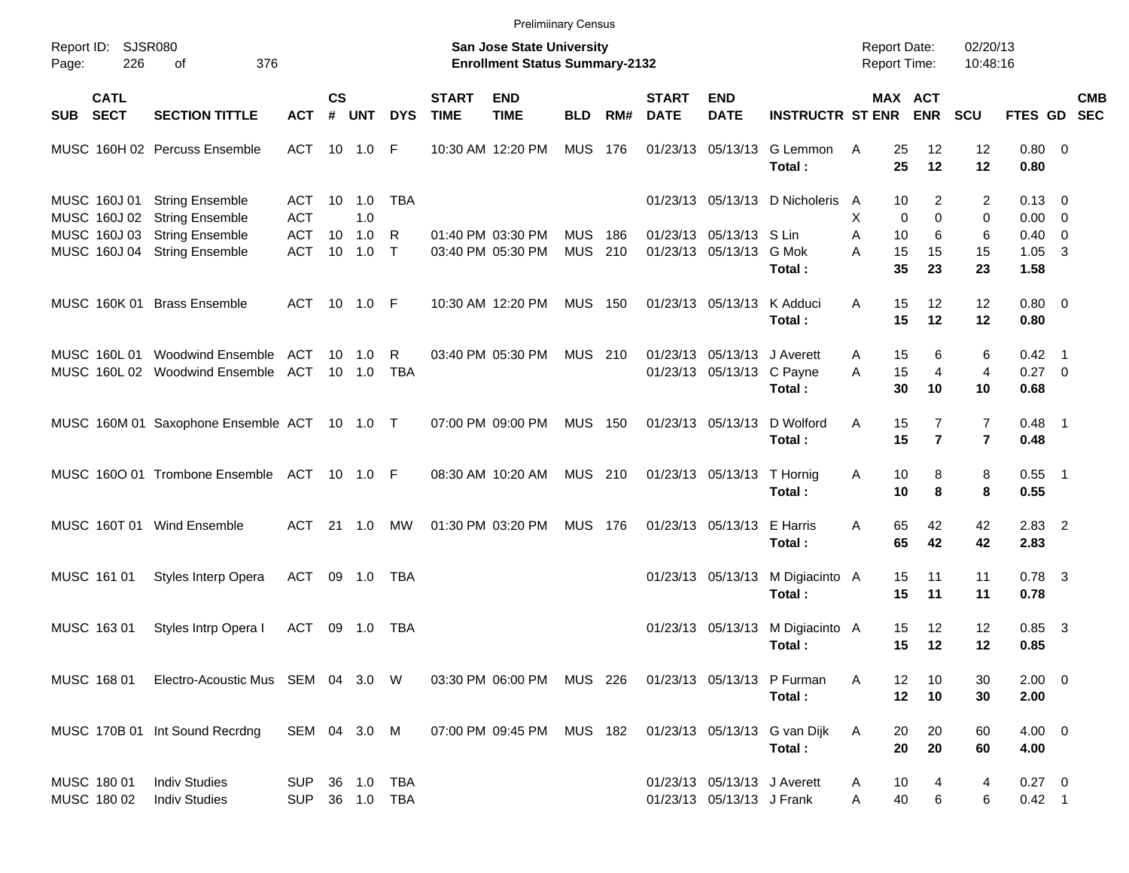|       |                              |                                                        |                          |               |                |                          |                             | <b>Prelimiinary Census</b>                                                |                   |              |                             |                                                          |                                            |                                     |                                  |                                  |                                  |            |
|-------|------------------------------|--------------------------------------------------------|--------------------------|---------------|----------------|--------------------------|-----------------------------|---------------------------------------------------------------------------|-------------------|--------------|-----------------------------|----------------------------------------------------------|--------------------------------------------|-------------------------------------|----------------------------------|----------------------------------|----------------------------------|------------|
| Page: | Report ID: SJSR080<br>226    | 376<br>of                                              |                          |               |                |                          |                             | <b>San Jose State University</b><br><b>Enrollment Status Summary-2132</b> |                   |              |                             |                                                          |                                            | <b>Report Date:</b><br>Report Time: |                                  | 02/20/13<br>10:48:16             |                                  |            |
| SUB   | <b>CATL</b><br><b>SECT</b>   | <b>SECTION TITTLE</b>                                  | <b>ACT</b>               | $\mathsf{cs}$ | # UNT          | <b>DYS</b>               | <b>START</b><br><b>TIME</b> | <b>END</b><br><b>TIME</b>                                                 | <b>BLD</b>        | RM#          | <b>START</b><br><b>DATE</b> | <b>END</b><br><b>DATE</b>                                | <b>INSTRUCTR ST ENR</b>                    |                                     | MAX ACT<br><b>ENR</b>            | <b>SCU</b>                       | FTES GD SEC                      | <b>CMB</b> |
|       |                              | MUSC 160H 02 Percuss Ensemble                          | ACT                      |               | $10 \quad 1.0$ | F                        |                             | 10:30 AM 12:20 PM                                                         | <b>MUS 176</b>    |              |                             | 01/23/13 05/13/13                                        | G Lemmon<br>Total:                         | 25<br>A<br>25                       | 12<br>12                         | 12<br>12                         | $0.80 \ 0$<br>0.80               |            |
|       | MUSC 160J 01<br>MUSC 160J 02 | <b>String Ensemble</b><br><b>String Ensemble</b>       | ACT<br><b>ACT</b>        |               | 10 1.0<br>1.0  | <b>TBA</b>               |                             |                                                                           |                   |              |                             |                                                          | 01/23/13 05/13/13 D Nicholeris             | 10<br>A<br>X<br>$\Omega$            | 2<br>$\Omega$                    | 2<br>0                           | $0.13 \quad 0$<br>$0.00 \t 0$    |            |
|       | MUSC 160J 03                 | <b>String Ensemble</b><br>MUSC 160J 04 String Ensemble | <b>ACT</b><br><b>ACT</b> | 10            | 1.0<br>10 1.0  | R<br>$\top$              |                             | 01:40 PM 03:30 PM<br>03:40 PM 05:30 PM                                    | <b>MUS</b><br>MUS | - 186<br>210 |                             | 01/23/13 05/13/13 S Lin<br>01/23/13 05/13/13 G Mok       |                                            | A<br>10<br>15<br>A                  | 6<br>15                          | 6<br>15                          | $0.40 \quad 0$<br>$1.05 \quad 3$ |            |
|       |                              | MUSC 160K 01 Brass Ensemble                            | ACT                      |               |                |                          |                             | 10:30 AM 12:20 PM                                                         | <b>MUS 150</b>    |              |                             | 01/23/13 05/13/13 K Adduci                               | Total:                                     | 35<br>15<br>Α                       | 23<br>12                         | 23<br>12                         | 1.58<br>$0.80 \ 0$               |            |
|       | MUSC 160L 01                 | <b>Woodwind Ensemble</b>                               | ACT                      |               | $10 \quad 1.0$ | R                        |                             | 03:40 PM 05:30 PM                                                         | MUS 210           |              |                             | 01/23/13 05/13/13 J Averett                              | Total:                                     | 15<br>15<br>A                       | 12<br>6                          | 12<br>6                          | 0.80<br>$0.42$ 1                 |            |
|       |                              | MUSC 160L 02 Woodwind Ensemble                         | ACT                      |               | $10 \quad 1.0$ | <b>TBA</b>               |                             |                                                                           |                   |              |                             | 01/23/13 05/13/13 C Payne                                | Total:                                     | 15<br>A<br>30                       | $\overline{4}$<br>10             | $\overline{4}$<br>10             | $0.27 \ 0$<br>0.68               |            |
|       |                              | MUSC 160M 01 Saxophone Ensemble ACT 10 1.0 T           |                          |               |                |                          |                             | 07:00 PM 09:00 PM                                                         | <b>MUS 150</b>    |              |                             | 01/23/13 05/13/13                                        | D Wolford<br>Total:                        | 15<br>A<br>15                       | $\overline{7}$<br>$\overline{7}$ | $\overline{7}$<br>$\overline{7}$ | $0.48$ 1<br>0.48                 |            |
|       |                              | MUSC 1600 01 Trombone Ensemble ACT 10 1.0 F            |                          |               |                |                          |                             | 08:30 AM 10:20 AM                                                         | MUS 210           |              |                             | 01/23/13 05/13/13 T Hornig                               | Total:                                     | Α<br>10<br>10                       | 8<br>8                           | 8<br>8                           | $0.55$ 1<br>0.55                 |            |
|       |                              | MUSC 160T 01 Wind Ensemble                             | ACT                      |               | 21 1.0         | МW                       |                             | 01:30 PM 03:20 PM                                                         | <b>MUS 176</b>    |              |                             | 01/23/13 05/13/13                                        | E Harris<br>Total:                         | 65<br>A<br>65                       | 42<br>42                         | 42<br>42                         | $2.83$ 2<br>2.83                 |            |
|       | MUSC 161 01                  | Styles Interp Opera                                    | <b>ACT</b>               |               | 09 1.0         | TBA                      |                             |                                                                           |                   |              |                             |                                                          | 01/23/13 05/13/13 M Digiacinto A<br>Total: | 15<br>15                            | 11<br>11                         | 11<br>11                         | $0.78$ 3<br>0.78                 |            |
|       | MUSC 163 01                  | Styles Intrp Opera I                                   | <b>ACT</b>               |               | 09 1.0         | TBA                      |                             |                                                                           |                   |              |                             |                                                          | 01/23/13 05/13/13 M Digiacinto A<br>Total: | 15<br>15                            | $12 \overline{ }$<br>12          | 12<br>12                         | $0.85$ 3<br>0.85                 |            |
|       | MUSC 168 01                  | Electro-Acoustic Mus SEM 04 3.0 W                      |                          |               |                |                          |                             | 03:30 PM 06:00 PM MUS 226                                                 |                   |              |                             |                                                          | 01/23/13 05/13/13 P Furman<br>Total:       | A<br>12<br>12                       | 10<br>10                         | 30<br>30                         | $2.00 \t 0$<br>2.00              |            |
|       |                              | MUSC 170B 01 Int Sound Recrdng                         | SEM 04 3.0 M             |               |                |                          |                             | 07:00 PM 09:45 PM MUS 182                                                 |                   |              |                             |                                                          | 01/23/13 05/13/13 G van Dijk<br>Total:     | 20<br>A<br>20                       | 20<br>20                         | 60<br>60                         | $4.00 \ 0$<br>4.00               |            |
|       | MUSC 180 01<br>MUSC 180 02   | <b>Indiv Studies</b><br><b>Indiv Studies</b>           | SUP<br><b>SUP</b>        |               |                | 36 1.0 TBA<br>36 1.0 TBA |                             |                                                                           |                   |              |                             | 01/23/13 05/13/13 J Averett<br>01/23/13 05/13/13 J Frank |                                            | 10<br>A<br>40<br>Α                  | 4<br>6                           | 4<br>6                           | $0.27 \t 0$<br>$0.42$ 1          |            |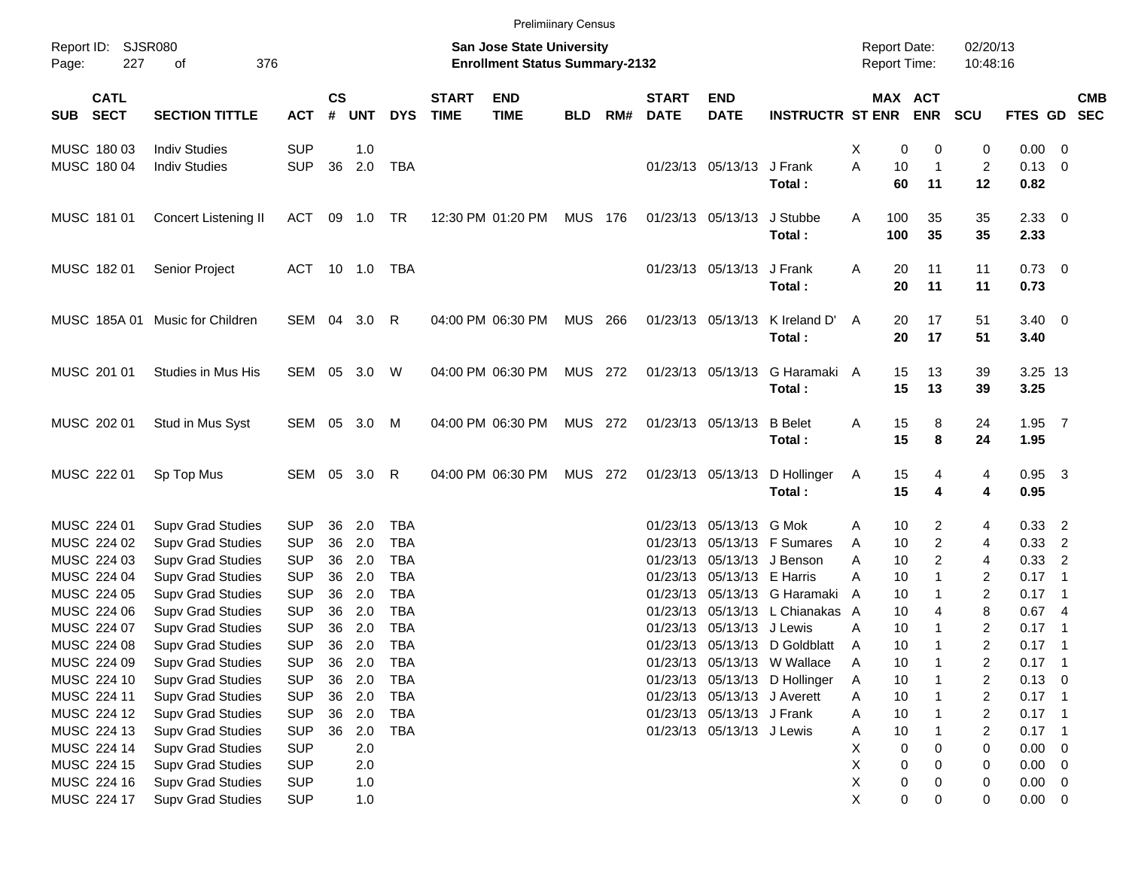|                                                                                                                              |                                 |              |                |            |            |                             |                           | <b>Prelimiinary Census</b> |     |                                            |                             |                               |                 |                       |                |                    |            |
|------------------------------------------------------------------------------------------------------------------------------|---------------------------------|--------------|----------------|------------|------------|-----------------------------|---------------------------|----------------------------|-----|--------------------------------------------|-----------------------------|-------------------------------|-----------------|-----------------------|----------------|--------------------|------------|
| Report ID: SJSR080<br><b>San Jose State University</b><br>227<br>376<br><b>Enrollment Status Summary-2132</b><br>of<br>Page: |                                 |              |                |            |            |                             |                           |                            |     | <b>Report Date:</b><br><b>Report Time:</b> |                             | 02/20/13<br>10:48:16          |                 |                       |                |                    |            |
| <b>CATL</b><br><b>SECT</b><br><b>SUB</b>                                                                                     | <b>SECTION TITTLE</b>           | <b>ACT</b>   | <b>CS</b><br># | <b>UNT</b> | <b>DYS</b> | <b>START</b><br><b>TIME</b> | <b>END</b><br><b>TIME</b> | <b>BLD</b>                 | RM# | <b>START</b><br><b>DATE</b>                | <b>END</b><br><b>DATE</b>   | <b>INSTRUCTR ST ENR</b>       |                 | MAX ACT<br><b>ENR</b> | <b>SCU</b>     | FTES GD SEC        | <b>CMB</b> |
| MUSC 180 03                                                                                                                  | <b>Indiv Studies</b>            | <b>SUP</b>   |                | 1.0        |            |                             |                           |                            |     |                                            |                             |                               | х               | 0<br>0                | 0              | $0.00 \t 0$        |            |
| MUSC 180 04                                                                                                                  | <b>Indiv Studies</b>            | <b>SUP</b>   | 36             | 2.0        | TBA        |                             |                           |                            |     |                                            | 01/23/13 05/13/13 J Frank   |                               | A               | 10<br>$\mathbf{1}$    | $\overline{2}$ | $0.13 \ 0$         |            |
|                                                                                                                              |                                 |              |                |            |            |                             |                           |                            |     |                                            |                             | Total:                        |                 | 60<br>11              | 12             | 0.82               |            |
| MUSC 181 01                                                                                                                  | <b>Concert Listening II</b>     | ACT          |                | 09 1.0     | TR         |                             | 12:30 PM 01:20 PM         | MUS 176                    |     |                                            | 01/23/13 05/13/13           | J Stubbe<br>Total:            | 100<br>Α<br>100 | 35<br>35              | 35<br>35       | $2.33 \ 0$<br>2.33 |            |
| MUSC 182 01                                                                                                                  | Senior Project                  | ACT 10 1.0   |                |            | TBA        |                             |                           |                            |     |                                            | 01/23/13 05/13/13 J Frank   |                               | Α               | 20<br>11              | 11             | $0.73 \quad 0$     |            |
|                                                                                                                              |                                 |              |                |            |            |                             |                           |                            |     |                                            |                             | Total:                        |                 | 20<br>11              | 11             | 0.73               |            |
|                                                                                                                              | MUSC 185A 01 Music for Children | SEM 04 3.0   |                |            | R          |                             | 04:00 PM 06:30 PM         | MUS 266                    |     |                                            | 01/23/13 05/13/13           | K Ireland D'                  | A               | 20<br>17              | 51             | $3.40 \quad 0$     |            |
|                                                                                                                              |                                 |              |                |            |            |                             |                           |                            |     |                                            |                             | Total:                        |                 | 20<br>17              | 51             | 3.40               |            |
| MUSC 201 01                                                                                                                  | Studies in Mus His              | SEM 05 3.0   |                |            | W          |                             | 04:00 PM 06:30 PM         | MUS 272                    |     |                                            | 01/23/13 05/13/13           | G Haramaki A                  |                 | 15<br>13              | 39             | 3.25 13            |            |
|                                                                                                                              |                                 |              |                |            |            |                             |                           |                            |     |                                            |                             | Total:                        |                 | 15<br>13              | 39             | 3.25               |            |
| MUSC 202 01                                                                                                                  | Stud in Mus Syst                | SEM 05 3.0 M |                |            |            |                             | 04:00 PM 06:30 PM         | MUS 272                    |     |                                            | 01/23/13 05/13/13 B Belet   |                               | Α               | 15<br>8               | 24             | $1.95$ 7           |            |
|                                                                                                                              |                                 |              |                |            |            |                             |                           |                            |     |                                            |                             | Total:                        |                 | 15<br>8               | 24             | 1.95               |            |
| MUSC 222 01                                                                                                                  | Sp Top Mus                      | SEM 05 3.0   |                |            | R          |                             | 04:00 PM 06:30 PM         | MUS 272                    |     |                                            | 01/23/13 05/13/13           | D Hollinger                   | A               | 15<br>4               | 4              | $0.95$ 3           |            |
|                                                                                                                              |                                 |              |                |            |            |                             |                           |                            |     |                                            |                             | Total:                        |                 | 15<br>4               | 4              | 0.95               |            |
| MUSC 224 01                                                                                                                  | <b>Supv Grad Studies</b>        | <b>SUP</b>   | 36             | 2.0        | <b>TBA</b> |                             |                           |                            |     |                                            | 01/23/13 05/13/13 G Mok     |                               | Α               | 10<br>2               | 4              | $0.33$ 2           |            |
| MUSC 224 02                                                                                                                  | <b>Supv Grad Studies</b>        | <b>SUP</b>   | 36             | 2.0        | <b>TBA</b> |                             |                           |                            |     | 01/23/13                                   |                             | 05/13/13 F Sumares            | A               | $\overline{c}$<br>10  | 4              | $0.33$ 2           |            |
| MUSC 224 03                                                                                                                  | <b>Supv Grad Studies</b>        | <b>SUP</b>   | 36             | 2.0        | <b>TBA</b> |                             |                           |                            |     |                                            |                             | 01/23/13 05/13/13 J Benson    | Α               | $\overline{c}$<br>10  | 4              | $0.33$ 2           |            |
| MUSC 224 04                                                                                                                  | <b>Supv Grad Studies</b>        | <b>SUP</b>   | 36             | 2.0        | <b>TBA</b> |                             |                           |                            |     |                                            | 01/23/13 05/13/13 E Harris  |                               | Α               | 10<br>$\mathbf{1}$    | 2              | $0.17$ 1           |            |
| MUSC 224 05                                                                                                                  | <b>Supv Grad Studies</b>        | <b>SUP</b>   | 36             | 2.0        | <b>TBA</b> |                             |                           |                            |     |                                            |                             | 01/23/13 05/13/13 G Haramaki  | A               | 10<br>1               | 2              | $0.17$ 1           |            |
| MUSC 224 06                                                                                                                  | <b>Supv Grad Studies</b>        | <b>SUP</b>   | 36             | 2.0        | <b>TBA</b> |                             |                           |                            |     |                                            |                             | 01/23/13 05/13/13 L Chianakas | A               | 10<br>4               | 8              | 0.674              |            |
| MUSC 224 07                                                                                                                  | <b>Supv Grad Studies</b>        | <b>SUP</b>   | 36             | 2.0        | <b>TBA</b> |                             |                           |                            |     | 01/23/13                                   | 05/13/13 J Lewis            |                               | Α               | 10<br>1               | 2              | $0.17$ 1           |            |
| MUSC 224 08                                                                                                                  | <b>Supv Grad Studies</b>        | <b>SUP</b>   | 36             | 2.0        | <b>TBA</b> |                             |                           |                            |     |                                            |                             | 01/23/13 05/13/13 D Goldblatt | Α               | 10<br>1               | $\overline{c}$ | $0.17$ 1           |            |
| MUSC 224 09                                                                                                                  | <b>Supv Grad Studies</b>        | <b>SUP</b>   | 36             | 2.0        | <b>TBA</b> |                             |                           |                            |     |                                            |                             | 01/23/13 05/13/13 W Wallace   | Α               | 10                    | 2              | $0.17$ 1           |            |
| MUSC 224 10                                                                                                                  | <b>Supv Grad Studies</b>        | <b>SUP</b>   | 36             | 2.0        | <b>TBA</b> |                             |                           |                            |     |                                            |                             | 01/23/13 05/13/13 D Hollinger | A               | 10                    | 2              | $0.13 \ 0$         |            |
| MUSC 224 11                                                                                                                  | Supv Grad Studies               | <b>SUP</b>   |                | 36 2.0     | <b>TBA</b> |                             |                           |                            |     |                                            | 01/23/13 05/13/13 J Averett |                               | Α               | 10                    | 2              | $0.17$ 1           |            |
| MUSC 224 12                                                                                                                  | <b>Supv Grad Studies</b>        | <b>SUP</b>   | 36             | 2.0        | <b>TBA</b> |                             |                           |                            |     |                                            | 01/23/13 05/13/13 J Frank   |                               | Α               | 10                    | 2              | $0.17$ 1           |            |
| MUSC 224 13                                                                                                                  | <b>Supv Grad Studies</b>        | <b>SUP</b>   | 36             | 2.0        | <b>TBA</b> |                             |                           |                            |     |                                            | 01/23/13 05/13/13 J Lewis   |                               | Α               | 10                    | 2              | $0.17$ 1           |            |
| MUSC 224 14                                                                                                                  | <b>Supv Grad Studies</b>        | <b>SUP</b>   |                | 2.0        |            |                             |                           |                            |     |                                            |                             |                               | X               | 0<br>0                | 0              | $0.00 \t 0$        |            |
| MUSC 224 15                                                                                                                  | <b>Supv Grad Studies</b>        | <b>SUP</b>   |                | 2.0        |            |                             |                           |                            |     |                                            |                             |                               | Χ               | 0<br>0                | 0              | $0.00 \t 0$        |            |
| MUSC 224 16                                                                                                                  | <b>Supv Grad Studies</b>        | <b>SUP</b>   |                | 1.0        |            |                             |                           |                            |     |                                            |                             |                               | Χ               | $\pmb{0}$<br>0        | 0              | $0.00 \t 0$        |            |
| MUSC 224 17                                                                                                                  | <b>Supv Grad Studies</b>        | <b>SUP</b>   |                | 1.0        |            |                             |                           |                            |     |                                            |                             |                               | X               | 0<br>0                | 0              | $0.00 \t 0$        |            |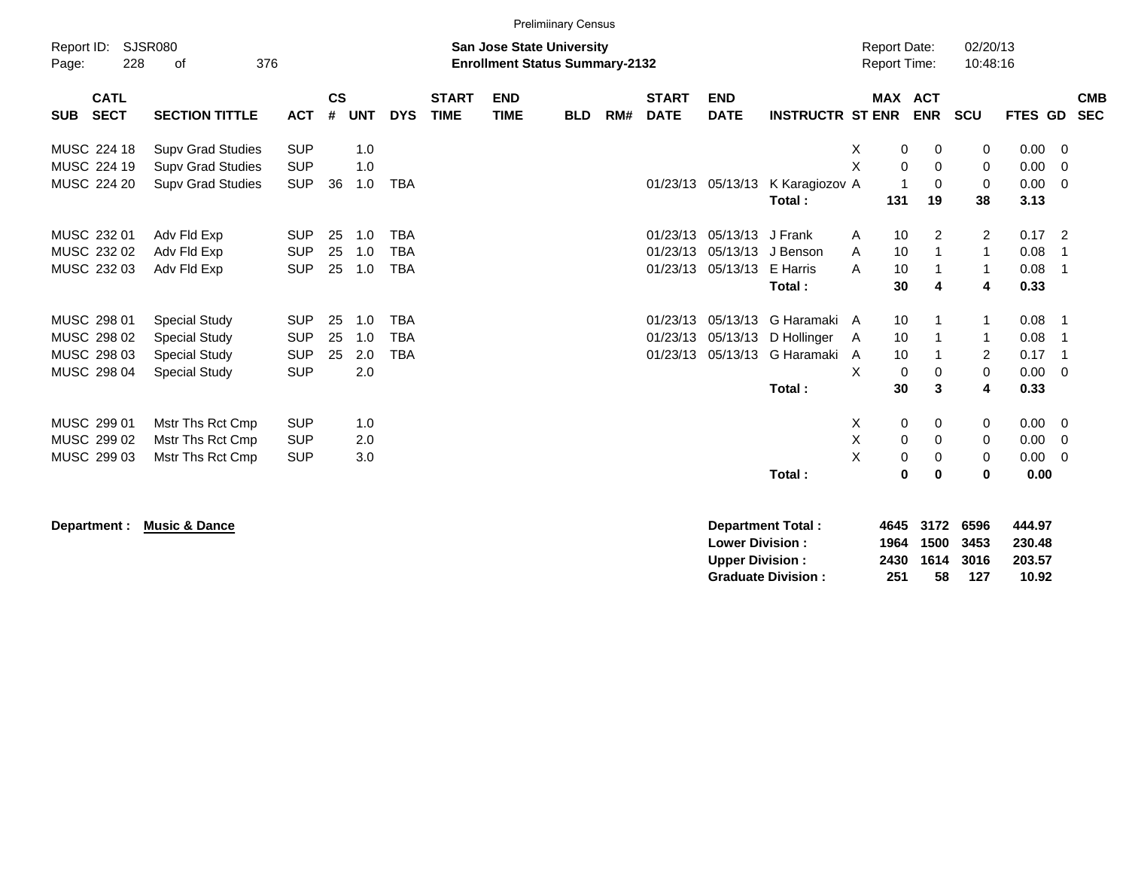|            |                                                                                                                        |                                                      |                          |                    |            |                          |                             |                           | <b>Prelimiinary Census</b> |     |                             |                               |                             |                            |                                            |                                |                            |                          |                          |
|------------|------------------------------------------------------------------------------------------------------------------------|------------------------------------------------------|--------------------------|--------------------|------------|--------------------------|-----------------------------|---------------------------|----------------------------|-----|-----------------------------|-------------------------------|-----------------------------|----------------------------|--------------------------------------------|--------------------------------|----------------------------|--------------------------|--------------------------|
| Page:      | Report ID:<br>SJSR080<br><b>San Jose State University</b><br>228<br>376<br><b>Enrollment Status Summary-2132</b><br>οf |                                                      |                          |                    |            |                          |                             |                           |                            |     |                             |                               |                             |                            | <b>Report Date:</b><br><b>Report Time:</b> | 02/20/13<br>10:48:16           |                            |                          |                          |
| <b>SUB</b> | <b>CATL</b><br><b>SECT</b>                                                                                             | <b>SECTION TITTLE</b>                                | <b>ACT</b>               | $\mathsf{cs}$<br># | <b>UNT</b> | <b>DYS</b>               | <b>START</b><br><b>TIME</b> | <b>END</b><br><b>TIME</b> | <b>BLD</b>                 | RM# | <b>START</b><br><b>DATE</b> | <b>END</b><br><b>DATE</b>     | <b>INSTRUCTR ST ENR</b>     | MAX ACT                    | <b>ENR</b>                                 | <b>SCU</b>                     | <b>FTES GD</b>             |                          | <b>CMB</b><br><b>SEC</b> |
|            | MUSC 224 18<br>MUSC 224 19                                                                                             | <b>Supv Grad Studies</b><br><b>Supv Grad Studies</b> | <b>SUP</b><br><b>SUP</b> |                    | 1.0<br>1.0 |                          |                             |                           |                            |     |                             |                               |                             | Χ<br>0<br>X<br>0           | 0<br>0                                     | 0<br>0                         | $0.00 \t 0$<br>0.00        | $\overline{\mathbf{0}}$  |                          |
|            | MUSC 224 20                                                                                                            | <b>Supv Grad Studies</b>                             | <b>SUP</b>               | 36                 | 1.0        | <b>TBA</b>               |                             |                           |                            |     |                             | 01/23/13 05/13/13             | K Karagiozov A<br>Total:    | 131                        | $\Omega$<br>19                             | 0<br>38                        | $0.00 \t 0$<br>3.13        |                          |                          |
|            | MUSC 232 01<br>MUSC 232 02                                                                                             | Adv Fld Exp<br>Adv Fld Exp                           | <b>SUP</b><br><b>SUP</b> | 25<br>25           | 1.0<br>1.0 | <b>TBA</b><br><b>TBA</b> |                             |                           |                            |     | 01/23/13                    | 01/23/13 05/13/13<br>05/13/13 | J Frank<br>J Benson         | 10<br>A<br>10<br>A         | $\overline{2}$                             | $\overline{2}$<br>$\mathbf{1}$ | $0.17$ 2<br>0.08           | - 1                      |                          |
|            | MUSC 232 03                                                                                                            | Adv Fld Exp                                          | <b>SUP</b>               | 25                 | 1.0        | <b>TBA</b>               |                             |                           |                            |     |                             | 01/23/13 05/13/13             | E Harris<br>Total:          | 10<br>A<br>30              | 4                                          | $\mathbf{1}$<br>4              | 0.08<br>0.33               | - 1                      |                          |
|            | MUSC 298 01<br>MUSC 298 02                                                                                             | <b>Special Study</b><br>Special Study                | <b>SUP</b><br><b>SUP</b> | 25<br>25           | 1.0<br>1.0 | <b>TBA</b><br><b>TBA</b> |                             |                           |                            |     | 01/23/13<br>01/23/13        | 05/13/13<br>05/13/13          | G Haramaki A<br>D Hollinger | 10<br>10<br>A              |                                            | 1<br>1                         | 0.08<br>0.08               | - 1                      |                          |
|            | MUSC 298 03<br>MUSC 298 04                                                                                             | <b>Special Study</b><br><b>Special Study</b>         | <b>SUP</b><br><b>SUP</b> | 25                 | 2.0<br>2.0 | <b>TBA</b>               |                             |                           |                            |     | 01/23/13                    | 05/13/13                      | G Haramaki                  | 10<br>A<br>X<br>0          | 0                                          | $\overline{2}$<br>0            | 0.17<br>$0.00 \t 0$        | - 1                      |                          |
|            |                                                                                                                        |                                                      |                          |                    |            |                          |                             |                           |                            |     |                             |                               | Total:                      | 30                         | 3                                          | 4                              | 0.33                       |                          |                          |
|            | MUSC 299 01<br>MUSC 299 02                                                                                             | Mstr Ths Rct Cmp<br>Mstr Ths Rct Cmp                 | <b>SUP</b><br><b>SUP</b> |                    | 1.0<br>2.0 |                          |                             |                           |                            |     |                             |                               |                             | $\mathbf 0$<br>х<br>Χ<br>0 | 0<br>0                                     | 0<br>0                         | $0.00 \t 0$<br>$0.00 \t 0$ |                          |                          |
|            | MUSC 299 03                                                                                                            | Mstr Ths Rct Cmp                                     | <b>SUP</b>               |                    | 3.0        |                          |                             |                           |                            |     |                             |                               | Total:                      | X<br>0<br>0                | 0<br>0                                     | 0<br>0                         | 0.00<br>0.00               | $\overline{\phantom{0}}$ |                          |

**Department : Music & Dance** 

| Department Total:         |     | 4645 3172 6596 |     | 444.97 |
|---------------------------|-----|----------------|-----|--------|
| <b>Lower Division:</b>    |     | 1964 1500 3453 |     | 230.48 |
| <b>Upper Division:</b>    |     | 2430 1614 3016 |     | 203.57 |
| <b>Graduate Division:</b> | 251 | 58             | 127 | 10.92  |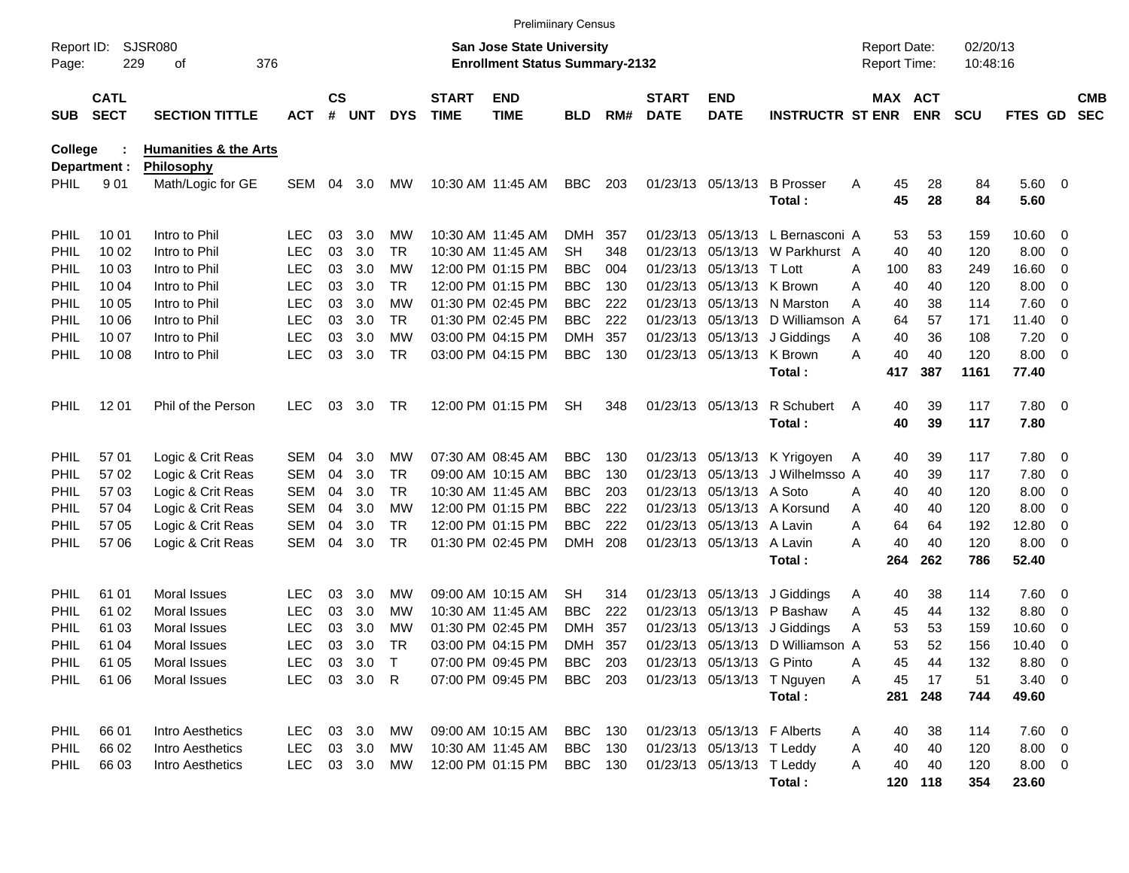|                     |                            |                                  |            |                    |            |            |                             |                                                                           | <b>Prelimiinary Census</b> |     |                             |                             |                                  |   |                                     |                       |                      |             |                          |                          |
|---------------------|----------------------------|----------------------------------|------------|--------------------|------------|------------|-----------------------------|---------------------------------------------------------------------------|----------------------------|-----|-----------------------------|-----------------------------|----------------------------------|---|-------------------------------------|-----------------------|----------------------|-------------|--------------------------|--------------------------|
| Report ID:<br>Page: | 229                        | <b>SJSR080</b><br>376<br>оf      |            |                    |            |            |                             | <b>San Jose State University</b><br><b>Enrollment Status Summary-2132</b> |                            |     |                             |                             |                                  |   | <b>Report Date:</b><br>Report Time: |                       | 02/20/13<br>10:48:16 |             |                          |                          |
| <b>SUB</b>          | <b>CATL</b><br><b>SECT</b> | <b>SECTION TITTLE</b>            | <b>ACT</b> | $\mathsf{cs}$<br># | <b>UNT</b> | <b>DYS</b> | <b>START</b><br><b>TIME</b> | <b>END</b><br><b>TIME</b>                                                 | <b>BLD</b>                 | RM# | <b>START</b><br><b>DATE</b> | <b>END</b><br><b>DATE</b>   | <b>INSTRUCTR ST ENR</b>          |   |                                     | MAX ACT<br><b>ENR</b> | <b>SCU</b>           | FTES GD     |                          | <b>CMB</b><br><b>SEC</b> |
| <b>College</b>      |                            | <b>Humanities &amp; the Arts</b> |            |                    |            |            |                             |                                                                           |                            |     |                             |                             |                                  |   |                                     |                       |                      |             |                          |                          |
| PHIL                | Department :<br>901        | Philosophy<br>Math/Logic for GE  | SEM        | 04                 | 3.0        | <b>MW</b>  |                             | 10:30 AM 11:45 AM                                                         | BBC                        | 203 |                             | 01/23/13 05/13/13           | <b>B</b> Prosser                 | Α | 45                                  | 28                    | 84                   | 5.60 0      |                          |                          |
|                     |                            |                                  |            |                    |            |            |                             |                                                                           |                            |     |                             |                             | Total:                           |   | 45                                  | 28                    | 84                   | 5.60        |                          |                          |
| <b>PHIL</b>         | 10 01                      | Intro to Phil                    | <b>LEC</b> | 03                 | 3.0        | MW         |                             | 10:30 AM 11:45 AM                                                         | <b>DMH</b>                 | 357 |                             | 01/23/13 05/13/13           | L Bernasconi A                   |   | 53                                  | 53                    | 159                  | 10.60 0     |                          |                          |
| PHIL                | 10 02                      | Intro to Phil                    | <b>LEC</b> | 03                 | 3.0        | TR         |                             | 10:30 AM 11:45 AM                                                         | <b>SH</b>                  | 348 |                             |                             | 01/23/13 05/13/13 W Parkhurst A  |   | 40                                  | 40                    | 120                  | 8.00        | $\overline{\phantom{0}}$ |                          |
| PHIL                | 10 03                      | Intro to Phil                    | <b>LEC</b> | 03                 | 3.0        | МW         |                             | 12:00 PM 01:15 PM                                                         | <b>BBC</b>                 | 004 |                             | 01/23/13 05/13/13 T Lott    |                                  | A | 100                                 | 83                    | 249                  | 16.60       | $\overline{\mathbf{0}}$  |                          |
| PHIL                | 10 04                      | Intro to Phil                    | <b>LEC</b> | 03                 | 3.0        | TR         |                             | 12:00 PM 01:15 PM                                                         | <b>BBC</b>                 | 130 |                             | 01/23/13 05/13/13 K Brown   |                                  | Α | 40                                  | 40                    | 120                  | 8.00        | $\overline{\mathbf{0}}$  |                          |
| PHIL                | 10 05                      | Intro to Phil                    | <b>LEC</b> | 03                 | 3.0        | МW         |                             | 01:30 PM 02:45 PM                                                         | <b>BBC</b>                 | 222 |                             |                             | 01/23/13 05/13/13 N Marston      | Α | 40                                  | 38                    | 114                  | 7.60        | $\overline{\phantom{0}}$ |                          |
| PHIL                | 10 06                      | Intro to Phil                    | <b>LEC</b> | 03                 | 3.0        | <b>TR</b>  |                             | 01:30 PM 02:45 PM                                                         | <b>BBC</b>                 | 222 |                             |                             | 01/23/13 05/13/13 D Williamson A |   | 64                                  | 57                    | 171                  | 11.40       | $\overline{\mathbf{0}}$  |                          |
| PHIL                | 10 07                      | Intro to Phil                    | <b>LEC</b> | 03                 | 3.0        | МW         |                             | 03:00 PM 04:15 PM                                                         | <b>DMH</b>                 | 357 |                             |                             | 01/23/13 05/13/13 J Giddings     | Α | 40                                  | 36                    | 108                  | 7.20        | $\overline{\mathbf{0}}$  |                          |
| PHIL                | 10 08                      | Intro to Phil                    | <b>LEC</b> | 03                 | 3.0        | TR         |                             | 03:00 PM 04:15 PM                                                         | <b>BBC</b>                 | 130 |                             | 01/23/13 05/13/13 K Brown   |                                  | Α | 40                                  | 40                    | 120                  | 8.00        | $\overline{\phantom{0}}$ |                          |
|                     |                            |                                  |            |                    |            |            |                             |                                                                           |                            |     |                             |                             | Total:                           |   | 417                                 | 387                   | 1161                 | 77.40       |                          |                          |
| PHIL                | 12 01                      | Phil of the Person               | <b>LEC</b> | 03                 | 3.0        | TR         |                             | 12:00 PM 01:15 PM                                                         | <b>SH</b>                  | 348 |                             | 01/23/13 05/13/13           | R Schubert                       | A | 40                                  | 39                    | 117                  | 7.80 0      |                          |                          |
|                     |                            |                                  |            |                    |            |            |                             |                                                                           |                            |     |                             |                             | Total:                           |   | 40                                  | 39                    | 117                  | 7.80        |                          |                          |
| <b>PHIL</b>         | 57 01                      | Logic & Crit Reas                | <b>SEM</b> | 04                 | 3.0        | MW         |                             | 07:30 AM 08:45 AM                                                         | <b>BBC</b>                 | 130 |                             |                             | 01/23/13 05/13/13 K Yrigoyen     | A | 40                                  | 39                    | 117                  | 7.80 0      |                          |                          |
| <b>PHIL</b>         | 57 02                      | Logic & Crit Reas                | <b>SEM</b> | 04                 | 3.0        | TR         |                             | 09:00 AM 10:15 AM                                                         | <b>BBC</b>                 | 130 |                             | 01/23/13 05/13/13           | J Wilhelmsso A                   |   | 40                                  | 39                    | 117                  | 7.80        | $\overline{\phantom{0}}$ |                          |
| <b>PHIL</b>         | 57 03                      | Logic & Crit Reas                | <b>SEM</b> | 04                 | 3.0        | TR         |                             | 10:30 AM 11:45 AM                                                         | <b>BBC</b>                 | 203 |                             | 01/23/13 05/13/13 A Soto    |                                  | Α | 40                                  | 40                    | 120                  | 8.00        | $\overline{\phantom{0}}$ |                          |
| PHIL                | 57 04                      | Logic & Crit Reas                | <b>SEM</b> | 04                 | 3.0        | МW         |                             | 12:00 PM 01:15 PM                                                         | <b>BBC</b>                 | 222 |                             |                             | 01/23/13 05/13/13 A Korsund      | Α | 40                                  | 40                    | 120                  | 8.00        | $\overline{\mathbf{0}}$  |                          |
| PHIL                | 57 05                      | Logic & Crit Reas                | <b>SEM</b> | 04                 | 3.0        | <b>TR</b>  |                             | 12:00 PM 01:15 PM                                                         | <b>BBC</b>                 | 222 |                             | 01/23/13 05/13/13 A Lavin   |                                  | Α | 64                                  | 64                    | 192                  | 12.80       | 0                        |                          |
| PHIL                | 57 06                      | Logic & Crit Reas                | <b>SEM</b> | 04                 | 3.0        | <b>TR</b>  |                             | 01:30 PM 02:45 PM                                                         | <b>DMH</b>                 | 208 |                             | 01/23/13 05/13/13 A Lavin   |                                  | Α | 40                                  | 40                    | 120                  | 8.00        | $\overline{\phantom{0}}$ |                          |
|                     |                            |                                  |            |                    |            |            |                             |                                                                           |                            |     |                             |                             | Total:                           |   | 264                                 | 262                   | 786                  | 52.40       |                          |                          |
| <b>PHIL</b>         | 61 01                      | Moral Issues                     | <b>LEC</b> | 03                 | 3.0        | MW         |                             | 09:00 AM 10:15 AM                                                         | <b>SH</b>                  | 314 |                             | 01/23/13 05/13/13           | J Giddings                       | Α | 40                                  | 38                    | 114                  | $7.60 \t 0$ |                          |                          |
| PHIL                | 61 02                      | Moral Issues                     | <b>LEC</b> | 03                 | 3.0        | МW         |                             | 10:30 AM 11:45 AM                                                         | <b>BBC</b>                 | 222 |                             |                             | 01/23/13 05/13/13 P Bashaw       | A | 45                                  | 44                    | 132                  | 8.80        | $\overline{\mathbf{0}}$  |                          |
| PHIL                | 61 03                      | <b>Moral Issues</b>              | <b>LEC</b> | 03                 | 3.0        | МW         |                             | 01:30 PM 02:45 PM                                                         | DMH                        | 357 |                             |                             | 01/23/13 05/13/13 J Giddings     | Α | 53                                  | 53                    | 159                  | 10.60       | 0                        |                          |
| PHIL                | 61 04                      | Moral Issues                     | <b>LEC</b> | 03                 | 3.0        | TR         |                             | 03:00 PM 04:15 PM                                                         | DMH                        | 357 |                             |                             | 01/23/13 05/13/13 D Williamson A |   | 53                                  | 52                    | 156                  | 10.40       | - 0                      |                          |
| PHIL                | 61 05                      | Moral Issues                     | <b>LEC</b> |                    | 03 3.0     | $\top$     |                             | 07:00 PM 09:45 PM                                                         | BBC                        | 203 |                             | 01/23/13 05/13/13 G Pinto   |                                  | Α | 45                                  | 44                    | 132                  | 8.80 0      |                          |                          |
| <b>PHIL</b>         | 61 06                      | Moral Issues                     | <b>LEC</b> |                    | 03 3.0 R   |            |                             | 07:00 PM 09:45 PM                                                         | <b>BBC</b> 203             |     |                             |                             | 01/23/13 05/13/13 T Nguyen       | A | 45                                  | 17                    | 51                   | $3.40 \ 0$  |                          |                          |
|                     |                            |                                  |            |                    |            |            |                             |                                                                           |                            |     |                             |                             | Total:                           |   | 281                                 | 248                   | 744                  | 49.60       |                          |                          |
| <b>PHIL</b>         | 66 01                      | Intro Aesthetics                 | <b>LEC</b> |                    | 03 3.0     | МW         |                             | 09:00 AM 10:15 AM                                                         | <b>BBC</b> 130             |     |                             | 01/23/13 05/13/13 F Alberts |                                  | Α | 40                                  | 38                    | 114                  | $7.60$ 0    |                          |                          |
| <b>PHIL</b>         | 66 02                      | Intro Aesthetics                 | <b>LEC</b> |                    | 03 3.0     | МW         |                             | 10:30 AM 11:45 AM                                                         | BBC 130                    |     |                             | 01/23/13 05/13/13 T Leddy   |                                  | Α | 40                                  | 40                    | 120                  | 8.00 0      |                          |                          |
| PHIL                | 66 03                      | Intro Aesthetics                 | <b>LEC</b> |                    | 03 3.0     | MW         |                             | 12:00 PM 01:15 PM                                                         | BBC 130                    |     |                             | 01/23/13 05/13/13 T Leddy   |                                  | A | 40                                  | 40                    | 120                  | 8.00 0      |                          |                          |
|                     |                            |                                  |            |                    |            |            |                             |                                                                           |                            |     |                             |                             | Total:                           |   |                                     | 120 118               | 354                  | 23.60       |                          |                          |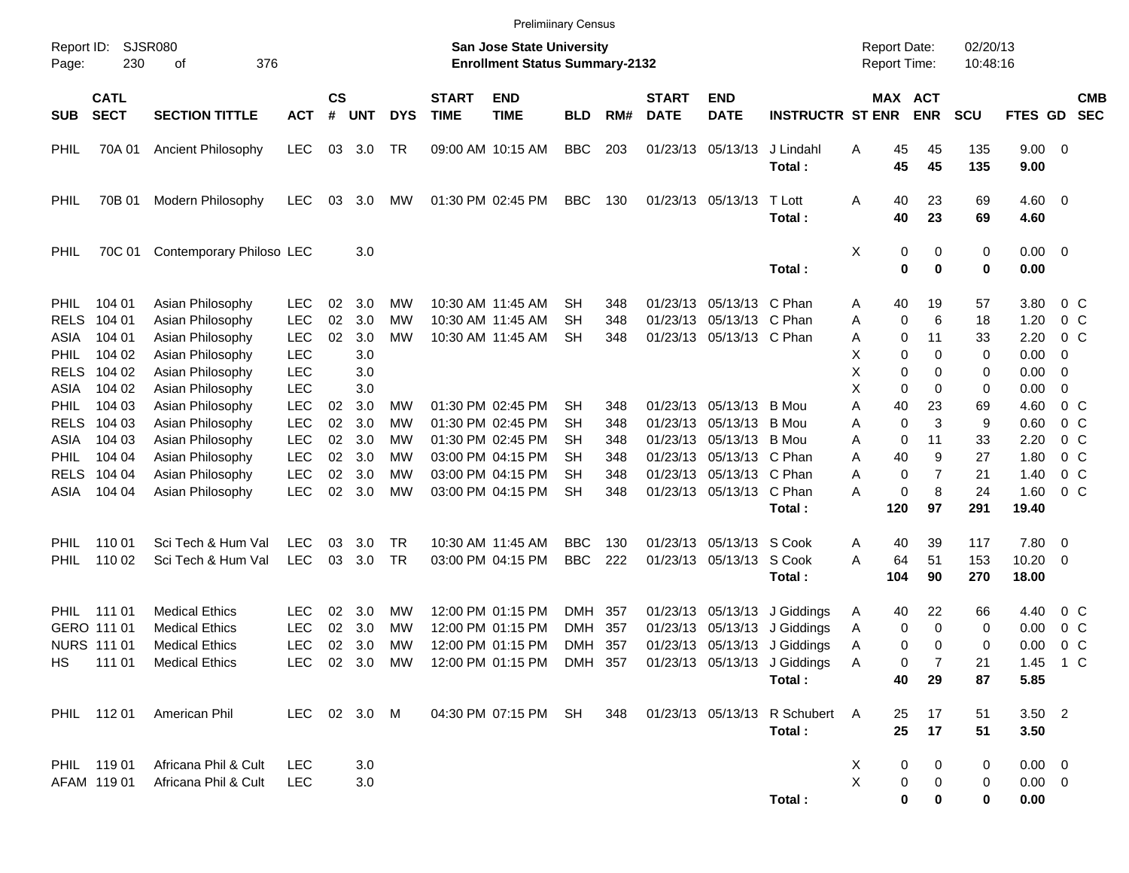|                                                                                                                               |                                                                                                  |                                                                                                                                                                                                      |                                                                                                                                          |                                        |                                                                    |                                        |                                                                    | <b>Prelimiinary Census</b>                                                                                                                                           |                                               |                                               |                             |                                                                                                                                                                             |                                                                                                                                            |                                                                                                          |                                                                           |                                                      |                                                                              |                                                                                                                             |                          |
|-------------------------------------------------------------------------------------------------------------------------------|--------------------------------------------------------------------------------------------------|------------------------------------------------------------------------------------------------------------------------------------------------------------------------------------------------------|------------------------------------------------------------------------------------------------------------------------------------------|----------------------------------------|--------------------------------------------------------------------|----------------------------------------|--------------------------------------------------------------------|----------------------------------------------------------------------------------------------------------------------------------------------------------------------|-----------------------------------------------|-----------------------------------------------|-----------------------------|-----------------------------------------------------------------------------------------------------------------------------------------------------------------------------|--------------------------------------------------------------------------------------------------------------------------------------------|----------------------------------------------------------------------------------------------------------|---------------------------------------------------------------------------|------------------------------------------------------|------------------------------------------------------------------------------|-----------------------------------------------------------------------------------------------------------------------------|--------------------------|
| Report ID:<br>Page:                                                                                                           | SJSR080<br>230                                                                                   |                                                                                                                                                                                                      |                                                                                                                                          |                                        |                                                                    |                                        | San Jose State University<br><b>Enrollment Status Summary-2132</b> |                                                                                                                                                                      |                                               |                                               |                             |                                                                                                                                                                             | <b>Report Date:</b><br><b>Report Time:</b>                                                                                                 |                                                                                                          | 02/20/13<br>10:48:16                                                      |                                                      |                                                                              |                                                                                                                             |                          |
| <b>SUB</b>                                                                                                                    | <b>CATL</b><br><b>SECT</b>                                                                       | <b>SECTION TITTLE</b>                                                                                                                                                                                | <b>ACT</b>                                                                                                                               | $\mathsf{cs}$<br>#                     | <b>UNT</b>                                                         | <b>DYS</b>                             | <b>START</b><br><b>TIME</b>                                        | <b>END</b><br><b>TIME</b>                                                                                                                                            | <b>BLD</b>                                    | RM#                                           | <b>START</b><br><b>DATE</b> | <b>END</b><br><b>DATE</b>                                                                                                                                                   | <b>INSTRUCTR ST ENR</b>                                                                                                                    |                                                                                                          | MAX ACT<br><b>ENR</b>                                                     | <b>SCU</b>                                           | FTES GD                                                                      |                                                                                                                             | <b>CMB</b><br><b>SEC</b> |
| <b>PHIL</b>                                                                                                                   | 70A 01                                                                                           | Ancient Philosophy                                                                                                                                                                                   | <b>LEC</b>                                                                                                                               | 03                                     | 3.0                                                                | TR                                     |                                                                    | 09:00 AM 10:15 AM                                                                                                                                                    | <b>BBC</b>                                    | 203                                           |                             | 01/23/13 05/13/13                                                                                                                                                           | J Lindahl<br>Total:                                                                                                                        | Α<br>45<br>45                                                                                            | 45<br>45                                                                  | 135<br>135                                           | $9.00 \t 0$<br>9.00                                                          |                                                                                                                             |                          |
| PHIL                                                                                                                          | 70B 01                                                                                           | Modern Philosophy                                                                                                                                                                                    | <b>LEC</b>                                                                                                                               | 03                                     | 3.0                                                                | МW                                     |                                                                    | 01:30 PM 02:45 PM                                                                                                                                                    | <b>BBC</b>                                    | 130                                           |                             | 01/23/13 05/13/13                                                                                                                                                           | T Lott<br>Total:                                                                                                                           | 40<br>Α<br>40                                                                                            | 23<br>23                                                                  | 69<br>69                                             | $4.60 \ 0$<br>4.60                                                           |                                                                                                                             |                          |
| PHIL                                                                                                                          | 70C 01                                                                                           | Contemporary Philoso LEC                                                                                                                                                                             |                                                                                                                                          |                                        | 3.0                                                                |                                        |                                                                    |                                                                                                                                                                      |                                               |                                               |                             |                                                                                                                                                                             | Total:                                                                                                                                     | х<br>$\mathbf 0$                                                                                         | 0<br>0<br>$\bf{0}$                                                        | 0<br>0                                               | $0.00 \t 0$<br>0.00                                                          |                                                                                                                             |                          |
| <b>PHIL</b><br><b>RELS</b><br>ASIA<br><b>PHIL</b><br><b>RELS</b><br>ASIA<br><b>PHIL</b><br><b>RELS</b><br>ASIA<br><b>PHIL</b> | 104 01<br>104 01<br>104 01<br>104 02<br>104 02<br>104 02<br>104 03<br>104 03<br>104 03<br>104 04 | Asian Philosophy<br>Asian Philosophy<br>Asian Philosophy<br>Asian Philosophy<br>Asian Philosophy<br>Asian Philosophy<br>Asian Philosophy<br>Asian Philosophy<br>Asian Philosophy<br>Asian Philosophy | <b>LEC</b><br><b>LEC</b><br><b>LEC</b><br><b>LEC</b><br><b>LEC</b><br><b>LEC</b><br><b>LEC</b><br><b>LEC</b><br><b>LEC</b><br><b>LEC</b> | 02<br>02<br>02<br>02<br>02<br>02<br>02 | 3.0<br>3.0<br>3.0<br>3.0<br>3.0<br>3.0<br>3.0<br>3.0<br>3.0<br>3.0 | МW<br>МW<br>МW<br>MW<br>МW<br>МW<br>МW |                                                                    | 10:30 AM 11:45 AM<br>10:30 AM 11:45 AM<br>10:30 AM 11:45 AM<br>01:30 PM 02:45 PM<br>01:30 PM 02:45 PM<br>01:30 PM 02:45 PM<br>03:00 PM 04:15 PM<br>03:00 PM 04:15 PM | SН<br>SН<br><b>SH</b><br>SН<br>SН<br>SН<br>SН | 348<br>348<br>348<br>348<br>348<br>348<br>348 |                             | 01/23/13 05/13/13 C Phan<br>01/23/13 05/13/13 C Phan<br>01/23/13 05/13/13 C Phan<br>01/23/13 05/13/13<br>01/23/13 05/13/13<br>01/23/13 05/13/13<br>01/23/13 05/13/13 C Phan | B Mou<br>B Mou<br>B Mou                                                                                                                    | 40<br>A<br>0<br>Α<br>0<br>Α<br>X<br>0<br>X<br>X<br>0<br>Α<br>40<br>0<br>Α<br>$\mathbf 0$<br>Α<br>40<br>Α | 19<br>6<br>11<br>0<br>0<br>0<br>0<br>23<br>3<br>11<br>9<br>$\overline{7}$ | 57<br>18<br>33<br>0<br>0<br>0<br>69<br>9<br>33<br>27 | 3.80<br>1.20<br>2.20<br>0.00<br>0.00<br>0.00<br>4.60<br>0.60<br>2.20<br>1.80 | $0\,$ C<br>0 <sup>o</sup><br>$0\,C$<br>-0<br>0<br>0<br>0 <sup>o</sup><br>0 <sup>o</sup><br>0 <sup>o</sup><br>0 <sup>o</sup> |                          |
| <b>RELS</b><br>ASIA                                                                                                           | 104 04<br>104 04                                                                                 | Asian Philosophy<br>Asian Philosophy                                                                                                                                                                 | <b>LEC</b><br><b>LEC</b>                                                                                                                 | 02<br>02                               | 3.0<br>3.0                                                         | МW<br>MW                               |                                                                    | 03:00 PM 04:15 PM                                                                                                                                                    | SН<br><b>SH</b>                               | 348<br>348                                    |                             | 01/23/13 05/13/13 C Phan<br>01/23/13 05/13/13 C Phan                                                                                                                        | Total:                                                                                                                                     | Α<br>0<br>А<br>120                                                                                       | 0<br>8<br>97                                                              | 21<br>24<br>291                                      | 1.40<br>1.60<br>19.40                                                        | 0 <sup>o</sup><br>0 <sup>o</sup>                                                                                            |                          |
| <b>PHIL</b><br><b>PHIL</b>                                                                                                    | 110 01<br>110 02                                                                                 | Sci Tech & Hum Val<br>Sci Tech & Hum Val                                                                                                                                                             | <b>LEC</b><br><b>LEC</b>                                                                                                                 | 03<br>03                               | 3.0<br>3.0                                                         | TR<br><b>TR</b>                        |                                                                    | 10:30 AM 11:45 AM<br>03:00 PM 04:15 PM                                                                                                                               | <b>BBC</b><br><b>BBC</b>                      | 130<br>222                                    |                             | 01/23/13 05/13/13 S Cook<br>01/23/13 05/13/13 S Cook                                                                                                                        | Total:                                                                                                                                     | 40<br>A<br>Α<br>64<br>104                                                                                | 39<br>51<br>90                                                            | 117<br>153<br>270                                    | 7.80<br>10.20<br>18.00                                                       | $\overline{\phantom{0}}$<br>$\overline{\phantom{0}}$                                                                        |                          |
| HS                                                                                                                            | PHIL 111 01<br>GERO 111 01<br><b>NURS 111 01</b><br>111 01                                       | <b>Medical Ethics</b><br><b>Medical Ethics</b><br><b>Medical Ethics</b><br><b>Medical Ethics</b>                                                                                                     | <b>LEC</b><br><b>LEC</b><br><b>LEC</b>                                                                                                   | 02<br>02<br>02                         | 3.0<br>3.0<br>3.0                                                  | MW<br>МW<br>MW                         |                                                                    | 12:00 PM 01:15 PM<br>12:00 PM 01:15 PM<br>12:00 PM 01:15 PM                                                                                                          | <b>DMH</b><br><b>DMH</b><br>DMH               | 357<br>357<br>357                             | 01/23/13                    | 01/23/13 05/13/13<br>05/13/13                                                                                                                                               | J Giddings<br>J Giddings<br>01/23/13 05/13/13 J Giddings<br>LEC 02 3.0 MW 12:00 PM 01:15 PM DMH 357 01/23/13 05/13/13 J Giddings<br>Total: | 40<br>A<br>0<br>A<br>A<br>A<br>40                                                                        | 22<br>0<br>0<br>0<br>0<br>29                                              | 66<br>0<br>0<br>21<br>87                             | 4.40<br>0.00<br>0.00<br>1.45 1 C<br>5.85                                     | 0 C<br>$0\,$ C<br>0 <sup>o</sup>                                                                                            |                          |
|                                                                                                                               | PHIL 112 01                                                                                      | American Phil                                                                                                                                                                                        | LEC 02 3.0 M                                                                                                                             |                                        |                                                                    |                                        |                                                                    | 04:30 PM 07:15 PM SH                                                                                                                                                 |                                               | 348                                           |                             |                                                                                                                                                                             | 01/23/13 05/13/13 R Schubert A<br>Total:                                                                                                   | 25<br>25                                                                                                 | 17<br>17                                                                  | 51<br>51                                             | $3.50$ 2<br>3.50                                                             |                                                                                                                             |                          |
|                                                                                                                               | PHIL 119 01<br>AFAM 119 01                                                                       | Africana Phil & Cult<br>Africana Phil & Cult                                                                                                                                                         | <b>LEC</b><br><b>LEC</b>                                                                                                                 |                                        | 3.0<br>3.0                                                         |                                        |                                                                    |                                                                                                                                                                      |                                               |                                               |                             |                                                                                                                                                                             | Total:                                                                                                                                     | X<br>X                                                                                                   | 0<br>0<br>0<br>0<br>0<br>0                                                | 0<br>0<br>0                                          | $0.00 \t 0$<br>$0.00 \t 0$<br>0.00                                           |                                                                                                                             |                          |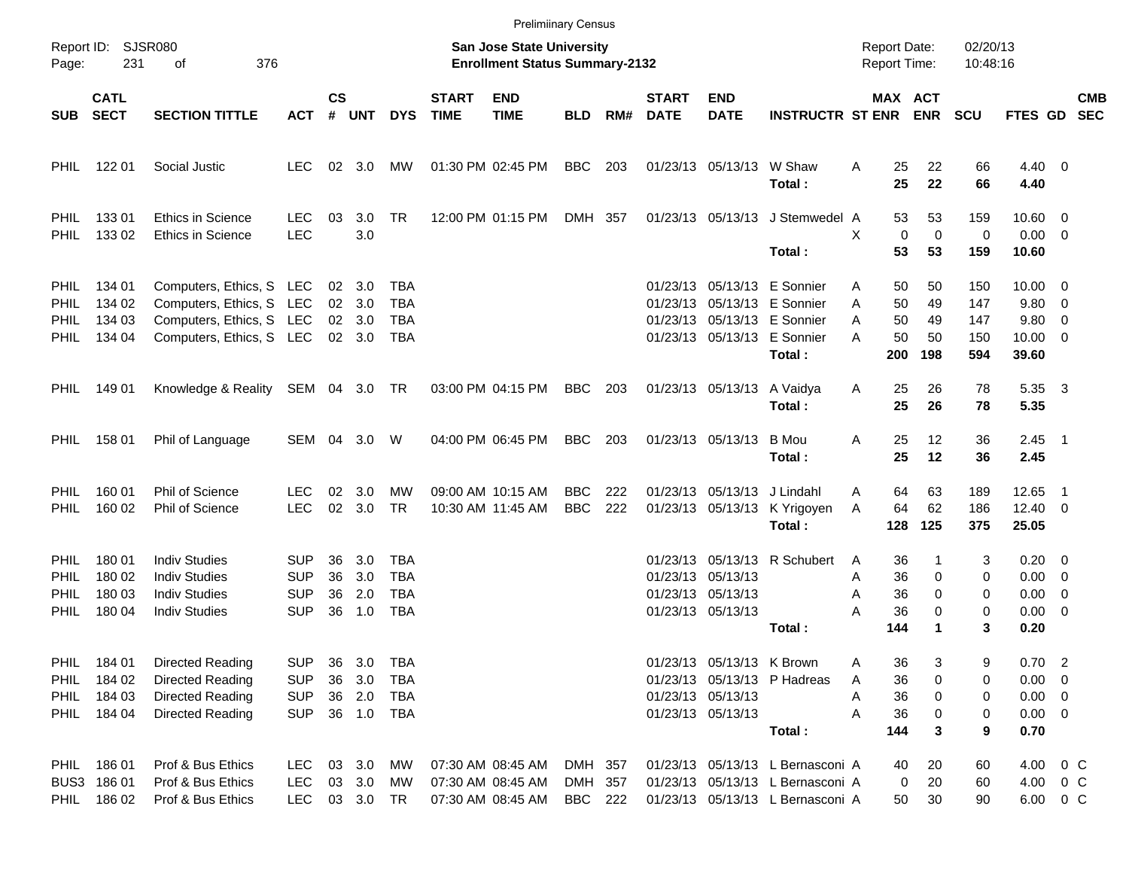|                                                          |                                                     |                                                                                                              |                                                      |                      |                                                              |                                               |                             | <b>Prelimiinary Census</b>                                                |                                      |            |                             |                                                                     |                                                                                                                                    |                                                 |                             |                                 |                                                                |     |            |
|----------------------------------------------------------|-----------------------------------------------------|--------------------------------------------------------------------------------------------------------------|------------------------------------------------------|----------------------|--------------------------------------------------------------|-----------------------------------------------|-----------------------------|---------------------------------------------------------------------------|--------------------------------------|------------|-----------------------------|---------------------------------------------------------------------|------------------------------------------------------------------------------------------------------------------------------------|-------------------------------------------------|-----------------------------|---------------------------------|----------------------------------------------------------------|-----|------------|
| Report ID:<br>Page:                                      | 231                                                 | SJSR080<br>376<br>оf                                                                                         |                                                      |                      |                                                              |                                               |                             | <b>San Jose State University</b><br><b>Enrollment Status Summary-2132</b> |                                      |            |                             |                                                                     |                                                                                                                                    | <b>Report Date:</b><br><b>Report Time:</b>      |                             | 02/20/13<br>10:48:16            |                                                                |     |            |
| <b>SUB</b>                                               | <b>CATL</b><br><b>SECT</b>                          | <b>SECTION TITTLE</b>                                                                                        | <b>ACT</b>                                           | <b>CS</b><br>#       | UNT                                                          | <b>DYS</b>                                    | <b>START</b><br><b>TIME</b> | <b>END</b><br><b>TIME</b>                                                 | <b>BLD</b>                           | RM#        | <b>START</b><br><b>DATE</b> | <b>END</b><br><b>DATE</b>                                           | <b>INSTRUCTR ST ENR ENR</b>                                                                                                        | <b>MAX ACT</b>                                  |                             | <b>SCU</b>                      | FTES GD SEC                                                    |     | <b>CMB</b> |
| <b>PHIL</b>                                              | 122 01                                              | Social Justic                                                                                                | <b>LEC</b>                                           |                      | $02 \quad 3.0$                                               | MW                                            | 01:30 PM 02:45 PM           |                                                                           | <b>BBC</b>                           | 203        |                             | 01/23/13 05/13/13 W Shaw                                            | Total:                                                                                                                             | 25<br>A<br>25                                   | 22<br>22                    | 66<br>66                        | $4.40 \ 0$<br>4.40                                             |     |            |
| <b>PHIL</b><br><b>PHIL</b>                               | 13301<br>133 02                                     | <b>Ethics in Science</b><br><b>Ethics in Science</b>                                                         | <b>LEC</b><br><b>LEC</b>                             | 03                   | 3.0<br>3.0                                                   | <b>TR</b>                                     |                             | 12:00 PM 01:15 PM                                                         | DMH 357                              |            |                             | 01/23/13 05/13/13                                                   | J Stemwedel A<br>Total:                                                                                                            | 53<br>$\mathbf 0$<br>X<br>53                    | 53<br>$\mathbf 0$<br>53     | 159<br>$\mathbf 0$<br>159       | $10.60 \t 0$<br>$0.00 \t 0$<br>10.60                           |     |            |
| <b>PHIL</b><br><b>PHIL</b><br><b>PHIL</b><br><b>PHIL</b> | 134 01<br>134 02<br>134 03<br>134 04                | Computers, Ethics, S LEC<br>Computers, Ethics, S LEC<br>Computers, Ethics, S LEC<br>Computers, Ethics, S LEC |                                                      |                      | $02 \quad 3.0$<br>02 3.0<br>$02 \quad 3.0$<br>$02 \quad 3.0$ | <b>TBA</b><br><b>TBA</b><br><b>TBA</b><br>TBA |                             |                                                                           |                                      |            |                             |                                                                     | 01/23/13 05/13/13 E Sonnier<br>01/23/13 05/13/13 E Sonnier<br>01/23/13 05/13/13 E Sonnier<br>01/23/13 05/13/13 E Sonnier<br>Total: | 50<br>A<br>50<br>A<br>50<br>A<br>50<br>A<br>200 | 50<br>49<br>49<br>50<br>198 | 150<br>147<br>147<br>150<br>594 | $10.00 \t 0$<br>9.80 0<br>9.80 0<br>$10.00 \t 0$<br>39.60      |     |            |
| <b>PHIL</b>                                              | 149 01                                              | Knowledge & Reality                                                                                          | SEM 04 3.0                                           |                      |                                                              | TR                                            |                             | 03:00 PM 04:15 PM                                                         | <b>BBC</b>                           | 203        |                             | 01/23/13 05/13/13                                                   | A Vaidya<br>Total:                                                                                                                 | 25<br>A<br>25                                   | 26<br>26                    | 78<br>78                        | 5.35 3<br>5.35                                                 |     |            |
| <b>PHIL</b>                                              | 158 01                                              | Phil of Language                                                                                             | SEM                                                  |                      | 04 3.0                                                       | W                                             |                             | 04:00 PM 06:45 PM                                                         | <b>BBC</b>                           | 203        |                             | 01/23/13 05/13/13 B Mou                                             | Total:                                                                                                                             | 25<br>A<br>25                                   | 12<br>12                    | 36<br>36                        | $2.45$ 1<br>2.45                                               |     |            |
| <b>PHIL</b><br><b>PHIL</b>                               | 160 01<br>160 02                                    | Phil of Science<br>Phil of Science                                                                           | <b>LEC</b><br>LEC                                    | 02                   | 3.0<br>02 3.0                                                | МW<br><b>TR</b>                               |                             | 09:00 AM 10:15 AM<br>10:30 AM 11:45 AM                                    | <b>BBC</b><br><b>BBC</b>             | 222<br>222 |                             | 01/23/13 05/13/13 J Lindahl                                         | 01/23/13 05/13/13 K Yrigoyen<br>Total:                                                                                             | 64<br>A<br>64<br>A<br>128                       | 63<br>62<br>125             | 189<br>186<br>375               | 12.65<br>$12.40 \ 0$<br>25.05                                  | - 1 |            |
| <b>PHIL</b><br>PHIL<br>PHIL<br><b>PHIL</b>               | 180 01<br>180 02<br>180 03<br>180 04                | <b>Indiv Studies</b><br><b>Indiv Studies</b><br><b>Indiv Studies</b><br><b>Indiv Studies</b>                 | SUP<br><b>SUP</b><br><b>SUP</b><br><b>SUP</b>        | 36<br>36<br>36<br>36 | 3.0<br>3.0<br>2.0<br>1.0                                     | TBA<br><b>TBA</b><br><b>TBA</b><br><b>TBA</b> |                             |                                                                           |                                      |            |                             | 01/23/13 05/13/13<br>01/23/13 05/13/13<br>01/23/13 05/13/13         | 01/23/13 05/13/13 R Schubert<br>Total:                                                                                             | 36<br>A<br>36<br>Α<br>36<br>Α<br>A<br>36<br>144 | 0<br>0<br>0<br>1            | 3<br>0<br>0<br>$\mathbf 0$<br>3 | $0.20 \ 0$<br>$0.00 \t 0$<br>$0.00 \ 0$<br>$0.00 \t 0$<br>0.20 |     |            |
| PHIL                                                     | PHIL 184 01<br>184 02<br>PHIL 184 03<br>PHIL 184 04 | <b>Directed Reading</b><br><b>Directed Reading</b><br><b>Directed Reading</b><br>Directed Reading            | <b>SUP</b><br><b>SUP</b><br><b>SUP</b><br><b>SUP</b> | 36<br>36             | 3.0<br>3.0<br>36 2.0<br>36 1.0                               | <b>TBA</b><br>TBA<br>TBA<br>TBA               |                             |                                                                           |                                      |            |                             | 01/23/13 05/13/13 K Brown<br>01/23/13 05/13/13<br>01/23/13 05/13/13 | 01/23/13 05/13/13 P Hadreas<br>Total:                                                                                              | 36<br>A<br>36<br>Α<br>36<br>Α<br>36<br>Α<br>144 | 3<br>0<br>0<br>0<br>3       | 9<br>0<br>0<br>0<br>9           | $0.70$ 2<br>$0.00 \t 0$<br>$0.00 \t 0$<br>$0.00 \t 0$<br>0.70  |     |            |
|                                                          | PHIL 186 01<br>BUS3 186 01<br>PHIL 186 02           | Prof & Bus Ethics<br>Prof & Bus Ethics<br>Prof & Bus Ethics                                                  | LEC<br>LEC<br><b>LEC</b>                             |                      | 03 3.0<br>03 3.0<br>03 3.0                                   | МW<br>МW<br>TR                                |                             | 07:30 AM 08:45 AM<br>07:30 AM 08:45 AM<br>07:30 AM 08:45 AM               | DMH 357<br>DMH 357<br><b>BBC</b> 222 |            |                             |                                                                     | 01/23/13 05/13/13 L Bernasconi A<br>01/23/13 05/13/13 L Bernasconi A<br>01/23/13 05/13/13 L Bernasconi A                           | 40<br>0<br>50                                   | 20<br>20<br>30              | 60<br>60<br>90                  | 4.00 0 C<br>4.00 0 C<br>6.00 0 C                               |     |            |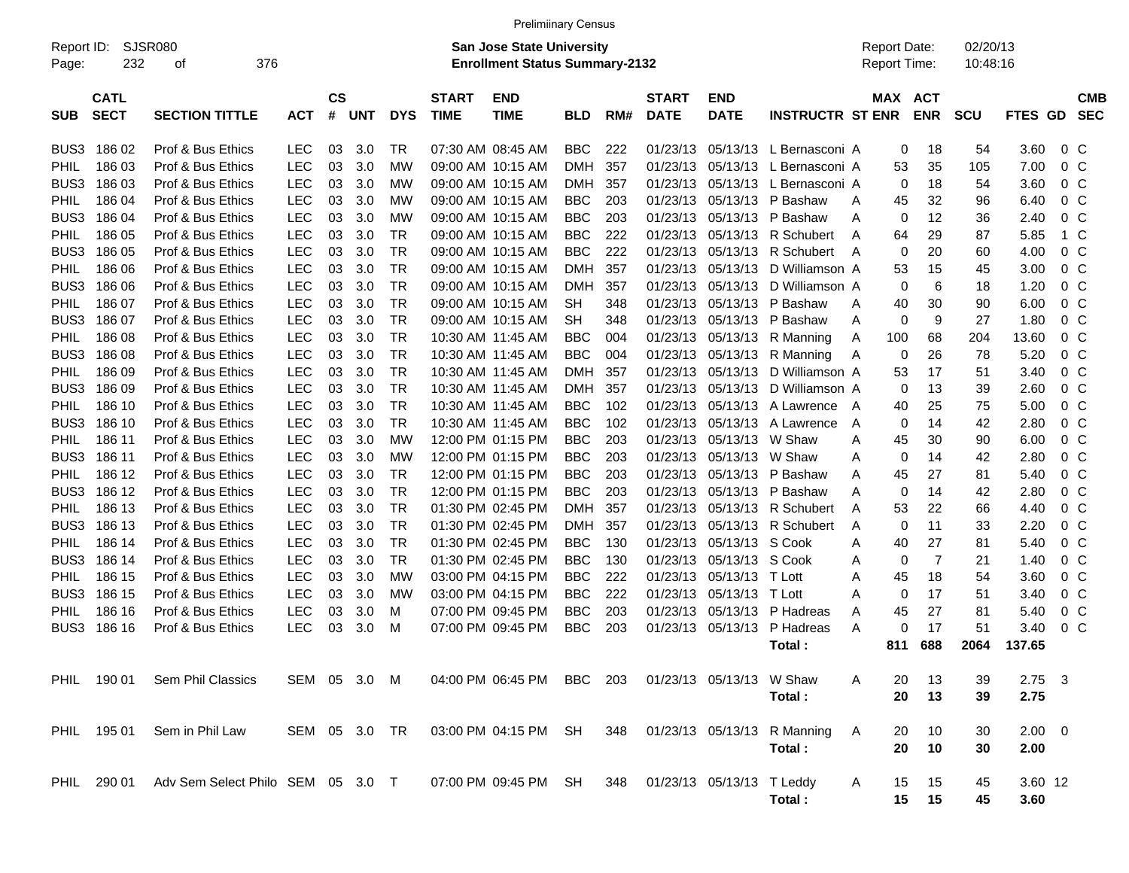|                     |                            |                                               |               |                |            |            |                             | <b>Prelimiinary Census</b>                                                |            |     |                             |                           |                                  |                                            |                       |                      |             |                |                          |
|---------------------|----------------------------|-----------------------------------------------|---------------|----------------|------------|------------|-----------------------------|---------------------------------------------------------------------------|------------|-----|-----------------------------|---------------------------|----------------------------------|--------------------------------------------|-----------------------|----------------------|-------------|----------------|--------------------------|
| Report ID:<br>Page: | 232                        | <b>SJSR080</b><br>376<br>οf                   |               |                |            |            |                             | <b>San Jose State University</b><br><b>Enrollment Status Summary-2132</b> |            |     |                             |                           |                                  | <b>Report Date:</b><br><b>Report Time:</b> |                       | 02/20/13<br>10:48:16 |             |                |                          |
| <b>SUB</b>          | <b>CATL</b><br><b>SECT</b> | <b>SECTION TITTLE</b>                         | <b>ACT</b>    | <b>CS</b><br># | <b>UNT</b> | <b>DYS</b> | <b>START</b><br><b>TIME</b> | <b>END</b><br><b>TIME</b>                                                 | <b>BLD</b> | RM# | <b>START</b><br><b>DATE</b> | <b>END</b><br><b>DATE</b> | <b>INSTRUCTR ST ENR</b>          |                                            | MAX ACT<br><b>ENR</b> | <b>SCU</b>           | FTES GD     |                | <b>CMB</b><br><b>SEC</b> |
| BUS3                | 186 02                     | Prof & Bus Ethics                             | <b>LEC</b>    | 03             | 3.0        | TR         |                             | 07:30 AM 08:45 AM                                                         | <b>BBC</b> | 222 |                             |                           | 01/23/13 05/13/13 L Bernasconi A |                                            | 0<br>18               | 54                   | 3.60        | 0 <sup>o</sup> |                          |
| <b>PHIL</b>         | 186 03                     | Prof & Bus Ethics                             | <b>LEC</b>    | 03             | 3.0        | МW         |                             | 09:00 AM 10:15 AM                                                         | <b>DMH</b> | 357 | 01/23/13                    |                           | 05/13/13 L Bernasconi A          | 53                                         | 35                    | 105                  | 7.00        | 0 <sup>o</sup> |                          |
| BUS3                | 186 03                     | Prof & Bus Ethics                             | <b>LEC</b>    | 03             | 3.0        | МW         |                             | 09:00 AM 10:15 AM                                                         | <b>DMH</b> | 357 | 01/23/13                    |                           | 05/13/13 L Bernasconi A          |                                            | 0<br>18               | 54                   | 3.60        | $0\,$ C        |                          |
| <b>PHIL</b>         | 186 04                     | Prof & Bus Ethics                             | <b>LEC</b>    | 03             | 3.0        | MW         |                             | 09:00 AM 10:15 AM                                                         | <b>BBC</b> | 203 | 01/23/13                    |                           | 05/13/13 P Bashaw                | 45<br>A                                    | 32                    | 96                   | 6.40        | $0\,$ C        |                          |
| BUS3                | 186 04                     | Prof & Bus Ethics                             | <b>LEC</b>    | 03             | 3.0        | MW         |                             | 09:00 AM 10:15 AM                                                         | <b>BBC</b> | 203 | 01/23/13                    |                           | 05/13/13 P Bashaw                | A                                          | 0<br>12               | 36                   | 2.40        | 0 C            |                          |
| <b>PHIL</b>         | 186 05                     | Prof & Bus Ethics                             | <b>LEC</b>    | 03             | 3.0        | TR         |                             | 09:00 AM 10:15 AM                                                         | <b>BBC</b> | 222 | 01/23/13                    |                           | 05/13/13 R Schubert              | 64<br>A                                    | 29                    | 87                   | 5.85        | 1 C            |                          |
| BUS3                | 186 05                     | Prof & Bus Ethics                             | <b>LEC</b>    | 03             | 3.0        | <b>TR</b>  |                             | 09:00 AM 10:15 AM                                                         | <b>BBC</b> | 222 | 01/23/13                    |                           | 05/13/13 R Schubert              | A                                          | 0<br>20               | 60                   | 4.00        | 0 C            |                          |
| <b>PHIL</b>         | 186 06                     | Prof & Bus Ethics                             | <b>LEC</b>    | 03             | 3.0        | <b>TR</b>  |                             | 09:00 AM 10:15 AM                                                         | <b>DMH</b> | 357 | 01/23/13                    |                           | 05/13/13 D Williamson A          | 53                                         | 15                    | 45                   | 3.00        | 0 C            |                          |
| BUS3                | 186 06                     | Prof & Bus Ethics                             | <b>LEC</b>    | 03             | 3.0        | TR         |                             | 09:00 AM 10:15 AM                                                         | <b>DMH</b> | 357 | 01/23/13                    |                           | 05/13/13 D Williamson A          |                                            | 0<br>6                | 18                   | 1.20        | 0 C            |                          |
| <b>PHIL</b>         | 186 07                     | Prof & Bus Ethics                             | <b>LEC</b>    | 03             | 3.0        | TR         |                             | 09:00 AM 10:15 AM                                                         | SН         | 348 | 01/23/13                    |                           | 05/13/13 P Bashaw                | 40<br>A                                    | 30                    | 90                   | 6.00        | 0 C            |                          |
| BUS3                | 186 07                     | Prof & Bus Ethics                             | <b>LEC</b>    | 03             | 3.0        | <b>TR</b>  |                             | 09:00 AM 10:15 AM                                                         | SН         | 348 | 01/23/13                    |                           | 05/13/13 P Bashaw                | A                                          | 0<br>9                | 27                   | 1.80        | 0 <sup>o</sup> |                          |
| <b>PHIL</b>         | 186 08                     | Prof & Bus Ethics                             | <b>LEC</b>    | 03             | 3.0        | TR         |                             | 10:30 AM 11:45 AM                                                         | <b>BBC</b> | 004 | 01/23/13                    |                           | 05/13/13 R Manning               | 100<br>A                                   | 68                    | 204                  | 13.60       | 0 <sup>o</sup> |                          |
| BUS3                | 186 08                     | Prof & Bus Ethics                             | <b>LEC</b>    | 03             | 3.0        | TR         |                             | 10:30 AM 11:45 AM                                                         | <b>BBC</b> | 004 | 01/23/13                    |                           | 05/13/13 R Manning               | A                                          | 0<br>26               | 78                   | 5.20        | 0 <sup>o</sup> |                          |
| <b>PHIL</b>         | 186 09                     | Prof & Bus Ethics                             | <b>LEC</b>    | 03             | 3.0        | <b>TR</b>  |                             | 10:30 AM 11:45 AM                                                         | <b>DMH</b> | 357 | 01/23/13                    |                           | 05/13/13 D Williamson A          | 53                                         | 17                    | 51                   | 3.40        | $0\,$ C        |                          |
| BUS3                | 186 09                     | Prof & Bus Ethics                             | <b>LEC</b>    | 03             | 3.0        | <b>TR</b>  |                             | 10:30 AM 11:45 AM                                                         | <b>DMH</b> | 357 | 01/23/13                    |                           | 05/13/13 D Williamson A          |                                            | 0<br>13               | 39                   | 2.60        | 0 C            |                          |
| <b>PHIL</b>         | 186 10                     | Prof & Bus Ethics                             | <b>LEC</b>    | 03             | 3.0        | TR         |                             | 10:30 AM 11:45 AM                                                         | <b>BBC</b> | 102 | 01/23/13                    |                           | 05/13/13 A Lawrence              | 40<br>A                                    | 25                    | 75                   | 5.00        | 0 C            |                          |
| BUS3                | 186 10                     | Prof & Bus Ethics                             | <b>LEC</b>    | 03             | 3.0        | TR         |                             | 10:30 AM 11:45 AM                                                         | <b>BBC</b> | 102 | 01/23/13                    |                           | 05/13/13 A Lawrence              | A                                          | 0<br>14               | 42                   | 2.80        | $0\,$ C        |                          |
| PHIL                | 186 11                     | Prof & Bus Ethics                             | <b>LEC</b>    | 03             | 3.0        | МW         |                             | 12:00 PM 01:15 PM                                                         | <b>BBC</b> | 203 | 01/23/13                    | 05/13/13 W Shaw           |                                  | 45<br>A                                    | 30                    | 90                   | 6.00        | 0 C            |                          |
| BUS3                | 186 11                     | Prof & Bus Ethics                             | <b>LEC</b>    | 03             | 3.0        | MW         |                             | 12:00 PM 01:15 PM                                                         | <b>BBC</b> | 203 | 01/23/13                    | 05/13/13 W Shaw           |                                  | A                                          | 0<br>14               | 42                   | 2.80        | 0 <sup>o</sup> |                          |
| <b>PHIL</b>         | 186 12                     | Prof & Bus Ethics                             | <b>LEC</b>    | 03             | 3.0        | TR         |                             | 12:00 PM 01:15 PM                                                         | <b>BBC</b> | 203 | 01/23/13                    |                           | 05/13/13 P Bashaw                | 45<br>A                                    | 27                    | 81                   | 5.40        | $0\,$ C        |                          |
| BUS3                | 186 12                     | Prof & Bus Ethics                             | <b>LEC</b>    | 03             | 3.0        | <b>TR</b>  |                             | 12:00 PM 01:15 PM                                                         | <b>BBC</b> | 203 | 01/23/13                    |                           | 05/13/13 P Bashaw                | A                                          | 0<br>14               | 42                   | 2.80        | 0 <sup>o</sup> |                          |
| <b>PHIL</b>         | 186 13                     | Prof & Bus Ethics                             | <b>LEC</b>    | 03             | 3.0        | <b>TR</b>  | 01:30 PM 02:45 PM           |                                                                           | <b>DMH</b> | 357 | 01/23/13                    |                           | 05/13/13 R Schubert              | 53<br>A                                    | 22                    | 66                   | 4.40        | 0 <sup>o</sup> |                          |
| BUS3                | 186 13                     | Prof & Bus Ethics                             | <b>LEC</b>    | 03             | 3.0        | <b>TR</b>  |                             | 01:30 PM 02:45 PM                                                         | <b>DMH</b> | 357 | 01/23/13                    |                           | 05/13/13 R Schubert              | A                                          | 0<br>11               | 33                   | 2.20        | $0\,$ C        |                          |
| <b>PHIL</b>         | 186 14                     | Prof & Bus Ethics                             | <b>LEC</b>    | 03             | 3.0        | <b>TR</b>  |                             | 01:30 PM 02:45 PM                                                         | <b>BBC</b> | 130 | 01/23/13                    | 05/13/13 S Cook           |                                  | 40<br>A                                    | 27                    | 81                   | 5.40        | 0 <sup>o</sup> |                          |
| BUS3                | 186 14                     | Prof & Bus Ethics                             | <b>LEC</b>    | 03             | 3.0        | TR         |                             | 01:30 PM 02:45 PM                                                         | <b>BBC</b> | 130 | 01/23/13                    | 05/13/13 S Cook           |                                  | A                                          | 0<br>$\overline{7}$   | 21                   | 1.40        | 0 C            |                          |
| <b>PHIL</b>         | 186 15                     | Prof & Bus Ethics                             | <b>LEC</b>    | 03             | 3.0        | МW         |                             | 03:00 PM 04:15 PM                                                         | <b>BBC</b> | 222 | 01/23/13                    | 05/13/13                  | T Lott                           | 45<br>A                                    | 18                    | 54                   | 3.60        | 0 <sup>o</sup> |                          |
| BUS3                | 186 15                     | Prof & Bus Ethics                             | <b>LEC</b>    | 03             | 3.0        | МW         |                             | 03:00 PM 04:15 PM                                                         | <b>BBC</b> | 222 | 01/23/13                    | 05/13/13                  | T Lott                           | A                                          | 0<br>17               | 51                   | 3.40        | 0 <sup>o</sup> |                          |
| <b>PHIL</b>         | 186 16                     | Prof & Bus Ethics                             | LEC           | 03             | 3.0        | м          |                             | 07:00 PM 09:45 PM                                                         | <b>BBC</b> | 203 | 01/23/13                    |                           | 05/13/13 P Hadreas               | 45<br>A                                    | 27                    | 81                   | 5.40        | $0\,$ C        |                          |
| BUS3                | 186 16                     | Prof & Bus Ethics                             | <b>LEC</b>    | 03             | 3.0        | M          | 07:00 PM 09:45 PM           |                                                                           | <b>BBC</b> | 203 | 01/23/13                    | 05/13/13                  | P Hadreas                        | A                                          | 0<br>17               | 51                   | 3.40        | 0 <sup>o</sup> |                          |
|                     |                            |                                               |               |                |            |            |                             |                                                                           |            |     |                             |                           | Total :                          | 811                                        | 688                   | 2064                 | 137.65      |                |                          |
|                     |                            |                                               |               |                |            |            |                             |                                                                           |            |     |                             |                           |                                  |                                            |                       |                      |             |                |                          |
|                     |                            | PHIL 190 01 Sem Phil Classics                 | SEM 05 3.0 M  |                |            |            |                             | 04:00 PM 06:45 PM BBC 203                                                 |            |     |                             | 01/23/13 05/13/13 W Shaw  |                                  | 20<br>A                                    | 13                    | 39                   | $2.75$ 3    |                |                          |
|                     |                            |                                               |               |                |            |            |                             |                                                                           |            |     |                             |                           | Total:                           | 20                                         | 13                    | 39                   | 2.75        |                |                          |
|                     | PHIL 195 01                | Sem in Phil Law                               | SEM 05 3.0 TR |                |            |            |                             | 03:00 PM 04:15 PM SH                                                      |            | 348 |                             |                           | 01/23/13 05/13/13 R Manning      | Α<br>20                                    | 10                    | 30                   | $2.00 \t 0$ |                |                          |
|                     |                            |                                               |               |                |            |            |                             |                                                                           |            |     |                             |                           | Total:                           | 20                                         | 10                    | 30                   | 2.00        |                |                          |
|                     |                            |                                               |               |                |            |            |                             |                                                                           |            |     |                             |                           |                                  |                                            |                       |                      |             |                |                          |
|                     |                            | PHIL 290 01 Adv Sem Select Philo SEM 05 3.0 T |               |                |            |            |                             | 07:00 PM 09:45 PM SH                                                      |            | 348 |                             | 01/23/13 05/13/13 T Leddy |                                  | A                                          | 15<br>15              | 45                   | 3.60 12     |                |                          |

**Total : 15 15 45 3.60**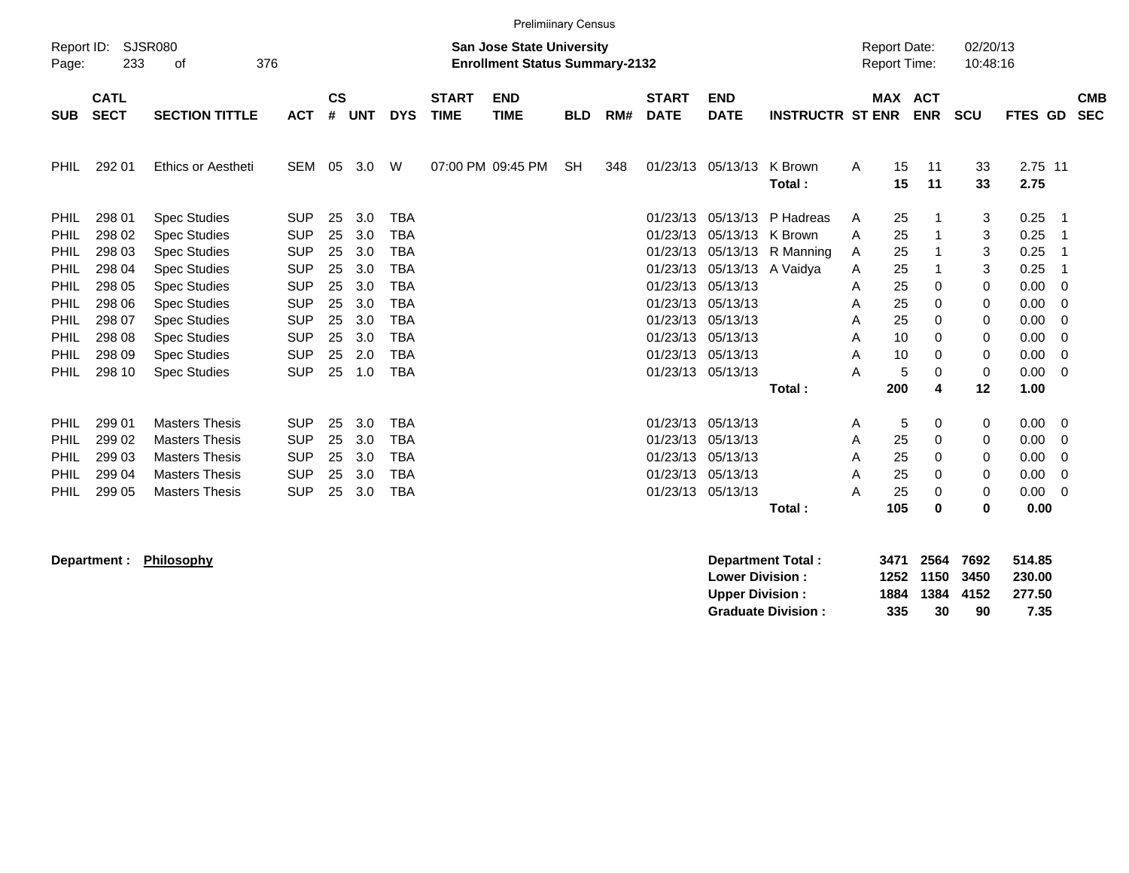|             | <b>Prelimiinary Census</b><br>Report ID:                                                                                                                                       |                       |            |                    |            |            |                             |                           |            |     |                             |                           |                         |                |          |             |             |                 |           |                          |
|-------------|--------------------------------------------------------------------------------------------------------------------------------------------------------------------------------|-----------------------|------------|--------------------|------------|------------|-----------------------------|---------------------------|------------|-----|-----------------------------|---------------------------|-------------------------|----------------|----------|-------------|-------------|-----------------|-----------|--------------------------|
| Page:       | <b>SJSR080</b><br>02/20/13<br><b>San Jose State University</b><br><b>Report Date:</b><br>376<br><b>Enrollment Status Summary-2132</b><br>Report Time:<br>10:48:16<br>233<br>οf |                       |            |                    |            |            |                             |                           |            |     |                             |                           |                         |                |          |             |             |                 |           |                          |
| <b>SUB</b>  | <b>CATL</b><br><b>SECT</b>                                                                                                                                                     | <b>SECTION TITTLE</b> | <b>ACT</b> | $\mathsf{cs}$<br># | <b>UNT</b> | <b>DYS</b> | <b>START</b><br><b>TIME</b> | <b>END</b><br><b>TIME</b> | <b>BLD</b> | RM# | <b>START</b><br><b>DATE</b> | <b>END</b><br><b>DATE</b> | <b>INSTRUCTR ST ENR</b> | <b>MAX ACT</b> |          | <b>ENR</b>  | <b>SCU</b>  | <b>FTES</b>     | <b>GD</b> | <b>CMB</b><br><b>SEC</b> |
| PHIL.       | 292 01                                                                                                                                                                         | Ethics or Aestheti    | <b>SEM</b> | 05                 | 3.0        | W          |                             | 07:00 PM 09:45 PM         | <b>SH</b>  | 348 | 01/23/13                    | 05/13/13                  | K Brown<br>Total:       | A              | 15<br>15 | 11<br>11    | 33<br>33    | 2.75 11<br>2.75 |           |                          |
| <b>PHIL</b> | 298 01                                                                                                                                                                         | <b>Spec Studies</b>   | <b>SUP</b> | 25                 | 3.0        | <b>TBA</b> |                             |                           |            |     | 01/23/13                    | 05/13/13                  | P Hadreas               | A              | 25       |             | 3           | 0.25            | -1        |                          |
| <b>PHIL</b> | 298 02                                                                                                                                                                         | <b>Spec Studies</b>   | <b>SUP</b> | 25                 | 3.0        | <b>TBA</b> |                             |                           |            |     | 01/23/13                    | 05/13/13                  | K Brown                 | A              | 25       | -1          | 3           | 0.25            | -1        |                          |
| <b>PHIL</b> | 298 03                                                                                                                                                                         | <b>Spec Studies</b>   | <b>SUP</b> | 25                 | 3.0        | <b>TBA</b> |                             |                           |            |     | 01/23/13                    | 05/13/13                  | R Manning               | A              | 25       |             | 3           | 0.25            | -1        |                          |
| <b>PHIL</b> | 298 04                                                                                                                                                                         | <b>Spec Studies</b>   | <b>SUP</b> | 25                 | 3.0        | <b>TBA</b> |                             |                           |            |     | 01/23/13                    | 05/13/13                  | A Vaidya                | A              | 25       | -1          | 3           | 0.25            | -1        |                          |
| <b>PHIL</b> | 298 05                                                                                                                                                                         | <b>Spec Studies</b>   | <b>SUP</b> | 25                 | 3.0        | <b>TBA</b> |                             |                           |            |     | 01/23/13                    | 05/13/13                  |                         | A              | 25       | 0           | 0           | 0.00            | -0        |                          |
| PHIL        | 298 06                                                                                                                                                                         | <b>Spec Studies</b>   | <b>SUP</b> | 25                 | 3.0        | <b>TBA</b> |                             |                           |            |     | 01/23/13                    | 05/13/13                  |                         | A              | 25       | $\mathbf 0$ | 0           | 0.00            | -0        |                          |
| <b>PHIL</b> | 298 07                                                                                                                                                                         | <b>Spec Studies</b>   | <b>SUP</b> | 25                 | 3.0        | <b>TBA</b> |                             |                           |            |     | 01/23/13                    | 05/13/13                  |                         | A              | 25       | 0           | 0           | 0.00            | 0         |                          |
| PHIL        | 298 08                                                                                                                                                                         | <b>Spec Studies</b>   | <b>SUP</b> | 25                 | 3.0        | <b>TBA</b> |                             |                           |            |     | 01/23/13                    | 05/13/13                  |                         | A              | 10       | $\Omega$    | 0           | 0.00            | - 0       |                          |
| <b>PHIL</b> | 298 09                                                                                                                                                                         | <b>Spec Studies</b>   | <b>SUP</b> | 25                 | 2.0        | <b>TBA</b> |                             |                           |            |     | 01/23/13                    | 05/13/13                  |                         | A              | 10       | 0           | 0           | 0.00            | - 0       |                          |
| PHIL        | 298 10                                                                                                                                                                         | <b>Spec Studies</b>   | <b>SUP</b> | 25                 | 1.0        | <b>TBA</b> |                             |                           |            |     | 01/23/13                    | 05/13/13                  |                         | Α              | 5        | 0           | 0           | 0.00            | - 0       |                          |
|             |                                                                                                                                                                                |                       |            |                    |            |            |                             |                           |            |     |                             |                           | Total:                  |                | 200      | 4           | 12          | 1.00            |           |                          |
| <b>PHIL</b> | 299 01                                                                                                                                                                         | <b>Masters Thesis</b> | <b>SUP</b> | 25                 | 3.0        | <b>TBA</b> |                             |                           |            |     | 01/23/13                    | 05/13/13                  |                         | A              | 5        | 0           | 0           | 0.00            | - 0       |                          |
| PHIL        | 299 02                                                                                                                                                                         | <b>Masters Thesis</b> | <b>SUP</b> | 25                 | 3.0        | <b>TBA</b> |                             |                           |            |     | 01/23/13                    | 05/13/13                  |                         | Α              | 25       | 0           | 0           | 0.00            | -0        |                          |
| <b>PHIL</b> | 299 03                                                                                                                                                                         | <b>Masters Thesis</b> | <b>SUP</b> | 25                 | 3.0        | <b>TBA</b> |                             |                           |            |     | 01/23/13                    | 05/13/13                  |                         | A              | 25       | 0           | 0           | 0.00            | -0        |                          |
| <b>PHIL</b> | 299 04                                                                                                                                                                         | <b>Masters Thesis</b> | <b>SUP</b> | 25                 | 3.0        | <b>TBA</b> |                             |                           |            |     | 01/23/13                    | 05/13/13                  |                         | A              | 25       | 0           | 0           | 0.00            | - 0       |                          |
| PHIL        | 299 05                                                                                                                                                                         | <b>Masters Thesis</b> | <b>SUP</b> | 25                 | 3.0        | <b>TBA</b> |                             |                           |            |     | 01/23/13                    | 05/13/13                  |                         | Α              | 25       | 0           | $\mathbf 0$ | 0.00            | - 0       |                          |
|             |                                                                                                                                                                                |                       |            |                    |            |            |                             |                           |            |     |                             |                           | Total:                  |                | 105      | 0           | 0           | 0.00            |           |                          |

**Department : Philosophy Department Total : 3471 2564 7692 514.85 Lower Division : 1252 1150 3450 230.00 Upper Division : 1884 1384 4152 277.50<br>
Graduate Division : 335 30 90 7.35** Graduate Division : 335 30 90